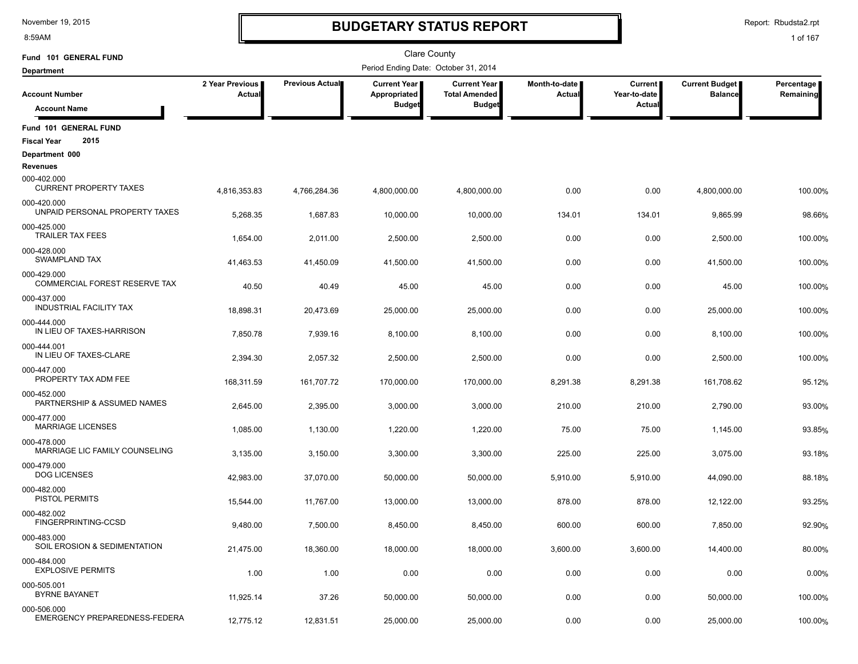8:59AM

# **BUDGETARY STATUS REPORT**

Report: Rbudsta2.rpt

| Fund 101 GENERAL FUND                               |                           |                 | <b>Clare County</b>                  |                                               |                           |                                |                                         |                         |  |  |  |  |  |
|-----------------------------------------------------|---------------------------|-----------------|--------------------------------------|-----------------------------------------------|---------------------------|--------------------------------|-----------------------------------------|-------------------------|--|--|--|--|--|
| <b>Department</b>                                   |                           |                 | Period Ending Date: October 31, 2014 |                                               |                           |                                |                                         |                         |  |  |  |  |  |
| <b>Account Number</b>                               | 2 Year Previous<br>Actual | Previous Actual | <b>Current Year</b><br>Appropriated  | <b>Current Year I</b><br><b>Total Amended</b> | Month-to-date  <br>Actual | <b>Current</b><br>Year-to-date | <b>Current Budget</b><br><b>Balance</b> | Percentage<br>Remaining |  |  |  |  |  |
| <b>Account Name</b>                                 |                           |                 | <b>Budget</b>                        | <b>Budget</b>                                 |                           | Actual                         |                                         |                         |  |  |  |  |  |
| Fund 101 GENERAL FUND                               |                           |                 |                                      |                                               |                           |                                |                                         |                         |  |  |  |  |  |
| 2015<br><b>Fiscal Year</b>                          |                           |                 |                                      |                                               |                           |                                |                                         |                         |  |  |  |  |  |
| Department 000<br><b>Revenues</b>                   |                           |                 |                                      |                                               |                           |                                |                                         |                         |  |  |  |  |  |
| 000-402.000<br><b>CURRENT PROPERTY TAXES</b>        | 4,816,353.83              | 4,766,284.36    | 4,800,000.00                         | 4,800,000.00                                  | 0.00                      | 0.00                           | 4,800,000.00                            | 100.00%                 |  |  |  |  |  |
| 000-420.000<br>UNPAID PERSONAL PROPERTY TAXES       | 5,268.35                  | 1,687.83        | 10,000.00                            | 10,000.00                                     | 134.01                    | 134.01                         | 9,865.99                                | 98.66%                  |  |  |  |  |  |
| 000-425.000<br><b>TRAILER TAX FEES</b>              | 1,654.00                  | 2,011.00        | 2,500.00                             | 2,500.00                                      | 0.00                      | 0.00                           | 2,500.00                                | 100.00%                 |  |  |  |  |  |
| 000-428.000<br><b>SWAMPLAND TAX</b>                 | 41,463.53                 | 41,450.09       | 41,500.00                            | 41,500.00                                     | 0.00                      | 0.00                           | 41,500.00                               | 100.00%                 |  |  |  |  |  |
| 000-429.000<br><b>COMMERCIAL FOREST RESERVE TAX</b> | 40.50                     | 40.49           | 45.00                                | 45.00                                         | 0.00                      | 0.00                           | 45.00                                   | 100.00%                 |  |  |  |  |  |
| 000-437.000<br><b>INDUSTRIAL FACILITY TAX</b>       | 18,898.31                 | 20,473.69       | 25,000.00                            | 25,000.00                                     | 0.00                      | 0.00                           | 25,000.00                               | 100.00%                 |  |  |  |  |  |
| 000-444.000<br>IN LIEU OF TAXES-HARRISON            | 7,850.78                  | 7,939.16        | 8,100.00                             | 8,100.00                                      | 0.00                      | 0.00                           | 8,100.00                                |                         |  |  |  |  |  |
| 000-444.001<br>IN LIEU OF TAXES-CLARE               |                           |                 |                                      |                                               |                           |                                |                                         | 100.00%                 |  |  |  |  |  |
| 000-447.000<br>PROPERTY TAX ADM FEE                 | 2,394.30                  | 2,057.32        | 2,500.00                             | 2,500.00                                      | 0.00                      | 0.00                           | 2,500.00                                | 100.00%                 |  |  |  |  |  |
| 000-452.000<br>PARTNERSHIP & ASSUMED NAMES          | 168,311.59                | 161,707.72      | 170,000.00                           | 170,000.00                                    | 8,291.38                  | 8,291.38                       | 161,708.62                              | 95.12%                  |  |  |  |  |  |
| 000-477.000<br><b>MARRIAGE LICENSES</b>             | 2,645.00                  | 2,395.00        | 3,000.00                             | 3,000.00                                      | 210.00                    | 210.00                         | 2,790.00                                | 93.00%                  |  |  |  |  |  |
|                                                     | 1,085.00                  | 1,130.00        | 1,220.00                             | 1,220.00                                      | 75.00                     | 75.00                          | 1,145.00                                | 93.85%                  |  |  |  |  |  |
| 000-478.000<br>MARRIAGE LIC FAMILY COUNSELING       | 3,135.00                  | 3,150.00        | 3,300.00                             | 3,300.00                                      | 225.00                    | 225.00                         | 3,075.00                                | 93.18%                  |  |  |  |  |  |
| 000-479.000<br><b>DOG LICENSES</b>                  | 42,983.00                 | 37,070.00       | 50,000.00                            | 50,000.00                                     | 5,910.00                  | 5,910.00                       | 44,090.00                               | 88.18%                  |  |  |  |  |  |
| 000-482.000<br>PISTOL PERMITS                       | 15,544.00                 | 11,767.00       | 13,000.00                            | 13,000.00                                     | 878.00                    | 878.00                         | 12,122.00                               | 93.25%                  |  |  |  |  |  |
| 000-482.002<br>FINGERPRINTING-CCSD                  | 9,480.00                  | 7,500.00        | 8,450.00                             | 8,450.00                                      | 600.00                    | 600.00                         | 7,850.00                                | 92.90%                  |  |  |  |  |  |
| 000-483.000<br>SOIL EROSION & SEDIMENTATION         | 21,475.00                 | 18,360.00       | 18,000.00                            | 18,000.00                                     | 3,600.00                  | 3,600.00                       | 14,400.00                               | 80.00%                  |  |  |  |  |  |
| 000-484.000<br><b>EXPLOSIVE PERMITS</b>             | 1.00                      | 1.00            | 0.00                                 | 0.00                                          | 0.00                      | 0.00                           | 0.00                                    | 0.00%                   |  |  |  |  |  |
| 000-505.001<br><b>BYRNE BAYANET</b>                 | 11,925.14                 | 37.26           | 50,000.00                            | 50,000.00                                     | 0.00                      | 0.00                           | 50,000.00                               | 100.00%                 |  |  |  |  |  |
| 000-506.000<br>EMERGENCY PREPAREDNESS-FEDERA        | 12,775.12                 | 12,831.51       | 25,000.00                            | 25,000.00                                     | 0.00                      | 0.00                           | 25,000.00                               | 100.00%                 |  |  |  |  |  |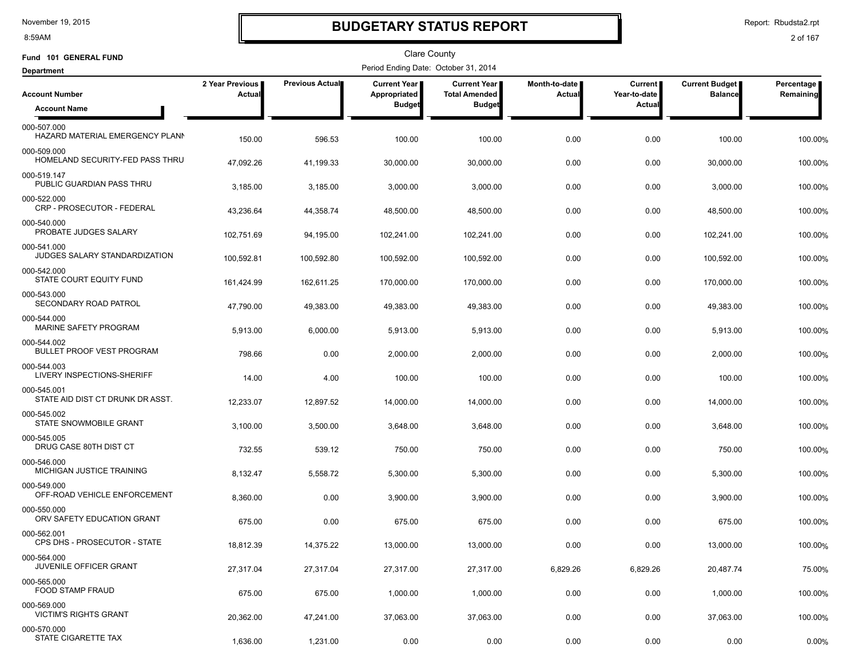8:59AM

# **BUDGETARY STATUS REPORT**

Report: Rbudsta2.rpt

| Fund 101 GENERAL FUND                           |                           |                 | <b>Clare County</b>                   |                                             |                         |                           |                                  |                         |
|-------------------------------------------------|---------------------------|-----------------|---------------------------------------|---------------------------------------------|-------------------------|---------------------------|----------------------------------|-------------------------|
| <b>Department</b>                               |                           |                 | Period Ending Date: October 31, 2014  |                                             |                         |                           |                                  |                         |
| <b>Account Number</b>                           | 2 Year Previous<br>Actual | Previous Actual | <b>Current Year I</b><br>Appropriated | <b>Current Year</b><br><b>Total Amended</b> | Month-to-date<br>Actual | Current  <br>Year-to-date | Current Budget<br><b>Balance</b> | Percentage<br>Remaining |
| <b>Account Name</b>                             |                           |                 | <b>Budget</b>                         | <b>Budget</b>                               |                         | Actual                    |                                  |                         |
| 000-507.000<br>HAZARD MATERIAL EMERGENCY PLANN  | 150.00                    | 596.53          | 100.00                                | 100.00                                      | 0.00                    | 0.00                      | 100.00                           | 100.00%                 |
| 000-509.000<br>HOMELAND SECURITY-FED PASS THRU  | 47,092.26                 | 41,199.33       | 30,000.00                             | 30,000.00                                   | 0.00                    | 0.00                      | 30,000.00                        | 100.00%                 |
| 000-519.147<br>PUBLIC GUARDIAN PASS THRU        | 3,185.00                  | 3,185.00        | 3,000.00                              | 3,000.00                                    | 0.00                    | 0.00                      | 3,000.00                         | 100.00%                 |
| 000-522.000<br>CRP - PROSECUTOR - FEDERAL       | 43,236.64                 | 44,358.74       | 48,500.00                             | 48,500.00                                   | 0.00                    | 0.00                      | 48,500.00                        | 100.00%                 |
| 000-540.000<br>PROBATE JUDGES SALARY            | 102,751.69                | 94,195.00       | 102,241.00                            | 102,241.00                                  | 0.00                    | 0.00                      | 102,241.00                       | 100.00%                 |
| 000-541.000<br>JUDGES SALARY STANDARDIZATION    | 100,592.81                | 100,592.80      | 100,592.00                            | 100,592.00                                  | 0.00                    | 0.00                      | 100,592.00                       | 100.00%                 |
| 000-542.000<br>STATE COURT EQUITY FUND          | 161,424.99                | 162,611.25      | 170,000.00                            | 170,000.00                                  | 0.00                    | 0.00                      | 170,000.00                       | 100.00%                 |
| 000-543.000<br>SECONDARY ROAD PATROL            | 47,790.00                 | 49,383.00       | 49,383.00                             | 49,383.00                                   | 0.00                    | 0.00                      | 49,383.00                        | 100.00%                 |
| 000-544.000<br>MARINE SAFETY PROGRAM            | 5,913.00                  | 6,000.00        | 5,913.00                              | 5,913.00                                    | 0.00                    | 0.00                      | 5,913.00                         | 100.00%                 |
| 000-544.002<br><b>BULLET PROOF VEST PROGRAM</b> | 798.66                    | 0.00            | 2,000.00                              | 2,000.00                                    | 0.00                    | 0.00                      | 2,000.00                         | 100.00%                 |
| 000-544.003<br>LIVERY INSPECTIONS-SHERIFF       | 14.00                     | 4.00            | 100.00                                | 100.00                                      | 0.00                    | 0.00                      | 100.00                           | 100.00%                 |
| 000-545.001<br>STATE AID DIST CT DRUNK DR ASST. | 12,233.07                 | 12,897.52       | 14,000.00                             | 14,000.00                                   | 0.00                    | 0.00                      | 14,000.00                        | 100.00%                 |
| 000-545.002<br>STATE SNOWMOBILE GRANT           | 3,100.00                  | 3,500.00        | 3,648.00                              | 3,648.00                                    | 0.00                    | 0.00                      | 3,648.00                         | 100.00%                 |
| 000-545.005<br>DRUG CASE 80TH DIST CT           | 732.55                    | 539.12          | 750.00                                | 750.00                                      | 0.00                    | 0.00                      | 750.00                           | 100.00%                 |
| 000-546.000<br>MICHIGAN JUSTICE TRAINING        | 8,132.47                  | 5,558.72        | 5,300.00                              | 5,300.00                                    | 0.00                    | 0.00                      | 5,300.00                         | 100.00%                 |
| 000-549.000<br>OFF-ROAD VEHICLE ENFORCEMENT     | 8,360.00                  | 0.00            | 3,900.00                              | 3,900.00                                    | 0.00                    | 0.00                      | 3,900.00                         | 100.00%                 |
| 000-550.000<br>ORV SAFETY EDUCATION GRANT       | 675.00                    | 0.00            | 675.00                                | 675.00                                      | 0.00                    | 0.00                      | 675.00                           | 100.00%                 |
| 000-562.001<br>CPS DHS - PROSECUTOR - STATE     | 18,812.39                 | 14,375.22       | 13,000.00                             | 13,000.00                                   | 0.00                    | 0.00                      | 13,000.00                        | 100.00%                 |
| 000-564.000<br>JUVENILE OFFICER GRANT           | 27,317.04                 | 27,317.04       | 27,317.00                             | 27,317.00                                   | 6,829.26                | 6,829.26                  | 20,487.74                        | 75.00%                  |
| 000-565.000<br><b>FOOD STAMP FRAUD</b>          | 675.00                    | 675.00          | 1,000.00                              | 1,000.00                                    | 0.00                    | 0.00                      | 1,000.00                         | 100.00%                 |
| 000-569.000<br><b>VICTIM'S RIGHTS GRANT</b>     | 20,362.00                 | 47,241.00       | 37,063.00                             | 37,063.00                                   | 0.00                    | 0.00                      | 37,063.00                        | 100.00%                 |
| 000-570.000<br>STATE CIGARETTE TAX              | 1,636.00                  | 1,231.00        | 0.00                                  | 0.00                                        | 0.00                    | 0.00                      | 0.00                             | 0.00%                   |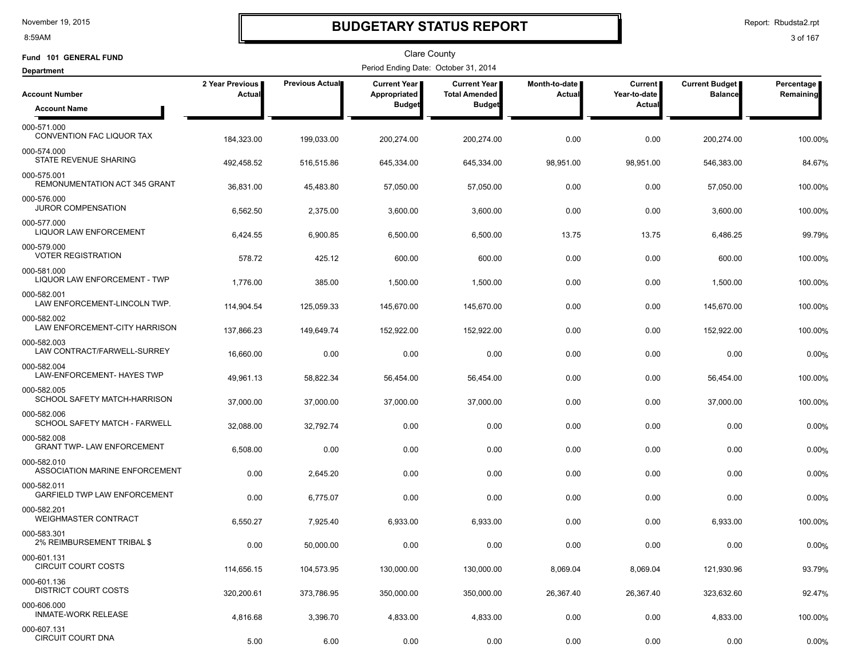8:59AM

### **BUDGETARY STATUS REPORT**

Report: Rbudsta2.rpt

| Fund 101 GENERAL FUND                              |                           |                        | Clare County                         |                                             |                         |                           |                                         |                         |
|----------------------------------------------------|---------------------------|------------------------|--------------------------------------|---------------------------------------------|-------------------------|---------------------------|-----------------------------------------|-------------------------|
| <b>Department</b>                                  |                           |                        | Period Ending Date: October 31, 2014 |                                             |                         |                           |                                         |                         |
| <b>Account Number</b>                              | 2 Year Previous<br>Actual | <b>Previous Actual</b> | Current Year<br>Appropriated         | <b>Current Year</b><br><b>Total Amended</b> | Month-to-date<br>Actual | Current  <br>Year-to-date | <b>Current Budget</b><br><b>Balance</b> | Percentage<br>Remaining |
| <b>Account Name</b>                                |                           |                        | <b>Budget</b>                        | <b>Budget</b>                               |                         | Actual                    |                                         |                         |
| 000-571.000<br>CONVENTION FAC LIQUOR TAX           | 184,323.00                | 199,033.00             | 200,274.00                           | 200,274.00                                  | 0.00                    | 0.00                      | 200,274.00                              | 100.00%                 |
| 000-574.000<br>STATE REVENUE SHARING               | 492,458.52                | 516,515.86             | 645,334.00                           | 645,334.00                                  | 98,951.00               | 98,951.00                 | 546,383.00                              | 84.67%                  |
| 000-575.001<br>REMONUMENTATION ACT 345 GRANT       | 36,831.00                 | 45,483.80              | 57,050.00                            | 57,050.00                                   | 0.00                    | 0.00                      | 57,050.00                               | 100.00%                 |
| 000-576.000<br><b>JUROR COMPENSATION</b>           | 6,562.50                  | 2,375.00               | 3,600.00                             | 3,600.00                                    | 0.00                    | 0.00                      | 3,600.00                                | 100.00%                 |
| 000-577.000<br><b>LIQUOR LAW ENFORCEMENT</b>       | 6,424.55                  | 6,900.85               | 6,500.00                             | 6,500.00                                    | 13.75                   | 13.75                     | 6,486.25                                | 99.79%                  |
| 000-579.000<br><b>VOTER REGISTRATION</b>           | 578.72                    | 425.12                 | 600.00                               | 600.00                                      | 0.00                    | 0.00                      | 600.00                                  | 100.00%                 |
| 000-581.000<br><b>LIQUOR LAW ENFORCEMENT - TWP</b> | 1,776.00                  | 385.00                 | 1,500.00                             | 1,500.00                                    | 0.00                    | 0.00                      | 1,500.00                                | 100.00%                 |
| 000-582.001<br>LAW ENFORCEMENT-LINCOLN TWP.        | 114,904.54                | 125,059.33             | 145,670.00                           | 145.670.00                                  | 0.00                    | 0.00                      | 145,670.00                              | 100.00%                 |
| 000-582.002<br>LAW ENFORCEMENT-CITY HARRISON       | 137,866.23                | 149,649.74             | 152,922.00                           | 152,922.00                                  | 0.00                    | 0.00                      | 152,922.00                              | 100.00%                 |
| 000-582.003<br>LAW CONTRACT/FARWELL-SURREY         | 16,660.00                 | 0.00                   | 0.00                                 | 0.00                                        | 0.00                    | 0.00                      | 0.00                                    | 0.00%                   |
| 000-582.004<br>LAW-ENFORCEMENT- HAYES TWP          | 49,961.13                 | 58,822.34              | 56,454.00                            | 56,454.00                                   | 0.00                    | 0.00                      | 56,454.00                               | 100.00%                 |
| 000-582.005<br>SCHOOL SAFETY MATCH-HARRISON        | 37,000.00                 | 37,000.00              | 37,000.00                            | 37,000.00                                   | 0.00                    | 0.00                      | 37,000.00                               | 100.00%                 |
| 000-582.006<br>SCHOOL SAFETY MATCH - FARWELL       | 32,088.00                 | 32,792.74              | 0.00                                 | 0.00                                        | 0.00                    | 0.00                      | 0.00                                    | 0.00%                   |
| 000-582.008<br><b>GRANT TWP- LAW ENFORCEMENT</b>   | 6,508.00                  | 0.00                   | 0.00                                 | 0.00                                        | 0.00                    | 0.00                      | 0.00                                    | 0.00%                   |
| 000-582.010<br>ASSOCIATION MARINE ENFORCEMENT      | 0.00                      | 2,645.20               | 0.00                                 | 0.00                                        | 0.00                    | 0.00                      | 0.00                                    | 0.00%                   |
| 000-582.011<br><b>GARFIELD TWP LAW ENFORCEMENT</b> | 0.00                      | 6,775.07               | 0.00                                 | 0.00                                        | 0.00                    | 0.00                      | 0.00                                    | 0.00%                   |
| 000-582.201<br><b>WEIGHMASTER CONTRACT</b>         | 6,550.27                  | 7,925.40               | 6,933.00                             | 6,933.00                                    | 0.00                    | 0.00                      | 6,933.00                                | 100.00%                 |
| 000-583.301<br>2% REIMBURSEMENT TRIBAL \$          | 0.00                      | 50,000.00              | 0.00                                 | 0.00                                        | 0.00                    | 0.00                      | 0.00                                    | 0.00%                   |
| 000-601.131<br><b>CIRCUIT COURT COSTS</b>          | 114,656.15                | 104,573.95             | 130,000.00                           | 130,000.00                                  | 8,069.04                | 8,069.04                  | 121,930.96                              | 93.79%                  |
| 000-601.136<br><b>DISTRICT COURT COSTS</b>         | 320,200.61                | 373,786.95             | 350,000.00                           | 350,000.00                                  | 26,367.40               | 26,367.40                 | 323,632.60                              | 92.47%                  |
| 000-606.000<br><b>INMATE-WORK RELEASE</b>          | 4,816.68                  | 3,396.70               | 4,833.00                             | 4,833.00                                    | 0.00                    | 0.00                      | 4,833.00                                | 100.00%                 |
| 000-607.131<br><b>CIRCUIT COURT DNA</b>            | 5.00                      | 6.00                   | 0.00                                 | 0.00                                        | 0.00                    | 0.00                      | 0.00                                    | 0.00%                   |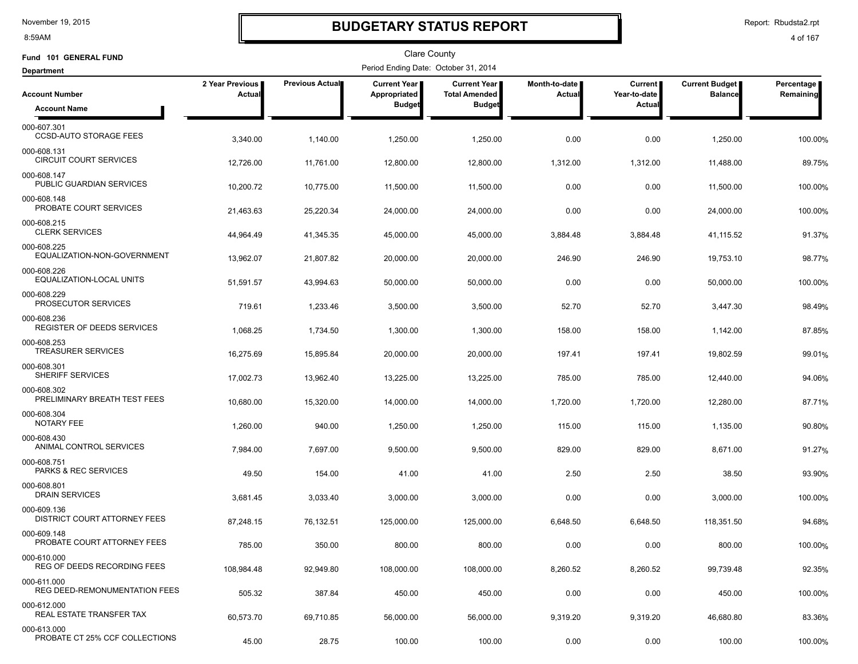8:59AM

# **BUDGETARY STATUS REPORT**

Report: Rbudsta2.rpt

| Fund 101 GENERAL FUND                              |                           |                        | Clare County                         |                                             |                         |                           |                                  |                         |
|----------------------------------------------------|---------------------------|------------------------|--------------------------------------|---------------------------------------------|-------------------------|---------------------------|----------------------------------|-------------------------|
| <b>Department</b>                                  |                           |                        | Period Ending Date: October 31, 2014 |                                             |                         |                           |                                  |                         |
| <b>Account Number</b>                              | 2 Year Previous<br>Actual | <b>Previous Actual</b> | Current Year<br>Appropriated         | <b>Current Year</b><br><b>Total Amended</b> | Month-to-date<br>Actual | Current  <br>Year-to-date | Current Budget<br><b>Balance</b> | Percentage<br>Remaining |
| <b>Account Name</b>                                |                           |                        | <b>Budget</b>                        | <b>Budget</b>                               |                         | Actual                    |                                  |                         |
| 000-607.301<br><b>CCSD-AUTO STORAGE FEES</b>       | 3,340.00                  | 1,140.00               | 1,250.00                             | 1,250.00                                    | 0.00                    | 0.00                      | 1,250.00                         | 100.00%                 |
| 000-608.131<br><b>CIRCUIT COURT SERVICES</b>       | 12,726.00                 | 11.761.00              | 12,800.00                            | 12,800.00                                   | 1,312.00                | 1,312.00                  | 11,488.00                        | 89.75%                  |
| 000-608.147<br>PUBLIC GUARDIAN SERVICES            | 10,200.72                 | 10,775.00              | 11,500.00                            | 11,500.00                                   | 0.00                    | 0.00                      | 11,500.00                        | 100.00%                 |
| 000-608.148<br>PROBATE COURT SERVICES              | 21,463.63                 | 25,220.34              | 24,000.00                            | 24,000.00                                   | 0.00                    | 0.00                      | 24,000.00                        | 100.00%                 |
| 000-608.215<br><b>CLERK SERVICES</b>               | 44,964.49                 | 41,345.35              | 45,000.00                            | 45,000.00                                   | 3,884.48                | 3,884.48                  | 41,115.52                        | 91.37%                  |
| 000-608.225<br>EQUALIZATION-NON-GOVERNMENT         | 13,962.07                 | 21,807.82              | 20,000.00                            | 20,000.00                                   | 246.90                  | 246.90                    | 19,753.10                        | 98.77%                  |
| 000-608.226<br>EQUALIZATION-LOCAL UNITS            | 51,591.57                 | 43,994.63              | 50,000.00                            | 50,000.00                                   | 0.00                    | 0.00                      | 50,000.00                        | 100.00%                 |
| 000-608.229<br>PROSECUTOR SERVICES                 | 719.61                    | 1,233.46               | 3,500.00                             | 3,500.00                                    | 52.70                   | 52.70                     | 3,447.30                         | 98.49%                  |
| 000-608.236<br>REGISTER OF DEEDS SERVICES          | 1,068.25                  | 1,734.50               | 1,300.00                             | 1,300.00                                    | 158.00                  | 158.00                    | 1,142.00                         | 87.85%                  |
| 000-608.253<br><b>TREASURER SERVICES</b>           | 16,275.69                 | 15,895.84              | 20,000.00                            | 20,000.00                                   | 197.41                  | 197.41                    | 19,802.59                        | 99.01%                  |
| 000-608.301<br>SHERIFF SERVICES                    | 17,002.73                 | 13,962.40              | 13,225.00                            | 13,225.00                                   | 785.00                  | 785.00                    | 12,440.00                        | 94.06%                  |
| 000-608.302<br>PRELIMINARY BREATH TEST FEES        | 10,680.00                 | 15,320.00              | 14,000.00                            | 14,000.00                                   | 1,720.00                | 1,720.00                  | 12,280.00                        | 87.71%                  |
| 000-608.304<br><b>NOTARY FEE</b>                   | 1,260.00                  | 940.00                 | 1,250.00                             | 1,250.00                                    | 115.00                  | 115.00                    | 1,135.00                         | 90.80%                  |
| 000-608.430<br>ANIMAL CONTROL SERVICES             | 7,984.00                  | 7,697.00               | 9,500.00                             | 9,500.00                                    | 829.00                  | 829.00                    | 8,671.00                         | 91.27%                  |
| 000-608.751<br>PARKS & REC SERVICES                | 49.50                     | 154.00                 | 41.00                                | 41.00                                       | 2.50                    | 2.50                      | 38.50                            | 93.90%                  |
| 000-608.801<br><b>DRAIN SERVICES</b>               | 3,681.45                  | 3,033.40               | 3,000.00                             | 3,000.00                                    | 0.00                    | 0.00                      | 3,000.00                         | 100.00%                 |
| 000-609.136<br><b>DISTRICT COURT ATTORNEY FEES</b> | 87,248.15                 | 76,132.51              | 125,000.00                           | 125,000.00                                  | 6,648.50                | 6,648.50                  | 118,351.50                       | 94.68%                  |
| 000-609.148<br>PROBATE COURT ATTORNEY FEES         | 785.00                    | 350.00                 | 800.00                               | 800.00                                      | 0.00                    | 0.00                      | 800.00                           | 100.00%                 |
| 000-610.000<br>REG OF DEEDS RECORDING FEES         | 108,984.48                | 92,949.80              | 108,000.00                           | 108,000.00                                  | 8,260.52                | 8,260.52                  | 99,739.48                        | 92.35%                  |
| 000-611.000<br>REG DEED-REMONUMENTATION FEES       | 505.32                    | 387.84                 | 450.00                               | 450.00                                      | 0.00                    | 0.00                      | 450.00                           | 100.00%                 |
| 000-612.000<br>REAL ESTATE TRANSFER TAX            | 60,573.70                 | 69,710.85              | 56,000.00                            | 56,000.00                                   | 9,319.20                | 9,319.20                  | 46,680.80                        | 83.36%                  |
| 000-613.000<br>PROBATE CT 25% CCF COLLECTIONS      | 45.00                     | 28.75                  | 100.00                               | 100.00                                      | 0.00                    | 0.00                      | 100.00                           | 100.00%                 |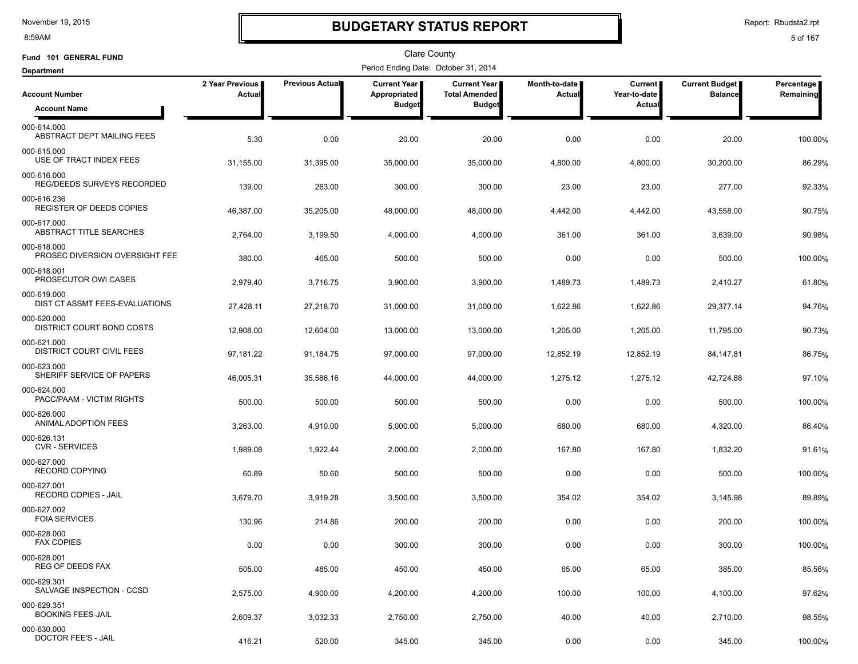8:59AM

### **BUDGETARY STATUS REPORT**

Report: Rbudsta2.rpt

| Fund 101 GENERAL FUND                            |                                  |                 | Clare County                         |                                             |                         |                                |                                  |                         |
|--------------------------------------------------|----------------------------------|-----------------|--------------------------------------|---------------------------------------------|-------------------------|--------------------------------|----------------------------------|-------------------------|
| <b>Department</b>                                |                                  |                 | Period Ending Date: October 31, 2014 |                                             |                         |                                |                                  |                         |
| <b>Account Number</b>                            | 2 Year Previous<br><b>Actual</b> | Previous Actual | Current Year<br>Appropriated         | <b>Current Year</b><br><b>Total Amended</b> | Month-to-date<br>Actual | <b>Current</b><br>Year-to-date | Current Budget<br><b>Balance</b> | Percentage<br>Remaining |
| <b>Account Name</b>                              |                                  |                 | <b>Budget</b>                        | <b>Budget</b>                               |                         | Actual                         |                                  |                         |
| 000-614.000<br>ABSTRACT DEPT MAILING FEES        | 5.30                             | 0.00            | 20.00                                | 20.00                                       | 0.00                    | 0.00                           | 20.00                            | 100.00%                 |
| 000-615.000<br>USE OF TRACT INDEX FEES           | 31,155.00                        | 31,395.00       | 35,000.00                            | 35,000.00                                   | 4,800.00                | 4,800.00                       | 30,200.00                        | 86.29%                  |
| 000-616.000<br><b>REG/DEEDS SURVEYS RECORDED</b> | 139.00                           | 263.00          | 300.00                               | 300.00                                      | 23.00                   | 23.00                          | 277.00                           | 92.33%                  |
| 000-616.236<br><b>REGISTER OF DEEDS COPIES</b>   | 46,387.00                        | 35,205.00       | 48,000.00                            | 48,000.00                                   | 4,442.00                | 4,442.00                       | 43,558.00                        | 90.75%                  |
| 000-617.000<br>ABSTRACT TITLE SEARCHES           | 2,764.00                         | 3,199.50        | 4,000.00                             | 4,000.00                                    | 361.00                  | 361.00                         | 3,639.00                         | 90.98%                  |
| 000-618.000<br>PROSEC DIVERSION OVERSIGHT FEE    | 380.00                           | 465.00          | 500.00                               | 500.00                                      | 0.00                    | 0.00                           | 500.00                           | 100.00%                 |
| 000-618.001<br>PROSECUTOR OWI CASES              | 2,979.40                         | 3,716.75        | 3,900.00                             | 3,900.00                                    | 1,489.73                | 1,489.73                       | 2,410.27                         | 61.80%                  |
| 000-619.000<br>DIST CT ASSMT FEES-EVALUATIONS    | 27,428.11                        | 27,218.70       | 31,000.00                            | 31,000.00                                   | 1,622.86                | 1,622.86                       | 29,377.14                        | 94.76%                  |
| 000-620.000<br>DISTRICT COURT BOND COSTS         | 12,908.00                        | 12,604.00       | 13,000.00                            | 13,000.00                                   | 1,205.00                | 1,205.00                       | 11,795.00                        | 90.73%                  |
| 000-621.000<br><b>DISTRICT COURT CIVIL FEES</b>  | 97,181.22                        | 91,184.75       | 97,000.00                            | 97,000.00                                   | 12,852.19               | 12,852.19                      | 84,147.81                        | 86.75%                  |
| 000-623.000<br>SHERIFF SERVICE OF PAPERS         | 46,005.31                        | 35,586.16       | 44,000.00                            | 44,000.00                                   | 1,275.12                | 1,275.12                       | 42,724.88                        | 97.10%                  |
| 000-624.000<br>PACC/PAAM - VICTIM RIGHTS         | 500.00                           | 500.00          | 500.00                               | 500.00                                      | 0.00                    | 0.00                           | 500.00                           | 100.00%                 |
| 000-626.000<br>ANIMAL ADOPTION FEES              | 3,263.00                         | 4,910.00        | 5,000.00                             | 5,000.00                                    | 680.00                  | 680.00                         | 4,320.00                         | 86.40%                  |
| 000-626.131<br><b>CVR - SERVICES</b>             | 1,989.08                         | 1,922.44        | 2,000.00                             | 2,000.00                                    | 167.80                  | 167.80                         | 1,832.20                         | 91.61%                  |
| 000-627.000<br>RECORD COPYING                    | 60.89                            | 50.60           | 500.00                               | 500.00                                      | 0.00                    | 0.00                           | 500.00                           | 100.00%                 |
| 000-627.001<br>RECORD COPIES - JAIL              | 3,679.70                         | 3,919.28        | 3,500.00                             | 3,500.00                                    | 354.02                  | 354.02                         | 3,145.98                         | 89.89%                  |
| 000-627.002<br><b>FOIA SERVICES</b>              | 130.96                           | 214.86          | 200.00                               | 200.00                                      | 0.00                    | 0.00                           | 200.00                           | 100.00%                 |
| 000-628.000<br><b>FAX COPIES</b>                 | 0.00                             | 0.00            | 300.00                               | 300.00                                      | 0.00                    | 0.00                           | 300.00                           | 100.00%                 |
| 000-628.001<br>REG OF DEEDS FAX                  | 505.00                           | 485.00          | 450.00                               | 450.00                                      | 65.00                   | 65.00                          | 385.00                           | 85.56%                  |
| 000-629.301<br>SALVAGE INSPECTION - CCSD         | 2,575.00                         | 4,900.00        | 4,200.00                             | 4,200.00                                    | 100.00                  | 100.00                         | 4,100.00                         | 97.62%                  |
| 000-629.351<br><b>BOOKING FEES-JAIL</b>          | 2,609.37                         | 3,032.33        | 2,750.00                             | 2,750.00                                    | 40.00                   | 40.00                          | 2,710.00                         | 98.55%                  |
| 000-630.000<br>DOCTOR FEE'S - JAIL               | 416.21                           | 520.00          | 345.00                               | 345.00                                      | 0.00                    | 0.00                           | 345.00                           | 100.00%                 |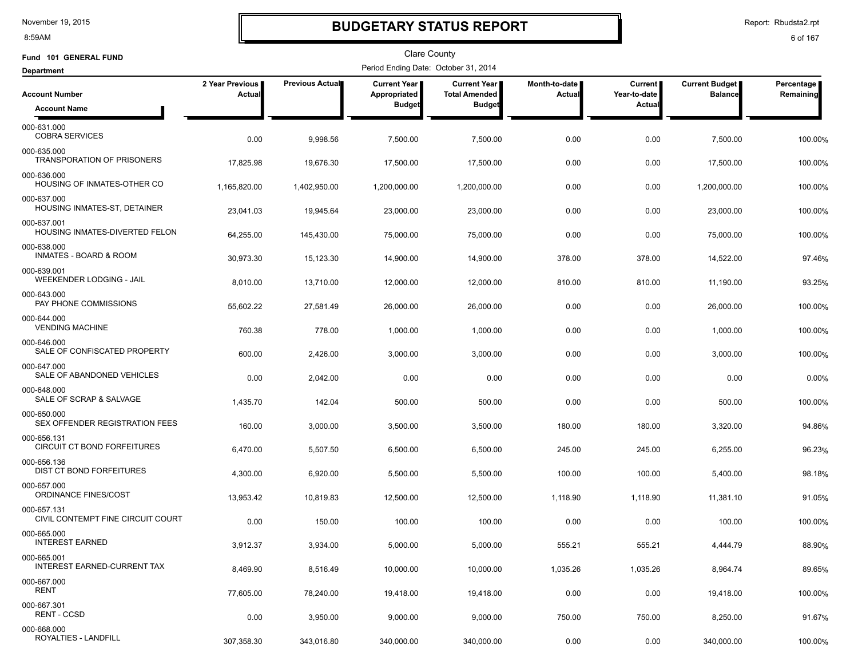8:59AM

### **BUDGETARY STATUS REPORT**

Report: Rbudsta2.rpt

| Fund 101 GENERAL FUND                            |                           |                 | <b>Clare County</b>                  |                                             |                                  |                           |                                  |                         |
|--------------------------------------------------|---------------------------|-----------------|--------------------------------------|---------------------------------------------|----------------------------------|---------------------------|----------------------------------|-------------------------|
| <b>Department</b>                                |                           |                 | Period Ending Date: October 31, 2014 |                                             |                                  |                           |                                  |                         |
| <b>Account Number</b>                            | 2 Year Previous<br>Actual | Previous Actual | <b>Current Year</b><br>Appropriated  | <b>Current Year</b><br><b>Total Amended</b> | Month-to-date  <br><b>Actual</b> | Current  <br>Year-to-date | Current Budget<br><b>Balance</b> | Percentage<br>Remaining |
| <b>Account Name</b>                              |                           |                 | <b>Budget</b>                        | <b>Budget</b>                               |                                  | Actual                    |                                  |                         |
| 000-631.000<br><b>COBRA SERVICES</b>             | 0.00                      | 9,998.56        | 7,500.00                             | 7,500.00                                    | 0.00                             | 0.00                      | 7,500.00                         | 100.00%                 |
| 000-635.000<br>TRANSPORATION OF PRISONERS        | 17,825.98                 | 19,676.30       | 17,500.00                            | 17,500.00                                   | 0.00                             | 0.00                      | 17,500.00                        | 100.00%                 |
| 000-636.000<br>HOUSING OF INMATES-OTHER CO       | 1,165,820.00              | 1,402,950.00    | 1,200,000.00                         | 1,200,000.00                                | 0.00                             | 0.00                      | 1,200,000.00                     | 100.00%                 |
| 000-637.000<br>HOUSING INMATES-ST, DETAINER      | 23,041.03                 | 19,945.64       | 23,000.00                            | 23,000.00                                   | 0.00                             | 0.00                      | 23,000.00                        | 100.00%                 |
| 000-637.001<br>HOUSING INMATES-DIVERTED FELON    | 64,255.00                 | 145,430.00      | 75,000.00                            | 75,000.00                                   | 0.00                             | 0.00                      | 75,000.00                        | 100.00%                 |
| 000-638.000<br><b>INMATES - BOARD &amp; ROOM</b> | 30,973.30                 | 15,123.30       | 14,900.00                            | 14,900.00                                   | 378.00                           | 378.00                    | 14,522.00                        | 97.46%                  |
| 000-639.001<br>WEEKENDER LODGING - JAIL          | 8,010.00                  | 13,710.00       | 12,000.00                            | 12,000.00                                   | 810.00                           | 810.00                    | 11,190.00                        | 93.25%                  |
| 000-643.000<br>PAY PHONE COMMISSIONS             | 55,602.22                 | 27,581.49       | 26,000.00                            | 26,000.00                                   | 0.00                             | 0.00                      | 26,000.00                        | 100.00%                 |
| 000-644.000<br><b>VENDING MACHINE</b>            | 760.38                    | 778.00          | 1,000.00                             | 1,000.00                                    | 0.00                             | 0.00                      | 1,000.00                         | 100.00%                 |
| 000-646.000<br>SALE OF CONFISCATED PROPERTY      | 600.00                    | 2,426.00        | 3,000.00                             | 3,000.00                                    | 0.00                             | 0.00                      | 3,000.00                         | 100.00%                 |
| 000-647.000<br>SALE OF ABANDONED VEHICLES        | 0.00                      | 2,042.00        | 0.00                                 | 0.00                                        | 0.00                             | 0.00                      | 0.00                             | 0.00%                   |
| 000-648.000<br>SALE OF SCRAP & SALVAGE           | 1,435.70                  | 142.04          | 500.00                               | 500.00                                      | 0.00                             | 0.00                      | 500.00                           | 100.00%                 |
| 000-650.000<br>SEX OFFENDER REGISTRATION FEES    | 160.00                    | 3,000.00        | 3,500.00                             | 3,500.00                                    | 180.00                           | 180.00                    | 3,320.00                         | 94.86%                  |
| 000-656.131<br>CIRCUIT CT BOND FORFEITURES       | 6,470.00                  | 5,507.50        | 6,500.00                             | 6,500.00                                    | 245.00                           | 245.00                    | 6,255.00                         | 96.23%                  |
| 000-656.136<br>DIST CT BOND FORFEITURES          | 4,300.00                  | 6,920.00        | 5,500.00                             | 5,500.00                                    | 100.00                           | 100.00                    | 5,400.00                         | 98.18%                  |
| 000-657.000<br><b>ORDINANCE FINES/COST</b>       | 13,953.42                 | 10,819.83       | 12,500.00                            | 12,500.00                                   | 1,118.90                         | 1,118.90                  | 11,381.10                        | 91.05%                  |
| 000-657.131<br>CIVIL CONTEMPT FINE CIRCUIT COURT | 0.00                      | 150.00          | 100.00                               | 100.00                                      | 0.00                             | 0.00                      | 100.00                           | 100.00%                 |
| 000-665.000<br><b>INTEREST EARNED</b>            | 3,912.37                  | 3,934.00        | 5,000.00                             | 5,000.00                                    | 555.21                           | 555.21                    | 4,444.79                         | 88.90%                  |
| 000-665.001<br>INTEREST EARNED-CURRENT TAX       | 8,469.90                  | 8,516.49        | 10,000.00                            | 10,000.00                                   | 1,035.26                         | 1,035.26                  | 8,964.74                         | 89.65%                  |
| 000-667.000<br>RENT                              | 77,605.00                 | 78,240.00       | 19,418.00                            | 19,418.00                                   | 0.00                             | 0.00                      | 19,418.00                        | 100.00%                 |
| 000-667.301<br>RENT - CCSD                       | 0.00                      | 3,950.00        | 9,000.00                             | 9,000.00                                    | 750.00                           | 750.00                    | 8,250.00                         | 91.67%                  |
| 000-668.000<br>ROYALTIES - LANDFILL              | 307,358.30                | 343,016.80      | 340,000.00                           | 340,000.00                                  | 0.00                             | 0.00                      | 340,000.00                       | 100.00%                 |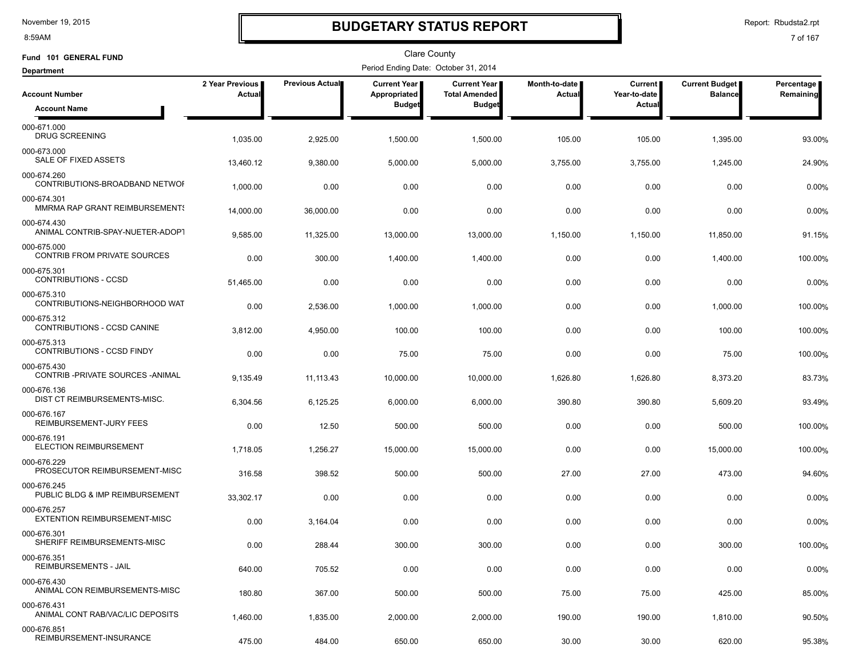8:59AM

# **BUDGETARY STATUS REPORT**

Report: Rbudsta2.rpt

| Fund 101 GENERAL FUND                              |                           |                 | Clare County                         |                                             |                         |                           |                                         |                         |
|----------------------------------------------------|---------------------------|-----------------|--------------------------------------|---------------------------------------------|-------------------------|---------------------------|-----------------------------------------|-------------------------|
| <b>Department</b>                                  |                           |                 | Period Ending Date: October 31, 2014 |                                             |                         |                           |                                         |                         |
| <b>Account Number</b>                              | 2 Year Previous<br>Actual | Previous Actual | Current Year<br>Appropriated         | <b>Current Year</b><br><b>Total Amended</b> | Month-to-date<br>Actual | Current  <br>Year-to-date | <b>Current Budget</b><br><b>Balance</b> | Percentage<br>Remaining |
| <b>Account Name</b>                                |                           |                 | <b>Budget</b>                        | <b>Budget</b>                               |                         | Actual                    |                                         |                         |
| 000-671.000<br><b>DRUG SCREENING</b>               | 1,035.00                  | 2,925.00        | 1,500.00                             | 1,500.00                                    | 105.00                  | 105.00                    | 1,395.00                                | 93.00%                  |
| 000-673.000<br>SALE OF FIXED ASSETS                | 13,460.12                 | 9,380.00        | 5,000.00                             | 5,000.00                                    | 3,755.00                | 3,755.00                  | 1,245.00                                | 24.90%                  |
| 000-674.260<br>CONTRIBUTIONS-BROADBAND NETWOF      | 1,000.00                  | 0.00            | 0.00                                 | 0.00                                        | 0.00                    | 0.00                      | 0.00                                    | 0.00%                   |
| 000-674.301<br>MMRMA RAP GRANT REIMBURSEMENTS      | 14,000.00                 | 36,000.00       | 0.00                                 | 0.00                                        | 0.00                    | 0.00                      | 0.00                                    | 0.00%                   |
| 000-674.430<br>ANIMAL CONTRIB-SPAY-NUETER-ADOPT    | 9,585.00                  | 11,325.00       | 13,000.00                            | 13,000.00                                   | 1,150.00                | 1,150.00                  | 11,850.00                               | 91.15%                  |
| 000-675.000<br>CONTRIB FROM PRIVATE SOURCES        | 0.00                      | 300.00          | 1,400.00                             | 1,400.00                                    | 0.00                    | 0.00                      | 1,400.00                                | 100.00%                 |
| 000-675.301<br>CONTRIBUTIONS - CCSD                | 51,465.00                 | 0.00            | 0.00                                 | 0.00                                        | 0.00                    | 0.00                      | 0.00                                    | 0.00%                   |
| 000-675.310<br>CONTRIBUTIONS-NEIGHBORHOOD WAT      | 0.00                      | 2,536.00        | 1,000.00                             | 1,000.00                                    | 0.00                    | 0.00                      | 1,000.00                                | 100.00%                 |
| 000-675.312<br>CONTRIBUTIONS - CCSD CANINE         | 3,812.00                  | 4,950.00        | 100.00                               | 100.00                                      | 0.00                    | 0.00                      | 100.00                                  | 100.00%                 |
| 000-675.313<br><b>CONTRIBUTIONS - CCSD FINDY</b>   | 0.00                      | 0.00            | 75.00                                | 75.00                                       | 0.00                    | 0.00                      | 75.00                                   | 100.00%                 |
| 000-675.430<br>CONTRIB-PRIVATE SOURCES-ANIMAL      | 9,135.49                  | 11,113.43       | 10,000.00                            | 10,000.00                                   | 1,626.80                | 1,626.80                  | 8,373.20                                | 83.73%                  |
| 000-676.136<br>DIST CT REIMBURSEMENTS-MISC.        | 6,304.56                  | 6,125.25        | 6,000.00                             | 6,000.00                                    | 390.80                  | 390.80                    | 5,609.20                                | 93.49%                  |
| 000-676.167<br>REIMBURSEMENT-JURY FEES             | 0.00                      | 12.50           | 500.00                               | 500.00                                      | 0.00                    | 0.00                      | 500.00                                  | 100.00%                 |
| 000-676.191<br>ELECTION REIMBURSEMENT              | 1,718.05                  | 1,256.27        | 15,000.00                            | 15,000.00                                   | 0.00                    | 0.00                      | 15,000.00                               | 100.00%                 |
| 000-676.229<br>PROSECUTOR REIMBURSEMENT-MISC       | 316.58                    | 398.52          | 500.00                               | 500.00                                      | 27.00                   | 27.00                     | 473.00                                  | 94.60%                  |
| 000-676.245<br>PUBLIC BLDG & IMP REIMBURSEMENT     | 33,302.17                 | 0.00            | 0.00                                 | 0.00                                        | 0.00                    | 0.00                      | 0.00                                    | 0.00%                   |
| 000-676.257<br><b>EXTENTION REIMBURSEMENT-MISC</b> | 0.00                      | 3,164.04        | 0.00                                 | 0.00                                        | 0.00                    | 0.00                      | 0.00                                    | 0.00%                   |
| 000-676.301<br>SHERIFF REIMBURSEMENTS-MISC         | 0.00                      | 288.44          | 300.00                               | 300.00                                      | 0.00                    | 0.00                      | 300.00                                  | 100.00%                 |
| 000-676.351<br><b>REIMBURSEMENTS - JAIL</b>        | 640.00                    | 705.52          | 0.00                                 | 0.00                                        | 0.00                    | 0.00                      | 0.00                                    | 0.00%                   |
| 000-676.430<br>ANIMAL CON REIMBURSEMENTS-MISC      | 180.80                    | 367.00          | 500.00                               | 500.00                                      | 75.00                   | 75.00                     | 425.00                                  | 85.00%                  |
| 000-676.431<br>ANIMAL CONT RAB/VAC/LIC DEPOSITS    | 1,460.00                  | 1,835.00        | 2,000.00                             | 2,000.00                                    | 190.00                  | 190.00                    | 1,810.00                                | 90.50%                  |
| 000-676.851<br>REIMBURSEMENT-INSURANCE             | 475.00                    | 484.00          | 650.00                               | 650.00                                      | 30.00                   | 30.00                     | 620.00                                  | 95.38%                  |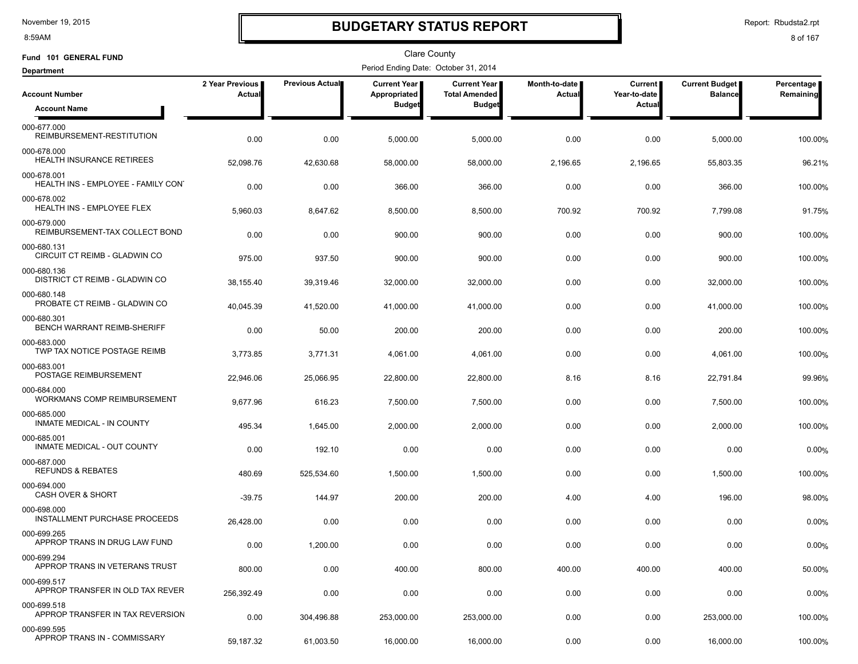8:59AM

### **BUDGETARY STATUS REPORT**

Report: Rbudsta2.rpt

| Fund 101 GENERAL FUND                                |                           |                 | Clare County                         |                                             |                         |                           |                                         |                         |
|------------------------------------------------------|---------------------------|-----------------|--------------------------------------|---------------------------------------------|-------------------------|---------------------------|-----------------------------------------|-------------------------|
| <b>Department</b>                                    |                           |                 | Period Ending Date: October 31, 2014 |                                             |                         |                           |                                         |                         |
| <b>Account Number</b>                                | 2 Year Previous<br>Actual | Previous Actual | Current Year<br>Appropriated         | <b>Current Year</b><br><b>Total Amended</b> | Month-to-date<br>Actual | Current  <br>Year-to-date | <b>Current Budget</b><br><b>Balance</b> | Percentage<br>Remaining |
| <b>Account Name</b>                                  |                           |                 | <b>Budget</b>                        | <b>Budget</b>                               |                         | Actual                    |                                         |                         |
| 000-677.000<br>REIMBURSEMENT-RESTITUTION             | 0.00                      | 0.00            | 5,000.00                             | 5,000.00                                    | 0.00                    | 0.00                      | 5,000.00                                | 100.00%                 |
| 000-678.000<br>HEALTH INSURANCE RETIREES             | 52,098.76                 | 42,630.68       | 58,000.00                            | 58,000.00                                   | 2,196.65                | 2,196.65                  | 55,803.35                               | 96.21%                  |
| 000-678.001<br>HEALTH INS - EMPLOYEE - FAMILY CON'   | 0.00                      | 0.00            | 366.00                               | 366.00                                      | 0.00                    | 0.00                      | 366.00                                  | 100.00%                 |
| 000-678.002<br><b>HEALTH INS - EMPLOYEE FLEX</b>     | 5,960.03                  | 8,647.62        | 8,500.00                             | 8,500.00                                    | 700.92                  | 700.92                    | 7,799.08                                | 91.75%                  |
| 000-679.000<br>REIMBURSEMENT-TAX COLLECT BOND        | 0.00                      | 0.00            | 900.00                               | 900.00                                      | 0.00                    | 0.00                      | 900.00                                  | 100.00%                 |
| 000-680.131<br>CIRCUIT CT REIMB - GLADWIN CO         | 975.00                    | 937.50          | 900.00                               | 900.00                                      | 0.00                    | 0.00                      | 900.00                                  | 100.00%                 |
| 000-680.136<br><b>DISTRICT CT REIMB - GLADWIN CO</b> | 38,155.40                 | 39,319.46       | 32,000.00                            | 32,000.00                                   | 0.00                    | 0.00                      | 32,000.00                               | 100.00%                 |
| 000-680.148<br>PROBATE CT REIMB - GLADWIN CO         | 40,045.39                 | 41,520.00       | 41,000.00                            | 41,000.00                                   | 0.00                    | 0.00                      | 41,000.00                               | 100.00%                 |
| 000-680.301<br>BENCH WARRANT REIMB-SHERIFF           | 0.00                      | 50.00           | 200.00                               | 200.00                                      | 0.00                    | 0.00                      | 200.00                                  | 100.00%                 |
| 000-683.000<br>TWP TAX NOTICE POSTAGE REIMB          | 3,773.85                  | 3,771.31        | 4,061.00                             | 4,061.00                                    | 0.00                    | 0.00                      | 4,061.00                                | 100.00%                 |
| 000-683.001<br>POSTAGE REIMBURSEMENT                 | 22,946.06                 | 25,066.95       | 22,800.00                            | 22,800.00                                   | 8.16                    | 8.16                      | 22,791.84                               | 99.96%                  |
| 000-684.000<br>WORKMANS COMP REIMBURSEMENT           | 9,677.96                  | 616.23          | 7,500.00                             | 7,500.00                                    | 0.00                    | 0.00                      | 7,500.00                                | 100.00%                 |
| 000-685.000<br>INMATE MEDICAL - IN COUNTY            | 495.34                    | 1,645.00        | 2,000.00                             | 2,000.00                                    | 0.00                    | 0.00                      | 2,000.00                                | 100.00%                 |
| 000-685.001<br>INMATE MEDICAL - OUT COUNTY           | 0.00                      | 192.10          | 0.00                                 | 0.00                                        | 0.00                    | 0.00                      | 0.00                                    | 0.00%                   |
| 000-687.000<br><b>REFUNDS &amp; REBATES</b>          | 480.69                    | 525,534.60      | 1,500.00                             | 1,500.00                                    | 0.00                    | 0.00                      | 1,500.00                                | 100.00%                 |
| 000-694.000<br><b>CASH OVER &amp; SHORT</b>          | $-39.75$                  | 144.97          | 200.00                               | 200.00                                      | 4.00                    | 4.00                      | 196.00                                  | 98.00%                  |
| 000-698.000<br>INSTALLMENT PURCHASE PROCEEDS         | 26,428.00                 | 0.00            | 0.00                                 | 0.00                                        | 0.00                    | 0.00                      | 0.00                                    | 0.00%                   |
| 000-699.265<br>APPROP TRANS IN DRUG LAW FUND         | 0.00                      | 1,200.00        | 0.00                                 | 0.00                                        | 0.00                    | 0.00                      | 0.00                                    | 0.00%                   |
| 000-699.294<br>APPROP TRANS IN VETERANS TRUST        | 800.00                    | 0.00            | 400.00                               | 800.00                                      | 400.00                  | 400.00                    | 400.00                                  | 50.00%                  |
| 000-699.517<br>APPROP TRANSFER IN OLD TAX REVER      | 256,392.49                | 0.00            | 0.00                                 | 0.00                                        | 0.00                    | 0.00                      | 0.00                                    | 0.00%                   |
| 000-699.518<br>APPROP TRANSFER IN TAX REVERSION      | 0.00                      | 304,496.88      | 253,000.00                           | 253,000.00                                  | 0.00                    | 0.00                      | 253,000.00                              | 100.00%                 |
| 000-699.595<br>APPROP TRANS IN - COMMISSARY          | 59,187.32                 | 61,003.50       | 16,000.00                            | 16,000.00                                   | 0.00                    | 0.00                      | 16,000.00                               | 100.00%                 |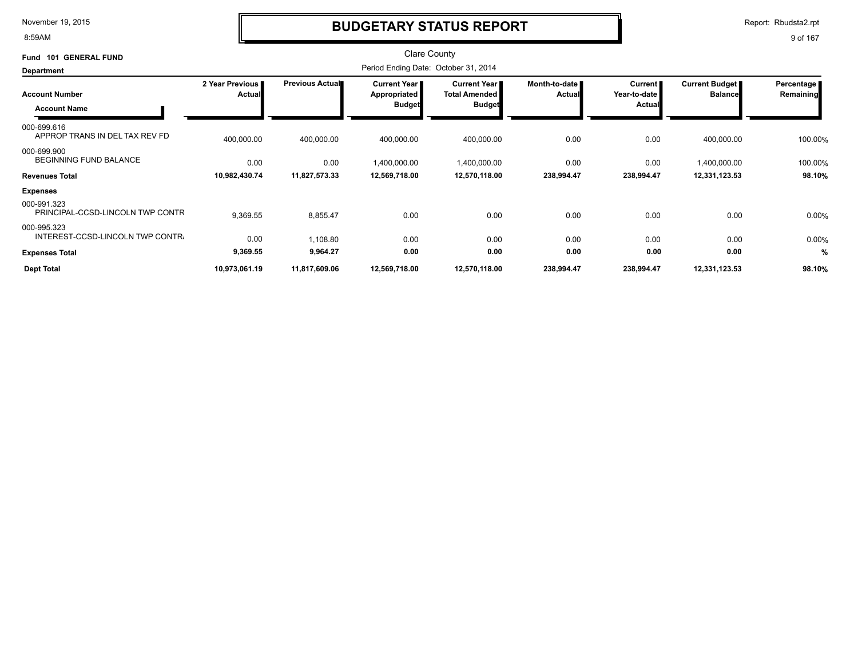8:59AM

### **BUDGETARY STATUS REPORT**

Report: Rbudsta2.rpt

| <b>GENERAL FUND</b><br><b>Fund 101</b>                                |                                  |                        | <b>Clare County</b>                           |                                                              |                         |                                   |                                  |                         |
|-----------------------------------------------------------------------|----------------------------------|------------------------|-----------------------------------------------|--------------------------------------------------------------|-------------------------|-----------------------------------|----------------------------------|-------------------------|
| <b>Department</b>                                                     |                                  |                        | Period Ending Date: October 31, 2014          |                                                              |                         |                                   |                                  |                         |
| <b>Account Number</b>                                                 | 2 Year Previous<br><b>Actual</b> | <b>Previous Actual</b> | Current Year<br>Appropriated<br><b>Budget</b> | <b>Current Year</b><br><b>Total Amended</b><br><b>Budget</b> | Month-to-date<br>Actual | Current<br>Year-to-date<br>Actual | Current Budget<br><b>Balance</b> | Percentage<br>Remaining |
| <b>Account Name</b><br>000-699.616<br>APPROP TRANS IN DEL TAX REV FD  | 400,000.00                       | 400,000.00             | 400,000.00                                    | 400,000.00                                                   | 0.00                    | 0.00                              | 400,000.00                       | 100.00%                 |
| 000-699.900<br><b>BEGINNING FUND BALANCE</b><br><b>Revenues Total</b> | 0.00<br>10,982,430.74            | 0.00<br>11,827,573.33  | 1,400,000.00<br>12,569,718.00                 | 1,400,000.00<br>12,570,118.00                                | 0.00<br>238,994.47      | 0.00<br>238,994.47                | 1,400,000.00<br>12,331,123.53    | 100.00%<br>98.10%       |
| <b>Expenses</b>                                                       |                                  |                        |                                               |                                                              |                         |                                   |                                  |                         |
| 000-991.323<br>PRINCIPAL-CCSD-LINCOLN TWP CONTR                       | 9,369.55                         | 8,855.47               | 0.00                                          | 0.00                                                         | 0.00                    | 0.00                              | 0.00                             | 0.00%                   |
| 000-995.323<br>INTEREST-CCSD-LINCOLN TWP CONTR.                       | 0.00                             | 1,108.80               | 0.00                                          | 0.00                                                         | 0.00                    | 0.00                              | 0.00                             | 0.00%                   |
| <b>Expenses Total</b>                                                 | 9,369.55                         | 9,964.27               | 0.00                                          | 0.00                                                         | 0.00                    | 0.00                              | 0.00                             | %                       |
| <b>Dept Total</b>                                                     | 10,973,061.19                    | 11,817,609.06          | 12,569,718.00                                 | 12,570,118.00                                                | 238,994.47              | 238,994.47                        | 12,331,123.53                    | 98.10%                  |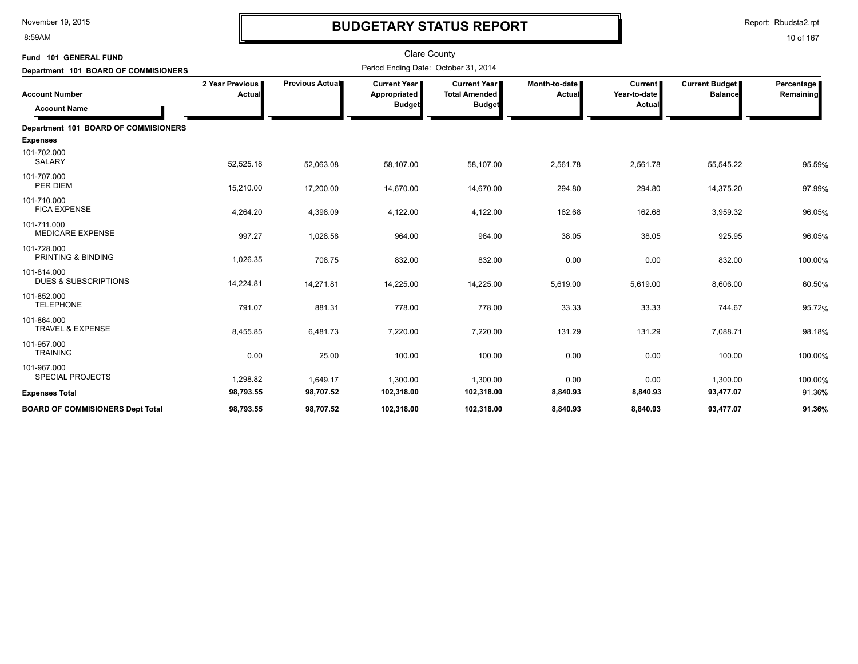8:59AM

# **BUDGETARY STATUS REPORT**

Report: Rbudsta2.rpt

| Fund 101 GENERAL FUND                          |                           |                 | <b>Clare County</b><br>Period Ending Date: October 31, 2014 |                                      |                                  |                                |                                         |                         |
|------------------------------------------------|---------------------------|-----------------|-------------------------------------------------------------|--------------------------------------|----------------------------------|--------------------------------|-----------------------------------------|-------------------------|
| Department 101 BOARD OF COMMISIONERS           |                           |                 |                                                             |                                      |                                  |                                |                                         |                         |
| <b>Account Number</b>                          | 2 Year Previous<br>Actual | Previous Actual | <b>Current Year I</b><br>Appropriated                       | Current Year<br><b>Total Amended</b> | Month-to-date I<br><b>Actual</b> | <b>Current</b><br>Year-to-date | <b>Current Budget</b><br><b>Balance</b> | Percentage<br>Remaining |
| <b>Account Name</b>                            |                           |                 | <b>Budget</b>                                               | <b>Budget</b>                        |                                  | Actual                         |                                         |                         |
| Department 101 BOARD OF COMMISIONERS           |                           |                 |                                                             |                                      |                                  |                                |                                         |                         |
| <b>Expenses</b>                                |                           |                 |                                                             |                                      |                                  |                                |                                         |                         |
| 101-702.000<br><b>SALARY</b>                   | 52,525.18                 | 52,063.08       | 58,107.00                                                   | 58,107.00                            | 2,561.78                         | 2,561.78                       | 55,545.22                               | 95.59%                  |
| 101-707.000<br>PER DIEM                        | 15,210.00                 | 17,200.00       | 14,670.00                                                   | 14,670.00                            | 294.80                           | 294.80                         | 14,375.20                               | 97.99%                  |
| 101-710.000<br><b>FICA EXPENSE</b>             | 4,264.20                  | 4,398.09        | 4,122.00                                                    | 4,122.00                             | 162.68                           | 162.68                         | 3,959.32                                | 96.05%                  |
| 101-711.000<br><b>MEDICARE EXPENSE</b>         | 997.27                    | 1,028.58        | 964.00                                                      | 964.00                               | 38.05                            | 38.05                          | 925.95                                  | 96.05%                  |
| 101-728.000<br>PRINTING & BINDING              | 1,026.35                  | 708.75          | 832.00                                                      | 832.00                               | 0.00                             | 0.00                           | 832.00                                  | 100.00%                 |
| 101-814.000<br><b>DUES &amp; SUBSCRIPTIONS</b> | 14,224.81                 | 14,271.81       | 14,225.00                                                   | 14,225.00                            | 5,619.00                         | 5,619.00                       | 8,606.00                                | 60.50%                  |
| 101-852.000<br><b>TELEPHONE</b>                | 791.07                    | 881.31          | 778.00                                                      | 778.00                               | 33.33                            | 33.33                          | 744.67                                  | 95.72%                  |
| 101-864.000<br>TRAVEL & EXPENSE                | 8,455.85                  | 6,481.73        | 7,220.00                                                    | 7,220.00                             | 131.29                           | 131.29                         | 7,088.71                                | 98.18%                  |
| 101-957.000<br><b>TRAINING</b>                 | 0.00                      | 25.00           | 100.00                                                      | 100.00                               | 0.00                             | 0.00                           | 100.00                                  | 100.00%                 |
| 101-967.000<br><b>SPECIAL PROJECTS</b>         | 1,298.82                  | 1,649.17        | 1,300.00                                                    | 1,300.00                             | 0.00                             | 0.00                           | 1,300.00                                | 100.00%                 |
| <b>Expenses Total</b>                          | 98,793.55                 | 98,707.52       | 102,318.00                                                  | 102,318.00                           | 8,840.93                         | 8,840.93                       | 93,477.07                               | 91.36%                  |
| <b>BOARD OF COMMISIONERS Dept Total</b>        | 98,793.55                 | 98,707.52       | 102,318.00                                                  | 102,318.00                           | 8,840.93                         | 8,840.93                       | 93,477.07                               | 91.36%                  |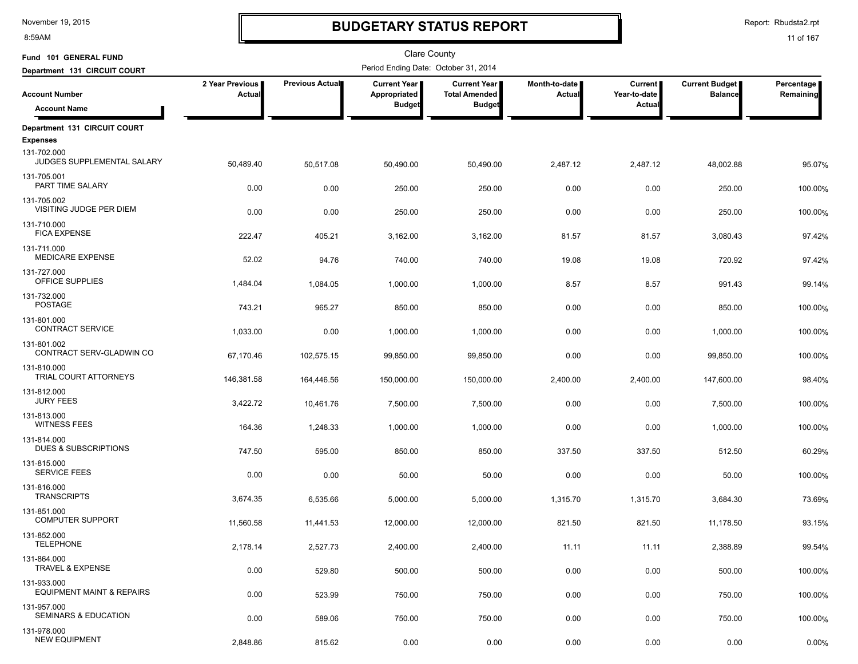8:59AM

# **BUDGETARY STATUS REPORT**

Report: Rbudsta2.rpt

| Fund 101 GENERAL FUND                               |                           |                 | Clare County                         |                                             |                         |                                |                                         |                         |
|-----------------------------------------------------|---------------------------|-----------------|--------------------------------------|---------------------------------------------|-------------------------|--------------------------------|-----------------------------------------|-------------------------|
| Department 131 CIRCUIT COURT                        |                           |                 | Period Ending Date: October 31, 2014 |                                             |                         |                                |                                         |                         |
| <b>Account Number</b>                               | 2 Year Previous<br>Actual | Previous Actual | Current Year<br>Appropriated         | <b>Current Year</b><br><b>Total Amended</b> | Month-to-date<br>Actual | <b>Current</b><br>Year-to-date | <b>Current Budget</b><br><b>Balance</b> | Percentage<br>Remaining |
| <b>Account Name</b>                                 |                           |                 | <b>Budget</b>                        | <b>Budget</b>                               |                         | Actual                         |                                         |                         |
| Department 131 CIRCUIT COURT                        |                           |                 |                                      |                                             |                         |                                |                                         |                         |
| <b>Expenses</b>                                     |                           |                 |                                      |                                             |                         |                                |                                         |                         |
| 131-702.000<br>JUDGES SUPPLEMENTAL SALARY           | 50,489.40                 | 50,517.08       | 50,490.00                            | 50,490.00                                   | 2,487.12                | 2,487.12                       | 48,002.88                               | 95.07%                  |
| 131-705.001<br>PART TIME SALARY                     | 0.00                      | 0.00            | 250.00                               | 250.00                                      | 0.00                    | 0.00                           | 250.00                                  | 100.00%                 |
| 131-705.002<br>VISITING JUDGE PER DIEM              | 0.00                      | 0.00            | 250.00                               | 250.00                                      | 0.00                    | 0.00                           | 250.00                                  | 100.00%                 |
| 131-710.000<br><b>FICA EXPENSE</b>                  | 222.47                    | 405.21          | 3,162.00                             | 3,162.00                                    | 81.57                   | 81.57                          | 3,080.43                                | 97.42%                  |
| 131-711.000<br><b>MEDICARE EXPENSE</b>              | 52.02                     | 94.76           | 740.00                               | 740.00                                      | 19.08                   | 19.08                          | 720.92                                  | 97.42%                  |
| 131-727.000<br>OFFICE SUPPLIES                      | 1,484.04                  | 1,084.05        | 1,000.00                             | 1,000.00                                    | 8.57                    | 8.57                           | 991.43                                  | 99.14%                  |
| 131-732.000<br><b>POSTAGE</b>                       | 743.21                    | 965.27          | 850.00                               | 850.00                                      | 0.00                    | 0.00                           | 850.00                                  | 100.00%                 |
| 131-801.000<br><b>CONTRACT SERVICE</b>              | 1,033.00                  | 0.00            | 1,000.00                             | 1,000.00                                    | 0.00                    | 0.00                           | 1,000.00                                | 100.00%                 |
| 131-801.002<br>CONTRACT SERV-GLADWIN CO             | 67,170.46                 | 102,575.15      | 99,850.00                            | 99,850.00                                   | 0.00                    | 0.00                           | 99,850.00                               | 100.00%                 |
| 131-810.000<br>TRIAL COURT ATTORNEYS                | 146,381.58                | 164,446.56      | 150,000.00                           | 150,000.00                                  | 2,400.00                | 2,400.00                       | 147,600.00                              | 98.40%                  |
| 131-812.000<br><b>JURY FEES</b>                     | 3,422.72                  | 10,461.76       | 7,500.00                             | 7,500.00                                    | 0.00                    | 0.00                           | 7,500.00                                | 100.00%                 |
| 131-813.000<br><b>WITNESS FEES</b>                  | 164.36                    | 1,248.33        | 1,000.00                             | 1,000.00                                    | 0.00                    | 0.00                           | 1,000.00                                | 100.00%                 |
| 131-814.000<br>DUES & SUBSCRIPTIONS                 | 747.50                    | 595.00          | 850.00                               | 850.00                                      | 337.50                  | 337.50                         | 512.50                                  | 60.29%                  |
| 131-815.000<br><b>SERVICE FEES</b>                  | 0.00                      | 0.00            | 50.00                                | 50.00                                       | 0.00                    | 0.00                           | 50.00                                   | 100.00%                 |
| 131-816.000<br><b>TRANSCRIPTS</b>                   | 3,674.35                  | 6,535.66        | 5,000.00                             | 5,000.00                                    | 1,315.70                | 1,315.70                       | 3,684.30                                | 73.69%                  |
| 131-851.000<br><b>COMPUTER SUPPORT</b>              | 11,560.58                 | 11,441.53       | 12,000.00                            | 12,000.00                                   | 821.50                  | 821.50                         | 11,178.50                               | 93.15%                  |
| 131-852.000<br><b>TELEPHONE</b>                     | 2,178.14                  | 2,527.73        | 2,400.00                             | 2,400.00                                    | 11.11                   | 11.11                          | 2,388.89                                | 99.54%                  |
| 131-864.000<br>TRAVEL & EXPENSE                     | 0.00                      | 529.80          | 500.00                               | 500.00                                      | 0.00                    | 0.00                           | 500.00                                  | 100.00%                 |
| 131-933.000<br><b>EQUIPMENT MAINT &amp; REPAIRS</b> | 0.00                      | 523.99          | 750.00                               | 750.00                                      | 0.00                    | 0.00                           | 750.00                                  | 100.00%                 |
| 131-957.000<br>SEMINARS & EDUCATION                 | 0.00                      | 589.06          | 750.00                               | 750.00                                      | 0.00                    | 0.00                           | 750.00                                  | 100.00%                 |
| 131-978.000<br><b>NEW EQUIPMENT</b>                 | 2,848.86                  | 815.62          | 0.00                                 | 0.00                                        | 0.00                    | 0.00                           | 0.00                                    | 0.00%                   |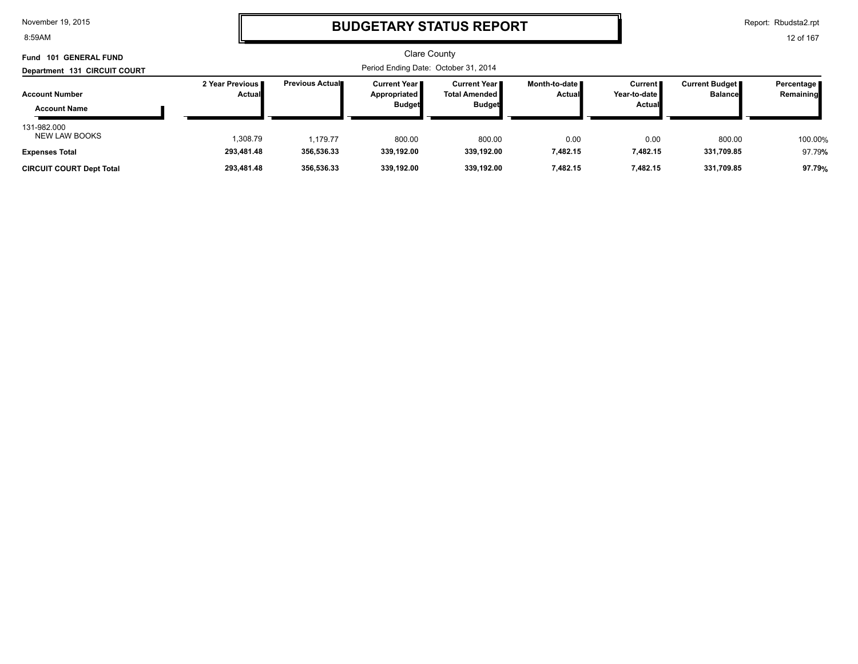8:59AM

### **BUDGETARY STATUS REPORT**

Report: Rbudsta2.rpt

| <b>GENERAL FUND</b><br>Fund<br>101           |                                  |                         | <b>Clare County</b>                                    |                                                     |                           |                                     |                                         |                           |
|----------------------------------------------|----------------------------------|-------------------------|--------------------------------------------------------|-----------------------------------------------------|---------------------------|-------------------------------------|-----------------------------------------|---------------------------|
| Department 131 CIRCUIT COURT                 |                                  |                         | Period Ending Date: October 31, 2014                   |                                                     |                           |                                     |                                         |                           |
| <b>Account Number</b><br><b>Account Name</b> | 2 Year Previous<br><b>Actual</b> | <b>Previous Actual■</b> | <b>Current Year I</b><br>Appropriated<br><b>Budget</b> | Current Year II<br>Total Amended  <br><b>Budget</b> | Month-to-date ∎<br>Actual | Current  <br>Year-to-date<br>Actual | <b>Current Budget</b><br><b>Balance</b> | Percentage  <br>Remaining |
| 131-982.000<br><b>NEW LAW BOOKS</b>          | 1,308.79                         | 1.179.77                | 800.00                                                 | 800.00                                              | 0.00                      | 0.00                                | 800.00                                  | 100.00%                   |
| <b>Expenses Total</b>                        | 293,481.48                       | 356,536.33              | 339.192.00                                             | 339.192.00                                          | 7,482.15                  | 7,482.15                            | 331,709.85                              | 97.79%                    |
| <b>CIRCUIT COURT Dept Total</b>              | 293,481.48                       | 356,536.33              | 339,192.00                                             | 339,192.00                                          | 7,482.15                  | 7,482.15                            | 331,709.85                              | 97.79%                    |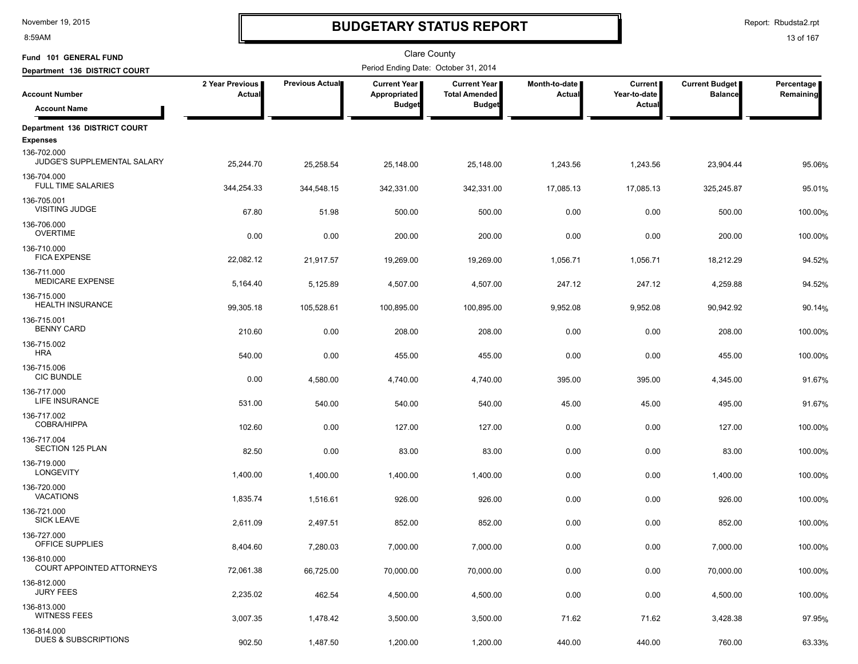8:59AM

# **BUDGETARY STATUS REPORT**

Report: Rbudsta2.rpt

| Fund 101 GENERAL FUND                                         |                           |                 | Clare County                         |                                             |                         |                                |                                         |                         |
|---------------------------------------------------------------|---------------------------|-----------------|--------------------------------------|---------------------------------------------|-------------------------|--------------------------------|-----------------------------------------|-------------------------|
| Department 136 DISTRICT COURT                                 |                           |                 | Period Ending Date: October 31, 2014 |                                             |                         |                                |                                         |                         |
| <b>Account Number</b>                                         | 2 Year Previous<br>Actual | Previous Actual | Current Year<br>Appropriated         | <b>Current Year</b><br><b>Total Amended</b> | Month-to-date<br>Actual | <b>Current</b><br>Year-to-date | <b>Current Budget</b><br><b>Balance</b> | Percentage<br>Remaining |
| <b>Account Name</b>                                           |                           |                 | <b>Budget</b>                        | <b>Budget</b>                               |                         | Actual                         |                                         |                         |
| Department 136 DISTRICT COURT                                 |                           |                 |                                      |                                             |                         |                                |                                         |                         |
| <b>Expenses</b><br>136-702.000<br>JUDGE'S SUPPLEMENTAL SALARY | 25,244.70                 | 25,258.54       | 25,148.00                            | 25,148.00                                   | 1,243.56                | 1,243.56                       | 23,904.44                               | 95.06%                  |
| 136-704.000<br><b>FULL TIME SALARIES</b>                      | 344,254.33                | 344,548.15      | 342,331.00                           | 342,331.00                                  | 17,085.13               | 17,085.13                      | 325,245.87                              | 95.01%                  |
| 136-705.001<br>VISITING JUDGE                                 | 67.80                     | 51.98           | 500.00                               | 500.00                                      | 0.00                    | 0.00                           | 500.00                                  | 100.00%                 |
| 136-706.000<br><b>OVERTIME</b>                                | 0.00                      | 0.00            | 200.00                               | 200.00                                      | 0.00                    | 0.00                           | 200.00                                  | 100.00%                 |
| 136-710.000<br><b>FICA EXPENSE</b>                            | 22,082.12                 | 21,917.57       | 19,269.00                            | 19,269.00                                   | 1,056.71                | 1,056.71                       | 18,212.29                               | 94.52%                  |
| 136-711.000<br><b>MEDICARE EXPENSE</b>                        | 5,164.40                  | 5,125.89        | 4,507.00                             | 4,507.00                                    | 247.12                  | 247.12                         | 4,259.88                                | 94.52%                  |
| 136-715.000<br>HEALTH INSURANCE                               | 99,305.18                 | 105,528.61      | 100,895.00                           | 100,895.00                                  | 9,952.08                | 9,952.08                       | 90,942.92                               | 90.14%                  |
| 136-715.001<br><b>BENNY CARD</b>                              | 210.60                    | 0.00            | 208.00                               | 208.00                                      | 0.00                    | 0.00                           | 208.00                                  | 100.00%                 |
| 136-715.002<br><b>HRA</b>                                     | 540.00                    | 0.00            | 455.00                               | 455.00                                      | 0.00                    | 0.00                           | 455.00                                  | 100.00%                 |
| 136-715.006<br><b>CIC BUNDLE</b>                              | 0.00                      | 4,580.00        | 4,740.00                             | 4,740.00                                    | 395.00                  | 395.00                         | 4,345.00                                | 91.67%                  |
| 136-717.000<br>LIFE INSURANCE                                 | 531.00                    | 540.00          | 540.00                               | 540.00                                      | 45.00                   | 45.00                          | 495.00                                  | 91.67%                  |
| 136-717.002<br><b>COBRA/HIPPA</b>                             | 102.60                    | 0.00            | 127.00                               | 127.00                                      | 0.00                    | 0.00                           | 127.00                                  | 100.00%                 |
| 136-717.004<br>SECTION 125 PLAN<br>136-719.000                | 82.50                     | 0.00            | 83.00                                | 83.00                                       | 0.00                    | 0.00                           | 83.00                                   | 100.00%                 |
| <b>LONGEVITY</b><br>136-720.000                               | 1,400.00                  | 1,400.00        | 1,400.00                             | 1,400.00                                    | 0.00                    | 0.00                           | 1,400.00                                | 100.00%                 |
| <b>VACATIONS</b><br>136-721.000                               | 1,835.74                  | 1,516.61        | 926.00                               | 926.00                                      | 0.00                    | 0.00                           | 926.00                                  | 100.00%                 |
| <b>SICK LEAVE</b><br>136-727.000                              | 2,611.09                  | 2,497.51        | 852.00                               | 852.00                                      | 0.00                    | 0.00                           | 852.00                                  | 100.00%                 |
| OFFICE SUPPLIES                                               | 8,404.60                  | 7,280.03        | 7,000.00                             | 7,000.00                                    | 0.00                    | 0.00                           | 7,000.00                                | 100.00%                 |
| 136-810.000<br>COURT APPOINTED ATTORNEYS                      | 72,061.38                 | 66,725.00       | 70,000.00                            | 70,000.00                                   | 0.00                    | 0.00                           | 70,000.00                               | 100.00%                 |
| 136-812.000<br><b>JURY FEES</b>                               | 2,235.02                  | 462.54          | 4,500.00                             | 4,500.00                                    | 0.00                    | 0.00                           | 4,500.00                                | 100.00%                 |
| 136-813.000<br><b>WITNESS FEES</b>                            | 3,007.35                  | 1,478.42        | 3,500.00                             | 3,500.00                                    | 71.62                   | 71.62                          | 3,428.38                                | 97.95%                  |
| 136-814.000<br><b>DUES &amp; SUBSCRIPTIONS</b>                | 902.50                    | 1,487.50        | 1,200.00                             | 1,200.00                                    | 440.00                  | 440.00                         | 760.00                                  | 63.33%                  |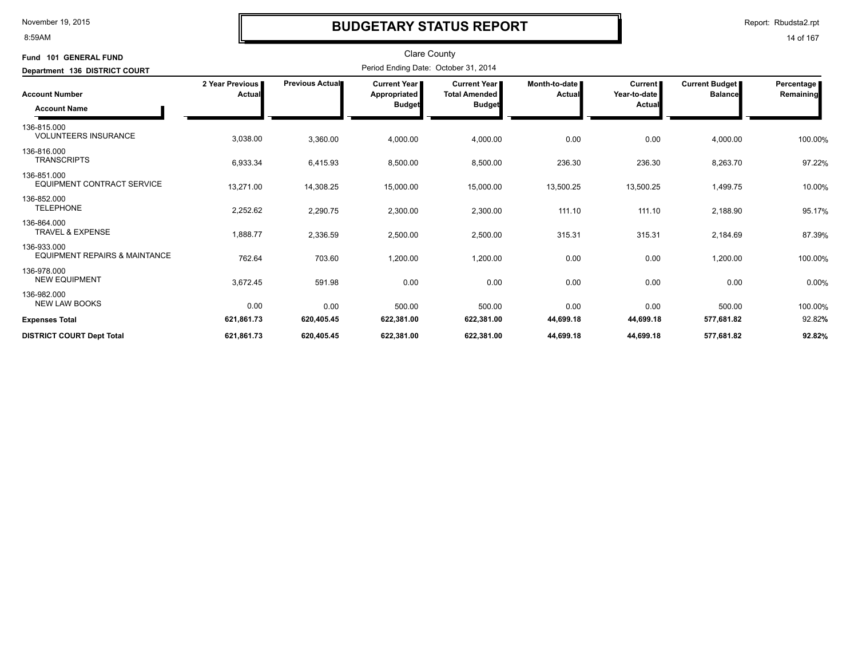#### 8:59AM

### **BUDGETARY STATUS REPORT**

Report: Rbudsta2.rpt

| Fund 101 GENERAL FUND                                   |                           |                        | <b>Clare County</b>                                  |                                                              |                           |                                                 |                                  |                           |
|---------------------------------------------------------|---------------------------|------------------------|------------------------------------------------------|--------------------------------------------------------------|---------------------------|-------------------------------------------------|----------------------------------|---------------------------|
| Department 136 DISTRICT COURT                           |                           |                        | Period Ending Date: October 31, 2014                 |                                                              |                           |                                                 |                                  |                           |
| <b>Account Number</b><br><b>Account Name</b>            | 2 Year Previous<br>Actual | <b>Previous Actual</b> | <b>Current Year</b><br>Appropriated<br><b>Budget</b> | <b>Current Year</b><br><b>Total Amended</b><br><b>Budget</b> | Month-to-date I<br>Actual | <b>Current</b><br>Year-to-date<br><b>Actual</b> | Current Budget<br><b>Balance</b> | Percentage  <br>Remaining |
| 136-815.000<br><b>VOLUNTEERS INSURANCE</b>              | 3,038.00                  | 3,360.00               | 4,000.00                                             | 4,000.00                                                     | 0.00                      | 0.00                                            | 4,000.00                         | 100.00%                   |
| 136-816.000<br><b>TRANSCRIPTS</b>                       | 6,933.34                  | 6,415.93               | 8,500.00                                             | 8,500.00                                                     | 236.30                    | 236.30                                          | 8,263.70                         | 97.22%                    |
| 136-851.000<br><b>EQUIPMENT CONTRACT SERVICE</b>        | 13,271.00                 | 14,308.25              | 15,000.00                                            | 15,000.00                                                    | 13,500.25                 | 13,500.25                                       | 1,499.75                         | 10.00%                    |
| 136-852.000<br><b>TELEPHONE</b>                         | 2,252.62                  | 2,290.75               | 2,300.00                                             | 2,300.00                                                     | 111.10                    | 111.10                                          | 2,188.90                         | 95.17%                    |
| 136-864.000<br><b>TRAVEL &amp; EXPENSE</b>              | 1,888.77                  | 2,336.59               | 2,500.00                                             | 2,500.00                                                     | 315.31                    | 315.31                                          | 2,184.69                         | 87.39%                    |
| 136-933.000<br><b>EQUIPMENT REPAIRS &amp; MAINTANCE</b> | 762.64                    | 703.60                 | 1,200.00                                             | 1,200.00                                                     | 0.00                      | 0.00                                            | 1,200.00                         | 100.00%                   |
| 136-978.000<br><b>NEW EQUIPMENT</b>                     | 3,672.45                  | 591.98                 | 0.00                                                 | 0.00                                                         | 0.00                      | 0.00                                            | 0.00                             | 0.00%                     |
| 136-982.000<br><b>NEW LAW BOOKS</b>                     | 0.00                      | 0.00                   | 500.00                                               | 500.00                                                       | 0.00                      | 0.00                                            | 500.00                           | 100.00%                   |
| <b>Expenses Total</b>                                   | 621,861.73                | 620,405.45             | 622,381.00                                           | 622,381.00                                                   | 44,699.18                 | 44,699.18                                       | 577,681.82                       | 92.82%                    |
| <b>DISTRICT COURT Dept Total</b>                        | 621,861.73                | 620,405.45             | 622,381.00                                           | 622,381.00                                                   | 44,699.18                 | 44,699.18                                       | 577,681.82                       | 92.82%                    |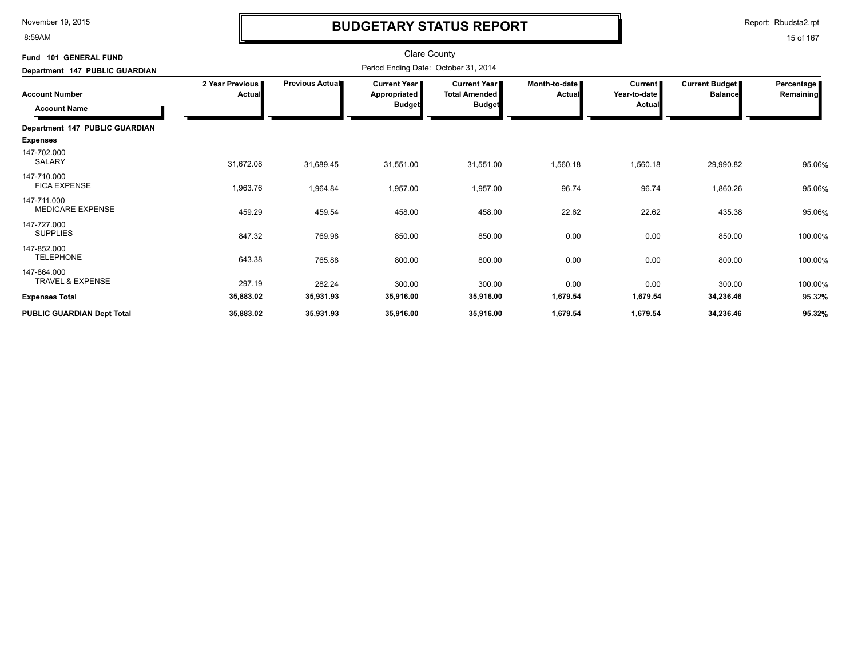8:59AM

# **BUDGETARY STATUS REPORT**

Report: Rbudsta2.rpt

| Fund 101 GENERAL FUND                        |                           |                 |                                                      | <b>Clare County</b>                                            |                         |                                          |                                  |                         |
|----------------------------------------------|---------------------------|-----------------|------------------------------------------------------|----------------------------------------------------------------|-------------------------|------------------------------------------|----------------------------------|-------------------------|
| Department 147 PUBLIC GUARDIAN               |                           |                 | Period Ending Date: October 31, 2014                 |                                                                |                         |                                          |                                  |                         |
| <b>Account Number</b><br><b>Account Name</b> | 2 Year Previous<br>Actual | Previous Actual | <b>Current Year</b><br>Appropriated<br><b>Budget</b> | <b>Current Year I</b><br><b>Total Amended</b><br><b>Budget</b> | Month-to-date<br>Actual | <b>Current</b><br>Year-to-date<br>Actual | Current Budget<br><b>Balance</b> | Percentage<br>Remaining |
| Department 147 PUBLIC GUARDIAN               |                           |                 |                                                      |                                                                |                         |                                          |                                  |                         |
| <b>Expenses</b>                              |                           |                 |                                                      |                                                                |                         |                                          |                                  |                         |
| 147-702.000<br>SALARY                        | 31,672.08                 | 31,689.45       | 31,551.00                                            | 31,551.00                                                      | 1,560.18                | 1,560.18                                 | 29,990.82                        | 95.06%                  |
| 147-710.000<br><b>FICA EXPENSE</b>           | 1,963.76                  | 1,964.84        | 1,957.00                                             | 1,957.00                                                       | 96.74                   | 96.74                                    | 1,860.26                         | 95.06%                  |
| 147-711.000<br><b>MEDICARE EXPENSE</b>       | 459.29                    | 459.54          | 458.00                                               | 458.00                                                         | 22.62                   | 22.62                                    | 435.38                           | 95.06%                  |
| 147-727.000<br><b>SUPPLIES</b>               | 847.32                    | 769.98          | 850.00                                               | 850.00                                                         | 0.00                    | 0.00                                     | 850.00                           | 100.00%                 |
| 147-852.000<br><b>TELEPHONE</b>              | 643.38                    | 765.88          | 800.00                                               | 800.00                                                         | 0.00                    | 0.00                                     | 800.00                           | 100.00%                 |
| 147-864.000<br><b>TRAVEL &amp; EXPENSE</b>   | 297.19                    | 282.24          | 300.00                                               | 300.00                                                         | 0.00                    | 0.00                                     | 300.00                           | 100.00%                 |
| <b>Expenses Total</b>                        | 35,883.02                 | 35,931.93       | 35,916.00                                            | 35,916.00                                                      | 1,679.54                | 1,679.54                                 | 34,236.46                        | 95.32%                  |
| PUBLIC GUARDIAN Dept Total                   | 35,883.02                 | 35,931.93       | 35,916.00                                            | 35,916.00                                                      | 1,679.54                | 1,679.54                                 | 34,236.46                        | 95.32%                  |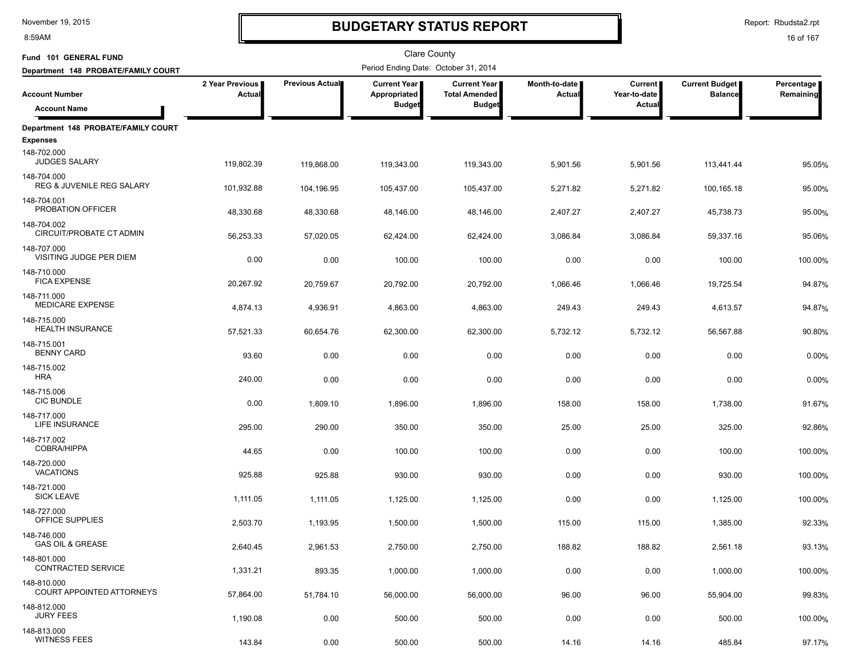8:59AM

# **BUDGETARY STATUS REPORT**

Report: Rbudsta2.rpt

| Fund 101 GENERAL FUND                               |                           |                 | Clare County                         |                                             |                           |                                |                                         |                         |
|-----------------------------------------------------|---------------------------|-----------------|--------------------------------------|---------------------------------------------|---------------------------|--------------------------------|-----------------------------------------|-------------------------|
| Department 148 PROBATE/FAMILY COURT                 |                           |                 | Period Ending Date: October 31, 2014 |                                             |                           |                                |                                         |                         |
| <b>Account Number</b>                               | 2 Year Previous<br>Actual | Previous Actual | Current Year<br>Appropriated         | <b>Current Year</b><br><b>Total Amended</b> | Month-to-date  <br>Actual | <b>Current</b><br>Year-to-date | <b>Current Budget</b><br><b>Balance</b> | Percentage<br>Remaining |
| <b>Account Name</b>                                 |                           |                 | <b>Budget</b>                        | <b>Budget</b>                               |                           | Actual                         |                                         |                         |
| Department 148 PROBATE/FAMILY COURT                 |                           |                 |                                      |                                             |                           |                                |                                         |                         |
| <b>Expenses</b>                                     |                           |                 |                                      |                                             |                           |                                |                                         |                         |
| 148-702.000<br><b>JUDGES SALARY</b>                 | 119,802.39                | 119,868.00      | 119,343.00                           | 119,343.00                                  | 5,901.56                  | 5,901.56                       | 113,441.44                              | 95.05%                  |
| 148-704.000<br><b>REG &amp; JUVENILE REG SALARY</b> | 101,932.88                | 104,196.95      | 105,437.00                           | 105,437.00                                  | 5,271.82                  | 5,271.82                       | 100,165.18                              | 95.00%                  |
| 148-704.001<br>PROBATION OFFICER                    | 48,330.68                 | 48,330.68       | 48,146.00                            | 48,146.00                                   | 2,407.27                  | 2,407.27                       | 45,738.73                               | 95.00%                  |
| 148-704.002<br>CIRCUIT/PROBATE CT ADMIN             | 56,253.33                 | 57,020.05       | 62,424.00                            | 62,424.00                                   | 3,086.84                  | 3,086.84                       | 59,337.16                               | 95.06%                  |
| 148-707.000<br>VISITING JUDGE PER DIEM              | 0.00                      | 0.00            | 100.00                               | 100.00                                      | 0.00                      | 0.00                           | 100.00                                  | 100.00%                 |
| 148-710.000<br><b>FICA EXPENSE</b>                  | 20,267.92                 | 20,759.67       | 20,792.00                            | 20,792.00                                   | 1,066.46                  | 1,066.46                       | 19,725.54                               | 94.87%                  |
| 148-711.000<br>MEDICARE EXPENSE                     | 4,874.13                  | 4,936.91        | 4,863.00                             | 4,863.00                                    | 249.43                    | 249.43                         | 4,613.57                                | 94.87%                  |
| 148-715.000<br><b>HEALTH INSURANCE</b>              | 57,521.33                 | 60,654.76       | 62,300.00                            | 62,300.00                                   | 5,732.12                  | 5,732.12                       | 56,567.88                               | 90.80%                  |
| 148-715.001<br><b>BENNY CARD</b>                    | 93.60                     | 0.00            | 0.00                                 | 0.00                                        | 0.00                      | 0.00                           | 0.00                                    | 0.00%                   |
| 148-715.002<br><b>HRA</b>                           | 240.00                    | 0.00            | 0.00                                 | 0.00                                        | 0.00                      | 0.00                           | 0.00                                    | 0.00%                   |
| 148-715.006<br><b>CIC BUNDLE</b>                    | 0.00                      | 1,809.10        | 1,896.00                             | 1,896.00                                    | 158.00                    | 158.00                         | 1,738.00                                | 91.67%                  |
| 148-717.000<br>LIFE INSURANCE                       | 295.00                    | 290.00          | 350.00                               | 350.00                                      | 25.00                     | 25.00                          | 325.00                                  | 92.86%                  |
| 148-717.002<br><b>COBRA/HIPPA</b>                   | 44.65                     | 0.00            | 100.00                               | 100.00                                      | 0.00                      | 0.00                           | 100.00                                  | 100.00%                 |
| 148-720.000<br><b>VACATIONS</b>                     | 925.88                    | 925.88          | 930.00                               | 930.00                                      | 0.00                      | 0.00                           | 930.00                                  | 100.00%                 |
| 148-721.000<br><b>SICK LEAVE</b>                    | 1,111.05                  | 1,111.05        | 1,125.00                             | 1,125.00                                    | 0.00                      | 0.00                           | 1,125.00                                | 100.00%                 |
| 148-727.000<br>OFFICE SUPPLIES                      | 2,503.70                  | 1,193.95        | 1,500.00                             | 1,500.00                                    | 115.00                    | 115.00                         | 1,385.00                                | 92.33%                  |
| 148-746.000<br><b>GAS OIL &amp; GREASE</b>          | 2,640.45                  | 2,961.53        | 2,750.00                             | 2,750.00                                    | 188.82                    | 188.82                         | 2,561.18                                | 93.13%                  |
| 148-801.000<br>CONTRACTED SERVICE                   | 1,331.21                  | 893.35          | 1,000.00                             | 1,000.00                                    | 0.00                      | 0.00                           | 1,000.00                                | 100.00%                 |
| 148-810.000<br>COURT APPOINTED ATTORNEYS            | 57,864.00                 | 51,784.10       | 56,000.00                            | 56,000.00                                   | 96.00                     | 96.00                          | 55,904.00                               | 99.83%                  |
| 148-812.000<br><b>JURY FEES</b>                     | 1,190.08                  | 0.00            | 500.00                               | 500.00                                      | 0.00                      | 0.00                           | 500.00                                  | 100.00%                 |
| 148-813.000<br><b>WITNESS FEES</b>                  | 143.84                    | 0.00            | 500.00                               | 500.00                                      | 14.16                     | 14.16                          | 485.84                                  | 97.17%                  |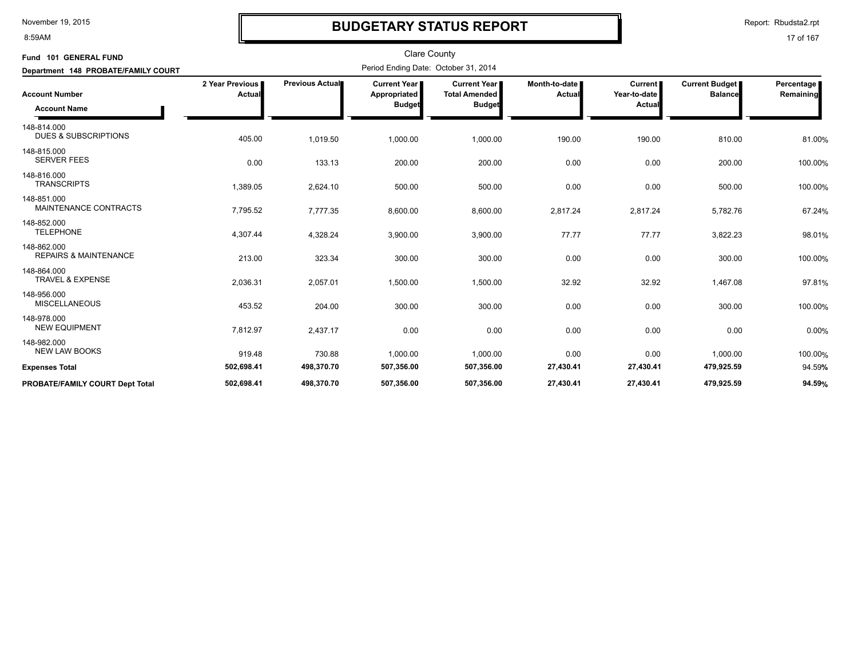#### 8:59AM

### **BUDGETARY STATUS REPORT**

Report: Rbudsta2.rpt

| Fund 101 GENERAL FUND<br>Department 148 PROBATE/FAMILY COURT |                           |                        | Clare County<br>Period Ending Date: October 31, 2014 |                                                              |                         |                                          |                                  |                           |
|--------------------------------------------------------------|---------------------------|------------------------|------------------------------------------------------|--------------------------------------------------------------|-------------------------|------------------------------------------|----------------------------------|---------------------------|
| <b>Account Number</b><br><b>Account Name</b>                 | 2 Year Previous<br>Actual | <b>Previous Actual</b> | Current Year<br>Appropriated<br><b>Budget</b>        | <b>Current Year</b><br><b>Total Amended</b><br><b>Budget</b> | Month-to-date<br>Actual | <b>Current</b><br>Year-to-date<br>Actual | Current Budget<br><b>Balance</b> | Percentage  <br>Remaining |
| 148-814.000<br><b>DUES &amp; SUBSCRIPTIONS</b>               | 405.00                    | 1,019.50               | 1,000.00                                             | 1,000.00                                                     | 190.00                  | 190.00                                   | 810.00                           | 81.00%                    |
| 148-815.000<br><b>SERVER FEES</b>                            | 0.00                      | 133.13                 | 200.00                                               | 200.00                                                       | 0.00                    | 0.00                                     | 200.00                           | 100.00%                   |
| 148-816.000<br><b>TRANSCRIPTS</b>                            | 1,389.05                  | 2,624.10               | 500.00                                               | 500.00                                                       | 0.00                    | 0.00                                     | 500.00                           | 100.00%                   |
| 148-851.000<br>MAINTENANCE CONTRACTS                         | 7,795.52                  | 7,777.35               | 8,600.00                                             | 8,600.00                                                     | 2,817.24                | 2,817.24                                 | 5,782.76                         | 67.24%                    |
| 148-852.000<br><b>TELEPHONE</b>                              | 4,307.44                  | 4,328.24               | 3,900.00                                             | 3,900.00                                                     | 77.77                   | 77.77                                    | 3,822.23                         | 98.01%                    |
| 148-862.000<br><b>REPAIRS &amp; MAINTENANCE</b>              | 213.00                    | 323.34                 | 300.00                                               | 300.00                                                       | 0.00                    | 0.00                                     | 300.00                           | 100.00%                   |
| 148-864.000<br><b>TRAVEL &amp; EXPENSE</b>                   | 2,036.31                  | 2,057.01               | 1,500.00                                             | 1,500.00                                                     | 32.92                   | 32.92                                    | 1,467.08                         | 97.81%                    |
| 148-956.000<br><b>MISCELLANEOUS</b>                          | 453.52                    | 204.00                 | 300.00                                               | 300.00                                                       | 0.00                    | 0.00                                     | 300.00                           | 100.00%                   |
| 148-978.000<br><b>NEW EQUIPMENT</b>                          | 7,812.97                  | 2,437.17               | 0.00                                                 | 0.00                                                         | 0.00                    | 0.00                                     | 0.00                             | 0.00%                     |
| 148-982.000<br><b>NEW LAW BOOKS</b>                          | 919.48                    | 730.88                 | 1,000.00                                             | 1,000.00                                                     | 0.00                    | 0.00                                     | 1,000.00                         | 100.00%                   |
| <b>Expenses Total</b>                                        | 502,698.41                | 498,370.70             | 507,356.00                                           | 507,356.00                                                   | 27,430.41               | 27,430.41                                | 479,925.59                       | 94.59%                    |
| <b>PROBATE/FAMILY COURT Dept Total</b>                       | 502,698.41                | 498,370.70             | 507,356.00                                           | 507,356.00                                                   | 27,430.41               | 27,430.41                                | 479,925.59                       | 94.59%                    |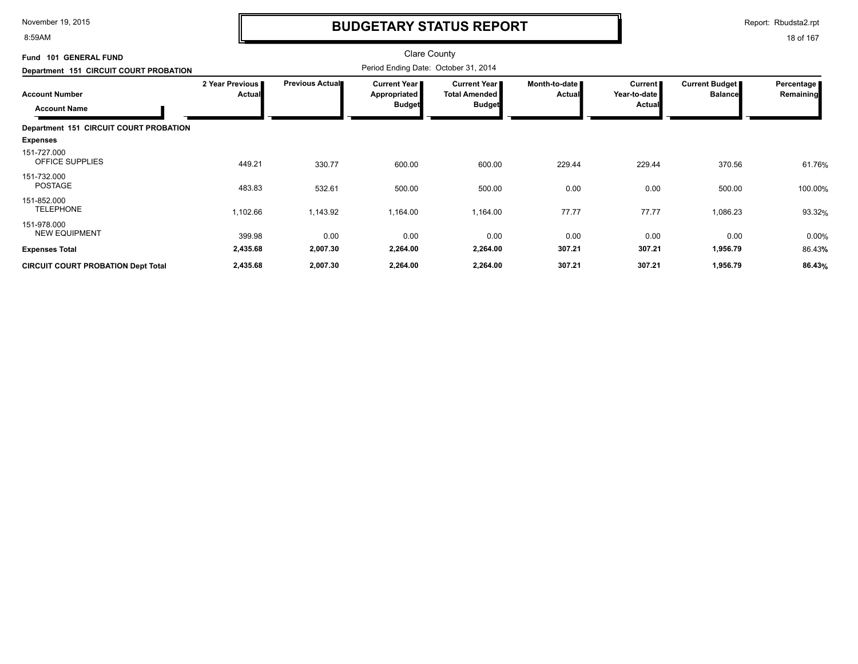8:59AM

# **BUDGETARY STATUS REPORT**

Report: Rbudsta2.rpt

| Fund 101 GENERAL FUND                     |                           |                        | <b>Clare County</b>                   |                                             |                                |                           |                                         |                         |
|-------------------------------------------|---------------------------|------------------------|---------------------------------------|---------------------------------------------|--------------------------------|---------------------------|-----------------------------------------|-------------------------|
| Department 151 CIRCUIT COURT PROBATION    |                           |                        | Period Ending Date: October 31, 2014  |                                             |                                |                           |                                         |                         |
| <b>Account Number</b>                     | 2 Year Previous<br>Actual | <b>Previous Actual</b> | Current Year  <br><b>Appropriated</b> | <b>Current Year</b><br><b>Total Amended</b> | Month-to-date<br><b>Actual</b> | Current  <br>Year-to-date | <b>Current Budget</b><br><b>Balance</b> | Percentage<br>Remaining |
| <b>Account Name</b>                       |                           |                        | <b>Budget</b>                         | <b>Budget</b>                               |                                | Actual                    |                                         |                         |
| Department 151 CIRCUIT COURT PROBATION    |                           |                        |                                       |                                             |                                |                           |                                         |                         |
| <b>Expenses</b>                           |                           |                        |                                       |                                             |                                |                           |                                         |                         |
| 151-727.000<br>OFFICE SUPPLIES            | 449.21                    | 330.77                 | 600.00                                | 600.00                                      | 229.44                         | 229.44                    | 370.56                                  | 61.76%                  |
| 151-732.000<br>POSTAGE                    | 483.83                    | 532.61                 | 500.00                                | 500.00                                      | 0.00                           | 0.00                      | 500.00                                  | 100.00%                 |
| 151-852.000<br><b>TELEPHONE</b>           | 1,102.66                  | 1,143.92               | 1,164.00                              | 1,164.00                                    | 77.77                          | 77.77                     | 1,086.23                                | 93.32%                  |
| 151-978.000<br><b>NEW EQUIPMENT</b>       | 399.98                    | 0.00                   | 0.00                                  | 0.00                                        | 0.00                           | 0.00                      | 0.00                                    | 0.00%                   |
| <b>Expenses Total</b>                     | 2,435.68                  | 2,007.30               | 2,264.00                              | 2,264.00                                    | 307.21                         | 307.21                    | 1,956.79                                | 86.43%                  |
| <b>CIRCUIT COURT PROBATION Dept Total</b> | 2,435.68                  | 2,007.30               | 2,264.00                              | 2,264.00                                    | 307.21                         | 307.21                    | 1,956.79                                | 86.43%                  |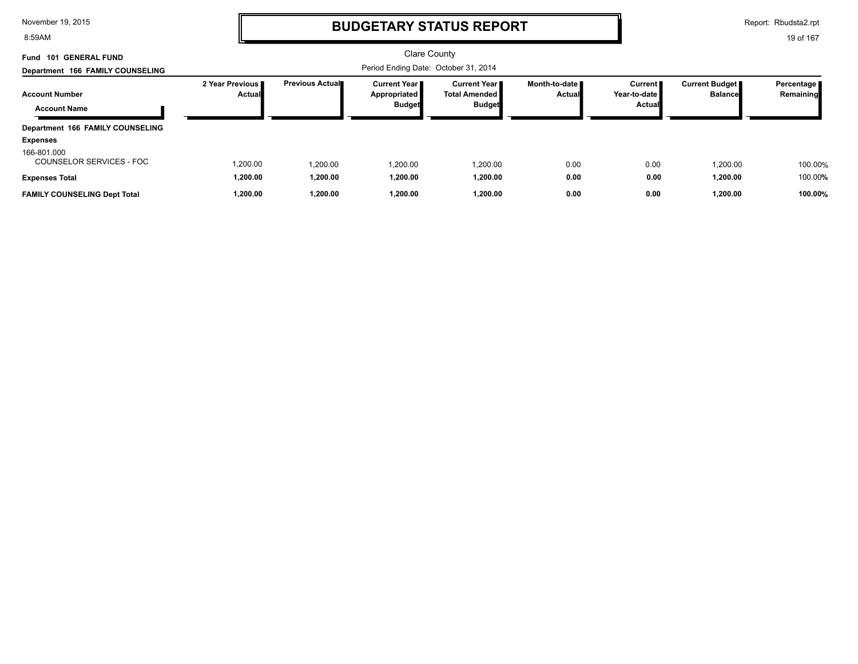8:59AM

### **BUDGETARY STATUS REPORT**

Report: Rbudsta2.rpt

| Fund 101 GENERAL FUND                   |                                  |                        | <b>Clare County</b>                                      |                                                         |                                |                                             |                                         |                           |
|-----------------------------------------|----------------------------------|------------------------|----------------------------------------------------------|---------------------------------------------------------|--------------------------------|---------------------------------------------|-----------------------------------------|---------------------------|
| Department 166 FAMILY COUNSELING        |                                  |                        |                                                          |                                                         |                                |                                             |                                         |                           |
| <b>Account Number</b>                   | 2 Year Previous<br><b>Actual</b> | <b>Previous Actual</b> | <b>Current Year I</b><br>Appropriated L<br><b>Budget</b> | Current Year I<br><b>Total Amended</b><br><b>Budget</b> | Month-to-date<br><b>Actual</b> | Current <b>II</b><br>Year-to-date<br>Actual | <b>Current Budget</b><br><b>Balance</b> | Percentage  <br>Remaining |
| <b>Account Name</b>                     |                                  |                        |                                                          |                                                         |                                |                                             |                                         |                           |
| Department 166 FAMILY COUNSELING        |                                  |                        |                                                          |                                                         |                                |                                             |                                         |                           |
| <b>Expenses</b>                         |                                  |                        |                                                          |                                                         |                                |                                             |                                         |                           |
| 166-801.000<br>COUNSELOR SERVICES - FOC | 1,200.00                         | 1.200.00               | .200.00                                                  | 1,200.00                                                | 0.00                           | 0.00                                        | 1,200.00                                | 100.00%                   |
| <b>Expenses Total</b>                   | 1,200.00                         | 1,200.00               | 1,200.00                                                 | 1,200.00                                                | 0.00                           | 0.00                                        | 1,200.00                                | 100.00%                   |
| <b>FAMILY COUNSELING Dept Total</b>     | 1.200.00                         | 1.200.00               | 1.200.00                                                 | 1.200.00                                                | 0.00                           | 0.00                                        | 1.200.00                                | 100.00%                   |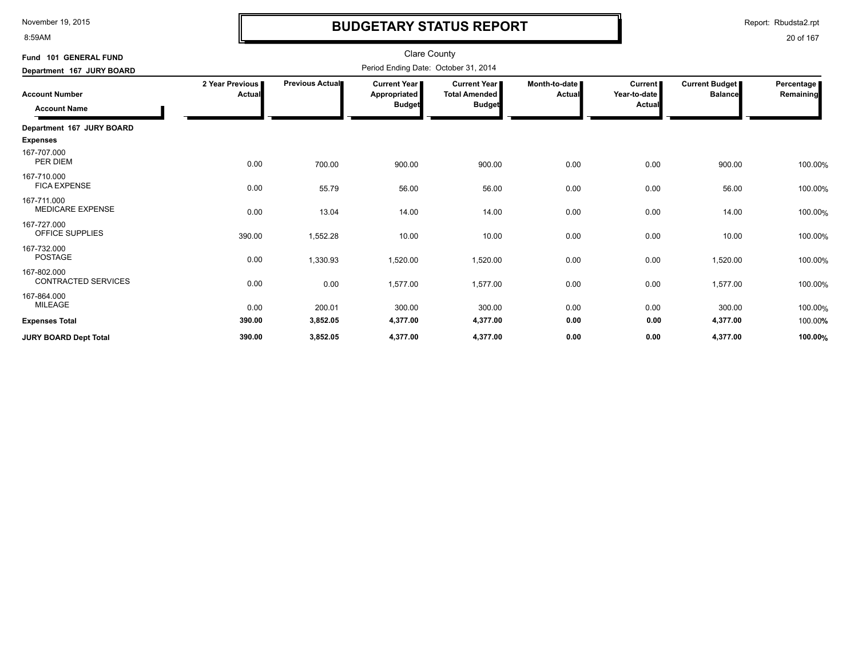8:59AM

# **BUDGETARY STATUS REPORT**

Report: Rbudsta2.rpt

| Fund 101 GENERAL FUND                        |                           |                 | <b>Clare County</b>                                  |                                                       |                                  |                                     |                                         |                         |
|----------------------------------------------|---------------------------|-----------------|------------------------------------------------------|-------------------------------------------------------|----------------------------------|-------------------------------------|-----------------------------------------|-------------------------|
| Department 167 JURY BOARD                    |                           |                 | Period Ending Date: October 31, 2014                 |                                                       |                                  |                                     |                                         |                         |
| <b>Account Number</b><br><b>Account Name</b> | 2 Year Previous<br>Actual | Previous Actual | <b>Current Year</b><br>Appropriated<br><b>Budget</b> | Current Year<br><b>Total Amended</b><br><b>Budget</b> | Month-to-date  <br><b>Actual</b> | Current  <br>Year-to-date<br>Actual | <b>Current Budget</b><br><b>Balance</b> | Percentage<br>Remaining |
| Department 167 JURY BOARD                    |                           |                 |                                                      |                                                       |                                  |                                     |                                         |                         |
| <b>Expenses</b>                              |                           |                 |                                                      |                                                       |                                  |                                     |                                         |                         |
| 167-707.000<br>PER DIEM                      | 0.00                      | 700.00          | 900.00                                               | 900.00                                                | 0.00                             | 0.00                                | 900.00                                  | 100.00%                 |
| 167-710.000<br><b>FICA EXPENSE</b>           | 0.00                      | 55.79           | 56.00                                                | 56.00                                                 | 0.00                             | 0.00                                | 56.00                                   | 100.00%                 |
| 167-711.000<br><b>MEDICARE EXPENSE</b>       | 0.00                      | 13.04           | 14.00                                                | 14.00                                                 | 0.00                             | 0.00                                | 14.00                                   | 100.00%                 |
| 167-727.000<br>OFFICE SUPPLIES               | 390.00                    | 1,552.28        | 10.00                                                | 10.00                                                 | 0.00                             | 0.00                                | 10.00                                   | 100.00%                 |
| 167-732.000<br><b>POSTAGE</b>                | 0.00                      | 1,330.93        | 1,520.00                                             | 1,520.00                                              | 0.00                             | 0.00                                | 1,520.00                                | 100.00%                 |
| 167-802.000<br><b>CONTRACTED SERVICES</b>    | 0.00                      | 0.00            | 1,577.00                                             | 1,577.00                                              | 0.00                             | 0.00                                | 1,577.00                                | 100.00%                 |
| 167-864.000<br>MILEAGE                       | 0.00                      | 200.01          | 300.00                                               | 300.00                                                | 0.00                             | 0.00                                | 300.00                                  | 100.00%                 |
| <b>Expenses Total</b>                        | 390.00                    | 3,852.05        | 4,377.00                                             | 4,377.00                                              | 0.00                             | 0.00                                | 4,377.00                                | 100.00%                 |
| <b>JURY BOARD Dept Total</b>                 | 390.00                    | 3,852.05        | 4,377.00                                             | 4,377.00                                              | 0.00                             | 0.00                                | 4,377.00                                | 100.00%                 |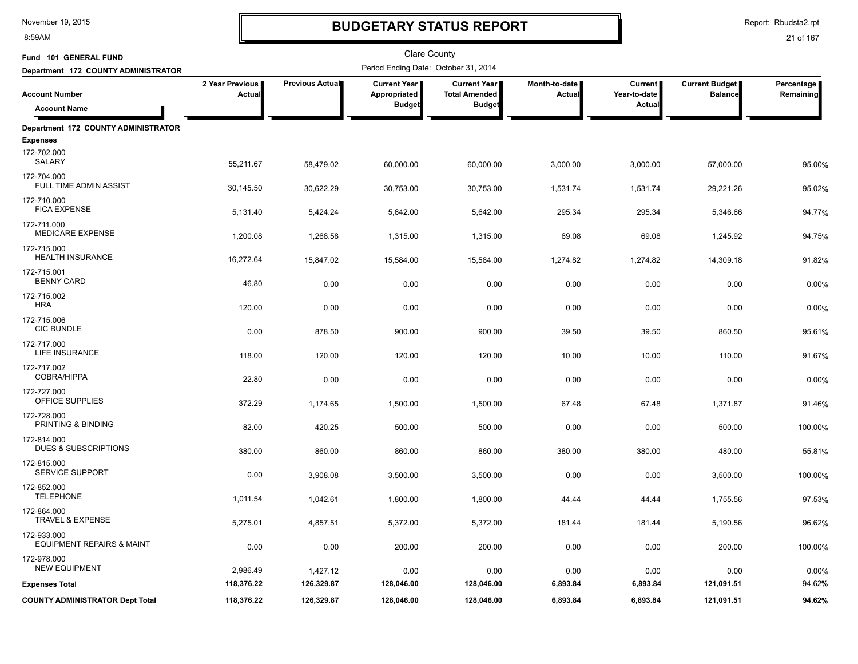8:59AM

# **BUDGETARY STATUS REPORT**

Report: Rbudsta2.rpt

| Fund 101 GENERAL FUND                               |                                  |                 | <b>Clare County</b>                           |                                                              |                         |                                          |                                         |                         |
|-----------------------------------------------------|----------------------------------|-----------------|-----------------------------------------------|--------------------------------------------------------------|-------------------------|------------------------------------------|-----------------------------------------|-------------------------|
| Department 172 COUNTY ADMINISTRATOR                 |                                  |                 | Period Ending Date: October 31, 2014          |                                                              |                         |                                          |                                         |                         |
| <b>Account Number</b>                               | 2 Year Previous<br><b>Actual</b> | Previous Actual | Current Year<br>Appropriated<br><b>Budget</b> | <b>Current Year</b><br><b>Total Amended</b><br><b>Budget</b> | Month-to-date<br>Actual | <b>Current</b><br>Year-to-date<br>Actual | <b>Current Budget</b><br><b>Balance</b> | Percentage<br>Remaining |
| <b>Account Name</b>                                 |                                  |                 |                                               |                                                              |                         |                                          |                                         |                         |
| Department 172 COUNTY ADMINISTRATOR                 |                                  |                 |                                               |                                                              |                         |                                          |                                         |                         |
| <b>Expenses</b>                                     |                                  |                 |                                               |                                                              |                         |                                          |                                         |                         |
| 172-702.000<br>SALARY                               | 55,211.67                        | 58,479.02       | 60,000.00                                     | 60,000.00                                                    | 3,000.00                | 3,000.00                                 | 57,000.00                               | 95.00%                  |
| 172-704.000<br><b>FULL TIME ADMIN ASSIST</b>        | 30,145.50                        | 30,622.29       | 30,753.00                                     | 30,753.00                                                    | 1,531.74                | 1,531.74                                 | 29,221.26                               | 95.02%                  |
| 172-710.000<br><b>FICA EXPENSE</b>                  | 5,131.40                         | 5,424.24        | 5,642.00                                      | 5,642.00                                                     | 295.34                  | 295.34                                   | 5,346.66                                | 94.77%                  |
| 172-711.000<br><b>MEDICARE EXPENSE</b>              | 1,200.08                         | 1,268.58        | 1,315.00                                      | 1,315.00                                                     | 69.08                   | 69.08                                    | 1,245.92                                | 94.75%                  |
| 172-715.000<br><b>HEALTH INSURANCE</b>              | 16,272.64                        | 15,847.02       | 15,584.00                                     | 15,584.00                                                    | 1,274.82                | 1,274.82                                 | 14,309.18                               | 91.82%                  |
| 172-715.001<br><b>BENNY CARD</b>                    | 46.80                            | 0.00            | 0.00                                          | 0.00                                                         | 0.00                    | 0.00                                     | 0.00                                    | 0.00%                   |
| 172-715.002<br><b>HRA</b>                           | 120.00                           | 0.00            | 0.00                                          | 0.00                                                         | 0.00                    | 0.00                                     | 0.00                                    | 0.00%                   |
| 172-715.006<br><b>CIC BUNDLE</b>                    | 0.00                             | 878.50          | 900.00                                        | 900.00                                                       | 39.50                   | 39.50                                    | 860.50                                  | 95.61%                  |
| 172-717.000<br>LIFE INSURANCE                       | 118.00                           | 120.00          | 120.00                                        | 120.00                                                       | 10.00                   | 10.00                                    | 110.00                                  | 91.67%                  |
| 172-717.002<br><b>COBRA/HIPPA</b>                   | 22.80                            | 0.00            | 0.00                                          | 0.00                                                         | 0.00                    | 0.00                                     | 0.00                                    | 0.00%                   |
| 172-727.000<br>OFFICE SUPPLIES                      | 372.29                           | 1,174.65        | 1,500.00                                      | 1,500.00                                                     | 67.48                   | 67.48                                    | 1,371.87                                | 91.46%                  |
| 172-728.000<br>PRINTING & BINDING                   | 82.00                            | 420.25          | 500.00                                        | 500.00                                                       | 0.00                    | 0.00                                     | 500.00                                  | 100.00%                 |
| 172-814.000<br><b>DUES &amp; SUBSCRIPTIONS</b>      | 380.00                           | 860.00          | 860.00                                        | 860.00                                                       | 380.00                  | 380.00                                   | 480.00                                  | 55.81%                  |
| 172-815.000<br><b>SERVICE SUPPORT</b>               | 0.00                             | 3,908.08        | 3,500.00                                      | 3,500.00                                                     | 0.00                    | 0.00                                     | 3,500.00                                | 100.00%                 |
| 172-852.000<br><b>TELEPHONE</b>                     | 1,011.54                         | 1,042.61        | 1,800.00                                      | 1,800.00                                                     | 44.44                   | 44.44                                    | 1,755.56                                | 97.53%                  |
| 172-864.000<br><b>TRAVEL &amp; EXPENSE</b>          | 5,275.01                         | 4,857.51        | 5,372.00                                      | 5,372.00                                                     | 181.44                  | 181.44                                   | 5,190.56                                | 96.62%                  |
| 172-933.000<br><b>EQUIPMENT REPAIRS &amp; MAINT</b> | 0.00                             | 0.00            | 200.00                                        | 200.00                                                       | 0.00                    | 0.00                                     | 200.00                                  | 100.00%                 |
| 172-978.000<br><b>NEW EQUIPMENT</b>                 | 2,986.49                         | 1,427.12        | 0.00                                          | 0.00                                                         | 0.00                    | 0.00                                     | 0.00                                    | 0.00%                   |
| <b>Expenses Total</b>                               | 118,376.22                       | 126,329.87      | 128,046.00                                    | 128,046.00                                                   | 6,893.84                | 6,893.84                                 | 121,091.51                              | 94.62%                  |
| <b>COUNTY ADMINISTRATOR Dept Total</b>              | 118,376.22                       | 126,329.87      | 128,046.00                                    | 128,046.00                                                   | 6,893.84                | 6,893.84                                 | 121,091.51                              | 94.62%                  |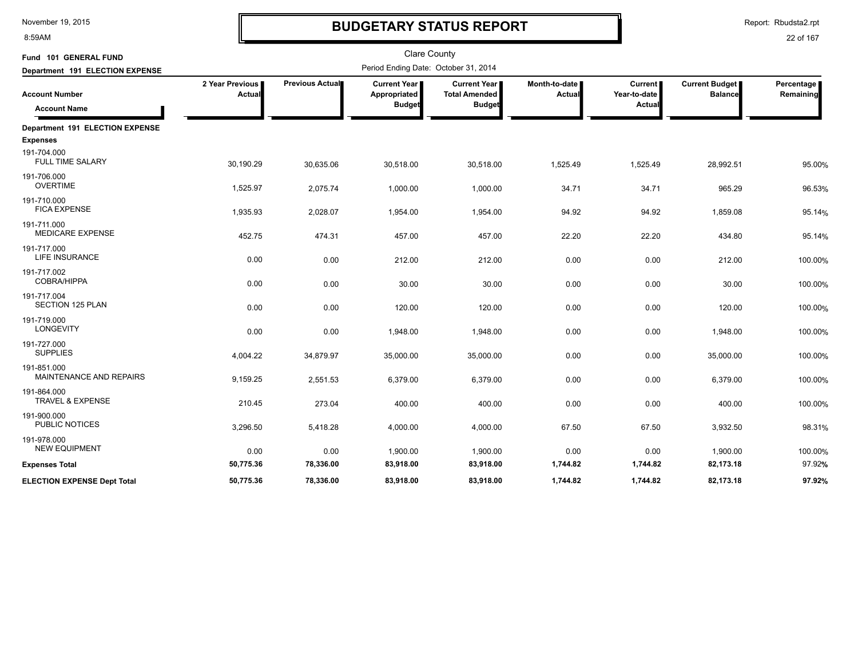8:59AM

# **BUDGETARY STATUS REPORT**

Report: Rbudsta2.rpt

| Fund 101 GENERAL FUND                        |                                  |                 | <b>Clare County</b>                                    |                                                              |                         |                                                 |                                         |                         |
|----------------------------------------------|----------------------------------|-----------------|--------------------------------------------------------|--------------------------------------------------------------|-------------------------|-------------------------------------------------|-----------------------------------------|-------------------------|
| Department 191 ELECTION EXPENSE              |                                  |                 | Period Ending Date: October 31, 2014                   |                                                              |                         |                                                 |                                         |                         |
| <b>Account Number</b><br><b>Account Name</b> | 2 Year Previous<br><b>Actual</b> | Previous Actual | <b>Current Year I</b><br>Appropriated<br><b>Budget</b> | <b>Current Year</b><br><b>Total Amended</b><br><b>Budget</b> | Month-to-date<br>Actual | <b>Current</b><br>Year-to-date<br><b>Actual</b> | <b>Current Budget</b><br><b>Balance</b> | Percentage<br>Remaining |
| Department 191 ELECTION EXPENSE              |                                  |                 |                                                        |                                                              |                         |                                                 |                                         |                         |
| <b>Expenses</b>                              |                                  |                 |                                                        |                                                              |                         |                                                 |                                         |                         |
| 191-704.000<br><b>FULL TIME SALARY</b>       | 30,190.29                        | 30,635.06       | 30,518.00                                              | 30,518.00                                                    | 1,525.49                | 1,525.49                                        | 28,992.51                               | 95.00%                  |
| 191-706.000<br><b>OVERTIME</b>               | 1,525.97                         | 2,075.74        | 1,000.00                                               | 1,000.00                                                     | 34.71                   | 34.71                                           | 965.29                                  | 96.53%                  |
| 191-710.000<br><b>FICA EXPENSE</b>           | 1,935.93                         | 2,028.07        | 1,954.00                                               | 1,954.00                                                     | 94.92                   | 94.92                                           | 1,859.08                                | 95.14%                  |
| 191-711.000<br><b>MEDICARE EXPENSE</b>       | 452.75                           | 474.31          | 457.00                                                 | 457.00                                                       | 22.20                   | 22.20                                           | 434.80                                  | 95.14%                  |
| 191-717.000<br>LIFE INSURANCE                | 0.00                             | 0.00            | 212.00                                                 | 212.00                                                       | 0.00                    | 0.00                                            | 212.00                                  | 100.00%                 |
| 191-717.002<br>COBRA/HIPPA                   | 0.00                             | 0.00            | 30.00                                                  | 30.00                                                        | 0.00                    | 0.00                                            | 30.00                                   | 100.00%                 |
| 191-717.004<br>SECTION 125 PLAN              | 0.00                             | 0.00            | 120.00                                                 | 120.00                                                       | 0.00                    | 0.00                                            | 120.00                                  | 100.00%                 |
| 191-719.000<br><b>LONGEVITY</b>              | 0.00                             | 0.00            | 1,948.00                                               | 1,948.00                                                     | 0.00                    | 0.00                                            | 1,948.00                                | 100.00%                 |
| 191-727.000<br><b>SUPPLIES</b>               | 4,004.22                         | 34,879.97       | 35,000.00                                              | 35,000.00                                                    | 0.00                    | 0.00                                            | 35,000.00                               | 100.00%                 |
| 191-851.000<br>MAINTENANCE AND REPAIRS       | 9,159.25                         | 2,551.53        | 6,379.00                                               | 6,379.00                                                     | 0.00                    | 0.00                                            | 6,379.00                                | 100.00%                 |
| 191-864.000<br><b>TRAVEL &amp; EXPENSE</b>   | 210.45                           | 273.04          | 400.00                                                 | 400.00                                                       | 0.00                    | 0.00                                            | 400.00                                  | 100.00%                 |
| 191-900.000<br><b>PUBLIC NOTICES</b>         | 3,296.50                         | 5,418.28        | 4,000.00                                               | 4,000.00                                                     | 67.50                   | 67.50                                           | 3,932.50                                | 98.31%                  |
| 191-978.000<br><b>NEW EQUIPMENT</b>          | 0.00                             | 0.00            | 1,900.00                                               | 1,900.00                                                     | 0.00                    | 0.00                                            | 1,900.00                                | 100.00%                 |
| <b>Expenses Total</b>                        | 50,775.36                        | 78,336.00       | 83,918.00                                              | 83,918.00                                                    | 1,744.82                | 1,744.82                                        | 82,173.18                               | 97.92%                  |
| <b>ELECTION EXPENSE Dept Total</b>           | 50,775.36                        | 78,336.00       | 83,918.00                                              | 83,918.00                                                    | 1.744.82                | 1,744.82                                        | 82,173.18                               | 97.92%                  |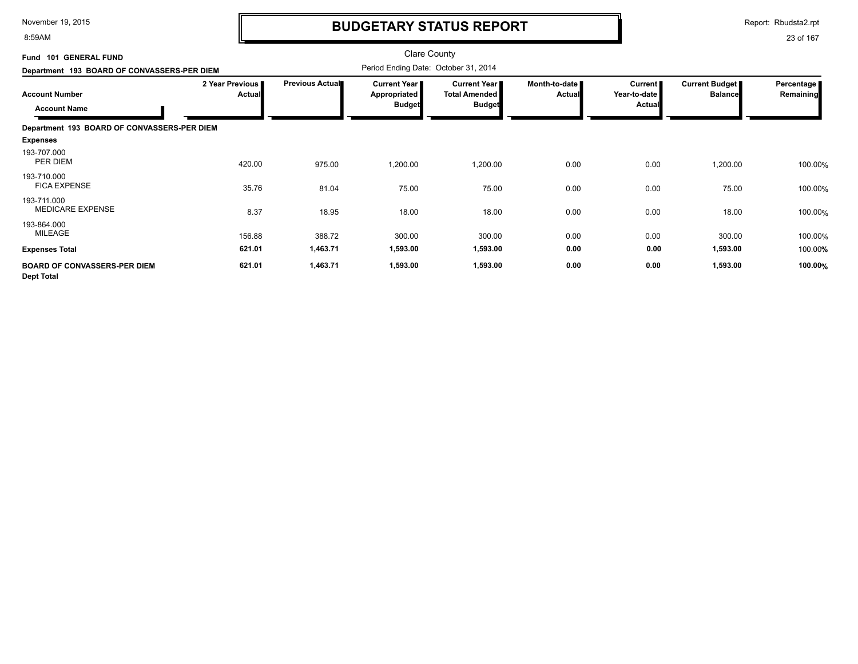8:59AM

# **BUDGETARY STATUS REPORT**

Report: Rbudsta2.rpt

| Fund 101 GENERAL FUND                                    |                           |                 | <b>Clare County</b>                                    |                                                                |                                |                                     |                                         |                         |
|----------------------------------------------------------|---------------------------|-----------------|--------------------------------------------------------|----------------------------------------------------------------|--------------------------------|-------------------------------------|-----------------------------------------|-------------------------|
| Department 193 BOARD OF CONVASSERS-PER DIEM              |                           |                 | Period Ending Date: October 31, 2014                   |                                                                |                                |                                     |                                         |                         |
| <b>Account Number</b><br><b>Account Name</b>             | 2 Year Previous<br>Actual | Previous Actual | Current Year  <br><b>Appropriated</b><br><b>Budget</b> | <b>Current Year I</b><br><b>Total Amended</b><br><b>Budget</b> | Month-to-date<br><b>Actual</b> | Current  <br>Year-to-date<br>Actual | <b>Current Budget</b><br><b>Balance</b> | Percentage<br>Remaining |
| Department 193 BOARD OF CONVASSERS-PER DIEM              |                           |                 |                                                        |                                                                |                                |                                     |                                         |                         |
| <b>Expenses</b>                                          |                           |                 |                                                        |                                                                |                                |                                     |                                         |                         |
| 193-707.000<br>PER DIEM                                  | 420.00                    | 975.00          | 1,200.00                                               | 1,200.00                                                       | 0.00                           | 0.00                                | 1,200.00                                | 100.00%                 |
| 193-710.000<br><b>FICA EXPENSE</b>                       | 35.76                     | 81.04           | 75.00                                                  | 75.00                                                          | 0.00                           | 0.00                                | 75.00                                   | 100.00%                 |
| 193-711.000<br><b>MEDICARE EXPENSE</b>                   | 8.37                      | 18.95           | 18.00                                                  | 18.00                                                          | 0.00                           | 0.00                                | 18.00                                   | 100.00%                 |
| 193-864.000<br>MILEAGE                                   | 156.88                    | 388.72          | 300.00                                                 | 300.00                                                         | 0.00                           | 0.00                                | 300.00                                  | 100.00%                 |
| <b>Expenses Total</b>                                    | 621.01                    | 1,463.71        | 1,593.00                                               | 1,593.00                                                       | 0.00                           | 0.00                                | 1,593.00                                | 100.00%                 |
| <b>BOARD OF CONVASSERS-PER DIEM</b><br><b>Dept Total</b> | 621.01                    | 1,463.71        | 1,593.00                                               | 1,593.00                                                       | 0.00                           | 0.00                                | 1,593.00                                | 100.00%                 |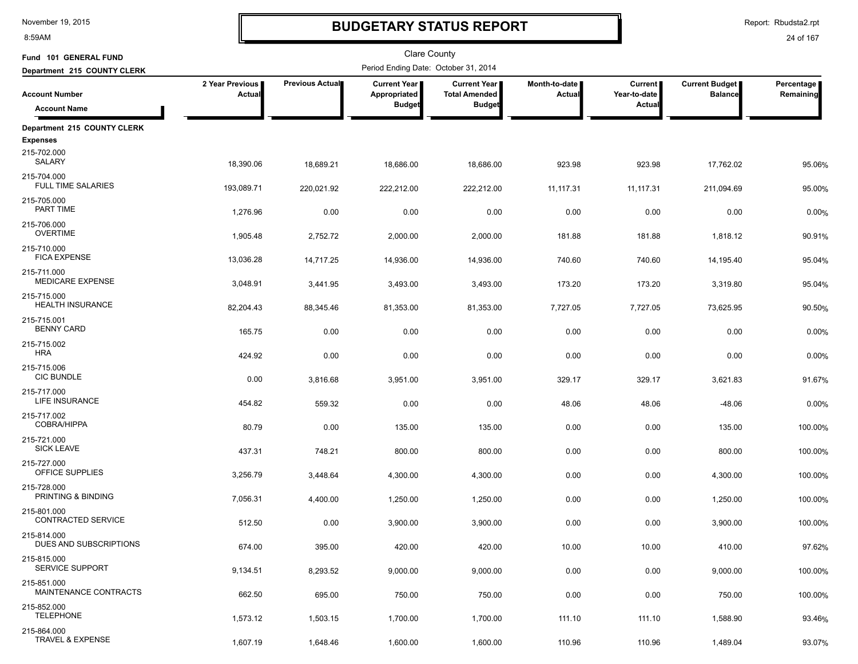8:59AM

# **BUDGETARY STATUS REPORT**

Report: Rbudsta2.rpt

| Fund 101 GENERAL FUND                          |                           |                 | Clare County                         |                                             |                                  |                                |                                         |                         |
|------------------------------------------------|---------------------------|-----------------|--------------------------------------|---------------------------------------------|----------------------------------|--------------------------------|-----------------------------------------|-------------------------|
| Department 215 COUNTY CLERK                    |                           |                 | Period Ending Date: October 31, 2014 |                                             |                                  |                                |                                         |                         |
| <b>Account Number</b>                          | 2 Year Previous<br>Actual | Previous Actual | <b>Current Year</b><br>Appropriated  | <b>Current Year</b><br><b>Total Amended</b> | Month-to-date  <br><b>Actual</b> | <b>Current</b><br>Year-to-date | <b>Current Budget</b><br><b>Balance</b> | Percentage<br>Remaining |
| <b>Account Name</b>                            |                           |                 | <b>Budget</b>                        | <b>Budget</b>                               |                                  | Actual                         |                                         |                         |
| Department 215 COUNTY CLERK<br><b>Expenses</b> |                           |                 |                                      |                                             |                                  |                                |                                         |                         |
| 215-702.000<br><b>SALARY</b>                   | 18,390.06                 | 18,689.21       | 18,686.00                            | 18,686.00                                   | 923.98                           | 923.98                         | 17,762.02                               | 95.06%                  |
| 215-704.000<br><b>FULL TIME SALARIES</b>       | 193,089.71                | 220,021.92      | 222,212.00                           | 222,212.00                                  | 11, 117.31                       | 11, 117. 31                    | 211,094.69                              | 95.00%                  |
| 215-705.000<br>PART TIME                       | 1,276.96                  | 0.00            | 0.00                                 | 0.00                                        | 0.00                             | 0.00                           | 0.00                                    | 0.00%                   |
| 215-706.000<br><b>OVERTIME</b>                 | 1,905.48                  | 2,752.72        | 2,000.00                             | 2,000.00                                    | 181.88                           | 181.88                         | 1,818.12                                | 90.91%                  |
| 215-710.000<br><b>FICA EXPENSE</b>             | 13,036.28                 | 14,717.25       | 14,936.00                            | 14,936.00                                   | 740.60                           | 740.60                         | 14,195.40                               | 95.04%                  |
| 215-711.000<br><b>MEDICARE EXPENSE</b>         | 3,048.91                  | 3,441.95        | 3,493.00                             | 3,493.00                                    | 173.20                           | 173.20                         | 3,319.80                                | 95.04%                  |
| 215-715.000<br><b>HEALTH INSURANCE</b>         | 82,204.43                 | 88,345.46       | 81,353.00                            | 81,353.00                                   | 7,727.05                         | 7,727.05                       | 73,625.95                               | 90.50%                  |
| 215-715.001<br><b>BENNY CARD</b>               | 165.75                    | 0.00            | 0.00                                 | 0.00                                        | 0.00                             | 0.00                           | 0.00                                    | 0.00%                   |
| 215-715.002<br><b>HRA</b>                      | 424.92                    | 0.00            | 0.00                                 | 0.00                                        | 0.00                             | 0.00                           | 0.00                                    | 0.00%                   |
| 215-715.006<br><b>CIC BUNDLE</b>               | 0.00                      | 3,816.68        | 3,951.00                             | 3,951.00                                    | 329.17                           | 329.17                         | 3,621.83                                | 91.67%                  |
| 215-717.000<br>LIFE INSURANCE                  | 454.82                    | 559.32          | 0.00                                 | 0.00                                        | 48.06                            | 48.06                          | $-48.06$                                | 0.00%                   |
| 215-717.002<br><b>COBRA/HIPPA</b>              | 80.79                     | 0.00            | 135.00                               | 135.00                                      | 0.00                             | 0.00                           | 135.00                                  | 100.00%                 |
| 215-721.000<br><b>SICK LEAVE</b>               | 437.31                    | 748.21          | 800.00                               | 800.00                                      | 0.00                             | 0.00                           | 800.00                                  | 100.00%                 |
| 215-727.000<br>OFFICE SUPPLIES                 | 3,256.79                  | 3,448.64        | 4,300.00                             | 4,300.00                                    | 0.00                             | 0.00                           | 4,300.00                                | 100.00%                 |
| 215-728.000<br>PRINTING & BINDING              | 7,056.31                  | 4,400.00        | 1,250.00                             | 1,250.00                                    | 0.00                             | 0.00                           | 1,250.00                                | 100.00%                 |
| 215-801.000<br>CONTRACTED SERVICE              | 512.50                    | 0.00            | 3,900.00                             | 3,900.00                                    | 0.00                             | 0.00                           | 3,900.00                                | 100.00%                 |
| 215-814.000<br>DUES AND SUBSCRIPTIONS          | 674.00                    | 395.00          | 420.00                               | 420.00                                      | 10.00                            | 10.00                          | 410.00                                  | 97.62%                  |
| 215-815.000<br>SERVICE SUPPORT                 | 9,134.51                  | 8,293.52        | 9,000.00                             | 9,000.00                                    | 0.00                             | 0.00                           | 9,000.00                                | 100.00%                 |
| 215-851.000<br>MAINTENANCE CONTRACTS           | 662.50                    | 695.00          | 750.00                               | 750.00                                      | 0.00                             | 0.00                           | 750.00                                  | 100.00%                 |
| 215-852.000<br><b>TELEPHONE</b>                | 1,573.12                  | 1,503.15        | 1,700.00                             | 1,700.00                                    | 111.10                           | 111.10                         | 1,588.90                                | 93.46%                  |
| 215-864.000<br>TRAVEL & EXPENSE                | 1,607.19                  | 1,648.46        | 1,600.00                             | 1,600.00                                    | 110.96                           | 110.96                         | 1,489.04                                | 93.07%                  |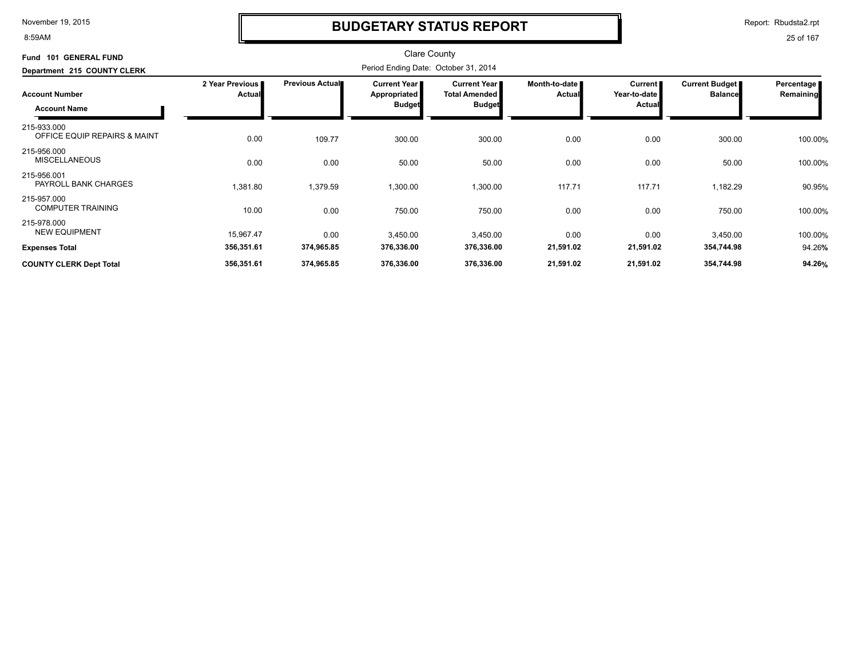8:59AM

### **BUDGETARY STATUS REPORT**

Report: Rbudsta2.rpt

| Fund 101 GENERAL FUND<br>Department 215 COUNTY CLERK |                                  |                        |                                               |                                                                |                                |                                                 |                                  |                           |
|------------------------------------------------------|----------------------------------|------------------------|-----------------------------------------------|----------------------------------------------------------------|--------------------------------|-------------------------------------------------|----------------------------------|---------------------------|
| <b>Account Number</b><br><b>Account Name</b>         | 2 Year Previous<br><b>Actual</b> | <b>Previous Actual</b> | Current Year<br>Appropriated<br><b>Budget</b> | <b>Current Year I</b><br><b>Total Amended</b><br><b>Budget</b> | Month-to-date<br><b>Actual</b> | <b>Current</b><br>Year-to-date<br><b>Actual</b> | Current Budget<br><b>Balance</b> | Percentage  <br>Remaining |
| 215-933.000<br>OFFICE EQUIP REPAIRS & MAINT          | 0.00                             | 109.77                 | 300.00                                        | 300.00                                                         | 0.00                           | 0.00                                            | 300.00                           | 100.00%                   |
| 215-956.000<br><b>MISCELLANEOUS</b>                  | 0.00                             | 0.00                   | 50.00                                         | 50.00                                                          | 0.00                           | 0.00                                            | 50.00                            | 100.00%                   |
| 215-956.001<br>PAYROLL BANK CHARGES                  | 1,381.80                         | 1,379.59               | 1,300.00                                      | 1,300.00                                                       | 117.71                         | 117.71                                          | 1,182.29                         | 90.95%                    |
| 215-957.000<br><b>COMPUTER TRAINING</b>              | 10.00                            | 0.00                   | 750.00                                        | 750.00                                                         | 0.00                           | 0.00                                            | 750.00                           | 100.00%                   |
| 215-978.000<br><b>NEW EQUIPMENT</b>                  | 15,967.47                        | 0.00                   | 3,450.00                                      | 3,450.00                                                       | 0.00                           | 0.00                                            | 3,450.00                         | 100.00%                   |
| <b>Expenses Total</b>                                | 356,351.61                       | 374,965.85             | 376,336.00                                    | 376,336.00                                                     | 21,591.02                      | 21,591.02                                       | 354,744.98                       | 94.26%                    |
| <b>COUNTY CLERK Dept Total</b>                       | 356,351.61                       | 374,965.85             | 376,336.00                                    | 376,336.00                                                     | 21,591.02                      | 21,591.02                                       | 354,744.98                       | 94.26%                    |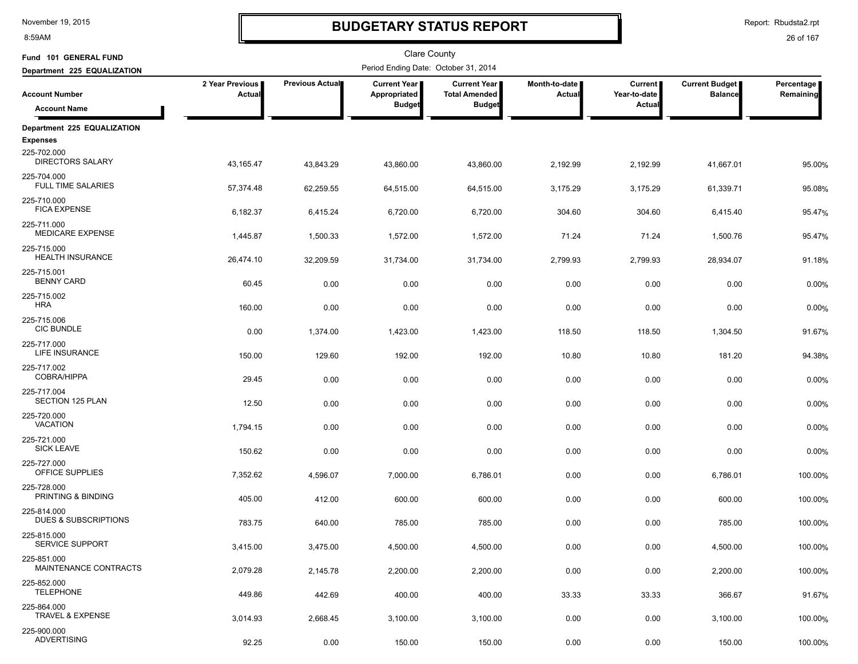8:59AM

# **BUDGETARY STATUS REPORT**

Report: Rbudsta2.rpt

| Fund 101 GENERAL FUND                          |                           |                 | <b>Clare County</b>                  |                                             |                         |                                |                                         |                         |
|------------------------------------------------|---------------------------|-----------------|--------------------------------------|---------------------------------------------|-------------------------|--------------------------------|-----------------------------------------|-------------------------|
| Department 225 EQUALIZATION                    |                           |                 | Period Ending Date: October 31, 2014 |                                             |                         |                                |                                         |                         |
| <b>Account Number</b>                          | 2 Year Previous<br>Actual | Previous Actual | <b>Current Year</b><br>Appropriated  | <b>Current Year</b><br><b>Total Amended</b> | Month-to-date<br>Actual | <b>Current</b><br>Year-to-date | <b>Current Budget</b><br><b>Balance</b> | Percentage<br>Remaining |
| <b>Account Name</b>                            |                           |                 | <b>Budget</b>                        | <b>Budget</b>                               |                         | Actual                         |                                         |                         |
| Department 225 EQUALIZATION                    |                           |                 |                                      |                                             |                         |                                |                                         |                         |
| <b>Expenses</b>                                |                           |                 |                                      |                                             |                         |                                |                                         |                         |
| 225-702.000<br><b>DIRECTORS SALARY</b>         | 43,165.47                 | 43,843.29       | 43,860.00                            | 43,860.00                                   | 2,192.99                | 2,192.99                       | 41,667.01                               | 95.00%                  |
| 225-704.000<br><b>FULL TIME SALARIES</b>       | 57,374.48                 | 62,259.55       | 64,515.00                            | 64,515.00                                   | 3,175.29                | 3,175.29                       | 61,339.71                               | 95.08%                  |
| 225-710.000<br><b>FICA EXPENSE</b>             | 6,182.37                  | 6,415.24        | 6,720.00                             | 6,720.00                                    | 304.60                  | 304.60                         | 6,415.40                                | 95.47%                  |
| 225-711.000<br><b>MEDICARE EXPENSE</b>         | 1,445.87                  | 1,500.33        | 1,572.00                             | 1,572.00                                    | 71.24                   | 71.24                          | 1,500.76                                | 95.47%                  |
| 225-715.000<br><b>HEALTH INSURANCE</b>         | 26,474.10                 | 32,209.59       | 31,734.00                            | 31,734.00                                   | 2,799.93                | 2,799.93                       | 28,934.07                               | 91.18%                  |
| 225-715.001<br><b>BENNY CARD</b>               | 60.45                     | 0.00            | 0.00                                 | 0.00                                        | 0.00                    | 0.00                           | 0.00                                    | 0.00%                   |
| 225-715.002<br><b>HRA</b>                      | 160.00                    | 0.00            | 0.00                                 | 0.00                                        | 0.00                    | 0.00                           | 0.00                                    | 0.00%                   |
| 225-715.006<br><b>CIC BUNDLE</b>               | 0.00                      | 1,374.00        | 1,423.00                             | 1,423.00                                    | 118.50                  | 118.50                         | 1,304.50                                | 91.67%                  |
| 225-717.000<br>LIFE INSURANCE                  | 150.00                    | 129.60          | 192.00                               | 192.00                                      | 10.80                   | 10.80                          | 181.20                                  | 94.38%                  |
| 225-717.002<br>COBRA/HIPPA                     | 29.45                     | 0.00            | 0.00                                 |                                             |                         |                                | 0.00                                    |                         |
| 225-717.004                                    |                           |                 |                                      | 0.00                                        | 0.00                    | 0.00                           |                                         | 0.00%                   |
| <b>SECTION 125 PLAN</b>                        | 12.50                     | 0.00            | 0.00                                 | 0.00                                        | 0.00                    | 0.00                           | 0.00                                    | 0.00%                   |
| 225-720.000<br><b>VACATION</b>                 | 1,794.15                  | 0.00            | 0.00                                 | 0.00                                        | 0.00                    | 0.00                           | 0.00                                    | 0.00%                   |
| 225-721.000<br><b>SICK LEAVE</b>               | 150.62                    | 0.00            | 0.00                                 | 0.00                                        | 0.00                    | 0.00                           | 0.00                                    | 0.00%                   |
| 225-727.000<br>OFFICE SUPPLIES                 | 7,352.62                  | 4,596.07        | 7,000.00                             | 6,786.01                                    | 0.00                    | 0.00                           | 6,786.01                                | 100.00%                 |
| 225-728.000<br>PRINTING & BINDING              | 405.00                    | 412.00          | 600.00                               | 600.00                                      | 0.00                    | 0.00                           | 600.00                                  | 100.00%                 |
| 225-814.000<br><b>DUES &amp; SUBSCRIPTIONS</b> | 783.75                    | 640.00          | 785.00                               | 785.00                                      | 0.00                    | 0.00                           | 785.00                                  | 100.00%                 |
| 225-815.000<br>SERVICE SUPPORT                 | 3,415.00                  | 3,475.00        | 4,500.00                             | 4,500.00                                    | 0.00                    | 0.00                           | 4,500.00                                | 100.00%                 |
| 225-851.000<br>MAINTENANCE CONTRACTS           | 2,079.28                  | 2,145.78        | 2,200.00                             | 2,200.00                                    | 0.00                    | 0.00                           | 2,200.00                                | 100.00%                 |
| 225-852.000<br><b>TELEPHONE</b>                | 449.86                    | 442.69          | 400.00                               | 400.00                                      | 33.33                   | 33.33                          | 366.67                                  | 91.67%                  |
| 225-864.000<br>TRAVEL & EXPENSE                | 3,014.93                  | 2,668.45        | 3,100.00                             | 3,100.00                                    | 0.00                    | 0.00                           | 3,100.00                                | 100.00%                 |
| 225-900.000<br><b>ADVERTISING</b>              | 92.25                     | 0.00            | 150.00                               | 150.00                                      | 0.00                    | 0.00                           | 150.00                                  | 100.00%                 |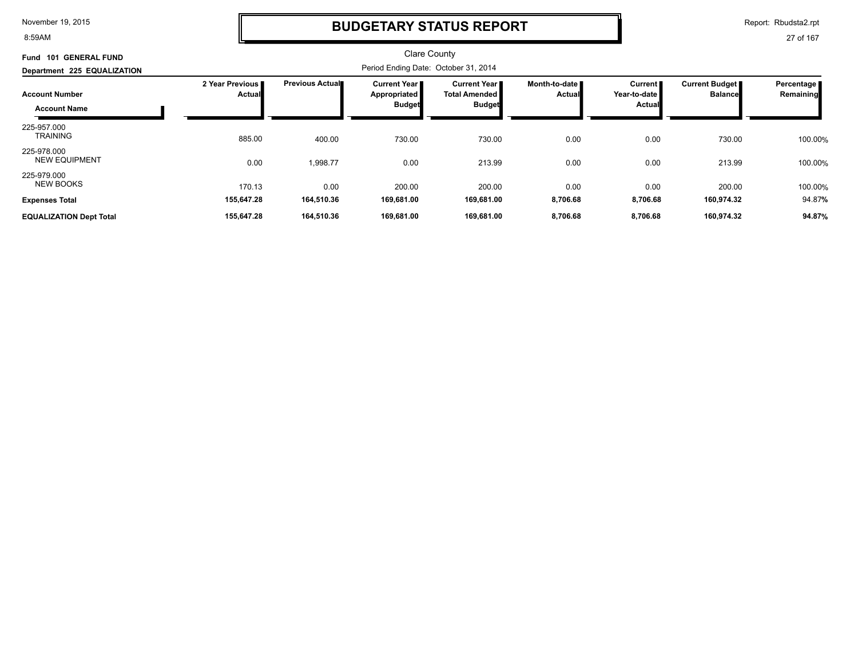8:59AM

### **BUDGETARY STATUS REPORT**

Report: Rbudsta2.rpt

| Fund 101 GENERAL FUND                        |                                  |                         | <b>Clare County</b>                                    |                                                   |                                  |                                     |                                  |                         |
|----------------------------------------------|----------------------------------|-------------------------|--------------------------------------------------------|---------------------------------------------------|----------------------------------|-------------------------------------|----------------------------------|-------------------------|
| Department 225 EQUALIZATION                  |                                  |                         | Period Ending Date: October 31, 2014                   |                                                   |                                  |                                     |                                  |                         |
| <b>Account Number</b><br><b>Account Name</b> | 2 Year Previous<br><b>Actual</b> | <b>Previous Actual■</b> | <b>Current Year I</b><br>Appropriated<br><b>Budget</b> | Current Year II<br>Total Amended<br><b>Budget</b> | Month-to-date <b>■</b><br>Actual | Current  <br>Year-to-date<br>Actual | Current Budget<br><b>Balance</b> | Percentage<br>Remaining |
| 225-957.000<br><b>TRAINING</b>               | 885.00                           | 400.00                  | 730.00                                                 | 730.00                                            | 0.00                             | 0.00                                | 730.00                           | 100.00%                 |
| 225-978.000<br><b>NEW EQUIPMENT</b>          | 0.00                             | 1,998.77                | 0.00                                                   | 213.99                                            | 0.00                             | 0.00                                | 213.99                           | 100.00%                 |
| 225-979.000<br><b>NEW BOOKS</b>              | 170.13                           | 0.00                    | 200.00                                                 | 200.00                                            | 0.00                             | 0.00                                | 200.00                           | 100.00%                 |
| <b>Expenses Total</b>                        | 155,647.28                       | 164,510.36              | 169,681.00                                             | 169,681.00                                        | 8,706.68                         | 8,706.68                            | 160,974.32                       | 94.87%                  |
| <b>EQUALIZATION Dept Total</b>               | 155,647.28                       | 164,510.36              | 169,681.00                                             | 169,681.00                                        | 8,706.68                         | 8,706.68                            | 160,974.32                       | 94.87%                  |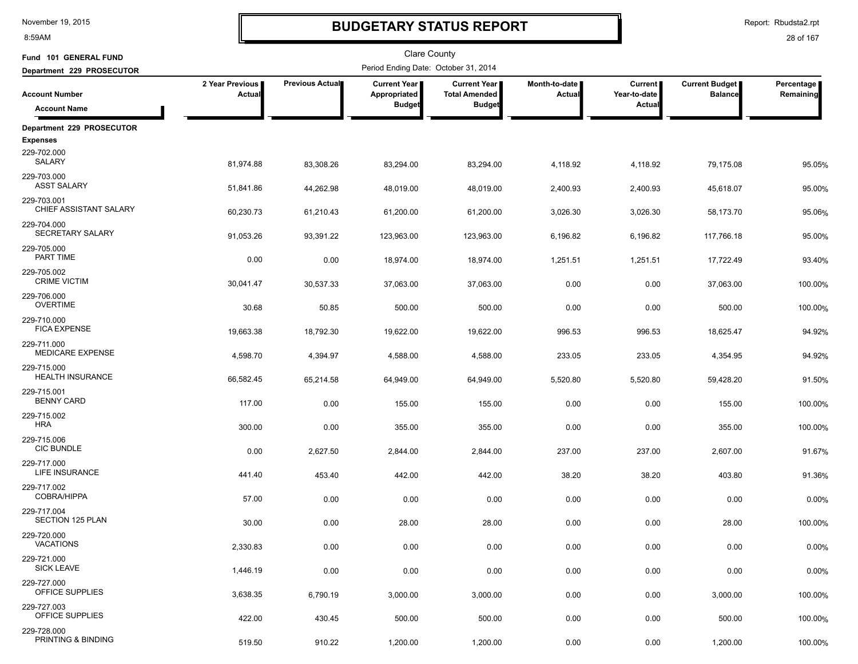8:59AM

# **BUDGETARY STATUS REPORT**

Report: Rbudsta2.rpt

| Fund 101 GENERAL FUND                  |                           |                 | Clare County                          |                                               |                         |                                |                                         |                         |
|----------------------------------------|---------------------------|-----------------|---------------------------------------|-----------------------------------------------|-------------------------|--------------------------------|-----------------------------------------|-------------------------|
| Department 229 PROSECUTOR              |                           |                 | Period Ending Date: October 31, 2014  |                                               |                         |                                |                                         |                         |
| <b>Account Number</b>                  | 2 Year Previous<br>Actual | Previous Actual | <b>Current Year  </b><br>Appropriated | <b>Current Year I</b><br><b>Total Amended</b> | Month-to-date<br>Actual | <b>Current</b><br>Year-to-date | <b>Current Budget</b><br><b>Balance</b> | Percentage<br>Remaining |
| <b>Account Name</b>                    |                           |                 | <b>Budget</b>                         | <b>Budget</b>                                 |                         | Actual                         |                                         |                         |
| Department 229 PROSECUTOR              |                           |                 |                                       |                                               |                         |                                |                                         |                         |
| <b>Expenses</b>                        |                           |                 |                                       |                                               |                         |                                |                                         |                         |
| 229-702.000<br>SALARY                  | 81,974.88                 | 83,308.26       | 83,294.00                             | 83,294.00                                     | 4,118.92                | 4,118.92                       | 79.175.08                               | 95.05%                  |
| 229-703.000<br><b>ASST SALARY</b>      | 51,841.86                 | 44,262.98       | 48,019.00                             | 48,019.00                                     | 2,400.93                | 2,400.93                       | 45,618.07                               | 95.00%                  |
| 229-703.001<br>CHIEF ASSISTANT SALARY  | 60,230.73                 | 61,210.43       | 61,200.00                             | 61,200.00                                     | 3,026.30                | 3,026.30                       | 58,173.70                               | 95.06%                  |
| 229-704.000<br>SECRETARY SALARY        | 91,053.26                 | 93,391.22       | 123,963.00                            | 123,963.00                                    | 6,196.82                | 6,196.82                       | 117,766.18                              | 95.00%                  |
| 229-705.000<br>PART TIME               | 0.00                      | 0.00            | 18,974.00                             | 18,974.00                                     | 1,251.51                | 1,251.51                       | 17,722.49                               | 93.40%                  |
| 229-705.002<br><b>CRIME VICTIM</b>     | 30,041.47                 | 30,537.33       | 37,063.00                             | 37,063.00                                     | 0.00                    | 0.00                           | 37,063.00                               | 100.00%                 |
| 229-706.000<br><b>OVERTIME</b>         | 30.68                     | 50.85           | 500.00                                | 500.00                                        | 0.00                    | 0.00                           | 500.00                                  | 100.00%                 |
| 229-710.000<br><b>FICA EXPENSE</b>     | 19,663.38                 | 18,792.30       | 19,622.00                             | 19,622.00                                     | 996.53                  | 996.53                         | 18,625.47                               | 94.92%                  |
| 229-711.000<br>MEDICARE EXPENSE        | 4,598.70                  | 4,394.97        | 4,588.00                              | 4,588.00                                      | 233.05                  | 233.05                         | 4,354.95                                | 94.92%                  |
| 229-715.000<br><b>HEALTH INSURANCE</b> | 66,582.45                 | 65,214.58       | 64,949.00                             | 64,949.00                                     | 5,520.80                | 5,520.80                       | 59,428.20                               | 91.50%                  |
| 229-715.001<br><b>BENNY CARD</b>       | 117.00                    | 0.00            | 155.00                                | 155.00                                        | 0.00                    | 0.00                           | 155.00                                  | 100.00%                 |
| 229-715.002<br><b>HRA</b>              | 300.00                    | 0.00            | 355.00                                | 355.00                                        | 0.00                    | 0.00                           | 355.00                                  | 100.00%                 |
| 229-715.006<br><b>CIC BUNDLE</b>       | 0.00                      | 2,627.50        | 2,844.00                              | 2,844.00                                      | 237.00                  | 237.00                         | 2,607.00                                | 91.67%                  |
| 229-717.000<br>LIFE INSURANCE          | 441.40                    | 453.40          | 442.00                                | 442.00                                        | 38.20                   | 38.20                          | 403.80                                  | 91.36%                  |
| 229-717.002<br>COBRA/HIPPA             | 57.00                     | 0.00            | 0.00                                  | 0.00                                          | 0.00                    | 0.00                           | 0.00                                    | 0.00%                   |
| 229-717.004<br><b>SECTION 125 PLAN</b> | 30.00                     | 0.00            | 28.00                                 | 28.00                                         | 0.00                    | 0.00                           | 28.00                                   | 100.00%                 |
| 229-720.000<br><b>VACATIONS</b>        | 2,330.83                  | 0.00            | 0.00                                  | 0.00                                          | 0.00                    | 0.00                           | 0.00                                    | 0.00%                   |
| 229-721.000<br><b>SICK LEAVE</b>       | 1,446.19                  | 0.00            | 0.00                                  | 0.00                                          | 0.00                    | 0.00                           | 0.00                                    | 0.00%                   |
| 229-727.000<br><b>OFFICE SUPPLIES</b>  | 3,638.35                  | 6,790.19        | 3,000.00                              | 3,000.00                                      | 0.00                    | 0.00                           | 3,000.00                                | 100.00%                 |
| 229-727.003<br>OFFICE SUPPLIES         | 422.00                    | 430.45          | 500.00                                | 500.00                                        | 0.00                    | 0.00                           | 500.00                                  | 100.00%                 |
| 229-728.000<br>PRINTING & BINDING      | 519.50                    | 910.22          | 1,200.00                              | 1,200.00                                      | 0.00                    | 0.00                           | 1,200.00                                | 100.00%                 |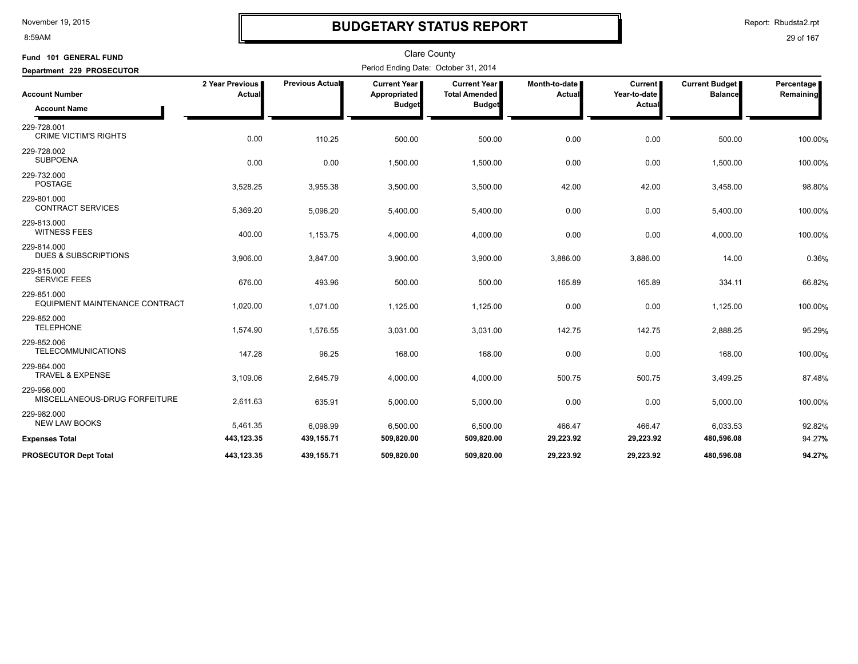#### 8:59AM

### **BUDGETARY STATUS REPORT**

Report: Rbudsta2.rpt

| Fund 101 GENERAL FUND                          |                           |                 | <b>Clare County</b>                                  |                                                              |                           |                                   |                                         |                         |
|------------------------------------------------|---------------------------|-----------------|------------------------------------------------------|--------------------------------------------------------------|---------------------------|-----------------------------------|-----------------------------------------|-------------------------|
| Department 229 PROSECUTOR                      |                           |                 | Period Ending Date: October 31, 2014                 |                                                              |                           |                                   |                                         |                         |
| <b>Account Number</b><br><b>Account Name</b>   | 2 Year Previous<br>Actual | Previous Actual | <b>Current Year</b><br>Appropriated<br><b>Budget</b> | <b>Current Year</b><br><b>Total Amended</b><br><b>Budget</b> | Month-to-date  <br>Actual | Current<br>Year-to-date<br>Actual | <b>Current Budget</b><br><b>Balance</b> | Percentage<br>Remaining |
| 229-728.001<br><b>CRIME VICTIM'S RIGHTS</b>    | 0.00                      | 110.25          | 500.00                                               | 500.00                                                       | 0.00                      | 0.00                              | 500.00                                  | 100.00%                 |
| 229-728.002<br><b>SUBPOENA</b>                 | 0.00                      | 0.00            | 1,500.00                                             | 1,500.00                                                     | 0.00                      | 0.00                              | 1,500.00                                | 100.00%                 |
| 229-732.000<br><b>POSTAGE</b>                  | 3,528.25                  | 3,955.38        | 3,500.00                                             | 3,500.00                                                     | 42.00                     | 42.00                             | 3,458.00                                | 98.80%                  |
| 229-801.000<br><b>CONTRACT SERVICES</b>        | 5,369.20                  | 5,096.20        | 5,400.00                                             | 5,400.00                                                     | 0.00                      | 0.00                              | 5,400.00                                | 100.00%                 |
| 229-813.000<br><b>WITNESS FEES</b>             | 400.00                    | 1,153.75        | 4,000.00                                             | 4,000.00                                                     | 0.00                      | 0.00                              | 4,000.00                                | 100.00%                 |
| 229-814.000<br><b>DUES &amp; SUBSCRIPTIONS</b> | 3,906.00                  | 3,847.00        | 3,900.00                                             | 3,900.00                                                     | 3,886.00                  | 3,886.00                          | 14.00                                   | 0.36%                   |
| 229-815.000<br><b>SERVICE FEES</b>             | 676.00                    | 493.96          | 500.00                                               | 500.00                                                       | 165.89                    | 165.89                            | 334.11                                  | 66.82%                  |
| 229-851.000<br>EQUIPMENT MAINTENANCE CONTRACT  | 1,020.00                  | 1,071.00        | 1,125.00                                             | 1,125.00                                                     | 0.00                      | 0.00                              | 1,125.00                                | 100.00%                 |
| 229-852.000<br><b>TELEPHONE</b>                | 1,574.90                  | 1,576.55        | 3,031.00                                             | 3,031.00                                                     | 142.75                    | 142.75                            | 2,888.25                                | 95.29%                  |
| 229-852.006<br><b>TELECOMMUNICATIONS</b>       | 147.28                    | 96.25           | 168.00                                               | 168.00                                                       | 0.00                      | 0.00                              | 168.00                                  | 100.00%                 |
| 229-864.000<br><b>TRAVEL &amp; EXPENSE</b>     | 3,109.06                  | 2,645.79        | 4,000.00                                             | 4,000.00                                                     | 500.75                    | 500.75                            | 3,499.25                                | 87.48%                  |
| 229-956.000<br>MISCELLANEOUS-DRUG FORFEITURE   | 2,611.63                  | 635.91          | 5,000.00                                             | 5,000.00                                                     | 0.00                      | 0.00                              | 5,000.00                                | 100.00%                 |
| 229-982.000<br><b>NEW LAW BOOKS</b>            | 5,461.35                  | 6,098.99        | 6,500.00                                             | 6,500.00                                                     | 466.47                    | 466.47                            | 6,033.53                                | 92.82%                  |
| <b>Expenses Total</b>                          | 443,123.35                | 439,155.71      | 509,820.00                                           | 509,820.00                                                   | 29,223.92                 | 29,223.92                         | 480,596.08                              | 94.27%                  |
| <b>PROSECUTOR Dept Total</b>                   | 443.123.35                | 439.155.71      | 509.820.00                                           | 509.820.00                                                   | 29.223.92                 | 29.223.92                         | 480.596.08                              | 94.27%                  |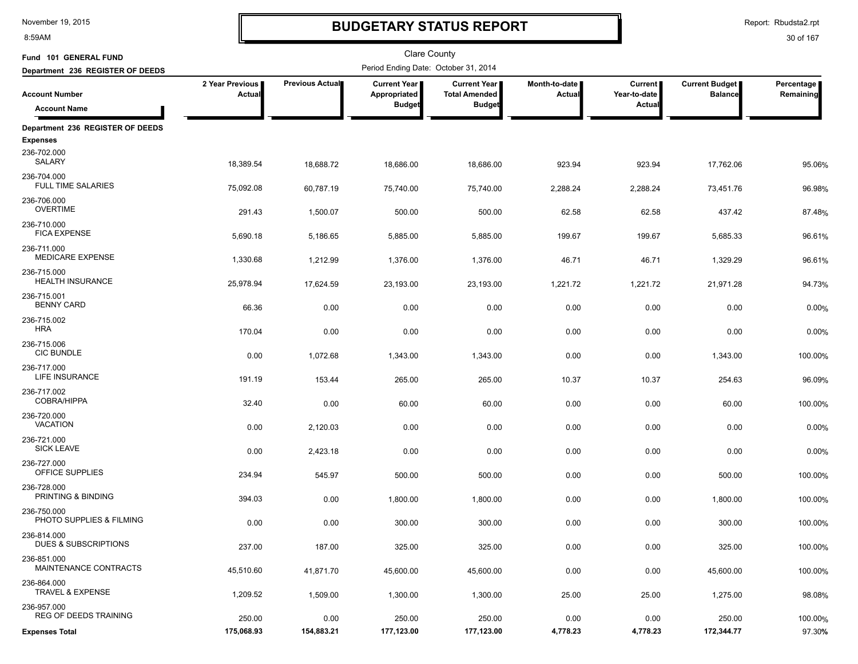8:59AM

# **BUDGETARY STATUS REPORT**

Report: Rbudsta2.rpt

| Fund 101 GENERAL FUND                               |                                  |                        | <b>Clare County</b>                  |                                             |                         |                                |                                         |                         |
|-----------------------------------------------------|----------------------------------|------------------------|--------------------------------------|---------------------------------------------|-------------------------|--------------------------------|-----------------------------------------|-------------------------|
| Department 236 REGISTER OF DEEDS                    |                                  |                        | Period Ending Date: October 31, 2014 |                                             |                         |                                |                                         |                         |
| <b>Account Number</b>                               | 2 Year Previous<br><b>Actual</b> | <b>Previous Actual</b> | <b>Current Year</b><br>Appropriated  | <b>Current Year</b><br><b>Total Amended</b> | Month-to-date<br>Actual | <b>Current</b><br>Year-to-date | <b>Current Budget</b><br><b>Balance</b> | Percentage<br>Remaining |
| <b>Account Name</b>                                 |                                  |                        | <b>Budget</b>                        | <b>Budget</b>                               |                         | Actual                         |                                         |                         |
| Department 236 REGISTER OF DEEDS<br><b>Expenses</b> |                                  |                        |                                      |                                             |                         |                                |                                         |                         |
| 236-702.000<br>SALARY                               | 18,389.54                        | 18,688.72              | 18,686.00                            | 18,686.00                                   | 923.94                  | 923.94                         | 17,762.06                               | 95.06%                  |
| 236-704.000<br>FULL TIME SALARIES                   | 75,092.08                        | 60,787.19              | 75,740.00                            | 75,740.00                                   | 2,288.24                | 2,288.24                       | 73,451.76                               | 96.98%                  |
| 236-706.000<br><b>OVERTIME</b>                      | 291.43                           | 1,500.07               | 500.00                               | 500.00                                      | 62.58                   | 62.58                          | 437.42                                  | 87.48%                  |
| 236-710.000<br><b>FICA EXPENSE</b>                  | 5,690.18                         | 5,186.65               | 5,885.00                             | 5,885.00                                    | 199.67                  | 199.67                         | 5,685.33                                | 96.61%                  |
| 236-711.000<br><b>MEDICARE EXPENSE</b>              | 1,330.68                         | 1,212.99               | 1,376.00                             | 1,376.00                                    | 46.71                   | 46.71                          | 1,329.29                                | 96.61%                  |
| 236-715.000<br><b>HEALTH INSURANCE</b>              | 25,978.94                        | 17,624.59              | 23,193.00                            | 23,193.00                                   | 1,221.72                | 1,221.72                       | 21,971.28                               | 94.73%                  |
| 236-715.001<br><b>BENNY CARD</b>                    | 66.36                            | 0.00                   | 0.00                                 | 0.00                                        | 0.00                    | 0.00                           | 0.00                                    | 0.00%                   |
| 236-715.002<br><b>HRA</b>                           | 170.04                           | 0.00                   | 0.00                                 | 0.00                                        | 0.00                    | 0.00                           | 0.00                                    | 0.00%                   |
| 236-715.006<br><b>CIC BUNDLE</b>                    | 0.00                             | 1,072.68               | 1,343.00                             | 1,343.00                                    | 0.00                    | 0.00                           | 1,343.00                                | 100.00%                 |
| 236-717.000<br>LIFE INSURANCE                       | 191.19                           | 153.44                 | 265.00                               | 265.00                                      | 10.37                   | 10.37                          | 254.63                                  | 96.09%                  |
| 236-717.002<br><b>COBRA/HIPPA</b>                   | 32.40                            | 0.00                   | 60.00                                | 60.00                                       | 0.00                    | 0.00                           | 60.00                                   | 100.00%                 |
| 236-720.000<br><b>VACATION</b>                      | 0.00                             | 2,120.03               | 0.00                                 | 0.00                                        | 0.00                    | 0.00                           | 0.00                                    | 0.00%                   |
| 236-721.000<br><b>SICK LEAVE</b>                    | 0.00                             | 2,423.18               | 0.00                                 | 0.00                                        | 0.00                    | 0.00                           | 0.00                                    | 0.00%                   |
| 236-727.000<br>OFFICE SUPPLIES                      | 234.94                           | 545.97                 | 500.00                               | 500.00                                      | 0.00                    | 0.00                           | 500.00                                  | 100.00%                 |
| 236-728.000<br>PRINTING & BINDING                   | 394.03                           | 0.00                   | 1,800.00                             | 1,800.00                                    | 0.00                    | 0.00                           | 1,800.00                                | 100.00%                 |
| 236-750.000<br>PHOTO SUPPLIES & FILMING             | 0.00                             | 0.00                   | 300.00                               | 300.00                                      | 0.00                    | 0.00                           | 300.00                                  | 100.00%                 |
| 236-814.000<br><b>DUES &amp; SUBSCRIPTIONS</b>      | 237.00                           | 187.00                 | 325.00                               | 325.00                                      | 0.00                    | 0.00                           | 325.00                                  | 100.00%                 |
| 236-851.000<br><b>MAINTENANCE CONTRACTS</b>         | 45,510.60                        | 41,871.70              | 45,600.00                            | 45,600.00                                   | 0.00                    | 0.00                           | 45,600.00                               | 100.00%                 |
| 236-864.000<br>TRAVEL & EXPENSE                     | 1,209.52                         | 1,509.00               | 1,300.00                             | 1,300.00                                    | 25.00                   | 25.00                          | 1,275.00                                | 98.08%                  |
| 236-957.000<br><b>REG OF DEEDS TRAINING</b>         | 250.00                           | 0.00                   | 250.00                               | 250.00                                      | 0.00                    | 0.00                           | 250.00                                  | 100.00%                 |
| <b>Expenses Total</b>                               | 175,068.93                       | 154,883.21             | 177,123.00                           | 177,123.00                                  | 4,778.23                | 4,778.23                       | 172,344.77                              | 97.30%                  |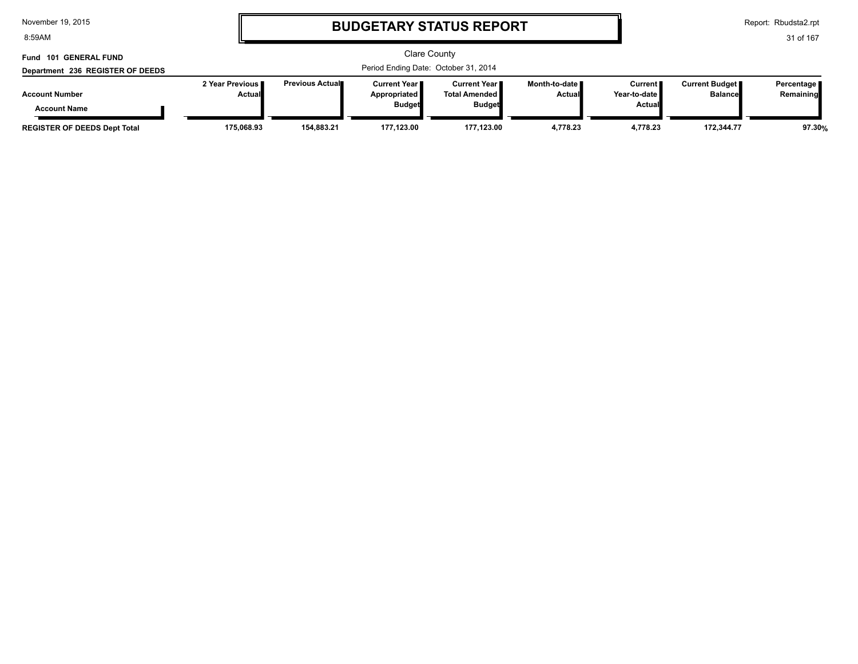8:59AM

# **BUDGETARY STATUS REPORT**

Report: Rbudsta2.rpt

31 of 167

#### Clare County Period Ending Date: October 31, 2014 **Account Number Department 236 REGISTER OF DEEDS Fund 101 GENERAL FUND 2 Year Previous Actual Previous Actual Current Year Appropriated Budget Current Year Total Amended Budget Month-to-date Actual Current Year-to-date Actual Current Budget Balance Percentage Remaining Account Name**

**REGISTER OF DEEDS Dept Total 175,068.93 154,883.21 177,123.00 177,123.00 4,778.23 4,778.23 172,344.77 97.30%**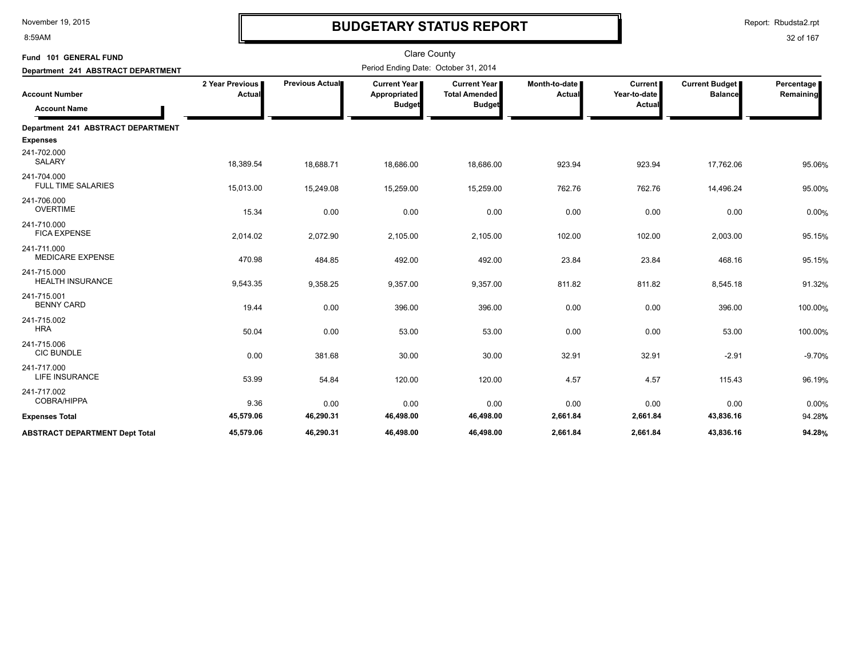8:59AM

# **BUDGETARY STATUS REPORT**

Report: Rbudsta2.rpt

| Fund 101 GENERAL FUND                        |                           |                 | <b>Clare County</b>                                  |                                                              |                                |                                          |                                         |                         |
|----------------------------------------------|---------------------------|-----------------|------------------------------------------------------|--------------------------------------------------------------|--------------------------------|------------------------------------------|-----------------------------------------|-------------------------|
| Department 241 ABSTRACT DEPARTMENT           |                           |                 | Period Ending Date: October 31, 2014                 |                                                              |                                |                                          |                                         |                         |
| <b>Account Number</b><br><b>Account Name</b> | 2 Year Previous<br>Actual | Previous Actual | <b>Current Year</b><br>Appropriated<br><b>Budget</b> | <b>Current Year</b><br><b>Total Amended</b><br><b>Budget</b> | Month-to-date<br><b>Actual</b> | <b>Current</b><br>Year-to-date<br>Actual | <b>Current Budget</b><br><b>Balance</b> | Percentage<br>Remaining |
| Department 241 ABSTRACT DEPARTMENT           |                           |                 |                                                      |                                                              |                                |                                          |                                         |                         |
| <b>Expenses</b>                              |                           |                 |                                                      |                                                              |                                |                                          |                                         |                         |
| 241-702.000<br><b>SALARY</b>                 | 18,389.54                 | 18,688.71       | 18,686.00                                            | 18,686.00                                                    | 923.94                         | 923.94                                   | 17,762.06                               | 95.06%                  |
| 241-704.000<br><b>FULL TIME SALARIES</b>     | 15,013.00                 | 15,249.08       | 15,259.00                                            | 15,259.00                                                    | 762.76                         | 762.76                                   | 14,496.24                               | 95.00%                  |
| 241-706.000<br><b>OVERTIME</b>               | 15.34                     | 0.00            | 0.00                                                 | 0.00                                                         | 0.00                           | 0.00                                     | 0.00                                    | 0.00%                   |
| 241-710.000<br><b>FICA EXPENSE</b>           | 2,014.02                  | 2,072.90        | 2,105.00                                             | 2,105.00                                                     | 102.00                         | 102.00                                   | 2,003.00                                | 95.15%                  |
| 241-711.000<br><b>MEDICARE EXPENSE</b>       | 470.98                    | 484.85          | 492.00                                               | 492.00                                                       | 23.84                          | 23.84                                    | 468.16                                  | 95.15%                  |
| 241-715.000<br><b>HEALTH INSURANCE</b>       | 9,543.35                  | 9,358.25        | 9,357.00                                             | 9,357.00                                                     | 811.82                         | 811.82                                   | 8,545.18                                | 91.32%                  |
| 241-715.001<br><b>BENNY CARD</b>             | 19.44                     | 0.00            | 396.00                                               | 396.00                                                       | 0.00                           | 0.00                                     | 396.00                                  | 100.00%                 |
| 241-715.002<br><b>HRA</b>                    | 50.04                     | 0.00            | 53.00                                                | 53.00                                                        | 0.00                           | 0.00                                     | 53.00                                   | 100.00%                 |
| 241-715.006<br><b>CIC BUNDLE</b>             | 0.00                      | 381.68          | 30.00                                                | 30.00                                                        | 32.91                          | 32.91                                    | $-2.91$                                 | $-9.70%$                |
| 241-717.000<br><b>LIFE INSURANCE</b>         | 53.99                     | 54.84           | 120.00                                               | 120.00                                                       | 4.57                           | 4.57                                     | 115.43                                  | 96.19%                  |
| 241-717.002<br>COBRA/HIPPA                   | 9.36                      | 0.00            | 0.00                                                 | 0.00                                                         | 0.00                           | 0.00                                     | 0.00                                    | 0.00%                   |
| <b>Expenses Total</b>                        | 45,579.06                 | 46,290.31       | 46,498.00                                            | 46,498.00                                                    | 2,661.84                       | 2,661.84                                 | 43,836.16                               | 94.28%                  |
| <b>ABSTRACT DEPARTMENT Dept Total</b>        | 45,579.06                 | 46,290.31       | 46,498.00                                            | 46,498.00                                                    | 2,661.84                       | 2,661.84                                 | 43,836.16                               | 94.28%                  |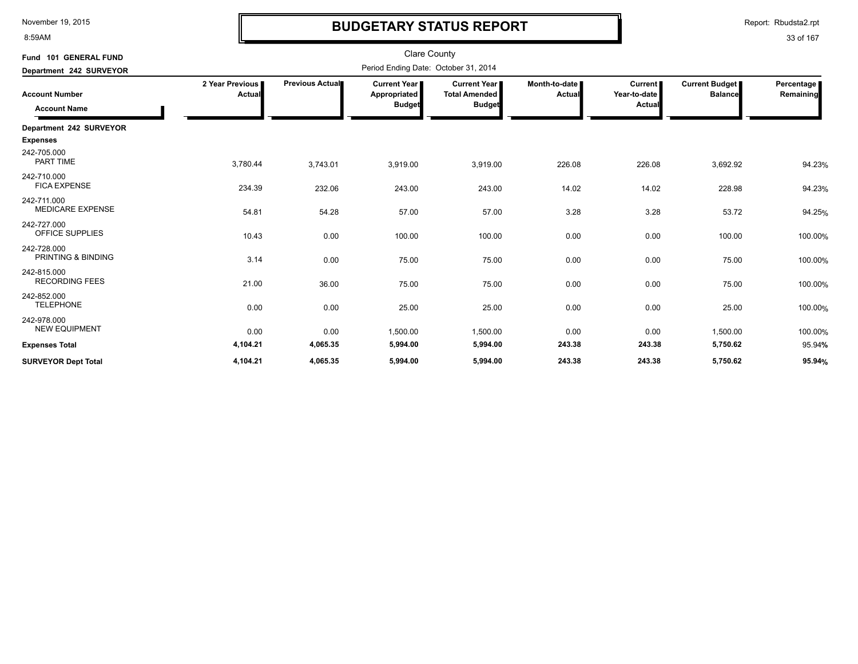8:59AM

# **BUDGETARY STATUS REPORT**

Report: Rbudsta2.rpt

| Fund 101 GENERAL FUND                        |                             |                                      | <b>Clare County</b>                                  |                                                              |                                  |                                          |                                  |                         |
|----------------------------------------------|-----------------------------|--------------------------------------|------------------------------------------------------|--------------------------------------------------------------|----------------------------------|------------------------------------------|----------------------------------|-------------------------|
| Department 242 SURVEYOR                      |                             | Period Ending Date: October 31, 2014 |                                                      |                                                              |                                  |                                          |                                  |                         |
| <b>Account Number</b><br><b>Account Name</b> | 2 Year Previous I<br>Actual | Previous Actual                      | <b>Current Year</b><br>Appropriated<br><b>Budget</b> | <b>Current Year</b><br><b>Total Amended</b><br><b>Budget</b> | Month-to-date I<br><b>Actual</b> | <b>Current</b><br>Year-to-date<br>Actual | Current Budget<br><b>Balance</b> | Percentage<br>Remaining |
| Department 242 SURVEYOR                      |                             |                                      |                                                      |                                                              |                                  |                                          |                                  |                         |
| <b>Expenses</b>                              |                             |                                      |                                                      |                                                              |                                  |                                          |                                  |                         |
| 242-705.000<br><b>PART TIME</b>              | 3,780.44                    | 3,743.01                             | 3,919.00                                             | 3,919.00                                                     | 226.08                           | 226.08                                   | 3,692.92                         | 94.23%                  |
| 242-710.000<br><b>FICA EXPENSE</b>           | 234.39                      | 232.06                               | 243.00                                               | 243.00                                                       | 14.02                            | 14.02                                    | 228.98                           | 94.23%                  |
| 242-711.000<br><b>MEDICARE EXPENSE</b>       | 54.81                       | 54.28                                | 57.00                                                | 57.00                                                        | 3.28                             | 3.28                                     | 53.72                            | 94.25%                  |
| 242-727.000<br><b>OFFICE SUPPLIES</b>        | 10.43                       | 0.00                                 | 100.00                                               | 100.00                                                       | 0.00                             | 0.00                                     | 100.00                           | 100.00%                 |
| 242-728.000<br>PRINTING & BINDING            | 3.14                        | 0.00                                 | 75.00                                                | 75.00                                                        | 0.00                             | 0.00                                     | 75.00                            | 100.00%                 |
| 242-815.000<br><b>RECORDING FEES</b>         | 21.00                       | 36.00                                | 75.00                                                | 75.00                                                        | 0.00                             | 0.00                                     | 75.00                            | 100.00%                 |
| 242-852.000<br><b>TELEPHONE</b>              | 0.00                        | 0.00                                 | 25.00                                                | 25.00                                                        | 0.00                             | 0.00                                     | 25.00                            | 100.00%                 |
| 242-978.000<br><b>NEW EQUIPMENT</b>          | 0.00                        | 0.00                                 | 1,500.00                                             | 1,500.00                                                     | 0.00                             | 0.00                                     | 1,500.00                         | 100.00%                 |
| <b>Expenses Total</b>                        | 4,104.21                    | 4,065.35                             | 5,994.00                                             | 5,994.00                                                     | 243.38                           | 243.38                                   | 5,750.62                         | 95.94%                  |
| <b>SURVEYOR Dept Total</b>                   | 4,104.21                    | 4,065.35                             | 5,994.00                                             | 5,994.00                                                     | 243.38                           | 243.38                                   | 5,750.62                         | 95.94%                  |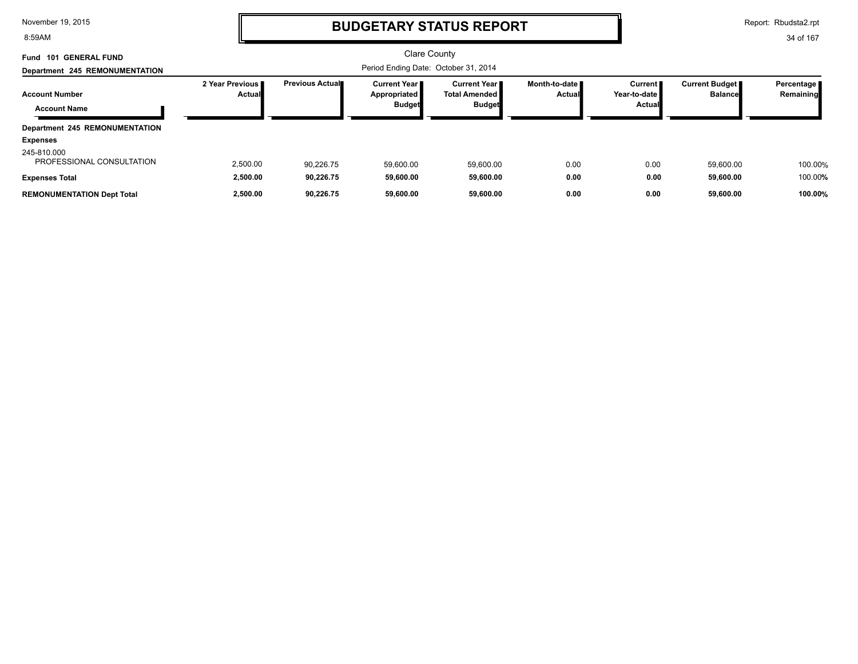8:59AM

### **BUDGETARY STATUS REPORT**

Report: Rbudsta2.rpt

| Fund 101 GENERAL FUND                    |                             |                                      | <b>Clare County</b>                                    |                                                          |                                  |                                          |                                         |                           |
|------------------------------------------|-----------------------------|--------------------------------------|--------------------------------------------------------|----------------------------------------------------------|----------------------------------|------------------------------------------|-----------------------------------------|---------------------------|
| Department 245 REMONUMENTATION           |                             | Period Ending Date: October 31, 2014 |                                                        |                                                          |                                  |                                          |                                         |                           |
| <b>Account Number</b>                    | 2 Year Previous I<br>Actual | <b>Previous Actual</b>               | <b>Current Year I</b><br>Appropriated<br><b>Budget</b> | Current Year II<br><b>Total Amended</b><br><b>Budget</b> | Month-to-date ■<br><b>Actual</b> | <b>Current</b><br>Year-to-date<br>Actual | <b>Current Budget</b><br><b>Balance</b> | Percentage  <br>Remaining |
| <b>Account Name</b>                      |                             |                                      |                                                        |                                                          |                                  |                                          |                                         |                           |
| Department 245 REMONUMENTATION           |                             |                                      |                                                        |                                                          |                                  |                                          |                                         |                           |
| <b>Expenses</b>                          |                             |                                      |                                                        |                                                          |                                  |                                          |                                         |                           |
| 245-810.000<br>PROFESSIONAL CONSULTATION | 2,500.00                    | 90.226.75                            | 59,600.00                                              | 59,600.00                                                | 0.00                             | 0.00                                     | 59.600.00                               | 100.00%                   |
| <b>Expenses Total</b>                    | 2,500.00                    | 90.226.75                            | 59,600.00                                              | 59,600.00                                                | 0.00                             | 0.00                                     | 59,600.00                               | 100.00%                   |
| <b>REMONUMENTATION Dept Total</b>        | 2,500.00                    | 90.226.75                            | 59.600.00                                              | 59.600.00                                                | 0.00                             | 0.00                                     | 59.600.00                               | 100.00%                   |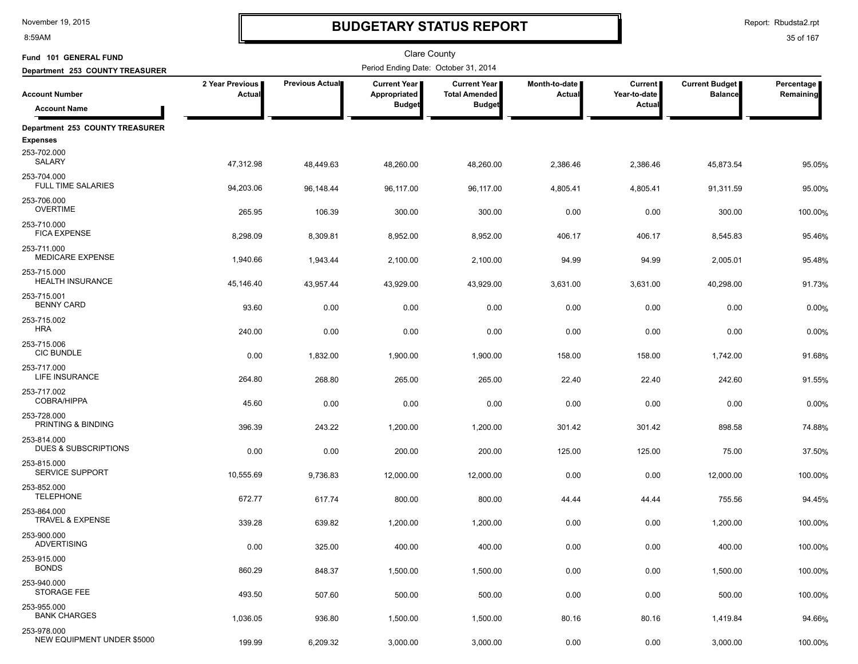8:59AM

# **BUDGETARY STATUS REPORT**

Report: Rbudsta2.rpt

| Fund 101 GENERAL FUND                      |                           |                 | <b>Clare County</b>                   |                                             |                                |                           |                                         |                         |
|--------------------------------------------|---------------------------|-----------------|---------------------------------------|---------------------------------------------|--------------------------------|---------------------------|-----------------------------------------|-------------------------|
| Department 253 COUNTY TREASURER            |                           |                 | Period Ending Date: October 31, 2014  |                                             |                                |                           |                                         |                         |
| <b>Account Number</b>                      | 2 Year Previous<br>Actual | Previous Actual | <b>Current Year I</b><br>Appropriated | <b>Current Year</b><br><b>Total Amended</b> | Month-to-date<br><b>Actual</b> | Current  <br>Year-to-date | <b>Current Budget</b><br><b>Balance</b> | Percentage<br>Remaining |
| <b>Account Name</b>                        |                           |                 | <b>Budget</b>                         | <b>Budget</b>                               |                                | Actua                     |                                         |                         |
| Department 253 COUNTY TREASURER            |                           |                 |                                       |                                             |                                |                           |                                         |                         |
| <b>Expenses</b><br>253-702.000             |                           |                 |                                       |                                             |                                |                           |                                         |                         |
| SALARY                                     | 47,312.98                 | 48,449.63       | 48,260.00                             | 48,260.00                                   | 2,386.46                       | 2,386.46                  | 45,873.54                               | 95.05%                  |
| 253-704.000<br><b>FULL TIME SALARIES</b>   | 94,203.06                 | 96,148.44       | 96,117.00                             | 96,117.00                                   | 4,805.41                       | 4,805.41                  | 91,311.59                               | 95.00%                  |
| 253-706.000<br><b>OVERTIME</b>             | 265.95                    | 106.39          | 300.00                                | 300.00                                      | 0.00                           | 0.00                      | 300.00                                  | 100.00%                 |
| 253-710.000<br><b>FICA EXPENSE</b>         | 8,298.09                  | 8,309.81        | 8,952.00                              | 8,952.00                                    | 406.17                         | 406.17                    | 8,545.83                                | 95.46%                  |
| 253-711.000<br><b>MEDICARE EXPENSE</b>     | 1,940.66                  | 1,943.44        | 2,100.00                              | 2,100.00                                    | 94.99                          | 94.99                     | 2,005.01                                | 95.48%                  |
| 253-715.000<br><b>HEALTH INSURANCE</b>     | 45,146.40                 | 43,957.44       | 43,929.00                             | 43,929.00                                   | 3,631.00                       | 3,631.00                  | 40,298.00                               | 91.73%                  |
| 253-715.001<br><b>BENNY CARD</b>           | 93.60                     | 0.00            | 0.00                                  | 0.00                                        | 0.00                           | 0.00                      | 0.00                                    | 0.00%                   |
| 253-715.002<br><b>HRA</b>                  | 240.00                    | 0.00            | 0.00                                  | 0.00                                        | 0.00                           | 0.00                      | 0.00                                    | 0.00%                   |
| 253-715.006                                |                           |                 |                                       |                                             |                                |                           |                                         |                         |
| <b>CIC BUNDLE</b><br>253-717.000           | 0.00                      | 1,832.00        | 1,900.00                              | 1,900.00                                    | 158.00                         | 158.00                    | 1,742.00                                | 91.68%                  |
| LIFE INSURANCE                             | 264.80                    | 268.80          | 265.00                                | 265.00                                      | 22.40                          | 22.40                     | 242.60                                  | 91.55%                  |
| 253-717.002<br>COBRA/HIPPA                 | 45.60                     | 0.00            | 0.00                                  | 0.00                                        | 0.00                           | 0.00                      | 0.00                                    | 0.00%                   |
| 253-728.000<br>PRINTING & BINDING          | 396.39                    | 243.22          | 1,200.00                              | 1,200.00                                    | 301.42                         | 301.42                    | 898.58                                  | 74.88%                  |
| 253-814.000<br>DUES & SUBSCRIPTIONS        | 0.00                      | 0.00            | 200.00                                | 200.00                                      | 125.00                         | 125.00                    | 75.00                                   | 37.50%                  |
| 253-815.000<br><b>SERVICE SUPPORT</b>      | 10,555.69                 | 9,736.83        | 12,000.00                             | 12,000.00                                   | 0.00                           | 0.00                      | 12,000.00                               | 100.00%                 |
| 253-852.000<br><b>TELEPHONE</b>            | 672.77                    | 617.74          | 800.00                                | 800.00                                      | 44.44                          | 44.44                     | 755.56                                  | 94.45%                  |
| 253-864.000<br><b>TRAVEL &amp; EXPENSE</b> | 339.28                    | 639.82          | 1,200.00                              | 1,200.00                                    | 0.00                           | 0.00                      | 1,200.00                                | 100.00%                 |
| 253-900.000<br><b>ADVERTISING</b>          | 0.00                      | 325.00          | 400.00                                | 400.00                                      | 0.00                           | 0.00                      | 400.00                                  | 100.00%                 |
| 253-915.000<br><b>BONDS</b>                | 860.29                    | 848.37          | 1,500.00                              | 1,500.00                                    | 0.00                           | 0.00                      | 1,500.00                                | 100.00%                 |
| 253-940.000<br>STORAGE FEE                 | 493.50                    | 507.60          | 500.00                                | 500.00                                      | 0.00                           | 0.00                      | 500.00                                  | 100.00%                 |
| 253-955.000                                |                           |                 |                                       |                                             |                                |                           |                                         |                         |
| <b>BANK CHARGES</b>                        | 1,036.05                  | 936.80          | 1,500.00                              | 1,500.00                                    | 80.16                          | 80.16                     | 1,419.84                                | 94.66%                  |
| 253-978.000<br>NEW EQUIPMENT UNDER \$5000  | 199.99                    | 6,209.32        | 3,000.00                              | 3,000.00                                    | 0.00                           | 0.00                      | 3,000.00                                | 100.00%                 |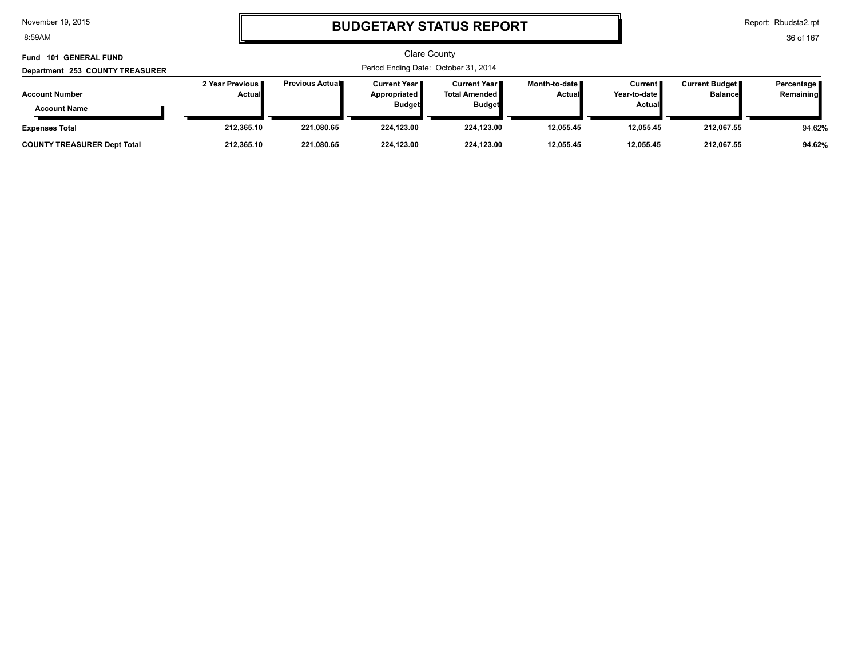8:59AM

# **BUDGETARY STATUS REPORT**

Report: Rbudsta2.rpt

| Fund 101 GENERAL FUND<br>Department 253 COUNTY TREASURER | <b>Clare County</b><br>Period Ending Date: October 31, 2014 |                         |                                                        |                                                                |                                  |                                                    |                                           |                           |
|----------------------------------------------------------|-------------------------------------------------------------|-------------------------|--------------------------------------------------------|----------------------------------------------------------------|----------------------------------|----------------------------------------------------|-------------------------------------------|---------------------------|
| <b>Account Number</b><br><b>Account Name</b>             | 2 Year Previous<br><b>Actual</b>                            | <b>Previous Actual■</b> | <b>Current Year</b> ∎<br>Appropriated<br><b>Budget</b> | <b>Current Year I</b><br><b>Total Amended</b><br><b>Budget</b> | Month-to-date ■<br><b>Actual</b> | Current <b>II</b><br>Year-to-date<br><b>Actual</b> | <b>Current Budget</b> ■<br><b>Balance</b> | Percentage  <br>Remaining |
| <b>Expenses Total</b>                                    | 212,365.10                                                  | 221.080.65              | 224.123.00                                             | 224.123.00                                                     | 12.055.45                        | 12.055.45                                          | 212,067.55                                | 94.62%                    |
| <b>COUNTY TREASURER Dept Total</b>                       | 212,365.10                                                  | 221.080.65              | 224.123.00                                             | 224.123.00                                                     | 12.055.45                        | 12.055.45                                          | 212.067.55                                | 94.62%                    |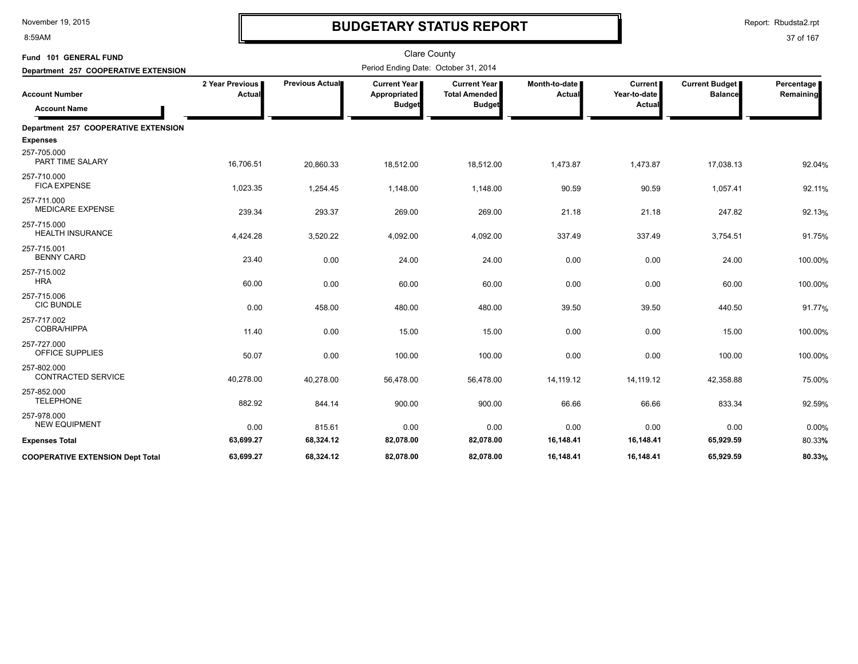8:59AM

# **BUDGETARY STATUS REPORT**

Report: Rbudsta2.rpt

| Fund 101 GENERAL FUND                        |                           |                        | <b>Clare County</b>                             |                                                              |                         |                                          |                                         |                         |
|----------------------------------------------|---------------------------|------------------------|-------------------------------------------------|--------------------------------------------------------------|-------------------------|------------------------------------------|-----------------------------------------|-------------------------|
| Department 257 COOPERATIVE EXTENSION         |                           |                        | Period Ending Date: October 31, 2014            |                                                              |                         |                                          |                                         |                         |
| <b>Account Number</b><br><b>Account Name</b> | 2 Year Previous<br>Actual | <b>Previous Actual</b> | Current Year ∎<br>Appropriated<br><b>Budget</b> | <b>Current Year</b><br><b>Total Amended</b><br><b>Budget</b> | Month-to-date<br>Actual | <b>Current</b><br>Year-to-date<br>Actual | <b>Current Budget</b><br><b>Balance</b> | Percentage<br>Remaining |
| Department 257 COOPERATIVE EXTENSION         |                           |                        |                                                 |                                                              |                         |                                          |                                         |                         |
| <b>Expenses</b>                              |                           |                        |                                                 |                                                              |                         |                                          |                                         |                         |
| 257-705.000<br>PART TIME SALARY              | 16,706.51                 | 20,860.33              | 18,512.00                                       | 18,512.00                                                    | 1,473.87                | 1,473.87                                 | 17,038.13                               | 92.04%                  |
| 257-710.000<br><b>FICA EXPENSE</b>           | 1,023.35                  | 1,254.45               | 1,148.00                                        | 1,148.00                                                     | 90.59                   | 90.59                                    | 1,057.41                                | 92.11%                  |
| 257-711.000<br><b>MEDICARE EXPENSE</b>       | 239.34                    | 293.37                 | 269.00                                          | 269.00                                                       | 21.18                   | 21.18                                    | 247.82                                  | 92.13%                  |
| 257-715.000<br><b>HEALTH INSURANCE</b>       | 4,424.28                  | 3,520.22               | 4,092.00                                        | 4,092.00                                                     | 337.49                  | 337.49                                   | 3,754.51                                | 91.75%                  |
| 257-715.001<br><b>BENNY CARD</b>             | 23.40                     | 0.00                   | 24.00                                           | 24.00                                                        | 0.00                    | 0.00                                     | 24.00                                   | 100.00%                 |
| 257-715.002<br><b>HRA</b>                    | 60.00                     | 0.00                   | 60.00                                           | 60.00                                                        | 0.00                    | 0.00                                     | 60.00                                   | 100.00%                 |
| 257-715.006<br><b>CIC BUNDLE</b>             | 0.00                      | 458.00                 | 480.00                                          | 480.00                                                       | 39.50                   | 39.50                                    | 440.50                                  | 91.77%                  |
| 257-717.002<br><b>COBRA/HIPPA</b>            | 11.40                     | 0.00                   | 15.00                                           | 15.00                                                        | 0.00                    | 0.00                                     | 15.00                                   | 100.00%                 |
| 257-727.000<br>OFFICE SUPPLIES               | 50.07                     | 0.00                   | 100.00                                          | 100.00                                                       | 0.00                    | 0.00                                     | 100.00                                  | 100.00%                 |
| 257-802.000<br><b>CONTRACTED SERVICE</b>     | 40,278.00                 | 40,278.00              | 56,478.00                                       | 56,478.00                                                    | 14,119.12               | 14,119.12                                | 42,358.88                               | 75.00%                  |
| 257-852.000<br><b>TELEPHONE</b>              | 882.92                    | 844.14                 | 900.00                                          | 900.00                                                       | 66.66                   | 66.66                                    | 833.34                                  | 92.59%                  |
| 257-978.000<br><b>NEW EQUIPMENT</b>          | 0.00                      | 815.61                 | 0.00                                            | 0.00                                                         | 0.00                    | 0.00                                     | 0.00                                    | 0.00%                   |
| <b>Expenses Total</b>                        | 63,699.27                 | 68,324.12              | 82,078.00                                       | 82,078.00                                                    | 16,148.41               | 16,148.41                                | 65,929.59                               | 80.33%                  |
| <b>COOPERATIVE EXTENSION Dept Total</b>      | 63.699.27                 | 68.324.12              | 82.078.00                                       | 82.078.00                                                    | 16,148.41               | 16.148.41                                | 65.929.59                               | 80.33%                  |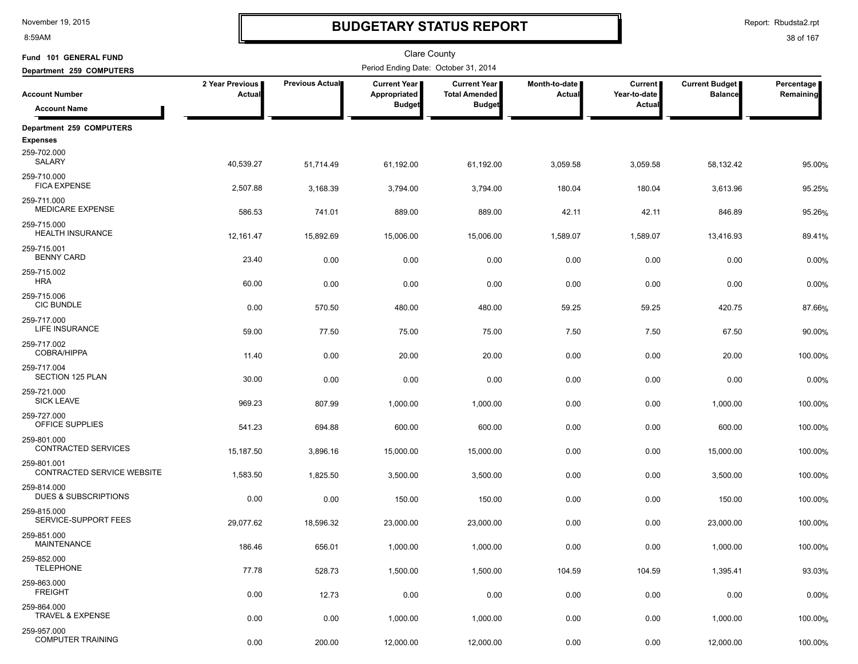8:59AM

# **BUDGETARY STATUS REPORT**

| Fund 101 GENERAL FUND                     |                           |                 | Clare County                          |                                             |                           |                                |                                         |                         |
|-------------------------------------------|---------------------------|-----------------|---------------------------------------|---------------------------------------------|---------------------------|--------------------------------|-----------------------------------------|-------------------------|
| Department 259 COMPUTERS                  |                           |                 | Period Ending Date: October 31, 2014  |                                             |                           |                                |                                         |                         |
| <b>Account Number</b>                     | 2 Year Previous<br>Actual | Previous Actual | <b>Current Year  </b><br>Appropriated | <b>Current Year</b><br><b>Total Amended</b> | Month-to-date  <br>Actual | <b>Current</b><br>Year-to-date | <b>Current Budget</b><br><b>Balance</b> | Percentage<br>Remaining |
| <b>Account Name</b>                       |                           |                 | <b>Budget</b>                         | <b>Budget</b>                               |                           | Actual                         |                                         |                         |
| Department 259 COMPUTERS                  |                           |                 |                                       |                                             |                           |                                |                                         |                         |
| <b>Expenses</b><br>259-702.000<br>SALARY  | 40,539.27                 | 51,714.49       | 61,192.00                             | 61,192.00                                   | 3,059.58                  | 3,059.58                       | 58,132.42                               | 95.00%                  |
| 259-710.000<br><b>FICA EXPENSE</b>        | 2,507.88                  | 3,168.39        | 3,794.00                              | 3,794.00                                    | 180.04                    | 180.04                         | 3,613.96                                | 95.25%                  |
| 259-711.000<br><b>MEDICARE EXPENSE</b>    | 586.53                    | 741.01          | 889.00                                | 889.00                                      | 42.11                     | 42.11                          | 846.89                                  | 95.26%                  |
| 259-715.000<br><b>HEALTH INSURANCE</b>    | 12,161.47                 | 15,892.69       | 15,006.00                             | 15,006.00                                   | 1,589.07                  | 1,589.07                       | 13,416.93                               | 89.41%                  |
| 259-715.001<br><b>BENNY CARD</b>          | 23.40                     | 0.00            | 0.00                                  | 0.00                                        | 0.00                      | 0.00                           | 0.00                                    | 0.00%                   |
| 259-715.002<br><b>HRA</b>                 | 60.00                     | 0.00            | 0.00                                  | 0.00                                        | 0.00                      | 0.00                           | 0.00                                    | 0.00%                   |
| 259-715.006<br><b>CIC BUNDLE</b>          | 0.00                      | 570.50          | 480.00                                | 480.00                                      | 59.25                     | 59.25                          | 420.75                                  | 87.66%                  |
| 259-717.000<br>LIFE INSURANCE             | 59.00                     | 77.50           | 75.00                                 | 75.00                                       | 7.50                      | 7.50                           | 67.50                                   | 90.00%                  |
| 259-717.002<br><b>COBRA/HIPPA</b>         | 11.40                     | 0.00            | 20.00                                 | 20.00                                       | 0.00                      | 0.00                           | 20.00                                   | 100.00%                 |
| 259-717.004<br>SECTION 125 PLAN           | 30.00                     | 0.00            | 0.00                                  | 0.00                                        | 0.00                      | 0.00                           | 0.00                                    | 0.00%                   |
| 259-721.000<br><b>SICK LEAVE</b>          | 969.23                    | 807.99          | 1,000.00                              | 1,000.00                                    | 0.00                      | 0.00                           | 1,000.00                                | 100.00%                 |
| 259-727.000<br>OFFICE SUPPLIES            | 541.23                    | 694.88          | 600.00                                | 600.00                                      | 0.00                      | 0.00                           | 600.00                                  | 100.00%                 |
| 259-801.000<br>CONTRACTED SERVICES        | 15,187.50                 | 3,896.16        | 15,000.00                             | 15,000.00                                   | 0.00                      | 0.00                           | 15,000.00                               | 100.00%                 |
| 259-801.001<br>CONTRACTED SERVICE WEBSITE | 1,583.50                  | 1,825.50        | 3,500.00                              | 3,500.00                                    | 0.00                      | 0.00                           | 3,500.00                                | 100.00%                 |
| 259-814.000<br>DUES & SUBSCRIPTIONS       | 0.00                      | 0.00            | 150.00                                | 150.00                                      | 0.00                      | 0.00                           | 150.00                                  | 100.00%                 |
| 259-815.000<br>SERVICE-SUPPORT FEES       | 29,077.62                 | 18,596.32       | 23,000.00                             | 23,000.00                                   | 0.00                      | 0.00                           | 23,000.00                               | 100.00%                 |
| 259-851.000<br><b>MAINTENANCE</b>         | 186.46                    | 656.01          | 1,000.00                              | 1,000.00                                    | 0.00                      | 0.00                           | 1,000.00                                | 100.00%                 |
| 259-852.000<br><b>TELEPHONE</b>           | 77.78                     | 528.73          | 1,500.00                              | 1,500.00                                    | 104.59                    | 104.59                         | 1,395.41                                | 93.03%                  |
| 259-863.000<br><b>FREIGHT</b>             | 0.00                      | 12.73           | 0.00                                  | 0.00                                        | 0.00                      | 0.00                           | 0.00                                    | 0.00%                   |
| 259-864.000<br>TRAVEL & EXPENSE           | 0.00                      | 0.00            | 1,000.00                              | 1,000.00                                    | 0.00                      | 0.00                           | 1,000.00                                | 100.00%                 |
| 259-957.000<br><b>COMPUTER TRAINING</b>   | 0.00                      | 200.00          | 12,000.00                             | 12,000.00                                   | 0.00                      | 0.00                           | 12,000.00                               | 100.00%                 |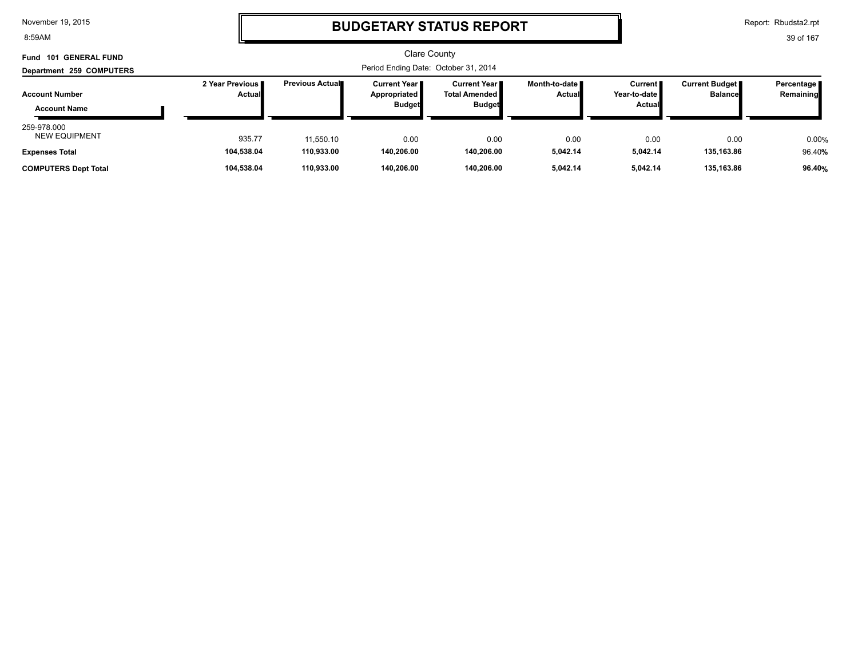8:59AM

### **BUDGETARY STATUS REPORT**

Report: Rbudsta2.rpt

| <b>GENERAL FUND</b><br>Fund 101              |                 |                         | Clare County<br>Period Ending Date: October 31, 2014 |                                |                 |                        |                |           |
|----------------------------------------------|-----------------|-------------------------|------------------------------------------------------|--------------------------------|-----------------|------------------------|----------------|-----------|
| Department 259 COMPUTERS                     | 2 Year Previous | <b>Previous Actual■</b> | <b>Current Year</b>                                  | Current Year II                | Month-to-date ∎ | <b>Current</b>         | Percentage     |           |
| <b>Account Number</b><br><b>Account Name</b> | <b>Actual</b>   |                         | Appropriated<br><b>Budget</b>                        | Total Amended<br><b>Budget</b> | <b>Actual</b>   | Year-to-date<br>Actual | <b>Balance</b> | Remaining |
| 259-978.000<br><b>NEW EQUIPMENT</b>          | 935.77          | 11,550.10               | 0.00                                                 | 0.00                           | 0.00            | 0.00                   | 0.00           | 0.00%     |
| <b>Expenses Total</b>                        | 104.538.04      | 110,933.00              | 140.206.00                                           | 140.206.00                     | 5.042.14        | 5,042.14               | 135,163.86     | 96.40%    |
| <b>COMPUTERS Dept Total</b>                  | 104,538.04      | 110,933.00              | 140,206.00                                           | 140,206.00                     | 5.042.14        | 5.042.14               | 135,163.86     | 96.40%    |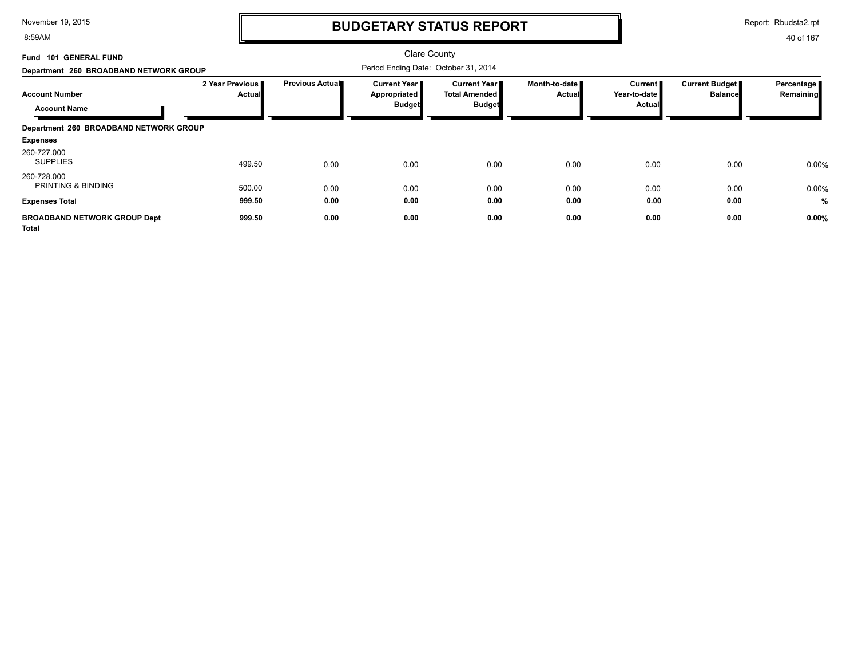8:59AM

# **BUDGETARY STATUS REPORT**

40 of 167 Report: Rbudsta2.rpt

| Fund 101 GENERAL FUND                        |                           |                 | <b>Clare County</b>                                    |                                                                |                                  |                                          |                                  |                         |
|----------------------------------------------|---------------------------|-----------------|--------------------------------------------------------|----------------------------------------------------------------|----------------------------------|------------------------------------------|----------------------------------|-------------------------|
| Department 260 BROADBAND NETWORK GROUP       |                           |                 | Period Ending Date: October 31, 2014                   |                                                                |                                  |                                          |                                  |                         |
| <b>Account Number</b><br><b>Account Name</b> | 2 Year Previous<br>Actual | Previous Actual | <b>Current Year I</b><br>Appropriated<br><b>Budget</b> | <b>Current Year I</b><br><b>Total Amended</b><br><b>Budget</b> | Month-to-date ∎<br><b>Actual</b> | <b>Current</b><br>Year-to-date<br>Actual | Current Budget<br><b>Balance</b> | Percentage<br>Remaining |
| Department 260 BROADBAND NETWORK GROUP       |                           |                 |                                                        |                                                                |                                  |                                          |                                  |                         |
| <b>Expenses</b>                              |                           |                 |                                                        |                                                                |                                  |                                          |                                  |                         |
| 260-727.000<br><b>SUPPLIES</b>               | 499.50                    | 0.00            | 0.00                                                   | 0.00                                                           | 0.00                             | 0.00                                     | 0.00                             | 0.00%                   |
| 260-728.000<br><b>PRINTING &amp; BINDING</b> | 500.00                    | 0.00            | 0.00                                                   | 0.00                                                           | 0.00                             | 0.00                                     | 0.00                             | 0.00%                   |
| <b>Expenses Total</b>                        | 999.50                    | 0.00            | 0.00                                                   | 0.00                                                           | 0.00                             | 0.00                                     | 0.00                             | %                       |
| <b>BROADBAND NETWORK GROUP Dept</b>          | 999.50                    | 0.00            | 0.00                                                   | 0.00                                                           | 0.00                             | 0.00                                     | 0.00                             | 0.00%                   |

**Total**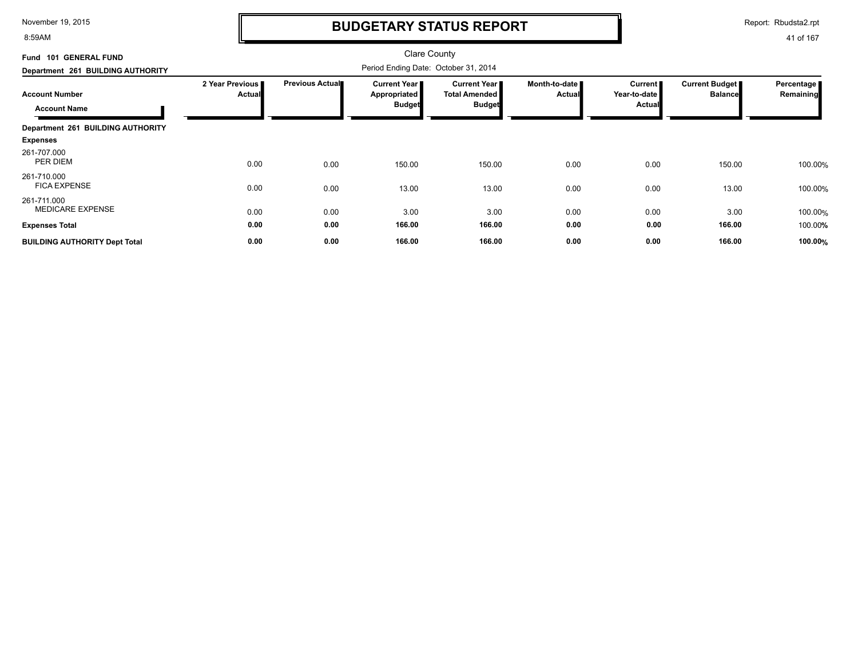8:59AM

### **BUDGETARY STATUS REPORT**

Report: Rbudsta2.rpt

| Fund 101 GENERAL FUND                        |                           |                 | Clare County                                         |                                                              |                                |                                            |                                  |                         |
|----------------------------------------------|---------------------------|-----------------|------------------------------------------------------|--------------------------------------------------------------|--------------------------------|--------------------------------------------|----------------------------------|-------------------------|
| Department 261 BUILDING AUTHORITY            |                           |                 | Period Ending Date: October 31, 2014                 |                                                              |                                |                                            |                                  |                         |
| <b>Account Number</b><br><b>Account Name</b> | 2 Year Previous<br>Actual | Previous Actual | <b>Current Year</b><br>Appropriated<br><b>Budget</b> | <b>Current Year</b><br><b>Total Amended</b><br><b>Budget</b> | Month-to-date<br><b>Actual</b> | Current  <br>Year-to-date<br><b>Actual</b> | Current Budget<br><b>Balance</b> | Percentage<br>Remaining |
| Department 261 BUILDING AUTHORITY            |                           |                 |                                                      |                                                              |                                |                                            |                                  |                         |
| <b>Expenses</b>                              |                           |                 |                                                      |                                                              |                                |                                            |                                  |                         |
| 261-707.000<br>PER DIEM                      | 0.00                      | 0.00            | 150.00                                               | 150.00                                                       | 0.00                           | 0.00                                       | 150.00                           | 100.00%                 |
| 261-710.000<br><b>FICA EXPENSE</b>           | 0.00                      | 0.00            | 13.00                                                | 13.00                                                        | 0.00                           | 0.00                                       | 13.00                            | 100.00%                 |
| 261-711.000<br><b>MEDICARE EXPENSE</b>       | 0.00                      | 0.00            | 3.00                                                 | 3.00                                                         | 0.00                           | 0.00                                       | 3.00                             | 100.00%                 |
| <b>Expenses Total</b>                        | 0.00                      | 0.00            | 166.00                                               | 166.00                                                       | 0.00                           | 0.00                                       | 166.00                           | 100.00%                 |
| <b>BUILDING AUTHORITY Dept Total</b>         | 0.00                      | 0.00            | 166.00                                               | 166.00                                                       | 0.00                           | 0.00                                       | 166.00                           | 100.00%                 |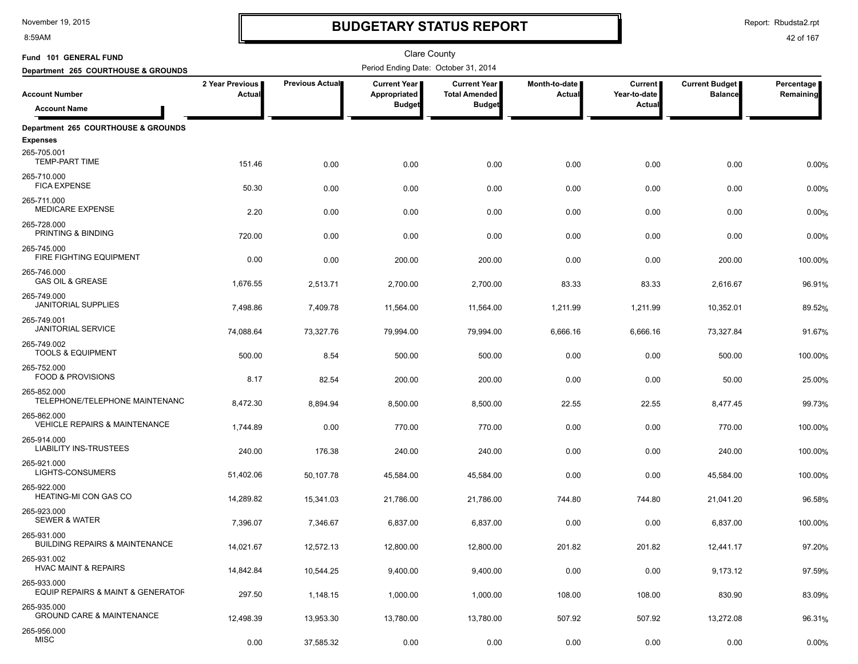8:59AM

# **BUDGETARY STATUS REPORT**

Report: Rbudsta2.rpt

| Fund 101 GENERAL FUND                                    |                           |                        | <b>Clare County</b>                   |                                             |                         |                           |                                         |                         |
|----------------------------------------------------------|---------------------------|------------------------|---------------------------------------|---------------------------------------------|-------------------------|---------------------------|-----------------------------------------|-------------------------|
| Department 265 COURTHOUSE & GROUNDS                      |                           |                        | Period Ending Date: October 31, 2014  |                                             |                         |                           |                                         | Percentage<br>Remaining |
| <b>Account Number</b>                                    | 2 Year Previous<br>Actual | <b>Previous Actual</b> | <b>Current Year I</b><br>Appropriated | <b>Current Year</b><br><b>Total Amended</b> | Month-to-date<br>Actual | Current  <br>Year-to-date | <b>Current Budget</b><br><b>Balance</b> |                         |
| <b>Account Name</b>                                      |                           |                        | <b>Budget</b>                         | <b>Budget</b>                               |                         | Actual                    |                                         |                         |
| Department 265 COURTHOUSE & GROUNDS                      |                           |                        |                                       |                                             |                         |                           |                                         |                         |
| <b>Expenses</b>                                          |                           |                        |                                       |                                             |                         |                           |                                         |                         |
| 265-705.001<br><b>TEMP-PART TIME</b>                     | 151.46                    | 0.00                   | 0.00                                  | 0.00                                        | 0.00                    | 0.00                      | 0.00                                    | 0.00%                   |
| 265-710.000<br><b>FICA EXPENSE</b>                       | 50.30                     | 0.00                   | 0.00                                  | 0.00                                        | 0.00                    | 0.00                      | 0.00                                    | 0.00%                   |
| 265-711.000<br><b>MEDICARE EXPENSE</b>                   | 2.20                      | 0.00                   | 0.00                                  | 0.00                                        | 0.00                    | 0.00                      | 0.00                                    | 0.00%                   |
| 265-728.000<br>PRINTING & BINDING                        | 720.00                    | 0.00                   | 0.00                                  | 0.00                                        | 0.00                    | 0.00                      | 0.00                                    | 0.00%                   |
| 265-745.000<br>FIRE FIGHTING EQUIPMENT                   | 0.00                      | 0.00                   | 200.00                                | 200.00                                      | 0.00                    | 0.00                      | 200.00                                  | 100.00%                 |
| 265-746.000<br><b>GAS OIL &amp; GREASE</b>               | 1,676.55                  | 2,513.71               | 2,700.00                              | 2,700.00                                    | 83.33                   | 83.33                     | 2,616.67                                | 96.91%                  |
| 265-749.000<br><b>JANITORIAL SUPPLIES</b>                | 7,498.86                  | 7,409.78               | 11,564.00                             | 11,564.00                                   | 1,211.99                | 1,211.99                  | 10,352.01                               | 89.52%                  |
| 265-749.001<br><b>JANITORIAL SERVICE</b>                 | 74,088.64                 | 73,327.76              | 79,994.00                             | 79,994.00                                   | 6,666.16                | 6,666.16                  | 73,327.84                               | 91.67%                  |
| 265-749.002<br><b>TOOLS &amp; EQUIPMENT</b>              | 500.00                    | 8.54                   | 500.00                                | 500.00                                      | 0.00                    | 0.00                      | 500.00                                  | 100.00%                 |
| 265-752.000<br><b>FOOD &amp; PROVISIONS</b>              | 8.17                      | 82.54                  | 200.00                                | 200.00                                      | 0.00                    | 0.00                      | 50.00                                   | 25.00%                  |
| 265-852.000<br>TELEPHONE/TELEPHONE MAINTENANC            | 8,472.30                  | 8,894.94               | 8,500.00                              | 8,500.00                                    | 22.55                   | 22.55                     | 8,477.45                                | 99.73%                  |
| 265-862.000<br><b>VEHICLE REPAIRS &amp; MAINTENANCE</b>  | 1,744.89                  | 0.00                   | 770.00                                | 770.00                                      | 0.00                    | 0.00                      | 770.00                                  | 100.00%                 |
| 265-914.000<br><b>LIABILITY INS-TRUSTEES</b>             | 240.00                    | 176.38                 | 240.00                                | 240.00                                      | 0.00                    | 0.00                      | 240.00                                  | 100.00%                 |
| 265-921.000<br>LIGHTS-CONSUMERS                          | 51,402.06                 | 50,107.78              | 45,584.00                             | 45,584.00                                   | 0.00                    | 0.00                      | 45,584.00                               | 100.00%                 |
| 265-922.000<br>HEATING-MI CON GAS CO                     | 14,289.82                 | 15,341.03              | 21,786.00                             | 21,786.00                                   | 744.80                  | 744.80                    | 21,041.20                               | 96.58%                  |
| 265-923.000<br><b>SEWER &amp; WATER</b>                  | 7,396.07                  | 7,346.67               | 6,837.00                              | 6,837.00                                    | 0.00                    | 0.00                      | 6,837.00                                | 100.00%                 |
| 265-931.000<br><b>BUILDING REPAIRS &amp; MAINTENANCE</b> | 14,021.67                 | 12,572.13              | 12,800.00                             | 12,800.00                                   | 201.82                  | 201.82                    | 12,441.17                               | 97.20%                  |
| 265-931.002<br><b>HVAC MAINT &amp; REPAIRS</b>           | 14,842.84                 | 10,544.25              | 9,400.00                              | 9,400.00                                    | 0.00                    | 0.00                      | 9,173.12                                | 97.59%                  |
| 265-933.000<br>EQUIP REPAIRS & MAINT & GENERATOF         | 297.50                    | 1,148.15               | 1,000.00                              | 1,000.00                                    | 108.00                  | 108.00                    | 830.90                                  | 83.09%                  |
| 265-935.000<br><b>GROUND CARE &amp; MAINTENANCE</b>      | 12,498.39                 | 13,953.30              | 13,780.00                             | 13,780.00                                   | 507.92                  | 507.92                    | 13,272.08                               | 96.31%                  |
| 265-956.000<br><b>MISC</b>                               | 0.00                      | 37,585.32              | 0.00                                  | 0.00                                        | 0.00                    | 0.00                      | 0.00                                    | 0.00%                   |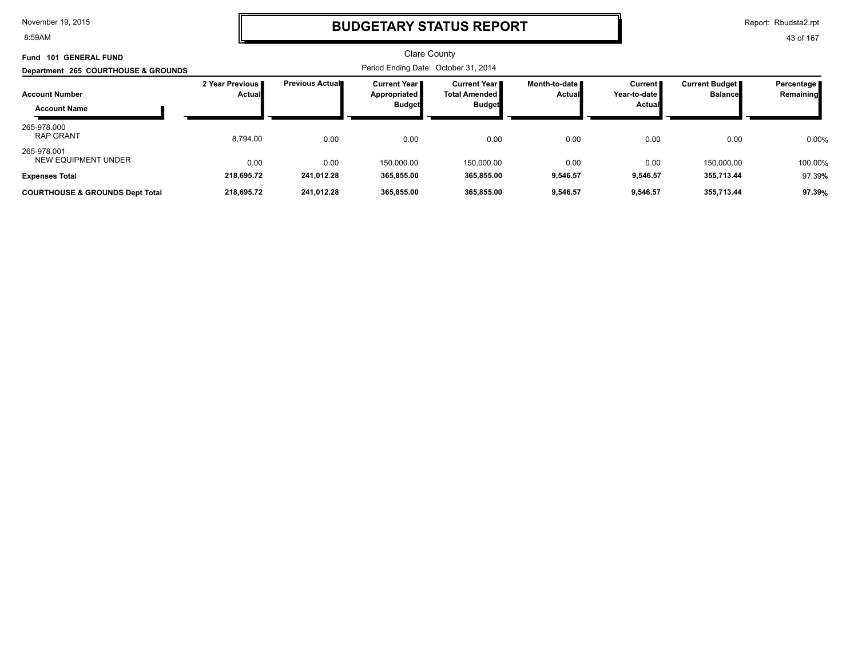8:59AM

# **BUDGETARY STATUS REPORT**

Report: Rbudsta2.rpt

43 of 167

#### Clare County Period Ending Date: October 31, 2014 **Account Number Department 265 COURTHOUSE & GROUNDS Fund 101 GENERAL FUND 2 Year Previous Actual Previous Actual Current Year Appropriated Budget Current Year Total Amended Budget Month-to-date Actual Current Year-to-date Actual Current Budget Balance Percentage Remaining Account Name** 8,794.00 0.00 0.00 RAP GRANT % 265-978.000<br>RAP GRANT 0.00 0.00 0.00 0.00 0.00 0.00 0.00 150,000.00 NEW EQUIPMENT UNDER % 265-978.001<br>NEW EQUIPMENT UNDER 150,000.00 0.00 0.00 150,000.00 100.00 **Expenses Total 218,695.72 241,012.28 365,855.00 365,855.00 9,546.57 9,546.57 355,713.44** 97.39**% COURTHOUSE & GROUNDS Dept Total 218,695.72 241,012.28 365,855.00 365,855.00 9,546.57 9,546.57 355,713.44 97.39%**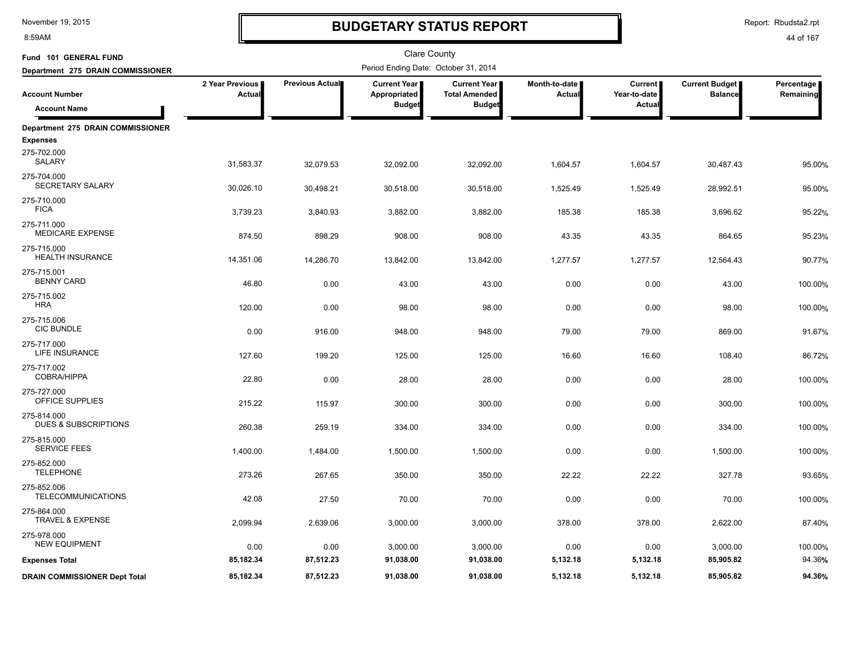8:59AM

# **BUDGETARY STATUS REPORT**

Report: Rbudsta2.rpt

| Fund 101 GENERAL FUND                          |                           |                 | Clare County                                         |                                                              |                                |                                          |                                         |                         |
|------------------------------------------------|---------------------------|-----------------|------------------------------------------------------|--------------------------------------------------------------|--------------------------------|------------------------------------------|-----------------------------------------|-------------------------|
| Department 275 DRAIN COMMISSIONER              |                           |                 | Period Ending Date: October 31, 2014                 |                                                              |                                |                                          |                                         |                         |
| <b>Account Number</b><br><b>Account Name</b>   | 2 Year Previous<br>Actual | Previous Actual | <b>Current Year</b><br>Appropriated<br><b>Budget</b> | <b>Current Year</b><br><b>Total Amended</b><br><b>Budget</b> | Month-to-date<br><b>Actual</b> | <b>Current</b><br>Year-to-date<br>Actual | <b>Current Budget</b><br><b>Balance</b> | Percentage<br>Remaining |
| Department 275 DRAIN COMMISSIONER              |                           |                 |                                                      |                                                              |                                |                                          |                                         |                         |
| <b>Expenses</b>                                |                           |                 |                                                      |                                                              |                                |                                          |                                         |                         |
| 275-702.000<br>SALARY                          | 31,583.37                 | 32,079.53       | 32,092.00                                            | 32,092.00                                                    | 1,604.57                       | 1,604.57                                 | 30,487.43                               | 95.00%                  |
| 275-704.000<br>SECRETARY SALARY                | 30,026.10                 | 30,498.21       | 30,518.00                                            | 30,518.00                                                    | 1,525.49                       | 1,525.49                                 | 28,992.51                               | 95.00%                  |
| 275-710.000<br><b>FICA</b>                     | 3,739.23                  | 3,840.93        | 3,882.00                                             | 3,882.00                                                     | 185.38                         | 185.38                                   | 3,696.62                                | 95.22%                  |
| 275-711.000<br><b>MEDICARE EXPENSE</b>         | 874.50                    | 898.29          | 908.00                                               | 908.00                                                       | 43.35                          | 43.35                                    | 864.65                                  | 95.23%                  |
| 275-715.000<br><b>HEALTH INSURANCE</b>         | 14,351.06                 | 14,286.70       | 13,842.00                                            | 13,842.00                                                    | 1,277.57                       | 1,277.57                                 | 12,564.43                               | 90.77%                  |
| 275-715.001<br><b>BENNY CARD</b>               | 46.80                     | 0.00            | 43.00                                                | 43.00                                                        | 0.00                           | 0.00                                     | 43.00                                   | 100.00%                 |
| 275-715.002<br><b>HRA</b>                      | 120.00                    | 0.00            | 98.00                                                | 98.00                                                        | 0.00                           | 0.00                                     | 98.00                                   | 100.00%                 |
| 275-715.006<br><b>CIC BUNDLE</b>               | 0.00                      | 916.00          | 948.00                                               | 948.00                                                       | 79.00                          | 79.00                                    | 869.00                                  | 91.67%                  |
| 275-717.000<br>LIFE INSURANCE                  | 127.60                    | 199.20          | 125.00                                               | 125.00                                                       | 16.60                          | 16.60                                    | 108.40                                  | 86.72%                  |
| 275-717.002<br>COBRA/HIPPA                     | 22.80                     | 0.00            | 28.00                                                | 28.00                                                        | 0.00                           | 0.00                                     | 28.00                                   | 100.00%                 |
| 275-727.000<br>OFFICE SUPPLIES                 | 215.22                    | 115.97          | 300.00                                               | 300.00                                                       | 0.00                           | 0.00                                     | 300.00                                  | 100.00%                 |
| 275-814.000<br><b>DUES &amp; SUBSCRIPTIONS</b> | 260.38                    | 259.19          | 334.00                                               | 334.00                                                       | 0.00                           | 0.00                                     | 334.00                                  | 100.00%                 |
| 275-815.000<br><b>SERVICE FEES</b>             | 1,400.00                  | 1,484.00        | 1,500.00                                             | 1,500.00                                                     | 0.00                           | 0.00                                     | 1,500.00                                | 100.00%                 |
| 275-852.000<br><b>TELEPHONE</b>                | 273.26                    | 267.65          | 350.00                                               | 350.00                                                       | 22.22                          | 22.22                                    | 327.78                                  | 93.65%                  |
| 275-852.006<br><b>TELECOMMUNICATIONS</b>       | 42.08                     | 27.50           | 70.00                                                | 70.00                                                        | 0.00                           | 0.00                                     | 70.00                                   | 100.00%                 |
| 275-864.000<br><b>TRAVEL &amp; EXPENSE</b>     | 2,099.94                  | 2,639.06        | 3,000.00                                             | 3,000.00                                                     | 378.00                         | 378.00                                   | 2,622.00                                | 87.40%                  |
| 275-978.000<br><b>NEW EQUIPMENT</b>            | 0.00                      | 0.00            | 3,000.00                                             | 3,000.00                                                     | 0.00                           | 0.00                                     | 3,000.00                                | 100.00%                 |
| <b>Expenses Total</b>                          | 85,182.34                 | 87,512.23       | 91,038.00                                            | 91,038.00                                                    | 5,132.18                       | 5,132.18                                 | 85,905.82                               | 94.36%                  |
| <b>DRAIN COMMISSIONER Dept Total</b>           | 85,182.34                 | 87,512.23       | 91,038.00                                            | 91,038.00                                                    | 5,132.18                       | 5,132.18                                 | 85,905.82                               | 94.36%                  |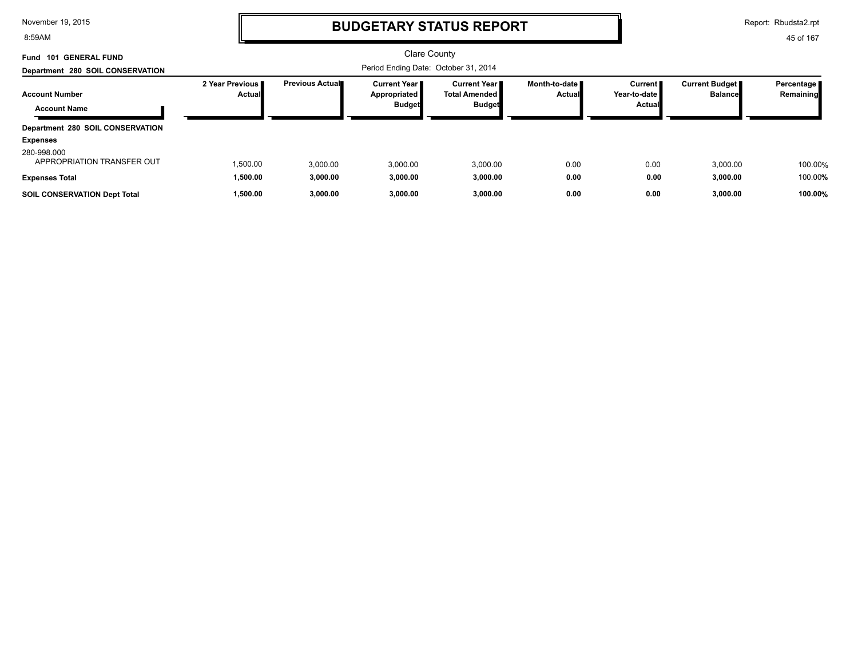8:59AM

### **BUDGETARY STATUS REPORT**

Report: Rbudsta2.rpt

| Fund 101 GENERAL FUND<br>Department 280 SOIL CONSERVATION          |                              |                        | Clare County<br>Period Ending Date: October 31, 2014          |                                                                 |                                  |                                          |                                         |                           |
|--------------------------------------------------------------------|------------------------------|------------------------|---------------------------------------------------------------|-----------------------------------------------------------------|----------------------------------|------------------------------------------|-----------------------------------------|---------------------------|
| <b>Account Number</b><br><b>Account Name</b>                       | 2 Year Previous II<br>Actual | <b>Previous Actual</b> | <b>Current Year I</b><br><b>Appropriated</b><br><b>Budget</b> | <b>Current Year II</b><br><b>Total Amended</b><br><b>Budget</b> | Month-to-date ■<br><b>Actual</b> | <b>Current</b><br>Year-to-date<br>Actual | <b>Current Budget</b><br><b>Balance</b> | Percentage  <br>Remaining |
| Department 280 SOIL CONSERVATION<br><b>Expenses</b>                |                              |                        |                                                               |                                                                 |                                  |                                          |                                         |                           |
| 280-998.000<br>APPROPRIATION TRANSFER OUT<br><b>Expenses Total</b> | 1,500.00<br>1,500.00         | 3.000.00<br>3,000.00   | 3,000.00<br>3,000.00                                          | 3,000.00<br>3,000.00                                            | 0.00<br>0.00                     | 0.00<br>0.00                             | 3,000.00<br>3,000.00                    | 100.00%<br>100.00%        |
| <b>SOIL CONSERVATION Dept Total</b>                                | 1,500.00                     | 3,000.00               | 3,000.00                                                      | 3,000.00                                                        | 0.00                             | 0.00                                     | 3,000.00                                | 100.00%                   |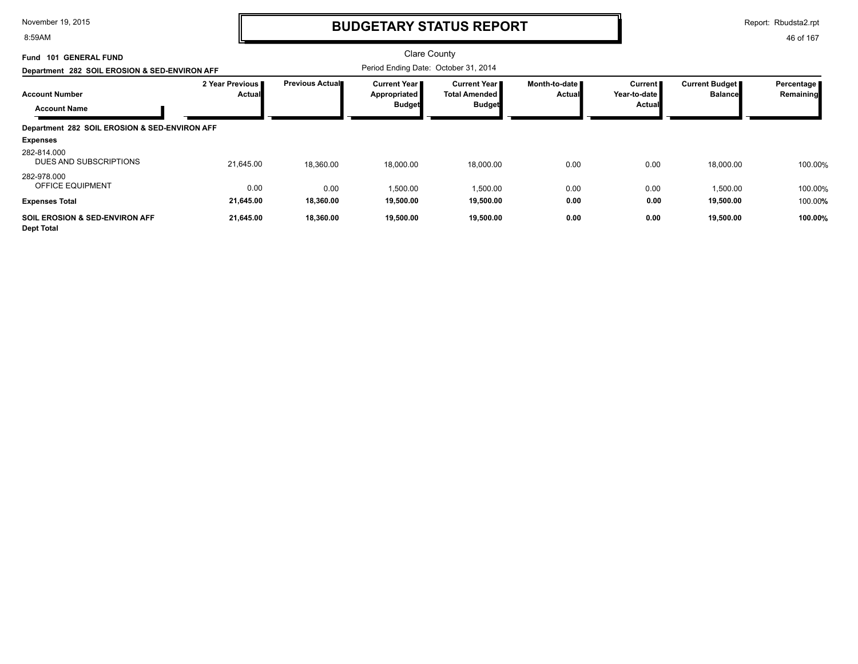8:59AM

### **BUDGETARY STATUS REPORT**

Report: Rbudsta2.rpt

| <b>GENERAL FUND</b><br>101<br>Fund                             |                           |                        | Clare County                                           |                                                          |                                |                                            |                                         |                         |
|----------------------------------------------------------------|---------------------------|------------------------|--------------------------------------------------------|----------------------------------------------------------|--------------------------------|--------------------------------------------|-----------------------------------------|-------------------------|
| Department 282 SOIL EROSION & SED-ENVIRON AFF                  |                           |                        | Period Ending Date: October 31, 2014                   |                                                          |                                |                                            |                                         |                         |
| <b>Account Number</b><br><b>Account Name</b>                   | 2 Year Previous<br>Actual | <b>Previous Actual</b> | <b>Current Year I</b><br>Appropriated<br><b>Budget</b> | Current Year II<br><b>Total Amended</b><br><b>Budget</b> | Month-to-date<br><b>Actual</b> | Current <b>F</b><br>Year-to-date<br>Actual | <b>Current Budget</b><br><b>Balance</b> | Percentage<br>Remaining |
| Department 282 SOIL EROSION & SED-ENVIRON AFF                  |                           |                        |                                                        |                                                          |                                |                                            |                                         |                         |
| <b>Expenses</b>                                                |                           |                        |                                                        |                                                          |                                |                                            |                                         |                         |
| 282-814.000<br>DUES AND SUBSCRIPTIONS                          | 21,645.00                 | 18,360.00              | 18,000.00                                              | 18,000.00                                                | 0.00                           | 0.00                                       | 18,000.00                               | 100.00%                 |
| 282-978.000<br><b>OFFICE EQUIPMENT</b>                         | 0.00                      | 0.00                   | 1,500.00                                               | 1,500.00                                                 | 0.00                           | 0.00                                       | 1,500.00                                | 100.00%                 |
| <b>Expenses Total</b>                                          | 21,645.00                 | 18,360.00              | 19,500.00                                              | 19,500.00                                                | 0.00                           | 0.00                                       | 19,500.00                               | 100.00%                 |
| <b>SOIL EROSION &amp; SED-ENVIRON AFF</b><br><b>Dept Total</b> | 21,645.00                 | 18,360.00              | 19,500.00                                              | 19,500.00                                                | 0.00                           | 0.00                                       | 19,500.00                               | 100.00%                 |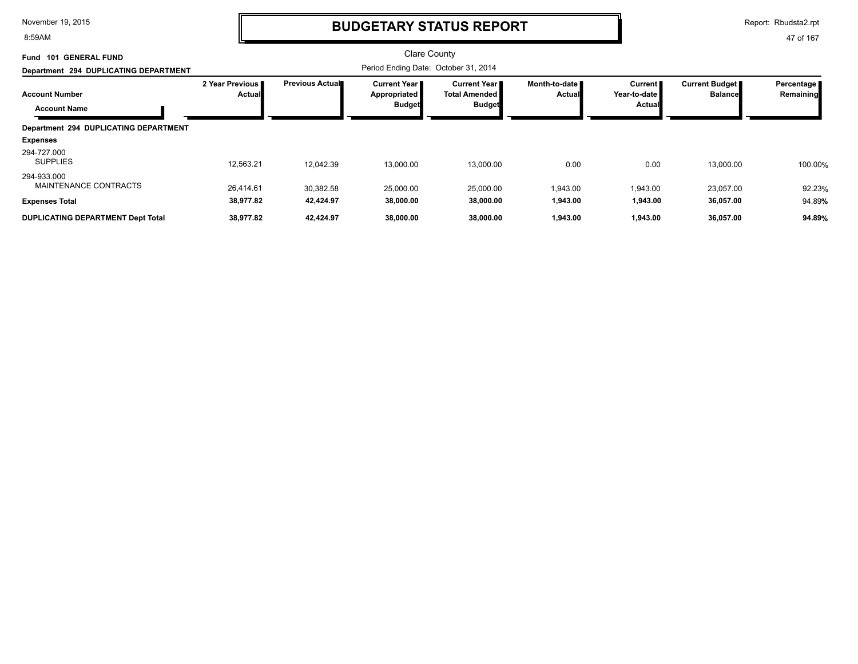8:59AM

### **BUDGETARY STATUS REPORT**

Report: Rbudsta2.rpt

| 101 GENERAL FUND<br>Fund                     |                           |                        | Clare County                                           |                                                         |                                |                                              |                                  |                           |
|----------------------------------------------|---------------------------|------------------------|--------------------------------------------------------|---------------------------------------------------------|--------------------------------|----------------------------------------------|----------------------------------|---------------------------|
| Department 294 DUPLICATING DEPARTMENT        |                           |                        | Period Ending Date: October 31, 2014                   |                                                         |                                |                                              |                                  |                           |
| <b>Account Number</b><br><b>Account Name</b> | 2 Year Previous<br>Actual | <b>Previous Actual</b> | <b>Current Year I</b><br>Appropriated<br><b>Budget</b> | Current Year I<br><b>Total Amended</b><br><b>Budget</b> | Month-to-date<br><b>Actual</b> | Current  <br>Year-to-date I<br><b>Actual</b> | Current Budget<br><b>Balance</b> | Percentage  <br>Remaining |
| Department 294 DUPLICATING DEPARTMENT        |                           |                        |                                                        |                                                         |                                |                                              |                                  |                           |
| <b>Expenses</b>                              |                           |                        |                                                        |                                                         |                                |                                              |                                  |                           |
| 294-727.000<br><b>SUPPLIES</b>               | 12,563.21                 | 12.042.39              | 13,000.00                                              | 13.000.00                                               | 0.00                           | 0.00                                         | 13,000.00                        | 100.00%                   |
| 294-933.000<br>MAINTENANCE CONTRACTS         | 26.414.61                 | 30,382.58              | 25,000.00                                              | 25,000.00                                               | 1,943.00                       | 1,943.00                                     | 23,057.00                        | 92.23%                    |
| <b>Expenses Total</b>                        | 38,977.82                 | 42,424.97              | 38,000.00                                              | 38,000.00                                               | 1,943.00                       | 1,943.00                                     | 36,057.00                        | 94.89%                    |
| <b>DUPLICATING DEPARTMENT Dept Total</b>     | 38,977.82                 | 42,424.97              | 38,000.00                                              | 38,000.00                                               | 1,943.00                       | 1,943.00                                     | 36,057.00                        | 94.89%                    |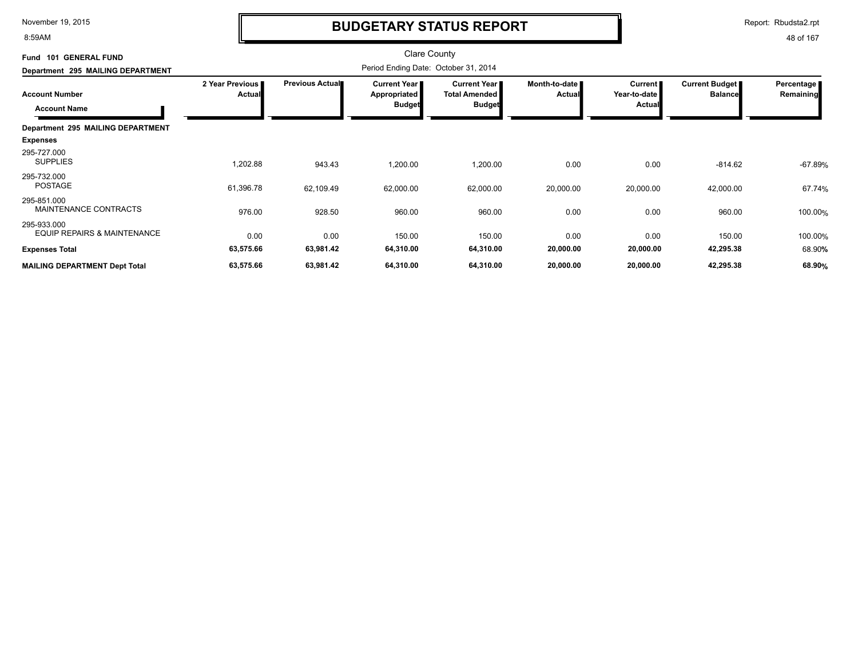8:59AM

# **BUDGETARY STATUS REPORT**

Report: Rbudsta2.rpt

| Fund 101 GENERAL FUND                                 |                           |                        | <b>Clare County</b>                  |                                               |                                |                                |                                         |                         |
|-------------------------------------------------------|---------------------------|------------------------|--------------------------------------|-----------------------------------------------|--------------------------------|--------------------------------|-----------------------------------------|-------------------------|
| Department 295 MAILING DEPARTMENT                     |                           |                        | Period Ending Date: October 31, 2014 |                                               |                                |                                |                                         |                         |
| <b>Account Number</b>                                 | 2 Year Previous<br>Actual | <b>Previous Actual</b> | <b>Current Year</b><br>Appropriated  | <b>Current Year I</b><br><b>Total Amended</b> | Month-to-date<br><b>Actual</b> | <b>Current</b><br>Year-to-date | <b>Current Budget</b><br><b>Balance</b> | Percentage<br>Remaining |
| <b>Account Name</b>                                   |                           |                        | <b>Budget</b>                        | <b>Budget</b>                                 |                                | <b>Actual</b>                  |                                         |                         |
| Department 295 MAILING DEPARTMENT                     |                           |                        |                                      |                                               |                                |                                |                                         |                         |
| <b>Expenses</b>                                       |                           |                        |                                      |                                               |                                |                                |                                         |                         |
| 295-727.000<br><b>SUPPLIES</b>                        | 1,202.88                  | 943.43                 | 1,200.00                             | 1,200.00                                      | 0.00                           | 0.00                           | $-814.62$                               | $-67.89%$               |
| 295-732.000<br><b>POSTAGE</b>                         | 61,396.78                 | 62,109.49              | 62,000.00                            | 62,000.00                                     | 20,000.00                      | 20,000.00                      | 42,000.00                               | 67.74%                  |
| 295-851.000<br><b>MAINTENANCE CONTRACTS</b>           | 976.00                    | 928.50                 | 960.00                               | 960.00                                        | 0.00                           | 0.00                           | 960.00                                  | 100.00%                 |
| 295-933.000<br><b>EQUIP REPAIRS &amp; MAINTENANCE</b> | 0.00                      | 0.00                   | 150.00                               | 150.00                                        | 0.00                           | 0.00                           | 150.00                                  | 100.00%                 |
| <b>Expenses Total</b>                                 | 63,575.66                 | 63,981.42              | 64,310.00                            | 64,310.00                                     | 20,000.00                      | 20,000.00                      | 42,295.38                               | 68.90%                  |
| <b>MAILING DEPARTMENT Dept Total</b>                  | 63,575.66                 | 63,981.42              | 64,310.00                            | 64,310.00                                     | 20,000.00                      | 20,000.00                      | 42,295.38                               | 68.90%                  |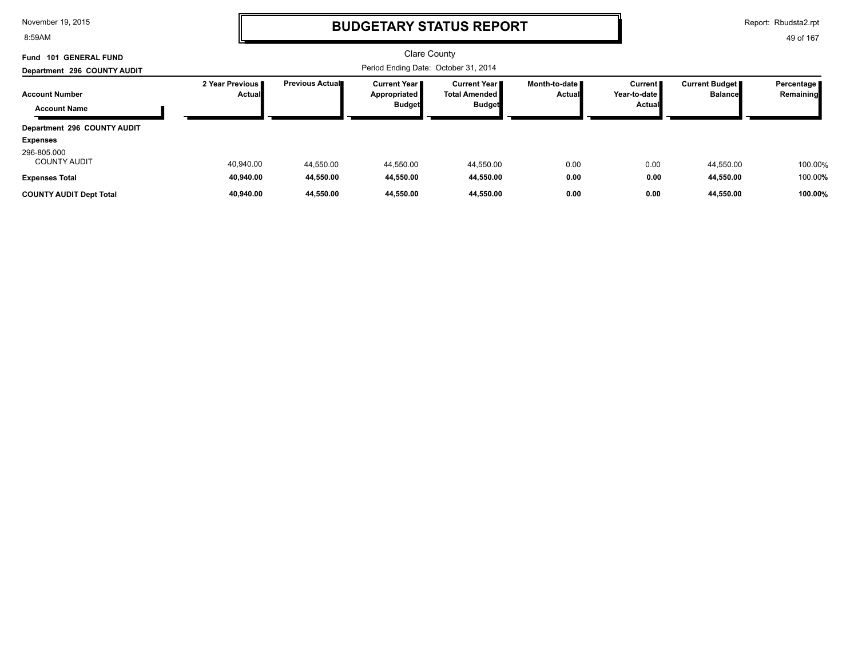8:59AM

### **BUDGETARY STATUS REPORT**

Report: Rbudsta2.rpt

| <b>101 GENERAL FUND</b><br>Fund              |                             |                                      | <b>Clare County</b>                                    |                                                          |                                         |                                             |                                  |                           |
|----------------------------------------------|-----------------------------|--------------------------------------|--------------------------------------------------------|----------------------------------------------------------|-----------------------------------------|---------------------------------------------|----------------------------------|---------------------------|
| Department 296 COUNTY AUDIT                  |                             | Period Ending Date: October 31, 2014 |                                                        |                                                          |                                         |                                             |                                  |                           |
| <b>Account Number</b><br><b>Account Name</b> | 2 Year Previous I<br>Actual | Previous Actual                      | <b>Current Year I</b><br>Appropriated<br><b>Budget</b> | Current Year II<br><b>Total Amended</b><br><b>Budget</b> | Month-to-date <b>I</b><br><b>Actual</b> | <b>Current II</b><br>Year-to-date<br>Actual | Current Budget<br><b>Balance</b> | Percentage  <br>Remaining |
| Department 296 COUNTY AUDIT                  |                             |                                      |                                                        |                                                          |                                         |                                             |                                  |                           |
| <b>Expenses</b>                              |                             |                                      |                                                        |                                                          |                                         |                                             |                                  |                           |
| 296-805.000<br><b>COUNTY AUDIT</b>           | 40.940.00                   | 44,550.00                            | 44,550.00                                              | 44,550.00                                                | 0.00                                    | 0.00                                        | 44.550.00                        | 100.00%                   |
| <b>Expenses Total</b>                        | 40,940.00                   | 44,550.00                            | 44,550.00                                              | 44,550.00                                                | 0.00                                    | 0.00                                        | 44,550.00                        | 100.00%                   |
| <b>COUNTY AUDIT Dept Total</b>               | 40.940.00                   | 44.550.00                            | 44.550.00                                              | 44.550.00                                                | 0.00                                    | 0.00                                        | 44.550.00                        | 100.00%                   |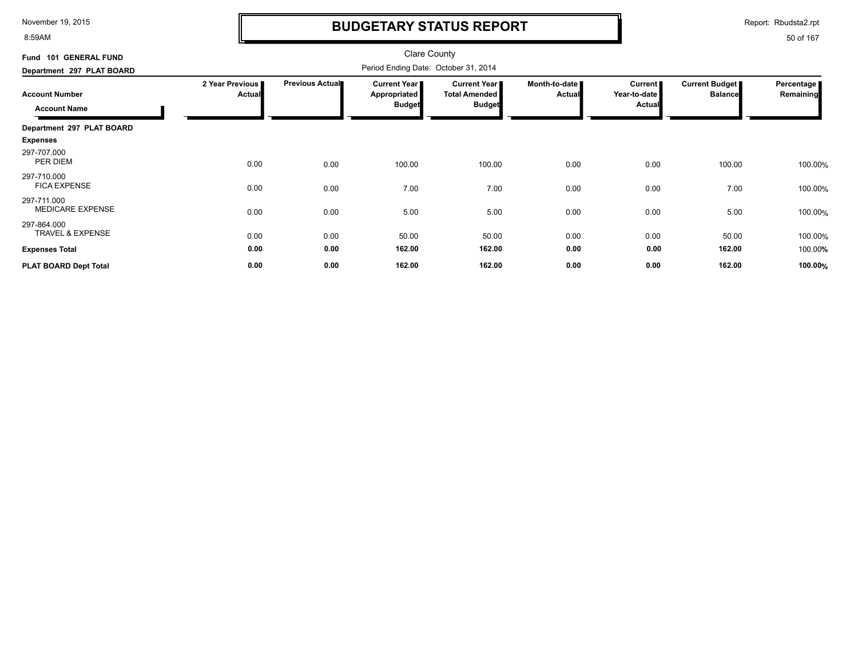8:59AM

# **BUDGETARY STATUS REPORT**

Report: Rbudsta2.rpt

| Fund 101 GENERAL FUND                      |                                  |                        | Clare County                         |                                               |                                |                           |                                  |                         |
|--------------------------------------------|----------------------------------|------------------------|--------------------------------------|-----------------------------------------------|--------------------------------|---------------------------|----------------------------------|-------------------------|
| Department 297 PLAT BOARD                  |                                  |                        | Period Ending Date: October 31, 2014 |                                               |                                |                           |                                  |                         |
| <b>Account Number</b>                      | 2 Year Previous<br><b>Actual</b> | <b>Previous Actual</b> | Current Year<br>Appropriated         | <b>Current Year I</b><br><b>Total Amended</b> | Month-to-date<br><b>Actual</b> | Current  <br>Year-to-date | Current Budget<br><b>Balance</b> | Percentage<br>Remaining |
| <b>Account Name</b>                        |                                  |                        | <b>Budget</b>                        | <b>Budget</b>                                 |                                | <b>Actual</b>             |                                  |                         |
| Department 297 PLAT BOARD                  |                                  |                        |                                      |                                               |                                |                           |                                  |                         |
| <b>Expenses</b>                            |                                  |                        |                                      |                                               |                                |                           |                                  |                         |
| 297-707.000<br>PER DIEM                    | 0.00                             | 0.00                   | 100.00                               | 100.00                                        | 0.00                           | 0.00                      | 100.00                           | 100.00%                 |
| 297-710.000<br><b>FICA EXPENSE</b>         | 0.00                             | 0.00                   | 7.00                                 | 7.00                                          | 0.00                           | 0.00                      | 7.00                             | 100.00%                 |
| 297-711.000<br><b>MEDICARE EXPENSE</b>     | 0.00                             | 0.00                   | 5.00                                 | 5.00                                          | 0.00                           | 0.00                      | 5.00                             | 100.00%                 |
| 297-864.000<br><b>TRAVEL &amp; EXPENSE</b> | 0.00                             | 0.00                   | 50.00                                | 50.00                                         | 0.00                           | 0.00                      | 50.00                            | 100.00%                 |
| <b>Expenses Total</b>                      | 0.00                             | 0.00                   | 162.00                               | 162.00                                        | 0.00                           | 0.00                      | 162.00                           | 100.00%                 |
| PLAT BOARD Dept Total                      | 0.00                             | 0.00                   | 162.00                               | 162.00                                        | 0.00                           | 0.00                      | 162.00                           | 100.00%                 |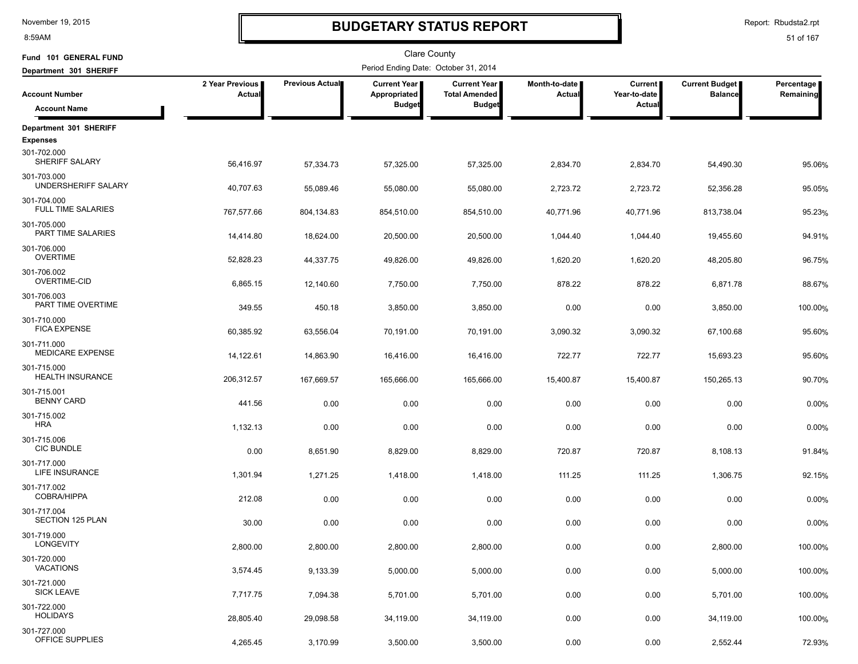8:59AM

# **BUDGETARY STATUS REPORT**

Report: Rbudsta2.rpt

| Fund 101 GENERAL FUND                    |                           |                 | <b>Clare County</b>                                    |                                                              |                                  |                                          |                                  |                         |
|------------------------------------------|---------------------------|-----------------|--------------------------------------------------------|--------------------------------------------------------------|----------------------------------|------------------------------------------|----------------------------------|-------------------------|
| Department 301 SHERIFF                   |                           |                 | Period Ending Date: October 31, 2014                   |                                                              |                                  |                                          |                                  |                         |
| <b>Account Number</b>                    | 2 Year Previous<br>Actual | Previous Actual | <b>Current Year I</b><br>Appropriated<br><b>Budget</b> | <b>Current Year</b><br><b>Total Amended</b><br><b>Budget</b> | Month-to-date  <br><b>Actual</b> | <b>Current</b><br>Year-to-date<br>Actual | Current Budget<br><b>Balance</b> | Percentage<br>Remaining |
| <b>Account Name</b>                      |                           |                 |                                                        |                                                              |                                  |                                          |                                  |                         |
| Department 301 SHERIFF                   |                           |                 |                                                        |                                                              |                                  |                                          |                                  |                         |
| <b>Expenses</b>                          |                           |                 |                                                        |                                                              |                                  |                                          |                                  |                         |
| 301-702.000<br>SHERIFF SALARY            | 56,416.97                 | 57,334.73       | 57,325.00                                              | 57,325.00                                                    | 2,834.70                         | 2,834.70                                 | 54,490.30                        | 95.06%                  |
| 301-703.000<br>UNDERSHERIFF SALARY       | 40,707.63                 | 55,089.46       | 55,080.00                                              | 55,080.00                                                    | 2,723.72                         | 2,723.72                                 | 52,356.28                        | 95.05%                  |
| 301-704.000<br><b>FULL TIME SALARIES</b> | 767,577.66                | 804,134.83      | 854,510.00                                             | 854,510.00                                                   | 40,771.96                        | 40,771.96                                | 813,738.04                       | 95.23%                  |
| 301-705.000<br>PART TIME SALARIES        | 14,414.80                 | 18,624.00       | 20,500.00                                              | 20,500.00                                                    | 1,044.40                         | 1,044.40                                 | 19,455.60                        | 94.91%                  |
| 301-706.000<br><b>OVERTIME</b>           | 52,828.23                 | 44,337.75       | 49,826.00                                              | 49,826.00                                                    | 1,620.20                         | 1,620.20                                 | 48,205.80                        | 96.75%                  |
| 301-706.002<br><b>OVERTIME-CID</b>       | 6,865.15                  | 12,140.60       | 7,750.00                                               | 7,750.00                                                     | 878.22                           | 878.22                                   | 6,871.78                         | 88.67%                  |
| 301-706.003<br>PART TIME OVERTIME        | 349.55                    | 450.18          | 3,850.00                                               | 3,850.00                                                     | 0.00                             | 0.00                                     | 3,850.00                         | 100.00%                 |
| 301-710.000<br><b>FICA EXPENSE</b>       | 60,385.92                 | 63,556.04       | 70,191.00                                              | 70,191.00                                                    | 3,090.32                         | 3,090.32                                 | 67,100.68                        | 95.60%                  |
| 301-711.000<br><b>MEDICARE EXPENSE</b>   | 14,122.61                 | 14,863.90       | 16,416.00                                              | 16,416.00                                                    | 722.77                           | 722.77                                   | 15,693.23                        | 95.60%                  |
| 301-715.000<br><b>HEALTH INSURANCE</b>   | 206,312.57                | 167,669.57      | 165,666.00                                             | 165,666.00                                                   | 15,400.87                        | 15,400.87                                | 150,265.13                       | 90.70%                  |
| 301-715.001<br><b>BENNY CARD</b>         | 441.56                    | 0.00            | 0.00                                                   | 0.00                                                         | 0.00                             | 0.00                                     | 0.00                             | 0.00%                   |
| 301-715.002<br><b>HRA</b>                | 1,132.13                  | 0.00            | 0.00                                                   | 0.00                                                         | 0.00                             | 0.00                                     | 0.00                             | 0.00%                   |
| 301-715.006<br><b>CIC BUNDLE</b>         | 0.00                      | 8,651.90        | 8,829.00                                               | 8,829.00                                                     | 720.87                           | 720.87                                   | 8,108.13                         | 91.84%                  |
| 301-717.000<br>LIFE INSURANCE            | 1,301.94                  | 1,271.25        | 1,418.00                                               | 1,418.00                                                     | 111.25                           | 111.25                                   | 1,306.75                         | 92.15%                  |
| 301-717.002<br>COBRA/HIPPA               | 212.08                    | 0.00            | 0.00                                                   | 0.00                                                         | 0.00                             | 0.00                                     | 0.00                             | 0.00%                   |
| 301-717.004<br>SECTION 125 PLAN          | 30.00                     | 0.00            | 0.00                                                   | 0.00                                                         | 0.00                             | 0.00                                     | 0.00                             | 0.00%                   |
| 301-719.000<br><b>LONGEVITY</b>          | 2,800.00                  | 2,800.00        | 2,800.00                                               | 2,800.00                                                     | 0.00                             | 0.00                                     | 2,800.00                         | 100.00%                 |
| 301-720.000<br><b>VACATIONS</b>          | 3,574.45                  | 9,133.39        | 5,000.00                                               | 5,000.00                                                     | 0.00                             | 0.00                                     | 5,000.00                         | 100.00%                 |
| 301-721.000<br><b>SICK LEAVE</b>         | 7,717.75                  | 7,094.38        | 5,701.00                                               | 5,701.00                                                     | 0.00                             | 0.00                                     | 5,701.00                         | 100.00%                 |
| 301-722.000<br><b>HOLIDAYS</b>           | 28,805.40                 | 29,098.58       | 34,119.00                                              | 34,119.00                                                    | 0.00                             | 0.00                                     | 34,119.00                        | 100.00%                 |
| 301-727.000<br>OFFICE SUPPLIES           | 4,265.45                  | 3,170.99        | 3,500.00                                               | 3,500.00                                                     | 0.00                             | 0.00                                     | 2,552.44                         | 72.93%                  |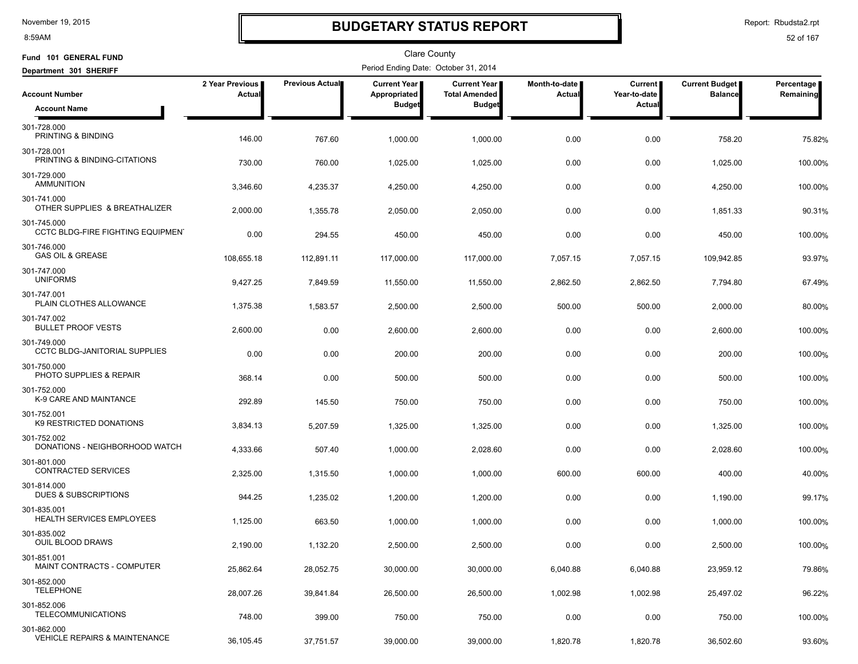8:59AM

### **BUDGETARY STATUS REPORT**

Report: Rbudsta2.rpt

| Fund 101 GENERAL FUND                                   |                           |                 | <b>Clare County</b>                  |                                               |                         |                                |                                         |                         |
|---------------------------------------------------------|---------------------------|-----------------|--------------------------------------|-----------------------------------------------|-------------------------|--------------------------------|-----------------------------------------|-------------------------|
| Department 301 SHERIFF                                  |                           |                 | Period Ending Date: October 31, 2014 |                                               |                         |                                |                                         |                         |
| <b>Account Number</b>                                   | 2 Year Previous<br>Actual | Previous Actual | Current Year<br>Appropriated         | <b>Current Year I</b><br><b>Total Amended</b> | Month-to-date<br>Actual | <b>Current</b><br>Year-to-date | <b>Current Budget</b><br><b>Balance</b> | Percentage<br>Remaining |
| <b>Account Name</b>                                     |                           |                 | <b>Budget</b>                        | <b>Budget</b>                                 |                         | Actual                         |                                         |                         |
| 301-728.000<br>PRINTING & BINDING                       | 146.00                    | 767.60          | 1,000.00                             | 1,000.00                                      | 0.00                    | 0.00                           | 758.20                                  | 75.82%                  |
| 301-728.001<br>PRINTING & BINDING-CITATIONS             | 730.00                    | 760.00          | 1,025.00                             | 1,025.00                                      | 0.00                    | 0.00                           | 1,025.00                                | 100.00%                 |
| 301-729.000<br><b>AMMUNITION</b>                        | 3,346.60                  | 4,235.37        | 4,250.00                             | 4,250.00                                      | 0.00                    | 0.00                           | 4,250.00                                | 100.00%                 |
| 301-741.000<br>OTHER SUPPLIES & BREATHALIZER            | 2,000.00                  | 1,355.78        | 2,050.00                             | 2,050.00                                      | 0.00                    | 0.00                           | 1,851.33                                | 90.31%                  |
| 301-745.000<br><b>CCTC BLDG-FIRE FIGHTING EQUIPMENT</b> | 0.00                      | 294.55          | 450.00                               | 450.00                                        | 0.00                    | 0.00                           | 450.00                                  | 100.00%                 |
| 301-746.000<br><b>GAS OIL &amp; GREASE</b>              | 108,655.18                | 112,891.11      | 117,000.00                           | 117,000.00                                    | 7,057.15                | 7,057.15                       | 109,942.85                              | 93.97%                  |
| 301-747.000<br><b>UNIFORMS</b>                          | 9,427.25                  | 7,849.59        | 11,550.00                            | 11,550.00                                     | 2,862.50                | 2,862.50                       | 7,794.80                                | 67.49%                  |
| 301-747.001<br>PLAIN CLOTHES ALLOWANCE                  | 1,375.38                  | 1,583.57        | 2,500.00                             | 2,500.00                                      | 500.00                  | 500.00                         | 2,000.00                                | 80.00%                  |
| 301-747.002<br><b>BULLET PROOF VESTS</b>                | 2,600.00                  | 0.00            | 2,600.00                             | 2,600.00                                      | 0.00                    | 0.00                           | 2,600.00                                | 100.00%                 |
| 301-749.000<br><b>CCTC BLDG-JANITORIAL SUPPLIES</b>     | 0.00                      | 0.00            | 200.00                               | 200.00                                        | 0.00                    | 0.00                           | 200.00                                  | 100.00%                 |
| 301-750.000<br>PHOTO SUPPLIES & REPAIR                  | 368.14                    | 0.00            | 500.00                               | 500.00                                        | 0.00                    | 0.00                           | 500.00                                  | 100.00%                 |
| 301-752.000<br>K-9 CARE AND MAINTANCE                   | 292.89                    | 145.50          | 750.00                               | 750.00                                        | 0.00                    | 0.00                           | 750.00                                  | 100.00%                 |
| 301-752.001<br>K9 RESTRICTED DONATIONS                  | 3,834.13                  | 5,207.59        | 1,325.00                             | 1,325.00                                      | 0.00                    | 0.00                           | 1,325.00                                | 100.00%                 |
| 301-752.002<br>DONATIONS - NEIGHBORHOOD WATCH           | 4,333.66                  | 507.40          | 1,000.00                             | 2,028.60                                      | 0.00                    | 0.00                           | 2,028.60                                | 100.00%                 |
| 301-801.000<br>CONTRACTED SERVICES                      | 2,325.00                  | 1,315.50        | 1,000.00                             | 1,000.00                                      | 600.00                  | 600.00                         | 400.00                                  | 40.00%                  |
| 301-814.000<br><b>DUES &amp; SUBSCRIPTIONS</b>          | 944.25                    | 1,235.02        | 1,200.00                             | 1,200.00                                      | 0.00                    | 0.00                           | 1,190.00                                | 99.17%                  |
| 301-835.001<br>HEALTH SERVICES EMPLOYEES                | 1,125.00                  | 663.50          | 1,000.00                             | 1,000.00                                      | 0.00                    | 0.00                           | 1,000.00                                | 100.00%                 |
| 301-835.002<br>OUIL BLOOD DRAWS                         | 2,190.00                  | 1,132.20        | 2,500.00                             | 2,500.00                                      | 0.00                    | 0.00                           | 2,500.00                                | 100.00%                 |
| 301-851.001<br>MAINT CONTRACTS - COMPUTER               | 25,862.64                 | 28,052.75       | 30,000.00                            | 30,000.00                                     | 6,040.88                | 6,040.88                       | 23,959.12                               | 79.86%                  |
| 301-852.000<br><b>TELEPHONE</b>                         | 28,007.26                 | 39,841.84       | 26,500.00                            | 26,500.00                                     | 1,002.98                | 1,002.98                       | 25,497.02                               | 96.22%                  |
| 301-852.006<br><b>TELECOMMUNICATIONS</b>                | 748.00                    | 399.00          | 750.00                               | 750.00                                        | 0.00                    | 0.00                           | 750.00                                  | 100.00%                 |
| 301-862.000<br>VEHICLE REPAIRS & MAINTENANCE            | 36,105.45                 | 37,751.57       | 39,000.00                            | 39,000.00                                     | 1,820.78                | 1,820.78                       | 36,502.60                               | 93.60%                  |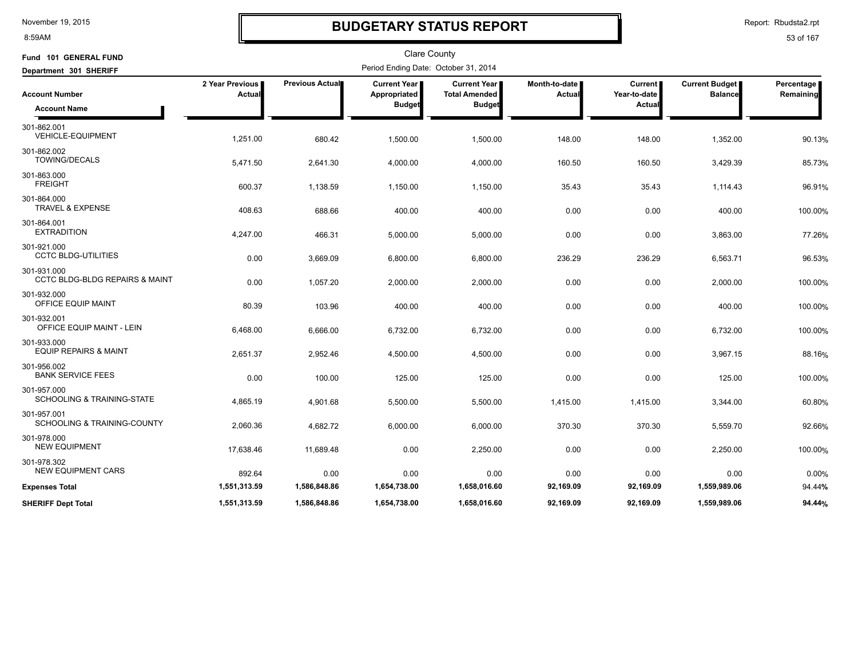8:59AM

# **BUDGETARY STATUS REPORT**

Report: Rbudsta2.rpt

| Fund 101 GENERAL FUND                                    |                                  |                 | <b>Clare County</b>                             |                                                                |                                |                                          |                                         |                         |
|----------------------------------------------------------|----------------------------------|-----------------|-------------------------------------------------|----------------------------------------------------------------|--------------------------------|------------------------------------------|-----------------------------------------|-------------------------|
| Department 301 SHERIFF                                   |                                  |                 | Period Ending Date: October 31, 2014            |                                                                |                                |                                          |                                         |                         |
| <b>Account Number</b><br><b>Account Name</b>             | 2 Year Previous<br><b>Actual</b> | Previous Actual | Current Year  <br>Appropriated<br><b>Budget</b> | <b>Current Year I</b><br><b>Total Amended</b><br><b>Budget</b> | Month-to-date<br><b>Actual</b> | Current<br>Year-to-date<br><b>Actual</b> | <b>Current Budget</b><br><b>Balance</b> | Percentage<br>Remaining |
|                                                          |                                  |                 |                                                 |                                                                |                                |                                          |                                         |                         |
| 301-862.001<br><b>VEHICLE-EQUIPMENT</b>                  | 1,251.00                         | 680.42          | 1,500.00                                        | 1,500.00                                                       | 148.00                         | 148.00                                   | 1,352.00                                | 90.13%                  |
| 301-862.002<br><b>TOWING/DECALS</b>                      | 5,471.50                         | 2,641.30        | 4,000.00                                        | 4,000.00                                                       | 160.50                         | 160.50                                   | 3,429.39                                | 85.73%                  |
| 301-863.000<br><b>FREIGHT</b>                            | 600.37                           | 1,138.59        | 1,150.00                                        | 1,150.00                                                       | 35.43                          | 35.43                                    | 1,114.43                                | 96.91%                  |
| 301-864.000<br><b>TRAVEL &amp; EXPENSE</b>               | 408.63                           | 688.66          | 400.00                                          | 400.00                                                         | 0.00                           | 0.00                                     | 400.00                                  | 100.00%                 |
| 301-864.001<br><b>EXTRADITION</b>                        | 4,247.00                         | 466.31          | 5,000.00                                        | 5,000.00                                                       | 0.00                           | 0.00                                     | 3,863.00                                | 77.26%                  |
| 301-921.000<br><b>CCTC BLDG-UTILITIES</b>                | 0.00                             | 3,669.09        | 6,800.00                                        | 6,800.00                                                       | 236.29                         | 236.29                                   | 6,563.71                                | 96.53%                  |
| 301-931.000<br><b>CCTC BLDG-BLDG REPAIRS &amp; MAINT</b> | 0.00                             | 1,057.20        | 2,000.00                                        | 2,000.00                                                       | 0.00                           | 0.00                                     | 2,000.00                                | 100.00%                 |
| 301-932.000<br>OFFICE EQUIP MAINT                        | 80.39                            | 103.96          | 400.00                                          | 400.00                                                         | 0.00                           | 0.00                                     | 400.00                                  | 100.00%                 |
| 301-932.001<br>OFFICE EQUIP MAINT - LEIN                 | 6,468.00                         | 6,666.00        | 6,732.00                                        | 6,732.00                                                       | 0.00                           | 0.00                                     | 6,732.00                                | 100.00%                 |
| 301-933.000<br><b>EQUIP REPAIRS &amp; MAINT</b>          | 2,651.37                         | 2,952.46        | 4,500.00                                        | 4,500.00                                                       | 0.00                           | 0.00                                     | 3,967.15                                | 88.16%                  |
| 301-956.002<br><b>BANK SERVICE FEES</b>                  | 0.00                             | 100.00          | 125.00                                          | 125.00                                                         | 0.00                           | 0.00                                     | 125.00                                  | 100.00%                 |
| 301-957.000<br><b>SCHOOLING &amp; TRAINING-STATE</b>     | 4,865.19                         | 4,901.68        | 5,500.00                                        | 5,500.00                                                       | 1,415.00                       | 1,415.00                                 | 3,344.00                                | 60.80%                  |
| 301-957.001<br>SCHOOLING & TRAINING-COUNTY               | 2,060.36                         | 4,682.72        | 6,000.00                                        | 6,000.00                                                       | 370.30                         | 370.30                                   | 5,559.70                                | 92.66%                  |
| 301-978.000<br><b>NEW EQUIPMENT</b>                      | 17,638.46                        | 11,689.48       | 0.00                                            | 2,250.00                                                       | 0.00                           | 0.00                                     | 2,250.00                                | 100.00%                 |
| 301-978.302<br><b>NEW EQUIPMENT CARS</b>                 | 892.64                           | 0.00            | 0.00                                            | 0.00                                                           | 0.00                           | 0.00                                     | 0.00                                    | 0.00%                   |
| <b>Expenses Total</b>                                    | 1,551,313.59                     | 1,586,848.86    | 1,654,738.00                                    | 1,658,016.60                                                   | 92,169.09                      | 92,169.09                                | 1,559,989.06                            | 94.44%                  |
| <b>SHERIFF Dept Total</b>                                | 1,551,313.59                     | 1,586,848.86    | 1,654,738.00                                    | 1,658,016.60                                                   | 92.169.09                      | 92,169.09                                | 1,559,989.06                            | 94.44%                  |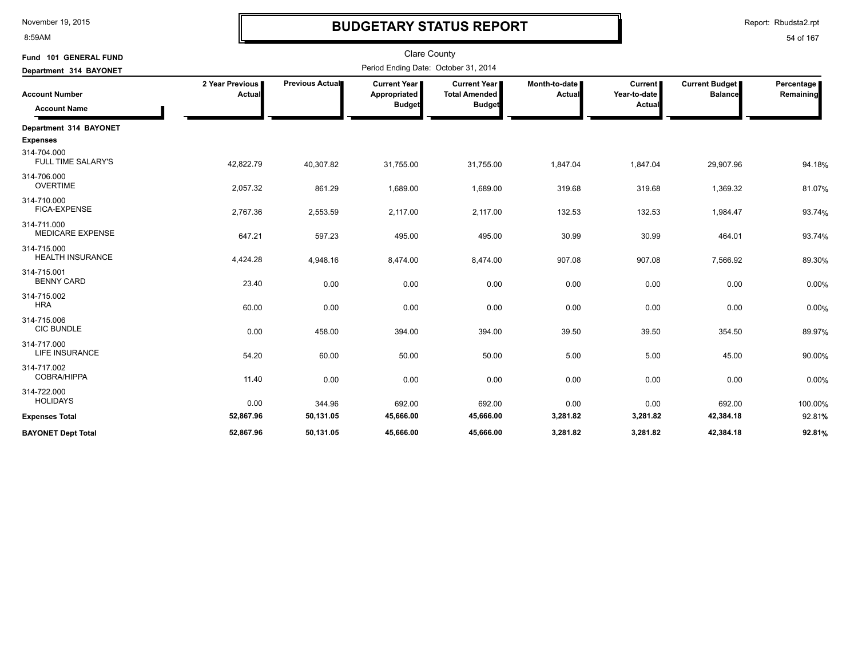8:59AM

# **BUDGETARY STATUS REPORT**

Report: Rbudsta2.rpt

| Fund 101 GENERAL FUND<br>Department 314 BAYONET |                                  | <b>Clare County</b><br>Period Ending Date: October 31, 2014 |                                                      |                                                              |                                |                                   |                                         |                         |  |  |
|-------------------------------------------------|----------------------------------|-------------------------------------------------------------|------------------------------------------------------|--------------------------------------------------------------|--------------------------------|-----------------------------------|-----------------------------------------|-------------------------|--|--|
| <b>Account Number</b><br><b>Account Name</b>    | 2 Year Previous<br><b>Actual</b> | Previous Actual                                             | <b>Current Year</b><br>Appropriated<br><b>Budget</b> | <b>Current Year</b><br><b>Total Amended</b><br><b>Budget</b> | Month-to-date<br><b>Actual</b> | Current<br>Year-to-date<br>Actual | <b>Current Budget</b><br><b>Balance</b> | Percentage<br>Remaining |  |  |
| Department 314 BAYONET<br><b>Expenses</b>       |                                  |                                                             |                                                      |                                                              |                                |                                   |                                         |                         |  |  |
| 314-704.000<br><b>FULL TIME SALARY'S</b>        | 42,822.79                        | 40,307.82                                                   | 31,755.00                                            | 31,755.00                                                    | 1,847.04                       | 1,847.04                          | 29,907.96                               | 94.18%                  |  |  |
| 314-706.000<br><b>OVERTIME</b>                  | 2,057.32                         | 861.29                                                      | 1,689.00                                             | 1,689.00                                                     | 319.68                         | 319.68                            | 1,369.32                                | 81.07%                  |  |  |
| 314-710.000<br>FICA-EXPENSE                     | 2,767.36                         | 2,553.59                                                    | 2,117.00                                             | 2,117.00                                                     | 132.53                         | 132.53                            | 1,984.47                                | 93.74%                  |  |  |
| 314-711.000<br><b>MEDICARE EXPENSE</b>          | 647.21                           | 597.23                                                      | 495.00                                               | 495.00                                                       | 30.99                          | 30.99                             | 464.01                                  | 93.74%                  |  |  |
| 314-715.000<br><b>HEALTH INSURANCE</b>          | 4,424.28                         | 4,948.16                                                    | 8,474.00                                             | 8,474.00                                                     | 907.08                         | 907.08                            | 7,566.92                                | 89.30%                  |  |  |
| 314-715.001<br><b>BENNY CARD</b>                | 23.40                            | 0.00                                                        | 0.00                                                 | 0.00                                                         | 0.00                           | 0.00                              | 0.00                                    | 0.00%                   |  |  |
| 314-715.002<br><b>HRA</b>                       | 60.00                            | 0.00                                                        | 0.00                                                 | 0.00                                                         | 0.00                           | 0.00                              | 0.00                                    | 0.00%                   |  |  |
| 314-715.006<br><b>CIC BUNDLE</b>                | 0.00                             | 458.00                                                      | 394.00                                               | 394.00                                                       | 39.50                          | 39.50                             | 354.50                                  | 89.97%                  |  |  |
| 314-717.000<br><b>LIFE INSURANCE</b>            | 54.20                            | 60.00                                                       | 50.00                                                | 50.00                                                        | 5.00                           | 5.00                              | 45.00                                   | 90.00%                  |  |  |
| 314-717.002<br><b>COBRA/HIPPA</b>               | 11.40                            | 0.00                                                        | 0.00                                                 | 0.00                                                         | 0.00                           | 0.00                              | 0.00                                    | 0.00%                   |  |  |
| 314-722.000<br><b>HOLIDAYS</b>                  | 0.00                             | 344.96                                                      | 692.00                                               | 692.00                                                       | 0.00                           | 0.00                              | 692.00                                  | 100.00%                 |  |  |
| <b>Expenses Total</b>                           | 52,867.96                        | 50,131.05                                                   | 45,666.00                                            | 45,666.00                                                    | 3,281.82                       | 3,281.82                          | 42,384.18                               | 92.81%                  |  |  |
| <b>BAYONET Dept Total</b>                       | 52,867.96                        | 50,131.05                                                   | 45,666.00                                            | 45,666.00                                                    | 3,281.82                       | 3,281.82                          | 42,384.18                               | 92.81%                  |  |  |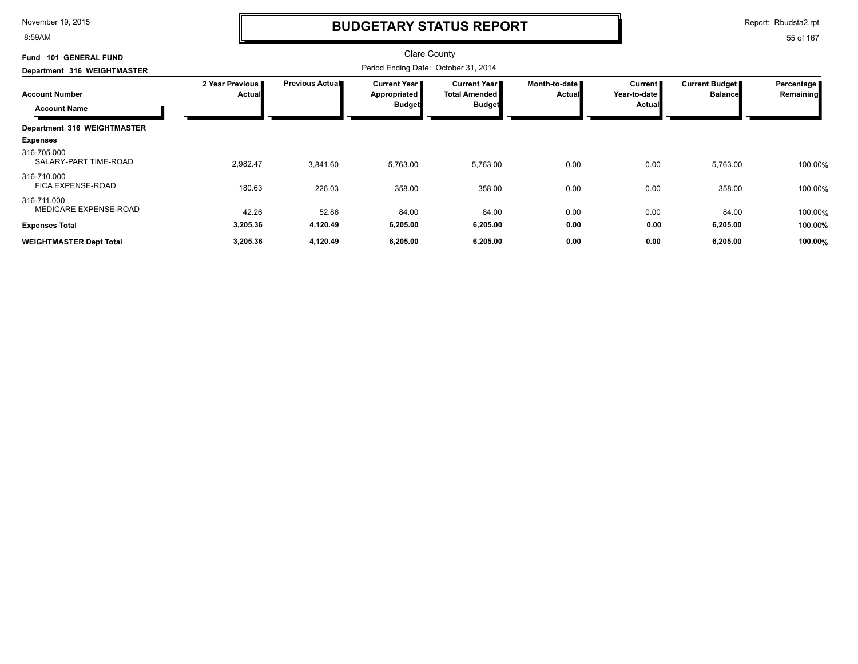8:59AM

### **BUDGETARY STATUS REPORT**

Report: Rbudsta2.rpt

| <b>GENERAL FUND</b><br><b>Fund 101</b>       |                                  |                        | Clare County                                  |                                                              |                                |                                            |                                         |                         |
|----------------------------------------------|----------------------------------|------------------------|-----------------------------------------------|--------------------------------------------------------------|--------------------------------|--------------------------------------------|-----------------------------------------|-------------------------|
| Department 316 WEIGHTMASTER                  |                                  |                        | Period Ending Date: October 31, 2014          |                                                              |                                |                                            |                                         |                         |
| <b>Account Number</b><br><b>Account Name</b> | 2 Year Previous<br><b>Actual</b> | <b>Previous Actual</b> | Current Year<br>Appropriated<br><b>Budget</b> | <b>Current Year</b><br><b>Total Amended</b><br><b>Budget</b> | Month-to-date<br><b>Actual</b> | Current  <br>Year-to-date<br><b>Actual</b> | <b>Current Budget</b><br><b>Balance</b> | Percentage<br>Remaining |
| Department 316 WEIGHTMASTER                  |                                  |                        |                                               |                                                              |                                |                                            |                                         |                         |
| <b>Expenses</b>                              |                                  |                        |                                               |                                                              |                                |                                            |                                         |                         |
| 316-705.000<br>SALARY-PART TIME-ROAD         | 2,982.47                         | 3,841.60               | 5,763.00                                      | 5,763.00                                                     | 0.00                           | 0.00                                       | 5,763.00                                | 100.00%                 |
| 316-710.000<br>FICA EXPENSE-ROAD             | 180.63                           | 226.03                 | 358.00                                        | 358.00                                                       | 0.00                           | 0.00                                       | 358.00                                  | 100.00%                 |
| 316-711.000<br>MEDICARE EXPENSE-ROAD         | 42.26                            | 52.86                  | 84.00                                         | 84.00                                                        | 0.00                           | 0.00                                       | 84.00                                   | 100.00%                 |
| <b>Expenses Total</b>                        | 3,205.36                         | 4,120.49               | 6,205.00                                      | 6,205.00                                                     | 0.00                           | 0.00                                       | 6,205.00                                | 100.00%                 |
| <b>WEIGHTMASTER Dept Total</b>               | 3,205.36                         | 4,120.49               | 6,205.00                                      | 6,205.00                                                     | 0.00                           | 0.00                                       | 6,205.00                                | 100.00%                 |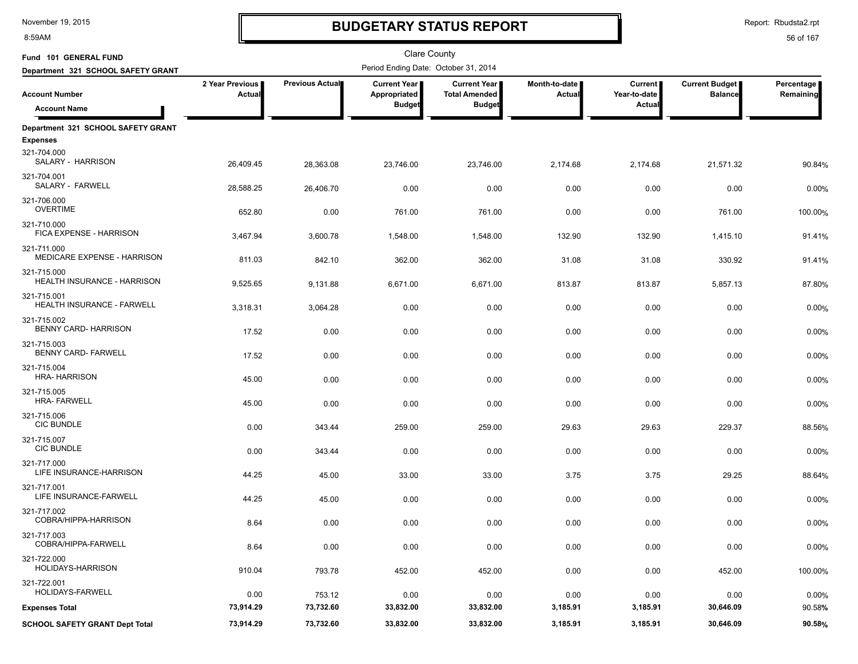8:59AM

# **BUDGETARY STATUS REPORT**

Report: Rbudsta2.rpt

| Fund 101 GENERAL FUND                                 |                           |                 | Clare County                                  |                                                       |                                  |                                          |                                  |                         |
|-------------------------------------------------------|---------------------------|-----------------|-----------------------------------------------|-------------------------------------------------------|----------------------------------|------------------------------------------|----------------------------------|-------------------------|
| Department 321 SCHOOL SAFETY GRANT                    |                           |                 | Period Ending Date: October 31, 2014          |                                                       |                                  |                                          |                                  |                         |
| <b>Account Number</b><br><b>Account Name</b>          | 2 Year Previous<br>Actual | Previous Actual | Current Year<br>Appropriated<br><b>Budget</b> | Current Year<br><b>Total Amended</b><br><b>Budget</b> | Month-to-date  <br><b>Actual</b> | <b>Current</b><br>Year-to-date<br>Actual | Current Budget<br><b>Balance</b> | Percentage<br>Remaining |
| Department 321 SCHOOL SAFETY GRANT<br><b>Expenses</b> |                           |                 |                                               |                                                       |                                  |                                          |                                  |                         |
| 321-704.000<br>SALARY - HARRISON                      | 26,409.45                 | 28,363.08       | 23,746.00                                     | 23,746.00                                             | 2,174.68                         | 2,174.68                                 | 21,571.32                        | 90.84%                  |
| 321-704.001<br>SALARY - FARWELL                       | 28,588.25                 | 26,406.70       | 0.00                                          | 0.00                                                  | 0.00                             | 0.00                                     | 0.00                             | 0.00%                   |
| 321-706.000<br><b>OVERTIME</b>                        | 652.80                    | 0.00            | 761.00                                        | 761.00                                                | 0.00                             | 0.00                                     | 761.00                           | 100.00%                 |
| 321-710.000<br>FICA EXPENSE - HARRISON                | 3,467.94                  | 3,600.78        | 1,548.00                                      | 1,548.00                                              | 132.90                           | 132.90                                   | 1,415.10                         | 91.41%                  |
| 321-711.000<br>MEDICARE EXPENSE - HARRISON            | 811.03                    | 842.10          | 362.00                                        | 362.00                                                | 31.08                            | 31.08                                    | 330.92                           | 91.41%                  |
| 321-715.000<br><b>HEALTH INSURANCE - HARRISON</b>     | 9,525.65                  | 9,131.88        | 6,671.00                                      | 6,671.00                                              | 813.87                           | 813.87                                   | 5,857.13                         | 87.80%                  |
| 321-715.001<br>HEALTH INSURANCE - FARWELL             | 3,318.31                  | 3,064.28        | 0.00                                          | 0.00                                                  | 0.00                             | 0.00                                     | 0.00                             | 0.00%                   |
| 321-715.002<br><b>BENNY CARD-HARRISON</b>             | 17.52                     | 0.00            | 0.00                                          | 0.00                                                  | 0.00                             | 0.00                                     | 0.00                             | 0.00%                   |
| 321-715.003<br><b>BENNY CARD-FARWELL</b>              | 17.52                     | 0.00            | 0.00                                          | 0.00                                                  | 0.00                             | 0.00                                     | 0.00                             | 0.00%                   |
| 321-715.004<br><b>HRA-HARRISON</b>                    | 45.00                     | 0.00            | 0.00                                          | 0.00                                                  | 0.00                             | 0.00                                     | 0.00                             | 0.00%                   |
| 321-715.005<br><b>HRA-FARWELL</b>                     | 45.00                     | 0.00            | 0.00                                          | 0.00                                                  | 0.00                             | 0.00                                     | 0.00                             | 0.00%                   |
| 321-715.006<br><b>CIC BUNDLE</b>                      | 0.00                      | 343.44          | 259.00                                        | 259.00                                                | 29.63                            | 29.63                                    | 229.37                           | 88.56%                  |
| 321-715.007<br><b>CIC BUNDLE</b>                      | 0.00                      | 343.44          | 0.00                                          | 0.00                                                  | 0.00                             | 0.00                                     | 0.00                             | 0.00%                   |
| 321-717.000<br>LIFE INSURANCE-HARRISON                | 44.25                     | 45.00           | 33.00                                         | 33.00                                                 | 3.75                             | 3.75                                     | 29.25                            | 88.64%                  |
| 321-717.001<br>LIFE INSURANCE-FARWELL                 | 44.25                     | 45.00           | 0.00                                          | 0.00                                                  | 0.00                             | 0.00                                     | 0.00                             | 0.00%                   |
| 321-717.002<br>COBRA/HIPPA-HARRISON                   | 8.64                      | 0.00            | 0.00                                          | 0.00                                                  | 0.00                             | 0.00                                     | 0.00                             | 0.00%                   |
| 321-717.003<br>COBRA/HIPPA-FARWELL                    | 8.64                      | 0.00            | 0.00                                          | 0.00                                                  | 0.00                             | 0.00                                     | 0.00                             | 0.00%                   |
| 321-722.000<br>HOLIDAYS-HARRISON                      | 910.04                    | 793.78          | 452.00                                        | 452.00                                                | 0.00                             | 0.00                                     | 452.00                           | 100.00%                 |
| 321-722.001<br><b>HOLIDAYS-FARWELL</b>                | 0.00                      | 753.12          | 0.00                                          | 0.00                                                  | 0.00                             | 0.00                                     | 0.00                             | $0.00\%$                |
| <b>Expenses Total</b>                                 | 73,914.29                 | 73,732.60       | 33,832.00                                     | 33,832.00                                             | 3,185.91                         | 3,185.91                                 | 30,646.09                        | 90.58%                  |
| <b>SCHOOL SAFETY GRANT Dept Total</b>                 | 73,914.29                 | 73,732.60       | 33,832.00                                     | 33,832.00                                             | 3,185.91                         | 3,185.91                                 | 30,646.09                        | 90.58%                  |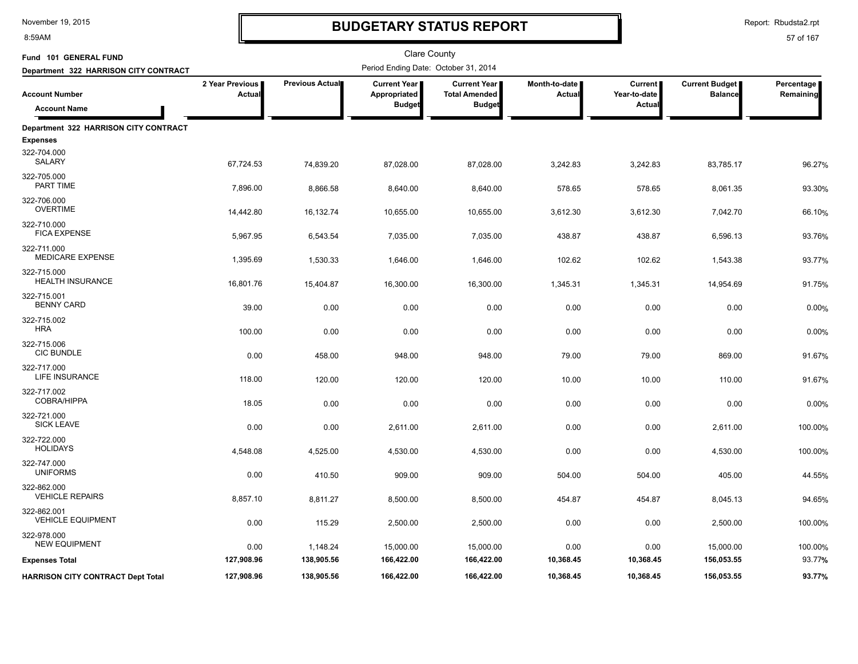8:59AM

# **BUDGETARY STATUS REPORT**

Report: Rbudsta2.rpt

| Fund 101 GENERAL FUND                         |                           |                        | Clare County                                         |                                                              |                                |                                          |                                         |                         |
|-----------------------------------------------|---------------------------|------------------------|------------------------------------------------------|--------------------------------------------------------------|--------------------------------|------------------------------------------|-----------------------------------------|-------------------------|
| Department 322 HARRISON CITY CONTRACT         |                           |                        | Period Ending Date: October 31, 2014                 |                                                              |                                |                                          |                                         |                         |
| <b>Account Number</b><br><b>Account Name</b>  | 2 Year Previous<br>Actual | Previous Actual        | <b>Current Year</b><br>Appropriated<br><b>Budget</b> | <b>Current Year</b><br><b>Total Amended</b><br><b>Budget</b> | Month-to-date<br><b>Actual</b> | <b>Current</b><br>Year-to-date<br>Actual | <b>Current Budget</b><br><b>Balance</b> | Percentage<br>Remaining |
| Department 322 HARRISON CITY CONTRACT         |                           |                        |                                                      |                                                              |                                |                                          |                                         |                         |
| <b>Expenses</b>                               |                           |                        |                                                      |                                                              |                                |                                          |                                         |                         |
| 322-704.000<br>SALARY                         | 67,724.53                 | 74,839.20              | 87,028.00                                            | 87,028.00                                                    | 3,242.83                       | 3,242.83                                 | 83,785.17                               | 96.27%                  |
| 322-705.000<br>PART TIME                      | 7,896.00                  | 8,866.58               | 8,640.00                                             | 8,640.00                                                     | 578.65                         | 578.65                                   | 8,061.35                                | 93.30%                  |
| 322-706.000<br><b>OVERTIME</b>                | 14,442.80                 | 16,132.74              | 10,655.00                                            | 10,655.00                                                    | 3,612.30                       | 3,612.30                                 | 7,042.70                                | 66.10%                  |
| 322-710.000<br><b>FICA EXPENSE</b>            | 5,967.95                  | 6,543.54               | 7,035.00                                             | 7,035.00                                                     | 438.87                         | 438.87                                   | 6,596.13                                | 93.76%                  |
| 322-711.000<br><b>MEDICARE EXPENSE</b>        | 1,395.69                  | 1,530.33               | 1,646.00                                             | 1,646.00                                                     | 102.62                         | 102.62                                   | 1,543.38                                | 93.77%                  |
| 322-715.000<br>HEALTH INSURANCE               | 16,801.76                 | 15,404.87              | 16,300.00                                            | 16,300.00                                                    | 1,345.31                       | 1,345.31                                 | 14,954.69                               | 91.75%                  |
| 322-715.001<br><b>BENNY CARD</b>              | 39.00                     | 0.00                   | 0.00                                                 | 0.00                                                         | 0.00                           | 0.00                                     | 0.00                                    | 0.00%                   |
| 322-715.002<br><b>HRA</b>                     | 100.00                    | 0.00                   | 0.00                                                 | 0.00                                                         | 0.00                           | 0.00                                     | 0.00                                    | 0.00%                   |
| 322-715.006<br><b>CIC BUNDLE</b>              | 0.00                      | 458.00                 | 948.00                                               | 948.00                                                       | 79.00                          | 79.00                                    | 869.00                                  | 91.67%                  |
| 322-717.000<br>LIFE INSURANCE                 | 118.00                    | 120.00                 | 120.00                                               | 120.00                                                       | 10.00                          | 10.00                                    | 110.00                                  | 91.67%                  |
| 322-717.002<br>COBRA/HIPPA                    | 18.05                     | 0.00                   | 0.00                                                 | 0.00                                                         | 0.00                           | 0.00                                     | 0.00                                    | 0.00%                   |
| 322-721.000<br><b>SICK LEAVE</b>              | 0.00                      | 0.00                   | 2,611.00                                             | 2,611.00                                                     | 0.00                           | 0.00                                     | 2,611.00                                | 100.00%                 |
| 322-722.000<br><b>HOLIDAYS</b>                | 4,548.08                  | 4,525.00               | 4,530.00                                             | 4,530.00                                                     | 0.00                           | 0.00                                     | 4,530.00                                | 100.00%                 |
| 322-747.000<br><b>UNIFORMS</b>                | 0.00                      | 410.50                 | 909.00                                               | 909.00                                                       | 504.00                         | 504.00                                   | 405.00                                  | 44.55%                  |
| 322-862.000<br><b>VEHICLE REPAIRS</b>         | 8,857.10                  | 8,811.27               | 8,500.00                                             | 8,500.00                                                     | 454.87                         | 454.87                                   | 8,045.13                                | 94.65%                  |
| 322-862.001<br><b>VEHICLE EQUIPMENT</b>       | 0.00                      | 115.29                 | 2,500.00                                             | 2,500.00                                                     | 0.00                           | 0.00                                     | 2,500.00                                | 100.00%                 |
| 322-978.000                                   |                           |                        |                                                      |                                                              |                                |                                          |                                         |                         |
| <b>NEW EQUIPMENT</b><br><b>Expenses Total</b> | 0.00<br>127,908.96        | 1,148.24<br>138,905.56 | 15,000.00<br>166,422.00                              | 15,000.00<br>166,422.00                                      | 0.00<br>10,368.45              | 0.00<br>10,368.45                        | 15,000.00<br>156,053.55                 | 100.00%<br>93.77%       |
| <b>HARRISON CITY CONTRACT Dept Total</b>      | 127,908.96                | 138,905.56             | 166,422.00                                           | 166,422.00                                                   | 10,368.45                      | 10,368.45                                | 156,053.55                              | 93.77%                  |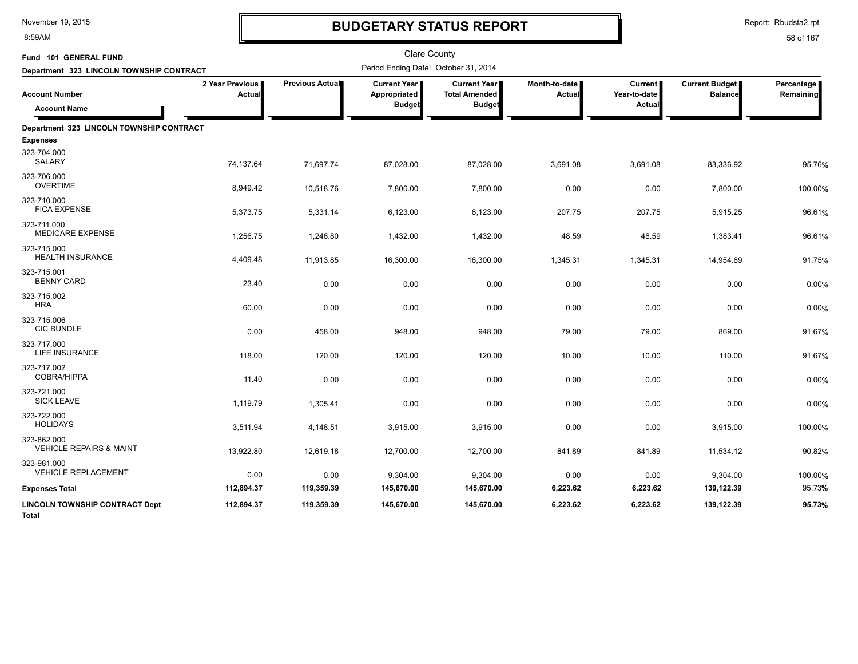8:59AM

# **BUDGETARY STATUS REPORT**

Report: Rbudsta2.rpt

| Fund 101 GENERAL FUND                                                                    |                           | <b>Clare County</b><br>Period Ending Date: October 31, 2014 |                                               |                                                                |                                |                                          |                                         |                         |  |
|------------------------------------------------------------------------------------------|---------------------------|-------------------------------------------------------------|-----------------------------------------------|----------------------------------------------------------------|--------------------------------|------------------------------------------|-----------------------------------------|-------------------------|--|
| Department 323 LINCOLN TOWNSHIP CONTRACT<br><b>Account Number</b><br><b>Account Name</b> | 2 Year Previous<br>Actual | Previous Actual                                             | Current Year<br>Appropriated<br><b>Budget</b> | <b>Current Year I</b><br><b>Total Amended</b><br><b>Budget</b> | Month-to-date<br><b>Actual</b> | <b>Current</b><br>Year-to-date<br>Actual | <b>Current Budget</b><br><b>Balance</b> | Percentage<br>Remaining |  |
| Department 323 LINCOLN TOWNSHIP CONTRACT                                                 |                           |                                                             |                                               |                                                                |                                |                                          |                                         |                         |  |
| <b>Expenses</b>                                                                          |                           |                                                             |                                               |                                                                |                                |                                          |                                         |                         |  |
| 323-704.000<br>SALARY                                                                    | 74,137.64                 | 71,697.74                                                   | 87,028.00                                     | 87,028.00                                                      | 3,691.08                       | 3,691.08                                 | 83,336.92                               | 95.76%                  |  |
| 323-706.000<br><b>OVERTIME</b>                                                           | 8,949.42                  | 10,518.76                                                   | 7,800.00                                      | 7,800.00                                                       | 0.00                           | 0.00                                     | 7,800.00                                | 100.00%                 |  |
| 323-710.000<br><b>FICA EXPENSE</b>                                                       | 5,373.75                  | 5,331.14                                                    | 6,123.00                                      | 6,123.00                                                       | 207.75                         | 207.75                                   | 5,915.25                                | 96.61%                  |  |
| 323-711.000<br><b>MEDICARE EXPENSE</b>                                                   | 1,256.75                  | 1,246.80                                                    | 1,432.00                                      | 1,432.00                                                       | 48.59                          | 48.59                                    | 1,383.41                                | 96.61%                  |  |
| 323-715.000<br><b>HEALTH INSURANCE</b>                                                   | 4,409.48                  | 11,913.85                                                   | 16,300.00                                     | 16,300.00                                                      | 1,345.31                       | 1,345.31                                 | 14,954.69                               | 91.75%                  |  |
| 323-715.001<br><b>BENNY CARD</b>                                                         | 23.40                     | 0.00                                                        | 0.00                                          | 0.00                                                           | 0.00                           | 0.00                                     | 0.00                                    | 0.00%                   |  |
| 323-715.002<br><b>HRA</b>                                                                | 60.00                     | 0.00                                                        | 0.00                                          | 0.00                                                           | 0.00                           | 0.00                                     | 0.00                                    | 0.00%                   |  |
| 323-715.006<br><b>CIC BUNDLE</b>                                                         | 0.00                      | 458.00                                                      | 948.00                                        | 948.00                                                         | 79.00                          | 79.00                                    | 869.00                                  | 91.67%                  |  |
| 323-717.000<br>LIFE INSURANCE                                                            | 118.00                    | 120.00                                                      | 120.00                                        | 120.00                                                         | 10.00                          | 10.00                                    | 110.00                                  | 91.67%                  |  |
| 323-717.002<br><b>COBRA/HIPPA</b>                                                        | 11.40                     | 0.00                                                        | 0.00                                          | 0.00                                                           | 0.00                           | 0.00                                     | 0.00                                    | 0.00%                   |  |
| 323-721.000<br><b>SICK LEAVE</b>                                                         | 1,119.79                  | 1,305.41                                                    | 0.00                                          | 0.00                                                           | 0.00                           | 0.00                                     | 0.00                                    | 0.00%                   |  |
| 323-722.000<br><b>HOLIDAYS</b>                                                           | 3,511.94                  | 4,148.51                                                    | 3,915.00                                      | 3,915.00                                                       | 0.00                           | 0.00                                     | 3,915.00                                | 100.00%                 |  |
| 323-862.000<br><b>VEHICLE REPAIRS &amp; MAINT</b>                                        | 13,922.80                 | 12,619.18                                                   | 12,700.00                                     | 12,700.00                                                      | 841.89                         | 841.89                                   | 11,534.12                               | 90.82%                  |  |
| 323-981.000<br><b>VEHICLE REPLACEMENT</b>                                                | 0.00                      | 0.00                                                        | 9,304.00                                      | 9,304.00                                                       | 0.00                           | 0.00                                     | 9,304.00                                | 100.00%                 |  |
| <b>Expenses Total</b>                                                                    | 112,894.37                | 119,359.39                                                  | 145,670.00                                    | 145,670.00                                                     | 6,223.62                       | 6,223.62                                 | 139,122.39                              | 95.73%                  |  |
| <b>LINCOLN TOWNSHIP CONTRACT Dept</b><br>Total                                           | 112,894.37                | 119,359.39                                                  | 145,670.00                                    | 145,670.00                                                     | 6,223.62                       | 6,223.62                                 | 139,122.39                              | 95.73%                  |  |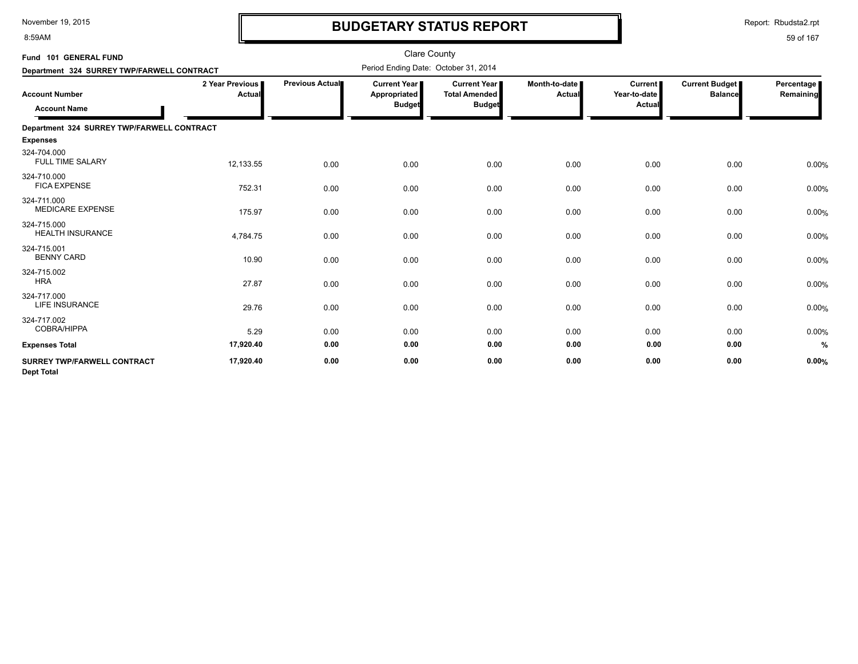8:59AM

# **BUDGETARY STATUS REPORT**

Report: Rbudsta2.rpt

| Fund 101 GENERAL FUND                                   |                           |                 | <b>Clare County</b>                                    |                                                                |                         |                                     |                                         |                         |
|---------------------------------------------------------|---------------------------|-----------------|--------------------------------------------------------|----------------------------------------------------------------|-------------------------|-------------------------------------|-----------------------------------------|-------------------------|
| Department 324 SURREY TWP/FARWELL CONTRACT              |                           |                 | Period Ending Date: October 31, 2014                   |                                                                |                         |                                     |                                         |                         |
| <b>Account Number</b><br><b>Account Name</b>            | 2 Year Previous<br>Actual | Previous Actual | <b>Current Year I</b><br>Appropriated<br><b>Budget</b> | <b>Current Year I</b><br><b>Total Amended</b><br><b>Budget</b> | Month-to-date<br>Actual | Current  <br>Year-to-date<br>Actual | <b>Current Budget</b><br><b>Balance</b> | Percentage<br>Remaining |
| Department 324 SURREY TWP/FARWELL CONTRACT              |                           |                 |                                                        |                                                                |                         |                                     |                                         |                         |
| <b>Expenses</b>                                         |                           |                 |                                                        |                                                                |                         |                                     |                                         |                         |
| 324-704.000<br><b>FULL TIME SALARY</b>                  | 12,133.55                 | 0.00            | 0.00                                                   | 0.00                                                           | 0.00                    | 0.00                                | 0.00                                    | 0.00%                   |
| 324-710.000<br><b>FICA EXPENSE</b>                      | 752.31                    | 0.00            | 0.00                                                   | 0.00                                                           | 0.00                    | 0.00                                | 0.00                                    | 0.00%                   |
| 324-711.000<br><b>MEDICARE EXPENSE</b>                  | 175.97                    | 0.00            | 0.00                                                   | 0.00                                                           | 0.00                    | 0.00                                | 0.00                                    | 0.00%                   |
| 324-715.000<br><b>HEALTH INSURANCE</b>                  | 4,784.75                  | 0.00            | 0.00                                                   | 0.00                                                           | 0.00                    | 0.00                                | 0.00                                    | 0.00%                   |
| 324-715.001<br><b>BENNY CARD</b>                        | 10.90                     | 0.00            | 0.00                                                   | 0.00                                                           | 0.00                    | 0.00                                | 0.00                                    | 0.00%                   |
| 324-715.002<br><b>HRA</b>                               | 27.87                     | 0.00            | 0.00                                                   | 0.00                                                           | 0.00                    | 0.00                                | 0.00                                    | 0.00%                   |
| 324-717.000<br><b>LIFE INSURANCE</b>                    | 29.76                     | 0.00            | 0.00                                                   | 0.00                                                           | 0.00                    | 0.00                                | 0.00                                    | 0.00%                   |
| 324-717.002<br><b>COBRA/HIPPA</b>                       | 5.29                      | 0.00            | 0.00                                                   | 0.00                                                           | 0.00                    | 0.00                                | 0.00                                    | 0.00%                   |
| <b>Expenses Total</b>                                   | 17,920.40                 | 0.00            | 0.00                                                   | 0.00                                                           | 0.00                    | 0.00                                | 0.00                                    | %                       |
| <b>SURREY TWP/FARWELL CONTRACT</b><br><b>Dept Total</b> | 17,920.40                 | 0.00            | 0.00                                                   | 0.00                                                           | 0.00                    | 0.00                                | 0.00                                    | 0.00%                   |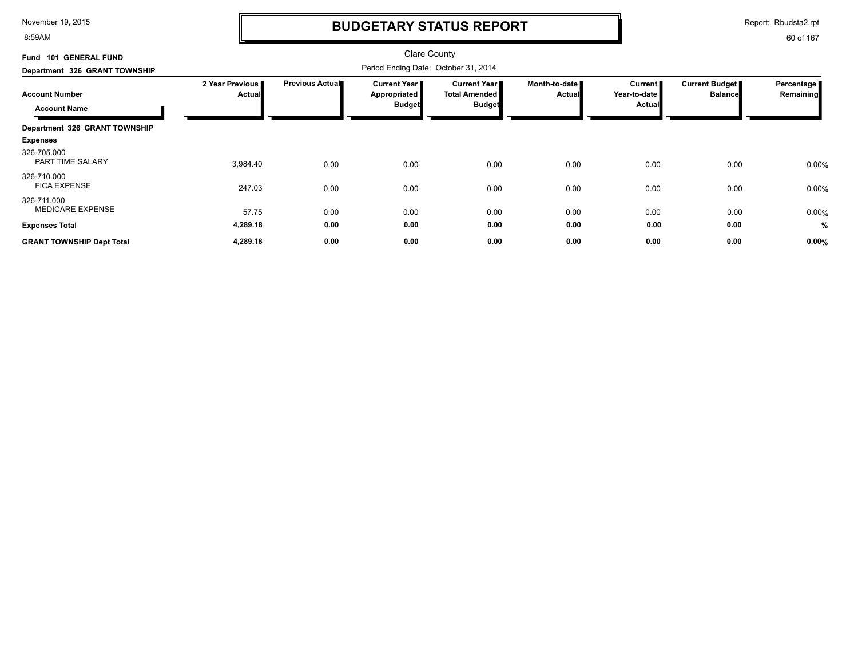8:59AM

### **BUDGETARY STATUS REPORT**

Report: Rbudsta2.rpt

| <b>GENERAL FUND</b><br><b>Fund 101</b>       |                           |                        | <b>Clare County</b>                                           |                                                              |                                |                                              |                                  |                         |
|----------------------------------------------|---------------------------|------------------------|---------------------------------------------------------------|--------------------------------------------------------------|--------------------------------|----------------------------------------------|----------------------------------|-------------------------|
| Department 326 GRANT TOWNSHIP                |                           |                        | Period Ending Date: October 31, 2014                          |                                                              |                                |                                              |                                  |                         |
| <b>Account Number</b><br><b>Account Name</b> | 2 Year Previous<br>Actual | <b>Previous Actual</b> | <b>Current Year</b> ∎<br><b>Appropriated</b><br><b>Budget</b> | <b>Current Year</b><br><b>Total Amended</b><br><b>Budget</b> | Month-to-date<br><b>Actual</b> | Current  <br>Year-to-date I<br><b>Actual</b> | Current Budget<br><b>Balance</b> | Percentage<br>Remaining |
| Department 326 GRANT TOWNSHIP                |                           |                        |                                                               |                                                              |                                |                                              |                                  |                         |
| <b>Expenses</b>                              |                           |                        |                                                               |                                                              |                                |                                              |                                  |                         |
| 326-705.000<br>PART TIME SALARY              | 3,984.40                  | 0.00                   | 0.00                                                          | 0.00                                                         | 0.00                           | 0.00                                         | 0.00                             | 0.00%                   |
| 326-710.000<br><b>FICA EXPENSE</b>           | 247.03                    | 0.00                   | 0.00                                                          | 0.00                                                         | 0.00                           | 0.00                                         | 0.00                             | 0.00%                   |
| 326-711.000<br><b>MEDICARE EXPENSE</b>       | 57.75                     | 0.00                   | 0.00                                                          | 0.00                                                         | 0.00                           | 0.00                                         | 0.00                             | 0.00%                   |
| <b>Expenses Total</b>                        | 4,289.18                  | 0.00                   | 0.00                                                          | 0.00                                                         | 0.00                           | 0.00                                         | 0.00                             | %                       |
| <b>GRANT TOWNSHIP Dept Total</b>             | 4,289.18                  | 0.00                   | 0.00                                                          | 0.00                                                         | 0.00                           | 0.00                                         | 0.00                             | 0.00%                   |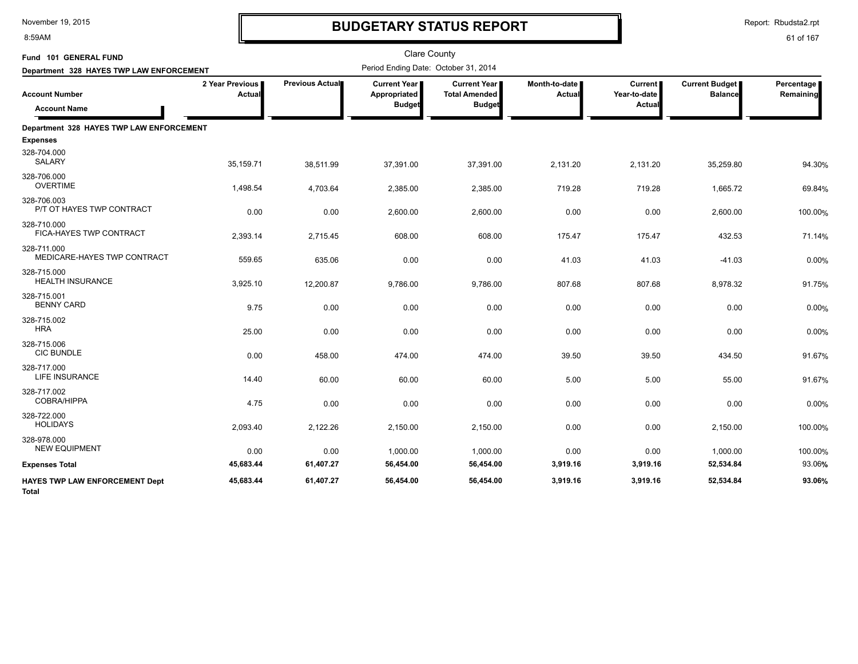8:59AM

# **BUDGETARY STATUS REPORT**

Report: Rbudsta2.rpt

| Fund 101 GENERAL FUND                          |                                  |                 | <b>Clare County</b>                                  |                                                                |                                |                                          |                                         |                         |
|------------------------------------------------|----------------------------------|-----------------|------------------------------------------------------|----------------------------------------------------------------|--------------------------------|------------------------------------------|-----------------------------------------|-------------------------|
| Department 328 HAYES TWP LAW ENFORCEMENT       |                                  |                 | Period Ending Date: October 31, 2014                 |                                                                |                                |                                          |                                         |                         |
| <b>Account Number</b><br><b>Account Name</b>   | 2 Year Previous<br><b>Actual</b> | Previous Actual | <b>Current Year</b><br>Appropriated<br><b>Budget</b> | <b>Current Year I</b><br><b>Total Amended</b><br><b>Budget</b> | Month-to-date<br><b>Actual</b> | <b>Current</b><br>Year-to-date<br>Actual | <b>Current Budget</b><br><b>Balance</b> | Percentage<br>Remaining |
|                                                |                                  |                 |                                                      |                                                                |                                |                                          |                                         |                         |
| Department 328 HAYES TWP LAW ENFORCEMENT       |                                  |                 |                                                      |                                                                |                                |                                          |                                         |                         |
| <b>Expenses</b>                                |                                  |                 |                                                      |                                                                |                                |                                          |                                         |                         |
| 328-704.000<br><b>SALARY</b>                   | 35,159.71                        | 38,511.99       | 37,391.00                                            | 37,391.00                                                      | 2,131.20                       | 2,131.20                                 | 35,259.80                               | 94.30%                  |
| 328-706.000<br><b>OVERTIME</b>                 | 1,498.54                         | 4,703.64        | 2,385.00                                             | 2,385.00                                                       | 719.28                         | 719.28                                   | 1,665.72                                | 69.84%                  |
| 328-706.003<br>P/T OT HAYES TWP CONTRACT       | 0.00                             | 0.00            | 2,600.00                                             | 2,600.00                                                       | 0.00                           | 0.00                                     | 2,600.00                                | 100.00%                 |
| 328-710.000<br>FICA-HAYES TWP CONTRACT         | 2,393.14                         | 2,715.45        | 608.00                                               | 608.00                                                         | 175.47                         | 175.47                                   | 432.53                                  | 71.14%                  |
| 328-711.000<br>MEDICARE-HAYES TWP CONTRACT     | 559.65                           | 635.06          | 0.00                                                 | 0.00                                                           | 41.03                          | 41.03                                    | $-41.03$                                | 0.00%                   |
| 328-715.000<br><b>HEALTH INSURANCE</b>         | 3,925.10                         | 12,200.87       | 9,786.00                                             | 9,786.00                                                       | 807.68                         | 807.68                                   | 8,978.32                                | 91.75%                  |
| 328-715.001<br><b>BENNY CARD</b>               | 9.75                             | 0.00            | 0.00                                                 | 0.00                                                           | 0.00                           | 0.00                                     | 0.00                                    | 0.00%                   |
| 328-715.002<br><b>HRA</b>                      | 25.00                            | 0.00            | 0.00                                                 | 0.00                                                           | 0.00                           | 0.00                                     | 0.00                                    | 0.00%                   |
| 328-715.006<br><b>CIC BUNDLE</b>               | 0.00                             | 458.00          | 474.00                                               | 474.00                                                         | 39.50                          | 39.50                                    | 434.50                                  | 91.67%                  |
| 328-717.000<br>LIFE INSURANCE                  | 14.40                            | 60.00           | 60.00                                                | 60.00                                                          | 5.00                           | 5.00                                     | 55.00                                   | 91.67%                  |
| 328-717.002<br><b>COBRA/HIPPA</b>              | 4.75                             | 0.00            | 0.00                                                 | 0.00                                                           | 0.00                           | 0.00                                     | 0.00                                    | 0.00%                   |
| 328-722.000<br><b>HOLIDAYS</b>                 | 2,093.40                         | 2,122.26        | 2,150.00                                             | 2,150.00                                                       | 0.00                           | 0.00                                     | 2,150.00                                | 100.00%                 |
| 328-978.000<br><b>NEW EQUIPMENT</b>            | 0.00                             | 0.00            | 1,000.00                                             | 1,000.00                                                       | 0.00                           | 0.00                                     | 1,000.00                                | 100.00%                 |
| <b>Expenses Total</b>                          | 45,683.44                        | 61,407.27       | 56,454.00                                            | 56,454.00                                                      | 3,919.16                       | 3,919.16                                 | 52,534.84                               | 93.06%                  |
| HAYES TWP LAW ENFORCEMENT Dept<br><b>Total</b> | 45,683.44                        | 61,407.27       | 56,454.00                                            | 56,454.00                                                      | 3,919.16                       | 3,919.16                                 | 52,534.84                               | 93.06%                  |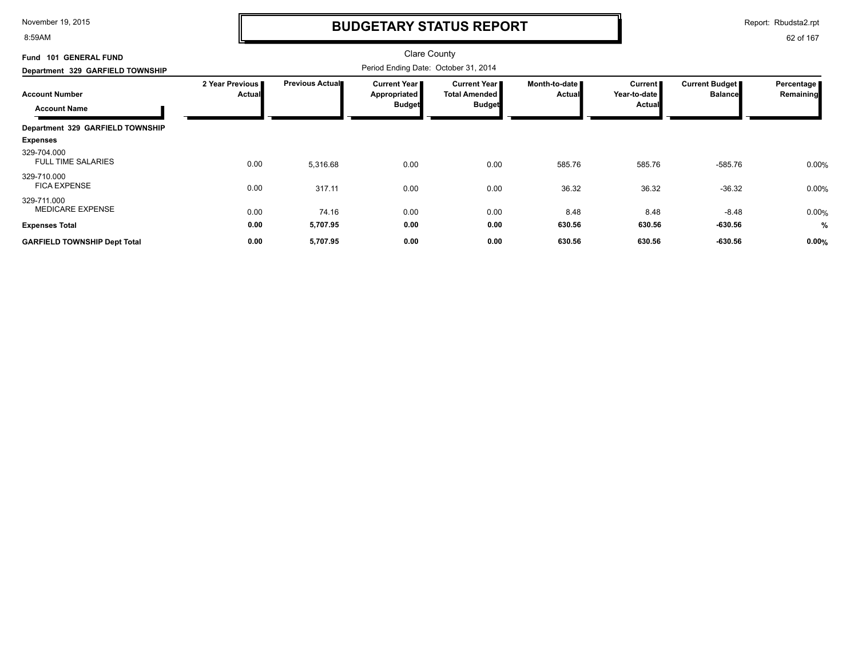8:59AM

### **BUDGETARY STATUS REPORT**

Report: Rbudsta2.rpt

| <b>GENERAL FUND</b><br><b>Fund 101</b>       |                           |                        | <b>Clare County</b>                                           |                                                                |                                |                                                 |                                  |                         |
|----------------------------------------------|---------------------------|------------------------|---------------------------------------------------------------|----------------------------------------------------------------|--------------------------------|-------------------------------------------------|----------------------------------|-------------------------|
| Department 329 GARFIELD TOWNSHIP             |                           |                        |                                                               |                                                                |                                |                                                 |                                  |                         |
| <b>Account Number</b><br><b>Account Name</b> | 2 Year Previous<br>Actual | <b>Previous Actual</b> | <b>Current Year</b> ∎<br><b>Appropriated</b><br><b>Budget</b> | <b>Current Year</b> I<br><b>Total Amended</b><br><b>Budget</b> | Month-to-date<br><b>Actual</b> | <b>Current</b><br>Year-to-date<br><b>Actual</b> | Current Budget<br><b>Balance</b> | Percentage<br>Remaining |
| Department 329 GARFIELD TOWNSHIP             |                           |                        |                                                               |                                                                |                                |                                                 |                                  |                         |
| <b>Expenses</b>                              |                           |                        |                                                               |                                                                |                                |                                                 |                                  |                         |
| 329-704.000<br><b>FULL TIME SALARIES</b>     | 0.00                      | 5,316.68               | 0.00                                                          | 0.00                                                           | 585.76                         | 585.76                                          | $-585.76$                        | 0.00%                   |
| 329-710.000<br><b>FICA EXPENSE</b>           | 0.00                      | 317.11                 | 0.00                                                          | 0.00                                                           | 36.32                          | 36.32                                           | $-36.32$                         | 0.00%                   |
| 329-711.000<br><b>MEDICARE EXPENSE</b>       | 0.00                      | 74.16                  | 0.00                                                          | 0.00                                                           | 8.48                           | 8.48                                            | $-8.48$                          | 0.00%                   |
| <b>Expenses Total</b>                        | 0.00                      | 5,707.95               | 0.00                                                          | 0.00                                                           | 630.56                         | 630.56                                          | $-630.56$                        | $\frac{0}{2}$           |
| <b>GARFIELD TOWNSHIP Dept Total</b>          | 0.00                      | 5,707.95               | 0.00                                                          | 0.00                                                           | 630.56                         | 630.56                                          | $-630.56$                        | 0.00%                   |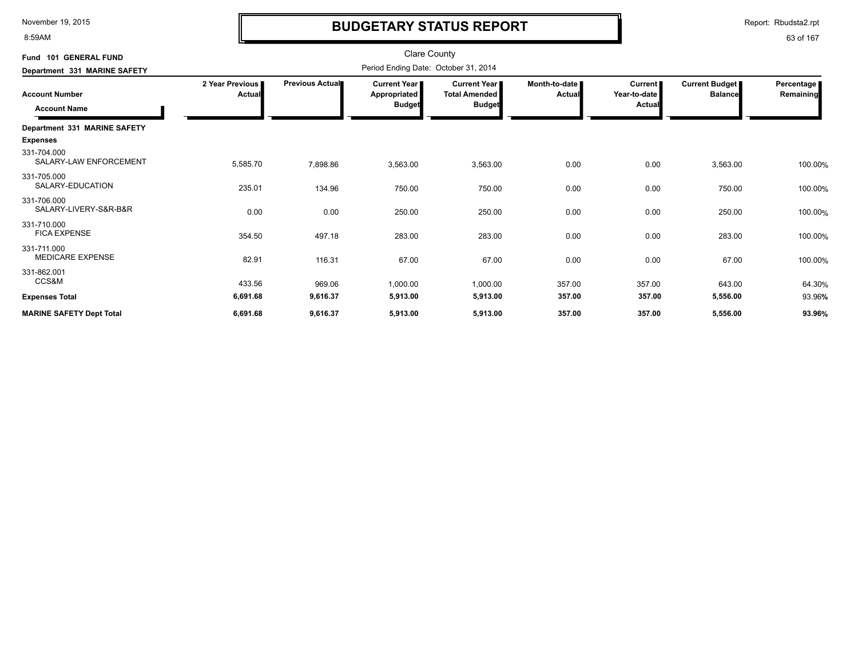8:59AM

# **BUDGETARY STATUS REPORT**

Report: Rbudsta2.rpt

| Fund 101 GENERAL FUND                        |                                  |                                      | <b>Clare County</b>                                    |                                                       |                           |                                   |                                         |                         |  |
|----------------------------------------------|----------------------------------|--------------------------------------|--------------------------------------------------------|-------------------------------------------------------|---------------------------|-----------------------------------|-----------------------------------------|-------------------------|--|
| Department 331 MARINE SAFETY                 |                                  | Period Ending Date: October 31, 2014 |                                                        |                                                       |                           |                                   |                                         |                         |  |
| <b>Account Number</b><br><b>Account Name</b> | 2 Year Previous<br><b>Actual</b> | Previous Actual                      | <b>Current Year I</b><br>Appropriated<br><b>Budget</b> | Current Year<br><b>Total Amended</b><br><b>Budget</b> | Month-to-date I<br>Actual | Current<br>Year-to-date<br>Actual | <b>Current Budget</b><br><b>Balance</b> | Percentage<br>Remaining |  |
| Department 331 MARINE SAFETY                 |                                  |                                      |                                                        |                                                       |                           |                                   |                                         |                         |  |
| <b>Expenses</b>                              |                                  |                                      |                                                        |                                                       |                           |                                   |                                         |                         |  |
| 331-704.000<br>SALARY-LAW ENFORCEMENT        | 5,585.70                         | 7,898.86                             | 3,563.00                                               | 3,563.00                                              | 0.00                      | 0.00                              | 3,563.00                                | 100.00%                 |  |
| 331-705.000<br>SALARY-EDUCATION              | 235.01                           | 134.96                               | 750.00                                                 | 750.00                                                | 0.00                      | 0.00                              | 750.00                                  | 100.00%                 |  |
| 331-706.000<br>SALARY-LIVERY-S&R-B&R         | 0.00                             | 0.00                                 | 250.00                                                 | 250.00                                                | 0.00                      | 0.00                              | 250.00                                  | 100.00%                 |  |
| 331-710.000<br><b>FICA EXPENSE</b>           | 354.50                           | 497.18                               | 283.00                                                 | 283.00                                                | 0.00                      | 0.00                              | 283.00                                  | 100.00%                 |  |
| 331-711.000<br><b>MEDICARE EXPENSE</b>       | 82.91                            | 116.31                               | 67.00                                                  | 67.00                                                 | 0.00                      | 0.00                              | 67.00                                   | 100.00%                 |  |
| 331-862.001<br>CCS&M                         | 433.56                           | 969.06                               | 1,000.00                                               | 1,000.00                                              | 357.00                    | 357.00                            | 643.00                                  | 64.30%                  |  |
| <b>Expenses Total</b>                        | 6,691.68                         | 9,616.37                             | 5,913.00                                               | 5,913.00                                              | 357.00                    | 357.00                            | 5,556.00                                | 93.96%                  |  |
| <b>MARINE SAFETY Dept Total</b>              | 6,691.68                         | 9,616.37                             | 5,913.00                                               | 5,913.00                                              | 357.00                    | 357.00                            | 5,556.00                                | 93.96%                  |  |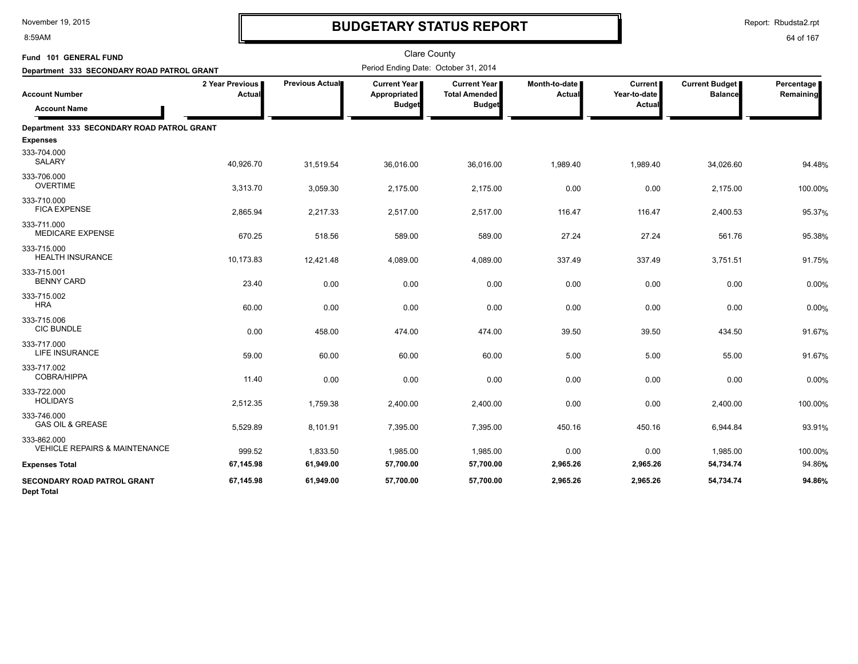8:59AM

# **BUDGETARY STATUS REPORT**

Report: Rbudsta2.rpt

| Fund 101 GENERAL FUND                                   |                                  |                        | <b>Clare County</b>                                    |                                                              |                         |                                   |                                         |                         |
|---------------------------------------------------------|----------------------------------|------------------------|--------------------------------------------------------|--------------------------------------------------------------|-------------------------|-----------------------------------|-----------------------------------------|-------------------------|
| Department 333 SECONDARY ROAD PATROL GRANT              |                                  |                        | Period Ending Date: October 31, 2014                   |                                                              |                         |                                   |                                         |                         |
| <b>Account Number</b>                                   | 2 Year Previous<br><b>Actual</b> | <b>Previous Actual</b> | <b>Current Year I</b><br>Appropriated<br><b>Budget</b> | <b>Current Year</b><br><b>Total Amended</b><br><b>Budget</b> | Month-to-date<br>Actual | Current<br>Year-to-date<br>Actual | <b>Current Budget</b><br><b>Balance</b> | Percentage<br>Remaining |
| <b>Account Name</b>                                     |                                  |                        |                                                        |                                                              |                         |                                   |                                         |                         |
| Department 333 SECONDARY ROAD PATROL GRANT              |                                  |                        |                                                        |                                                              |                         |                                   |                                         |                         |
| <b>Expenses</b>                                         |                                  |                        |                                                        |                                                              |                         |                                   |                                         |                         |
| 333-704.000<br><b>SALARY</b>                            | 40,926.70                        | 31,519.54              | 36,016.00                                              | 36,016.00                                                    | 1,989.40                | 1,989.40                          | 34,026.60                               | 94.48%                  |
| 333-706.000<br><b>OVERTIME</b>                          | 3,313.70                         | 3,059.30               | 2,175.00                                               | 2,175.00                                                     | 0.00                    | 0.00                              | 2,175.00                                | 100.00%                 |
| 333-710.000<br><b>FICA EXPENSE</b>                      | 2,865.94                         | 2,217.33               | 2,517.00                                               | 2,517.00                                                     | 116.47                  | 116.47                            | 2,400.53                                | 95.37%                  |
| 333-711.000<br><b>MEDICARE EXPENSE</b>                  | 670.25                           | 518.56                 | 589.00                                                 | 589.00                                                       | 27.24                   | 27.24                             | 561.76                                  | 95.38%                  |
| 333-715.000<br><b>HEALTH INSURANCE</b>                  | 10,173.83                        | 12,421.48              | 4,089.00                                               | 4,089.00                                                     | 337.49                  | 337.49                            | 3,751.51                                | 91.75%                  |
| 333-715.001<br><b>BENNY CARD</b>                        | 23.40                            | 0.00                   | 0.00                                                   | 0.00                                                         | 0.00                    | 0.00                              | 0.00                                    | 0.00%                   |
| 333-715.002<br><b>HRA</b>                               | 60.00                            | 0.00                   | 0.00                                                   | 0.00                                                         | 0.00                    | 0.00                              | 0.00                                    | 0.00%                   |
| 333-715.006<br><b>CIC BUNDLE</b>                        | 0.00                             | 458.00                 | 474.00                                                 | 474.00                                                       | 39.50                   | 39.50                             | 434.50                                  | 91.67%                  |
| 333-717.000<br>LIFE INSURANCE                           | 59.00                            | 60.00                  | 60.00                                                  | 60.00                                                        | 5.00                    | 5.00                              | 55.00                                   | 91.67%                  |
| 333-717.002<br>COBRA/HIPPA                              | 11.40                            | 0.00                   | 0.00                                                   | 0.00                                                         | 0.00                    | 0.00                              | 0.00                                    | 0.00%                   |
| 333-722.000<br><b>HOLIDAYS</b>                          | 2,512.35                         | 1,759.38               | 2,400.00                                               | 2,400.00                                                     | 0.00                    | 0.00                              | 2,400.00                                | 100.00%                 |
| 333-746.000<br><b>GAS OIL &amp; GREASE</b>              | 5,529.89                         | 8,101.91               | 7,395.00                                               | 7,395.00                                                     | 450.16                  | 450.16                            | 6,944.84                                | 93.91%                  |
| 333-862.000<br><b>VEHICLE REPAIRS &amp; MAINTENANCE</b> | 999.52                           | 1,833.50               | 1,985.00                                               | 1,985.00                                                     | 0.00                    | 0.00                              | 1,985.00                                | 100.00%                 |
| <b>Expenses Total</b>                                   | 67,145.98                        | 61,949.00              | 57,700.00                                              | 57,700.00                                                    | 2,965.26                | 2,965.26                          | 54,734.74                               | 94.86%                  |
| <b>SECONDARY ROAD PATROL GRANT</b><br><b>Dept Total</b> | 67,145.98                        | 61,949.00              | 57,700.00                                              | 57,700.00                                                    | 2,965.26                | 2,965.26                          | 54,734.74                               | 94.86%                  |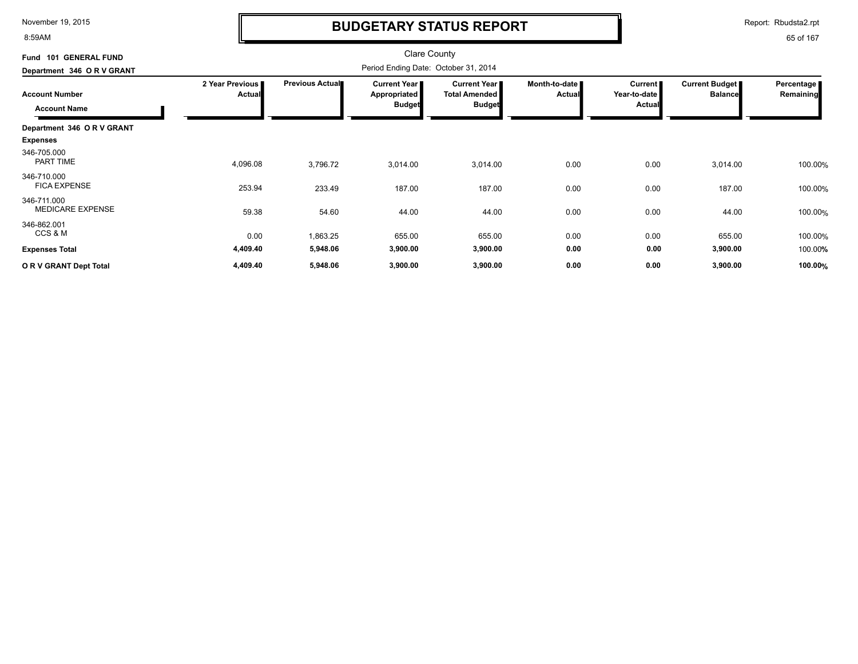8:59AM

# **BUDGETARY STATUS REPORT**

Report: Rbudsta2.rpt

| <b>GENERAL FUND</b><br><b>Fund 101</b> |                                  |                        | Clare County<br>Period Ending Date: October 31, 2014 |                                             |                                |                           |                                         |                         |
|----------------------------------------|----------------------------------|------------------------|------------------------------------------------------|---------------------------------------------|--------------------------------|---------------------------|-----------------------------------------|-------------------------|
| Department 346 O R V GRANT             |                                  |                        |                                                      |                                             |                                |                           |                                         |                         |
| <b>Account Number</b>                  | 2 Year Previous<br><b>Actual</b> | <b>Previous Actual</b> | Current Year  <br><b>Appropriated</b>                | <b>Current Year</b><br><b>Total Amended</b> | Month-to-date<br><b>Actual</b> | Current  <br>Year-to-date | <b>Current Budget</b><br><b>Balance</b> | Percentage<br>Remaining |
| <b>Account Name</b>                    |                                  |                        | <b>Budget</b>                                        | <b>Budget</b>                               |                                | <b>Actual</b>             |                                         |                         |
| Department 346 OR V GRANT              |                                  |                        |                                                      |                                             |                                |                           |                                         |                         |
| <b>Expenses</b>                        |                                  |                        |                                                      |                                             |                                |                           |                                         |                         |
| 346-705.000<br>PART TIME               | 4,096.08                         | 3,796.72               | 3,014.00                                             | 3,014.00                                    | 0.00                           | 0.00                      | 3,014.00                                | 100.00%                 |
| 346-710.000<br><b>FICA EXPENSE</b>     | 253.94                           | 233.49                 | 187.00                                               | 187.00                                      | 0.00                           | 0.00                      | 187.00                                  | 100.00%                 |
| 346-711.000<br><b>MEDICARE EXPENSE</b> | 59.38                            | 54.60                  | 44.00                                                | 44.00                                       | 0.00                           | 0.00                      | 44.00                                   | 100.00%                 |
| 346-862.001<br>CCS & M                 | 0.00                             | 1,863.25               | 655.00                                               | 655.00                                      | 0.00                           | 0.00                      | 655.00                                  | 100.00%                 |
| <b>Expenses Total</b>                  | 4,409.40                         | 5,948.06               | 3,900.00                                             | 3,900.00                                    | 0.00                           | 0.00                      | 3,900.00                                | 100.00%                 |
| OR V GRANT Dept Total                  | 4,409.40                         | 5,948.06               | 3,900.00                                             | 3,900.00                                    | 0.00                           | 0.00                      | 3,900.00                                | 100.00%                 |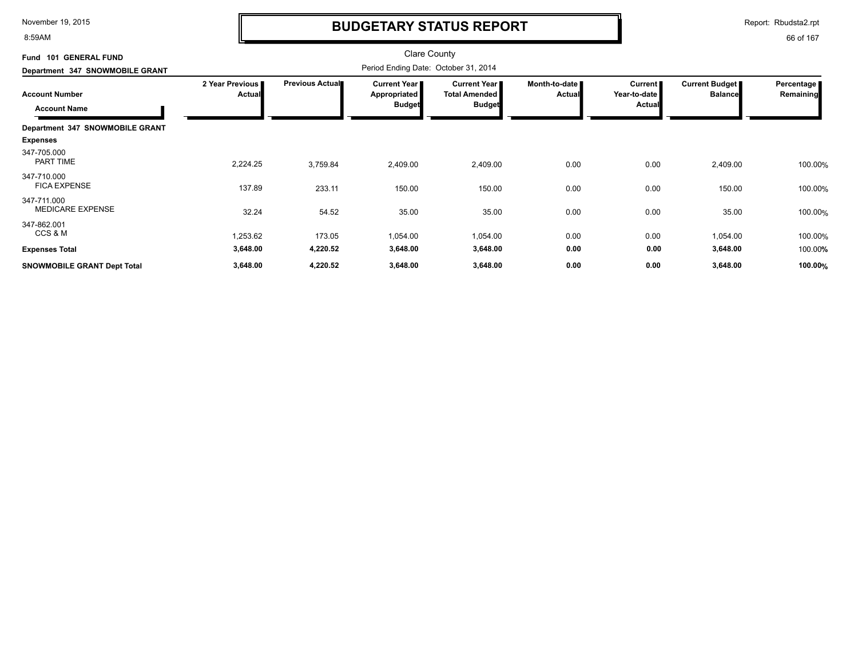8:59AM

# **BUDGETARY STATUS REPORT**

Report: Rbudsta2.rpt

| Fund 101 GENERAL FUND<br>Department 347 SNOWMOBILE GRANT    |                                  |                        |                                               |                                                              |                                |                                                   |                                  |                           |
|-------------------------------------------------------------|----------------------------------|------------------------|-----------------------------------------------|--------------------------------------------------------------|--------------------------------|---------------------------------------------------|----------------------------------|---------------------------|
| <b>Account Number</b><br><b>Account Name</b>                | 2 Year Previous<br><b>Actual</b> | <b>Previous Actual</b> | Current Year<br>Appropriated<br><b>Budget</b> | <b>Current Year</b><br><b>Total Amended</b><br><b>Budget</b> | Month-to-date<br><b>Actual</b> | Current <b>F</b><br>Year-to-date<br><b>Actual</b> | Current Budget<br><b>Balance</b> | Percentage  <br>Remaining |
| Department 347 SNOWMOBILE GRANT<br><b>Expenses</b>          |                                  |                        |                                               |                                                              |                                |                                                   |                                  |                           |
| 347-705.000<br>PART TIME                                    | 2,224.25                         | 3,759.84               | 2,409.00                                      | 2,409.00                                                     | 0.00                           | 0.00                                              | 2,409.00                         | 100.00%                   |
| 347-710.000<br><b>FICA EXPENSE</b>                          | 137.89                           | 233.11                 | 150.00                                        | 150.00                                                       | 0.00                           | 0.00                                              | 150.00                           | 100.00%                   |
| 347-711.000<br><b>MEDICARE EXPENSE</b>                      | 32.24                            | 54.52                  | 35.00                                         | 35.00                                                        | 0.00                           | 0.00                                              | 35.00                            | 100.00%                   |
| 347-862.001<br>CCS & M                                      | 1,253.62                         | 173.05                 | 1,054.00                                      | 1,054.00                                                     | 0.00                           | 0.00                                              | 1,054.00                         | 100.00%                   |
| <b>Expenses Total</b><br><b>SNOWMOBILE GRANT Dept Total</b> | 3,648.00<br>3,648.00             | 4,220.52<br>4,220.52   | 3,648.00<br>3,648.00                          | 3,648.00<br>3,648.00                                         | 0.00<br>0.00                   | 0.00<br>0.00                                      | 3,648.00<br>3,648.00             | 100.00%<br>100.00%        |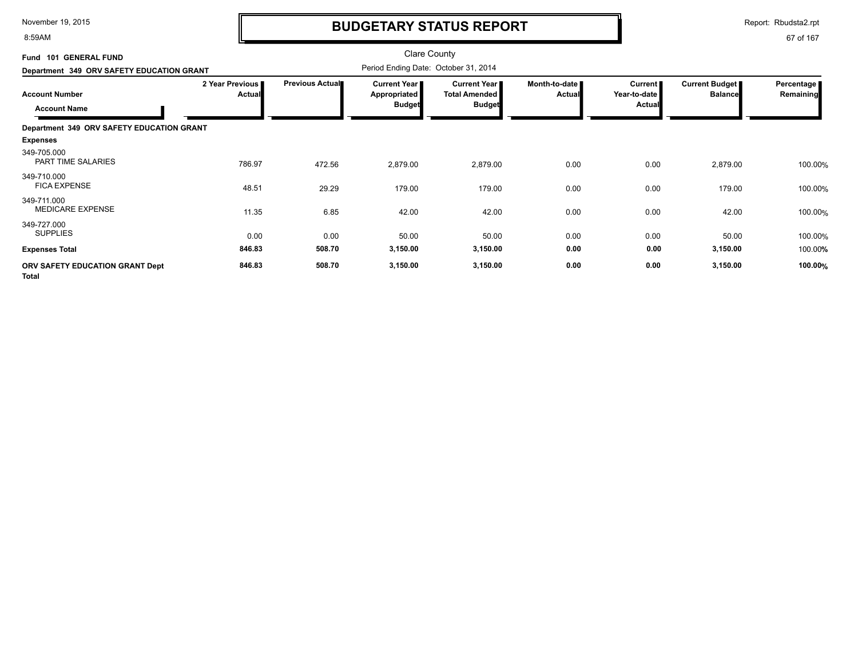8:59AM

# **BUDGETARY STATUS REPORT**

Report: Rbudsta2.rpt

| Fund 101 GENERAL FUND<br>Department 349 ORV SAFETY EDUCATION GRANT |                                  | <b>Clare County</b><br>Period Ending Date: October 31, 2014 |                                                        |                                                                |                                |                                          |                                         |                         |
|--------------------------------------------------------------------|----------------------------------|-------------------------------------------------------------|--------------------------------------------------------|----------------------------------------------------------------|--------------------------------|------------------------------------------|-----------------------------------------|-------------------------|
| <b>Account Number</b><br><b>Account Name</b>                       | 2 Year Previous<br><b>Actual</b> | Previous Actual                                             | <b>Current Year I</b><br>Appropriated<br><b>Budget</b> | <b>Current Year I</b><br><b>Total Amended</b><br><b>Budget</b> | Month-to-date<br><b>Actual</b> | <b>Current</b><br>Year-to-date<br>Actual | <b>Current Budget</b><br><b>Balance</b> | Percentage<br>Remaining |
| Department 349 ORV SAFETY EDUCATION GRANT                          |                                  |                                                             |                                                        |                                                                |                                |                                          |                                         |                         |
| <b>Expenses</b>                                                    |                                  |                                                             |                                                        |                                                                |                                |                                          |                                         |                         |
| 349-705.000<br>PART TIME SALARIES                                  | 786.97                           | 472.56                                                      | 2,879.00                                               | 2,879.00                                                       | 0.00                           | 0.00                                     | 2,879.00                                | 100.00%                 |
| 349-710.000<br><b>FICA EXPENSE</b>                                 | 48.51                            | 29.29                                                       | 179.00                                                 | 179.00                                                         | 0.00                           | 0.00                                     | 179.00                                  | 100.00%                 |
| 349-711.000<br>MEDICARE EXPENSE                                    | 11.35                            | 6.85                                                        | 42.00                                                  | 42.00                                                          | 0.00                           | 0.00                                     | 42.00                                   | 100.00%                 |
| 349-727.000<br><b>SUPPLIES</b>                                     | 0.00                             | 0.00                                                        | 50.00                                                  | 50.00                                                          | 0.00                           | 0.00                                     | 50.00                                   | 100.00%                 |
| <b>Expenses Total</b>                                              | 846.83                           | 508.70                                                      | 3,150.00                                               | 3,150.00                                                       | 0.00                           | 0.00                                     | 3,150.00                                | 100.00%                 |
| ORV SAFETY EDUCATION GRANT Dept<br><b>Total</b>                    | 846.83                           | 508.70                                                      | 3,150.00                                               | 3,150.00                                                       | 0.00                           | 0.00                                     | 3,150.00                                | 100.00%                 |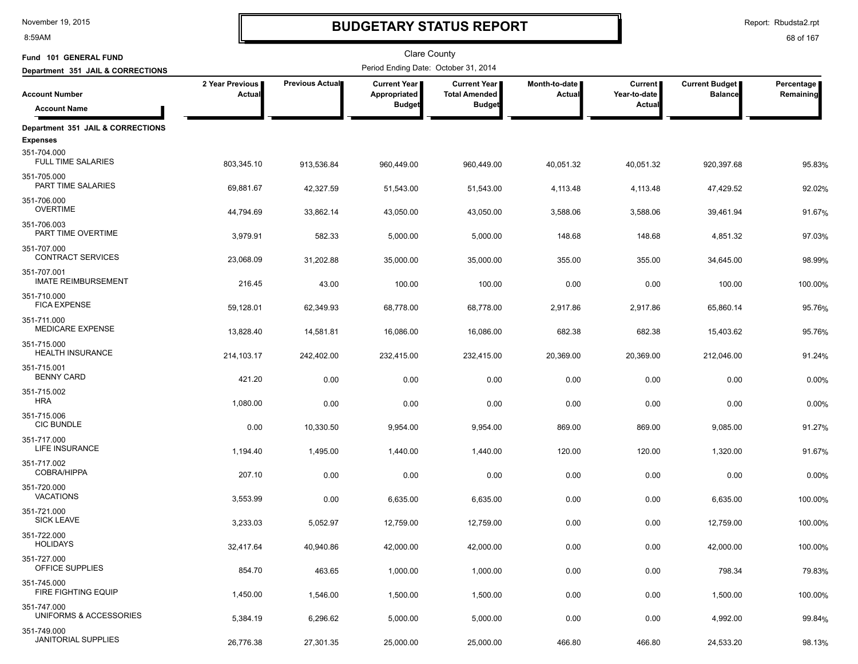8:59AM

# **BUDGETARY STATUS REPORT**

Report: Rbudsta2.rpt

| Fund 101 GENERAL FUND                     |                           |                 | Clare County                          |                                             |                         |                                |                                         |                         |
|-------------------------------------------|---------------------------|-----------------|---------------------------------------|---------------------------------------------|-------------------------|--------------------------------|-----------------------------------------|-------------------------|
| Department 351 JAIL & CORRECTIONS         |                           |                 | Period Ending Date: October 31, 2014  |                                             |                         |                                |                                         |                         |
| <b>Account Number</b>                     | 2 Year Previous<br>Actual | Previous Actual | <b>Current Year  </b><br>Appropriated | <b>Current Year</b><br><b>Total Amended</b> | Month-to-date<br>Actual | <b>Current</b><br>Year-to-date | <b>Current Budget</b><br><b>Balance</b> | Percentage<br>Remaining |
| <b>Account Name</b>                       |                           |                 | <b>Budget</b>                         | <b>Budget</b>                               |                         | Actual                         |                                         |                         |
| Department 351 JAIL & CORRECTIONS         |                           |                 |                                       |                                             |                         |                                |                                         |                         |
| <b>Expenses</b>                           |                           |                 |                                       |                                             |                         |                                |                                         |                         |
| 351-704.000<br><b>FULL TIME SALARIES</b>  | 803,345.10                | 913,536.84      | 960,449.00                            | 960,449.00                                  | 40,051.32               | 40,051.32                      | 920,397.68                              | 95.83%                  |
| 351-705.000<br>PART TIME SALARIES         | 69,881.67                 | 42,327.59       | 51,543.00                             | 51,543.00                                   | 4,113.48                | 4,113.48                       | 47,429.52                               | 92.02%                  |
| 351-706.000<br><b>OVERTIME</b>            | 44,794.69                 | 33,862.14       | 43,050.00                             | 43,050.00                                   | 3,588.06                | 3,588.06                       | 39,461.94                               | 91.67%                  |
| 351-706.003<br>PART TIME OVERTIME         | 3,979.91                  | 582.33          | 5,000.00                              | 5,000.00                                    | 148.68                  | 148.68                         | 4,851.32                                | 97.03%                  |
| 351-707.000<br><b>CONTRACT SERVICES</b>   | 23,068.09                 | 31,202.88       | 35,000.00                             | 35,000.00                                   | 355.00                  | 355.00                         | 34,645.00                               | 98.99%                  |
| 351-707.001                               |                           |                 |                                       |                                             |                         |                                |                                         |                         |
| <b>IMATE REIMBURSEMENT</b>                | 216.45                    | 43.00           | 100.00                                | 100.00                                      | 0.00                    | 0.00                           | 100.00                                  | 100.00%                 |
| 351-710.000<br><b>FICA EXPENSE</b>        | 59,128.01                 | 62,349.93       | 68,778.00                             | 68,778.00                                   | 2,917.86                | 2,917.86                       | 65,860.14                               | 95.76%                  |
| 351-711.000<br>MEDICARE EXPENSE           | 13,828.40                 | 14,581.81       | 16,086.00                             | 16,086.00                                   | 682.38                  | 682.38                         | 15,403.62                               | 95.76%                  |
| 351-715.000<br>HEALTH INSURANCE           | 214, 103. 17              | 242,402.00      | 232,415.00                            | 232,415.00                                  | 20,369.00               | 20,369.00                      | 212,046.00                              | 91.24%                  |
| 351-715.001<br><b>BENNY CARD</b>          | 421.20                    | 0.00            | 0.00                                  | 0.00                                        | 0.00                    | 0.00                           | 0.00                                    | 0.00%                   |
| 351-715.002                               |                           |                 |                                       |                                             |                         |                                |                                         |                         |
| <b>HRA</b>                                | 1,080.00                  | 0.00            | 0.00                                  | 0.00                                        | 0.00                    | 0.00                           | 0.00                                    | 0.00%                   |
| 351-715.006<br><b>CIC BUNDLE</b>          | 0.00                      | 10,330.50       | 9,954.00                              | 9,954.00                                    | 869.00                  | 869.00                         | 9,085.00                                | 91.27%                  |
| 351-717.000<br>LIFE INSURANCE             | 1,194.40                  | 1,495.00        | 1,440.00                              | 1,440.00                                    | 120.00                  | 120.00                         | 1,320.00                                | 91.67%                  |
| 351-717.002<br>COBRA/HIPPA                | 207.10                    | 0.00            | 0.00                                  | 0.00                                        | 0.00                    | 0.00                           | 0.00                                    | 0.00%                   |
| 351-720.000<br><b>VACATIONS</b>           | 3,553.99                  | 0.00            | 6,635.00                              | 6,635.00                                    | 0.00                    | 0.00                           | 6,635.00                                | 100.00%                 |
| 351-721.000<br><b>SICK LEAVE</b>          | 3,233.03                  | 5,052.97        | 12,759.00                             | 12,759.00                                   | 0.00                    | 0.00                           | 12,759.00                               | 100.00%                 |
| 351-722.000<br><b>HOLIDAYS</b>            | 32,417.64                 | 40,940.86       | 42,000.00                             | 42,000.00                                   | 0.00                    | 0.00                           | 42,000.00                               | 100.00%                 |
| 351-727.000<br>OFFICE SUPPLIES            | 854.70                    | 463.65          | 1,000.00                              | 1,000.00                                    | 0.00                    | 0.00                           | 798.34                                  |                         |
| 351-745.000<br>FIRE FIGHTING EQUIP        |                           |                 |                                       |                                             |                         |                                |                                         | 79.83%                  |
| 351-747.000                               | 1,450.00                  | 1,546.00        | 1,500.00                              | 1,500.00                                    | 0.00                    | 0.00                           | 1,500.00                                | 100.00%                 |
| UNIFORMS & ACCESSORIES                    | 5,384.19                  | 6,296.62        | 5,000.00                              | 5,000.00                                    | 0.00                    | 0.00                           | 4,992.00                                | 99.84%                  |
| 351-749.000<br><b>JANITORIAL SUPPLIES</b> | 26,776.38                 | 27,301.35       | 25,000.00                             | 25,000.00                                   | 466.80                  | 466.80                         | 24,533.20                               | 98.13%                  |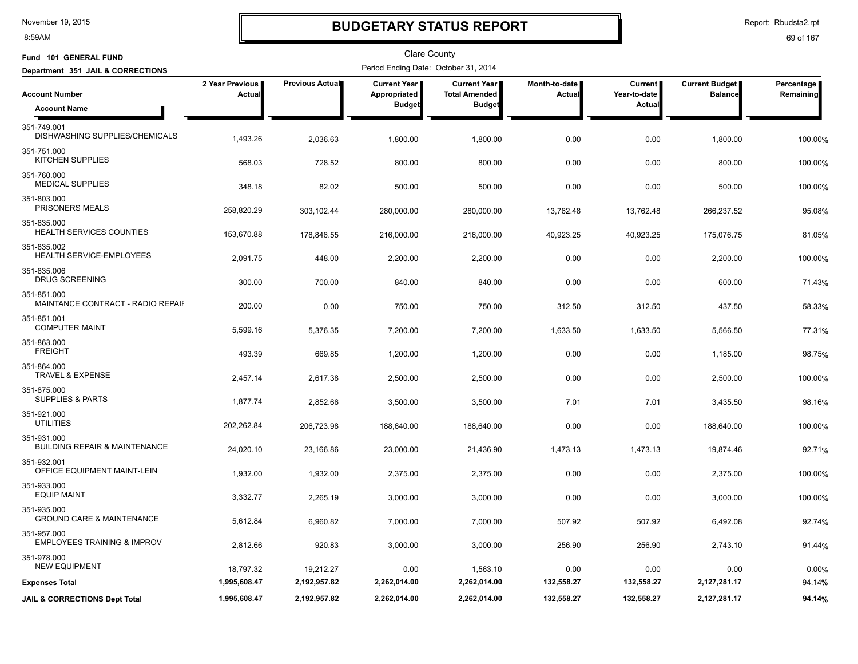8:59AM

# **BUDGETARY STATUS REPORT**

Report: Rbudsta2.rpt

| Fund 101 GENERAL FUND                                   |                           |                 | <b>Clare County</b>                   |                                               |                                  |                                |                                  |                           |
|---------------------------------------------------------|---------------------------|-----------------|---------------------------------------|-----------------------------------------------|----------------------------------|--------------------------------|----------------------------------|---------------------------|
| Department 351 JAIL & CORRECTIONS                       |                           |                 | Period Ending Date: October 31, 2014  |                                               |                                  |                                |                                  |                           |
| <b>Account Number</b>                                   | 2 Year Previous<br>Actual | Previous Actual | <b>Current Year I</b><br>Appropriated | <b>Current Year I</b><br><b>Total Amended</b> | Month-to-date I<br><b>Actual</b> | <b>Current</b><br>Year-to-date | Current Budget<br><b>Balance</b> | Percentage  <br>Remaining |
| <b>Account Name</b>                                     |                           |                 | <b>Budget</b>                         | <b>Budget</b>                                 |                                  | Actual                         |                                  |                           |
| 351-749.001<br>DISHWASHING SUPPLIES/CHEMICALS           | 1,493.26                  | 2,036.63        | 1,800.00                              | 1,800.00                                      | 0.00                             | 0.00                           | 1,800.00                         | 100.00%                   |
| 351-751.000<br><b>KITCHEN SUPPLIES</b>                  | 568.03                    | 728.52          | 800.00                                | 800.00                                        | 0.00                             | 0.00                           | 800.00                           | 100.00%                   |
| 351-760.000<br><b>MEDICAL SUPPLIES</b>                  | 348.18                    | 82.02           | 500.00                                | 500.00                                        | 0.00                             | 0.00                           | 500.00                           | 100.00%                   |
| 351-803.000<br>PRISONERS MEALS                          | 258,820.29                | 303,102.44      | 280,000.00                            | 280,000.00                                    | 13,762.48                        | 13,762.48                      | 266,237.52                       | 95.08%                    |
| 351-835.000<br>HEALTH SERVICES COUNTIES                 | 153,670.88                | 178,846.55      | 216,000.00                            | 216,000.00                                    | 40,923.25                        | 40,923.25                      | 175,076.75                       | 81.05%                    |
| 351-835.002<br>HEALTH SERVICE-EMPLOYEES                 | 2,091.75                  | 448.00          | 2,200.00                              | 2,200.00                                      | 0.00                             | 0.00                           | 2,200.00                         | 100.00%                   |
| 351-835.006<br><b>DRUG SCREENING</b>                    | 300.00                    | 700.00          | 840.00                                | 840.00                                        | 0.00                             | 0.00                           | 600.00                           | 71.43%                    |
| 351-851.000<br>MAINTANCE CONTRACT - RADIO REPAIF        | 200.00                    | 0.00            | 750.00                                | 750.00                                        | 312.50                           | 312.50                         | 437.50                           | 58.33%                    |
| 351-851.001<br><b>COMPUTER MAINT</b>                    | 5,599.16                  | 5,376.35        | 7,200.00                              | 7,200.00                                      | 1,633.50                         | 1,633.50                       | 5,566.50                         | 77.31%                    |
| 351-863.000<br><b>FREIGHT</b>                           | 493.39                    | 669.85          | 1,200.00                              | 1,200.00                                      | 0.00                             | 0.00                           | 1,185.00                         | 98.75%                    |
| 351-864.000<br><b>TRAVEL &amp; EXPENSE</b>              | 2,457.14                  | 2,617.38        | 2,500.00                              | 2,500.00                                      | 0.00                             | 0.00                           | 2,500.00                         | 100.00%                   |
| 351-875.000<br><b>SUPPLIES &amp; PARTS</b>              | 1,877.74                  | 2,852.66        | 3,500.00                              | 3,500.00                                      | 7.01                             | 7.01                           | 3,435.50                         | 98.16%                    |
| 351-921.000<br><b>UTILITIES</b>                         | 202,262.84                | 206,723.98      | 188,640.00                            | 188,640.00                                    | 0.00                             | 0.00                           | 188,640.00                       | 100.00%                   |
| 351-931.000<br><b>BUILDING REPAIR &amp; MAINTENANCE</b> | 24,020.10                 | 23,166.86       | 23,000.00                             | 21,436.90                                     | 1,473.13                         | 1,473.13                       | 19,874.46                        | 92.71%                    |
| 351-932.001<br>OFFICE EQUIPMENT MAINT-LEIN              | 1,932.00                  | 1,932.00        | 2,375.00                              | 2,375.00                                      | 0.00                             | 0.00                           | 2,375.00                         | 100.00%                   |
| 351-933.000<br><b>EQUIP MAINT</b>                       | 3,332.77                  | 2,265.19        | 3,000.00                              | 3,000.00                                      | 0.00                             | 0.00                           | 3,000.00                         | 100.00%                   |
| 351-935.000<br><b>GROUND CARE &amp; MAINTENANCE</b>     | 5,612.84                  | 6,960.82        | 7,000.00                              | 7,000.00                                      | 507.92                           | 507.92                         | 6,492.08                         | 92.74%                    |
| 351-957.000<br><b>EMPLOYEES TRAINING &amp; IMPROV</b>   | 2,812.66                  | 920.83          | 3,000.00                              | 3,000.00                                      | 256.90                           | 256.90                         | 2,743.10                         | 91.44%                    |
| 351-978.000<br><b>NEW EQUIPMENT</b>                     | 18,797.32                 | 19,212.27       | 0.00                                  | 1,563.10                                      | 0.00                             | 0.00                           | 0.00                             | 0.00%                     |
| <b>Expenses Total</b>                                   | 1,995,608.47              | 2,192,957.82    | 2,262,014.00                          | 2,262,014.00                                  | 132,558.27                       | 132,558.27                     | 2,127,281.17                     | 94.14%                    |
| <b>JAIL &amp; CORRECTIONS Dept Total</b>                | 1,995,608.47              | 2,192,957.82    | 2,262,014.00                          | 2,262,014.00                                  | 132,558.27                       | 132,558.27                     | 2,127,281.17                     | 94.14%                    |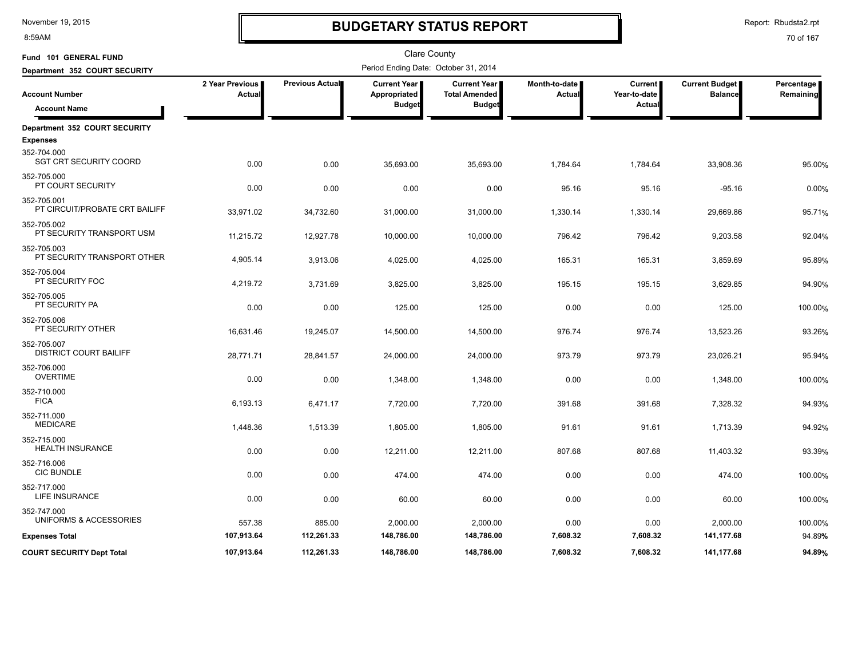8:59AM

# **BUDGETARY STATUS REPORT**

Report: Rbudsta2.rpt

| Fund 101 GENERAL FUND                                           |                             |                 | <b>Clare County</b>                  |                                             |                                |                                |                                         |                         |
|-----------------------------------------------------------------|-----------------------------|-----------------|--------------------------------------|---------------------------------------------|--------------------------------|--------------------------------|-----------------------------------------|-------------------------|
| Department 352 COURT SECURITY                                   |                             |                 | Period Ending Date: October 31, 2014 |                                             |                                |                                |                                         |                         |
| <b>Account Number</b>                                           | 2 Year Previous  <br>Actual | Previous Actual | Current Year<br>Appropriated         | <b>Current Year</b><br><b>Total Amended</b> | Month-to-date<br><b>Actual</b> | <b>Current</b><br>Year-to-date | <b>Current Budget</b><br><b>Balance</b> | Percentage<br>Remaining |
| <b>Account Name</b>                                             |                             |                 | <b>Budget</b>                        | <b>Budget</b>                               |                                | Actua                          |                                         |                         |
| Department 352 COURT SECURITY                                   |                             |                 |                                      |                                             |                                |                                |                                         |                         |
| <b>Expenses</b><br>352-704.000<br><b>SGT CRT SECURITY COORD</b> | 0.00                        | 0.00            | 35,693.00                            | 35,693.00                                   | 1,784.64                       | 1,784.64                       | 33,908.36                               | 95.00%                  |
| 352-705.000<br>PT COURT SECURITY                                | 0.00                        | 0.00            | 0.00                                 | 0.00                                        | 95.16                          | 95.16                          | $-95.16$                                | 0.00%                   |
| 352-705.001<br>PT CIRCUIT/PROBATE CRT BAILIFF                   | 33,971.02                   | 34,732.60       | 31,000.00                            | 31,000.00                                   | 1,330.14                       | 1,330.14                       | 29,669.86                               | 95.71%                  |
| 352-705.002<br>PT SECURITY TRANSPORT USM                        | 11,215.72                   | 12,927.78       | 10,000.00                            | 10,000.00                                   | 796.42                         | 796.42                         | 9,203.58                                | 92.04%                  |
| 352-705.003<br>PT SECURITY TRANSPORT OTHER                      | 4,905.14                    | 3,913.06        | 4,025.00                             | 4,025.00                                    | 165.31                         | 165.31                         | 3,859.69                                | 95.89%                  |
| 352-705.004<br>PT SECURITY FOC                                  | 4,219.72                    | 3,731.69        | 3,825.00                             | 3,825.00                                    | 195.15                         | 195.15                         | 3,629.85                                | 94.90%                  |
| 352-705.005<br>PT SECURITY PA                                   | 0.00                        | 0.00            | 125.00                               | 125.00                                      | 0.00                           | 0.00                           | 125.00                                  | 100.00%                 |
| 352-705.006<br>PT SECURITY OTHER                                | 16,631.46                   | 19,245.07       | 14,500.00                            | 14,500.00                                   | 976.74                         | 976.74                         | 13,523.26                               | 93.26%                  |
| 352-705.007<br><b>DISTRICT COURT BAILIFF</b>                    | 28,771.71                   | 28,841.57       | 24,000.00                            | 24,000.00                                   | 973.79                         | 973.79                         | 23,026.21                               | 95.94%                  |
| 352-706.000<br><b>OVERTIME</b>                                  | 0.00                        | 0.00            | 1,348.00                             | 1,348.00                                    | 0.00                           | 0.00                           | 1,348.00                                | 100.00%                 |
| 352-710.000<br><b>FICA</b>                                      | 6,193.13                    | 6,471.17        | 7,720.00                             | 7,720.00                                    | 391.68                         | 391.68                         | 7,328.32                                | 94.93%                  |
| 352-711.000<br><b>MEDICARE</b>                                  | 1,448.36                    | 1,513.39        | 1,805.00                             | 1,805.00                                    | 91.61                          | 91.61                          | 1,713.39                                | 94.92%                  |
| 352-715.000<br><b>HEALTH INSURANCE</b>                          | 0.00                        | 0.00            | 12,211.00                            | 12,211.00                                   | 807.68                         | 807.68                         | 11,403.32                               | 93.39%                  |
| 352-716.006<br><b>CIC BUNDLE</b>                                | 0.00                        | 0.00            | 474.00                               | 474.00                                      | 0.00                           | 0.00                           | 474.00                                  | 100.00%                 |
| 352-717.000<br><b>LIFE INSURANCE</b>                            | 0.00                        | 0.00            | 60.00                                | 60.00                                       | 0.00                           | 0.00                           | 60.00                                   | 100.00%                 |
| 352-747.000<br>UNIFORMS & ACCESSORIES                           | 557.38                      | 885.00          | 2,000.00                             | 2,000.00                                    | 0.00                           | 0.00                           | 2,000.00                                | 100.00%                 |
| <b>Expenses Total</b>                                           | 107,913.64                  | 112,261.33      | 148,786.00                           | 148,786.00                                  | 7,608.32                       | 7,608.32                       | 141,177.68                              | 94.89%                  |
| <b>COURT SECURITY Dept Total</b>                                | 107.913.64                  | 112,261.33      | 148,786.00                           | 148,786.00                                  | 7,608.32                       | 7.608.32                       | 141,177.68                              | 94.89%                  |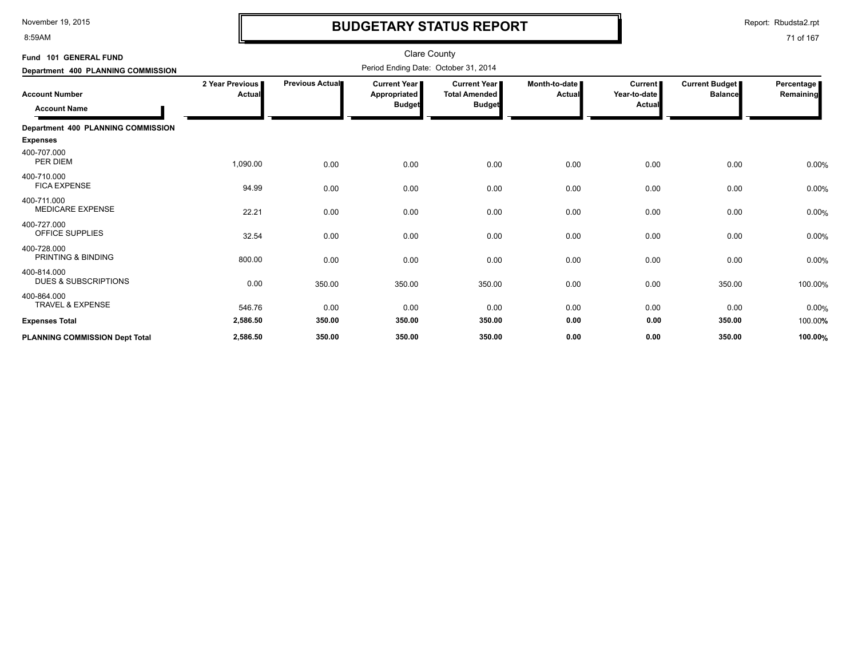8:59AM

# **BUDGETARY STATUS REPORT**

Report: Rbudsta2.rpt

| Fund 101 GENERAL FUND                          |                           |                        | <b>Clare County</b>                                  |                                                       |                           |                                          |                                         |                         |
|------------------------------------------------|---------------------------|------------------------|------------------------------------------------------|-------------------------------------------------------|---------------------------|------------------------------------------|-----------------------------------------|-------------------------|
| Department 400 PLANNING COMMISSION             |                           |                        | Period Ending Date: October 31, 2014                 |                                                       |                           |                                          |                                         |                         |
| <b>Account Number</b><br><b>Account Name</b>   | 2 Year Previous<br>Actual | <b>Previous Actual</b> | <b>Current Year</b><br>Appropriated<br><b>Budget</b> | Current Year<br><b>Total Amended</b><br><b>Budget</b> | Month-to-date  <br>Actual | Current<br>Year-to-date<br><b>Actual</b> | <b>Current Budget</b><br><b>Balance</b> | Percentage<br>Remaining |
| Department 400 PLANNING COMMISSION             |                           |                        |                                                      |                                                       |                           |                                          |                                         |                         |
| <b>Expenses</b>                                |                           |                        |                                                      |                                                       |                           |                                          |                                         |                         |
| 400-707.000<br>PER DIEM                        | 1,090.00                  | 0.00                   | 0.00                                                 | 0.00                                                  | 0.00                      | 0.00                                     | 0.00                                    | 0.00%                   |
| 400-710.000<br><b>FICA EXPENSE</b>             | 94.99                     | 0.00                   | 0.00                                                 | 0.00                                                  | 0.00                      | 0.00                                     | 0.00                                    | 0.00%                   |
| 400-711.000<br><b>MEDICARE EXPENSE</b>         | 22.21                     | 0.00                   | 0.00                                                 | 0.00                                                  | 0.00                      | 0.00                                     | 0.00                                    | 0.00%                   |
| 400-727.000<br><b>OFFICE SUPPLIES</b>          | 32.54                     | 0.00                   | 0.00                                                 | 0.00                                                  | 0.00                      | 0.00                                     | 0.00                                    | 0.00%                   |
| 400-728.000<br>PRINTING & BINDING              | 800.00                    | 0.00                   | 0.00                                                 | 0.00                                                  | 0.00                      | 0.00                                     | 0.00                                    | 0.00%                   |
| 400-814.000<br><b>DUES &amp; SUBSCRIPTIONS</b> | 0.00                      | 350.00                 | 350.00                                               | 350.00                                                | 0.00                      | 0.00                                     | 350.00                                  | 100.00%                 |
| 400-864.000<br><b>TRAVEL &amp; EXPENSE</b>     | 546.76                    | 0.00                   | 0.00                                                 | 0.00                                                  | 0.00                      | 0.00                                     | 0.00                                    | 0.00%                   |
| <b>Expenses Total</b>                          | 2,586.50                  | 350.00                 | 350.00                                               | 350.00                                                | 0.00                      | 0.00                                     | 350.00                                  | 100.00%                 |
| <b>PLANNING COMMISSION Dept Total</b>          | 2,586.50                  | 350.00                 | 350.00                                               | 350.00                                                | 0.00                      | 0.00                                     | 350.00                                  | 100.00%                 |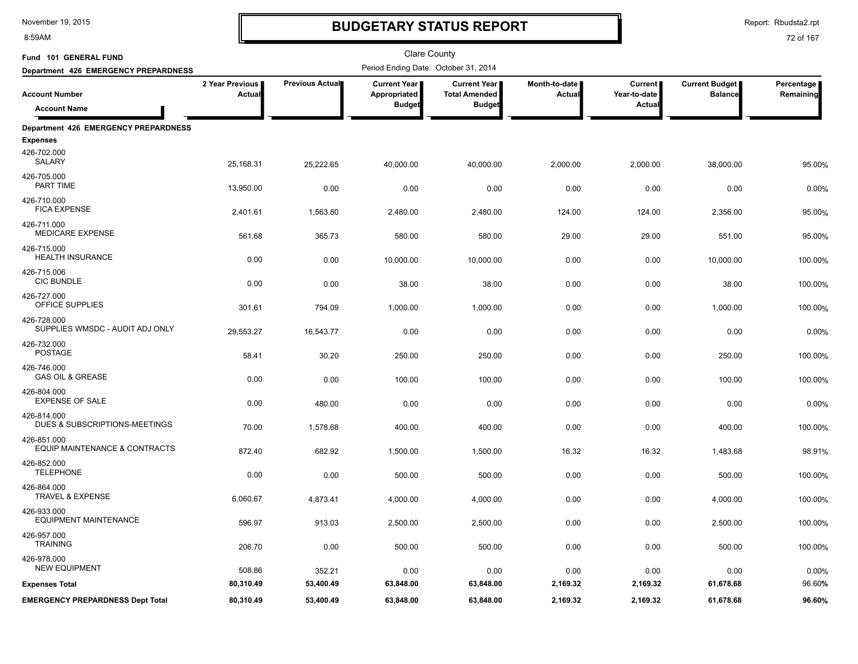8:59AM

# **BUDGETARY STATUS REPORT**

Report: Rbudsta2.rpt

| Fund 101 GENERAL FUND                          |                           |                 | <b>Clare County</b>                                  |                                                              |                         |                                          |                                         |                         |
|------------------------------------------------|---------------------------|-----------------|------------------------------------------------------|--------------------------------------------------------------|-------------------------|------------------------------------------|-----------------------------------------|-------------------------|
| Department 426 EMERGENCY PREPARDNESS           |                           |                 | Period Ending Date: October 31, 2014                 |                                                              |                         |                                          |                                         |                         |
| <b>Account Number</b><br><b>Account Name</b>   | 2 Year Previous<br>Actual | Previous Actual | <b>Current Year</b><br>Appropriated<br><b>Budget</b> | <b>Current Year</b><br><b>Total Amended</b><br><b>Budget</b> | Month-to-date<br>Actual | <b>Current</b><br>Year-to-date<br>Actual | <b>Current Budget</b><br><b>Balance</b> | Percentage<br>Remaining |
|                                                |                           |                 |                                                      |                                                              |                         |                                          |                                         |                         |
| Department 426 EMERGENCY PREPARDNESS           |                           |                 |                                                      |                                                              |                         |                                          |                                         |                         |
| <b>Expenses</b>                                |                           |                 |                                                      |                                                              |                         |                                          |                                         |                         |
| 426-702.000<br>SALARY                          | 25,168.31                 | 25,222.65       | 40,000.00                                            | 40,000.00                                                    | 2,000.00                | 2,000.00                                 | 38,000.00                               | 95.00%                  |
| 426-705.000<br><b>PART TIME</b>                | 13,950.00                 | 0.00            | 0.00                                                 | 0.00                                                         | 0.00                    | 0.00                                     | 0.00                                    | 0.00%                   |
| 426-710.000<br><b>FICA EXPENSE</b>             | 2,401.61                  | 1,563.80        | 2,480.00                                             | 2,480.00                                                     | 124.00                  | 124.00                                   | 2,356.00                                | 95.00%                  |
| 426-711.000<br><b>MEDICARE EXPENSE</b>         | 561.68                    | 365.73          | 580.00                                               | 580.00                                                       | 29.00                   | 29.00                                    | 551.00                                  | 95.00%                  |
| 426-715.000<br><b>HEALTH INSURANCE</b>         | 0.00                      | 0.00            | 10,000.00                                            | 10,000.00                                                    | 0.00                    | 0.00                                     | 10,000.00                               | 100.00%                 |
| 426-715.006<br><b>CIC BUNDLE</b>               | 0.00                      | 0.00            | 38.00                                                | 38.00                                                        | 0.00                    | 0.00                                     | 38.00                                   | 100.00%                 |
| 426-727.000<br>OFFICE SUPPLIES                 | 301.61                    | 794.09          | 1,000.00                                             | 1,000.00                                                     | 0.00                    | 0.00                                     | 1,000.00                                | 100.00%                 |
| 426-728.000<br>SUPPLIES WMSDC - AUDIT ADJ ONLY | 29,553.27                 | 16,543.77       | 0.00                                                 | 0.00                                                         | 0.00                    | 0.00                                     | 0.00                                    | 0.00%                   |
| 426-732.000<br><b>POSTAGE</b>                  | 58.41                     | 30.20           | 250.00                                               | 250.00                                                       | 0.00                    | 0.00                                     | 250.00                                  | 100.00%                 |
| 426-746.000<br><b>GAS OIL &amp; GREASE</b>     | 0.00                      | 0.00            | 100.00                                               | 100.00                                                       | 0.00                    | 0.00                                     | 100.00                                  | 100.00%                 |
| 426-804.000<br><b>EXPENSE OF SALE</b>          |                           |                 |                                                      |                                                              |                         |                                          |                                         |                         |
| 426-814.000                                    | 0.00                      | 480.00          | 0.00                                                 | 0.00                                                         | 0.00                    | 0.00                                     | 0.00                                    | 0.00%                   |
| DUES & SUBSCRIPTIONS-MEETINGS<br>426-851.000   | 70.00                     | 1,578.68        | 400.00                                               | 400.00                                                       | 0.00                    | 0.00                                     | 400.00                                  | 100.00%                 |
| EQUIP MAINTENANCE & CONTRACTS                  | 872.40                    | 682.92          | 1,500.00                                             | 1,500.00                                                     | 16.32                   | 16.32                                    | 1,483.68                                | 98.91%                  |
| 426-852.000<br><b>TELEPHONE</b>                | 0.00                      | 0.00            | 500.00                                               | 500.00                                                       | 0.00                    | 0.00                                     | 500.00                                  | 100.00%                 |
| 426-864.000<br><b>TRAVEL &amp; EXPENSE</b>     | 6,060.67                  | 4,873.41        | 4,000.00                                             | 4,000.00                                                     | 0.00                    | 0.00                                     | 4,000.00                                | 100.00%                 |
| 426-933.000<br><b>EQUIPMENT MAINTENANCE</b>    | 596.97                    | 913.03          | 2,500.00                                             | 2,500.00                                                     | 0.00                    | 0.00                                     | 2,500.00                                | 100.00%                 |
| 426-957.000<br><b>TRAINING</b>                 | 206.70                    | 0.00            | 500.00                                               | 500.00                                                       | 0.00                    | 0.00                                     | 500.00                                  | 100.00%                 |
| 426-978.000<br><b>NEW EQUIPMENT</b>            | 508.86                    | 352.21          | 0.00                                                 | 0.00                                                         | 0.00                    | 0.00                                     | 0.00                                    | 0.00%                   |
| <b>Expenses Total</b>                          | 80,310.49                 | 53,400.49       | 63,848.00                                            | 63,848.00                                                    | 2,169.32                | 2,169.32                                 | 61,678.68                               | 96.60%                  |
| <b>EMERGENCY PREPARDNESS Dept Total</b>        | 80,310.49                 | 53,400.49       | 63,848.00                                            | 63,848.00                                                    | 2,169.32                | 2,169.32                                 | 61,678.68                               | 96.60%                  |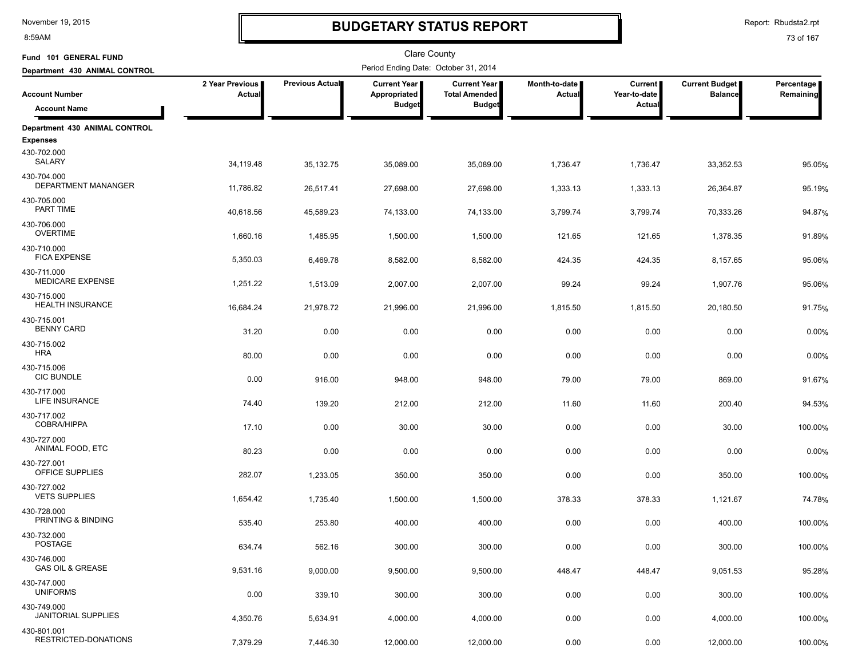8:59AM

# **BUDGETARY STATUS REPORT**

Report: Rbudsta2.rpt

| Fund 101 GENERAL FUND                      |                           |                 | Clare County                         |                                               |                                  |                                |                                         |                         |
|--------------------------------------------|---------------------------|-----------------|--------------------------------------|-----------------------------------------------|----------------------------------|--------------------------------|-----------------------------------------|-------------------------|
| Department 430 ANIMAL CONTROL              |                           |                 | Period Ending Date: October 31, 2014 |                                               |                                  |                                |                                         |                         |
| <b>Account Number</b>                      | 2 Year Previous<br>Actual | Previous Actual | <b>Current Year</b><br>Appropriated  | <b>Current Year I</b><br><b>Total Amended</b> | Month-to-date  <br><b>Actual</b> | <b>Current</b><br>Year-to-date | <b>Current Budget</b><br><b>Balance</b> | Percentage<br>Remaining |
| <b>Account Name</b>                        |                           |                 | <b>Budget</b>                        | <b>Budget</b>                                 |                                  | Actual                         |                                         |                         |
| Department 430 ANIMAL CONTROL              |                           |                 |                                      |                                               |                                  |                                |                                         |                         |
| <b>Expenses</b>                            |                           |                 |                                      |                                               |                                  |                                |                                         |                         |
| 430-702.000<br><b>SALARY</b>               | 34,119.48                 | 35, 132. 75     | 35,089.00                            | 35,089.00                                     | 1,736.47                         | 1,736.47                       | 33,352.53                               | 95.05%                  |
| 430-704.000<br>DEPARTMENT MANANGER         | 11,786.82                 | 26,517.41       | 27,698.00                            | 27,698.00                                     | 1,333.13                         | 1,333.13                       | 26,364.87                               | 95.19%                  |
| 430-705.000<br>PART TIME                   | 40,618.56                 | 45,589.23       | 74,133.00                            | 74,133.00                                     | 3,799.74                         | 3,799.74                       | 70,333.26                               | 94.87%                  |
| 430-706.000<br><b>OVERTIME</b>             | 1,660.16                  | 1,485.95        | 1,500.00                             | 1,500.00                                      | 121.65                           | 121.65                         | 1,378.35                                | 91.89%                  |
| 430-710.000<br><b>FICA EXPENSE</b>         | 5,350.03                  | 6,469.78        | 8,582.00                             | 8,582.00                                      | 424.35                           | 424.35                         | 8,157.65                                | 95.06%                  |
| 430-711.000<br><b>MEDICARE EXPENSE</b>     | 1,251.22                  | 1,513.09        | 2,007.00                             | 2,007.00                                      | 99.24                            | 99.24                          | 1,907.76                                | 95.06%                  |
| 430-715.000<br><b>HEALTH INSURANCE</b>     | 16,684.24                 | 21,978.72       | 21,996.00                            | 21,996.00                                     | 1,815.50                         | 1,815.50                       | 20,180.50                               | 91.75%                  |
| 430-715.001<br><b>BENNY CARD</b>           | 31.20                     | 0.00            | 0.00                                 | 0.00                                          | 0.00                             | 0.00                           | 0.00                                    | 0.00%                   |
| 430-715.002<br><b>HRA</b>                  | 80.00                     | 0.00            | 0.00                                 | 0.00                                          | 0.00                             | 0.00                           | 0.00                                    | 0.00%                   |
| 430-715.006<br><b>CIC BUNDLE</b>           | 0.00                      | 916.00          | 948.00                               | 948.00                                        | 79.00                            | 79.00                          | 869.00                                  | 91.67%                  |
| 430-717.000<br>LIFE INSURANCE              | 74.40                     | 139.20          | 212.00                               | 212.00                                        | 11.60                            | 11.60                          | 200.40                                  | 94.53%                  |
| 430-717.002<br><b>COBRA/HIPPA</b>          | 17.10                     | 0.00            | 30.00                                | 30.00                                         | 0.00                             | 0.00                           | 30.00                                   | 100.00%                 |
| 430-727.000<br>ANIMAL FOOD, ETC            | 80.23                     | 0.00            | 0.00                                 | 0.00                                          | 0.00                             | 0.00                           | 0.00                                    | 0.00%                   |
| 430-727.001<br>OFFICE SUPPLIES             | 282.07                    | 1,233.05        | 350.00                               | 350.00                                        | 0.00                             | 0.00                           | 350.00                                  | 100.00%                 |
| 430-727.002<br><b>VETS SUPPLIES</b>        | 1,654.42                  | 1,735.40        | 1,500.00                             | 1,500.00                                      | 378.33                           | 378.33                         | 1,121.67                                | 74.78%                  |
| 430-728.000<br>PRINTING & BINDING          | 535.40                    | 253.80          | 400.00                               | 400.00                                        | 0.00                             | 0.00                           | 400.00                                  | 100.00%                 |
| 430-732.000<br><b>POSTAGE</b>              | 634.74                    | 562.16          | 300.00                               | 300.00                                        | 0.00                             | 0.00                           | 300.00                                  | 100.00%                 |
| 430-746.000<br><b>GAS OIL &amp; GREASE</b> | 9,531.16                  | 9,000.00        | 9,500.00                             | 9,500.00                                      | 448.47                           | 448.47                         | 9,051.53                                | 95.28%                  |
| 430-747.000<br><b>UNIFORMS</b>             | 0.00                      | 339.10          | 300.00                               | 300.00                                        | 0.00                             | 0.00                           | 300.00                                  | 100.00%                 |
| 430-749.000<br><b>JANITORIAL SUPPLIES</b>  | 4,350.76                  | 5,634.91        | 4,000.00                             | 4,000.00                                      | 0.00                             | 0.00                           | 4,000.00                                | 100.00%                 |
| 430-801.001<br>RESTRICTED-DONATIONS        | 7,379.29                  | 7,446.30        | 12,000.00                            | 12,000.00                                     | 0.00                             | 0.00                           | 12,000.00                               | 100.00%                 |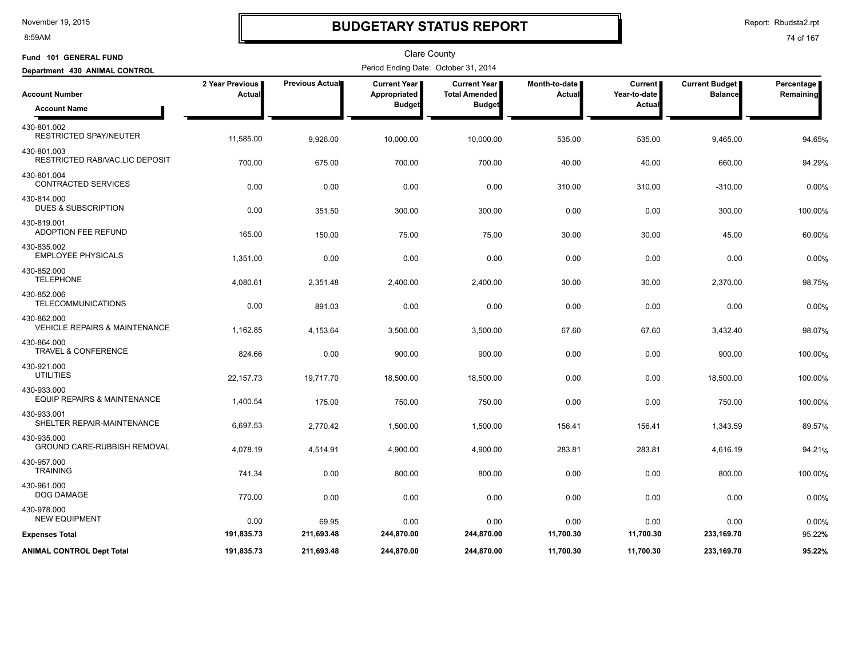#### 8:59AM

### **BUDGETARY STATUS REPORT**

Report: Rbudsta2.rpt

| Fund 101 GENERAL FUND                             |                           |                        | <b>Clare County</b>                  |                                             |                           |                                |                                         |                         |
|---------------------------------------------------|---------------------------|------------------------|--------------------------------------|---------------------------------------------|---------------------------|--------------------------------|-----------------------------------------|-------------------------|
| Department 430 ANIMAL CONTROL                     |                           |                        | Period Ending Date: October 31, 2014 |                                             |                           |                                |                                         |                         |
| <b>Account Number</b>                             | 2 Year Previous<br>Actual | <b>Previous Actual</b> | Current Year  <br>Appropriated       | <b>Current Year</b><br><b>Total Amended</b> | Month-to-date  <br>Actual | <b>Current</b><br>Year-to-date | <b>Current Budget</b><br><b>Balance</b> | Percentage<br>Remaining |
| <b>Account Name</b>                               |                           |                        | <b>Budget</b>                        | <b>Budget</b>                               |                           | Actual                         |                                         |                         |
| 430-801.002<br><b>RESTRICTED SPAY/NEUTER</b>      | 11,585.00                 | 9,926.00               | 10,000.00                            | 10,000.00                                   | 535.00                    | 535.00                         | 9,465.00                                | 94.65%                  |
| 430-801.003<br>RESTRICTED RAB/VAC.LIC DEPOSIT     | 700.00                    | 675.00                 | 700.00                               | 700.00                                      | 40.00                     | 40.00                          | 660.00                                  | 94.29%                  |
| 430-801.004<br><b>CONTRACTED SERVICES</b>         | 0.00                      | 0.00                   | 0.00                                 | 0.00                                        | 310.00                    | 310.00                         | $-310.00$                               | 0.00%                   |
| 430-814.000<br><b>DUES &amp; SUBSCRIPTION</b>     | 0.00                      | 351.50                 | 300.00                               | 300.00                                      | 0.00                      | 0.00                           | 300.00                                  | 100.00%                 |
| 430-819.001<br>ADOPTION FEE REFUND                | 165.00                    | 150.00                 | 75.00                                | 75.00                                       | 30.00                     | 30.00                          | 45.00                                   | 60.00%                  |
| 430-835.002<br><b>EMPLOYEE PHYSICALS</b>          | 1,351.00                  | 0.00                   | 0.00                                 | 0.00                                        | 0.00                      | 0.00                           | 0.00                                    | 0.00%                   |
| 430-852.000<br><b>TELEPHONE</b>                   | 4,080.61                  | 2,351.48               | 2,400.00                             | 2,400.00                                    | 30.00                     | 30.00                          | 2,370.00                                | 98.75%                  |
| 430-852.006<br><b>TELECOMMUNICATIONS</b>          | 0.00                      | 891.03                 | 0.00                                 | 0.00                                        | 0.00                      | 0.00                           | 0.00                                    | 0.00%                   |
| 430-862.000<br>VEHICLE REPAIRS & MAINTENANCE      | 1,162.85                  | 4,153.64               | 3,500.00                             | 3,500.00                                    | 67.60                     | 67.60                          | 3,432.40                                | 98.07%                  |
| 430-864.000<br><b>TRAVEL &amp; CONFERENCE</b>     | 824.66                    | 0.00                   | 900.00                               | 900.00                                      | 0.00                      | 0.00                           | 900.00                                  | 100.00%                 |
| 430-921.000<br><b>UTILITIES</b>                   | 22,157.73                 | 19,717.70              | 18,500.00                            | 18,500.00                                   | 0.00                      | 0.00                           | 18,500.00                               | 100.00%                 |
| 430-933.000<br>EQUIP REPAIRS & MAINTENANCE        | 1,400.54                  | 175.00                 | 750.00                               | 750.00                                      | 0.00                      | 0.00                           | 750.00                                  | 100.00%                 |
| 430-933.001<br>SHELTER REPAIR-MAINTENANCE         | 6,697.53                  | 2,770.42               | 1,500.00                             | 1,500.00                                    | 156.41                    | 156.41                         | 1,343.59                                | 89.57%                  |
| 430-935.000<br><b>GROUND CARE-RUBBISH REMOVAL</b> | 4,078.19                  | 4,514.91               | 4,900.00                             | 4,900.00                                    | 283.81                    | 283.81                         | 4,616.19                                | 94.21%                  |
| 430-957.000<br><b>TRAINING</b>                    | 741.34                    | 0.00                   | 800.00                               | 800.00                                      | 0.00                      | 0.00                           | 800.00                                  | 100.00%                 |
| 430-961.000<br>DOG DAMAGE                         | 770.00                    | 0.00                   | 0.00                                 | 0.00                                        | 0.00                      | 0.00                           | 0.00                                    | 0.00%                   |
| 430-978.000<br><b>NEW EQUIPMENT</b>               | 0.00                      | 69.95                  | 0.00                                 | 0.00                                        | 0.00                      | 0.00                           | 0.00                                    | 0.00%                   |
| <b>Expenses Total</b>                             | 191,835.73                | 211,693.48             | 244,870.00                           | 244,870.00                                  | 11,700.30                 | 11,700.30                      | 233,169.70                              | 95.22%                  |
| <b>ANIMAL CONTROL Dept Total</b>                  | 191,835.73                | 211,693.48             | 244,870.00                           | 244,870.00                                  | 11.700.30                 | 11,700.30                      | 233,169.70                              | 95.22%                  |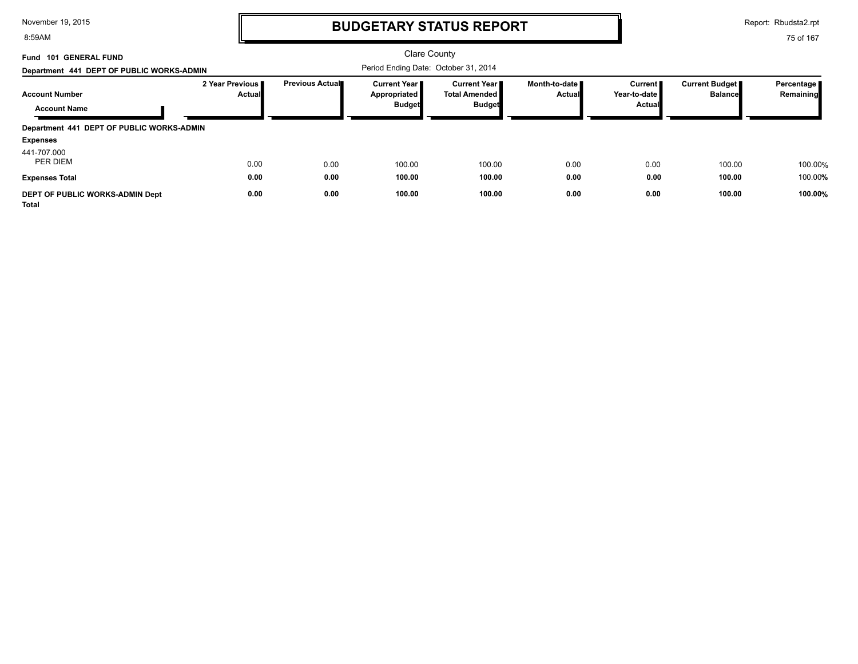8:59AM

# **BUDGETARY STATUS REPORT**

Report: Rbudsta2.rpt

| Fund 101 GENERAL FUND<br>Department 441 DEPT OF PUBLIC WORKS-ADMIN          |                             |                        | Clare County<br>Period Ending Date: October 31, 2014   |                                                    |                                         |                                                 |                                  |                           |
|-----------------------------------------------------------------------------|-----------------------------|------------------------|--------------------------------------------------------|----------------------------------------------------|-----------------------------------------|-------------------------------------------------|----------------------------------|---------------------------|
| <b>Account Number</b><br><b>Account Name</b>                                | 2 Year Previous I<br>Actual | <b>Previous Actual</b> | <b>Current Year I</b><br>Appropriated<br><b>Budget</b> | Current Year I<br>Total Amended ■<br><b>Budget</b> | Month-to-date <i>∎</i><br><b>Actual</b> | <b>Current</b><br>Year-to-date<br><b>Actual</b> | Current Budget<br><b>Balance</b> | Percentage  <br>Remaining |
| Department 441 DEPT OF PUBLIC WORKS-ADMIN<br><b>Expenses</b><br>441-707.000 |                             |                        |                                                        |                                                    |                                         |                                                 |                                  |                           |
| PER DIEM<br><b>Expenses Total</b>                                           | 0.00<br>0.00                | 0.00<br>0.00           | 100.00<br>100.00                                       | 100.00<br>100.00                                   | 0.00<br>0.00                            | 0.00<br>0.00                                    | 100.00<br>100.00                 | 100.00%<br>100.00%        |
| DEPT OF PUBLIC WORKS-ADMIN Dept<br>Total                                    | 0.00                        | 0.00                   | 100.00                                                 | 100.00                                             | 0.00                                    | 0.00                                            | 100.00                           | 100.00%                   |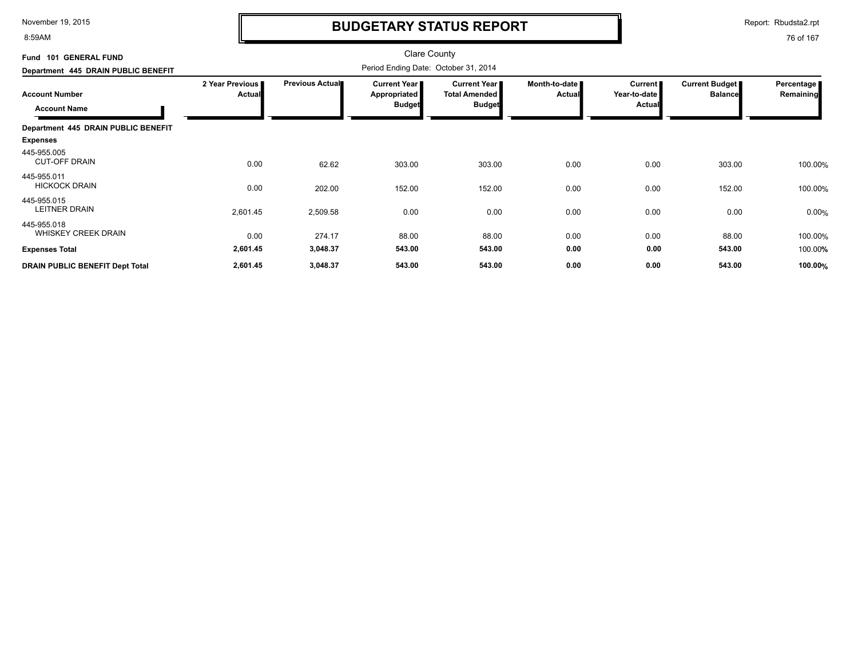8:59AM

# **BUDGETARY STATUS REPORT**

Report: Rbudsta2.rpt

| Fund 101 GENERAL FUND                                                               |                                  | <b>Clare County</b><br>Period Ending Date: October 31, 2014 |                                               |                                                              |                                |                                            |                                  |                           |
|-------------------------------------------------------------------------------------|----------------------------------|-------------------------------------------------------------|-----------------------------------------------|--------------------------------------------------------------|--------------------------------|--------------------------------------------|----------------------------------|---------------------------|
| Department 445 DRAIN PUBLIC BENEFIT<br><b>Account Number</b><br><b>Account Name</b> | 2 Year Previous<br><b>Actual</b> | <b>Previous Actual</b>                                      | Current Year<br>Appropriated<br><b>Budget</b> | <b>Current Year</b><br><b>Total Amended</b><br><b>Budget</b> | Month-to-date<br><b>Actual</b> | Current  <br>Year-to-date<br><b>Actual</b> | Current Budget<br><b>Balance</b> | Percentage  <br>Remaining |
| Department 445 DRAIN PUBLIC BENEFIT                                                 |                                  |                                                             |                                               |                                                              |                                |                                            |                                  |                           |
| <b>Expenses</b>                                                                     |                                  |                                                             |                                               |                                                              |                                |                                            |                                  |                           |
| 445-955.005<br><b>CUT-OFF DRAIN</b>                                                 | 0.00                             | 62.62                                                       | 303.00                                        | 303.00                                                       | 0.00                           | 0.00                                       | 303.00                           | 100.00%                   |
| 445-955.011<br><b>HICKOCK DRAIN</b>                                                 | 0.00                             | 202.00                                                      | 152.00                                        | 152.00                                                       | 0.00                           | 0.00                                       | 152.00                           | 100.00%                   |
| 445-955.015<br><b>LEITNER DRAIN</b>                                                 | 2,601.45                         | 2,509.58                                                    | 0.00                                          | 0.00                                                         | 0.00                           | 0.00                                       | 0.00                             | 0.00%                     |
| 445-955.018<br><b>WHISKEY CREEK DRAIN</b>                                           | 0.00                             | 274.17                                                      | 88.00                                         | 88.00                                                        | 0.00                           | 0.00                                       | 88.00                            | 100.00%                   |
| <b>Expenses Total</b>                                                               | 2,601.45                         | 3,048.37                                                    | 543.00                                        | 543.00                                                       | 0.00                           | 0.00                                       | 543.00                           | 100.00%                   |
| <b>DRAIN PUBLIC BENEFIT Dept Total</b>                                              | 2,601.45                         | 3,048.37                                                    | 543.00                                        | 543.00                                                       | 0.00                           | 0.00                                       | 543.00                           | 100.00%                   |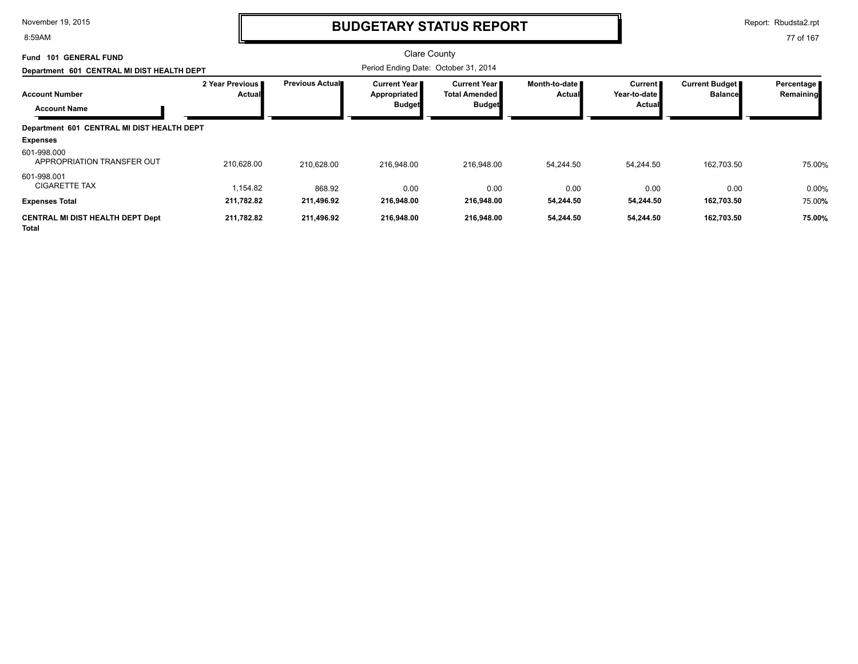8:59AM

### **BUDGETARY STATUS REPORT**

Report: Rbudsta2.rpt

77 of 167

#### Clare County Period Ending Date: October 31, 2014 **Account Number Department 601 CENTRAL MI DIST HEALTH DEPT Fund 101 GENERAL FUND 2 Year Previous Actual Previous Actual Current Year Appropriated Budget Current Year Total Amended Budget Month-to-date Actual Current Year-to-date Actual Current Budget Balance Percentage Remaining Account Name Department 601 CENTRAL MI DIST HEALTH DEPT Expenses** 210,628.00 210,628.00 216,948.00 216,948.00 216,948.00 216,948.00 54,244.50 54,244.50 162,703.50 75.00% APPROPRIATION TRANSFER OUT 601-998.000 216,948.00 54,244.50 54,244.50 162,703.50 75.00 1,154.82 868.92 0.00 CIGARETTE TAX % 601-998.001 0.00 0.00 0.00 0.00 0.00 **Expenses Total 211,782.82 211,496.92 216,948.00 216,948.00 54,244.50 54,244.50 162,703.50** 75.00**% CENTRAL MI DIST HEALTH DEPT Dept 211,782.82 211,496.92 216,948.00 216,948.00 54,244.50 54,244.50 162,703.50 75.00%**

**Total**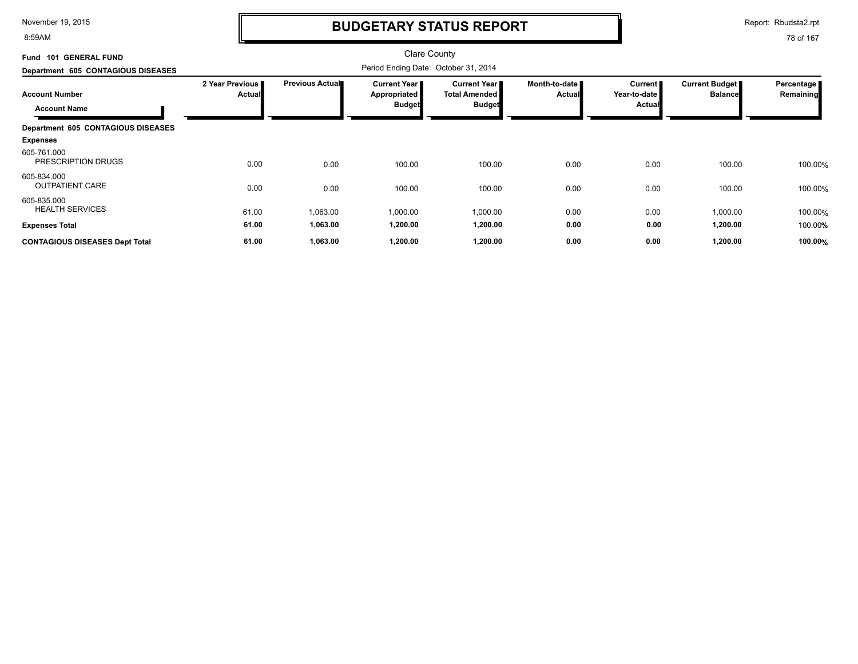8:59AM

# **BUDGETARY STATUS REPORT**

Report: Rbudsta2.rpt

| Fund 101 GENERAL FUND                        |                                  |                        | <b>Clare County</b>                                    |                                                                |                                |                                                 |                                  |                         |
|----------------------------------------------|----------------------------------|------------------------|--------------------------------------------------------|----------------------------------------------------------------|--------------------------------|-------------------------------------------------|----------------------------------|-------------------------|
| Department 605 CONTAGIOUS DISEASES           |                                  |                        |                                                        |                                                                |                                |                                                 |                                  |                         |
| <b>Account Number</b><br><b>Account Name</b> | 2 Year Previous<br><b>Actual</b> | <b>Previous Actual</b> | <b>Current Year</b> ■<br>Appropriated<br><b>Budget</b> | <b>Current Year I</b><br><b>Total Amended</b><br><b>Budget</b> | Month-to-date<br><b>Actual</b> | <b>Current</b><br>Year-to-date<br><b>Actual</b> | Current Budget<br><b>Balance</b> | Percentage<br>Remaining |
| Department 605 CONTAGIOUS DISEASES           |                                  |                        |                                                        |                                                                |                                |                                                 |                                  |                         |
| <b>Expenses</b>                              |                                  |                        |                                                        |                                                                |                                |                                                 |                                  |                         |
| 605-761.000<br>PRESCRIPTION DRUGS            | 0.00                             | 0.00                   | 100.00                                                 | 100.00                                                         | 0.00                           | 0.00                                            | 100.00                           | 100.00%                 |
| 605-834.000<br><b>OUTPATIENT CARE</b>        | 0.00                             | 0.00                   | 100.00                                                 | 100.00                                                         | 0.00                           | 0.00                                            | 100.00                           | 100.00%                 |
| 605-835.000<br><b>HEALTH SERVICES</b>        | 61.00                            | 1,063.00               | 1,000.00                                               | 1,000.00                                                       | 0.00                           | 0.00                                            | 1,000.00                         | 100.00%                 |
| <b>Expenses Total</b>                        | 61.00                            | 1,063.00               | 1,200.00                                               | 1,200.00                                                       | 0.00                           | 0.00                                            | 1,200.00                         | 100.00%                 |
| <b>CONTAGIOUS DISEASES Dept Total</b>        | 61.00                            | 1,063.00               | 1,200.00                                               | 1,200.00                                                       | 0.00                           | 0.00                                            | 1,200.00                         | 100.00%                 |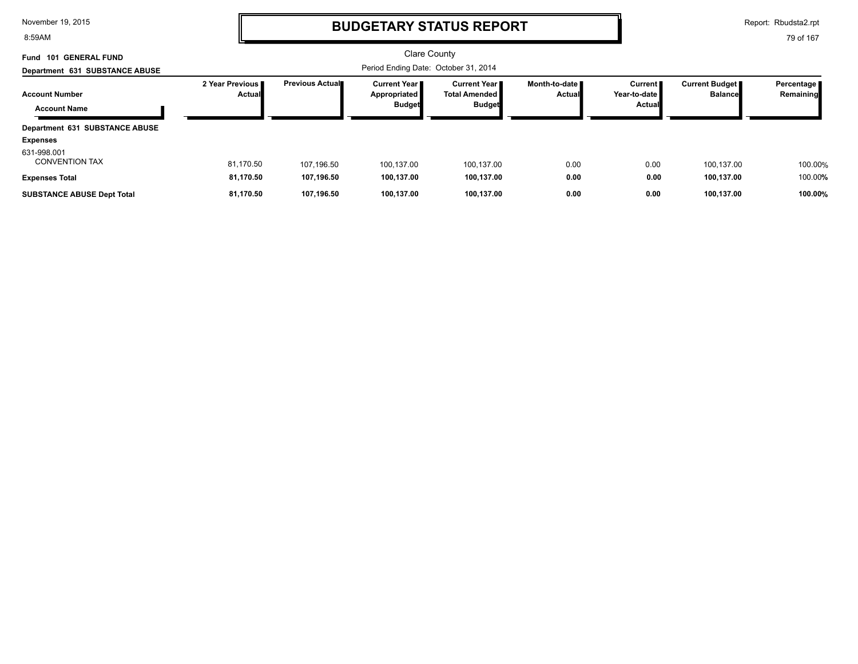8:59AM

## **BUDGETARY STATUS REPORT**

Report: Rbudsta2.rpt

| Fund 101 GENERAL FUND<br>Department 631 SUBSTANCE ABUSE          |                                    |                         | Clare County<br>Period Ending Date: October 31, 2014   |                                                                 |                                |                                          |                                         |                           |
|------------------------------------------------------------------|------------------------------------|-------------------------|--------------------------------------------------------|-----------------------------------------------------------------|--------------------------------|------------------------------------------|-----------------------------------------|---------------------------|
| <b>Account Number</b><br><b>Account Name</b>                     | 2 Year Previous I<br><b>Actual</b> | <b>Previous Actual■</b> | <b>Current Year I</b><br>Appropriated<br><b>Budget</b> | <b>Current Year II</b><br><b>Total Amended</b><br><b>Budget</b> | Month-to-date<br><b>Actual</b> | <b>Current</b><br>Year-to-date<br>Actual | <b>Current Budget</b><br><b>Balance</b> | Percentage  <br>Remaining |
| Department 631 SUBSTANCE ABUSE<br><b>Expenses</b><br>631-998.001 |                                    |                         |                                                        |                                                                 |                                |                                          |                                         |                           |
| <b>CONVENTION TAX</b>                                            | 81,170.50                          | 107.196.50              | 100.137.00                                             | 100.137.00                                                      | 0.00                           | 0.00                                     | 100.137.00                              | 100.00%                   |
| <b>Expenses Total</b>                                            | 81,170.50                          | 107.196.50              | 100,137.00                                             | 100,137.00                                                      | 0.00                           | 0.00                                     | 100,137.00                              | 100.00%                   |
| <b>SUBSTANCE ABUSE Dept Total</b>                                | 81.170.50                          | 107.196.50              | 100.137.00                                             | 100.137.00                                                      | 0.00                           | 0.00                                     | 100.137.00                              | 100.00%                   |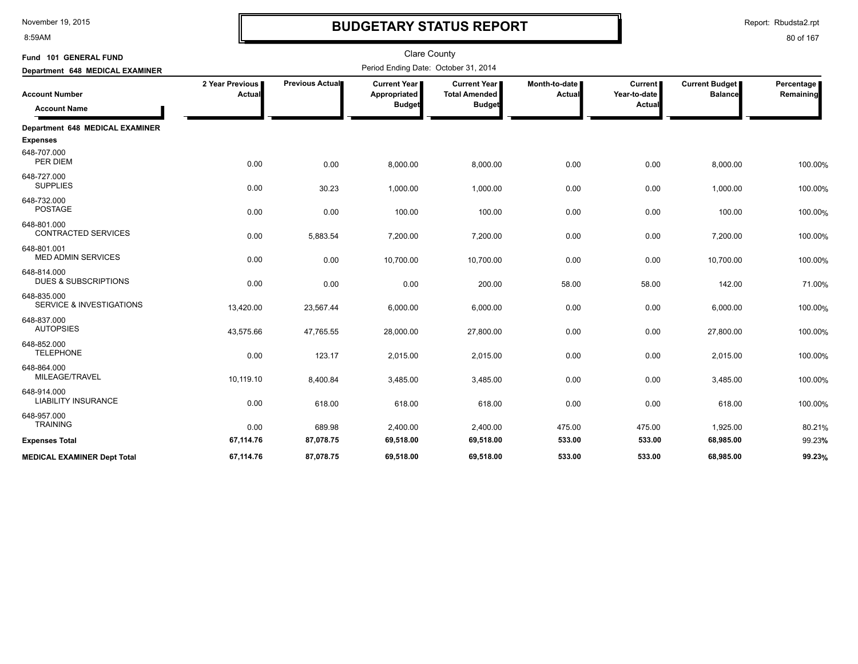8:59AM

# **BUDGETARY STATUS REPORT**

Report: Rbudsta2.rpt

| Fund 101 GENERAL FUND                              |                           |                        | <b>Clare County</b>                                    |                                                                |                         |                                   |                                         |                                |
|----------------------------------------------------|---------------------------|------------------------|--------------------------------------------------------|----------------------------------------------------------------|-------------------------|-----------------------------------|-----------------------------------------|--------------------------------|
| Department 648 MEDICAL EXAMINER                    |                           |                        | Period Ending Date: October 31, 2014                   |                                                                |                         |                                   |                                         |                                |
| <b>Account Number</b><br><b>Account Name</b>       | 2 Year Previous<br>Actual | <b>Previous Actual</b> | <b>Current Year I</b><br>Appropriated<br><b>Budget</b> | <b>Current Year I</b><br><b>Total Amended</b><br><b>Budget</b> | Month-to-date<br>Actual | Current<br>Year-to-date<br>Actual | <b>Current Budget</b><br><b>Balance</b> | Percentage<br><b>Remaining</b> |
| Department 648 MEDICAL EXAMINER                    |                           |                        |                                                        |                                                                |                         |                                   |                                         |                                |
| <b>Expenses</b>                                    |                           |                        |                                                        |                                                                |                         |                                   |                                         |                                |
| 648-707.000<br>PER DIEM                            | 0.00                      | 0.00                   | 8,000.00                                               | 8,000.00                                                       | 0.00                    | 0.00                              | 8,000.00                                | 100.00%                        |
| 648-727.000<br><b>SUPPLIES</b>                     | 0.00                      | 30.23                  | 1,000.00                                               | 1,000.00                                                       | 0.00                    | 0.00                              | 1,000.00                                | 100.00%                        |
| 648-732.000<br><b>POSTAGE</b>                      | 0.00                      | 0.00                   | 100.00                                                 | 100.00                                                         | 0.00                    | 0.00                              | 100.00                                  | 100.00%                        |
| 648-801.000<br><b>CONTRACTED SERVICES</b>          | 0.00                      | 5,883.54               | 7,200.00                                               | 7,200.00                                                       | 0.00                    | 0.00                              | 7,200.00                                | 100.00%                        |
| 648-801.001<br><b>MED ADMIN SERVICES</b>           | 0.00                      | 0.00                   | 10,700.00                                              | 10,700.00                                                      | 0.00                    | 0.00                              | 10,700.00                               | 100.00%                        |
| 648-814.000<br><b>DUES &amp; SUBSCRIPTIONS</b>     | 0.00                      | 0.00                   | 0.00                                                   | 200.00                                                         | 58.00                   | 58.00                             | 142.00                                  | 71.00%                         |
| 648-835.000<br><b>SERVICE &amp; INVESTIGATIONS</b> | 13,420.00                 | 23,567.44              | 6,000.00                                               | 6,000.00                                                       | 0.00                    | 0.00                              | 6,000.00                                | 100.00%                        |
| 648-837.000<br><b>AUTOPSIES</b>                    | 43,575.66                 | 47,765.55              | 28,000.00                                              | 27,800.00                                                      | 0.00                    | 0.00                              | 27,800.00                               | 100.00%                        |
| 648-852.000<br><b>TELEPHONE</b>                    | 0.00                      | 123.17                 | 2,015.00                                               | 2,015.00                                                       | 0.00                    | 0.00                              | 2,015.00                                | 100.00%                        |
| 648-864.000<br>MILEAGE/TRAVEL                      | 10,119.10                 | 8,400.84               | 3,485.00                                               | 3,485.00                                                       | 0.00                    | 0.00                              | 3,485.00                                | 100.00%                        |
| 648-914.000<br><b>LIABILITY INSURANCE</b>          | 0.00                      | 618.00                 | 618.00                                                 | 618.00                                                         | 0.00                    | 0.00                              | 618.00                                  | 100.00%                        |
| 648-957.000<br><b>TRAINING</b>                     | 0.00                      | 689.98                 | 2,400.00                                               | 2,400.00                                                       | 475.00                  | 475.00                            | 1,925.00                                | 80.21%                         |
| <b>Expenses Total</b>                              | 67,114.76                 | 87,078.75              | 69,518.00                                              | 69,518.00                                                      | 533.00                  | 533.00                            | 68,985.00                               | 99.23%                         |
| <b>MEDICAL EXAMINER Dept Total</b>                 | 67.114.76                 | 87,078.75              | 69,518.00                                              | 69,518.00                                                      | 533.00                  | 533.00                            | 68.985.00                               | 99.23%                         |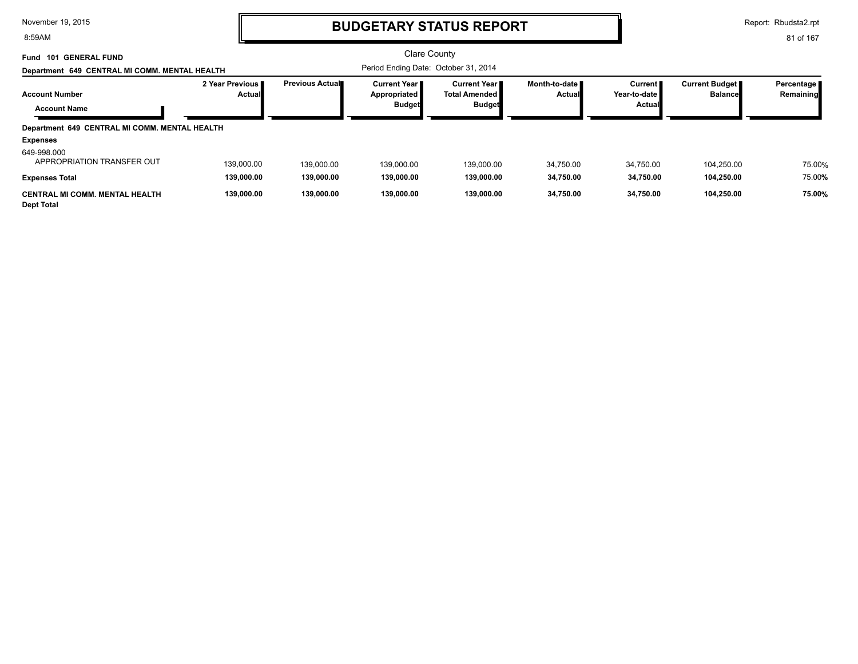8:59AM

### **BUDGETARY STATUS REPORT**

Report: Rbudsta2.rpt

| <b>101 GENERAL FUND</b><br>Fund<br>Department 649 CENTRAL MI COMM. MENTAL HEALTH |                                    |                        | Clare County<br>Period Ending Date: October 31, 2014 |                                                          |                           |                                                   |                                         |                           |
|----------------------------------------------------------------------------------|------------------------------------|------------------------|------------------------------------------------------|----------------------------------------------------------|---------------------------|---------------------------------------------------|-----------------------------------------|---------------------------|
| <b>Account Number</b><br><b>Account Name</b>                                     | 2 Year Previous I<br><b>Actual</b> | <b>Previous Actual</b> | Current Year I<br>Appropriated<br><b>Budget</b>      | Current Year II<br><b>Total Amended</b><br><b>Budget</b> | Month-to-date ∎<br>Actual | <b>Current</b><br>Year-to-date I<br><b>Actual</b> | <b>Current Budget</b><br><b>Balance</b> | Percentage  <br>Remaining |
| Department 649 CENTRAL MI COMM. MENTAL HEALTH                                    |                                    |                        |                                                      |                                                          |                           |                                                   |                                         |                           |
| <b>Expenses</b>                                                                  |                                    |                        |                                                      |                                                          |                           |                                                   |                                         |                           |
| 649-998.000<br>APPROPRIATION TRANSFER OUT                                        | 139,000.00                         | 139.000.00             | 139.000.00                                           | 139.000.00                                               | 34.750.00                 | 34,750.00                                         | 104.250.00                              | 75.00%                    |
| <b>Expenses Total</b>                                                            | 139,000.00                         | 139,000.00             | 139.000.00                                           | 139.000.00                                               | 34,750.00                 | 34,750.00                                         | 104,250.00                              | 75.00%                    |
| <b>CENTRAL MI COMM. MENTAL HEALTH</b><br><b>Dept Total</b>                       | 139.000.00                         | 139,000.00             | 139.000.00                                           | 139.000.00                                               | 34.750.00                 | 34,750.00                                         | 104,250.00                              | 75.00%                    |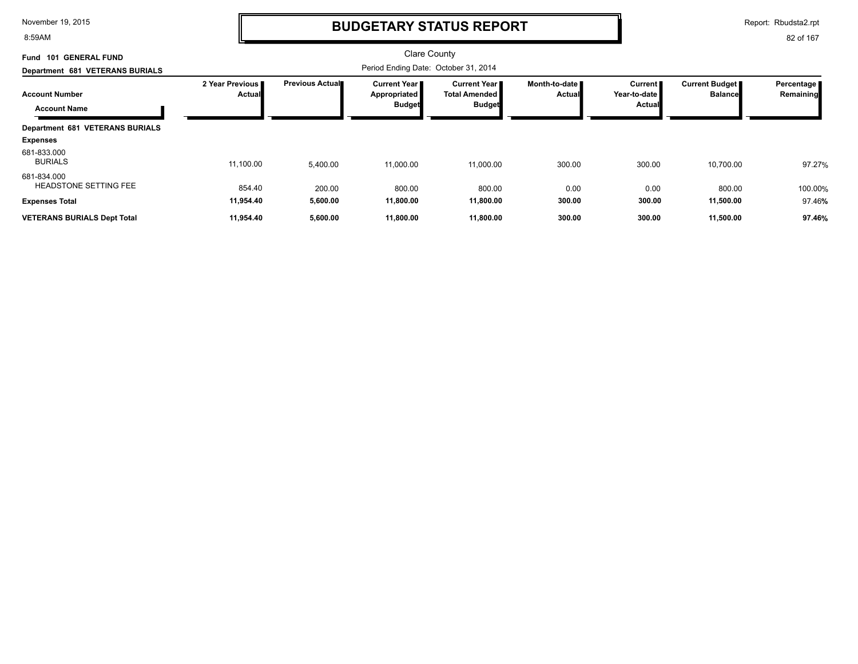8:59AM

# **BUDGETARY STATUS REPORT**

Report: Rbudsta2.rpt

| <b>GENERAL FUND</b><br>Fund<br>101           |                                  |                        | Clare County                                                |                                                              |                                |                                                 |                                           |                         |
|----------------------------------------------|----------------------------------|------------------------|-------------------------------------------------------------|--------------------------------------------------------------|--------------------------------|-------------------------------------------------|-------------------------------------------|-------------------------|
| Department 681 VETERANS BURIALS              |                                  |                        | Period Ending Date: October 31, 2014                        |                                                              |                                |                                                 |                                           |                         |
| <b>Account Number</b><br><b>Account Name</b> | 2 Year Previous<br><b>Actual</b> | <b>Previous Actual</b> | <b>Current Year</b><br><b>Appropriated</b><br><b>Budget</b> | <b>Current Year</b><br><b>Total Amended</b><br><b>Budget</b> | Month-to-date<br><b>Actual</b> | <b>Current</b><br>Year-to-date<br><b>Actual</b> | <b>Current Budget</b> ■<br><b>Balance</b> | Percentage<br>Remaining |
| <b>Department 681 VETERANS BURIALS</b>       |                                  |                        |                                                             |                                                              |                                |                                                 |                                           |                         |
| <b>Expenses</b>                              |                                  |                        |                                                             |                                                              |                                |                                                 |                                           |                         |
| 681-833.000<br><b>BURIALS</b>                | 11,100.00                        | 5,400.00               | 11,000.00                                                   | 11,000.00                                                    | 300.00                         | 300.00                                          | 10,700.00                                 | 97.27%                  |
| 681-834.000<br><b>HEADSTONE SETTING FEE</b>  | 854.40                           | 200.00                 | 800.00                                                      | 800.00                                                       | 0.00                           | 0.00                                            | 800.00                                    | 100.00%                 |
| <b>Expenses Total</b>                        | 11,954.40                        | 5,600.00               | 11,800.00                                                   | 11,800.00                                                    | 300.00                         | 300.00                                          | 11,500.00                                 | 97.46%                  |
| <b>VETERANS BURIALS Dept Total</b>           | 11,954.40                        | 5,600.00               | 11,800.00                                                   | 11,800.00                                                    | 300.00                         | 300.00                                          | 11,500.00                                 | 97.46%                  |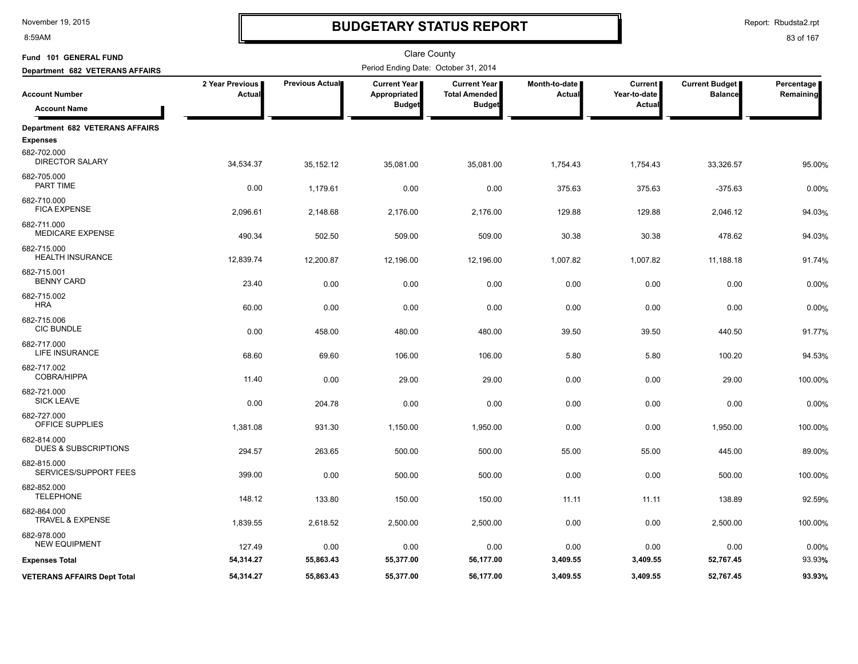8:59AM

# **BUDGETARY STATUS REPORT**

Report: Rbudsta2.rpt

| Fund 101 GENERAL FUND                                     |                           |                 | Clare County                                         |                                                              |                                |                                          |                                         |                         |
|-----------------------------------------------------------|---------------------------|-----------------|------------------------------------------------------|--------------------------------------------------------------|--------------------------------|------------------------------------------|-----------------------------------------|-------------------------|
| Department 682 VETERANS AFFAIRS                           |                           |                 | Period Ending Date: October 31, 2014                 |                                                              |                                |                                          |                                         |                         |
| <b>Account Number</b><br><b>Account Name</b>              | 2 Year Previous<br>Actual | Previous Actual | <b>Current Year</b><br>Appropriated<br><b>Budget</b> | <b>Current Year</b><br><b>Total Amended</b><br><b>Budget</b> | Month-to-date<br><b>Actual</b> | <b>Current</b><br>Year-to-date<br>Actual | <b>Current Budget</b><br><b>Balance</b> | Percentage<br>Remaining |
|                                                           |                           |                 |                                                      |                                                              |                                |                                          |                                         |                         |
| <b>Department 682 VETERANS AFFAIRS</b><br><b>Expenses</b> |                           |                 |                                                      |                                                              |                                |                                          |                                         |                         |
| 682-702.000<br><b>DIRECTOR SALARY</b>                     | 34,534.37                 | 35,152.12       | 35,081.00                                            | 35,081.00                                                    | 1,754.43                       | 1,754.43                                 | 33,326.57                               | 95.00%                  |
| 682-705.000<br>PART TIME                                  | 0.00                      | 1,179.61        | 0.00                                                 | 0.00                                                         | 375.63                         | 375.63                                   | $-375.63$                               | 0.00%                   |
| 682-710.000<br><b>FICA EXPENSE</b>                        | 2,096.61                  | 2,148.68        | 2,176.00                                             | 2,176.00                                                     | 129.88                         | 129.88                                   | 2,046.12                                | 94.03%                  |
| 682-711.000<br><b>MEDICARE EXPENSE</b>                    | 490.34                    | 502.50          | 509.00                                               | 509.00                                                       | 30.38                          | 30.38                                    | 478.62                                  | 94.03%                  |
| 682-715.000<br><b>HEALTH INSURANCE</b>                    | 12,839.74                 | 12,200.87       | 12,196.00                                            | 12,196.00                                                    | 1,007.82                       | 1,007.82                                 | 11,188.18                               | 91.74%                  |
| 682-715.001<br><b>BENNY CARD</b>                          | 23.40                     | 0.00            | 0.00                                                 | 0.00                                                         | 0.00                           | 0.00                                     | 0.00                                    | 0.00%                   |
| 682-715.002<br><b>HRA</b>                                 | 60.00                     | 0.00            | 0.00                                                 | 0.00                                                         | 0.00                           | 0.00                                     | 0.00                                    | 0.00%                   |
| 682-715.006<br><b>CIC BUNDLE</b>                          | 0.00                      | 458.00          | 480.00                                               | 480.00                                                       | 39.50                          | 39.50                                    | 440.50                                  | 91.77%                  |
| 682-717.000<br>LIFE INSURANCE                             | 68.60                     | 69.60           | 106.00                                               | 106.00                                                       | 5.80                           | 5.80                                     | 100.20                                  | 94.53%                  |
| 682-717.002<br>COBRA/HIPPA                                | 11.40                     | 0.00            | 29.00                                                | 29.00                                                        | 0.00                           | 0.00                                     | 29.00                                   | 100.00%                 |
| 682-721.000<br><b>SICK LEAVE</b>                          | 0.00                      | 204.78          | 0.00                                                 | 0.00                                                         | 0.00                           | 0.00                                     | 0.00                                    | 0.00%                   |
| 682-727.000<br>OFFICE SUPPLIES                            | 1,381.08                  | 931.30          | 1,150.00                                             | 1,950.00                                                     | 0.00                           | 0.00                                     | 1,950.00                                | 100.00%                 |
| 682-814.000<br><b>DUES &amp; SUBSCRIPTIONS</b>            | 294.57                    | 263.65          | 500.00                                               | 500.00                                                       | 55.00                          | 55.00                                    | 445.00                                  | 89.00%                  |
| 682-815.000<br>SERVICES/SUPPORT FEES                      | 399.00                    | 0.00            | 500.00                                               | 500.00                                                       | 0.00                           | 0.00                                     | 500.00                                  | 100.00%                 |
| 682-852.000<br>TELEPHONE                                  | 148.12                    | 133.80          | 150.00                                               | 150.00                                                       | 11.11                          | 11.11                                    | 138.89                                  | 92.59%                  |
| 682-864.000<br>TRAVEL & EXPENSE                           | 1,839.55                  | 2,618.52        | 2,500.00                                             | 2,500.00                                                     | 0.00                           | 0.00                                     | 2,500.00                                | 100.00%                 |
| 682-978.000<br><b>NEW EQUIPMENT</b>                       | 127.49                    | 0.00            | 0.00                                                 | 0.00                                                         | 0.00                           | 0.00                                     | 0.00                                    | 0.00%                   |
| <b>Expenses Total</b>                                     | 54,314.27                 | 55,863.43       | 55,377.00                                            | 56,177.00                                                    | 3,409.55                       | 3,409.55                                 | 52,767.45                               | 93.93%                  |
| <b>VETERANS AFFAIRS Dept Total</b>                        | 54,314.27                 | 55,863.43       | 55,377.00                                            | 56,177.00                                                    | 3,409.55                       | 3,409.55                                 | 52,767.45                               | 93.93%                  |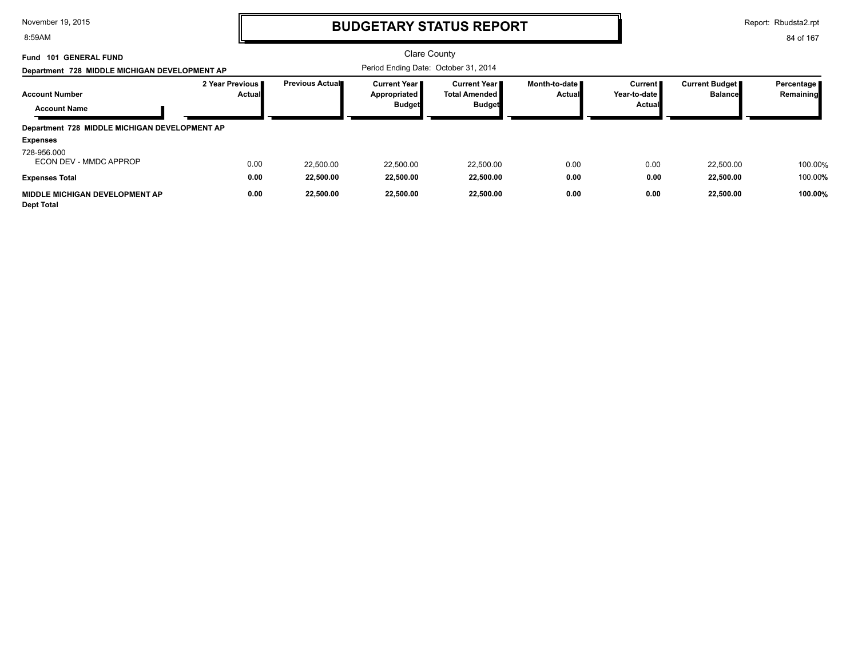8:59AM

# **BUDGETARY STATUS REPORT**

Report: Rbudsta2.rpt

| Fund 101 GENERAL FUND<br>Department 728 MIDDLE MICHIGAN DEVELOPMENT AP |                              |                        | Clare County<br>Period Ending Date: October 31, 2014   |                                                                 |                                  |                                               |                                         |                           |
|------------------------------------------------------------------------|------------------------------|------------------------|--------------------------------------------------------|-----------------------------------------------------------------|----------------------------------|-----------------------------------------------|-----------------------------------------|---------------------------|
| <b>Account Number</b><br><b>Account Name</b>                           | 2 Year Previous II<br>Actual | <b>Previous Actual</b> | <b>Current Year I</b><br>Appropriated<br><b>Budget</b> | <b>Current Year II</b><br><b>Total Amended</b><br><b>Budget</b> | Month-to-date ∎<br><b>Actual</b> | Current II<br>Year-to-date I<br><b>Actual</b> | <b>Current Budget</b><br><b>Balance</b> | Percentage  <br>Remaining |
| Department 728 MIDDLE MICHIGAN DEVELOPMENT AP                          |                              |                        |                                                        |                                                                 |                                  |                                               |                                         |                           |
| <b>Expenses</b>                                                        |                              |                        |                                                        |                                                                 |                                  |                                               |                                         |                           |
| 728-956.000<br>ECON DEV - MMDC APPROP                                  | 0.00                         | 22,500.00              | 22,500.00                                              | 22,500.00                                                       | 0.00                             | 0.00                                          | 22,500.00                               | 100.00%                   |
| <b>Expenses Total</b>                                                  | 0.00                         | 22,500.00              | 22,500.00                                              | 22,500.00                                                       | 0.00                             | 0.00                                          | 22,500.00                               | 100.00%                   |
| MIDDLE MICHIGAN DEVELOPMENT AP<br><b>Dept Total</b>                    | 0.00                         | 22,500.00              | 22,500.00                                              | 22,500.00                                                       | 0.00                             | 0.00                                          | 22,500.00                               | 100.00%                   |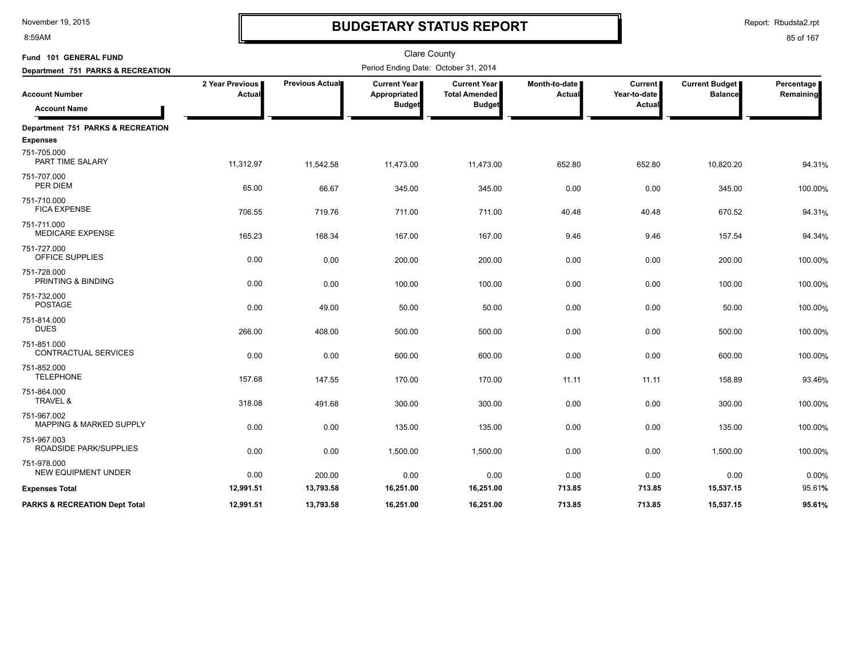8:59AM

# **BUDGETARY STATUS REPORT**

Report: Rbudsta2.rpt

| Fund 101 GENERAL FUND                      |                           |                        | <b>Clare County</b>                   |                                               |                         |                                |                                  |                         |
|--------------------------------------------|---------------------------|------------------------|---------------------------------------|-----------------------------------------------|-------------------------|--------------------------------|----------------------------------|-------------------------|
| Department 751 PARKS & RECREATION          |                           |                        | Period Ending Date: October 31, 2014  |                                               |                         |                                |                                  |                         |
| <b>Account Number</b>                      | 2 Year Previous<br>Actual | <b>Previous Actual</b> | <b>Current Year I</b><br>Appropriated | <b>Current Year I</b><br><b>Total Amended</b> | Month-to-date<br>Actual | <b>Current</b><br>Year-to-date | Current Budget<br><b>Balance</b> | Percentage<br>Remaining |
| <b>Account Name</b>                        |                           |                        | <b>Budget</b>                         | <b>Budget</b>                                 |                         | Actual                         |                                  |                         |
| Department 751 PARKS & RECREATION          |                           |                        |                                       |                                               |                         |                                |                                  |                         |
| <b>Expenses</b>                            |                           |                        |                                       |                                               |                         |                                |                                  |                         |
| 751-705.000<br>PART TIME SALARY            | 11,312.97                 | 11,542.58              | 11,473.00                             | 11,473.00                                     | 652.80                  | 652.80                         | 10,820.20                        | 94.31%                  |
| 751-707.000<br>PER DIEM                    | 65.00                     | 66.67                  | 345.00                                | 345.00                                        | 0.00                    | 0.00                           | 345.00                           | 100.00%                 |
| 751-710.000<br><b>FICA EXPENSE</b>         | 706.55                    | 719.76                 | 711.00                                | 711.00                                        | 40.48                   | 40.48                          | 670.52                           | 94.31%                  |
| 751-711.000<br><b>MEDICARE EXPENSE</b>     | 165.23                    | 168.34                 | 167.00                                | 167.00                                        | 9.46                    | 9.46                           | 157.54                           | 94.34%                  |
| 751-727.000<br><b>OFFICE SUPPLIES</b>      | 0.00                      | 0.00                   | 200.00                                | 200.00                                        | 0.00                    | 0.00                           | 200.00                           | 100.00%                 |
| 751-728.000<br>PRINTING & BINDING          | 0.00                      | 0.00                   | 100.00                                | 100.00                                        | 0.00                    | 0.00                           | 100.00                           | 100.00%                 |
| 751-732.000<br><b>POSTAGE</b>              | 0.00                      | 49.00                  | 50.00                                 | 50.00                                         | 0.00                    | 0.00                           | 50.00                            | 100.00%                 |
| 751-814.000<br><b>DUES</b>                 | 266.00                    | 408.00                 | 500.00                                | 500.00                                        | 0.00                    | 0.00                           | 500.00                           | 100.00%                 |
| 751-851.000<br><b>CONTRACTUAL SERVICES</b> | 0.00                      | 0.00                   | 600.00                                | 600.00                                        | 0.00                    | 0.00                           | 600.00                           | 100.00%                 |
| 751-852.000<br><b>TELEPHONE</b>            | 157.68                    | 147.55                 | 170.00                                | 170.00                                        | 11.11                   | 11.11                          | 158.89                           | 93.46%                  |
| 751-864.000<br>TRAVEL &                    | 318.08                    | 491.68                 | 300.00                                | 300.00                                        | 0.00                    | 0.00                           | 300.00                           | 100.00%                 |
| 751-967.002<br>MAPPING & MARKED SUPPLY     | 0.00                      | 0.00                   | 135.00                                | 135.00                                        | 0.00                    | 0.00                           | 135.00                           | 100.00%                 |
| 751-967.003<br>ROADSIDE PARK/SUPPLIES      | 0.00                      | 0.00                   | 1,500.00                              | 1,500.00                                      | 0.00                    | 0.00                           | 1,500.00                         | 100.00%                 |
| 751-978.000<br><b>NEW EQUIPMENT UNDER</b>  | 0.00                      | 200.00                 | 0.00                                  | 0.00                                          | 0.00                    | 0.00                           | 0.00                             | 0.00%                   |
| <b>Expenses Total</b>                      | 12,991.51                 | 13,793.58              | 16,251.00                             | 16,251.00                                     | 713.85                  | 713.85                         | 15,537.15                        | 95.61%                  |
| <b>PARKS &amp; RECREATION Dept Total</b>   | 12,991.51                 | 13,793.58              | 16,251.00                             | 16,251.00                                     | 713.85                  | 713.85                         | 15,537.15                        | 95.61%                  |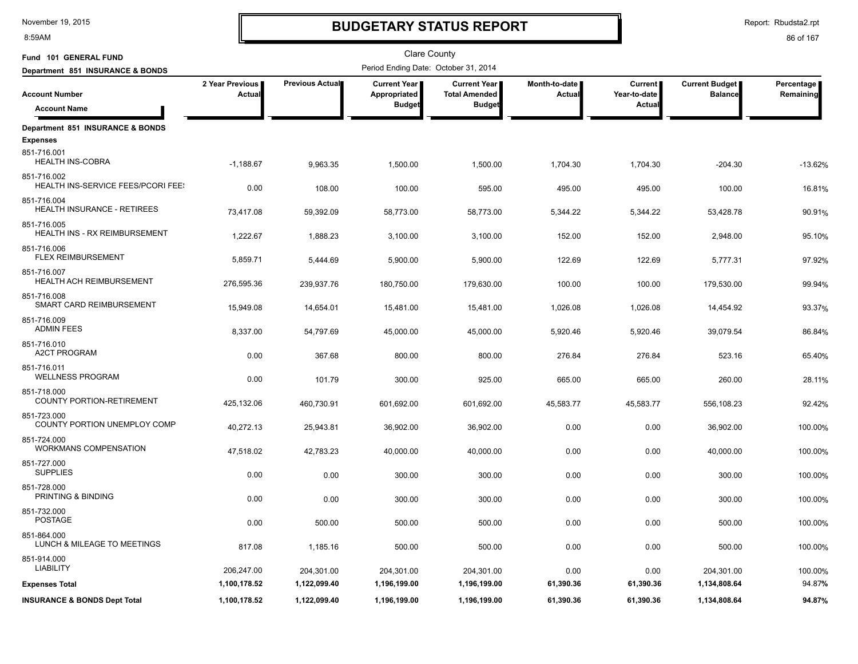8:59AM

# **BUDGETARY STATUS REPORT**

Report: Rbudsta2.rpt

| Fund 101 GENERAL FUND                                    |                           |                 | Clare County                         |                                             |                         |                                |                                         | Percentage<br>Remaining |
|----------------------------------------------------------|---------------------------|-----------------|--------------------------------------|---------------------------------------------|-------------------------|--------------------------------|-----------------------------------------|-------------------------|
| Department 851 INSURANCE & BONDS                         |                           |                 | Period Ending Date: October 31, 2014 |                                             |                         |                                |                                         |                         |
| <b>Account Number</b>                                    | 2 Year Previous<br>Actual | Previous Actual | <b>Current Year</b><br>Appropriated  | <b>Current Year</b><br><b>Total Amended</b> | Month-to-date<br>Actual | <b>Current</b><br>Year-to-date | <b>Current Budget</b><br><b>Balance</b> |                         |
| <b>Account Name</b>                                      |                           |                 | <b>Budget</b>                        | <b>Budget</b>                               |                         | Actual                         |                                         |                         |
| Department 851 INSURANCE & BONDS                         |                           |                 |                                      |                                             |                         |                                |                                         |                         |
| <b>Expenses</b>                                          |                           |                 |                                      |                                             |                         |                                |                                         |                         |
| 851-716.001<br><b>HEALTH INS-COBRA</b>                   | $-1,188.67$               | 9,963.35        | 1,500.00                             | 1,500.00                                    | 1,704.30                | 1,704.30                       | $-204.30$                               | $-13.62%$               |
| 851-716.002<br><b>HEALTH INS-SERVICE FEES/PCORI FEE:</b> | 0.00                      | 108.00          | 100.00                               | 595.00                                      | 495.00                  | 495.00                         | 100.00                                  | 16.81%                  |
| 851-716.004<br><b>HEALTH INSURANCE - RETIREES</b>        | 73,417.08                 | 59,392.09       | 58,773.00                            | 58,773.00                                   | 5,344.22                | 5,344.22                       | 53,428.78                               | 90.91%                  |
| 851-716.005<br><b>HEALTH INS - RX REIMBURSEMENT</b>      | 1,222.67                  | 1,888.23        | 3,100.00                             | 3,100.00                                    | 152.00                  | 152.00                         | 2,948.00                                | 95.10%                  |
| 851-716.006<br><b>FLEX REIMBURSEMENT</b>                 | 5,859.71                  | 5,444.69        | 5,900.00                             | 5,900.00                                    | 122.69                  | 122.69                         | 5,777.31                                | 97.92%                  |
| 851-716.007<br>HEALTH ACH REIMBURSEMENT                  | 276,595.36                | 239,937.76      | 180,750.00                           | 179,630.00                                  | 100.00                  | 100.00                         | 179,530.00                              | 99.94%                  |
| 851-716.008<br>SMART CARD REIMBURSEMENT                  | 15,949.08                 | 14,654.01       | 15,481.00                            | 15,481.00                                   | 1,026.08                | 1,026.08                       | 14,454.92                               | 93.37%                  |
| 851-716.009<br><b>ADMIN FEES</b>                         | 8,337.00                  | 54,797.69       | 45,000.00                            | 45,000.00                                   | 5,920.46                | 5,920.46                       | 39,079.54                               | 86.84%                  |
| 851-716.010<br><b>A2CT PROGRAM</b>                       | 0.00                      | 367.68          | 800.00                               | 800.00                                      | 276.84                  | 276.84                         | 523.16                                  | 65.40%                  |
| 851-716.011<br><b>WELLNESS PROGRAM</b>                   | 0.00                      | 101.79          | 300.00                               | 925.00                                      | 665.00                  | 665.00                         | 260.00                                  | 28.11%                  |
| 851-718.000<br><b>COUNTY PORTION-RETIREMENT</b>          | 425,132.06                | 460,730.91      | 601,692.00                           | 601,692.00                                  | 45,583.77               | 45,583.77                      | 556,108.23                              | 92.42%                  |
| 851-723.000<br>COUNTY PORTION UNEMPLOY COMP              | 40,272.13                 | 25,943.81       | 36,902.00                            | 36,902.00                                   | 0.00                    | 0.00                           | 36,902.00                               | 100.00%                 |
| 851-724.000<br><b>WORKMANS COMPENSATION</b>              | 47,518.02                 | 42,783.23       | 40,000.00                            | 40,000.00                                   | 0.00                    | 0.00                           | 40,000.00                               | 100.00%                 |
| 851-727.000<br><b>SUPPLIES</b>                           | 0.00                      | 0.00            | 300.00                               | 300.00                                      | 0.00                    | 0.00                           | 300.00                                  | 100.00%                 |
| 851-728.000<br>PRINTING & BINDING                        | 0.00                      | 0.00            | 300.00                               | 300.00                                      | 0.00                    | 0.00                           | 300.00                                  | 100.00%                 |
| 851-732.000<br><b>POSTAGE</b>                            | 0.00                      | 500.00          | 500.00                               | 500.00                                      | 0.00                    | 0.00                           | 500.00                                  | 100.00%                 |
| 851-864.000<br>LUNCH & MILEAGE TO MEETINGS               | 817.08                    | 1,185.16        | 500.00                               | 500.00                                      | 0.00                    | 0.00                           | 500.00                                  | 100.00%                 |
| 851-914.000<br><b>LIABILITY</b>                          | 206,247.00                | 204,301.00      | 204,301.00                           | 204,301.00                                  | 0.00                    | 0.00                           | 204,301.00                              | 100.00%                 |
| <b>Expenses Total</b>                                    | 1,100,178.52              | 1,122,099.40    | 1,196,199.00                         | 1,196,199.00                                | 61,390.36               | 61,390.36                      | 1,134,808.64                            | 94.87%                  |
| <b>INSURANCE &amp; BONDS Dept Total</b>                  | 1,100,178.52              | 1,122,099.40    | 1,196,199.00                         | 1,196,199.00                                | 61,390.36               | 61,390.36                      | 1,134,808.64                            | 94.87%                  |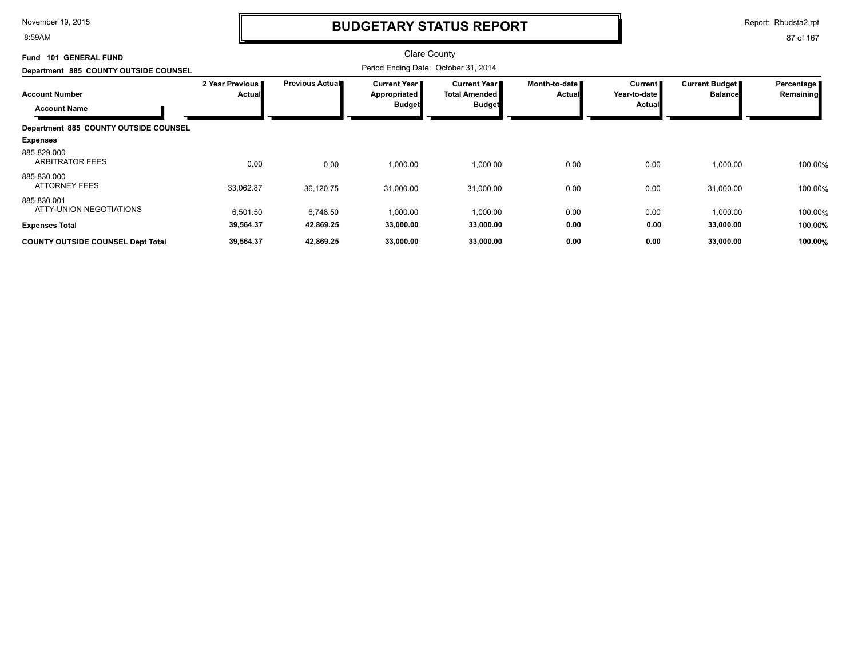8:59AM

# **BUDGETARY STATUS REPORT**

Report: Rbudsta2.rpt

| Fund 101 GENERAL FUND                        |                           |                 | Clare County                                         |                                                                |                                |                                                 |                                  |                         |
|----------------------------------------------|---------------------------|-----------------|------------------------------------------------------|----------------------------------------------------------------|--------------------------------|-------------------------------------------------|----------------------------------|-------------------------|
| Department 885 COUNTY OUTSIDE COUNSEL        |                           |                 | Period Ending Date: October 31, 2014                 |                                                                |                                |                                                 |                                  |                         |
| <b>Account Number</b><br><b>Account Name</b> | 2 Year Previous<br>Actual | Previous Actual | <b>Current Year</b><br>Appropriated<br><b>Budget</b> | <b>Current Year</b> I<br><b>Total Amended</b><br><b>Budget</b> | Month-to-date<br><b>Actual</b> | <b>Current</b><br>Year-to-date<br><b>Actual</b> | Current Budget<br><b>Balance</b> | Percentage<br>Remaining |
| Department 885 COUNTY OUTSIDE COUNSEL        |                           |                 |                                                      |                                                                |                                |                                                 |                                  |                         |
| <b>Expenses</b>                              |                           |                 |                                                      |                                                                |                                |                                                 |                                  |                         |
| 885-829.000<br><b>ARBITRATOR FEES</b>        | 0.00                      | 0.00            | 1,000.00                                             | 1,000.00                                                       | 0.00                           | 0.00                                            | 1,000.00                         | 100.00%                 |
| 885-830.000<br><b>ATTORNEY FEES</b>          | 33,062.87                 | 36,120.75       | 31,000.00                                            | 31,000.00                                                      | 0.00                           | 0.00                                            | 31,000.00                        | 100.00%                 |
| 885-830.001<br>ATTY-UNION NEGOTIATIONS       | 6,501.50                  | 6,748.50        | 1,000.00                                             | 1,000.00                                                       | 0.00                           | 0.00                                            | 1,000.00                         | 100.00%                 |
| <b>Expenses Total</b>                        | 39,564.37                 | 42,869.25       | 33,000.00                                            | 33,000.00                                                      | 0.00                           | 0.00                                            | 33,000.00                        | 100.00%                 |
| <b>COUNTY OUTSIDE COUNSEL Dept Total</b>     | 39,564.37                 | 42,869.25       | 33,000.00                                            | 33,000.00                                                      | 0.00                           | 0.00                                            | 33,000.00                        | 100.00%                 |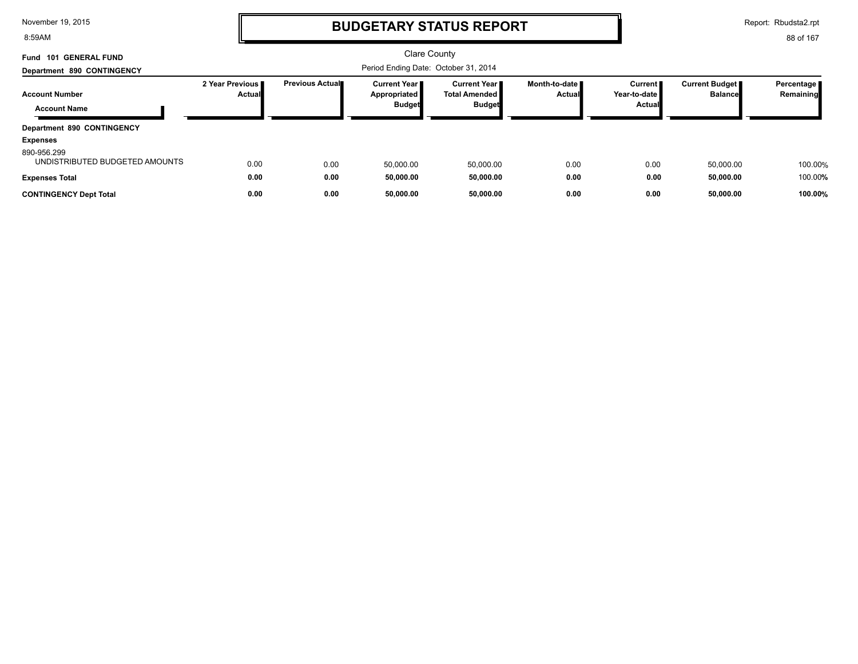8:59AM

# **BUDGETARY STATUS REPORT**

Report: Rbudsta2.rpt

| <b>GENERAL FUND</b><br><b>Fund 101</b>        |                           |                 | Clare County                                 |                                         |                                  |                                   |                                  |                         |
|-----------------------------------------------|---------------------------|-----------------|----------------------------------------------|-----------------------------------------|----------------------------------|-----------------------------------|----------------------------------|-------------------------|
| Department 890 CONTINGENCY                    |                           |                 |                                              |                                         |                                  |                                   |                                  |                         |
| <b>Account Number</b>                         | 2 Year Previous<br>Actual | Previous Actual | <b>Current Year I</b><br><b>Appropriated</b> | Current Year II<br><b>Total Amended</b> | Month-to-date ∎<br><b>Actual</b> | Current <b>II</b><br>Year-to-date | Current Budget<br><b>Balance</b> | Percentage<br>Remaining |
| <b>Account Name</b>                           |                           |                 | <b>Budget</b>                                | <b>Budget</b>                           |                                  | Actual                            |                                  |                         |
| <b>Department 890 CONTINGENCY</b>             |                           |                 |                                              |                                         |                                  |                                   |                                  |                         |
| <b>Expenses</b>                               |                           |                 |                                              |                                         |                                  |                                   |                                  |                         |
| 890-956.299<br>UNDISTRIBUTED BUDGETED AMOUNTS | 0.00                      | 0.00            | 50,000.00                                    | 50,000.00                               | 0.00                             | 0.00                              | 50,000.00                        | 100.00%                 |
| <b>Expenses Total</b>                         | 0.00                      | 0.00            | 50,000.00                                    | 50,000.00                               | 0.00                             | 0.00                              | 50,000.00                        | 100.00%                 |
| <b>CONTINGENCY Dept Total</b>                 | 0.00                      | 0.00            | 50.000.00                                    | 50,000.00                               | 0.00                             | 0.00                              | 50.000.00                        | 100.00%                 |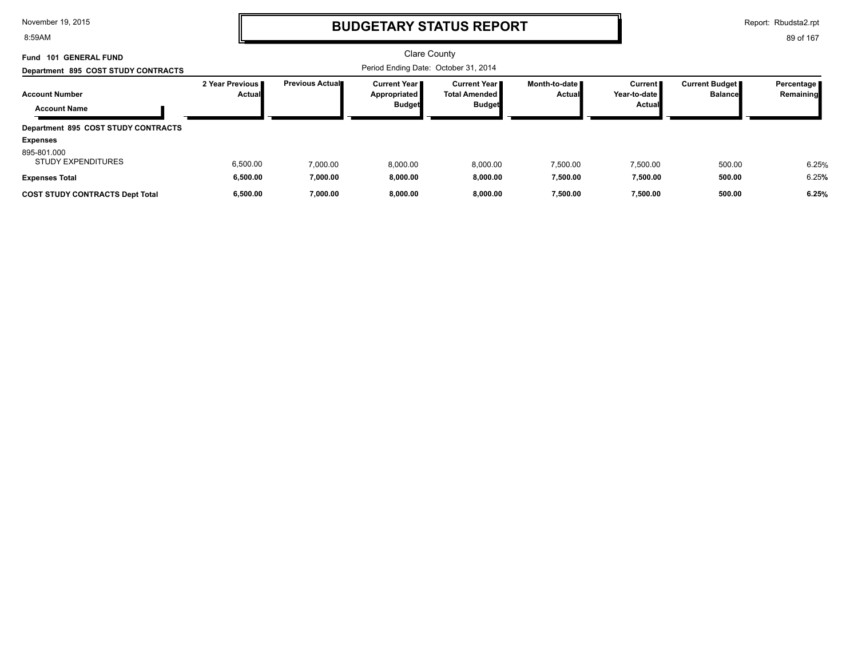8:59AM

# **BUDGETARY STATUS REPORT**

Report: Rbudsta2.rpt

| <b>GENERAL FUND</b><br>101<br>Fund           |                                    |                        | Clare County                                           |                                                              |                           |                                     |                                         |                           |
|----------------------------------------------|------------------------------------|------------------------|--------------------------------------------------------|--------------------------------------------------------------|---------------------------|-------------------------------------|-----------------------------------------|---------------------------|
| Department 895 COST STUDY CONTRACTS          |                                    |                        |                                                        |                                                              |                           |                                     |                                         |                           |
| <b>Account Number</b><br><b>Account Name</b> | 2 Year Previous I<br><b>Actual</b> | <b>Previous Actual</b> | <b>Current Year I</b><br>Appropriated<br><b>Budget</b> | <b>Current Year</b><br><b>Total Amended</b><br><b>Budget</b> | Month-to-date ∎<br>Actual | Current I<br>Year-to-date<br>Actual | <b>Current Budget</b><br><b>Balance</b> | Percentage  <br>Remaining |
| Department 895 COST STUDY CONTRACTS          |                                    |                        |                                                        |                                                              |                           |                                     |                                         |                           |
| <b>Expenses</b>                              |                                    |                        |                                                        |                                                              |                           |                                     |                                         |                           |
| 895-801.000<br><b>STUDY EXPENDITURES</b>     | 6,500.00                           | 7.000.00               | 8,000.00                                               | 8,000.00                                                     | 7,500.00                  | 7.500.00                            | 500.00                                  | 6.25%                     |
| <b>Expenses Total</b>                        | 6,500.00                           | 7,000.00               | 8,000.00                                               | 8,000.00                                                     | 7,500.00                  | 7,500.00                            | 500.00                                  | 6.25%                     |
| <b>COST STUDY CONTRACTS Dept Total</b>       | 6.500.00                           | 7.000.00               | 8.000.00                                               | 8.000.00                                                     | 7.500.00                  | 7.500.00                            | 500.00                                  | 6.25%                     |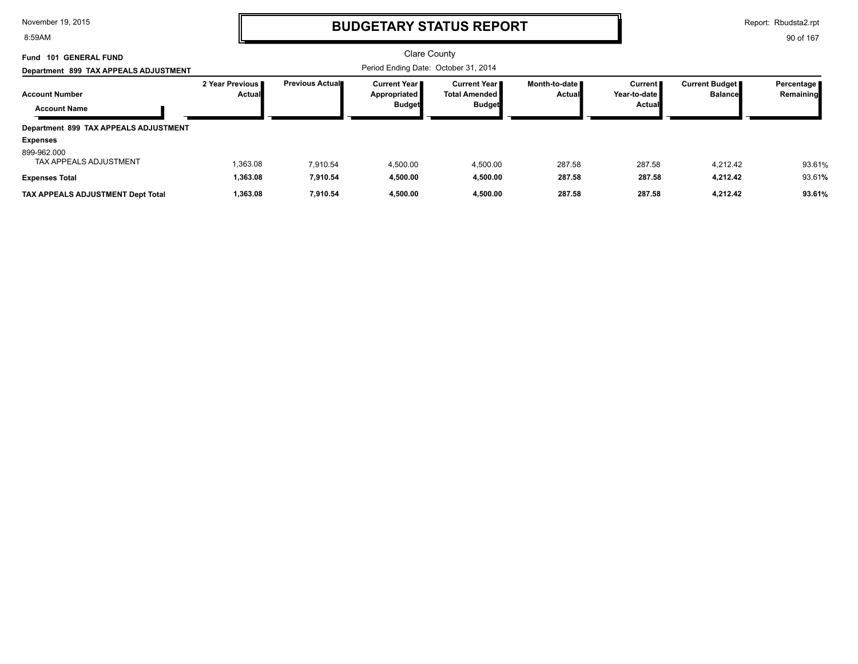8:59AM

# **BUDGETARY STATUS REPORT**

Report: Rbudsta2.rpt

| Fund 101 GENERAL FUND                        |                             |                         | Clare County                                           |                                                         |                                  |                                     |                                  |                           |
|----------------------------------------------|-----------------------------|-------------------------|--------------------------------------------------------|---------------------------------------------------------|----------------------------------|-------------------------------------|----------------------------------|---------------------------|
| Department 899 TAX APPEALS ADJUSTMENT        |                             |                         |                                                        |                                                         |                                  |                                     |                                  |                           |
| <b>Account Number</b><br><b>Account Name</b> | 2 Year Previous I<br>Actual | <b>Previous Actual■</b> | <b>Current Year I</b><br>Appropriated<br><b>Budget</b> | <b>Current Year</b> ■<br>Total Amended<br><b>Budget</b> | Month-to-date <b>■</b><br>Actual | Current  <br>Year-to-date<br>Actual | Current Budget<br><b>Balance</b> | Percentage  <br>Remaining |
| Department 899 TAX APPEALS ADJUSTMENT        |                             |                         |                                                        |                                                         |                                  |                                     |                                  |                           |
| <b>Expenses</b>                              |                             |                         |                                                        |                                                         |                                  |                                     |                                  |                           |
| 899-962.000<br><b>TAX APPEALS ADJUSTMENT</b> | 1,363.08                    | 7.910.54                | 4,500.00                                               | 4,500.00                                                | 287.58                           | 287.58                              | 4.212.42                         | 93.61%                    |
| <b>Expenses Total</b>                        | 1,363.08                    | 7.910.54                | 4,500.00                                               | 4,500.00                                                | 287.58                           | 287.58                              | 4,212.42                         | 93.61%                    |
| TAX APPEALS ADJUSTMENT Dept Total            | 1,363.08                    | 7,910.54                | 4.500.00                                               | 4,500.00                                                | 287.58                           | 287.58                              | 4,212.42                         | 93.61%                    |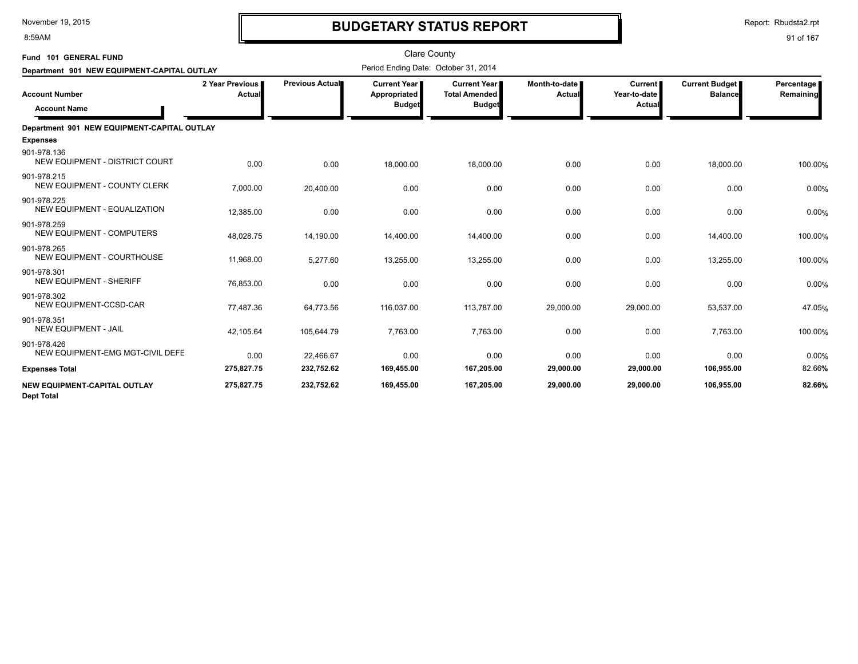8:59AM

# **BUDGETARY STATUS REPORT**

Report: Rbudsta2.rpt

| Fund 101 GENERAL FUND                             |                           |                 | <b>Clare County</b>                                  |                                                                |                         |                                            |                                         |                         |
|---------------------------------------------------|---------------------------|-----------------|------------------------------------------------------|----------------------------------------------------------------|-------------------------|--------------------------------------------|-----------------------------------------|-------------------------|
| Department 901 NEW EQUIPMENT-CAPITAL OUTLAY       |                           |                 | Period Ending Date: October 31, 2014                 |                                                                |                         |                                            |                                         |                         |
| <b>Account Number</b><br><b>Account Name</b>      | 2 Year Previous<br>Actual | Previous Actual | <b>Current Year</b><br>Appropriated<br><b>Budget</b> | <b>Current Year I</b><br><b>Total Amended</b><br><b>Budget</b> | Month-to-date<br>Actual | Current  <br>Year-to-date<br><b>Actual</b> | <b>Current Budget</b><br><b>Balance</b> | Percentage<br>Remaining |
| Department 901 NEW EQUIPMENT-CAPITAL OUTLAY       |                           |                 |                                                      |                                                                |                         |                                            |                                         |                         |
| <b>Expenses</b>                                   |                           |                 |                                                      |                                                                |                         |                                            |                                         |                         |
| 901-978.136<br>NEW EQUIPMENT - DISTRICT COURT     | 0.00                      | 0.00            | 18,000.00                                            | 18,000.00                                                      | 0.00                    | 0.00                                       | 18,000.00                               | 100.00%                 |
| 901-978.215<br>NEW EQUIPMENT - COUNTY CLERK       | 7,000.00                  | 20,400.00       | 0.00                                                 | 0.00                                                           | 0.00                    | 0.00                                       | 0.00                                    | 0.00%                   |
| 901-978.225<br>NEW EQUIPMENT - EQUALIZATION       | 12,385.00                 | 0.00            | 0.00                                                 | 0.00                                                           | 0.00                    | 0.00                                       | 0.00                                    | 0.00%                   |
| 901-978.259<br>NEW EQUIPMENT - COMPUTERS          | 48,028.75                 | 14,190.00       | 14,400.00                                            | 14,400.00                                                      | 0.00                    | 0.00                                       | 14,400.00                               | 100.00%                 |
| 901-978.265<br><b>NEW EQUIPMENT - COURTHOUSE</b>  | 11,968.00                 | 5,277.60        | 13,255.00                                            | 13,255.00                                                      | 0.00                    | 0.00                                       | 13,255.00                               | 100.00%                 |
| 901-978.301<br><b>NEW EQUIPMENT - SHERIFF</b>     | 76,853.00                 | 0.00            | 0.00                                                 | 0.00                                                           | 0.00                    | 0.00                                       | 0.00                                    | 0.00%                   |
| 901-978.302<br>NEW EQUIPMENT-CCSD-CAR             | 77,487.36                 | 64,773.56       | 116,037.00                                           | 113,787.00                                                     | 29,000.00               | 29,000.00                                  | 53,537.00                               | 47.05%                  |
| 901-978.351<br><b>NEW EQUIPMENT - JAIL</b>        | 42,105.64                 | 105,644.79      | 7,763.00                                             | 7,763.00                                                       | 0.00                    | 0.00                                       | 7,763.00                                | 100.00%                 |
| 901-978.426<br>NEW EQUIPMENT-EMG MGT-CIVIL DEFE   | 0.00                      | 22,466.67       | 0.00                                                 | 0.00                                                           | 0.00                    | 0.00                                       | 0.00                                    | 0.00%                   |
| <b>Expenses Total</b>                             | 275,827.75                | 232,752.62      | 169,455.00                                           | 167,205.00                                                     | 29,000.00               | 29,000.00                                  | 106,955.00                              | 82.66%                  |
| NEW EQUIPMENT-CAPITAL OUTLAY<br><b>Dept Total</b> | 275,827.75                | 232,752.62      | 169,455.00                                           | 167,205.00                                                     | 29,000.00               | 29,000.00                                  | 106,955.00                              | 82.66%                  |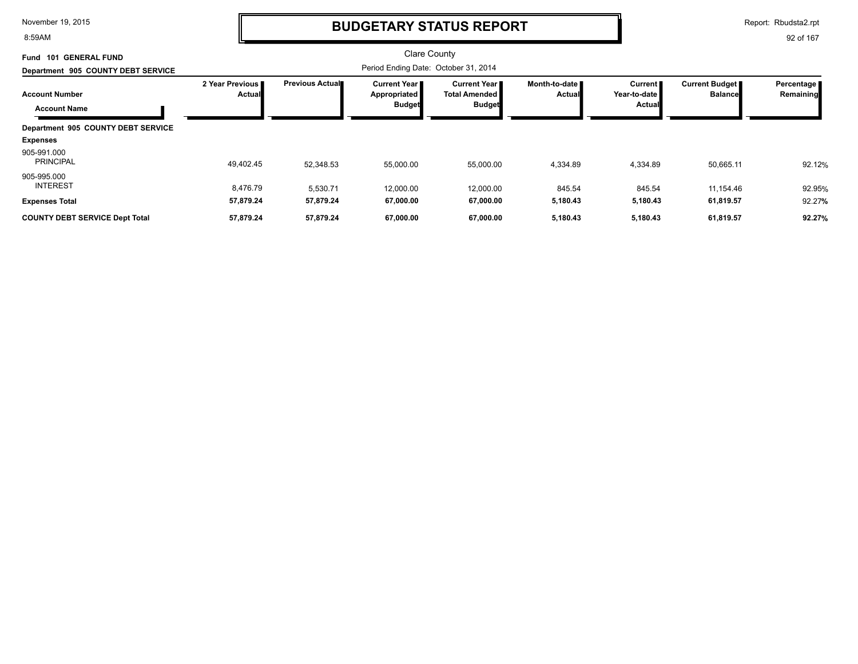8:59AM

## **BUDGETARY STATUS REPORT**

Report: Rbudsta2.rpt

| 101 GENERAL FUND<br>Fund                     |                                  |                         | <b>Clare County</b>                                    |                                                         |                                  |                                     |                                         |                         |
|----------------------------------------------|----------------------------------|-------------------------|--------------------------------------------------------|---------------------------------------------------------|----------------------------------|-------------------------------------|-----------------------------------------|-------------------------|
| Department 905 COUNTY DEBT SERVICE           |                                  |                         | Period Ending Date: October 31, 2014                   |                                                         |                                  |                                     |                                         |                         |
| <b>Account Number</b><br><b>Account Name</b> | 2 Year Previous<br><b>Actual</b> | <b>Previous Actual■</b> | <b>Current Year I</b><br>Appropriated<br><b>Budget</b> | Current Year I<br><b>Total Amended</b><br><b>Budget</b> | Month-to-date ∎<br><b>Actual</b> | Current I<br>Year-to-date<br>Actual | <b>Current Budget</b><br><b>Balance</b> | Percentage<br>Remaining |
| Department 905 COUNTY DEBT SERVICE           |                                  |                         |                                                        |                                                         |                                  |                                     |                                         |                         |
| <b>Expenses</b>                              |                                  |                         |                                                        |                                                         |                                  |                                     |                                         |                         |
| 905-991.000<br><b>PRINCIPAL</b>              | 49,402.45                        | 52,348.53               | 55,000.00                                              | 55,000.00                                               | 4,334.89                         | 4,334.89                            | 50,665.11                               | 92.12%                  |
| 905-995.000<br><b>INTEREST</b>               | 8,476.79                         | 5,530.71                | 12,000.00                                              | 12,000.00                                               | 845.54                           | 845.54                              | 11,154.46                               | 92.95%                  |
| <b>Expenses Total</b>                        | 57,879.24                        | 57,879.24               | 67,000.00                                              | 67,000.00                                               | 5,180.43                         | 5,180.43                            | 61,819.57                               | 92.27%                  |
| <b>COUNTY DEBT SERVICE Dept Total</b>        | 57,879.24                        | 57,879.24               | 67,000.00                                              | 67,000.00                                               | 5,180.43                         | 5,180.43                            | 61,819.57                               | 92.27%                  |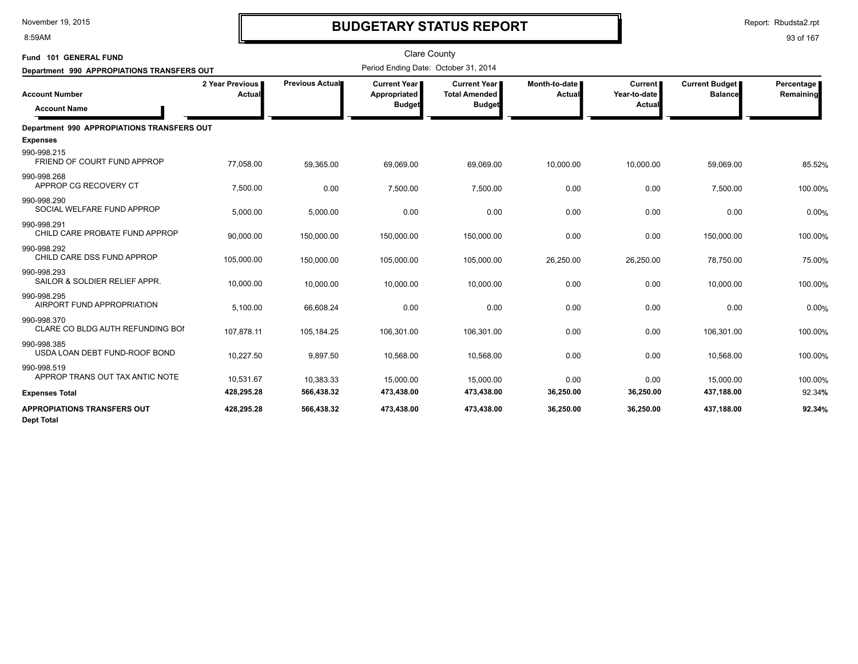8:59AM

# **BUDGETARY STATUS REPORT**

| Fund 101 GENERAL FUND                                   |                           |                 | <b>Clare County</b>                                    |                                                                |                         |                                          |                                         |                         |
|---------------------------------------------------------|---------------------------|-----------------|--------------------------------------------------------|----------------------------------------------------------------|-------------------------|------------------------------------------|-----------------------------------------|-------------------------|
| Department 990 APPROPIATIONS TRANSFERS OUT              |                           |                 | Period Ending Date: October 31, 2014                   |                                                                |                         |                                          |                                         |                         |
| <b>Account Number</b><br><b>Account Name</b>            | 2 Year Previous<br>Actual | Previous Actual | <b>Current Year I</b><br>Appropriated<br><b>Budget</b> | <b>Current Year I</b><br><b>Total Amended</b><br><b>Budget</b> | Month-to-date<br>Actual | <b>Current</b><br>Year-to-date<br>Actual | <b>Current Budget</b><br><b>Balance</b> | Percentage<br>Remaining |
| Department 990 APPROPIATIONS TRANSFERS OUT              |                           |                 |                                                        |                                                                |                         |                                          |                                         |                         |
| <b>Expenses</b>                                         |                           |                 |                                                        |                                                                |                         |                                          |                                         |                         |
| 990-998.215<br>FRIEND OF COURT FUND APPROP              | 77,058.00                 | 59,365.00       | 69,069.00                                              | 69,069.00                                                      | 10,000.00               | 10,000.00                                | 59,069.00                               | 85.52%                  |
| 990-998.268<br>APPROP CG RECOVERY CT                    | 7,500.00                  | 0.00            | 7,500.00                                               | 7,500.00                                                       | 0.00                    | 0.00                                     | 7,500.00                                | 100.00%                 |
| 990-998.290<br>SOCIAL WELFARE FUND APPROP               | 5,000.00                  | 5,000.00        | 0.00                                                   | 0.00                                                           | 0.00                    | 0.00                                     | 0.00                                    | 0.00%                   |
| 990-998.291<br>CHILD CARE PROBATE FUND APPROP           | 90,000.00                 | 150,000.00      | 150,000.00                                             | 150,000.00                                                     | 0.00                    | 0.00                                     | 150,000.00                              | 100.00%                 |
| 990-998.292<br>CHILD CARE DSS FUND APPROP               | 105,000.00                | 150,000.00      | 105,000.00                                             | 105,000.00                                                     | 26,250.00               | 26,250.00                                | 78,750.00                               | 75.00%                  |
| 990-998.293<br>SAILOR & SOLDIER RELIEF APPR.            | 10,000.00                 | 10,000.00       | 10,000.00                                              | 10,000.00                                                      | 0.00                    | 0.00                                     | 10,000.00                               | 100.00%                 |
| 990-998.295<br>AIRPORT FUND APPROPRIATION               | 5,100.00                  | 66,608.24       | 0.00                                                   | 0.00                                                           | 0.00                    | 0.00                                     | 0.00                                    | 0.00%                   |
| 990-998.370<br>CLARE CO BLDG AUTH REFUNDING BOI         | 107,878.11                | 105,184.25      | 106,301.00                                             | 106,301.00                                                     | 0.00                    | 0.00                                     | 106,301.00                              | 100.00%                 |
| 990-998.385<br>USDA LOAN DEBT FUND-ROOF BOND            | 10,227.50                 | 9,897.50        | 10,568.00                                              | 10,568.00                                                      | 0.00                    | 0.00                                     | 10,568.00                               | 100.00%                 |
| 990-998.519<br>APPROP TRANS OUT TAX ANTIC NOTE          | 10,531.67                 | 10,383.33       | 15,000.00                                              | 15,000.00                                                      | 0.00                    | 0.00                                     | 15,000.00                               | 100.00%                 |
| <b>Expenses Total</b>                                   | 428,295.28                | 566,438.32      | 473,438.00                                             | 473,438.00                                                     | 36,250.00               | 36,250.00                                | 437,188.00                              | 92.34%                  |
| <b>APPROPIATIONS TRANSFERS OUT</b><br><b>Dept Total</b> | 428,295.28                | 566,438.32      | 473,438.00                                             | 473,438.00                                                     | 36,250.00               | 36,250.00                                | 437,188.00                              | 92.34%                  |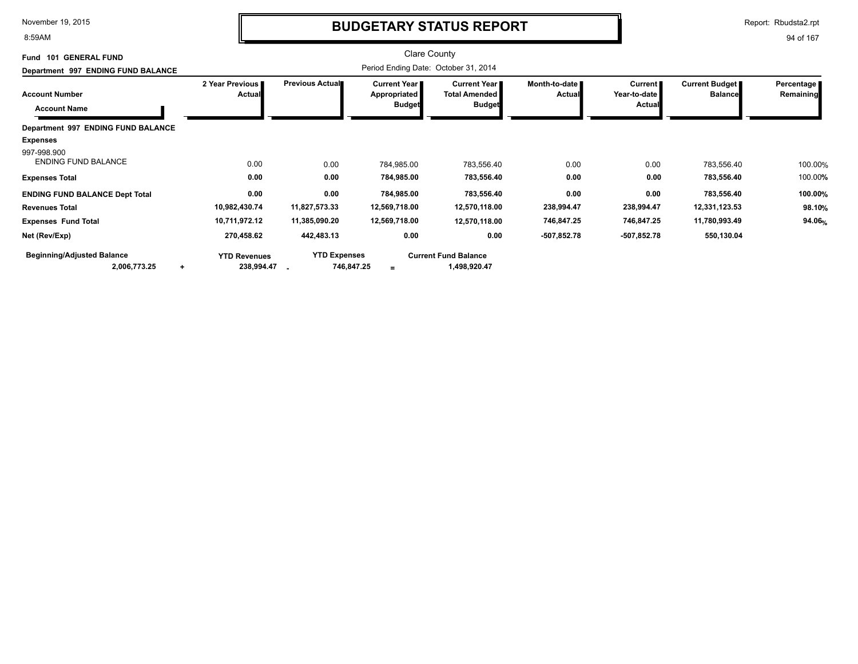8:59AM

# **BUDGETARY STATUS REPORT**

Report: Rbudsta2.rpt

| Fund 101 GENERAL FUND                     |                                  |                     | Clare County                        |                                               |                                |                                |                                         |                         |
|-------------------------------------------|----------------------------------|---------------------|-------------------------------------|-----------------------------------------------|--------------------------------|--------------------------------|-----------------------------------------|-------------------------|
| Department 997 ENDING FUND BALANCE        |                                  |                     |                                     |                                               |                                |                                |                                         |                         |
| <b>Account Number</b>                     | 2 Year Previous<br><b>Actual</b> | Previous Actual     | <b>Current Year</b><br>Appropriated | <b>Current Year I</b><br><b>Total Amended</b> | Month-to-date<br><b>Actual</b> | <b>Current</b><br>Year-to-date | <b>Current Budget</b><br><b>Balance</b> | Percentage<br>Remaining |
| <b>Account Name</b>                       |                                  |                     | <b>Budget</b>                       | <b>Budget</b>                                 |                                | Actual                         |                                         |                         |
| Department 997 ENDING FUND BALANCE        |                                  |                     |                                     |                                               |                                |                                |                                         |                         |
| <b>Expenses</b>                           |                                  |                     |                                     |                                               |                                |                                |                                         |                         |
| 997-998.900<br><b>ENDING FUND BALANCE</b> | 0.00                             | 0.00                | 784,985.00                          | 783,556.40                                    | 0.00                           | 0.00                           | 783,556.40                              | 100.00%                 |
| <b>Expenses Total</b>                     | 0.00                             | 0.00                | 784,985.00                          | 783,556.40                                    | 0.00                           | 0.00                           | 783,556.40                              | 100.00%                 |
| <b>ENDING FUND BALANCE Dept Total</b>     | 0.00                             | 0.00                | 784,985.00                          | 783,556.40                                    | 0.00                           | 0.00                           | 783,556.40                              | 100.00%                 |
| <b>Revenues Total</b>                     | 10,982,430.74                    | 11,827,573.33       | 12,569,718.00                       | 12,570,118.00                                 | 238,994.47                     | 238,994.47                     | 12,331,123.53                           | 98.10%                  |
| <b>Expenses Fund Total</b>                | 10,711,972.12                    | 11,385,090.20       | 12,569,718.00                       | 12,570,118.00                                 | 746,847.25                     | 746,847.25                     | 11,780,993.49                           | 94.06%                  |
| Net (Rev/Exp)                             | 270,458.62                       | 442,483.13          | 0.00                                | 0.00                                          | $-507,852.78$                  | $-507,852.78$                  | 550,130.04                              |                         |
| <b>Beginning/Adjusted Balance</b>         | <b>YTD Revenues</b>              | <b>YTD Expenses</b> |                                     | <b>Current Fund Balance</b>                   |                                |                                |                                         |                         |
| 2,006,773.25<br>٠                         | 238,994.47                       | 746,847.25          | $\equiv$                            | 1,498,920.47                                  |                                |                                |                                         |                         |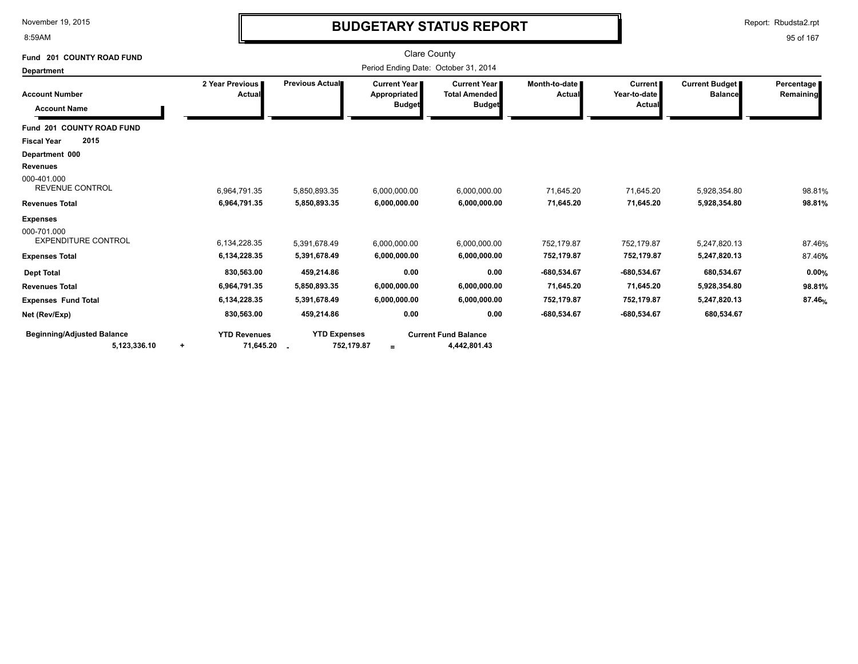8:59AM

# **BUDGETARY STATUS REPORT**

Report: Rbudsta2.rpt

| Fund 201 COUNTY ROAD FUND                         |                                                 |                                   | <b>Clare County</b>                                    |                                                       |                           |                                          |                                         |                         |
|---------------------------------------------------|-------------------------------------------------|-----------------------------------|--------------------------------------------------------|-------------------------------------------------------|---------------------------|------------------------------------------|-----------------------------------------|-------------------------|
| <b>Department</b>                                 |                                                 |                                   | Period Ending Date: October 31, 2014                   |                                                       |                           |                                          |                                         |                         |
| <b>Account Number</b><br><b>Account Name</b>      | 2 Year Previous<br>Actual                       | Previous Actual                   | <b>Current Year I</b><br>Appropriated<br><b>Budget</b> | Current Year<br><b>Total Amended</b><br><b>Budget</b> | Month-to-date I<br>Actual | <b>Current</b><br>Year-to-date<br>Actual | <b>Current Budget</b><br><b>Balance</b> | Percentage<br>Remaining |
| Fund 201 COUNTY ROAD FUND                         |                                                 |                                   |                                                        |                                                       |                           |                                          |                                         |                         |
| 2015<br><b>Fiscal Year</b>                        |                                                 |                                   |                                                        |                                                       |                           |                                          |                                         |                         |
| Department 000                                    |                                                 |                                   |                                                        |                                                       |                           |                                          |                                         |                         |
| <b>Revenues</b>                                   |                                                 |                                   |                                                        |                                                       |                           |                                          |                                         |                         |
| 000-401.000<br><b>REVENUE CONTROL</b>             | 6,964,791.35                                    | 5,850,893.35                      | 6,000,000.00                                           | 6,000,000.00                                          | 71,645.20                 | 71,645.20                                | 5,928,354.80                            | 98.81%                  |
| <b>Revenues Total</b>                             | 6,964,791.35                                    | 5,850,893.35                      | 6,000,000.00                                           | 6,000,000.00                                          | 71,645.20                 | 71,645.20                                | 5,928,354.80                            | 98.81%                  |
| <b>Expenses</b>                                   |                                                 |                                   |                                                        |                                                       |                           |                                          |                                         |                         |
| 000-701.000<br><b>EXPENDITURE CONTROL</b>         | 6,134,228.35                                    | 5,391,678.49                      | 6,000,000.00                                           | 6,000,000.00                                          | 752.179.87                | 752.179.87                               | 5.247.820.13                            | 87.46%                  |
| <b>Expenses Total</b>                             | 6,134,228.35                                    | 5,391,678.49                      | 6,000,000.00                                           | 6,000,000.00                                          | 752,179.87                | 752,179.87                               | 5,247,820.13                            | 87.46%                  |
| <b>Dept Total</b>                                 | 830,563.00                                      | 459,214.86                        | 0.00                                                   | 0.00                                                  | -680,534.67               | -680,534.67                              | 680,534.67                              | 0.00%                   |
| <b>Revenues Total</b>                             | 6,964,791.35                                    | 5,850,893.35                      | 6,000,000.00                                           | 6,000,000.00                                          | 71,645.20                 | 71,645.20                                | 5,928,354.80                            | 98.81%                  |
| <b>Expenses Fund Total</b>                        | 6,134,228.35                                    | 5,391,678.49                      | 6,000,000.00                                           | 6,000,000.00                                          | 752,179.87                | 752,179.87                               | 5,247,820.13                            | 87.46%                  |
| Net (Rev/Exp)                                     | 830,563.00                                      | 459,214.86                        | 0.00                                                   | 0.00                                                  | -680,534.67               | -680,534.67                              | 680,534.67                              |                         |
| <b>Beginning/Adjusted Balance</b><br>5,123,336.10 | <b>YTD Revenues</b><br>71,645.20 .<br>$\ddot{}$ | <b>YTD Expenses</b><br>752,179.87 | $=$                                                    | <b>Current Fund Balance</b><br>4,442,801.43           |                           |                                          |                                         |                         |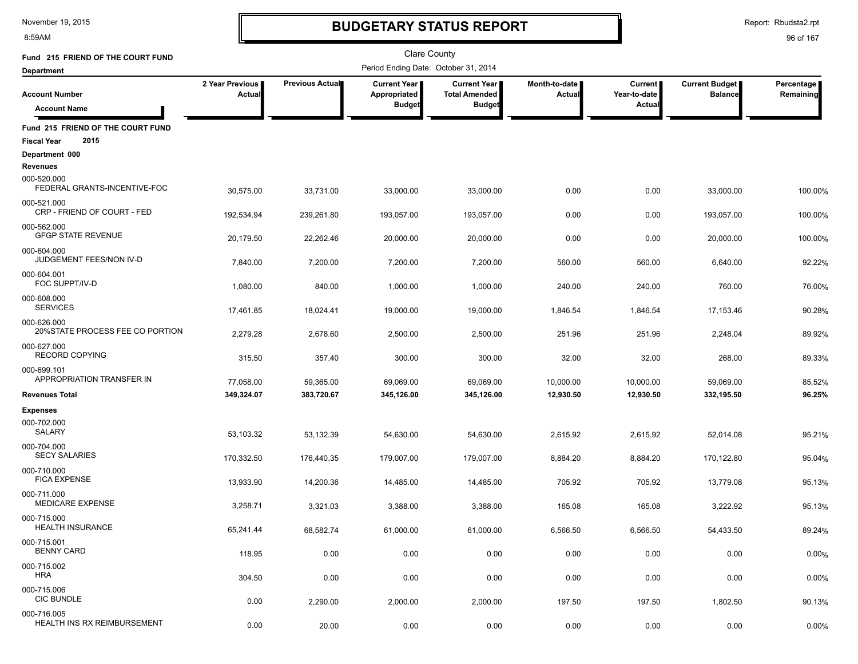8:59AM

# **BUDGETARY STATUS REPORT**

Report: Rbudsta2.rpt

| Fund 215 FRIEND OF THE COURT FUND                               |                           |                        | <b>Clare County</b>                                  |                                                              |                                |                                          |                                         |                         |
|-----------------------------------------------------------------|---------------------------|------------------------|------------------------------------------------------|--------------------------------------------------------------|--------------------------------|------------------------------------------|-----------------------------------------|-------------------------|
| <b>Department</b>                                               |                           |                        | Period Ending Date: October 31, 2014                 |                                                              |                                |                                          |                                         |                         |
| <b>Account Number</b>                                           | 2 Year Previous<br>Actual | <b>Previous Actual</b> | <b>Current Year</b><br>Appropriated<br><b>Budget</b> | <b>Current Year</b><br><b>Total Amended</b><br><b>Budget</b> | Month-to-date<br><b>Actual</b> | <b>Current</b><br>Year-to-date<br>Actual | <b>Current Budget</b><br><b>Balance</b> | Percentage<br>Remaining |
| <b>Account Name</b>                                             |                           |                        |                                                      |                                                              |                                |                                          |                                         |                         |
| Fund 215 FRIEND OF THE COURT FUND<br>2015<br><b>Fiscal Year</b> |                           |                        |                                                      |                                                              |                                |                                          |                                         |                         |
| Department 000                                                  |                           |                        |                                                      |                                                              |                                |                                          |                                         |                         |
| <b>Revenues</b><br>000-520.000<br>FEDERAL GRANTS-INCENTIVE-FOC  | 30,575.00                 | 33,731.00              | 33,000.00                                            | 33,000.00                                                    | 0.00                           | 0.00                                     | 33,000.00                               | 100.00%                 |
| 000-521.000<br>CRP - FRIEND OF COURT - FED                      | 192,534.94                | 239,261.80             | 193,057.00                                           | 193,057.00                                                   | 0.00                           | 0.00                                     | 193,057.00                              | 100.00%                 |
| 000-562.000<br><b>GFGP STATE REVENUE</b>                        | 20,179.50                 | 22,262.46              | 20,000.00                                            | 20,000.00                                                    | 0.00                           | 0.00                                     | 20,000.00                               | 100.00%                 |
| 000-604.000<br>JUDGEMENT FEES/NON IV-D                          | 7,840.00                  | 7,200.00               | 7,200.00                                             | 7,200.00                                                     | 560.00                         | 560.00                                   | 6,640.00                                | 92.22%                  |
| 000-604.001<br>FOC SUPPT/IV-D                                   | 1,080.00                  | 840.00                 | 1,000.00                                             | 1,000.00                                                     | 240.00                         | 240.00                                   | 760.00                                  | 76.00%                  |
| 000-608.000<br><b>SERVICES</b>                                  | 17,461.85                 | 18,024.41              | 19,000.00                                            | 19,000.00                                                    | 1,846.54                       | 1,846.54                                 | 17,153.46                               | 90.28%                  |
| 000-626.000<br>20%STATE PROCESS FEE CO PORTION                  | 2,279.28                  | 2,678.60               | 2,500.00                                             | 2,500.00                                                     | 251.96                         | 251.96                                   | 2,248.04                                | 89.92%                  |
| 000-627.000<br><b>RECORD COPYING</b>                            | 315.50                    | 357.40                 | 300.00                                               | 300.00                                                       | 32.00                          | 32.00                                    | 268.00                                  | 89.33%                  |
| 000-699.101<br>APPROPRIATION TRANSFER IN                        | 77,058.00                 | 59,365.00              | 69,069.00                                            | 69,069.00                                                    | 10,000.00                      | 10,000.00                                | 59,069.00                               | 85.52%                  |
| <b>Revenues Total</b>                                           | 349,324.07                | 383,720.67             | 345,126.00                                           | 345,126.00                                                   | 12,930.50                      | 12,930.50                                | 332,195.50                              | 96.25%                  |
| <b>Expenses</b>                                                 |                           |                        |                                                      |                                                              |                                |                                          |                                         |                         |
| 000-702.000<br><b>SALARY</b>                                    | 53,103.32                 | 53,132.39              | 54,630.00                                            | 54,630.00                                                    | 2,615.92                       | 2,615.92                                 | 52,014.08                               | 95.21%                  |
| 000-704.000<br><b>SECY SALARIES</b>                             | 170,332.50                | 176,440.35             | 179,007.00                                           | 179,007.00                                                   | 8,884.20                       | 8,884.20                                 | 170,122.80                              | 95.04%                  |
| 000-710.000<br><b>FICA EXPENSE</b>                              | 13,933.90                 | 14,200.36              | 14,485.00                                            | 14,485.00                                                    | 705.92                         | 705.92                                   | 13,779.08                               | 95.13%                  |
| 000-711.000<br><b>MEDICARE EXPENSE</b>                          | 3,258.71                  | 3,321.03               | 3,388.00                                             | 3,388.00                                                     | 165.08                         | 165.08                                   | 3,222.92                                | 95.13%                  |
| 000-715.000<br><b>HEALTH INSURANCE</b>                          | 65,241.44                 | 68,582.74              | 61.000.00                                            | 61.000.00                                                    | 6.566.50                       | 6.566.50                                 | 54,433.50                               | 89.24%                  |
| 000-715.001<br><b>BENNY CARD</b>                                | 118.95                    | 0.00                   | 0.00                                                 | 0.00                                                         | 0.00                           | 0.00                                     | 0.00                                    | 0.00%                   |
| 000-715.002<br><b>HRA</b>                                       | 304.50                    | 0.00                   | 0.00                                                 | 0.00                                                         | 0.00                           | 0.00                                     | 0.00                                    | 0.00%                   |
| 000-715.006<br><b>CIC BUNDLE</b>                                | 0.00                      | 2,290.00               | 2,000.00                                             | 2,000.00                                                     | 197.50                         | 197.50                                   | 1,802.50                                | 90.13%                  |
| 000-716.005<br>HEALTH INS RX REIMBURSEMENT                      | 0.00                      | 20.00                  | 0.00                                                 | 0.00                                                         | 0.00                           | 0.00                                     | 0.00                                    | 0.00%                   |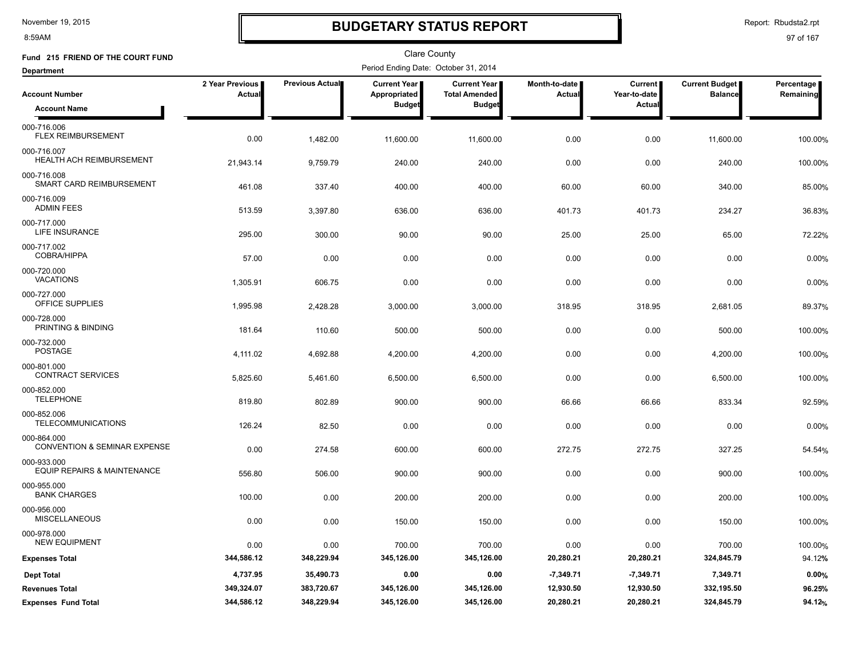8:59AM

# **BUDGETARY STATUS REPORT**

Report: Rbudsta2.rpt

| Fund 215 FRIEND OF THE COURT FUND                      |                           |                 | Clare County                          |                                             |                                |                                |                                         |                           |
|--------------------------------------------------------|---------------------------|-----------------|---------------------------------------|---------------------------------------------|--------------------------------|--------------------------------|-----------------------------------------|---------------------------|
| Department                                             |                           |                 | Period Ending Date: October 31, 2014  |                                             |                                |                                |                                         |                           |
| <b>Account Number</b>                                  | 2 Year Previous<br>Actual | Previous Actual | <b>Current Year</b>  <br>Appropriated | <b>Current Year</b><br><b>Total Amended</b> | Month-to-date<br><b>Actual</b> | <b>Current</b><br>Year-to-date | <b>Current Budget</b><br><b>Balance</b> | Percentage  <br>Remaining |
| <b>Account Name</b>                                    |                           |                 | <b>Budget</b>                         | <b>Budget</b>                               |                                | Actual                         |                                         |                           |
| 000-716.006<br>FLEX REIMBURSEMENT                      | 0.00                      | 1,482.00        | 11,600.00                             | 11,600.00                                   | 0.00                           | 0.00                           | 11,600.00                               | 100.00%                   |
| 000-716.007<br>HEALTH ACH REIMBURSEMENT                | 21,943.14                 | 9,759.79        | 240.00                                | 240.00                                      | 0.00                           | 0.00                           | 240.00                                  | 100.00%                   |
| 000-716.008<br>SMART CARD REIMBURSEMENT                | 461.08                    | 337.40          | 400.00                                | 400.00                                      | 60.00                          | 60.00                          | 340.00                                  | 85.00%                    |
| 000-716.009<br><b>ADMIN FEES</b>                       | 513.59                    | 3,397.80        | 636.00                                | 636.00                                      | 401.73                         | 401.73                         | 234.27                                  | 36.83%                    |
| 000-717.000<br><b>LIFE INSURANCE</b>                   | 295.00                    | 300.00          | 90.00                                 | 90.00                                       | 25.00                          | 25.00                          | 65.00                                   | 72.22%                    |
| 000-717.002<br>COBRA/HIPPA                             | 57.00                     | 0.00            | 0.00                                  | 0.00                                        | 0.00                           | 0.00                           | 0.00                                    | 0.00%                     |
| 000-720.000<br><b>VACATIONS</b>                        | 1,305.91                  | 606.75          | 0.00                                  | 0.00                                        | 0.00                           | 0.00                           | 0.00                                    | 0.00%                     |
| 000-727.000<br>OFFICE SUPPLIES                         | 1,995.98                  | 2,428.28        | 3,000.00                              | 3,000.00                                    | 318.95                         | 318.95                         | 2,681.05                                | 89.37%                    |
| 000-728.000<br>PRINTING & BINDING                      | 181.64                    | 110.60          | 500.00                                | 500.00                                      | 0.00                           | 0.00                           | 500.00                                  | 100.00%                   |
| 000-732.000<br><b>POSTAGE</b>                          | 4,111.02                  | 4,692.88        | 4,200.00                              | 4,200.00                                    | 0.00                           | 0.00                           | 4,200.00                                | 100.00%                   |
| 000-801.000<br><b>CONTRACT SERVICES</b>                | 5,825.60                  | 5,461.60        | 6,500.00                              | 6,500.00                                    | 0.00                           | 0.00                           | 6,500.00                                | 100.00%                   |
| 000-852.000<br><b>TELEPHONE</b>                        | 819.80                    | 802.89          | 900.00                                | 900.00                                      | 66.66                          | 66.66                          | 833.34                                  | 92.59%                    |
| 000-852.006<br><b>TELECOMMUNICATIONS</b>               | 126.24                    | 82.50           | 0.00                                  | 0.00                                        | 0.00                           | 0.00                           | 0.00                                    | 0.00%                     |
| 000-864.000<br><b>CONVENTION &amp; SEMINAR EXPENSE</b> | 0.00                      | 274.58          | 600.00                                | 600.00                                      | 272.75                         | 272.75                         | 327.25                                  | 54.54%                    |
| 000-933.000<br>EQUIP REPAIRS & MAINTENANCE             | 556.80                    | 506.00          | 900.00                                | 900.00                                      | 0.00                           | 0.00                           | 900.00                                  | 100.00%                   |
| 000-955.000<br><b>BANK CHARGES</b>                     | 100.00                    | 0.00            | 200.00                                | 200.00                                      | 0.00                           | 0.00                           | 200.00                                  | 100.00%                   |
| 000-956.000<br><b>MISCELLANEOUS</b>                    | 0.00                      | 0.00            | 150.00                                | 150.00                                      | 0.00                           | 0.00                           | 150.00                                  | 100.00%                   |
| 000-978.000<br><b>NEW EQUIPMENT</b>                    | 0.00                      | 0.00            | 700.00                                | 700.00                                      | 0.00                           | 0.00                           | 700.00                                  | 100.00%                   |
| <b>Expenses Total</b>                                  | 344,586.12                | 348,229.94      | 345,126.00                            | 345,126.00                                  | 20,280.21                      | 20,280.21                      | 324,845.79                              | 94.12%                    |
| <b>Dept Total</b>                                      | 4,737.95                  | 35,490.73       | 0.00                                  | 0.00                                        | $-7,349.71$                    | $-7,349.71$                    | 7,349.71                                | 0.00%                     |
| <b>Revenues Total</b>                                  | 349,324.07                | 383,720.67      | 345,126.00                            | 345,126.00                                  | 12,930.50                      | 12,930.50                      | 332,195.50                              | 96.25%                    |
| <b>Expenses Fund Total</b>                             | 344,586.12                | 348,229.94      | 345,126.00                            | 345,126.00                                  | 20,280.21                      | 20,280.21                      | 324,845.79                              | 94.12%                    |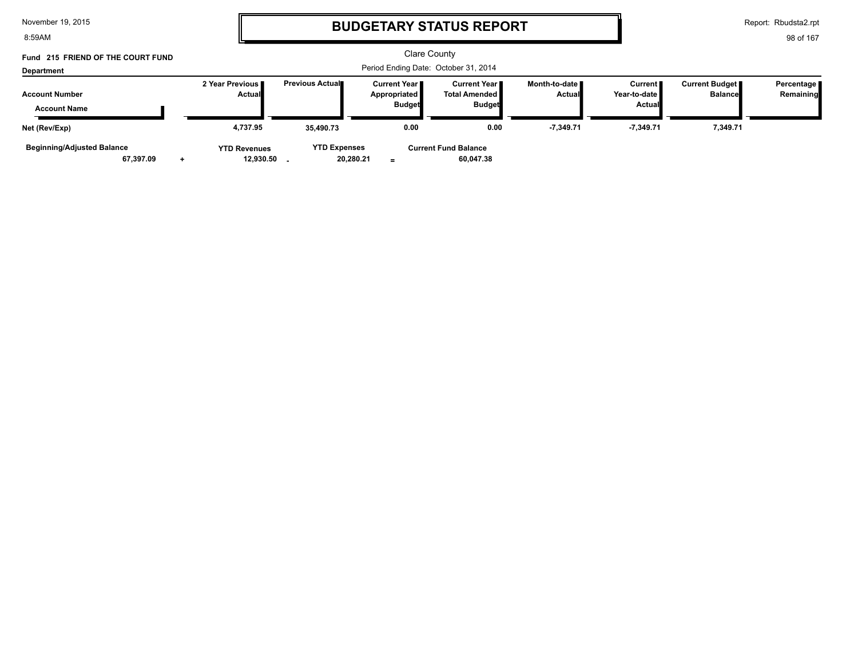8:59AM

# **BUDGETARY STATUS REPORT**

Report: Rbudsta2.rpt

98 of 167

#### Clare County Period Ending Date: October 31, 2014 **Account Number Department Fund 215 FRIEND OF THE COURT FUND 2 Year Previous Actual Previous Actual Current Year Appropriated Budget Current Year Total Amended Budget Month-to-date Actual Current Year-to-date Actual Current Budget Balance Percentage Remaining Account Name 4,737.95 35,490.73 0.00 -7,349.71 -7,349.71 YTD Revenues YTD Expenses Current Fund Balance 60,047.38 Net (Rev/Exp) 0.00 7,349.71 Beginning/Adjusted Balance**

**=**

 **67,397.09 20,280.21 + 12,930.50 -**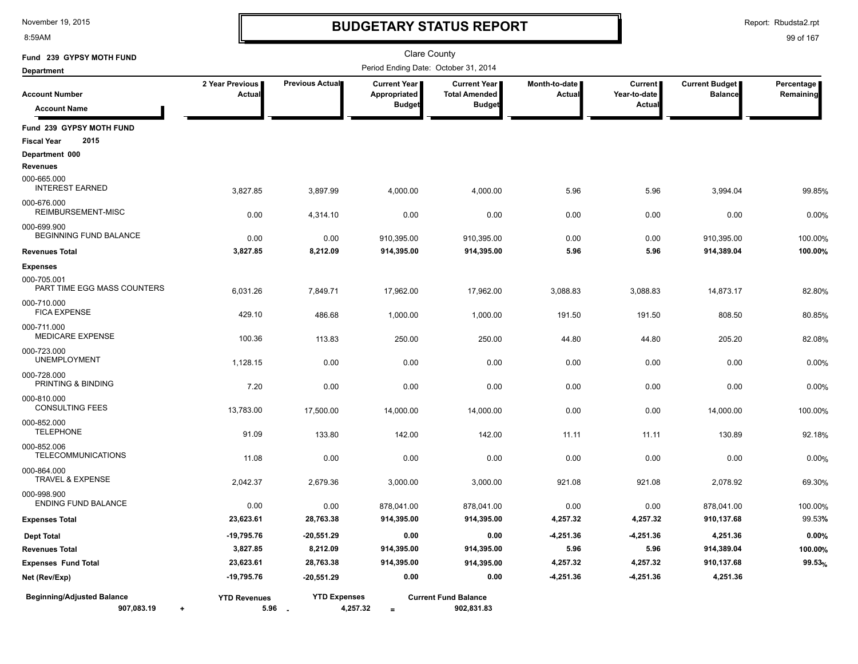8:59AM

# **BUDGETARY STATUS REPORT**

Report: Rbudsta2.rpt

| Fund 239 GYPSY MOTH FUND                               |                                  |                               |                                               | Clare County                                          |                                |                                          |                                         |                         |
|--------------------------------------------------------|----------------------------------|-------------------------------|-----------------------------------------------|-------------------------------------------------------|--------------------------------|------------------------------------------|-----------------------------------------|-------------------------|
| <b>Department</b>                                      |                                  |                               |                                               | Period Ending Date: October 31, 2014                  |                                |                                          |                                         |                         |
| <b>Account Number</b><br><b>Account Name</b>           | 2 Year Previous<br>Actual        | Previous Actual               | Current Year<br>Appropriated<br><b>Budget</b> | Current Year<br><b>Total Amended</b><br><b>Budget</b> | Month-to-date<br><b>Actual</b> | <b>Current</b><br>Year-to-date<br>Actual | <b>Current Budget</b><br><b>Balance</b> | Percentage<br>Remaining |
| Fund 239 GYPSY MOTH FUND<br><b>Fiscal Year</b><br>2015 |                                  |                               |                                               |                                                       |                                |                                          |                                         |                         |
| Department 000                                         |                                  |                               |                                               |                                                       |                                |                                          |                                         |                         |
| <b>Revenues</b>                                        |                                  |                               |                                               |                                                       |                                |                                          |                                         |                         |
| 000-665.000<br><b>INTEREST EARNED</b>                  | 3,827.85                         | 3,897.99                      | 4,000.00                                      | 4,000.00                                              | 5.96                           | 5.96                                     | 3,994.04                                | 99.85%                  |
| 000-676.000<br>REIMBURSEMENT-MISC                      | 0.00                             | 4,314.10                      | 0.00                                          | 0.00                                                  | 0.00                           | 0.00                                     | 0.00                                    | 0.00%                   |
| 000-699.900<br>BEGINNING FUND BALANCE                  | 0.00                             | 0.00                          | 910,395.00                                    | 910,395.00                                            | 0.00                           | 0.00                                     | 910,395.00                              | 100.00%                 |
| <b>Revenues Total</b>                                  | 3,827.85                         | 8,212.09                      | 914,395.00                                    | 914,395.00                                            | 5.96                           | 5.96                                     | 914,389.04                              | 100.00%                 |
| <b>Expenses</b>                                        |                                  |                               |                                               |                                                       |                                |                                          |                                         |                         |
| 000-705.001<br>PART TIME EGG MASS COUNTERS             | 6,031.26                         | 7,849.71                      | 17,962.00                                     | 17,962.00                                             | 3,088.83                       | 3,088.83                                 | 14,873.17                               | 82.80%                  |
| 000-710.000<br><b>FICA EXPENSE</b>                     | 429.10                           | 486.68                        | 1,000.00                                      | 1,000.00                                              | 191.50                         | 191.50                                   | 808.50                                  | 80.85%                  |
| 000-711.000<br><b>MEDICARE EXPENSE</b>                 | 100.36                           | 113.83                        | 250.00                                        | 250.00                                                | 44.80                          | 44.80                                    | 205.20                                  | 82.08%                  |
| 000-723.000<br><b>UNEMPLOYMENT</b>                     | 1,128.15                         | 0.00                          | 0.00                                          | 0.00                                                  | 0.00                           | 0.00                                     | 0.00                                    | 0.00%                   |
| 000-728.000<br>PRINTING & BINDING                      | 7.20                             | 0.00                          | 0.00                                          | 0.00                                                  | 0.00                           | 0.00                                     | 0.00                                    | 0.00%                   |
| 000-810.000<br><b>CONSULTING FEES</b>                  | 13,783.00                        | 17,500.00                     | 14,000.00                                     | 14,000.00                                             | 0.00                           | 0.00                                     | 14,000.00                               | 100.00%                 |
| 000-852.000<br><b>TELEPHONE</b>                        | 91.09                            | 133.80                        | 142.00                                        | 142.00                                                | 11.11                          | 11.11                                    | 130.89                                  | 92.18%                  |
| 000-852.006<br><b>TELECOMMUNICATIONS</b>               | 11.08                            | 0.00                          | 0.00                                          | 0.00                                                  | 0.00                           | 0.00                                     | 0.00                                    | 0.00%                   |
| 000-864.000<br><b>TRAVEL &amp; EXPENSE</b>             | 2,042.37                         | 2,679.36                      | 3,000.00                                      | 3,000.00                                              | 921.08                         | 921.08                                   | 2,078.92                                | 69.30%                  |
| 000-998.900<br><b>ENDING FUND BALANCE</b>              | 0.00                             | 0.00                          | 878,041.00                                    | 878,041.00                                            | 0.00                           | 0.00                                     | 878,041.00                              | 100.00%                 |
| <b>Expenses Total</b>                                  | 23,623.61                        | 28,763.38                     | 914,395.00                                    | 914,395.00                                            | 4,257.32                       | 4,257.32                                 | 910,137.68                              | 99.53%                  |
| <b>Dept Total</b>                                      | $-19,795.76$                     | -20,551.29                    | 0.00                                          | 0.00                                                  | $-4,251.36$                    | -4,251.36                                | 4,251.36                                | 0.00%                   |
| <b>Revenues Total</b>                                  | 3,827.85                         | 8,212.09                      | 914,395.00                                    | 914,395.00                                            | 5.96                           | 5.96                                     | 914,389.04                              | 100.00%                 |
| <b>Expenses Fund Total</b>                             | 23,623.61                        | 28,763.38                     | 914,395.00                                    | 914,395.00                                            | 4,257.32                       | 4,257.32                                 | 910,137.68                              | 99.53%                  |
| Net (Rev/Exp)                                          | $-19,795.76$                     | $-20,551.29$                  | 0.00                                          | 0.00                                                  | $-4,251.36$                    | $-4,251.36$                              | 4,251.36                                |                         |
| <b>Beginning/Adjusted Balance</b><br>907,083.19        | <b>YTD Revenues</b><br>5.96<br>÷ | <b>YTD Expenses</b><br>$\sim$ | 4,257.32<br>$=$                               | <b>Current Fund Balance</b><br>902,831.83             |                                |                                          |                                         |                         |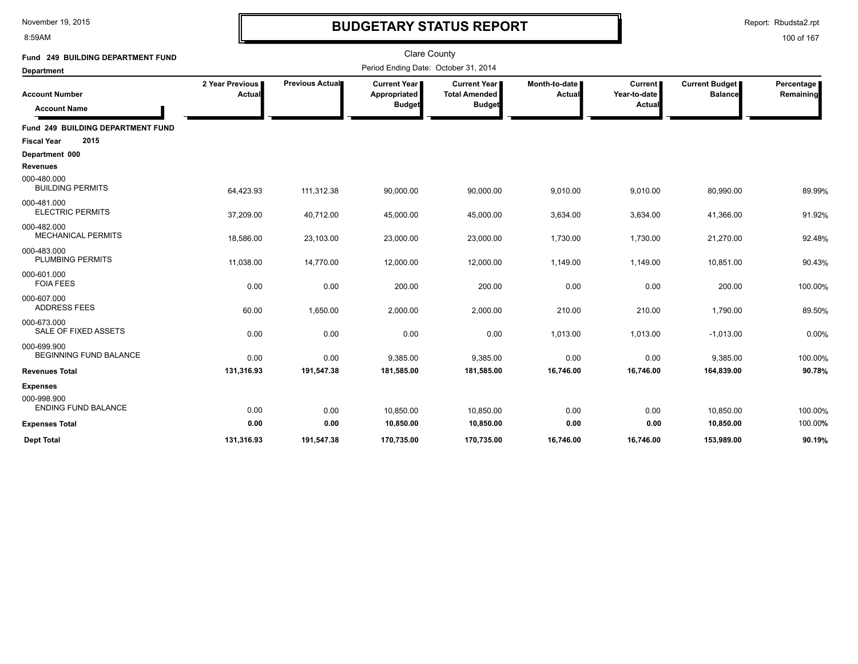8:59AM

# **BUDGETARY STATUS REPORT**

Report: Rbudsta2.rpt

| Fund 249 BUILDING DEPARTMENT FUND<br><b>Department</b> | <b>Clare County</b><br>Period Ending Date: October 31, 2014 |                 |                                               |                                                              |                         |                                   |                                         |                         |
|--------------------------------------------------------|-------------------------------------------------------------|-----------------|-----------------------------------------------|--------------------------------------------------------------|-------------------------|-----------------------------------|-----------------------------------------|-------------------------|
| <b>Account Number</b><br><b>Account Name</b>           | 2 Year Previous<br>Actual                                   | Previous Actual | Current Year<br>Appropriated<br><b>Budget</b> | <b>Current Year</b><br><b>Total Amended</b><br><b>Budget</b> | Month-to-date<br>Actual | Current<br>Year-to-date<br>Actual | <b>Current Budget</b><br><b>Balance</b> | Percentage<br>Remaining |
| Fund 249 BUILDING DEPARTMENT FUND                      |                                                             |                 |                                               |                                                              |                         |                                   |                                         |                         |
| 2015<br><b>Fiscal Year</b>                             |                                                             |                 |                                               |                                                              |                         |                                   |                                         |                         |
| Department 000                                         |                                                             |                 |                                               |                                                              |                         |                                   |                                         |                         |
| <b>Revenues</b>                                        |                                                             |                 |                                               |                                                              |                         |                                   |                                         |                         |
| 000-480.000<br><b>BUILDING PERMITS</b>                 | 64,423.93                                                   | 111,312.38      | 90,000.00                                     | 90,000.00                                                    | 9,010.00                | 9,010.00                          | 80,990.00                               | 89.99%                  |
| 000-481.000<br><b>ELECTRIC PERMITS</b>                 | 37,209.00                                                   | 40,712.00       | 45,000.00                                     | 45,000.00                                                    | 3,634.00                | 3,634.00                          | 41,366.00                               | 91.92%                  |
| 000-482.000<br><b>MECHANICAL PERMITS</b>               | 18,586.00                                                   | 23,103.00       | 23,000.00                                     | 23,000.00                                                    | 1,730.00                | 1,730.00                          | 21,270.00                               | 92.48%                  |
| 000-483.000<br>PLUMBING PERMITS                        | 11,038.00                                                   | 14,770.00       | 12,000.00                                     | 12,000.00                                                    | 1,149.00                | 1,149.00                          | 10,851.00                               | 90.43%                  |
| 000-601.000<br><b>FOIA FEES</b>                        | 0.00                                                        | 0.00            | 200.00                                        | 200.00                                                       | 0.00                    | 0.00                              | 200.00                                  | 100.00%                 |
| 000-607.000<br><b>ADDRESS FEES</b>                     | 60.00                                                       | 1,650.00        | 2,000.00                                      | 2,000.00                                                     | 210.00                  | 210.00                            | 1,790.00                                | 89.50%                  |
| 000-673.000<br>SALE OF FIXED ASSETS                    | 0.00                                                        | 0.00            | 0.00                                          | 0.00                                                         | 1,013.00                | 1,013.00                          | $-1,013.00$                             | 0.00%                   |
| 000-699.900<br><b>BEGINNING FUND BALANCE</b>           | 0.00                                                        | 0.00            | 9,385.00                                      | 9,385.00                                                     | 0.00                    | 0.00                              | 9,385.00                                | 100.00%                 |
| <b>Revenues Total</b>                                  | 131,316.93                                                  | 191,547.38      | 181,585.00                                    | 181,585.00                                                   | 16,746.00               | 16,746.00                         | 164,839.00                              | 90.78%                  |
| <b>Expenses</b>                                        |                                                             |                 |                                               |                                                              |                         |                                   |                                         |                         |
| 000-998.900<br><b>ENDING FUND BALANCE</b>              | 0.00                                                        | 0.00            | 10,850.00                                     | 10,850.00                                                    | 0.00                    | 0.00                              | 10,850.00                               | 100.00%                 |
| <b>Expenses Total</b>                                  | 0.00                                                        | 0.00            | 10,850.00                                     | 10,850.00                                                    | 0.00                    | 0.00                              | 10,850.00                               | 100.00%                 |
| <b>Dept Total</b>                                      | 131.316.93                                                  | 191,547.38      | 170,735.00                                    | 170.735.00                                                   | 16.746.00               | 16.746.00                         | 153.989.00                              | 90.19%                  |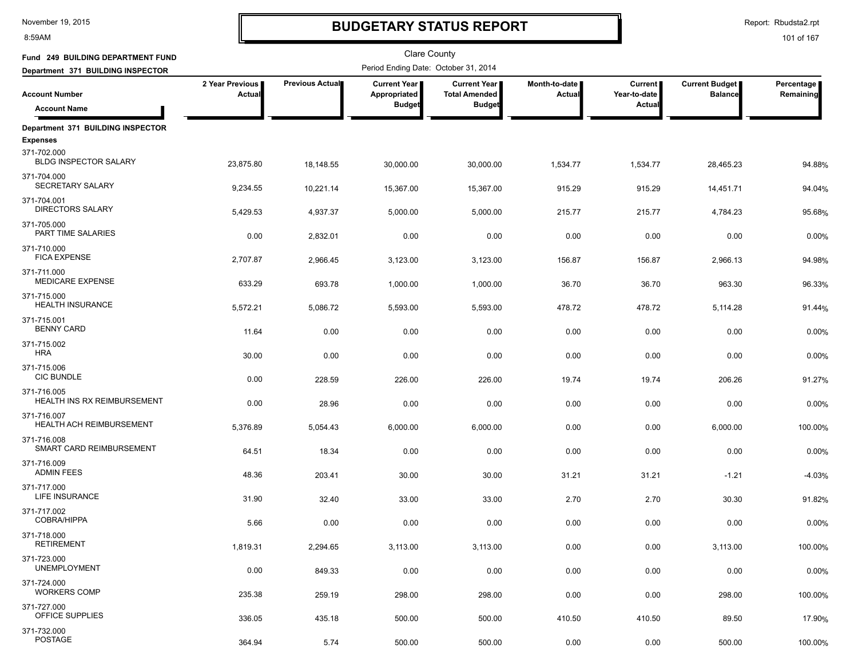8:59AM

# **BUDGETARY STATUS REPORT**

Report: Rbudsta2.rpt

| Fund 249 BUILDING DEPARTMENT FUND              |                                  |                        |                                      |                                      |                         |                           |                                  |                         |
|------------------------------------------------|----------------------------------|------------------------|--------------------------------------|--------------------------------------|-------------------------|---------------------------|----------------------------------|-------------------------|
| Department 371 BUILDING INSPECTOR              |                                  |                        | Period Ending Date: October 31, 2014 |                                      |                         |                           |                                  |                         |
| <b>Account Number</b>                          | 2 Year Previous<br><b>Actual</b> | <b>Previous Actual</b> | <b>Current Year</b><br>Appropriated  | Current Year<br><b>Total Amended</b> | Month-to-date<br>Actual | Current  <br>Year-to-date | Current Budget<br><b>Balance</b> | Percentage<br>Remaining |
| <b>Account Name</b>                            |                                  |                        | <b>Budget</b>                        | <b>Budget</b>                        |                         | Actual                    |                                  |                         |
| Department 371 BUILDING INSPECTOR              |                                  |                        |                                      |                                      |                         |                           |                                  |                         |
| <b>Expenses</b>                                |                                  |                        |                                      |                                      |                         |                           |                                  |                         |
| 371-702.000<br><b>BLDG INSPECTOR SALARY</b>    | 23,875.80                        | 18,148.55              | 30,000.00                            | 30,000.00                            | 1,534.77                | 1,534.77                  | 28,465.23                        | 94.88%                  |
| 371-704.000<br>SECRETARY SALARY                | 9,234.55                         | 10,221.14              | 15,367.00                            | 15,367.00                            | 915.29                  | 915.29                    | 14,451.71                        | 94.04%                  |
| 371-704.001<br><b>DIRECTORS SALARY</b>         | 5,429.53                         | 4,937.37               | 5,000.00                             | 5,000.00                             | 215.77                  | 215.77                    | 4,784.23                         | 95.68%                  |
| 371-705.000<br>PART TIME SALARIES              | 0.00                             | 2,832.01               | 0.00                                 | 0.00                                 | 0.00                    | 0.00                      | 0.00                             | 0.00%                   |
| 371-710.000<br><b>FICA EXPENSE</b>             | 2,707.87                         | 2,966.45               | 3,123.00                             | 3,123.00                             | 156.87                  | 156.87                    | 2,966.13                         | 94.98%                  |
| 371-711.000                                    |                                  |                        |                                      |                                      |                         |                           |                                  |                         |
| <b>MEDICARE EXPENSE</b>                        | 633.29                           | 693.78                 | 1,000.00                             | 1,000.00                             | 36.70                   | 36.70                     | 963.30                           | 96.33%                  |
| 371-715.000<br><b>HEALTH INSURANCE</b>         | 5,572.21                         | 5,086.72               | 5,593.00                             | 5,593.00                             | 478.72                  | 478.72                    | 5,114.28                         | 91.44%                  |
| 371-715.001<br><b>BENNY CARD</b>               | 11.64                            | 0.00                   | 0.00                                 | 0.00                                 | 0.00                    | 0.00                      | 0.00                             | 0.00%                   |
| 371-715.002<br><b>HRA</b>                      | 30.00                            | 0.00                   | 0.00                                 | 0.00                                 | 0.00                    | 0.00                      | 0.00                             | 0.00%                   |
| 371-715.006                                    |                                  |                        |                                      |                                      |                         |                           |                                  |                         |
| <b>CIC BUNDLE</b>                              | 0.00                             | 228.59                 | 226.00                               | 226.00                               | 19.74                   | 19.74                     | 206.26                           | 91.27%                  |
| 371-716.005<br>HEALTH INS RX REIMBURSEMENT     | 0.00                             | 28.96                  | 0.00                                 | 0.00                                 | 0.00                    | 0.00                      | 0.00                             | 0.00%                   |
| 371-716.007<br><b>HEALTH ACH REIMBURSEMENT</b> | 5,376.89                         | 5,054.43               | 6,000.00                             | 6,000.00                             | 0.00                    | 0.00                      | 6,000.00                         | 100.00%                 |
| 371-716.008<br>SMART CARD REIMBURSEMENT        | 64.51                            | 18.34                  | 0.00                                 | 0.00                                 | 0.00                    | 0.00                      | 0.00                             | 0.00%                   |
| 371-716.009<br><b>ADMIN FEES</b>               | 48.36                            | 203.41                 | 30.00                                | 30.00                                | 31.21                   | 31.21                     | $-1.21$                          | $-4.03%$                |
| 371-717.000<br><b>LIFE INSURANCE</b>           | 31.90                            | 32.40                  | 33.00                                | 33.00                                | 2.70                    | 2.70                      | 30.30                            | 91.82%                  |
| 371-717.002<br><b>COBRA/HIPPA</b>              | 5.66                             | 0.00                   | 0.00                                 | 0.00                                 | 0.00                    | 0.00                      | 0.00                             | 0.00%                   |
| 371-718.000<br><b>RETIREMENT</b>               | 1,819.31                         | 2,294.65               | 3,113.00                             | 3,113.00                             | 0.00                    | 0.00                      | 3,113.00                         | 100.00%                 |
| 371-723.000<br><b>UNEMPLOYMENT</b>             | 0.00                             | 849.33                 | 0.00                                 | 0.00                                 | 0.00                    | 0.00                      | 0.00                             | 0.00%                   |
| 371-724.000<br><b>WORKERS COMP</b>             | 235.38                           | 259.19                 | 298.00                               | 298.00                               | 0.00                    | 0.00                      | 298.00                           | 100.00%                 |
| 371-727.000                                    |                                  |                        |                                      |                                      |                         |                           |                                  |                         |
| OFFICE SUPPLIES                                | 336.05                           | 435.18                 | 500.00                               | 500.00                               | 410.50                  | 410.50                    | 89.50                            | 17.90%                  |
| 371-732.000<br>POSTAGE                         | 364.94                           | 5.74                   | 500.00                               | 500.00                               | 0.00                    | 0.00                      | 500.00                           | 100.00%                 |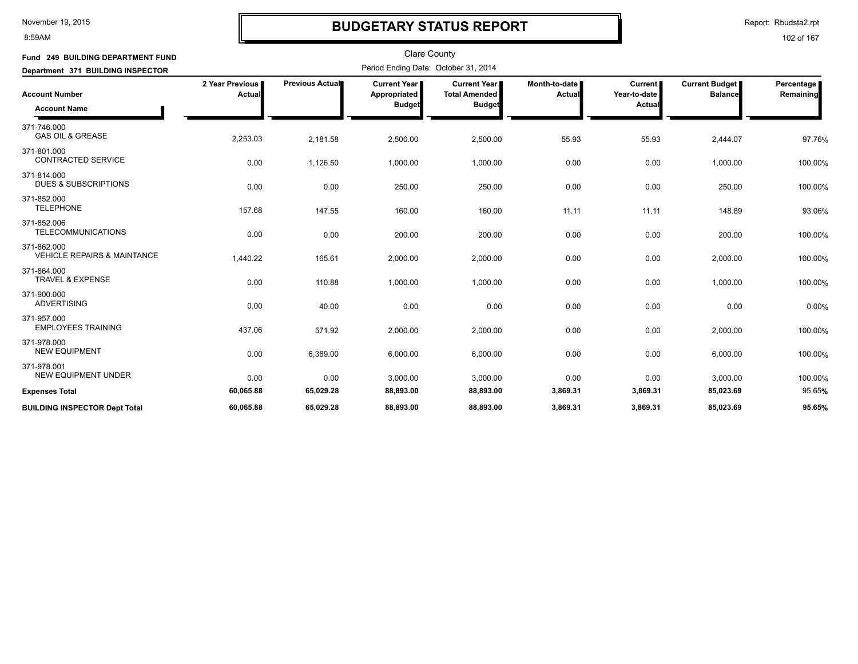#### 8:59AM

## **BUDGETARY STATUS REPORT**

Report: Rbudsta2.rpt

| Fund 249 BUILDING DEPARTMENT FUND<br>Department 371 BUILDING INSPECTOR |                           |                 |                                                        |                                                              |                         |                                         |                                         |                         |
|------------------------------------------------------------------------|---------------------------|-----------------|--------------------------------------------------------|--------------------------------------------------------------|-------------------------|-----------------------------------------|-----------------------------------------|-------------------------|
| <b>Account Number</b><br><b>Account Name</b>                           | 2 Year Previous<br>Actual | Previous Actual | <b>Current Year I</b><br>Appropriated<br><b>Budget</b> | <b>Current Year</b><br><b>Total Amended</b><br><b>Budget</b> | Month-to-date<br>Actual | <b>Current</b><br>Year-to-date<br>Actua | <b>Current Budget</b><br><b>Balance</b> | Percentage<br>Remaining |
| 371-746.000<br><b>GAS OIL &amp; GREASE</b>                             | 2,253.03                  | 2,181.58        | 2,500.00                                               | 2,500.00                                                     | 55.93                   | 55.93                                   | 2,444.07                                | 97.76%                  |
| 371-801.000<br><b>CONTRACTED SERVICE</b>                               | 0.00                      | 1,126.50        | 1,000.00                                               | 1,000.00                                                     | 0.00                    | 0.00                                    | 1,000.00                                | 100.00%                 |
| 371-814.000<br><b>DUES &amp; SUBSCRIPTIONS</b>                         | 0.00                      | 0.00            | 250.00                                                 | 250.00                                                       | 0.00                    | 0.00                                    | 250.00                                  | 100.00%                 |
| 371-852.000<br><b>TELEPHONE</b>                                        | 157.68                    | 147.55          | 160.00                                                 | 160.00                                                       | 11.11                   | 11.11                                   | 148.89                                  | 93.06%                  |
| 371-852.006<br><b>TELECOMMUNICATIONS</b>                               | 0.00                      | 0.00            | 200.00                                                 | 200.00                                                       | 0.00                    | 0.00                                    | 200.00                                  | 100.00%                 |
| 371-862.000<br><b>VEHICLE REPAIRS &amp; MAINTANCE</b>                  | 1,440.22                  | 165.61          | 2,000.00                                               | 2,000.00                                                     | 0.00                    | 0.00                                    | 2,000.00                                | 100.00%                 |
| 371-864.000<br><b>TRAVEL &amp; EXPENSE</b>                             | 0.00                      | 110.88          | 1,000.00                                               | 1,000.00                                                     | 0.00                    | 0.00                                    | 1,000.00                                | 100.00%                 |
| 371-900.000<br><b>ADVERTISING</b>                                      | 0.00                      | 40.00           | 0.00                                                   | 0.00                                                         | 0.00                    | 0.00                                    | 0.00                                    | 0.00%                   |
| 371-957.000<br><b>EMPLOYEES TRAINING</b>                               | 437.06                    | 571.92          | 2,000.00                                               | 2,000.00                                                     | 0.00                    | 0.00                                    | 2,000.00                                | 100.00%                 |
| 371-978.000<br><b>NEW EQUIPMENT</b>                                    | 0.00                      | 6,389.00        | 6,000.00                                               | 6,000.00                                                     | 0.00                    | 0.00                                    | 6,000.00                                | 100.00%                 |
| 371-978.001<br><b>NEW EQUIPMENT UNDER</b>                              | 0.00                      | 0.00            | 3,000.00                                               | 3,000.00                                                     | 0.00                    | 0.00                                    | 3,000.00                                | 100.00%                 |
| <b>Expenses Total</b>                                                  | 60,065.88                 | 65,029.28       | 88,893.00                                              | 88,893.00                                                    | 3,869.31                | 3,869.31                                | 85,023.69                               | 95.65%                  |
| <b>BUILDING INSPECTOR Dept Total</b>                                   | 60,065.88                 | 65,029.28       | 88,893.00                                              | 88,893.00                                                    | 3,869.31                | 3,869.31                                | 85,023.69                               | 95.65%                  |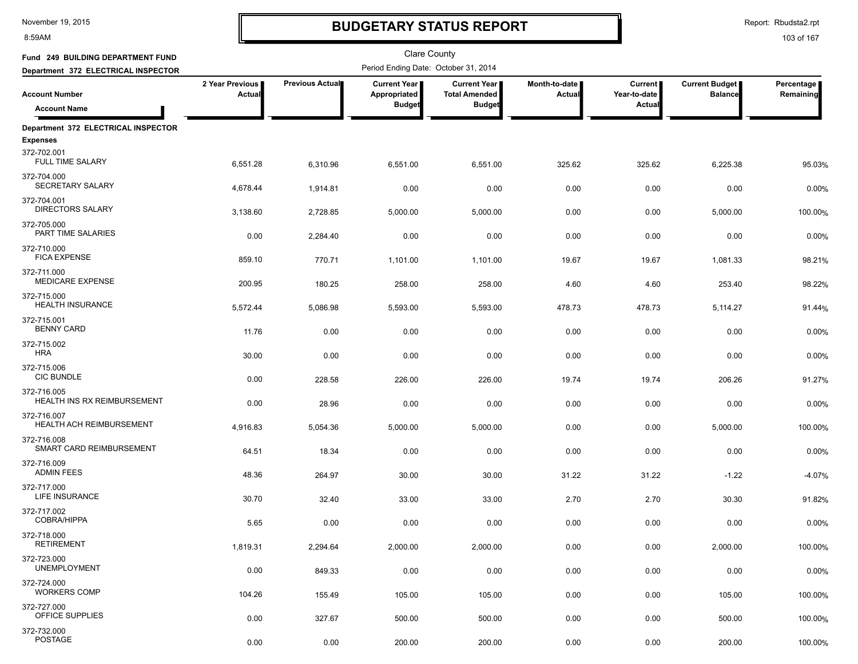8:59AM

# **BUDGETARY STATUS REPORT**

Report: Rbudsta2.rpt

| Fund 249 BUILDING DEPARTMENT FUND                 |                           |                 | <b>Clare County</b>                  |                                               |                         |                                |                                         |                         |
|---------------------------------------------------|---------------------------|-----------------|--------------------------------------|-----------------------------------------------|-------------------------|--------------------------------|-----------------------------------------|-------------------------|
| Department 372 ELECTRICAL INSPECTOR               |                           |                 | Period Ending Date: October 31, 2014 |                                               |                         |                                |                                         |                         |
| <b>Account Number</b>                             | 2 Year Previous<br>Actual | Previous Actual | Current Year<br>Appropriated         | <b>Current Year I</b><br><b>Total Amended</b> | Month-to-date<br>Actual | <b>Current</b><br>Year-to-date | <b>Current Budget</b><br><b>Balance</b> | Percentage<br>Remaining |
| <b>Account Name</b>                               |                           |                 | <b>Budget</b>                        | <b>Budget</b>                                 |                         | Actual                         |                                         |                         |
| Department 372 ELECTRICAL INSPECTOR               |                           |                 |                                      |                                               |                         |                                |                                         |                         |
| <b>Expenses</b>                                   |                           |                 |                                      |                                               |                         |                                |                                         |                         |
| 372-702.001<br><b>FULL TIME SALARY</b>            | 6,551.28                  | 6,310.96        | 6,551.00                             | 6,551.00                                      | 325.62                  | 325.62                         | 6,225.38                                | 95.03%                  |
| 372-704.000<br>SECRETARY SALARY                   | 4,678.44                  | 1,914.81        | 0.00                                 | 0.00                                          | 0.00                    | 0.00                           | 0.00                                    | 0.00%                   |
| 372-704.001<br><b>DIRECTORS SALARY</b>            | 3,138.60                  | 2,728.85        | 5,000.00                             | 5,000.00                                      | 0.00                    | 0.00                           | 5,000.00                                | 100.00%                 |
| 372-705.000<br>PART TIME SALARIES                 | 0.00                      | 2,284.40        | 0.00                                 | 0.00                                          | 0.00                    | 0.00                           | 0.00                                    | 0.00%                   |
| 372-710.000<br><b>FICA EXPENSE</b>                | 859.10                    | 770.71          | 1,101.00                             | 1,101.00                                      | 19.67                   | 19.67                          | 1,081.33                                | 98.21%                  |
| 372-711.000<br><b>MEDICARE EXPENSE</b>            | 200.95                    | 180.25          | 258.00                               | 258.00                                        | 4.60                    | 4.60                           | 253.40                                  | 98.22%                  |
| 372-715.000<br><b>HEALTH INSURANCE</b>            | 5,572.44                  | 5,086.98        | 5,593.00                             | 5,593.00                                      | 478.73                  | 478.73                         | 5,114.27                                | 91.44%                  |
| 372-715.001<br><b>BENNY CARD</b>                  | 11.76                     | 0.00            | 0.00                                 | 0.00                                          | 0.00                    | 0.00                           | 0.00                                    | 0.00%                   |
| 372-715.002<br><b>HRA</b>                         | 30.00                     | 0.00            | 0.00                                 | 0.00                                          | 0.00                    | 0.00                           | 0.00                                    | 0.00%                   |
| 372-715.006<br><b>CIC BUNDLE</b>                  | 0.00                      | 228.58          | 226.00                               | 226.00                                        | 19.74                   | 19.74                          | 206.26                                  | 91.27%                  |
| 372-716.005<br><b>HEALTH INS RX REIMBURSEMENT</b> | 0.00                      | 28.96           | 0.00                                 | 0.00                                          | 0.00                    | 0.00                           | 0.00                                    | 0.00%                   |
| 372-716.007<br>HEALTH ACH REIMBURSEMENT           | 4,916.83                  | 5,054.36        | 5,000.00                             | 5,000.00                                      | 0.00                    | 0.00                           | 5,000.00                                | 100.00%                 |
| 372-716.008<br>SMART CARD REIMBURSEMENT           | 64.51                     | 18.34           | 0.00                                 | 0.00                                          | 0.00                    | 0.00                           | 0.00                                    | 0.00%                   |
| 372-716.009<br><b>ADMIN FEES</b>                  | 48.36                     | 264.97          | 30.00                                | 30.00                                         | 31.22                   | 31.22                          | $-1.22$                                 | $-4.07%$                |
| 372-717.000<br>LIFE INSURANCE                     | 30.70                     | 32.40           | 33.00                                | 33.00                                         | 2.70                    | 2.70                           | 30.30                                   | 91.82%                  |
| 372-717.002<br><b>COBRA/HIPPA</b>                 | 5.65                      | 0.00            | 0.00                                 | 0.00                                          | 0.00                    | 0.00                           | 0.00                                    | 0.00%                   |
| 372-718.000<br><b>RETIREMENT</b>                  | 1,819.31                  | 2,294.64        | 2,000.00                             | 2,000.00                                      | 0.00                    | 0.00                           | 2,000.00                                | 100.00%                 |
| 372-723.000<br><b>UNEMPLOYMENT</b>                | 0.00                      | 849.33          | 0.00                                 | 0.00                                          | 0.00                    | 0.00                           | 0.00                                    | 0.00%                   |
| 372-724.000<br><b>WORKERS COMP</b>                | 104.26                    | 155.49          | 105.00                               | 105.00                                        | 0.00                    | 0.00                           | 105.00                                  | 100.00%                 |
| 372-727.000<br>OFFICE SUPPLIES                    | 0.00                      | 327.67          | 500.00                               | 500.00                                        | 0.00                    | 0.00                           | 500.00                                  | 100.00%                 |
| 372-732.000<br><b>POSTAGE</b>                     | 0.00                      | 0.00            | 200.00                               | 200.00                                        | 0.00                    | 0.00                           | 200.00                                  | 100.00%                 |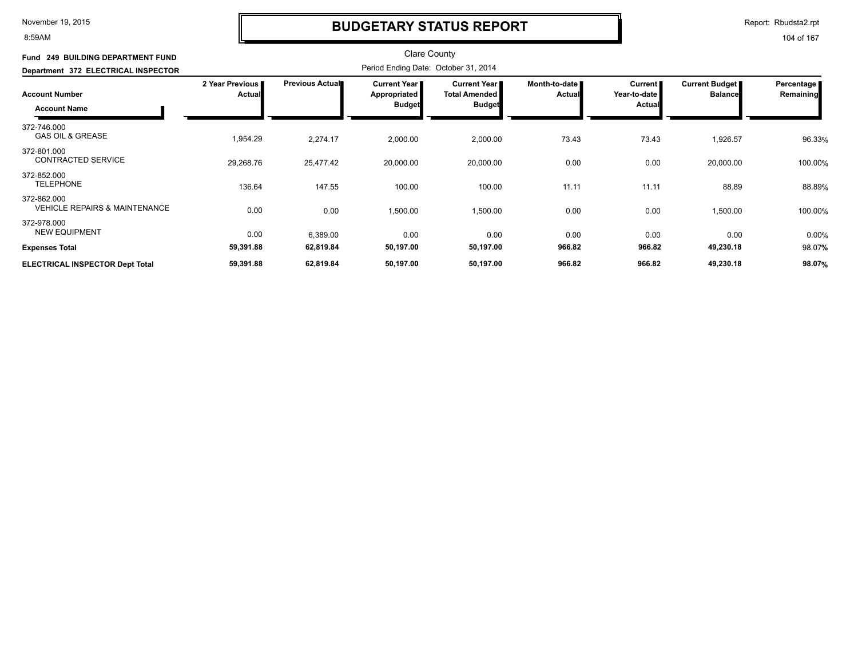#### 8:59AM

### **BUDGETARY STATUS REPORT**

Report: Rbudsta2.rpt

| Fund 249 BUILDING DEPARTMENT FUND<br>Department 372 ELECTRICAL INSPECTOR |                           |                        |                                                               |                                                              |                                |                                            |                                         |                         |
|--------------------------------------------------------------------------|---------------------------|------------------------|---------------------------------------------------------------|--------------------------------------------------------------|--------------------------------|--------------------------------------------|-----------------------------------------|-------------------------|
| <b>Account Number</b><br><b>Account Name</b>                             | 2 Year Previous<br>Actual | <b>Previous Actual</b> | <b>Current Year</b> ∎<br><b>Appropriated</b><br><b>Budget</b> | <b>Current Year</b><br><b>Total Amended</b><br><b>Budget</b> | Month-to-date<br><b>Actual</b> | Current  <br>Year-to-date<br><b>Actual</b> | <b>Current Budget</b><br><b>Balance</b> | Percentage<br>Remaining |
| 372-746.000<br><b>GAS OIL &amp; GREASE</b>                               | 1,954.29                  | 2,274.17               | 2,000.00                                                      | 2,000.00                                                     | 73.43                          | 73.43                                      | 1,926.57                                | 96.33%                  |
| 372-801.000<br><b>CONTRACTED SERVICE</b>                                 | 29,268.76                 | 25,477.42              | 20,000.00                                                     | 20,000.00                                                    | 0.00                           | 0.00                                       | 20,000.00                               | 100.00%                 |
| 372-852.000<br><b>TELEPHONE</b>                                          | 136.64                    | 147.55                 | 100.00                                                        | 100.00                                                       | 11.11                          | 11.11                                      | 88.89                                   | 88.89%                  |
| 372-862.000<br><b>VEHICLE REPAIRS &amp; MAINTENANCE</b>                  | 0.00                      | 0.00                   | 1,500.00                                                      | 1,500.00                                                     | 0.00                           | 0.00                                       | 1,500.00                                | 100.00%                 |
| 372-978.000<br><b>NEW EQUIPMENT</b>                                      | 0.00                      | 6,389.00               | 0.00                                                          | 0.00                                                         | 0.00                           | 0.00                                       | 0.00                                    | 0.00%                   |
| <b>Expenses Total</b>                                                    | 59,391.88                 | 62,819.84              | 50,197.00                                                     | 50,197.00                                                    | 966.82                         | 966.82                                     | 49,230.18                               | 98.07%                  |
| <b>ELECTRICAL INSPECTOR Dept Total</b>                                   | 59,391.88                 | 62,819.84              | 50,197.00                                                     | 50,197.00                                                    | 966.82                         | 966.82                                     | 49,230.18                               | 98.07%                  |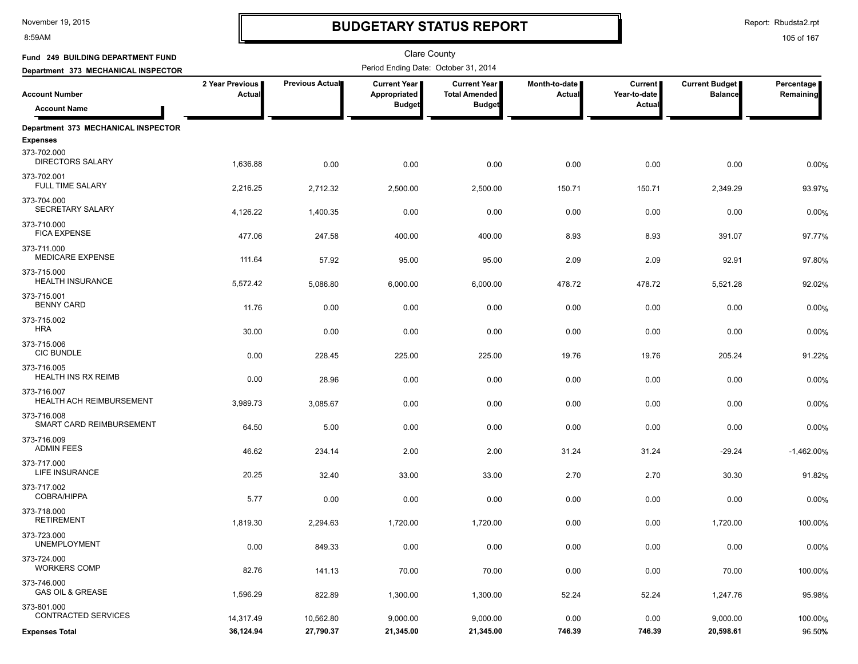8:59AM

### **BUDGETARY STATUS REPORT**

Report: Rbudsta2.rpt

| Fund 249 BUILDING DEPARTMENT FUND                                                   |                           |                        | <b>Clare County</b><br>Period Ending Date: October 31, 2014 |                                                              |                                |                                     |                                         |                         |
|-------------------------------------------------------------------------------------|---------------------------|------------------------|-------------------------------------------------------------|--------------------------------------------------------------|--------------------------------|-------------------------------------|-----------------------------------------|-------------------------|
| Department 373 MECHANICAL INSPECTOR<br><b>Account Number</b><br><b>Account Name</b> | 2 Year Previous<br>Actual | <b>Previous Actual</b> | <b>Current Year</b><br>Appropriated<br><b>Budget</b>        | <b>Current Year</b><br><b>Total Amended</b><br><b>Budget</b> | Month-to-date<br><b>Actual</b> | Current  <br>Year-to-date<br>Actual | <b>Current Budget</b><br><b>Balance</b> | Percentage<br>Remaining |
|                                                                                     |                           |                        |                                                             |                                                              |                                |                                     |                                         |                         |
| Department 373 MECHANICAL INSPECTOR<br><b>Expenses</b>                              |                           |                        |                                                             |                                                              |                                |                                     |                                         |                         |
| 373-702.000<br><b>DIRECTORS SALARY</b>                                              | 1,636.88                  | 0.00                   | 0.00                                                        | 0.00                                                         | 0.00                           | 0.00                                | 0.00                                    | 0.00%                   |
| 373-702.001<br>FULL TIME SALARY                                                     | 2,216.25                  | 2,712.32               | 2,500.00                                                    | 2,500.00                                                     | 150.71                         | 150.71                              | 2,349.29                                | 93.97%                  |
| 373-704.000<br>SECRETARY SALARY                                                     | 4,126.22                  | 1,400.35               | 0.00                                                        | 0.00                                                         | 0.00                           | 0.00                                | 0.00                                    | 0.00%                   |
| 373-710.000<br><b>FICA EXPENSE</b>                                                  | 477.06                    | 247.58                 | 400.00                                                      | 400.00                                                       | 8.93                           | 8.93                                | 391.07                                  | 97.77%                  |
| 373-711.000<br><b>MEDICARE EXPENSE</b>                                              | 111.64                    | 57.92                  | 95.00                                                       | 95.00                                                        | 2.09                           | 2.09                                | 92.91                                   | 97.80%                  |
| 373-715.000<br><b>HEALTH INSURANCE</b>                                              | 5,572.42                  | 5,086.80               | 6,000.00                                                    | 6,000.00                                                     | 478.72                         | 478.72                              | 5,521.28                                | 92.02%                  |
| 373-715.001<br><b>BENNY CARD</b>                                                    | 11.76                     | 0.00                   | 0.00                                                        | 0.00                                                         | 0.00                           | 0.00                                | 0.00                                    | 0.00%                   |
| 373-715.002<br><b>HRA</b>                                                           | 30.00                     | 0.00                   | 0.00                                                        | 0.00                                                         | 0.00                           | 0.00                                | 0.00                                    | 0.00%                   |
| 373-715.006<br><b>CIC BUNDLE</b>                                                    | 0.00                      | 228.45                 | 225.00                                                      | 225.00                                                       | 19.76                          | 19.76                               | 205.24                                  | 91.22%                  |
| 373-716.005<br><b>HEALTH INS RX REIMB</b><br>373-716.007                            | 0.00                      | 28.96                  | 0.00                                                        | 0.00                                                         | 0.00                           | 0.00                                | 0.00                                    | 0.00%                   |
| HEALTH ACH REIMBURSEMENT<br>373-716.008                                             | 3,989.73                  | 3,085.67               | 0.00                                                        | 0.00                                                         | 0.00                           | 0.00                                | 0.00                                    | 0.00%                   |
| SMART CARD REIMBURSEMENT<br>373-716.009                                             | 64.50                     | 5.00                   | 0.00                                                        | 0.00                                                         | 0.00                           | 0.00                                | 0.00                                    | 0.00%                   |
| <b>ADMIN FEES</b><br>373-717.000                                                    | 46.62                     | 234.14                 | 2.00                                                        | 2.00                                                         | 31.24                          | 31.24                               | $-29.24$                                | $-1,462.00%$            |
| LIFE INSURANCE<br>373-717.002                                                       | 20.25                     | 32.40                  | 33.00                                                       | 33.00                                                        | 2.70                           | 2.70                                | 30.30                                   | 91.82%                  |
| COBRA/HIPPA<br>373-718.000                                                          | 5.77                      | 0.00                   | 0.00                                                        | 0.00                                                         | 0.00                           | 0.00                                | 0.00                                    | 0.00%                   |
| <b>RETIREMENT</b><br>373-723.000                                                    | 1,819.30                  | 2,294.63               | 1,720.00                                                    | 1,720.00                                                     | 0.00                           | 0.00                                | 1,720.00                                | 100.00%                 |
| <b>UNEMPLOYMENT</b><br>373-724.000                                                  | 0.00                      | 849.33                 | 0.00                                                        | 0.00                                                         | 0.00                           | 0.00                                | 0.00                                    | 0.00%                   |
| <b>WORKERS COMP</b><br>373-746.000                                                  | 82.76                     | 141.13                 | 70.00                                                       | 70.00                                                        | 0.00                           | 0.00                                | 70.00                                   | 100.00%                 |
| <b>GAS OIL &amp; GREASE</b><br>373-801.000                                          | 1,596.29                  | 822.89                 | 1,300.00                                                    | 1,300.00                                                     | 52.24                          | 52.24                               | 1,247.76                                | 95.98%                  |
| <b>CONTRACTED SERVICES</b>                                                          | 14,317.49                 | 10,562.80              | 9,000.00                                                    | 9,000.00                                                     | 0.00                           | 0.00                                | 9,000.00                                | 100.00%                 |
| <b>Expenses Total</b>                                                               | 36,124.94                 | 27,790.37              | 21,345.00                                                   | 21,345.00                                                    | 746.39                         | 746.39                              | 20,598.61                               | 96.50%                  |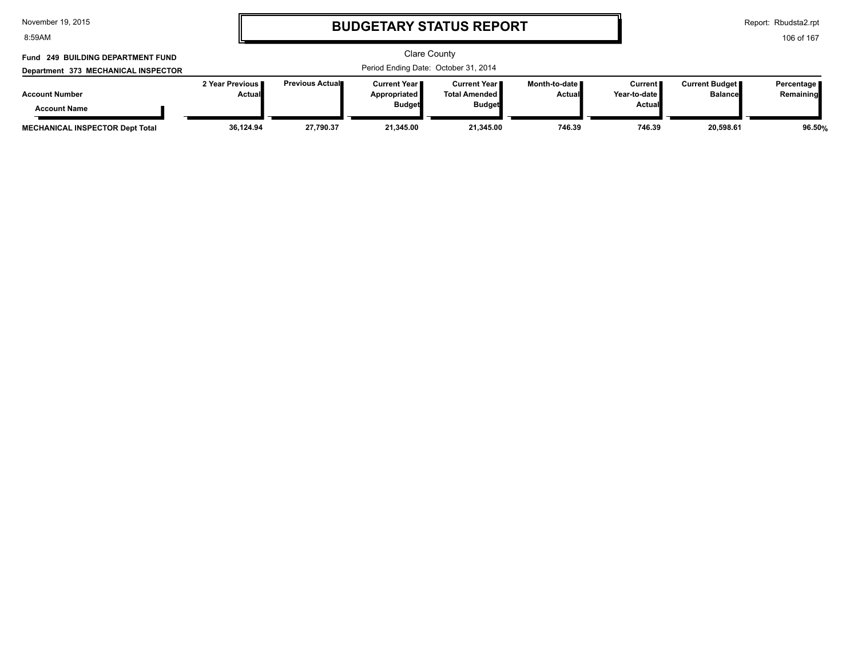8:59AM

# **BUDGETARY STATUS REPORT**

Report: Rbudsta2.rpt

| Fund 249 BUILDING DEPARTMENT FUND            |                                      | <b>Clare County</b>    |                                                        |                                                   |                                  |                                            |                                         |                           |
|----------------------------------------------|--------------------------------------|------------------------|--------------------------------------------------------|---------------------------------------------------|----------------------------------|--------------------------------------------|-----------------------------------------|---------------------------|
| Department 373 MECHANICAL INSPECTOR          | Period Ending Date: October 31, 2014 |                        |                                                        |                                                   |                                  |                                            |                                         |                           |
| <b>Account Number</b><br><b>Account Name</b> | 2 Year Previous I<br>Actual          | <b>Previous Actual</b> | Current Year I<br><b>Appropriated</b><br><b>Budget</b> | Current Year II<br>Total Amended<br><b>Budget</b> | Month-to-date ∎<br><b>Actual</b> | Current I<br>Year-to-date<br><b>Actual</b> | <b>Current Budget</b><br><b>Balance</b> | Percentage  <br>Remaining |
| <b>MECHANICAL INSPECTOR Dept Total</b>       | 36,124.94                            | 27,790.37              | 21.345.00                                              | 21,345.00                                         | 746.39                           | 746.39                                     | 20.598.61                               | 96.50%                    |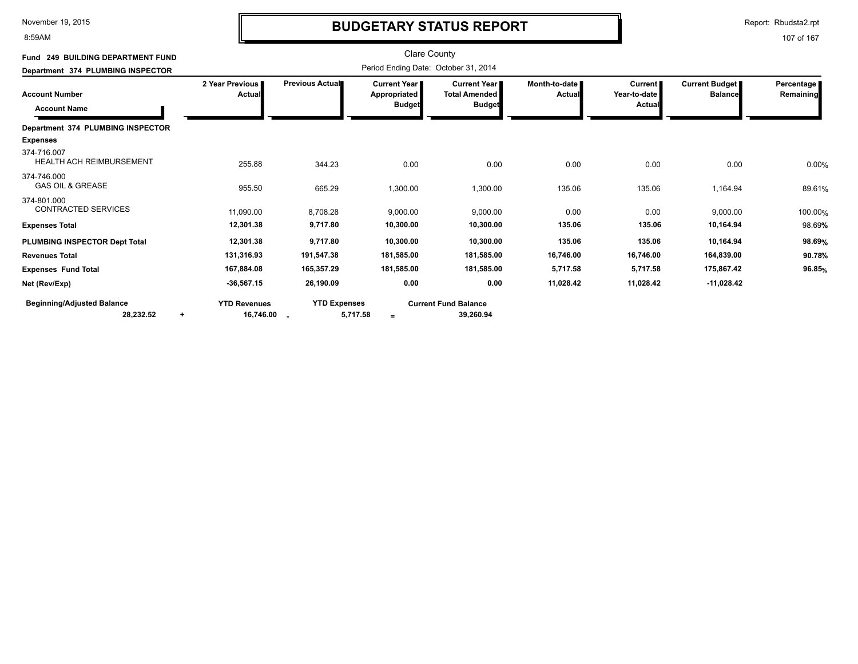8:59AM

# **BUDGETARY STATUS REPORT**

Report: Rbudsta2.rpt

| Fund 249 BUILDING DEPARTMENT FUND              |                           |                     | <b>Clare County</b>                                    |                                                              |                           |                                                 |                                  |                         |
|------------------------------------------------|---------------------------|---------------------|--------------------------------------------------------|--------------------------------------------------------------|---------------------------|-------------------------------------------------|----------------------------------|-------------------------|
| Department 374 PLUMBING INSPECTOR              |                           |                     |                                                        |                                                              |                           |                                                 |                                  |                         |
| <b>Account Number</b><br><b>Account Name</b>   | 2 Year Previous<br>Actual | Previous Actual     | <b>Current Year I</b><br>Appropriated<br><b>Budget</b> | <b>Current Year</b><br><b>Total Amended</b><br><b>Budget</b> | Month-to-date I<br>Actual | <b>Current</b><br>Year-to-date<br><b>Actual</b> | Current Budget<br><b>Balance</b> | Percentage<br>Remaining |
| Department 374 PLUMBING INSPECTOR              |                           |                     |                                                        |                                                              |                           |                                                 |                                  |                         |
| <b>Expenses</b>                                |                           |                     |                                                        |                                                              |                           |                                                 |                                  |                         |
| 374-716.007<br><b>HEALTH ACH REIMBURSEMENT</b> | 255.88                    | 344.23              | 0.00                                                   | 0.00                                                         | 0.00                      | 0.00                                            | 0.00                             | 0.00%                   |
| 374-746.000<br><b>GAS OIL &amp; GREASE</b>     | 955.50                    | 665.29              | 1,300.00                                               | 1,300.00                                                     | 135.06                    | 135.06                                          | 1,164.94                         | 89.61%                  |
| 374-801.000<br><b>CONTRACTED SERVICES</b>      | 11,090.00                 | 8,708.28            | 9,000.00                                               | 9,000.00                                                     | 0.00                      | 0.00                                            | 9,000.00                         | 100.00%                 |
| <b>Expenses Total</b>                          | 12,301.38                 | 9,717.80            | 10,300.00                                              | 10,300.00                                                    | 135.06                    | 135.06                                          | 10,164.94                        | 98.69%                  |
| PLUMBING INSPECTOR Dept Total                  | 12,301.38                 | 9,717.80            | 10,300.00                                              | 10,300.00                                                    | 135.06                    | 135.06                                          | 10,164.94                        | 98.69%                  |
| <b>Revenues Total</b>                          | 131,316.93                | 191,547.38          | 181,585.00                                             | 181,585.00                                                   | 16,746.00                 | 16,746.00                                       | 164,839.00                       | 90.78%                  |
| <b>Expenses Fund Total</b>                     | 167,884.08                | 165,357.29          | 181,585.00                                             | 181,585.00                                                   | 5,717.58                  | 5,717.58                                        | 175,867.42                       | 96.85%                  |
| Net (Rev/Exp)                                  | $-36,567.15$              | 26,190.09           | 0.00                                                   | 0.00                                                         | 11,028.42                 | 11,028.42                                       | $-11,028.42$                     |                         |
| <b>Beginning/Adjusted Balance</b>              | <b>YTD Revenues</b>       | <b>YTD Expenses</b> |                                                        | <b>Current Fund Balance</b>                                  |                           |                                                 |                                  |                         |
| 28,232.52<br>÷                                 | 16,746.00 .               | 5,717.58            | $\equiv$                                               | 39,260.94                                                    |                           |                                                 |                                  |                         |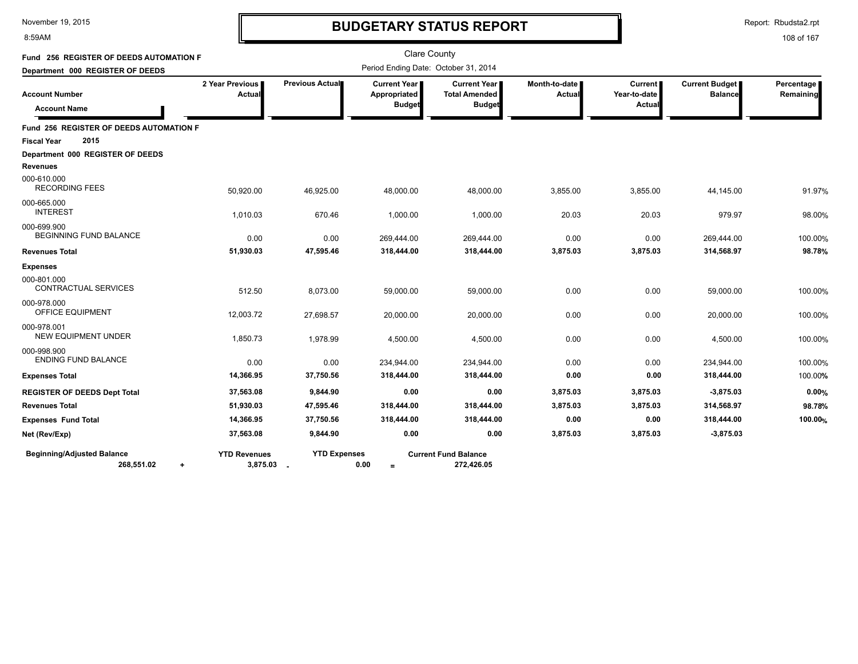8:59AM

# **BUDGETARY STATUS REPORT**

Report: Rbudsta2.rpt

| Fund 256 REGISTER OF DEEDS AUTOMATION F                      |                                   |                     |                                                      | <b>Clare County</b>                                   |                         |                                          |                                         |                         |
|--------------------------------------------------------------|-----------------------------------|---------------------|------------------------------------------------------|-------------------------------------------------------|-------------------------|------------------------------------------|-----------------------------------------|-------------------------|
| Department 000 REGISTER OF DEEDS                             |                                   |                     | Period Ending Date: October 31, 2014                 |                                                       |                         |                                          |                                         |                         |
| <b>Account Number</b><br><b>Account Name</b>                 | 2 Year Previous<br>Actual         | Previous Actual     | <b>Current Year</b><br>Appropriated<br><b>Budget</b> | Current Year<br><b>Total Amended</b><br><b>Budget</b> | Month-to-date<br>Actual | <b>Current</b><br>Year-to-date<br>Actual | <b>Current Budget</b><br><b>Balance</b> | Percentage<br>Remaining |
| Fund 256 REGISTER OF DEEDS AUTOMATION F                      |                                   |                     |                                                      |                                                       |                         |                                          |                                         |                         |
| 2015<br><b>Fiscal Year</b>                                   |                                   |                     |                                                      |                                                       |                         |                                          |                                         |                         |
| Department 000 REGISTER OF DEEDS<br><b>Revenues</b>          |                                   |                     |                                                      |                                                       |                         |                                          |                                         |                         |
| 000-610.000<br><b>RECORDING FEES</b>                         | 50,920.00                         | 46,925.00           | 48,000.00                                            | 48,000.00                                             | 3,855.00                | 3,855.00                                 | 44,145.00                               | 91.97%                  |
| 000-665.000<br><b>INTEREST</b>                               | 1,010.03                          | 670.46              | 1,000.00                                             | 1,000.00                                              | 20.03                   | 20.03                                    | 979.97                                  | 98.00%                  |
| 000-699.900<br>BEGINNING FUND BALANCE                        | 0.00                              | 0.00                | 269,444.00                                           | 269,444.00                                            | 0.00                    | 0.00                                     | 269,444.00                              | 100.00%                 |
| <b>Revenues Total</b>                                        | 51,930.03                         | 47,595.46           | 318,444.00                                           | 318,444.00                                            | 3,875.03                | 3,875.03                                 | 314,568.97                              | 98.78%                  |
| <b>Expenses</b><br>000-801.000<br>CONTRACTUAL SERVICES       | 512.50                            | 8,073.00            | 59,000.00                                            | 59,000.00                                             | 0.00                    | 0.00                                     | 59,000.00                               | 100.00%                 |
| 000-978.000<br><b>OFFICE EQUIPMENT</b>                       | 12,003.72                         | 27,698.57           | 20,000.00                                            | 20,000.00                                             | 0.00                    | 0.00                                     | 20,000.00                               | 100.00%                 |
| 000-978.001<br>NEW EQUIPMENT UNDER                           | 1,850.73                          | 1,978.99            | 4,500.00                                             | 4,500.00                                              | 0.00                    | 0.00                                     | 4,500.00                                | 100.00%                 |
| 000-998.900<br><b>ENDING FUND BALANCE</b>                    | 0.00                              | 0.00                | 234,944.00                                           | 234,944.00                                            | 0.00                    | 0.00                                     | 234,944.00                              | 100.00%                 |
| <b>Expenses Total</b>                                        | 14,366.95                         | 37,750.56           | 318,444.00                                           | 318,444.00                                            | 0.00                    | 0.00                                     | 318,444.00                              | 100.00%                 |
| <b>REGISTER OF DEEDS Dept Total</b>                          | 37,563.08                         | 9,844.90            | 0.00                                                 | 0.00                                                  | 3,875.03                | 3,875.03                                 | $-3,875.03$                             | 0.00%                   |
| <b>Revenues Total</b>                                        | 51,930.03                         | 47,595.46           | 318,444.00                                           | 318,444.00                                            | 3,875.03                | 3,875.03                                 | 314,568.97                              | 98.78%                  |
| <b>Expenses Fund Total</b>                                   | 14,366.95                         | 37,750.56           | 318,444.00                                           | 318,444.00                                            | 0.00                    | 0.00                                     | 318,444.00                              | 100.00%                 |
| Net (Rev/Exp)                                                | 37,563.08                         | 9,844.90            | 0.00                                                 | 0.00                                                  | 3,875.03                | 3,875.03                                 | $-3,875.03$                             |                         |
| <b>Beginning/Adjusted Balance</b><br>268,551.02<br>$\ddot{}$ | <b>YTD Revenues</b><br>3,875.03 _ | <b>YTD Expenses</b> | 0.00<br>$=$                                          | <b>Current Fund Balance</b><br>272,426.05             |                         |                                          |                                         |                         |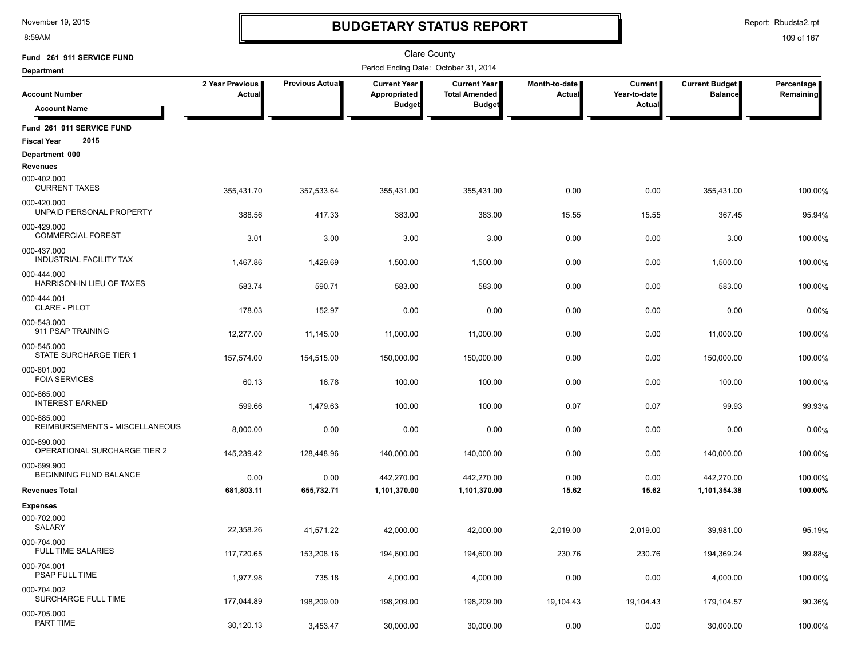8:59AM

### **BUDGETARY STATUS REPORT**

Report: Rbudsta2.rpt

| Fund 261 911 SERVICE FUND                               |                           |                    | <b>Clare County</b>                   |                                               |                         |                         |                                  |                         |
|---------------------------------------------------------|---------------------------|--------------------|---------------------------------------|-----------------------------------------------|-------------------------|-------------------------|----------------------------------|-------------------------|
| <b>Department</b>                                       |                           |                    | Period Ending Date: October 31, 2014  |                                               |                         |                         |                                  |                         |
| <b>Account Number</b>                                   | 2 Year Previous<br>Actual | Previous Actual    | <b>Current Year</b>  <br>Appropriated | <b>Current Year</b>  <br><b>Total Amended</b> | Month-to-date<br>Actual | Current<br>Year-to-date | Current Budget<br><b>Balance</b> | Percentage<br>Remaining |
| <b>Account Name</b>                                     |                           |                    | <b>Budget</b>                         | <b>Budget</b>                                 |                         | Actual                  |                                  |                         |
| Fund 261 911 SERVICE FUND<br>2015<br><b>Fiscal Year</b> |                           |                    |                                       |                                               |                         |                         |                                  |                         |
| Department 000                                          |                           |                    |                                       |                                               |                         |                         |                                  |                         |
| <b>Revenues</b>                                         |                           |                    |                                       |                                               |                         |                         |                                  |                         |
| 000-402.000<br><b>CURRENT TAXES</b>                     | 355,431.70                | 357,533.64         | 355,431.00                            | 355,431.00                                    | 0.00                    | 0.00                    | 355,431.00                       | 100.00%                 |
| 000-420.000<br>UNPAID PERSONAL PROPERTY                 | 388.56                    | 417.33             | 383.00                                | 383.00                                        | 15.55                   | 15.55                   | 367.45                           | 95.94%                  |
| 000-429.000<br><b>COMMERCIAL FOREST</b>                 | 3.01                      | 3.00               | 3.00                                  | 3.00                                          | 0.00                    | 0.00                    | 3.00                             | 100.00%                 |
| 000-437.000<br><b>INDUSTRIAL FACILITY TAX</b>           | 1,467.86                  | 1,429.69           | 1,500.00                              | 1,500.00                                      | 0.00                    | 0.00                    | 1,500.00                         | 100.00%                 |
| 000-444.000<br>HARRISON-IN LIEU OF TAXES                | 583.74                    | 590.71             | 583.00                                | 583.00                                        | 0.00                    | 0.00                    | 583.00                           | 100.00%                 |
| 000-444.001<br><b>CLARE - PILOT</b>                     | 178.03                    | 152.97             | 0.00                                  | 0.00                                          | 0.00                    | 0.00                    | 0.00                             | 0.00%                   |
| 000-543.000<br>911 PSAP TRAINING                        | 12,277.00                 | 11,145.00          | 11,000.00                             | 11,000.00                                     | 0.00                    | 0.00                    | 11,000.00                        | 100.00%                 |
| 000-545.000<br>STATE SURCHARGE TIER 1                   | 157,574.00                | 154.515.00         | 150,000.00                            | 150,000.00                                    | 0.00                    | 0.00                    | 150,000.00                       | 100.00%                 |
| 000-601.000<br><b>FOIA SERVICES</b>                     | 60.13                     | 16.78              | 100.00                                | 100.00                                        | 0.00                    | 0.00                    | 100.00                           | 100.00%                 |
| 000-665.000<br><b>INTEREST EARNED</b>                   | 599.66                    | 1,479.63           | 100.00                                | 100.00                                        | 0.07                    | 0.07                    | 99.93                            | 99.93%                  |
| 000-685.000<br>REIMBURSEMENTS - MISCELLANEOUS           | 8,000.00                  | 0.00               | 0.00                                  | 0.00                                          | 0.00                    | 0.00                    | 0.00                             | 0.00%                   |
| 000-690.000<br>OPERATIONAL SURCHARGE TIER 2             |                           |                    |                                       |                                               |                         |                         |                                  |                         |
| 000-699.900<br><b>BEGINNING FUND BALANCE</b>            | 145,239.42                | 128,448.96         | 140,000.00                            | 140,000.00                                    | 0.00                    | 0.00                    | 140,000.00                       | 100.00%                 |
| <b>Revenues Total</b>                                   | 0.00<br>681,803.11        | 0.00<br>655,732.71 | 442,270.00<br>1,101,370.00            | 442,270.00<br>1,101,370.00                    | 0.00<br>15.62           | 0.00<br>15.62           | 442,270.00<br>1,101,354.38       | 100.00%<br>100.00%      |
| <b>Expenses</b>                                         |                           |                    |                                       |                                               |                         |                         |                                  |                         |
| 000-702.000<br>SALARY                                   | 22,358.26                 | 41.571.22          | 42,000.00                             | 42,000.00                                     | 2.019.00                | 2,019.00                | 39,981.00                        | 95.19%                  |
| 000-704.000<br><b>FULL TIME SALARIES</b>                | 117,720.65                |                    |                                       |                                               |                         |                         |                                  |                         |
| 000-704.001<br><b>PSAP FULL TIME</b>                    |                           | 153,208.16         | 194,600.00                            | 194,600.00                                    | 230.76                  | 230.76                  | 194,369.24                       | 99.88%                  |
| 000-704.002<br><b>SURCHARGE FULL TIME</b>               | 1,977.98                  | 735.18             | 4,000.00                              | 4,000.00                                      | 0.00                    | 0.00                    | 4,000.00                         | 100.00%                 |
|                                                         | 177,044.89                | 198,209.00         | 198,209.00                            | 198,209.00                                    | 19,104.43               | 19,104.43               | 179,104.57                       | 90.36%                  |
| 000-705.000<br>PART TIME                                | 30,120.13                 | 3,453.47           | 30,000.00                             | 30,000.00                                     | 0.00                    | 0.00                    | 30,000.00                        | 100.00%                 |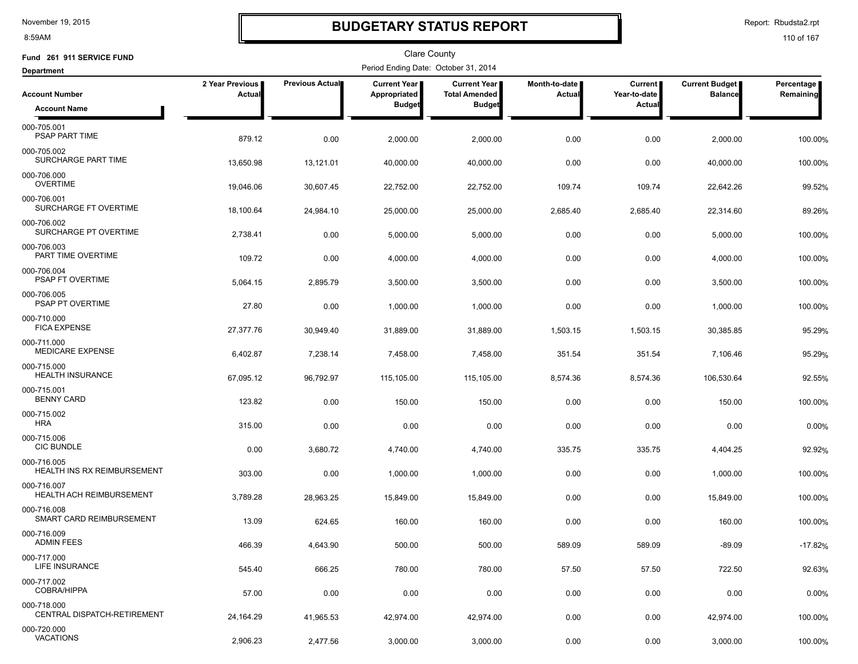8:59AM

### **BUDGETARY STATUS REPORT**

Report: Rbudsta2.rpt

| Fund 261 911 SERVICE FUND                         |                           |                        | Clare County                         |                                      |                         |                         |                                         |                         |
|---------------------------------------------------|---------------------------|------------------------|--------------------------------------|--------------------------------------|-------------------------|-------------------------|-----------------------------------------|-------------------------|
| <b>Department</b>                                 |                           |                        | Period Ending Date: October 31, 2014 |                                      |                         |                         |                                         |                         |
| <b>Account Number</b>                             | 2 Year Previous<br>Actual | <b>Previous Actual</b> | <b>Current Year</b><br>Appropriated  | Current Year<br><b>Total Amended</b> | Month-to-date<br>Actual | Current<br>Year-to-date | <b>Current Budget</b><br><b>Balance</b> | Percentage<br>Remaining |
| <b>Account Name</b>                               |                           |                        | <b>Budget</b>                        | <b>Budget</b>                        |                         | <b>Actual</b>           |                                         |                         |
| 000-705.001<br>PSAP PART TIME                     | 879.12                    | 0.00                   | 2,000.00                             | 2,000.00                             | 0.00                    | 0.00                    | 2,000.00                                | 100.00%                 |
| 000-705.002<br>SURCHARGE PART TIME                | 13,650.98                 | 13,121.01              | 40,000.00                            | 40,000.00                            | 0.00                    | 0.00                    | 40,000.00                               | 100.00%                 |
| 000-706.000<br><b>OVERTIME</b>                    | 19,046.06                 | 30,607.45              | 22,752.00                            | 22,752.00                            | 109.74                  | 109.74                  | 22,642.26                               | 99.52%                  |
| 000-706.001<br>SURCHARGE FT OVERTIME              | 18,100.64                 | 24,984.10              | 25,000.00                            | 25,000.00                            | 2,685.40                | 2,685.40                | 22,314.60                               | 89.26%                  |
| 000-706.002<br>SURCHARGE PT OVERTIME              | 2,738.41                  | 0.00                   | 5,000.00                             | 5,000.00                             | 0.00                    | 0.00                    | 5,000.00                                | 100.00%                 |
| 000-706.003<br>PART TIME OVERTIME                 | 109.72                    | 0.00                   | 4,000.00                             | 4,000.00                             | 0.00                    | 0.00                    | 4,000.00                                | 100.00%                 |
| 000-706.004<br><b>PSAP FT OVERTIME</b>            | 5,064.15                  | 2,895.79               | 3,500.00                             | 3,500.00                             | 0.00                    | 0.00                    | 3,500.00                                | 100.00%                 |
| 000-706.005<br>PSAP PT OVERTIME                   | 27.80                     | 0.00                   | 1,000.00                             | 1,000.00                             | 0.00                    | 0.00                    | 1,000.00                                | 100.00%                 |
| 000-710.000<br><b>FICA EXPENSE</b>                | 27,377.76                 | 30,949.40              | 31,889.00                            | 31,889.00                            | 1,503.15                | 1,503.15                | 30,385.85                               | 95.29%                  |
| 000-711.000<br><b>MEDICARE EXPENSE</b>            | 6,402.87                  | 7,238.14               | 7,458.00                             | 7,458.00                             | 351.54                  | 351.54                  | 7,106.46                                | 95.29%                  |
| 000-715.000<br><b>HEALTH INSURANCE</b>            | 67,095.12                 | 96,792.97              | 115,105.00                           | 115,105.00                           | 8,574.36                | 8,574.36                | 106,530.64                              | 92.55%                  |
| 000-715.001<br><b>BENNY CARD</b>                  | 123.82                    | 0.00                   | 150.00                               | 150.00                               | 0.00                    | 0.00                    | 150.00                                  | 100.00%                 |
| 000-715.002<br><b>HRA</b>                         | 315.00                    | 0.00                   | 0.00                                 | 0.00                                 | 0.00                    | 0.00                    | 0.00                                    | 0.00%                   |
| 000-715.006<br><b>CIC BUNDLE</b><br>000-716.005   | 0.00                      | 3,680.72               | 4,740.00                             | 4,740.00                             | 335.75                  | 335.75                  | 4,404.25                                | 92.92%                  |
| <b>HEALTH INS RX REIMBURSEMENT</b><br>000-716.007 | 303.00                    | 0.00                   | 1,000.00                             | 1,000.00                             | 0.00                    | 0.00                    | 1,000.00                                | 100.00%                 |
| HEALTH ACH REIMBURSEMENT<br>000-716.008           | 3,789.28                  | 28,963.25              | 15,849.00                            | 15,849.00                            | 0.00                    | 0.00                    | 15,849.00                               | 100.00%                 |
| SMART CARD REIMBURSEMENT                          | 13.09                     | 624.65                 | 160.00                               | 160.00                               | 0.00                    | 0.00                    | 160.00                                  | 100.00%                 |
| 000-716.009<br><b>ADMIN FEES</b>                  | 466.39                    | 4,643.90               | 500.00                               | 500.00                               | 589.09                  | 589.09                  | $-89.09$                                | $-17.82%$               |
| 000-717.000<br>LIFE INSURANCE                     | 545.40                    | 666.25                 | 780.00                               | 780.00                               | 57.50                   | 57.50                   | 722.50                                  | 92.63%                  |
| 000-717.002<br><b>COBRA/HIPPA</b>                 | 57.00                     | 0.00                   | 0.00                                 | 0.00                                 | 0.00                    | 0.00                    | 0.00                                    | 0.00%                   |
| 000-718.000<br>CENTRAL DISPATCH-RETIREMENT        | 24,164.29                 | 41,965.53              | 42,974.00                            | 42,974.00                            | 0.00                    | 0.00                    | 42,974.00                               | 100.00%                 |
| 000-720.000<br><b>VACATIONS</b>                   | 2,906.23                  | 2,477.56               | 3,000.00                             | 3,000.00                             | 0.00                    | 0.00                    | 3,000.00                                | 100.00%                 |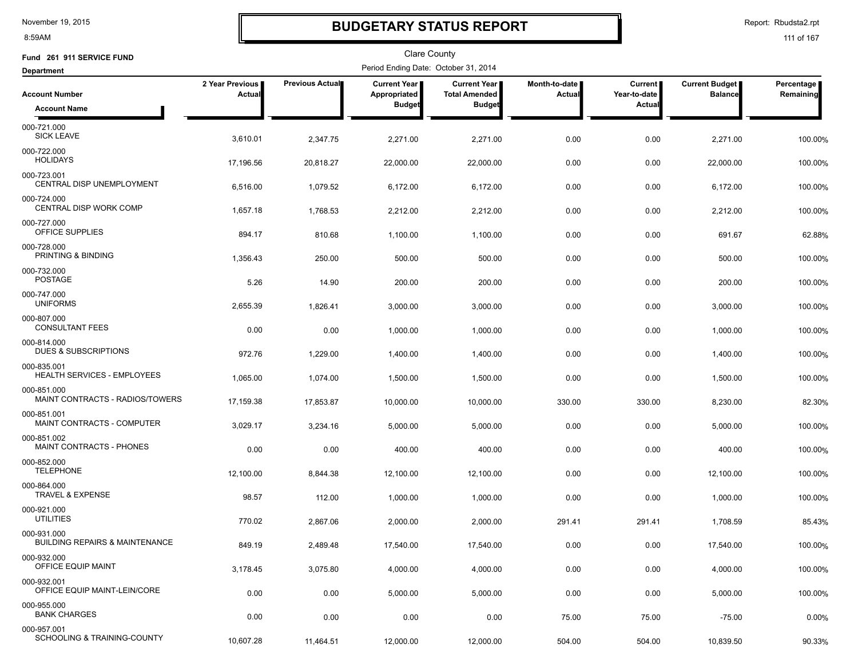8:59AM

### **BUDGETARY STATUS REPORT**

Report: Rbudsta2.rpt

| Fund 261 911 SERVICE FUND                                     |                           |                        | <b>Clare County</b>                  |                                             |                         |                                |                                         |                         |
|---------------------------------------------------------------|---------------------------|------------------------|--------------------------------------|---------------------------------------------|-------------------------|--------------------------------|-----------------------------------------|-------------------------|
| <b>Department</b>                                             |                           |                        | Period Ending Date: October 31, 2014 |                                             |                         |                                |                                         |                         |
| <b>Account Number</b>                                         | 2 Year Previous<br>Actual | <b>Previous Actual</b> | <b>Current Year</b><br>Appropriated  | <b>Current Year</b><br><b>Total Amended</b> | Month-to-date<br>Actual | <b>Current</b><br>Year-to-date | <b>Current Budget</b><br><b>Balance</b> | Percentage<br>Remaining |
| <b>Account Name</b>                                           |                           |                        | <b>Budget</b>                        | <b>Budget</b>                               |                         | <b>Actual</b>                  |                                         |                         |
| 000-721.000<br><b>SICK LEAVE</b>                              | 3,610.01                  | 2,347.75               | 2,271.00                             | 2,271.00                                    | 0.00                    | 0.00                           | 2,271.00                                | 100.00%                 |
| 000-722.000<br><b>HOLIDAYS</b>                                | 17,196.56                 | 20.818.27              | 22,000.00                            | 22,000.00                                   | 0.00                    | 0.00                           | 22,000.00                               | 100.00%                 |
| 000-723.001<br><b>CENTRAL DISP UNEMPLOYMENT</b>               | 6,516.00                  | 1,079.52               | 6,172.00                             | 6,172.00                                    | 0.00                    | 0.00                           | 6,172.00                                | 100.00%                 |
| 000-724.000<br>CENTRAL DISP WORK COMP                         | 1,657.18                  | 1,768.53               | 2,212.00                             | 2,212.00                                    | 0.00                    | 0.00                           | 2,212.00                                | 100.00%                 |
| 000-727.000<br>OFFICE SUPPLIES                                | 894.17                    | 810.68                 | 1,100.00                             | 1,100.00                                    | 0.00                    | 0.00                           | 691.67                                  | 62.88%                  |
| 000-728.000<br>PRINTING & BINDING                             | 1,356.43                  | 250.00                 | 500.00                               | 500.00                                      | 0.00                    | 0.00                           | 500.00                                  | 100.00%                 |
| 000-732.000<br><b>POSTAGE</b>                                 | 5.26                      | 14.90                  | 200.00                               | 200.00                                      | 0.00                    | 0.00                           | 200.00                                  | 100.00%                 |
| 000-747.000<br><b>UNIFORMS</b>                                | 2,655.39                  | 1,826.41               | 3,000.00                             | 3,000.00                                    | 0.00                    | 0.00                           | 3,000.00                                | 100.00%                 |
| 000-807.000<br><b>CONSULTANT FEES</b>                         | 0.00                      | 0.00                   | 1,000.00                             | 1,000.00                                    | 0.00                    | 0.00                           | 1,000.00                                | 100.00%                 |
| 000-814.000<br><b>DUES &amp; SUBSCRIPTIONS</b><br>000-835.001 | 972.76                    | 1,229.00               | 1,400.00                             | 1,400.00                                    | 0.00                    | 0.00                           | 1,400.00                                | 100.00%                 |
| <b>HEALTH SERVICES - EMPLOYEES</b><br>000-851.000             | 1,065.00                  | 1,074.00               | 1,500.00                             | 1,500.00                                    | 0.00                    | 0.00                           | 1,500.00                                | 100.00%                 |
| MAINT CONTRACTS - RADIOS/TOWERS<br>000-851.001                | 17,159.38                 | 17,853.87              | 10,000.00                            | 10,000.00                                   | 330.00                  | 330.00                         | 8,230.00                                | 82.30%                  |
| MAINT CONTRACTS - COMPUTER<br>000-851.002                     | 3,029.17                  | 3,234.16               | 5,000.00                             | 5,000.00                                    | 0.00                    | 0.00                           | 5,000.00                                | 100.00%                 |
| MAINT CONTRACTS - PHONES<br>000-852.000                       | 0.00                      | 0.00                   | 400.00                               | 400.00                                      | 0.00                    | 0.00                           | 400.00                                  | 100.00%                 |
| <b>TELEPHONE</b><br>000-864.000                               | 12,100.00                 | 8,844.38               | 12,100.00                            | 12,100.00                                   | 0.00                    | 0.00                           | 12,100.00                               | 100.00%                 |
| <b>TRAVEL &amp; EXPENSE</b><br>000-921.000                    | 98.57                     | 112.00                 | 1,000.00                             | 1,000.00                                    | 0.00                    | 0.00                           | 1,000.00                                | 100.00%                 |
| <b>UTILITIES</b><br>000-931.000                               | 770.02                    | 2,867.06               | 2,000.00                             | 2,000.00                                    | 291.41                  | 291.41                         | 1,708.59                                | 85.43%                  |
| <b>BUILDING REPAIRS &amp; MAINTENANCE</b>                     | 849.19                    | 2,489.48               | 17,540.00                            | 17,540.00                                   | 0.00                    | 0.00                           | 17,540.00                               | 100.00%                 |
| 000-932.000<br>OFFICE EQUIP MAINT                             | 3,178.45                  | 3,075.80               | 4,000.00                             | 4,000.00                                    | 0.00                    | 0.00                           | 4,000.00                                | 100.00%                 |
| 000-932.001<br>OFFICE EQUIP MAINT-LEIN/CORE                   | 0.00                      | 0.00                   | 5,000.00                             | 5,000.00                                    | 0.00                    | 0.00                           | 5,000.00                                | 100.00%                 |
| 000-955.000<br><b>BANK CHARGES</b>                            | 0.00                      | 0.00                   | 0.00                                 | 0.00                                        | 75.00                   | 75.00                          | $-75.00$                                | 0.00%                   |
| 000-957.001<br>SCHOOLING & TRAINING-COUNTY                    | 10,607.28                 | 11,464.51              | 12,000.00                            | 12,000.00                                   | 504.00                  | 504.00                         | 10,839.50                               | 90.33%                  |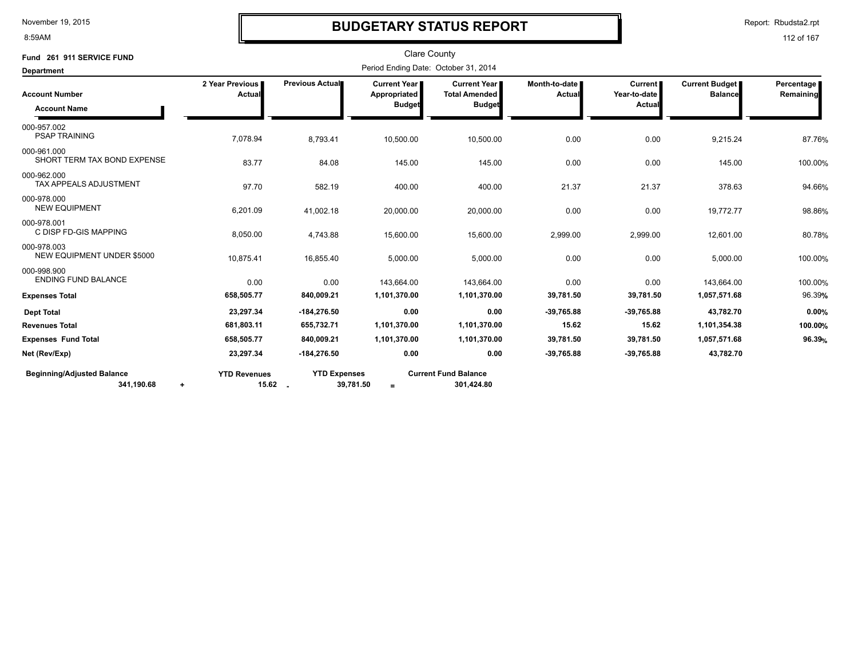8:59AM

### **BUDGETARY STATUS REPORT**

Report: Rbudsta2.rpt

| Fund 261 911 SERVICE FUND                                    |                           |                                                 | <b>Clare County</b>                  |                                           |                                  |                                |                                         |                         |
|--------------------------------------------------------------|---------------------------|-------------------------------------------------|--------------------------------------|-------------------------------------------|----------------------------------|--------------------------------|-----------------------------------------|-------------------------|
| <b>Department</b>                                            |                           |                                                 | Period Ending Date: October 31, 2014 |                                           |                                  |                                |                                         |                         |
| <b>Account Number</b>                                        | 2 Year Previous<br>Actual | Previous Actual                                 | Current Year<br>Appropriated         | Current Year<br><b>Total Amended</b>      | Month-to-date I<br><b>Actual</b> | <b>Current</b><br>Year-to-date | <b>Current Budget</b><br><b>Balance</b> | Percentage<br>Remaining |
| <b>Account Name</b>                                          |                           |                                                 | <b>Budget</b>                        | <b>Budget</b>                             |                                  | Actua                          |                                         |                         |
| 000-957.002<br><b>PSAP TRAINING</b>                          | 7,078.94                  | 8,793.41                                        | 10,500.00                            | 10,500.00                                 | 0.00                             | 0.00                           | 9,215.24                                | 87.76%                  |
| 000-961.000<br>SHORT TERM TAX BOND EXPENSE                   | 83.77                     | 84.08                                           | 145.00                               | 145.00                                    | 0.00                             | 0.00                           | 145.00                                  | 100.00%                 |
| 000-962.000<br><b>TAX APPEALS ADJUSTMENT</b>                 | 97.70                     | 582.19                                          | 400.00                               | 400.00                                    | 21.37                            | 21.37                          | 378.63                                  | 94.66%                  |
| 000-978.000<br><b>NEW EQUIPMENT</b>                          | 6,201.09                  | 41,002.18                                       | 20,000.00                            | 20,000.00                                 | 0.00                             | 0.00                           | 19,772.77                               | 98.86%                  |
| 000-978.001<br>C DISP FD-GIS MAPPING                         | 8,050.00                  | 4,743.88                                        | 15,600.00                            | 15,600.00                                 | 2,999.00                         | 2,999.00                       | 12,601.00                               | 80.78%                  |
| 000-978.003<br><b>NEW EQUIPMENT UNDER \$5000</b>             | 10,875.41                 | 16,855.40                                       | 5,000.00                             | 5,000.00                                  | 0.00                             | 0.00                           | 5,000.00                                | 100.00%                 |
| 000-998.900<br><b>ENDING FUND BALANCE</b>                    | 0.00                      | 0.00                                            | 143,664.00                           | 143,664.00                                | 0.00                             | 0.00                           | 143,664.00                              | 100.00%                 |
| <b>Expenses Total</b>                                        | 658,505.77                | 840,009.21                                      | 1,101,370.00                         | 1,101,370.00                              | 39,781.50                        | 39,781.50                      | 1,057,571.68                            | 96.39%                  |
| <b>Dept Total</b>                                            | 23,297.34                 | $-184,276.50$                                   | 0.00                                 | 0.00                                      | $-39,765.88$                     | $-39,765.88$                   | 43,782.70                               | 0.00%                   |
| <b>Revenues Total</b>                                        | 681,803.11                | 655,732.71                                      | 1,101,370.00                         | 1,101,370.00                              | 15.62                            | 15.62                          | 1,101,354.38                            | 100.00%                 |
| <b>Expenses Fund Total</b>                                   | 658,505.77                | 840,009.21                                      | 1,101,370.00                         | 1,101,370.00                              | 39,781.50                        | 39,781.50                      | 1,057,571.68                            | 96.39%                  |
| Net (Rev/Exp)                                                | 23,297.34                 | $-184.276.50$                                   | 0.00                                 | 0.00                                      | $-39,765.88$                     | $-39,765.88$                   | 43,782.70                               |                         |
| <b>Beginning/Adjusted Balance</b><br>341,190.68<br>$\ddot{}$ | <b>YTD Revenues</b>       | <b>YTD Expenses</b><br>$15.62$ $-$<br>39,781.50 | $=$                                  | <b>Current Fund Balance</b><br>301,424.80 |                                  |                                |                                         |                         |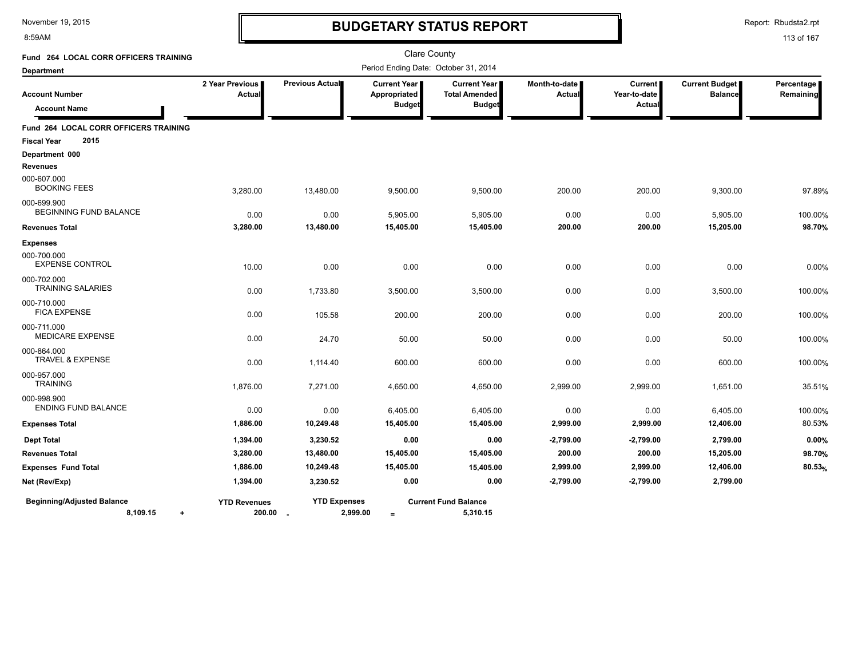#### 8:59AM

### **BUDGETARY STATUS REPORT**

Report: Rbudsta2.rpt

| Fund 264 LOCAL CORR OFFICERS TRAINING                      |                                 |                     | <b>Clare County</b>                                  |                                                                |                                  |                                          |                                         |                         |
|------------------------------------------------------------|---------------------------------|---------------------|------------------------------------------------------|----------------------------------------------------------------|----------------------------------|------------------------------------------|-----------------------------------------|-------------------------|
| <b>Department</b>                                          |                                 |                     | Period Ending Date: October 31, 2014                 |                                                                |                                  |                                          |                                         |                         |
| <b>Account Number</b><br><b>Account Name</b>               | 2 Year Previous<br>Actual       | Previous Actual     | <b>Current Year</b><br>Appropriated<br><b>Budget</b> | <b>Current Year I</b><br><b>Total Amended</b><br><b>Budget</b> | Month-to-date I<br><b>Actual</b> | <b>Current</b><br>Year-to-date<br>Actual | <b>Current Budget</b><br><b>Balance</b> | Percentage<br>Remaining |
| Fund 264 LOCAL CORR OFFICERS TRAINING                      |                                 |                     |                                                      |                                                                |                                  |                                          |                                         |                         |
| 2015<br><b>Fiscal Year</b>                                 |                                 |                     |                                                      |                                                                |                                  |                                          |                                         |                         |
| Department 000<br><b>Revenues</b>                          |                                 |                     |                                                      |                                                                |                                  |                                          |                                         |                         |
| 000-607.000<br><b>BOOKING FEES</b>                         | 3,280.00                        | 13,480.00           | 9,500.00                                             | 9,500.00                                                       | 200.00                           | 200.00                                   | 9,300.00                                | 97.89%                  |
| 000-699.900<br>BEGINNING FUND BALANCE                      | 0.00                            | 0.00                | 5,905.00                                             | 5,905.00                                                       | 0.00                             | 0.00                                     | 5,905.00                                | 100.00%                 |
| <b>Revenues Total</b>                                      | 3,280.00                        | 13,480.00           | 15,405.00                                            | 15,405.00                                                      | 200.00                           | 200.00                                   | 15,205.00                               | 98.70%                  |
| <b>Expenses</b>                                            |                                 |                     |                                                      |                                                                |                                  |                                          |                                         |                         |
| 000-700.000<br><b>EXPENSE CONTROL</b>                      | 10.00                           | 0.00                | 0.00                                                 | 0.00                                                           | 0.00                             | 0.00                                     | 0.00                                    | 0.00%                   |
| 000-702.000<br><b>TRAINING SALARIES</b>                    | 0.00                            | 1,733.80            | 3,500.00                                             | 3,500.00                                                       | 0.00                             | 0.00                                     | 3,500.00                                | 100.00%                 |
| 000-710.000<br><b>FICA EXPENSE</b>                         | 0.00                            | 105.58              | 200.00                                               | 200.00                                                         | 0.00                             | 0.00                                     | 200.00                                  | 100.00%                 |
| 000-711.000<br><b>MEDICARE EXPENSE</b>                     | 0.00                            | 24.70               | 50.00                                                | 50.00                                                          | 0.00                             | 0.00                                     | 50.00                                   | 100.00%                 |
| 000-864.000<br><b>TRAVEL &amp; EXPENSE</b>                 | 0.00                            | 1,114.40            | 600.00                                               | 600.00                                                         | 0.00                             | 0.00                                     | 600.00                                  | 100.00%                 |
| 000-957.000<br><b>TRAINING</b>                             | 1,876.00                        | 7,271.00            | 4,650.00                                             | 4,650.00                                                       | 2,999.00                         | 2,999.00                                 | 1,651.00                                | 35.51%                  |
| 000-998.900<br><b>ENDING FUND BALANCE</b>                  | 0.00                            | 0.00                | 6,405.00                                             | 6,405.00                                                       | 0.00                             | 0.00                                     | 6,405.00                                | 100.00%                 |
| <b>Expenses Total</b>                                      | 1,886.00                        | 10,249.48           | 15,405.00                                            | 15,405.00                                                      | 2,999.00                         | 2,999.00                                 | 12,406.00                               | 80.53%                  |
| <b>Dept Total</b>                                          | 1,394.00                        | 3,230.52            | 0.00                                                 | 0.00                                                           | $-2,799.00$                      | -2,799.00                                | 2,799.00                                | 0.00%                   |
| <b>Revenues Total</b>                                      | 3,280.00                        | 13,480.00           | 15,405.00                                            | 15,405.00                                                      | 200.00                           | 200.00                                   | 15,205.00                               | 98.70%                  |
| <b>Expenses Fund Total</b>                                 | 1,886.00                        | 10,249.48           | 15,405.00                                            | 15,405.00                                                      | 2,999.00                         | 2,999.00                                 | 12,406.00                               | 80.53%                  |
| Net (Rev/Exp)                                              | 1,394.00                        | 3,230.52            | 0.00                                                 | 0.00                                                           | $-2,799.00$                      | $-2,799.00$                              | 2,799.00                                |                         |
| <b>Beginning/Adjusted Balance</b><br>8,109.15<br>$\ddot{}$ | <b>YTD Revenues</b><br>200.00 . | <b>YTD Expenses</b> | 2,999.00<br>$=$                                      | <b>Current Fund Balance</b><br>5,310.15                        |                                  |                                          |                                         |                         |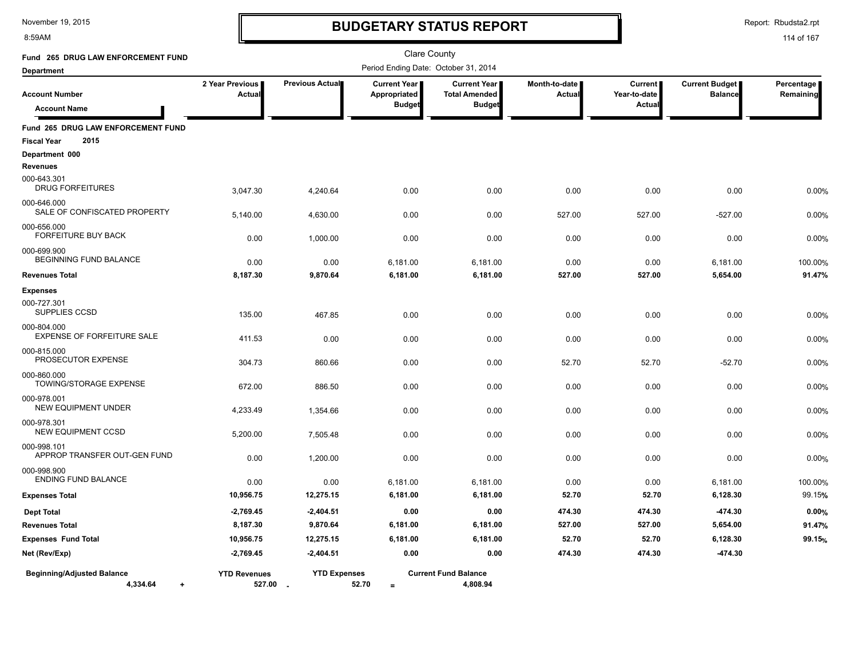8:59AM

# **BUDGETARY STATUS REPORT**

Report: Rbudsta2.rpt

| Fund 265 DRUG LAW ENFORCEMENT FUND                               |                                  |                                 | <b>Clare County</b>                                  |                                                              |                                |                                          |                                         |                         |
|------------------------------------------------------------------|----------------------------------|---------------------------------|------------------------------------------------------|--------------------------------------------------------------|--------------------------------|------------------------------------------|-----------------------------------------|-------------------------|
| <b>Department</b>                                                |                                  |                                 | Period Ending Date: October 31, 2014                 |                                                              |                                |                                          |                                         |                         |
| <b>Account Number</b><br><b>Account Name</b>                     | 2 Year Previous<br><b>Actual</b> | Previous Actual                 | <b>Current Year</b><br>Appropriated<br><b>Budget</b> | <b>Current Year</b><br><b>Total Amended</b><br><b>Budget</b> | Month-to-date<br><b>Actual</b> | <b>Current</b><br>Year-to-date<br>Actual | <b>Current Budget</b><br><b>Balance</b> | Percentage<br>Remaining |
| Fund 265 DRUG LAW ENFORCEMENT FUND<br>2015<br><b>Fiscal Year</b> |                                  |                                 |                                                      |                                                              |                                |                                          |                                         |                         |
| Department 000                                                   |                                  |                                 |                                                      |                                                              |                                |                                          |                                         |                         |
| <b>Revenues</b>                                                  |                                  |                                 |                                                      |                                                              |                                |                                          |                                         |                         |
| 000-643.301<br><b>DRUG FORFEITURES</b>                           | 3,047.30                         | 4,240.64                        | 0.00                                                 | 0.00                                                         | 0.00                           | 0.00                                     | 0.00                                    | 0.00%                   |
| 000-646.000<br>SALE OF CONFISCATED PROPERTY                      | 5,140.00                         | 4,630.00                        | 0.00                                                 | 0.00                                                         | 527.00                         | 527.00                                   | $-527.00$                               | 0.00%                   |
| 000-656.000<br>FORFEITURE BUY BACK                               | 0.00                             | 1,000.00                        | 0.00                                                 | 0.00                                                         | 0.00                           | 0.00                                     | 0.00                                    | 0.00%                   |
| 000-699.900<br>BEGINNING FUND BALANCE                            | 0.00                             | 0.00                            | 6,181.00                                             | 6,181.00                                                     | 0.00                           | 0.00                                     | 6,181.00                                | 100.00%                 |
| <b>Revenues Total</b>                                            | 8,187.30                         | 9,870.64                        | 6,181.00                                             | 6,181.00                                                     | 527.00                         | 527.00                                   | 5,654.00                                | 91.47%                  |
| <b>Expenses</b>                                                  |                                  |                                 |                                                      |                                                              |                                |                                          |                                         |                         |
| 000-727.301<br>SUPPLIES CCSD                                     | 135.00                           | 467.85                          | 0.00                                                 | 0.00                                                         | 0.00                           | 0.00                                     | 0.00                                    | 0.00%                   |
| 000-804.000<br><b>EXPENSE OF FORFEITURE SALE</b>                 | 411.53                           | 0.00                            | 0.00                                                 | 0.00                                                         | 0.00                           | 0.00                                     | 0.00                                    | 0.00%                   |
| 000-815.000<br>PROSECUTOR EXPENSE                                | 304.73                           | 860.66                          | 0.00                                                 | 0.00                                                         | 52.70                          | 52.70                                    | $-52.70$                                | 0.00%                   |
| 000-860.000<br>TOWING/STORAGE EXPENSE                            | 672.00                           | 886.50                          | 0.00                                                 | 0.00                                                         | 0.00                           | 0.00                                     | 0.00                                    | 0.00%                   |
| 000-978.001<br><b>NEW EQUIPMENT UNDER</b>                        | 4,233.49                         | 1,354.66                        | 0.00                                                 | 0.00                                                         | 0.00                           | 0.00                                     | 0.00                                    | 0.00%                   |
| 000-978.301<br><b>NEW EQUIPMENT CCSD</b>                         | 5,200.00                         | 7,505.48                        | 0.00                                                 | 0.00                                                         | 0.00                           | 0.00                                     | 0.00                                    | 0.00%                   |
| 000-998.101<br>APPROP TRANSFER OUT-GEN FUND                      | 0.00                             | 1,200.00                        | 0.00                                                 | 0.00                                                         | 0.00                           | 0.00                                     | 0.00                                    | 0.00%                   |
| 000-998.900<br><b>ENDING FUND BALANCE</b>                        | 0.00                             | 0.00                            | 6,181.00                                             | 6,181.00                                                     | 0.00                           | 0.00                                     | 6,181.00                                | 100.00%                 |
| <b>Expenses Total</b>                                            | 10,956.75                        | 12,275.15                       | 6,181.00                                             | 6,181.00                                                     | 52.70                          | 52.70                                    | 6,128.30                                | 99.15%                  |
| <b>Dept Total</b>                                                | $-2,769.45$                      | $-2,404.51$                     | 0.00                                                 | 0.00                                                         | 474.30                         | 474.30                                   | -474.30                                 | 0.00%                   |
| <b>Revenues Total</b>                                            | 8,187.30                         | 9,870.64                        | 6,181.00                                             | 6,181.00                                                     | 527.00                         | 527.00                                   | 5,654.00                                | 91.47%                  |
| <b>Expenses Fund Total</b>                                       | 10,956.75                        | 12,275.15                       | 6,181.00                                             | 6,181.00                                                     | 52.70                          | 52.70                                    | 6,128.30                                | 99.15%                  |
| Net (Rev/Exp)                                                    | $-2,769.45$                      | $-2,404.51$                     | 0.00                                                 | 0.00                                                         | 474.30                         | 474.30                                   | $-474.30$                               |                         |
| <b>Beginning/Adjusted Balance</b><br>4,334.64<br>$\ddot{}$       | <b>YTD Revenues</b>              | <b>YTD Expenses</b><br>527.00 - | 52.70<br>$=$                                         | <b>Current Fund Balance</b><br>4,808.94                      |                                |                                          |                                         |                         |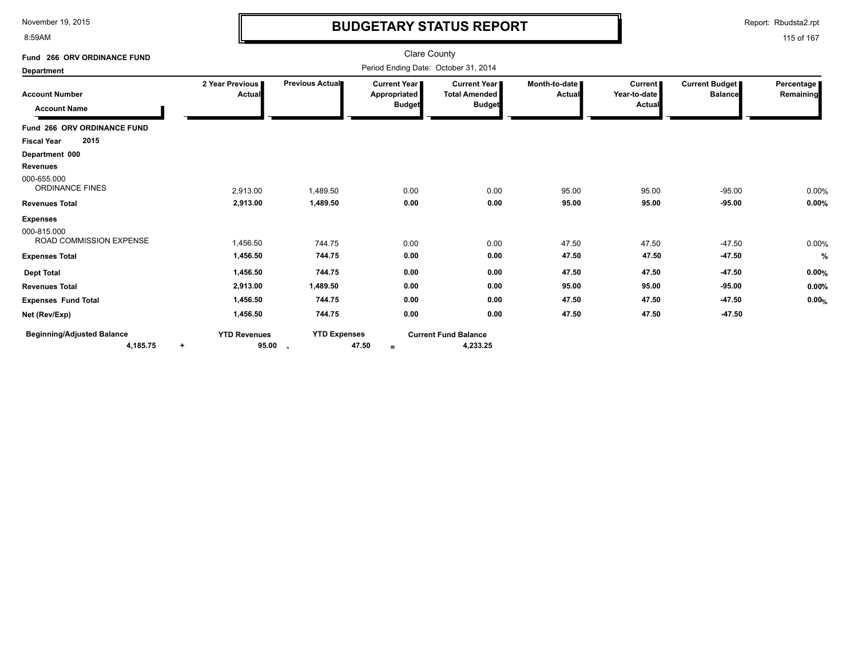8:59AM

### **BUDGETARY STATUS REPORT**

Report: Rbudsta2.rpt

| Fund 266 ORV ORDINANCE FUND                   |                                           |                                                 | <b>Clare County</b>                                    |                                                              |                         |                                          |                                         |                           |
|-----------------------------------------------|-------------------------------------------|-------------------------------------------------|--------------------------------------------------------|--------------------------------------------------------------|-------------------------|------------------------------------------|-----------------------------------------|---------------------------|
| Department                                    |                                           |                                                 | Period Ending Date: October 31, 2014                   |                                                              |                         |                                          |                                         |                           |
| <b>Account Number</b><br><b>Account Name</b>  | 2 Year Previous<br>Actual                 | Previous Actual                                 | <b>Current Year I</b><br>Appropriated<br><b>Budget</b> | <b>Current Year</b><br><b>Total Amended</b><br><b>Budget</b> | Month-to-date<br>Actual | <b>Current</b><br>Year-to-date<br>Actual | <b>Current Budget</b><br><b>Balance</b> | Percentage  <br>Remaining |
| Fund 266 ORV ORDINANCE FUND                   |                                           |                                                 |                                                        |                                                              |                         |                                          |                                         |                           |
| 2015<br><b>Fiscal Year</b>                    |                                           |                                                 |                                                        |                                                              |                         |                                          |                                         |                           |
| Department 000                                |                                           |                                                 |                                                        |                                                              |                         |                                          |                                         |                           |
| <b>Revenues</b>                               |                                           |                                                 |                                                        |                                                              |                         |                                          |                                         |                           |
| 000-655.000<br><b>ORDINANCE FINES</b>         | 2,913.00                                  | 1,489.50                                        | 0.00                                                   | 0.00                                                         | 95.00                   | 95.00                                    | $-95.00$                                | 0.00%                     |
| <b>Revenues Total</b>                         | 2,913.00                                  | 1,489.50                                        | 0.00                                                   | 0.00                                                         | 95.00                   | 95.00                                    | $-95.00$                                | 0.00%                     |
| <b>Expenses</b>                               |                                           |                                                 |                                                        |                                                              |                         |                                          |                                         |                           |
| 000-815.000<br><b>ROAD COMMISSION EXPENSE</b> | 1,456.50                                  | 744.75                                          | 0.00                                                   | 0.00                                                         | 47.50                   | 47.50                                    | $-47.50$                                | 0.00%                     |
| <b>Expenses Total</b>                         | 1,456.50                                  | 744.75                                          | 0.00                                                   | 0.00                                                         | 47.50                   | 47.50                                    | $-47.50$                                | %                         |
| <b>Dept Total</b>                             | 1,456.50                                  | 744.75                                          | 0.00                                                   | 0.00                                                         | 47.50                   | 47.50                                    | $-47.50$                                | 0.00%                     |
| <b>Revenues Total</b>                         | 2,913.00                                  | 1,489.50                                        | 0.00                                                   | 0.00                                                         | 95.00                   | 95.00                                    | $-95.00$                                | 0.00%                     |
| <b>Expenses Fund Total</b>                    | 1,456.50                                  | 744.75                                          | 0.00                                                   | 0.00                                                         | 47.50                   | 47.50                                    | $-47.50$                                | 0.00%                     |
| Net (Rev/Exp)                                 | 1,456.50                                  | 744.75                                          | 0.00                                                   | 0.00                                                         | 47.50                   | 47.50                                    | $-47.50$                                |                           |
| <b>Beginning/Adjusted Balance</b><br>4,185.75 | <b>YTD Revenues</b><br>95.00<br>$\ddot{}$ | <b>YTD Expenses</b><br>$\overline{\phantom{a}}$ | 47.50<br>$=$                                           | <b>Current Fund Balance</b><br>4,233.25                      |                         |                                          |                                         |                           |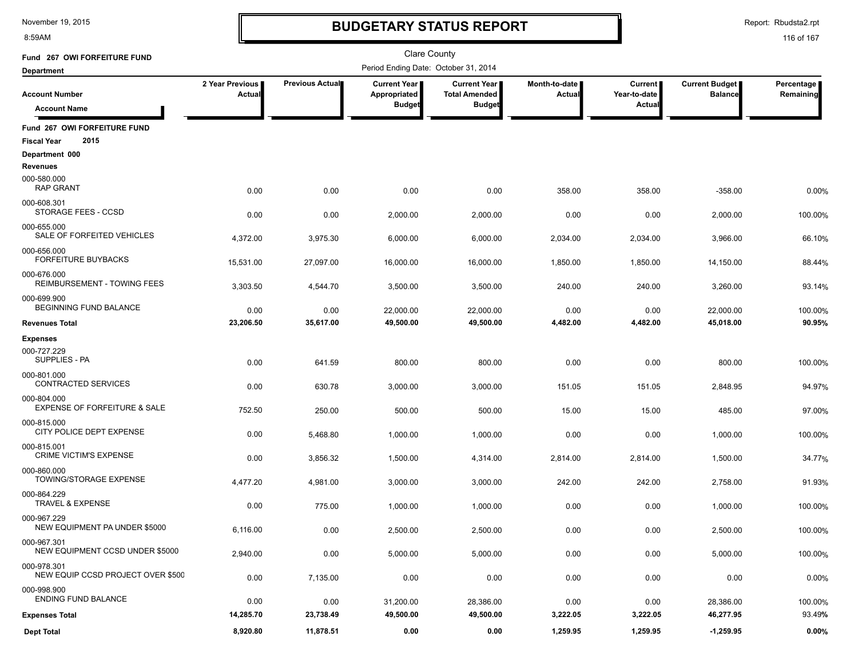8:59AM

### **BUDGETARY STATUS REPORT**

Report: Rbudsta2.rpt

| Fund 267 OWI FORFEITURE FUND                               |                           |                 | <b>Clare County</b>                  |                                               |                         |                                |                                         |                         |
|------------------------------------------------------------|---------------------------|-----------------|--------------------------------------|-----------------------------------------------|-------------------------|--------------------------------|-----------------------------------------|-------------------------|
| <b>Department</b>                                          |                           |                 | Period Ending Date: October 31, 2014 |                                               |                         |                                |                                         |                         |
| <b>Account Number</b>                                      | 2 Year Previous<br>Actual | Previous Actual | <b>Current Year</b><br>Appropriated  | <b>Current Year I</b><br><b>Total Amended</b> | Month-to-date<br>Actual | <b>Current</b><br>Year-to-date | <b>Current Budget</b><br><b>Balance</b> | Percentage<br>Remaining |
| <b>Account Name</b>                                        |                           |                 | <b>Budget</b>                        | <b>Budget</b>                                 |                         | Actual                         |                                         |                         |
| Fund 267 OWI FORFEITURE FUND<br>2015<br><b>Fiscal Year</b> |                           |                 |                                      |                                               |                         |                                |                                         |                         |
| Department 000                                             |                           |                 |                                      |                                               |                         |                                |                                         |                         |
| <b>Revenues</b><br>000-580.000<br><b>RAP GRANT</b>         | 0.00                      | 0.00            | 0.00                                 | 0.00                                          | 358.00                  | 358.00                         | $-358.00$                               | 0.00%                   |
| 000-608.301<br>STORAGE FEES - CCSD                         | 0.00                      | 0.00            | 2,000.00                             | 2,000.00                                      | 0.00                    | 0.00                           | 2,000.00                                | 100.00%                 |
| 000-655.000<br>SALE OF FORFEITED VEHICLES                  | 4,372.00                  | 3,975.30        | 6,000.00                             | 6,000.00                                      | 2,034.00                | 2,034.00                       | 3,966.00                                | 66.10%                  |
| 000-656.000<br><b>FORFEITURE BUYBACKS</b>                  | 15,531.00                 | 27,097.00       | 16,000.00                            | 16,000.00                                     | 1,850.00                | 1,850.00                       | 14,150.00                               | 88.44%                  |
| 000-676.000<br>REIMBURSEMENT - TOWING FEES                 | 3,303.50                  | 4,544.70        | 3,500.00                             | 3,500.00                                      | 240.00                  | 240.00                         | 3,260.00                                | 93.14%                  |
| 000-699.900<br>BEGINNING FUND BALANCE                      | 0.00                      | 0.00            | 22,000.00                            | 22,000.00                                     | 0.00                    | 0.00                           | 22,000.00                               | 100.00%                 |
| <b>Revenues Total</b>                                      | 23,206.50                 | 35,617.00       | 49,500.00                            | 49,500.00                                     | 4,482.00                | 4,482.00                       | 45,018.00                               | 90.95%                  |
| <b>Expenses</b>                                            |                           |                 |                                      |                                               |                         |                                |                                         |                         |
| 000-727.229<br>SUPPLIES - PA                               | 0.00                      | 641.59          | 800.00                               | 800.00                                        | 0.00                    | 0.00                           | 800.00                                  | 100.00%                 |
| 000-801.000<br><b>CONTRACTED SERVICES</b>                  | 0.00                      | 630.78          | 3,000.00                             | 3,000.00                                      | 151.05                  | 151.05                         | 2,848.95                                | 94.97%                  |
| 000-804.000<br><b>EXPENSE OF FORFEITURE &amp; SALE</b>     | 752.50                    | 250.00          | 500.00                               | 500.00                                        | 15.00                   | 15.00                          | 485.00                                  | 97.00%                  |
| 000-815.000<br>CITY POLICE DEPT EXPENSE                    | 0.00                      | 5,468.80        | 1,000.00                             | 1,000.00                                      | 0.00                    | 0.00                           | 1,000.00                                | 100.00%                 |
| 000-815.001<br><b>CRIME VICTIM'S EXPENSE</b>               | 0.00                      | 3,856.32        | 1,500.00                             | 4,314.00                                      | 2,814.00                | 2,814.00                       | 1,500.00                                | 34.77%                  |
| 000-860.000<br>TOWING/STORAGE EXPENSE                      | 4,477.20                  | 4,981.00        | 3,000.00                             | 3,000.00                                      | 242.00                  | 242.00                         | 2,758.00                                | 91.93%                  |
| 000-864.229<br><b>TRAVEL &amp; EXPENSE</b>                 | 0.00                      | 775.00          | 1,000.00                             | 1,000.00                                      | 0.00                    | 0.00                           | 1,000.00                                | 100.00%                 |
| 000-967.229<br>NEW EQUIPMENT PA UNDER \$5000               | 6,116.00                  | 0.00            | 2,500.00                             | 2,500.00                                      | 0.00                    | 0.00                           | 2.500.00                                | 100.00%                 |
| 000-967.301<br><b>NEW EQUIPMENT CCSD UNDER \$5000</b>      | 2,940.00                  | 0.00            | 5,000.00                             | 5,000.00                                      | 0.00                    | 0.00                           | 5,000.00                                | 100.00%                 |
| 000-978.301<br>NEW EQUIP CCSD PROJECT OVER \$500           | 0.00                      | 7,135.00        | 0.00                                 | 0.00                                          | 0.00                    | 0.00                           | 0.00                                    | 0.00%                   |
| 000-998.900<br><b>ENDING FUND BALANCE</b>                  | 0.00                      | 0.00            | 31,200.00                            | 28,386.00                                     | 0.00                    | 0.00                           | 28,386.00                               | 100.00%                 |
| <b>Expenses Total</b>                                      | 14,285.70                 | 23,738.49       | 49,500.00                            | 49,500.00                                     | 3,222.05                | 3,222.05                       | 46,277.95                               | 93.49%                  |
| <b>Dept Total</b>                                          | 8,920.80                  | 11,878.51       | 0.00                                 | 0.00                                          | 1,259.95                | 1,259.95                       | $-1,259.95$                             | 0.00%                   |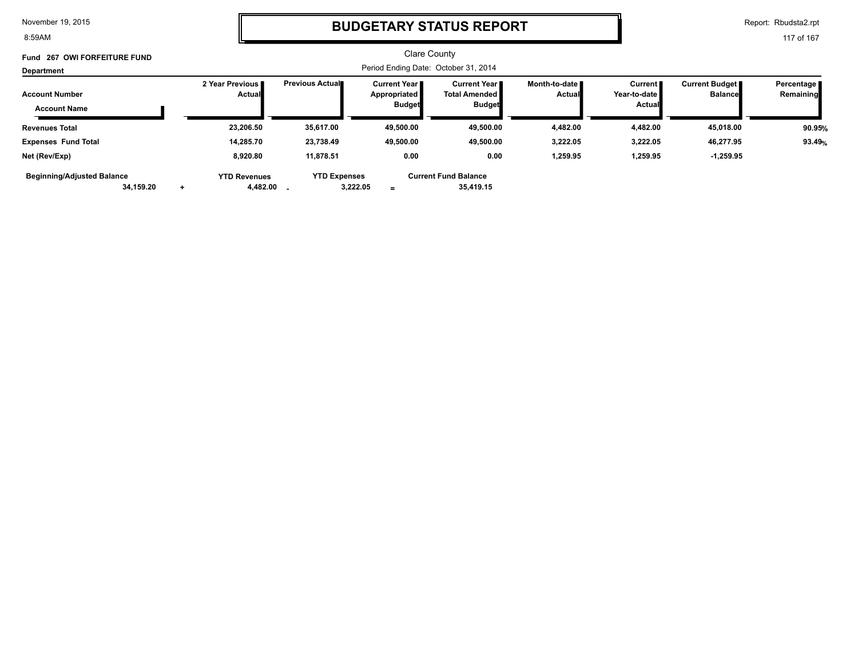8:59AM

### **BUDGETARY STATUS REPORT**

Report: Rbudsta2.rpt

| Fund 267 OWI FORFEITURE FUND                 |           |                                    |                        |                                                      | <b>Clare County</b>                                          |                                  |                                                            |                                         |                         |
|----------------------------------------------|-----------|------------------------------------|------------------------|------------------------------------------------------|--------------------------------------------------------------|----------------------------------|------------------------------------------------------------|-----------------------------------------|-------------------------|
| Department                                   |           |                                    |                        |                                                      | Period Ending Date: October 31, 2014                         |                                  |                                                            |                                         |                         |
| <b>Account Number</b><br><b>Account Name</b> |           | 2 Year Previous I<br><b>Actual</b> | <b>Previous Actual</b> | Current Year<br><b>Appropriated</b><br><b>Budget</b> | <b>Current Year</b><br><b>Total Amended</b><br><b>Budget</b> | Month-to-date ■<br><b>Actual</b> | Current <b>I</b><br>Year-to-date <b>■</b><br><b>Actual</b> | <b>Current Budget</b><br><b>Balance</b> | Percentage<br>Remaining |
| <b>Revenues Total</b>                        |           | 23.206.50                          | 35.617.00              | 49,500.00                                            | 49,500.00                                                    | 4,482.00                         | 4,482.00                                                   | 45,018.00                               | 90.95%                  |
| <b>Expenses Fund Total</b>                   |           | 14,285.70                          | 23,738.49              | 49,500.00                                            | 49,500.00                                                    | 3,222.05                         | 3,222.05                                                   | 46,277.95                               | 93.49%                  |
| Net (Rev/Exp)                                |           | 8,920.80                           | 11.878.51              | 0.00                                                 | 0.00                                                         | 1,259.95                         | 1,259.95                                                   | $-1,259.95$                             |                         |
| <b>Beginning/Adjusted Balance</b>            | 34,159.20 | <b>YTD Revenues</b><br>4,482.00    | <b>YTD Expenses</b>    | 3,222.05<br>$=$                                      | <b>Current Fund Balance</b><br>35.419.15                     |                                  |                                                            |                                         |                         |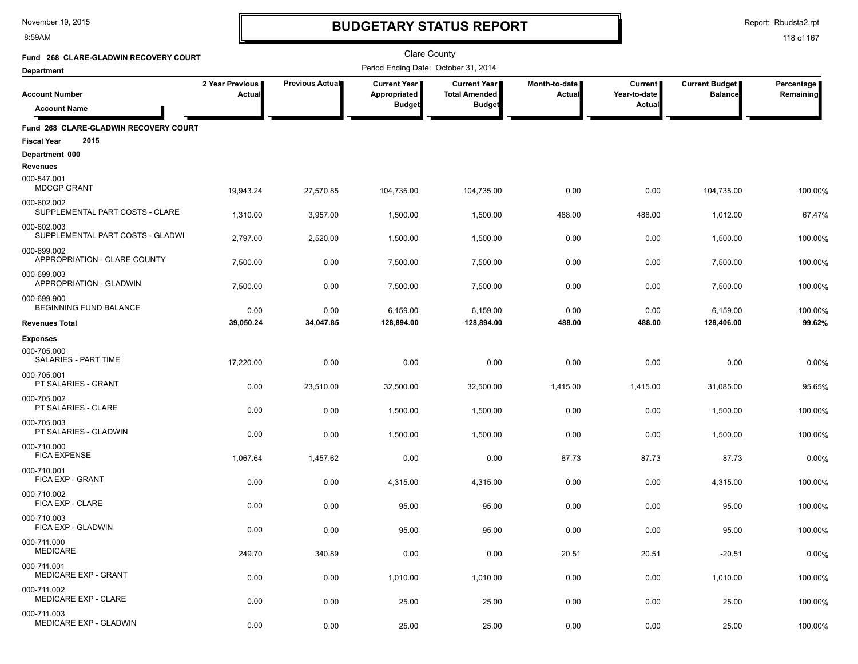#### 8:59AM

### **BUDGETARY STATUS REPORT**

Report: Rbudsta2.rpt

| Fund 268 CLARE-GLADWIN RECOVERY COURT                               |                           |                 | Clare County                         |                                             |                         |                           |                                         |                         |
|---------------------------------------------------------------------|---------------------------|-----------------|--------------------------------------|---------------------------------------------|-------------------------|---------------------------|-----------------------------------------|-------------------------|
| <b>Department</b>                                                   |                           |                 | Period Ending Date: October 31, 2014 |                                             |                         |                           |                                         |                         |
| <b>Account Number</b>                                               | 2 Year Previous<br>Actual | Previous Actual | Current Year<br>Appropriated         | <b>Current Year</b><br><b>Total Amended</b> | Month-to-date<br>Actual | Current  <br>Year-to-date | <b>Current Budget</b><br><b>Balance</b> | Percentage<br>Remaining |
| <b>Account Name</b>                                                 |                           |                 | <b>Budget</b>                        | <b>Budget</b>                               |                         | Actual                    |                                         |                         |
| Fund 268 CLARE-GLADWIN RECOVERY COURT<br>2015<br><b>Fiscal Year</b> |                           |                 |                                      |                                             |                         |                           |                                         |                         |
| Department 000                                                      |                           |                 |                                      |                                             |                         |                           |                                         |                         |
| Revenues<br>000-547.001<br><b>MDCGP GRANT</b>                       | 19,943.24                 | 27,570.85       | 104,735.00                           | 104,735.00                                  | 0.00                    | 0.00                      | 104,735.00                              | 100.00%                 |
| 000-602.002<br>SUPPLEMENTAL PART COSTS - CLARE                      | 1,310.00                  | 3,957.00        | 1,500.00                             | 1,500.00                                    | 488.00                  | 488.00                    | 1,012.00                                | 67.47%                  |
| 000-602.003<br>SUPPLEMENTAL PART COSTS - GLADWI                     | 2,797.00                  | 2,520.00        | 1,500.00                             | 1,500.00                                    | 0.00                    | 0.00                      | 1,500.00                                | 100.00%                 |
| 000-699.002<br>APPROPRIATION - CLARE COUNTY                         | 7,500.00                  | 0.00            | 7,500.00                             | 7,500.00                                    | 0.00                    | 0.00                      | 7,500.00                                | 100.00%                 |
| 000-699.003<br><b>APPROPRIATION - GLADWIN</b>                       | 7,500.00                  | 0.00            | 7,500.00                             | 7,500.00                                    | 0.00                    | 0.00                      | 7,500.00                                | 100.00%                 |
| 000-699.900<br>BEGINNING FUND BALANCE                               | 0.00                      | 0.00            | 6,159.00                             | 6,159.00                                    | 0.00                    | 0.00                      | 6,159.00                                | 100.00%                 |
| <b>Revenues Total</b>                                               | 39,050.24                 | 34,047.85       | 128,894.00                           | 128,894.00                                  | 488.00                  | 488.00                    | 128,406.00                              | 99.62%                  |
| <b>Expenses</b>                                                     |                           |                 |                                      |                                             |                         |                           |                                         |                         |
| 000-705.000<br>SALARIES - PART TIME                                 | 17,220.00                 | 0.00            | 0.00                                 | 0.00                                        | 0.00                    | 0.00                      | 0.00                                    | 0.00%                   |
| 000-705.001<br>PT SALARIES - GRANT                                  | 0.00                      | 23,510.00       | 32,500.00                            | 32,500.00                                   | 1,415.00                | 1,415.00                  | 31,085.00                               | 95.65%                  |
| 000-705.002<br>PT SALARIES - CLARE                                  | 0.00                      | 0.00            | 1,500.00                             | 1,500.00                                    | 0.00                    | 0.00                      | 1,500.00                                | 100.00%                 |
| 000-705.003<br>PT SALARIES - GLADWIN                                | 0.00                      | 0.00            | 1,500.00                             | 1,500.00                                    | 0.00                    | 0.00                      | 1,500.00                                | 100.00%                 |
| 000-710.000<br><b>FICA EXPENSE</b>                                  | 1,067.64                  | 1,457.62        | 0.00                                 | 0.00                                        | 87.73                   | 87.73                     | $-87.73$                                | 0.00%                   |
| 000-710.001<br>FICA EXP - GRANT                                     | 0.00                      | 0.00            | 4,315.00                             | 4,315.00                                    | 0.00                    | 0.00                      | 4,315.00                                | 100.00%                 |
| 000-710.002<br>FICA EXP - CLARE                                     | 0.00                      | 0.00            | 95.00                                | 95.00                                       | 0.00                    | 0.00                      | 95.00                                   | 100.00%                 |
| 000-710.003<br>FICA EXP - GLADWIN                                   | 0.00                      | 0.00            | 95.00                                | 95.00                                       | 0.00                    | 0.00                      | 95.00                                   | 100.00%                 |
| 000-711.000<br><b>MEDICARE</b>                                      | 249.70                    | 340.89          | 0.00                                 | 0.00                                        | 20.51                   | 20.51                     | $-20.51$                                | 0.00%                   |
| 000-711.001<br>MEDICARE EXP - GRANT                                 | 0.00                      | 0.00            | 1,010.00                             | 1,010.00                                    | 0.00                    | 0.00                      | 1,010.00                                | 100.00%                 |
| 000-711.002<br>MEDICARE EXP - CLARE                                 | 0.00                      | 0.00            | 25.00                                | 25.00                                       | 0.00                    | 0.00                      | 25.00                                   | 100.00%                 |
| 000-711.003<br>MEDICARE EXP - GLADWIN                               | 0.00                      | 0.00            | 25.00                                | 25.00                                       | 0.00                    | 0.00                      | 25.00                                   | 100.00%                 |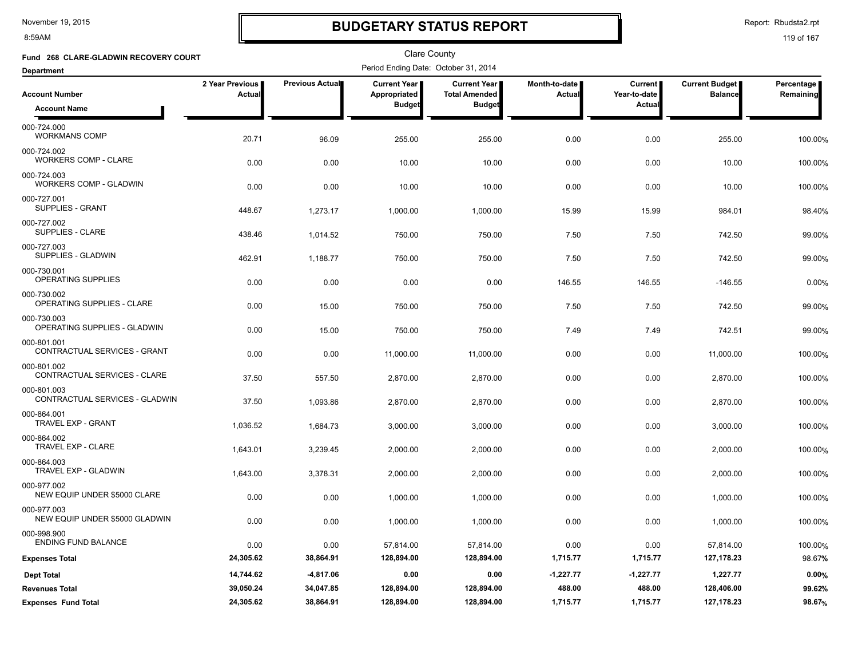8:59AM

# **BUDGETARY STATUS REPORT**

Report: Rbudsta2.rpt

| Fund 268 CLARE-GLADWIN RECOVERY COURT         |                           |                        | <b>Clare County</b>                   |                                             |                         |                           |                                         |                         |
|-----------------------------------------------|---------------------------|------------------------|---------------------------------------|---------------------------------------------|-------------------------|---------------------------|-----------------------------------------|-------------------------|
| <b>Department</b>                             |                           |                        | Period Ending Date: October 31, 2014  |                                             |                         |                           |                                         |                         |
| <b>Account Number</b>                         | 2 Year Previous<br>Actual | <b>Previous Actual</b> | <b>Current Year</b>  <br>Appropriated | <b>Current Year</b><br><b>Total Amended</b> | Month-to-date<br>Actual | Current  <br>Year-to-date | <b>Current Budget</b><br><b>Balance</b> | Percentage<br>Remaining |
| <b>Account Name</b>                           |                           |                        | <b>Budget</b>                         | <b>Budget</b>                               |                         | <b>Actual</b>             |                                         |                         |
| 000-724.000<br><b>WORKMANS COMP</b>           | 20.71                     | 96.09                  | 255.00                                | 255.00                                      | 0.00                    | 0.00                      | 255.00                                  | 100.00%                 |
| 000-724.002<br><b>WORKERS COMP - CLARE</b>    | 0.00                      | 0.00                   | 10.00                                 | 10.00                                       | 0.00                    | 0.00                      | 10.00                                   | 100.00%                 |
| 000-724.003<br>WORKERS COMP - GLADWIN         | 0.00                      | 0.00                   | 10.00                                 | 10.00                                       | 0.00                    | 0.00                      | 10.00                                   | 100.00%                 |
| 000-727.001<br>SUPPLIES - GRANT               | 448.67                    | 1,273.17               | 1,000.00                              | 1,000.00                                    | 15.99                   | 15.99                     | 984.01                                  | 98.40%                  |
| 000-727.002<br>SUPPLIES - CLARE               | 438.46                    | 1,014.52               | 750.00                                | 750.00                                      | 7.50                    | 7.50                      | 742.50                                  | 99.00%                  |
| 000-727.003<br>SUPPLIES - GLADWIN             | 462.91                    | 1,188.77               | 750.00                                | 750.00                                      | 7.50                    | 7.50                      | 742.50                                  | 99.00%                  |
| 000-730.001<br>OPERATING SUPPLIES             | 0.00                      | 0.00                   | 0.00                                  | 0.00                                        | 146.55                  | 146.55                    | $-146.55$                               | 0.00%                   |
| 000-730.002<br>OPERATING SUPPLIES - CLARE     | 0.00                      | 15.00                  | 750.00                                | 750.00                                      | 7.50                    | 7.50                      | 742.50                                  | 99.00%                  |
| 000-730.003<br>OPERATING SUPPLIES - GLADWIN   | 0.00                      | 15.00                  | 750.00                                | 750.00                                      | 7.49                    | 7.49                      | 742.51                                  | 99.00%                  |
| 000-801.001<br>CONTRACTUAL SERVICES - GRANT   | 0.00                      | 0.00                   | 11,000.00                             | 11,000.00                                   | 0.00                    | 0.00                      | 11,000.00                               | 100.00%                 |
| 000-801.002<br>CONTRACTUAL SERVICES - CLARE   | 37.50                     | 557.50                 | 2,870.00                              | 2,870.00                                    | 0.00                    | 0.00                      | 2,870.00                                | 100.00%                 |
| 000-801.003<br>CONTRACTUAL SERVICES - GLADWIN | 37.50                     | 1,093.86               | 2,870.00                              | 2,870.00                                    | 0.00                    | 0.00                      | 2,870.00                                | 100.00%                 |
| 000-864.001<br>TRAVEL EXP - GRANT             | 1,036.52                  | 1,684.73               | 3,000.00                              | 3,000.00                                    | 0.00                    | 0.00                      | 3,000.00                                | 100.00%                 |
| 000-864.002<br>TRAVEL EXP - CLARE             | 1,643.01                  | 3,239.45               | 2,000.00                              | 2,000.00                                    | 0.00                    | 0.00                      | 2,000.00                                | 100.00%                 |
| 000-864.003<br>TRAVEL EXP - GLADWIN           | 1,643.00                  | 3,378.31               | 2,000.00                              | 2,000.00                                    | 0.00                    | 0.00                      | 2,000.00                                | 100.00%                 |
| 000-977.002<br>NEW EQUIP UNDER \$5000 CLARE   | 0.00                      | 0.00                   | 1,000.00                              | 1,000.00                                    | 0.00                    | 0.00                      | 1,000.00                                | 100.00%                 |
| 000-977.003<br>NEW EQUIP UNDER \$5000 GLADWIN | 0.00                      | 0.00                   | 1,000.00                              | 1,000.00                                    | 0.00                    | 0.00                      | 1,000.00                                | 100.00%                 |
| 000-998.900<br><b>ENDING FUND BALANCE</b>     | 0.00                      | 0.00                   | 57,814.00                             | 57,814.00                                   | 0.00                    | 0.00                      | 57,814.00                               | 100.00%                 |
| <b>Expenses Total</b>                         | 24,305.62                 | 38,864.91              | 128,894.00                            | 128,894.00                                  | 1,715.77                | 1,715.77                  | 127,178.23                              | 98.67%                  |
| <b>Dept Total</b>                             | 14,744.62                 | $-4,817.06$            | 0.00                                  | 0.00                                        | $-1,227.77$             | $-1,227.77$               | 1,227.77                                | 0.00%                   |
| <b>Revenues Total</b>                         | 39,050.24                 | 34,047.85              | 128,894.00                            | 128,894.00                                  | 488.00                  | 488.00                    | 128,406.00                              | 99.62%                  |
| <b>Expenses Fund Total</b>                    | 24,305.62                 | 38,864.91              | 128,894.00                            | 128,894.00                                  | 1,715.77                | 1,715.77                  | 127, 178.23                             | 98.67%                  |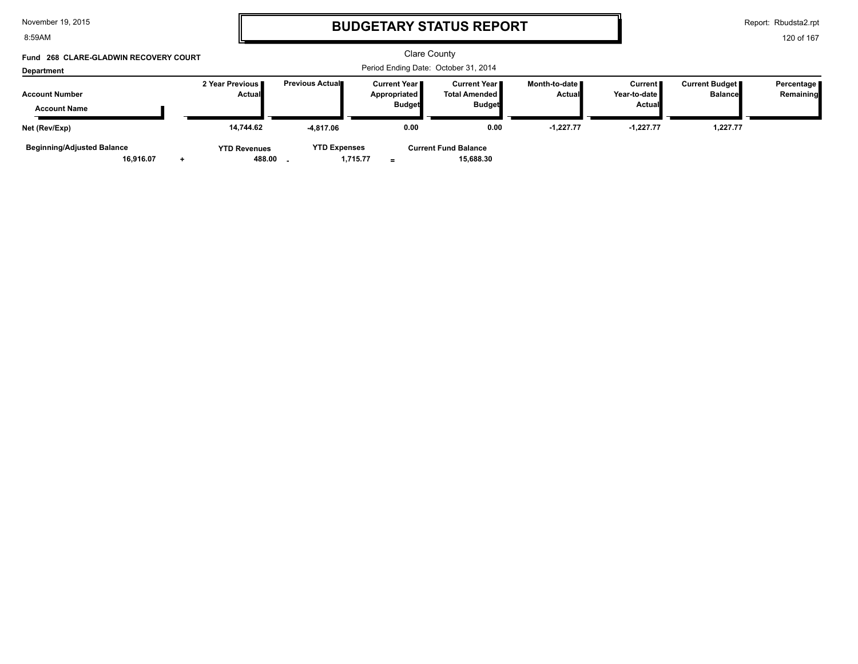| November 19, 2015 |  |  |  |
|-------------------|--|--|--|
|-------------------|--|--|--|

8:59AM

### **BUDGETARY STATUS REPORT**

Report: Rbudsta2.rpt

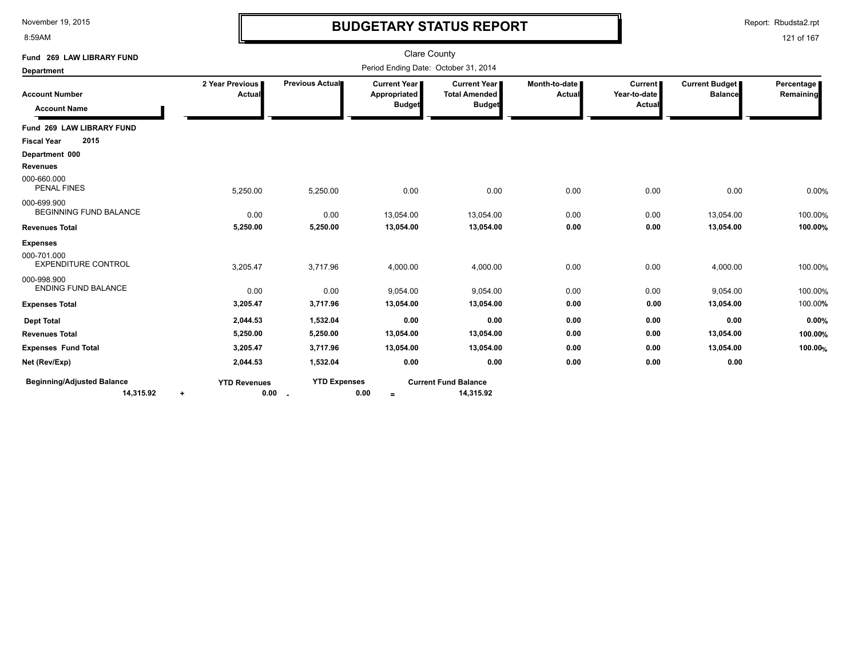8:59AM

### **BUDGETARY STATUS REPORT**

Report: Rbudsta2.rpt

| Fund 269 LAW LIBRARY FUND                      |                                          |                               | <b>Clare County</b>                                  |                                                              |                                |                                     |                                         |                         |
|------------------------------------------------|------------------------------------------|-------------------------------|------------------------------------------------------|--------------------------------------------------------------|--------------------------------|-------------------------------------|-----------------------------------------|-------------------------|
| <b>Department</b>                              |                                          |                               | Period Ending Date: October 31, 2014                 |                                                              |                                |                                     |                                         |                         |
| <b>Account Number</b><br><b>Account Name</b>   | 2 Year Previous<br>Actual                | Previous Actual               | <b>Current Year</b><br>Appropriated<br><b>Budget</b> | <b>Current Year</b><br><b>Total Amended</b><br><b>Budget</b> | Month-to-date<br><b>Actual</b> | Current  <br>Year-to-date<br>Actual | <b>Current Budget</b><br><b>Balance</b> | Percentage<br>Remaining |
| Fund 269 LAW LIBRARY FUND                      |                                          |                               |                                                      |                                                              |                                |                                     |                                         |                         |
| 2015<br><b>Fiscal Year</b>                     |                                          |                               |                                                      |                                                              |                                |                                     |                                         |                         |
| Department 000                                 |                                          |                               |                                                      |                                                              |                                |                                     |                                         |                         |
| <b>Revenues</b>                                |                                          |                               |                                                      |                                                              |                                |                                     |                                         |                         |
| 000-660.000<br><b>PENAL FINES</b>              | 5,250.00                                 | 5,250.00                      | 0.00                                                 | 0.00                                                         | 0.00                           | 0.00                                | 0.00                                    | 0.00%                   |
| 000-699.900<br>BEGINNING FUND BALANCE          | 0.00                                     | 0.00                          | 13,054.00                                            | 13,054.00                                                    | 0.00                           | 0.00                                | 13,054.00                               | 100.00%                 |
| <b>Revenues Total</b>                          | 5,250.00                                 | 5,250.00                      | 13,054.00                                            | 13,054.00                                                    | 0.00                           | 0.00                                | 13,054.00                               | 100.00%                 |
| <b>Expenses</b>                                |                                          |                               |                                                      |                                                              |                                |                                     |                                         |                         |
| 000-701.000<br><b>EXPENDITURE CONTROL</b>      | 3,205.47                                 | 3,717.96                      | 4,000.00                                             | 4,000.00                                                     | 0.00                           | 0.00                                | 4,000.00                                | 100.00%                 |
| 000-998.900<br><b>ENDING FUND BALANCE</b>      | 0.00                                     | 0.00                          | 9,054.00                                             | 9,054.00                                                     | 0.00                           | 0.00                                | 9,054.00                                | 100.00%                 |
| <b>Expenses Total</b>                          | 3,205.47                                 | 3,717.96                      | 13,054.00                                            | 13,054.00                                                    | 0.00                           | 0.00                                | 13,054.00                               | 100.00%                 |
| <b>Dept Total</b>                              | 2,044.53                                 | 1,532.04                      | 0.00                                                 | 0.00                                                         | 0.00                           | 0.00                                | 0.00                                    | 0.00%                   |
| <b>Revenues Total</b>                          | 5,250.00                                 | 5,250.00                      | 13,054.00                                            | 13,054.00                                                    | 0.00                           | 0.00                                | 13,054.00                               | 100.00%                 |
| <b>Expenses Fund Total</b>                     | 3,205.47                                 | 3,717.96                      | 13,054.00                                            | 13,054.00                                                    | 0.00                           | 0.00                                | 13,054.00                               | 100.00%                 |
| Net (Rev/Exp)                                  | 2,044.53                                 | 1,532.04                      | 0.00                                                 | 0.00                                                         | 0.00                           | 0.00                                | 0.00                                    |                         |
| <b>Beginning/Adjusted Balance</b><br>14,315.92 | <b>YTD Revenues</b><br>0.00<br>$\ddot{}$ | <b>YTD Expenses</b><br>$\sim$ | 0.00<br>$\equiv$                                     | <b>Current Fund Balance</b><br>14,315.92                     |                                |                                     |                                         |                         |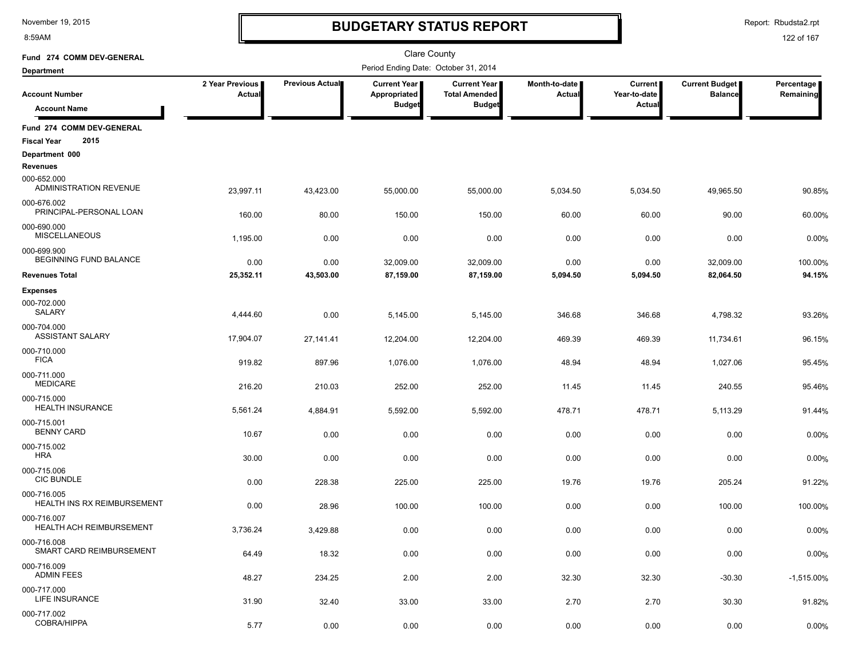8:59AM

### **BUDGETARY STATUS REPORT**

Report: Rbudsta2.rpt

| Fund 274 COMM DEV-GENERAL                                |                           |                        | <b>Clare County</b>                                    |                                                       |                         |                                                 |                                         |                         |
|----------------------------------------------------------|---------------------------|------------------------|--------------------------------------------------------|-------------------------------------------------------|-------------------------|-------------------------------------------------|-----------------------------------------|-------------------------|
| <b>Department</b>                                        |                           |                        | Period Ending Date: October 31, 2014                   |                                                       |                         |                                                 |                                         |                         |
| <b>Account Number</b>                                    | 2 Year Previous<br>Actual | <b>Previous Actual</b> | <b>Current Year I</b><br>Appropriated<br><b>Budget</b> | Current Year<br><b>Total Amended</b><br><b>Budget</b> | Month-to-date<br>Actual | <b>Current</b><br>Year-to-date<br><b>Actual</b> | <b>Current Budget</b><br><b>Balance</b> | Percentage<br>Remaining |
| <b>Account Name</b>                                      |                           |                        |                                                        |                                                       |                         |                                                 |                                         |                         |
| Fund 274 COMM DEV-GENERAL<br>2015<br><b>Fiscal Year</b>  |                           |                        |                                                        |                                                       |                         |                                                 |                                         |                         |
| Department 000                                           |                           |                        |                                                        |                                                       |                         |                                                 |                                         |                         |
| <b>Revenues</b><br>000-652.000<br>ADMINISTRATION REVENUE | 23,997.11                 | 43,423.00              | 55,000.00                                              | 55,000.00                                             | 5,034.50                | 5,034.50                                        | 49,965.50                               | 90.85%                  |
| 000-676.002<br>PRINCIPAL-PERSONAL LOAN                   | 160.00                    | 80.00                  | 150.00                                                 | 150.00                                                | 60.00                   | 60.00                                           | 90.00                                   | 60.00%                  |
| 000-690.000<br><b>MISCELLANEOUS</b>                      | 1,195.00                  | 0.00                   | 0.00                                                   | 0.00                                                  | 0.00                    | 0.00                                            | 0.00                                    | 0.00%                   |
| 000-699.900<br>BEGINNING FUND BALANCE                    | 0.00                      | 0.00                   | 32,009.00                                              | 32,009.00                                             | 0.00                    | 0.00                                            | 32,009.00                               | 100.00%                 |
| <b>Revenues Total</b>                                    | 25,352.11                 | 43,503.00              | 87,159.00                                              | 87,159.00                                             | 5,094.50                | 5,094.50                                        | 82,064.50                               | 94.15%                  |
| <b>Expenses</b><br>000-702.000<br><b>SALARY</b>          | 4,444.60                  | 0.00                   | 5,145.00                                               | 5,145.00                                              | 346.68                  | 346.68                                          | 4,798.32                                | 93.26%                  |
| 000-704.000<br><b>ASSISTANT SALARY</b>                   | 17,904.07                 | 27,141.41              | 12,204.00                                              | 12,204.00                                             | 469.39                  | 469.39                                          | 11,734.61                               | 96.15%                  |
| 000-710.000<br><b>FICA</b>                               | 919.82                    | 897.96                 | 1,076.00                                               | 1,076.00                                              | 48.94                   | 48.94                                           | 1,027.06                                | 95.45%                  |
| 000-711.000<br><b>MEDICARE</b>                           | 216.20                    | 210.03                 | 252.00                                                 | 252.00                                                | 11.45                   | 11.45                                           | 240.55                                  | 95.46%                  |
| 000-715.000<br><b>HEALTH INSURANCE</b>                   | 5,561.24                  | 4,884.91               | 5,592.00                                               | 5,592.00                                              | 478.71                  | 478.71                                          | 5,113.29                                | 91.44%                  |
| 000-715.001<br><b>BENNY CARD</b>                         | 10.67                     | 0.00                   | 0.00                                                   | 0.00                                                  | 0.00                    | 0.00                                            | 0.00                                    | 0.00%                   |
| 000-715.002<br><b>HRA</b>                                | 30.00                     | 0.00                   | 0.00                                                   | 0.00                                                  | 0.00                    | 0.00                                            | 0.00                                    | 0.00%                   |
| 000-715.006<br><b>CIC BUNDLE</b>                         | 0.00                      | 228.38                 | 225.00                                                 | 225.00                                                | 19.76                   | 19.76                                           | 205.24                                  | 91.22%                  |
| 000-716.005<br>HEALTH INS RX REIMBURSEMENT               | 0.00                      | 28.96                  | 100.00                                                 | 100.00                                                | 0.00                    | 0.00                                            | 100.00                                  | 100.00%                 |
| 000-716.007<br>HEALTH ACH REIMBURSEMENT                  | 3,736.24                  | 3.429.88               | 0.00                                                   | 0.00                                                  | 0.00                    | 0.00                                            | 0.00                                    | 0.00%                   |
| 000-716.008<br>SMART CARD REIMBURSEMENT                  | 64.49                     | 18.32                  | 0.00                                                   | 0.00                                                  | 0.00                    | 0.00                                            | 0.00                                    | 0.00%                   |
| 000-716.009<br><b>ADMIN FEES</b>                         | 48.27                     | 234.25                 | 2.00                                                   | 2.00                                                  | 32.30                   | 32.30                                           | $-30.30$                                | $-1,515.00\%$           |
| 000-717.000<br><b>LIFE INSURANCE</b>                     | 31.90                     | 32.40                  | 33.00                                                  | 33.00                                                 | 2.70                    | 2.70                                            | 30.30                                   | 91.82%                  |
| 000-717.002<br>COBRA/HIPPA                               | 5.77                      | 0.00                   | 0.00                                                   | 0.00                                                  | 0.00                    | 0.00                                            | 0.00                                    | 0.00%                   |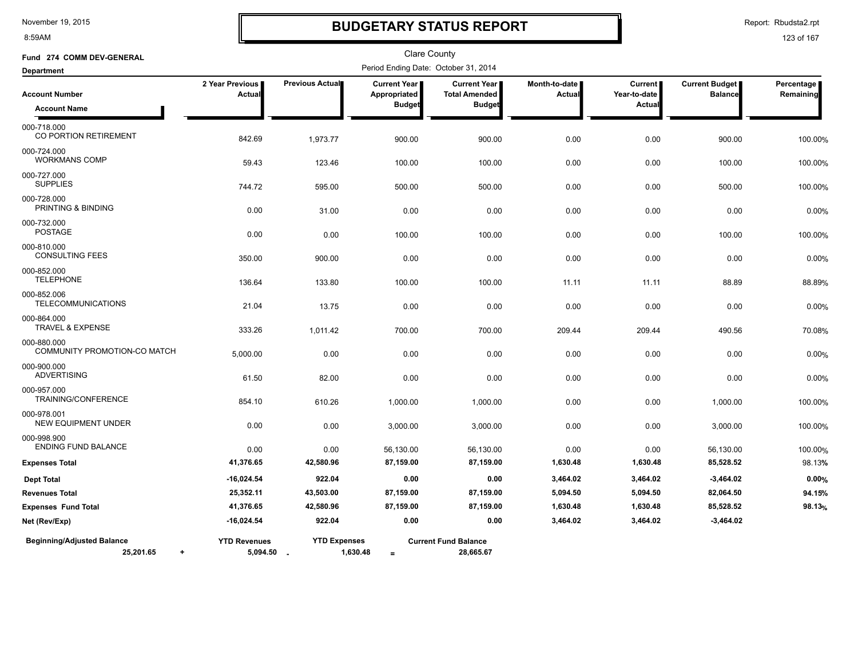8:59AM

### **BUDGETARY STATUS REPORT**

Report: Rbudsta2.rpt

| Fund 274 COMM DEV-GENERAL                                   |                                   |                     | Clare County                         |                                          |                         |                                |                                         |                         |
|-------------------------------------------------------------|-----------------------------------|---------------------|--------------------------------------|------------------------------------------|-------------------------|--------------------------------|-----------------------------------------|-------------------------|
| <b>Department</b>                                           |                                   |                     | Period Ending Date: October 31, 2014 |                                          |                         |                                |                                         |                         |
| <b>Account Number</b>                                       | 2 Year Previous<br>Actual         | Previous Actual     | <b>Current Year</b><br>Appropriated  | Current Year<br><b>Total Amended</b>     | Month-to-date<br>Actual | <b>Current</b><br>Year-to-date | <b>Current Budget</b><br><b>Balance</b> | Percentage<br>Remaining |
| <b>Account Name</b>                                         |                                   |                     | <b>Budget</b>                        | <b>Budget</b>                            |                         | Actual                         |                                         |                         |
| 000-718.000<br>CO PORTION RETIREMENT                        | 842.69                            | 1,973.77            | 900.00                               | 900.00                                   | 0.00                    | 0.00                           | 900.00                                  | 100.00%                 |
| 000-724.000<br><b>WORKMANS COMP</b>                         | 59.43                             | 123.46              | 100.00                               | 100.00                                   | 0.00                    | 0.00                           | 100.00                                  | 100.00%                 |
| 000-727.000<br><b>SUPPLIES</b>                              | 744.72                            | 595.00              | 500.00                               | 500.00                                   | 0.00                    | 0.00                           | 500.00                                  | 100.00%                 |
| 000-728.000<br>PRINTING & BINDING                           | 0.00                              | 31.00               | 0.00                                 | 0.00                                     | 0.00                    | 0.00                           | 0.00                                    | 0.00%                   |
| 000-732.000<br><b>POSTAGE</b>                               | 0.00                              | 0.00                | 100.00                               | 100.00                                   | 0.00                    | 0.00                           | 100.00                                  | 100.00%                 |
| 000-810.000<br><b>CONSULTING FEES</b>                       | 350.00                            | 900.00              | 0.00                                 | 0.00                                     | 0.00                    | 0.00                           | 0.00                                    | 0.00%                   |
| 000-852.000<br><b>TELEPHONE</b>                             | 136.64                            | 133.80              | 100.00                               | 100.00                                   | 11.11                   | 11.11                          | 88.89                                   | 88.89%                  |
| 000-852.006<br><b>TELECOMMUNICATIONS</b>                    | 21.04                             | 13.75               | 0.00                                 | 0.00                                     | 0.00                    | 0.00                           | 0.00                                    | 0.00%                   |
| 000-864.000<br>TRAVEL & EXPENSE                             | 333.26                            | 1,011.42            | 700.00                               | 700.00                                   | 209.44                  | 209.44                         | 490.56                                  | 70.08%                  |
| 000-880.000<br>COMMUNITY PROMOTION-CO MATCH                 | 5,000.00                          | 0.00                | 0.00                                 | 0.00                                     | 0.00                    | 0.00                           | 0.00                                    | 0.00%                   |
| 000-900.000<br><b>ADVERTISING</b>                           | 61.50                             | 82.00               | 0.00                                 | 0.00                                     | 0.00                    | 0.00                           | 0.00                                    | 0.00%                   |
| 000-957.000<br>TRAINING/CONFERENCE                          | 854.10                            | 610.26              | 1,000.00                             | 1,000.00                                 | 0.00                    | 0.00                           | 1,000.00                                | 100.00%                 |
| 000-978.001<br>NEW EQUIPMENT UNDER                          | 0.00                              | 0.00                | 3,000.00                             | 3,000.00                                 | 0.00                    | 0.00                           | 3,000.00                                | 100.00%                 |
| 000-998.900<br><b>ENDING FUND BALANCE</b>                   | 0.00                              | 0.00                | 56,130.00                            | 56,130.00                                | 0.00                    | 0.00                           | 56,130.00                               | 100.00%                 |
| <b>Expenses Total</b>                                       | 41,376.65                         | 42,580.96           | 87,159.00                            | 87,159.00                                | 1,630.48                | 1,630.48                       | 85,528.52                               | 98.13%                  |
| <b>Dept Total</b>                                           | $-16,024.54$                      | 922.04              | 0.00                                 | 0.00                                     | 3,464.02                | 3,464.02                       | $-3,464.02$                             | 0.00%                   |
| <b>Revenues Total</b>                                       | 25,352.11                         | 43,503.00           | 87,159.00                            | 87,159.00                                | 5,094.50                | 5,094.50                       | 82,064.50                               | 94.15%                  |
| <b>Expenses Fund Total</b>                                  | 41,376.65                         | 42,580.96           | 87,159.00                            | 87,159.00                                | 1,630.48                | 1,630.48                       | 85,528.52                               | 98.13%                  |
| Net (Rev/Exp)                                               | $-16,024.54$                      | 922.04              | 0.00                                 | 0.00                                     | 3,464.02                | 3,464.02                       | $-3,464.02$                             |                         |
| <b>Beginning/Adjusted Balance</b><br>25,201.65<br>$\ddot{}$ | <b>YTD Revenues</b><br>5,094.50 _ | <b>YTD Expenses</b> | 1,630.48<br>$=$                      | <b>Current Fund Balance</b><br>28,665.67 |                         |                                |                                         |                         |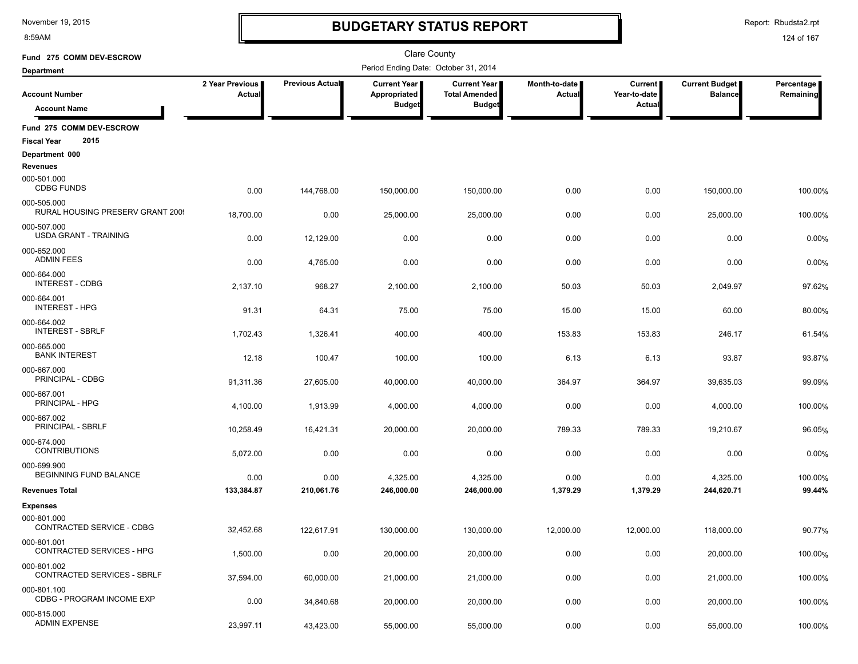8:59AM

### **BUDGETARY STATUS REPORT**

Report: Rbudsta2.rpt

| Fund 275 COMM DEV-ESCROW                               |                           |                 | <b>Clare County</b>                  |                                      |                                |                                |                                         |                         |
|--------------------------------------------------------|---------------------------|-----------------|--------------------------------------|--------------------------------------|--------------------------------|--------------------------------|-----------------------------------------|-------------------------|
| <b>Department</b>                                      |                           |                 | Period Ending Date: October 31, 2014 |                                      |                                |                                |                                         |                         |
| <b>Account Number</b>                                  | 2 Year Previous<br>Actual | Previous Actual | Current Year<br>Appropriated         | Current Year<br><b>Total Amended</b> | Month-to-date<br><b>Actual</b> | <b>Current</b><br>Year-to-date | <b>Current Budget</b><br><b>Balance</b> | Percentage<br>Remaining |
| <b>Account Name</b>                                    |                           |                 | <b>Budget</b>                        | <b>Budget</b>                        |                                | Actual                         |                                         |                         |
| Fund 275 COMM DEV-ESCROW<br>2015<br><b>Fiscal Year</b> |                           |                 |                                      |                                      |                                |                                |                                         |                         |
| Department 000                                         |                           |                 |                                      |                                      |                                |                                |                                         |                         |
| Revenues                                               |                           |                 |                                      |                                      |                                |                                |                                         |                         |
| 000-501.000<br><b>CDBG FUNDS</b>                       | 0.00                      | 144,768.00      | 150,000.00                           | 150,000.00                           | 0.00                           | 0.00                           | 150,000.00                              | 100.00%                 |
| 000-505.000<br>RURAL HOUSING PRESERV GRANT 2009        | 18,700.00                 | 0.00            | 25,000.00                            | 25,000.00                            | 0.00                           | 0.00                           | 25,000.00                               | 100.00%                 |
| 000-507.000<br><b>USDA GRANT - TRAINING</b>            | 0.00                      | 12,129.00       | 0.00                                 | 0.00                                 | 0.00                           | 0.00                           | 0.00                                    | 0.00%                   |
| 000-652.000<br><b>ADMIN FEES</b>                       | 0.00                      | 4,765.00        | 0.00                                 | 0.00                                 | 0.00                           | 0.00                           | 0.00                                    | 0.00%                   |
| 000-664.000<br><b>INTEREST - CDBG</b>                  | 2,137.10                  | 968.27          | 2,100.00                             | 2,100.00                             | 50.03                          | 50.03                          | 2,049.97                                | 97.62%                  |
| 000-664.001<br><b>INTEREST - HPG</b>                   | 91.31                     | 64.31           | 75.00                                | 75.00                                | 15.00                          | 15.00                          | 60.00                                   | 80.00%                  |
| 000-664.002<br><b>INTEREST - SBRLF</b>                 | 1,702.43                  | 1,326.41        | 400.00                               | 400.00                               | 153.83                         | 153.83                         | 246.17                                  | 61.54%                  |
| 000-665.000<br><b>BANK INTEREST</b>                    | 12.18                     | 100.47          | 100.00                               | 100.00                               | 6.13                           | 6.13                           | 93.87                                   | 93.87%                  |
| 000-667.000<br>PRINCIPAL - CDBG                        | 91,311.36                 | 27,605.00       | 40,000.00                            | 40,000.00                            | 364.97                         | 364.97                         | 39,635.03                               | 99.09%                  |
| 000-667.001<br>PRINCIPAL - HPG                         | 4,100.00                  | 1,913.99        | 4,000.00                             | 4,000.00                             | 0.00                           | 0.00                           | 4,000.00                                | 100.00%                 |
| 000-667.002<br>PRINCIPAL - SBRLF                       | 10,258.49                 | 16,421.31       | 20,000.00                            | 20,000.00                            | 789.33                         | 789.33                         | 19,210.67                               | 96.05%                  |
| 000-674.000<br><b>CONTRIBUTIONS</b>                    | 5,072.00                  | 0.00            | 0.00                                 | 0.00                                 | 0.00                           | 0.00                           | 0.00                                    | 0.00%                   |
| 000-699.900<br>BEGINNING FUND BALANCE                  | 0.00                      | 0.00            | 4,325.00                             | 4,325.00                             | 0.00                           | 0.00                           | 4,325.00                                | 100.00%                 |
| <b>Revenues Total</b>                                  | 133,384.87                | 210,061.76      | 246,000.00                           | 246,000.00                           | 1,379.29                       | 1,379.29                       | 244,620.71                              | 99.44%                  |
| <b>Expenses</b>                                        |                           |                 |                                      |                                      |                                |                                |                                         |                         |
| 000-801.000<br>CONTRACTED SERVICE - CDBG               | 32,452.68                 | 122,617.91      | 130,000.00                           | 130.000.00                           | 12,000.00                      | 12,000.00                      | 118,000.00                              | 90.77%                  |
| 000-801.001<br>CONTRACTED SERVICES - HPG               | 1,500.00                  | 0.00            | 20,000.00                            | 20,000.00                            | 0.00                           | 0.00                           | 20,000.00                               | 100.00%                 |
| 000-801.002<br>CONTRACTED SERVICES - SBRLF             | 37,594.00                 | 60,000.00       | 21,000.00                            | 21,000.00                            | 0.00                           | 0.00                           | 21,000.00                               | 100.00%                 |
| 000-801.100<br>CDBG - PROGRAM INCOME EXP               | 0.00                      | 34,840.68       | 20,000.00                            | 20,000.00                            | 0.00                           | 0.00                           | 20,000.00                               | 100.00%                 |
| 000-815.000<br><b>ADMIN EXPENSE</b>                    | 23,997.11                 | 43,423.00       | 55,000.00                            | 55,000.00                            | 0.00                           | 0.00                           | 55,000.00                               | 100.00%                 |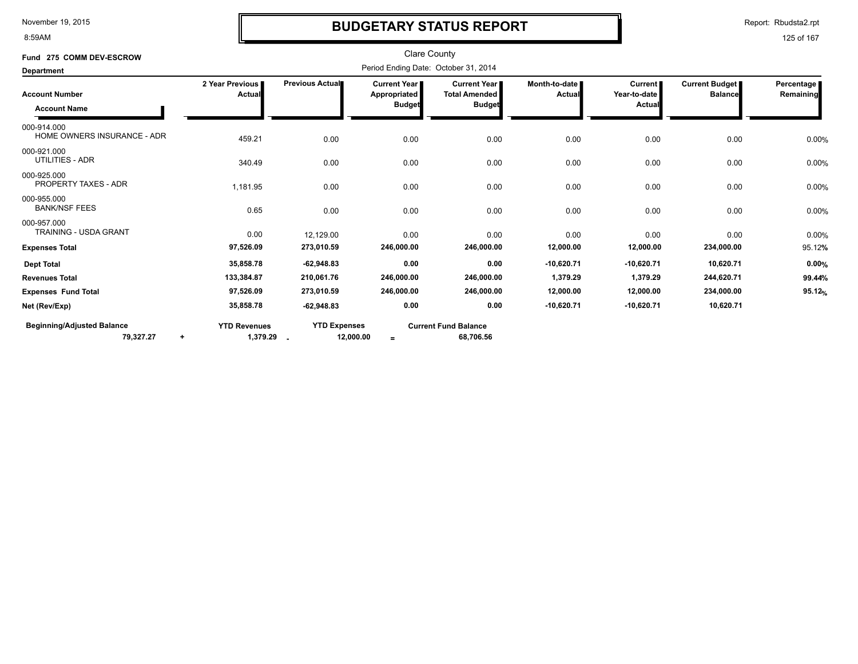8:59AM

### **BUDGETARY STATUS REPORT**

Report: Rbudsta2.rpt

| Fund 275 COMM DEV-ESCROW                       |                                              |                                  | <b>Clare County</b>                           |                                                                |                           |                                          |                                         |                         |
|------------------------------------------------|----------------------------------------------|----------------------------------|-----------------------------------------------|----------------------------------------------------------------|---------------------------|------------------------------------------|-----------------------------------------|-------------------------|
| <b>Department</b>                              |                                              |                                  |                                               | Period Ending Date: October 31, 2014                           |                           |                                          |                                         |                         |
| <b>Account Number</b><br><b>Account Name</b>   | 2 Year Previous<br>Actual                    | Previous Actual                  | Current Year<br>Appropriated<br><b>Budget</b> | <b>Current Year I</b><br><b>Total Amended</b><br><b>Budget</b> | Month-to-date  <br>Actual | <b>Current</b><br>Year-to-date<br>Actual | <b>Current Budget</b><br><b>Balance</b> | Percentage<br>Remaining |
| 000-914.000<br>HOME OWNERS INSURANCE - ADR     | 459.21                                       | 0.00                             | 0.00                                          | 0.00                                                           | 0.00                      | 0.00                                     | 0.00                                    | 0.00%                   |
| 000-921.000<br>UTILITIES - ADR                 | 340.49                                       | 0.00                             | 0.00                                          | 0.00                                                           | 0.00                      | 0.00                                     | 0.00                                    | 0.00%                   |
| 000-925.000<br><b>PROPERTY TAXES - ADR</b>     | 1,181.95                                     | 0.00                             | 0.00                                          | 0.00                                                           | 0.00                      | 0.00                                     | 0.00                                    | 0.00%                   |
| 000-955.000<br><b>BANK/NSF FEES</b>            | 0.65                                         | 0.00                             | 0.00                                          | 0.00                                                           | 0.00                      | 0.00                                     | 0.00                                    | 0.00%                   |
| 000-957.000<br><b>TRAINING - USDA GRANT</b>    | 0.00                                         | 12,129.00                        | 0.00                                          | 0.00                                                           | 0.00                      | 0.00                                     | 0.00                                    | 0.00%                   |
| <b>Expenses Total</b>                          | 97,526.09                                    | 273,010.59                       | 246,000.00                                    | 246,000.00                                                     | 12,000.00                 | 12,000.00                                | 234,000.00                              | 95.12%                  |
| <b>Dept Total</b>                              | 35,858.78                                    | $-62,948.83$                     | 0.00                                          | 0.00                                                           | $-10,620.71$              | $-10,620.71$                             | 10,620.71                               | 0.00%                   |
| <b>Revenues Total</b>                          | 133,384.87                                   | 210,061.76                       | 246,000.00                                    | 246,000.00                                                     | 1,379.29                  | 1,379.29                                 | 244,620.71                              | 99.44%                  |
| <b>Expenses Fund Total</b>                     | 97,526.09                                    | 273,010.59                       | 246,000.00                                    | 246,000.00                                                     | 12,000.00                 | 12,000.00                                | 234,000.00                              | 95.12%                  |
| Net (Rev/Exp)                                  | 35,858.78                                    | $-62,948.83$                     | 0.00                                          | 0.00                                                           | $-10,620.71$              | $-10,620.71$                             | 10,620.71                               |                         |
| <b>Beginning/Adjusted Balance</b><br>79,327.27 | <b>YTD Revenues</b><br>1,379.29<br>$\ddot{}$ | <b>YTD Expenses</b><br>12,000.00 | $=$                                           | <b>Current Fund Balance</b><br>68,706.56                       |                           |                                          |                                         |                         |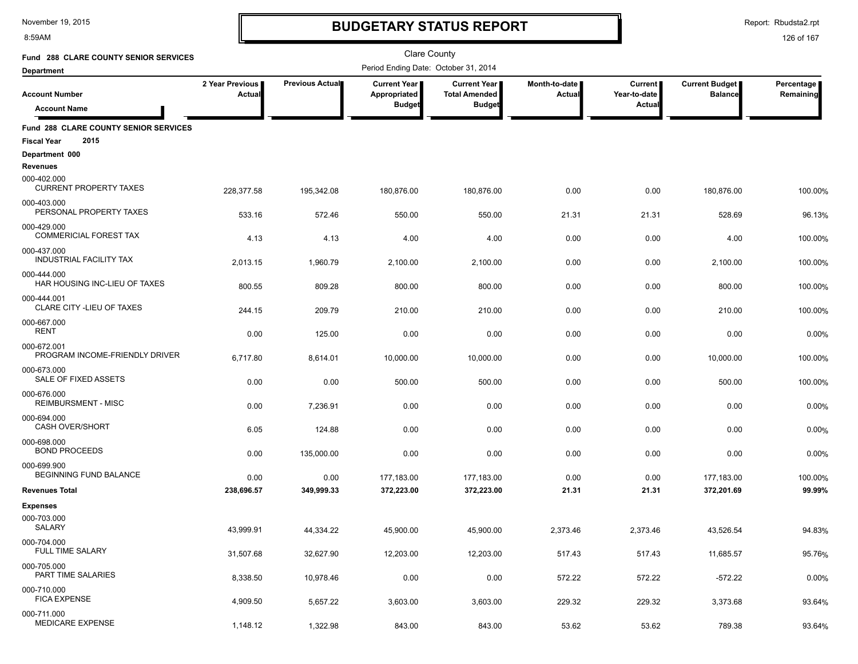8:59AM

# **BUDGETARY STATUS REPORT**

Report: Rbudsta2.rpt

| <b>Fund 288 CLARE COUNTY SENIOR SERVICES</b>                        |                           |                 | Clare County                                  |                                                              |                         |                                          |                                         |                         |
|---------------------------------------------------------------------|---------------------------|-----------------|-----------------------------------------------|--------------------------------------------------------------|-------------------------|------------------------------------------|-----------------------------------------|-------------------------|
| <b>Department</b>                                                   |                           |                 | Period Ending Date: October 31, 2014          |                                                              |                         |                                          |                                         |                         |
| <b>Account Number</b>                                               | 2 Year Previous<br>Actual | Previous Actual | Current Year<br>Appropriated<br><b>Budget</b> | <b>Current Year</b><br><b>Total Amended</b><br><b>Budget</b> | Month-to-date<br>Actual | <b>Current</b><br>Year-to-date<br>Actual | <b>Current Budget</b><br><b>Balance</b> | Percentage<br>Remaining |
| <b>Account Name</b>                                                 |                           |                 |                                               |                                                              |                         |                                          |                                         |                         |
| Fund 288 CLARE COUNTY SENIOR SERVICES<br>2015<br><b>Fiscal Year</b> |                           |                 |                                               |                                                              |                         |                                          |                                         |                         |
| Department 000<br><b>Revenues</b>                                   |                           |                 |                                               |                                                              |                         |                                          |                                         |                         |
| 000-402.000<br><b>CURRENT PROPERTY TAXES</b>                        | 228,377.58                | 195,342.08      | 180,876.00                                    | 180,876.00                                                   | 0.00                    | 0.00                                     | 180,876.00                              | 100.00%                 |
| 000-403.000<br>PERSONAL PROPERTY TAXES                              | 533.16                    | 572.46          | 550.00                                        | 550.00                                                       | 21.31                   | 21.31                                    | 528.69                                  | 96.13%                  |
| 000-429.000<br><b>COMMERICIAL FOREST TAX</b>                        | 4.13                      | 4.13            | 4.00                                          | 4.00                                                         | 0.00                    | 0.00                                     | 4.00                                    | 100.00%                 |
| 000-437.000<br><b>INDUSTRIAL FACILITY TAX</b>                       | 2,013.15                  | 1,960.79        | 2,100.00                                      | 2,100.00                                                     | 0.00                    | 0.00                                     | 2,100.00                                | 100.00%                 |
| 000-444.000<br>HAR HOUSING INC-LIEU OF TAXES                        | 800.55                    | 809.28          | 800.00                                        | 800.00                                                       | 0.00                    | 0.00                                     | 800.00                                  | 100.00%                 |
| 000-444.001<br><b>CLARE CITY - LIEU OF TAXES</b>                    | 244.15                    | 209.79          | 210.00                                        | 210.00                                                       | 0.00                    | 0.00                                     | 210.00                                  | 100.00%                 |
| 000-667.000<br><b>RENT</b>                                          | 0.00                      | 125.00          | 0.00                                          | 0.00                                                         | 0.00                    | 0.00                                     | 0.00                                    | 0.00%                   |
| 000-672.001<br>PROGRAM INCOME-FRIENDLY DRIVER                       | 6,717.80                  | 8,614.01        | 10,000.00                                     | 10,000.00                                                    | 0.00                    | 0.00                                     | 10,000.00                               | 100.00%                 |
| 000-673.000<br>SALE OF FIXED ASSETS                                 | 0.00                      | 0.00            | 500.00                                        | 500.00                                                       | 0.00                    | 0.00                                     | 500.00                                  | 100.00%                 |
| 000-676.000<br><b>REIMBURSMENT - MISC</b>                           | 0.00                      | 7,236.91        | 0.00                                          | 0.00                                                         | 0.00                    | 0.00                                     | 0.00                                    | 0.00%                   |
| 000-694.000<br><b>CASH OVER/SHORT</b>                               | 6.05                      | 124.88          | 0.00                                          | 0.00                                                         | 0.00                    | 0.00                                     | 0.00                                    | 0.00%                   |
| 000-698.000<br><b>BOND PROCEEDS</b>                                 | 0.00                      | 135,000.00      | 0.00                                          | 0.00                                                         | 0.00                    | 0.00                                     | 0.00                                    | 0.00%                   |
| 000-699.900<br>BEGINNING FUND BALANCE                               | 0.00                      | 0.00            | 177,183.00                                    | 177,183.00                                                   | 0.00                    | 0.00                                     | 177,183.00                              | 100.00%                 |
| <b>Revenues Total</b>                                               | 238,696.57                | 349,999.33      | 372,223.00                                    | 372,223.00                                                   | 21.31                   | 21.31                                    | 372,201.69                              | 99.99%                  |
| <b>Expenses</b>                                                     |                           |                 |                                               |                                                              |                         |                                          |                                         |                         |
| 000-703.000<br>SALARY                                               | 43.999.91                 | 44.334.22       | 45,900.00                                     | 45,900.00                                                    | 2,373.46                | 2,373.46                                 | 43.526.54                               | 94.83%                  |
| 000-704.000<br>FULL TIME SALARY                                     | 31,507.68                 | 32,627.90       | 12,203.00                                     | 12,203.00                                                    | 517.43                  | 517.43                                   | 11,685.57                               | 95.76%                  |
| 000-705.000<br>PART TIME SALARIES                                   | 8,338.50                  | 10,978.46       | 0.00                                          | 0.00                                                         | 572.22                  | 572.22                                   | $-572.22$                               | 0.00%                   |
| 000-710.000<br><b>FICA EXPENSE</b>                                  | 4,909.50                  | 5,657.22        | 3,603.00                                      | 3,603.00                                                     | 229.32                  | 229.32                                   | 3,373.68                                | 93.64%                  |
| 000-711.000<br>MEDICARE EXPENSE                                     | 1,148.12                  | 1,322.98        | 843.00                                        | 843.00                                                       | 53.62                   | 53.62                                    | 789.38                                  | 93.64%                  |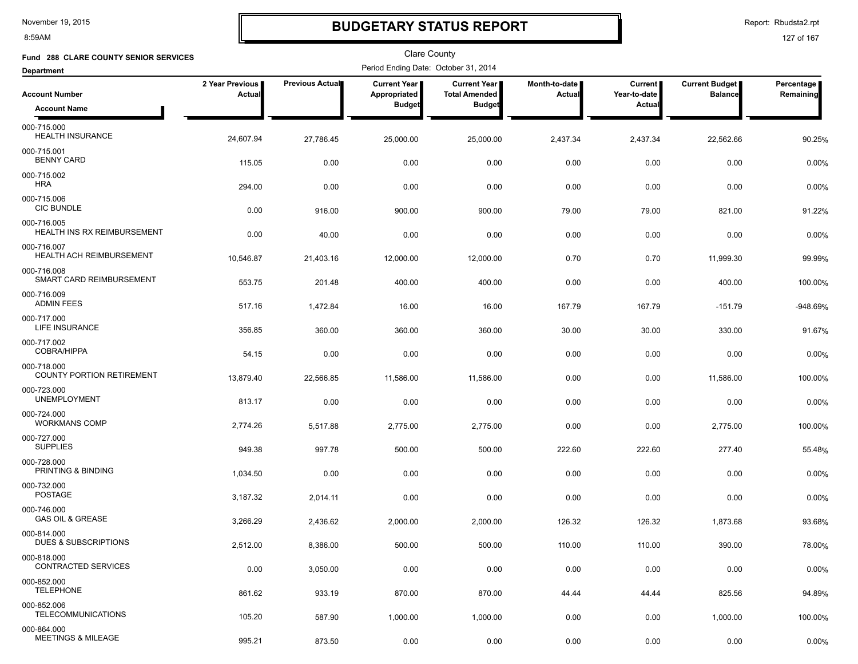8:59AM

### **BUDGETARY STATUS REPORT**

Report: Rbudsta2.rpt

| Fund 288 CLARE COUNTY SENIOR SERVICES           |                           |                        | <b>Clare County</b>                  |                                             |                         |                                |                                  |                           |
|-------------------------------------------------|---------------------------|------------------------|--------------------------------------|---------------------------------------------|-------------------------|--------------------------------|----------------------------------|---------------------------|
| <b>Department</b>                               |                           |                        | Period Ending Date: October 31, 2014 |                                             |                         |                                |                                  |                           |
| <b>Account Number</b>                           | 2 Year Previous<br>Actual | <b>Previous Actual</b> | <b>Current Year</b><br>Appropriated  | <b>Current Year</b><br><b>Total Amended</b> | Month-to-date<br>Actual | <b>Current</b><br>Year-to-date | Current Budget<br><b>Balance</b> | Percentage  <br>Remaining |
| <b>Account Name</b>                             |                           |                        | <b>Budget</b>                        | <b>Budget</b>                               |                         | <b>Actual</b>                  |                                  |                           |
| 000-715.000<br><b>HEALTH INSURANCE</b>          | 24,607.94                 | 27,786.45              | 25,000.00                            | 25,000.00                                   | 2,437.34                | 2,437.34                       | 22,562.66                        | 90.25%                    |
| 000-715.001<br><b>BENNY CARD</b>                | 115.05                    | 0.00                   | 0.00                                 | 0.00                                        | 0.00                    | 0.00                           | 0.00                             | 0.00%                     |
| 000-715.002<br><b>HRA</b>                       | 294.00                    | 0.00                   | 0.00                                 | 0.00                                        | 0.00                    | 0.00                           | 0.00                             | 0.00%                     |
| 000-715.006<br><b>CIC BUNDLE</b>                | 0.00                      | 916.00                 | 900.00                               | 900.00                                      | 79.00                   | 79.00                          | 821.00                           | 91.22%                    |
| 000-716.005<br>HEALTH INS RX REIMBURSEMENT      | 0.00                      | 40.00                  | 0.00                                 | 0.00                                        | 0.00                    | 0.00                           | 0.00                             | 0.00%                     |
| 000-716.007<br><b>HEALTH ACH REIMBURSEMENT</b>  | 10,546.87                 | 21,403.16              | 12,000.00                            | 12,000.00                                   | 0.70                    | 0.70                           | 11,999.30                        | 99.99%                    |
| 000-716.008<br>SMART CARD REIMBURSEMENT         | 553.75                    | 201.48                 | 400.00                               | 400.00                                      | 0.00                    | 0.00                           | 400.00                           | 100.00%                   |
| 000-716.009<br><b>ADMIN FEES</b>                | 517.16                    | 1,472.84               | 16.00                                | 16.00                                       | 167.79                  | 167.79                         | $-151.79$                        | -948.69%                  |
| 000-717.000<br><b>LIFE INSURANCE</b>            | 356.85                    | 360.00                 | 360.00                               | 360.00                                      | 30.00                   | 30.00                          | 330.00                           | 91.67%                    |
| 000-717.002<br><b>COBRA/HIPPA</b>               | 54.15                     | 0.00                   | 0.00                                 | 0.00                                        | 0.00                    | 0.00                           | 0.00                             | 0.00%                     |
| 000-718.000<br><b>COUNTY PORTION RETIREMENT</b> | 13,879.40                 | 22,566.85              | 11,586.00                            | 11,586.00                                   | 0.00                    | 0.00                           | 11,586.00                        | 100.00%                   |
| 000-723.000<br><b>UNEMPLOYMENT</b>              | 813.17                    | 0.00                   | 0.00                                 | 0.00                                        | 0.00                    | 0.00                           | 0.00                             | 0.00%                     |
| 000-724.000<br><b>WORKMANS COMP</b>             | 2,774.26                  | 5,517.88               | 2,775.00                             | 2,775.00                                    | 0.00                    | 0.00                           | 2,775.00                         | 100.00%                   |
| 000-727.000<br><b>SUPPLIES</b>                  | 949.38                    | 997.78                 | 500.00                               | 500.00                                      | 222.60                  | 222.60                         | 277.40                           | 55.48%                    |
| 000-728.000<br>PRINTING & BINDING               | 1,034.50                  | 0.00                   | 0.00                                 | 0.00                                        | 0.00                    | 0.00                           | 0.00                             | 0.00%                     |
| 000-732.000<br><b>POSTAGE</b>                   | 3,187.32                  | 2,014.11               | 0.00                                 | 0.00                                        | 0.00                    | 0.00                           | 0.00                             | 0.00%                     |
| 000-746.000<br><b>GAS OIL &amp; GREASE</b>      | 3,266.29                  | 2,436.62               | 2,000.00                             | 2,000.00                                    | 126.32                  | 126.32                         | 1,873.68                         | 93.68%                    |
| 000-814.000<br>DUES & SUBSCRIPTIONS             | 2,512.00                  | 8,386.00               | 500.00                               | 500.00                                      | 110.00                  | 110.00                         | 390.00                           | 78.00%                    |
| 000-818.000<br><b>CONTRACTED SERVICES</b>       | 0.00                      | 3,050.00               | 0.00                                 | 0.00                                        | 0.00                    | 0.00                           | 0.00                             | 0.00%                     |
| 000-852.000<br><b>TELEPHONE</b>                 | 861.62                    | 933.19                 | 870.00                               | 870.00                                      | 44.44                   | 44.44                          | 825.56                           | 94.89%                    |
| 000-852.006<br><b>TELECOMMUNICATIONS</b>        | 105.20                    | 587.90                 | 1,000.00                             | 1,000.00                                    | 0.00                    | 0.00                           | 1,000.00                         | 100.00%                   |
| 000-864.000<br><b>MEETINGS &amp; MILEAGE</b>    | 995.21                    | 873.50                 | 0.00                                 | 0.00                                        | 0.00                    | 0.00                           | 0.00                             | 0.00%                     |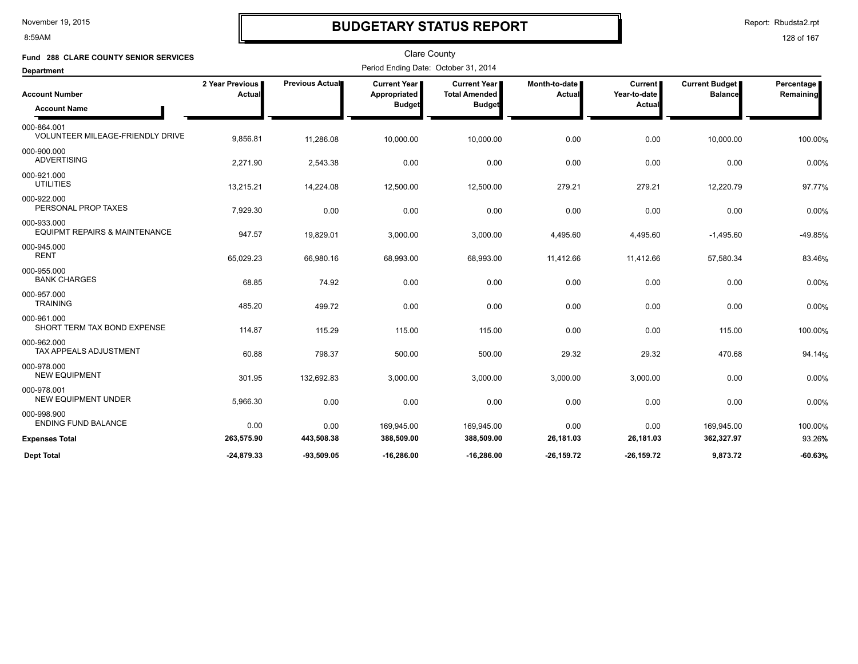8:59AM

### **BUDGETARY STATUS REPORT**

Report: Rbudsta2.rpt

| Fund 288 CLARE COUNTY SENIOR SERVICES                   |                           |                 |                                                        | <b>Clare County</b>                                            |                         |                                          |                                         |                         |
|---------------------------------------------------------|---------------------------|-----------------|--------------------------------------------------------|----------------------------------------------------------------|-------------------------|------------------------------------------|-----------------------------------------|-------------------------|
| <b>Department</b>                                       |                           |                 | Period Ending Date: October 31, 2014                   |                                                                |                         |                                          |                                         |                         |
| <b>Account Number</b><br><b>Account Name</b>            | 2 Year Previous<br>Actual | Previous Actual | <b>Current Year I</b><br>Appropriated<br><b>Budget</b> | <b>Current Year I</b><br><b>Total Amended</b><br><b>Budget</b> | Month-to-date<br>Actual | <b>Current</b><br>Year-to-date<br>Actual | <b>Current Budget</b><br><b>Balance</b> | Percentage<br>Remaining |
| 000-864.001<br><b>VOLUNTEER MILEAGE-FRIENDLY DRIVE</b>  | 9,856.81                  | 11,286.08       | 10,000.00                                              | 10,000.00                                                      | 0.00                    | 0.00                                     | 10,000.00                               | 100.00%                 |
| 000-900.000<br><b>ADVERTISING</b>                       | 2,271.90                  | 2,543.38        | 0.00                                                   | 0.00                                                           | 0.00                    | 0.00                                     | 0.00                                    | 0.00%                   |
| 000-921.000<br><b>UTILITIES</b>                         | 13,215.21                 | 14,224.08       | 12,500.00                                              | 12,500.00                                                      | 279.21                  | 279.21                                   | 12,220.79                               | 97.77%                  |
| 000-922.000<br>PERSONAL PROP TAXES                      | 7,929.30                  | 0.00            | 0.00                                                   | 0.00                                                           | 0.00                    | 0.00                                     | 0.00                                    | 0.00%                   |
| 000-933.000<br><b>EQUIPMT REPAIRS &amp; MAINTENANCE</b> | 947.57                    | 19,829.01       | 3,000.00                                               | 3,000.00                                                       | 4,495.60                | 4,495.60                                 | $-1,495.60$                             | -49.85%                 |
| 000-945.000<br><b>RENT</b>                              | 65,029.23                 | 66,980.16       | 68,993.00                                              | 68,993.00                                                      | 11,412.66               | 11,412.66                                | 57,580.34                               | 83.46%                  |
| 000-955.000<br><b>BANK CHARGES</b>                      | 68.85                     | 74.92           | 0.00                                                   | 0.00                                                           | 0.00                    | 0.00                                     | 0.00                                    | 0.00%                   |
| 000-957.000<br><b>TRAINING</b>                          | 485.20                    | 499.72          | 0.00                                                   | 0.00                                                           | 0.00                    | 0.00                                     | 0.00                                    | 0.00%                   |
| 000-961.000<br>SHORT TERM TAX BOND EXPENSE              | 114.87                    | 115.29          | 115.00                                                 | 115.00                                                         | 0.00                    | 0.00                                     | 115.00                                  | 100.00%                 |
| 000-962.000<br>TAX APPEALS ADJUSTMENT                   | 60.88                     | 798.37          | 500.00                                                 | 500.00                                                         | 29.32                   | 29.32                                    | 470.68                                  | 94.14%                  |
| 000-978.000<br><b>NEW EQUIPMENT</b>                     | 301.95                    | 132,692.83      | 3,000.00                                               | 3,000.00                                                       | 3,000.00                | 3,000.00                                 | 0.00                                    | 0.00%                   |
| 000-978.001<br><b>NEW EQUIPMENT UNDER</b>               | 5,966.30                  | 0.00            | 0.00                                                   | 0.00                                                           | 0.00                    | 0.00                                     | 0.00                                    | 0.00%                   |
| 000-998.900<br><b>ENDING FUND BALANCE</b>               | 0.00                      | 0.00            | 169,945.00                                             | 169,945.00                                                     | 0.00                    | 0.00                                     | 169,945.00                              | 100.00%                 |
| <b>Expenses Total</b>                                   | 263,575.90                | 443,508.38      | 388,509.00                                             | 388,509.00                                                     | 26,181.03               | 26,181.03                                | 362,327.97                              | 93.26%                  |
| <b>Dept Total</b>                                       | $-24.879.33$              | $-93.509.05$    | -16.286.00                                             | -16.286.00                                                     | $-26.159.72$            | -26.159.72                               | 9.873.72                                | $-60.63%$               |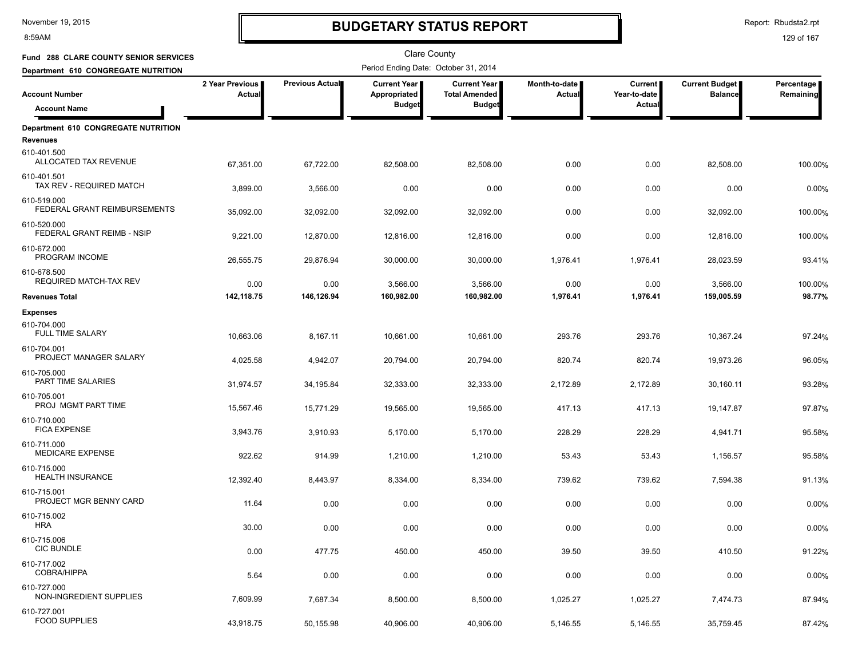8:59AM

### **BUDGETARY STATUS REPORT**

Report: Rbudsta2.rpt

| Fund 288 CLARE COUNTY SENIOR SERVICES           |                           |                 | Clare County                                  |                                                              |                         |                                          |                                         |                           |
|-------------------------------------------------|---------------------------|-----------------|-----------------------------------------------|--------------------------------------------------------------|-------------------------|------------------------------------------|-----------------------------------------|---------------------------|
| Department 610 CONGREGATE NUTRITION             |                           |                 | Period Ending Date: October 31, 2014          |                                                              |                         |                                          |                                         |                           |
| <b>Account Number</b>                           | 2 Year Previous<br>Actual | Previous Actual | Current Year<br>Appropriated<br><b>Budget</b> | <b>Current Year</b><br><b>Total Amended</b><br><b>Budget</b> | Month-to-date<br>Actual | <b>Current</b><br>Year-to-date<br>Actual | <b>Current Budget</b><br><b>Balance</b> | Percentage  <br>Remaining |
| <b>Account Name</b>                             |                           |                 |                                               |                                                              |                         |                                          |                                         |                           |
| Department 610 CONGREGATE NUTRITION<br>Revenues |                           |                 |                                               |                                                              |                         |                                          |                                         |                           |
| 610-401.500<br>ALLOCATED TAX REVENUE            | 67,351.00                 | 67,722.00       | 82,508.00                                     | 82,508.00                                                    | 0.00                    | 0.00                                     | 82,508.00                               | 100.00%                   |
| 610-401.501<br>TAX REV - REQUIRED MATCH         | 3,899.00                  | 3,566.00        | 0.00                                          | 0.00                                                         | 0.00                    | 0.00                                     | 0.00                                    | 0.00%                     |
| 610-519.000<br>FEDERAL GRANT REIMBURSEMENTS     | 35,092.00                 | 32,092.00       | 32,092.00                                     | 32,092.00                                                    | 0.00                    | 0.00                                     | 32,092.00                               | 100.00%                   |
| 610-520.000<br>FEDERAL GRANT REIMB - NSIP       | 9,221.00                  | 12,870.00       | 12,816.00                                     | 12,816.00                                                    | 0.00                    | 0.00                                     | 12,816.00                               | 100.00%                   |
| 610-672.000<br>PROGRAM INCOME                   | 26,555.75                 | 29,876.94       | 30,000.00                                     | 30,000.00                                                    | 1,976.41                | 1,976.41                                 | 28,023.59                               | 93.41%                    |
| 610-678.500<br>REQUIRED MATCH-TAX REV           | 0.00                      | 0.00            | 3,566.00                                      | 3,566.00                                                     | 0.00                    | 0.00                                     | 3,566.00                                | 100.00%                   |
| <b>Revenues Total</b>                           | 142,118.75                | 146,126.94      | 160,982.00                                    | 160,982.00                                                   | 1,976.41                | 1,976.41                                 | 159,005.59                              | 98.77%                    |
| <b>Expenses</b>                                 |                           |                 |                                               |                                                              |                         |                                          |                                         |                           |
| 610-704.000<br><b>FULL TIME SALARY</b>          | 10,663.06                 | 8,167.11        | 10,661.00                                     | 10,661.00                                                    | 293.76                  | 293.76                                   | 10,367.24                               | 97.24%                    |
| 610-704.001<br>PROJECT MANAGER SALARY           | 4,025.58                  | 4,942.07        | 20,794.00                                     | 20,794.00                                                    | 820.74                  | 820.74                                   | 19,973.26                               | 96.05%                    |
| 610-705.000<br>PART TIME SALARIES               | 31,974.57                 | 34,195.84       | 32,333.00                                     | 32,333.00                                                    | 2,172.89                | 2,172.89                                 | 30,160.11                               | 93.28%                    |
| 610-705.001<br>PROJ MGMT PART TIME              | 15,567.46                 | 15,771.29       | 19,565.00                                     | 19,565.00                                                    | 417.13                  | 417.13                                   | 19,147.87                               | 97.87%                    |
| 610-710.000<br><b>FICA EXPENSE</b>              | 3,943.76                  | 3,910.93        | 5,170.00                                      | 5,170.00                                                     | 228.29                  | 228.29                                   | 4,941.71                                | 95.58%                    |
| 610-711.000<br>MEDICARE EXPENSE                 | 922.62                    | 914.99          | 1,210.00                                      | 1,210.00                                                     | 53.43                   | 53.43                                    | 1,156.57                                | 95.58%                    |
| 610-715.000<br><b>HEALTH INSURANCE</b>          | 12,392.40                 | 8,443.97        | 8,334.00                                      | 8,334.00                                                     | 739.62                  | 739.62                                   | 7,594.38                                | 91.13%                    |
| 610-715.001<br>PROJECT MGR BENNY CARD           | 11.64                     | 0.00            | 0.00                                          | 0.00                                                         | 0.00                    | 0.00                                     | 0.00                                    | 0.00%                     |
| 610-715.002<br><b>HRA</b>                       | 30.00                     | 0.00            | 0.00                                          | 0.00                                                         | 0.00                    | 0.00                                     | 0.00                                    | 0.00%                     |
| 610-715.006<br><b>CIC BUNDLE</b>                | 0.00                      | 477.75          | 450.00                                        | 450.00                                                       | 39.50                   | 39.50                                    | 410.50                                  | 91.22%                    |
| 610-717.002<br>COBRA/HIPPA                      | 5.64                      | 0.00            | 0.00                                          | 0.00                                                         | 0.00                    | 0.00                                     | 0.00                                    | 0.00%                     |
| 610-727.000<br>NON-INGREDIENT SUPPLIES          | 7,609.99                  | 7,687.34        | 8,500.00                                      | 8,500.00                                                     | 1,025.27                | 1,025.27                                 | 7,474.73                                | 87.94%                    |
| 610-727.001<br><b>FOOD SUPPLIES</b>             | 43,918.75                 | 50,155.98       | 40,906.00                                     | 40,906.00                                                    | 5,146.55                | 5,146.55                                 | 35,759.45                               | 87.42%                    |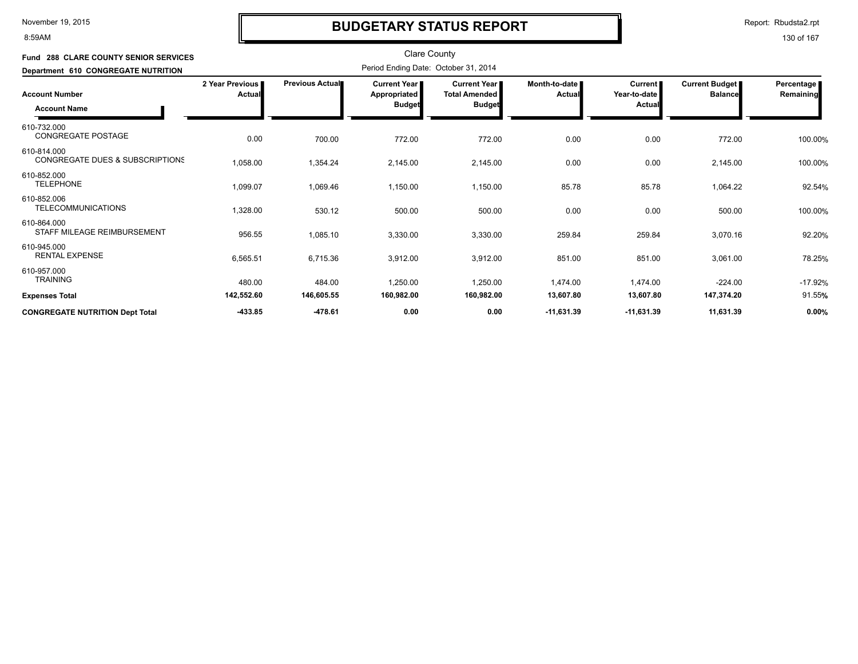8:59AM

### **BUDGETARY STATUS REPORT**

Report: Rbudsta2.rpt

| Fund 288 CLARE COUNTY SENIOR SERVICES                     |                           |                 | <b>Clare County</b>                          |                                             |                           |                           |                                  |                           |
|-----------------------------------------------------------|---------------------------|-----------------|----------------------------------------------|---------------------------------------------|---------------------------|---------------------------|----------------------------------|---------------------------|
| Department 610 CONGREGATE NUTRITION                       |                           |                 | Period Ending Date: October 31, 2014         |                                             |                           |                           |                                  |                           |
| Account Number                                            | 2 Year Previous<br>Actual | Previous Actual | <b>Current Year I</b><br><b>Appropriated</b> | <b>Current Year</b><br><b>Total Amended</b> | Month-to-date I<br>Actual | Current  <br>Year-to-date | Current Budget<br><b>Balance</b> | Percentage  <br>Remaining |
| <b>Account Name</b>                                       |                           |                 | Budget<br><b>Budget</b>                      |                                             | Actual                    |                           |                                  |                           |
| 610-732.000<br>CONGREGATE POSTAGE                         | 0.00                      | 700.00          | 772.00                                       | 772.00                                      | 0.00                      | 0.00                      | 772.00                           | 100.00%                   |
| 610-814.000<br><b>CONGREGATE DUES &amp; SUBSCRIPTIONS</b> | 1,058.00                  | 1,354.24        | 2,145.00                                     | 2,145.00                                    | 0.00                      | 0.00                      | 2,145.00                         | 100.00%                   |
| 610-852.000<br><b>TELEPHONE</b>                           | 1,099.07                  | 1,069.46        | 1,150.00                                     | 1,150.00                                    | 85.78                     | 85.78                     | 1,064.22                         | 92.54%                    |
| 610-852.006<br><b>TELECOMMUNICATIONS</b>                  | 1,328.00                  | 530.12          | 500.00                                       | 500.00                                      | 0.00                      | 0.00                      | 500.00                           | 100.00%                   |
| 610-864.000<br>STAFF MILEAGE REIMBURSEMENT                | 956.55                    | 1,085.10        | 3,330.00                                     | 3,330.00                                    | 259.84                    | 259.84                    | 3,070.16                         | 92.20%                    |
| 610-945.000<br><b>RENTAL EXPENSE</b>                      | 6,565.51                  | 6,715.36        | 3,912.00                                     | 3,912.00                                    | 851.00                    | 851.00                    | 3,061.00                         | 78.25%                    |
| 610-957.000<br><b>TRAINING</b>                            | 480.00                    | 484.00          | 1,250.00                                     | 1,250.00                                    | 1,474.00                  | 1,474.00                  | $-224.00$                        | $-17.92%$                 |
| Expenses Total                                            | 142,552.60                | 146,605.55      | 160,982.00                                   | 160,982.00                                  | 13,607.80                 | 13,607.80                 | 147,374.20                       | 91.55%                    |
| <b>CONGREGATE NUTRITION Dept Total</b>                    | -433.85                   | -478.61         | 0.00                                         | 0.00                                        | $-11,631.39$              | -11,631.39                | 11,631.39                        | 0.00%                     |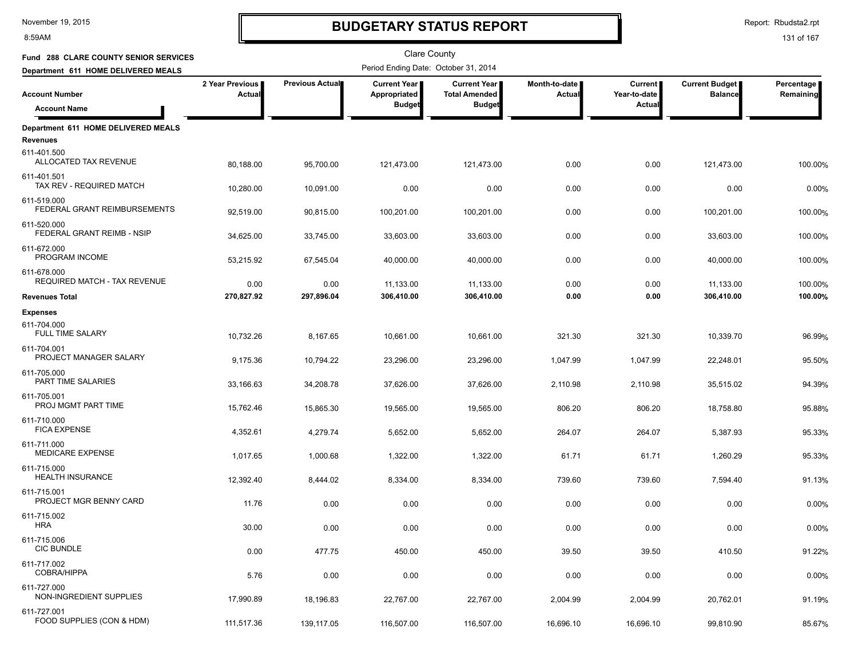8:59AM

### **BUDGETARY STATUS REPORT**

Report: Rbudsta2.rpt

| Fund 288 CLARE COUNTY SENIOR SERVICES        |                           |                 | <b>Clare County</b>                                    |                                                       |                                |                                     |                                         |                         |
|----------------------------------------------|---------------------------|-----------------|--------------------------------------------------------|-------------------------------------------------------|--------------------------------|-------------------------------------|-----------------------------------------|-------------------------|
| Department 611 HOME DELIVERED MEALS          |                           |                 | Period Ending Date: October 31, 2014                   |                                                       |                                |                                     |                                         |                         |
| <b>Account Number</b><br><b>Account Name</b> | 2 Year Previous<br>Actual | Previous Actual | <b>Current Year I</b><br>Appropriated<br><b>Budget</b> | Current Year<br><b>Total Amended</b><br><b>Budget</b> | Month-to-date<br><b>Actual</b> | Current  <br>Year-to-date<br>Actual | <b>Current Budget</b><br><b>Balance</b> | Percentage<br>Remaining |
| Department 611 HOME DELIVERED MEALS          |                           |                 |                                                        |                                                       |                                |                                     |                                         |                         |
| <b>Revenues</b>                              |                           |                 |                                                        |                                                       |                                |                                     |                                         |                         |
| 611-401.500<br>ALLOCATED TAX REVENUE         | 80,188.00                 | 95,700.00       | 121,473.00                                             | 121,473.00                                            | 0.00                           | 0.00                                | 121,473.00                              | 100.00%                 |
| 611-401.501<br>TAX REV - REQUIRED MATCH      | 10,280.00                 | 10,091.00       | 0.00                                                   | 0.00                                                  | 0.00                           | 0.00                                | 0.00                                    | 0.00%                   |
| 611-519.000<br>FEDERAL GRANT REIMBURSEMENTS  | 92,519.00                 | 90,815.00       | 100,201.00                                             | 100,201.00                                            | 0.00                           | 0.00                                | 100,201.00                              | 100.00%                 |
| 611-520.000<br>FEDERAL GRANT REIMB - NSIP    | 34,625.00                 | 33,745.00       | 33,603.00                                              | 33,603.00                                             | 0.00                           | 0.00                                | 33,603.00                               | 100.00%                 |
| 611-672.000<br>PROGRAM INCOME                | 53,215.92                 | 67,545.04       | 40,000.00                                              | 40,000.00                                             | 0.00                           | 0.00                                | 40,000.00                               | 100.00%                 |
| 611-678.000<br>REQUIRED MATCH - TAX REVENUE  | 0.00                      | 0.00            | 11,133.00                                              | 11,133.00                                             | 0.00                           | 0.00                                | 11,133.00                               | 100.00%                 |
| <b>Revenues Total</b>                        | 270,827.92                | 297,896.04      | 306,410.00                                             | 306,410.00                                            | 0.00                           | 0.00                                | 306,410.00                              | 100.00%                 |
| <b>Expenses</b>                              |                           |                 |                                                        |                                                       |                                |                                     |                                         |                         |
| 611-704.000<br><b>FULL TIME SALARY</b>       | 10,732.26                 | 8,167.65        | 10,661.00                                              | 10,661.00                                             | 321.30                         | 321.30                              | 10,339.70                               | 96.99%                  |
| 611-704.001<br>PROJECT MANAGER SALARY        | 9,175.36                  | 10,794.22       | 23,296.00                                              | 23,296.00                                             | 1,047.99                       | 1,047.99                            | 22,248.01                               | 95.50%                  |
| 611-705.000<br>PART TIME SALARIES            | 33,166.63                 | 34,208.78       | 37,626.00                                              | 37,626.00                                             | 2,110.98                       | 2,110.98                            | 35,515.02                               | 94.39%                  |
| 611-705.001<br>PROJ MGMT PART TIME           | 15,762.46                 | 15,865.30       | 19,565.00                                              | 19,565.00                                             | 806.20                         | 806.20                              | 18,758.80                               | 95.88%                  |
| 611-710.000<br><b>FICA EXPENSE</b>           | 4,352.61                  | 4,279.74        | 5,652.00                                               | 5,652.00                                              | 264.07                         | 264.07                              | 5,387.93                                | 95.33%                  |
| 611-711.000<br><b>MEDICARE EXPENSE</b>       | 1,017.65                  | 1,000.68        | 1,322.00                                               | 1,322.00                                              | 61.71                          | 61.71                               | 1,260.29                                | 95.33%                  |
| 611-715.000<br><b>HEALTH INSURANCE</b>       | 12,392.40                 | 8,444.02        | 8,334.00                                               | 8,334.00                                              | 739.60                         | 739.60                              | 7,594.40                                | 91.13%                  |
| 611-715.001<br>PROJECT MGR BENNY CARD        | 11.76                     | 0.00            | 0.00                                                   | 0.00                                                  | 0.00                           | 0.00                                | 0.00                                    | 0.00%                   |
| 611-715.002<br><b>HRA</b>                    | 30.00                     | 0.00            | 0.00                                                   | 0.00                                                  | 0.00                           | 0.00                                | 0.00                                    | 0.00%                   |
| 611-715.006<br><b>CIC BUNDLE</b>             | 0.00                      | 477.75          | 450.00                                                 | 450.00                                                | 39.50                          | 39.50                               | 410.50                                  | 91.22%                  |
| 611-717.002<br>COBRA/HIPPA                   | 5.76                      | 0.00            | 0.00                                                   | 0.00                                                  | 0.00                           | 0.00                                | 0.00                                    | 0.00%                   |
| 611-727.000<br>NON-INGREDIENT SUPPLIES       | 17,990.89                 | 18,196.83       | 22,767.00                                              | 22,767.00                                             | 2,004.99                       | 2,004.99                            | 20,762.01                               | 91.19%                  |
| 611-727.001<br>FOOD SUPPLIES (CON & HDM)     | 111,517.36                | 139,117.05      | 116,507.00                                             | 116,507.00                                            | 16,696.10                      | 16,696.10                           | 99,810.90                               | 85.67%                  |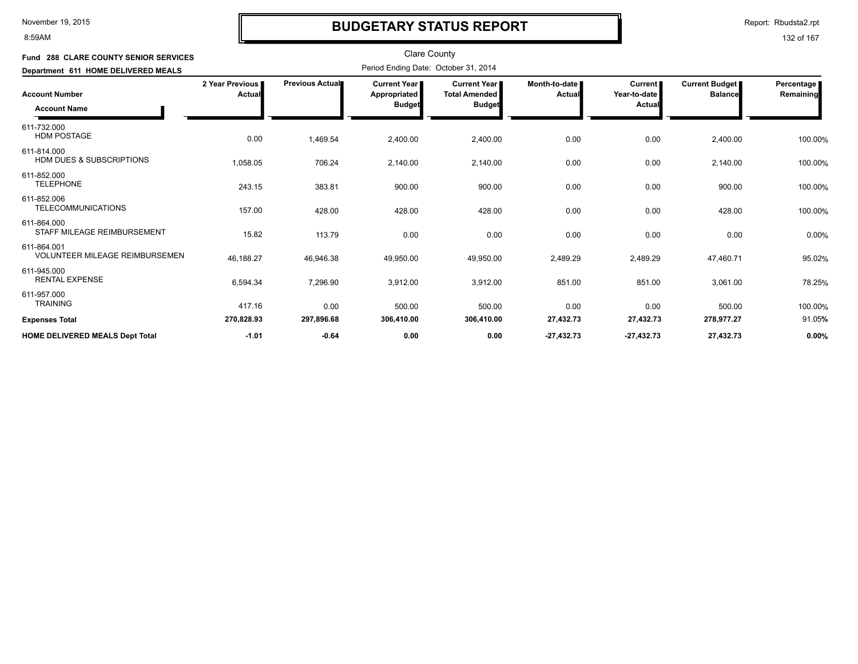8:59AM

### **BUDGETARY STATUS REPORT**

Report: Rbudsta2.rpt

| <b>Fund 288 CLARE COUNTY SENIOR SERVICES</b>         |                           |                        | <b>Clare County</b>                           |                                                                |                           |                                          |                                  |                         |
|------------------------------------------------------|---------------------------|------------------------|-----------------------------------------------|----------------------------------------------------------------|---------------------------|------------------------------------------|----------------------------------|-------------------------|
| Department 611 HOME DELIVERED MEALS                  |                           |                        | Period Ending Date: October 31, 2014          |                                                                |                           |                                          |                                  |                         |
| <b>Account Number</b><br><b>Account Name</b>         | 2 Year Previous<br>Actual | <b>Previous Actual</b> | Current Year<br>Appropriated<br><b>Budget</b> | <b>Current Year I</b><br><b>Total Amended</b><br><b>Budget</b> | Month-to-date  <br>Actual | <b>Current</b><br>Year-to-date<br>Actual | Current Budget<br><b>Balance</b> | Percentage<br>Remaining |
| 611-732.000<br><b>HDM POSTAGE</b>                    | 0.00                      | 1,469.54               | 2,400.00                                      | 2,400.00                                                       | 0.00                      | 0.00                                     | 2,400.00                         | 100.00%                 |
| 611-814.000<br><b>HDM DUES &amp; SUBSCRIPTIONS</b>   | 1,058.05                  | 706.24                 | 2,140.00                                      | 2,140.00                                                       | 0.00                      | 0.00                                     | 2,140.00                         | 100.00%                 |
| 611-852.000<br><b>TELEPHONE</b>                      | 243.15                    | 383.81                 | 900.00                                        | 900.00                                                         | 0.00                      | 0.00                                     | 900.00                           | 100.00%                 |
| 611-852.006<br><b>TELECOMMUNICATIONS</b>             | 157.00                    | 428.00                 | 428.00                                        | 428.00                                                         | 0.00                      | 0.00                                     | 428.00                           | 100.00%                 |
| 611-864.000<br>STAFF MILEAGE REIMBURSEMENT           | 15.82                     | 113.79                 | 0.00                                          | 0.00                                                           | 0.00                      | 0.00                                     | 0.00                             | 0.00%                   |
| 611-864.001<br><b>VOLUNTEER MILEAGE REIMBURSEMEN</b> | 46,188.27                 | 46,946.38              | 49,950.00                                     | 49,950.00                                                      | 2,489.29                  | 2,489.29                                 | 47,460.71                        | 95.02%                  |
| 611-945.000<br><b>RENTAL EXPENSE</b>                 | 6,594.34                  | 7,296.90               | 3,912.00                                      | 3,912.00                                                       | 851.00                    | 851.00                                   | 3,061.00                         | 78.25%                  |
| 611-957.000<br><b>TRAINING</b>                       | 417.16                    | 0.00                   | 500.00                                        | 500.00                                                         | 0.00                      | 0.00                                     | 500.00                           | 100.00%                 |
| <b>Expenses Total</b>                                | 270,828.93                | 297,896.68             | 306,410.00                                    | 306,410.00                                                     | 27,432.73                 | 27,432.73                                | 278,977.27                       | 91.05%                  |
| <b>HOME DELIVERED MEALS Dept Total</b>               | $-1.01$                   | $-0.64$                | 0.00                                          | 0.00                                                           | $-27,432.73$              | $-27,432.73$                             | 27,432.73                        | 0.00%                   |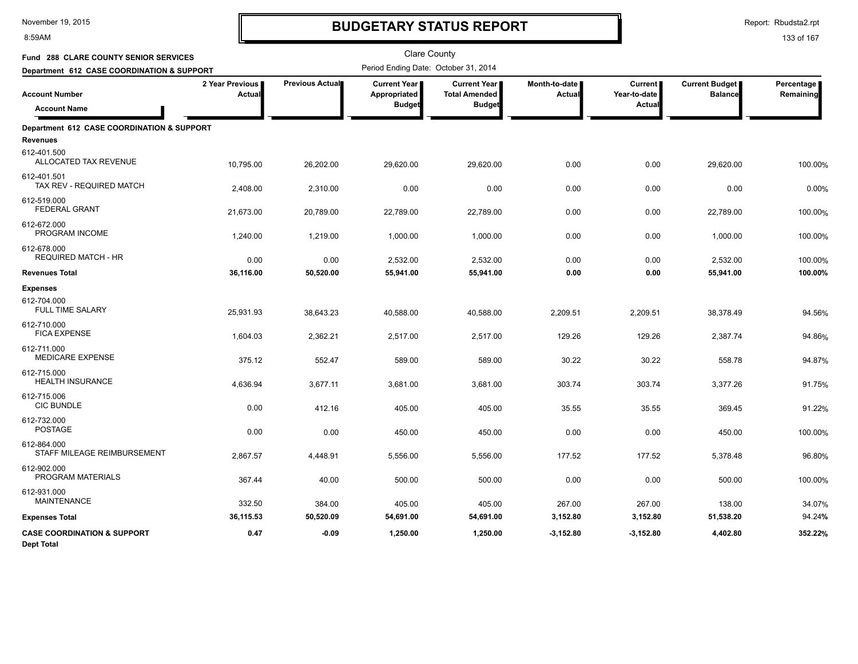8:59AM

# **BUDGETARY STATUS REPORT**

Report: Rbudsta2.rpt

| <b>Fund 288 CLARE COUNTY SENIOR SERVICES</b>                |                           |                 | <b>Clare County</b>                  |                                               |                         |                                |                                         |                         |
|-------------------------------------------------------------|---------------------------|-----------------|--------------------------------------|-----------------------------------------------|-------------------------|--------------------------------|-----------------------------------------|-------------------------|
| Department 612 CASE COORDINATION & SUPPORT                  |                           |                 | Period Ending Date: October 31, 2014 |                                               |                         |                                |                                         |                         |
| <b>Account Number</b>                                       | 2 Year Previous<br>Actual | Previous Actual | Current Year<br>Appropriated         | <b>Current Year I</b><br><b>Total Amended</b> | Month-to-date<br>Actual | <b>Current</b><br>Year-to-date | <b>Current Budget</b><br><b>Balance</b> | Percentage<br>Remaining |
| <b>Account Name</b>                                         |                           |                 | <b>Budget</b>                        | <b>Budget</b>                                 |                         | Actual                         |                                         |                         |
| Department 612 CASE COORDINATION & SUPPORT                  |                           |                 |                                      |                                               |                         |                                |                                         |                         |
| <b>Revenues</b>                                             |                           |                 |                                      |                                               |                         |                                |                                         |                         |
| 612-401.500<br>ALLOCATED TAX REVENUE                        | 10,795.00                 | 26,202.00       | 29,620.00                            | 29,620.00                                     | 0.00                    | 0.00                           | 29,620.00                               | 100.00%                 |
| 612-401.501<br>TAX REV - REQUIRED MATCH                     | 2,408.00                  | 2,310.00        | 0.00                                 | 0.00                                          | 0.00                    | 0.00                           | 0.00                                    | 0.00%                   |
| 612-519.000<br><b>FEDERAL GRANT</b>                         | 21,673.00                 | 20,789.00       | 22,789.00                            | 22,789.00                                     | 0.00                    | 0.00                           | 22,789.00                               | 100.00%                 |
| 612-672.000<br>PROGRAM INCOME                               | 1,240.00                  | 1,219.00        | 1,000.00                             | 1,000.00                                      | 0.00                    | 0.00                           | 1,000.00                                | 100.00%                 |
| 612-678.000<br><b>REQUIRED MATCH - HR</b>                   | 0.00                      | 0.00            | 2,532.00                             | 2,532.00                                      | 0.00                    | 0.00                           | 2,532.00                                | 100.00%                 |
| <b>Revenues Total</b>                                       | 36,116.00                 | 50,520.00       | 55,941.00                            | 55,941.00                                     | 0.00                    | 0.00                           | 55,941.00                               | 100.00%                 |
| <b>Expenses</b>                                             |                           |                 |                                      |                                               |                         |                                |                                         |                         |
| 612-704.000<br><b>FULL TIME SALARY</b>                      | 25,931.93                 | 38,643.23       | 40,588.00                            | 40,588.00                                     | 2,209.51                | 2,209.51                       | 38,378.49                               | 94.56%                  |
| 612-710.000<br><b>FICA EXPENSE</b>                          | 1,604.03                  | 2,362.21        | 2,517.00                             | 2,517.00                                      | 129.26                  | 129.26                         | 2,387.74                                | 94.86%                  |
| 612-711.000<br><b>MEDICARE EXPENSE</b>                      | 375.12                    | 552.47          | 589.00                               | 589.00                                        | 30.22                   | 30.22                          | 558.78                                  | 94.87%                  |
| 612-715.000<br><b>HEALTH INSURANCE</b>                      | 4,636.94                  | 3,677.11        | 3,681.00                             | 3,681.00                                      | 303.74                  | 303.74                         | 3,377.26                                | 91.75%                  |
| 612-715.006<br><b>CIC BUNDLE</b>                            | 0.00                      | 412.16          | 405.00                               | 405.00                                        | 35.55                   | 35.55                          | 369.45                                  | 91.22%                  |
| 612-732.000<br><b>POSTAGE</b>                               | 0.00                      | 0.00            | 450.00                               | 450.00                                        | 0.00                    | 0.00                           | 450.00                                  | 100.00%                 |
| 612-864.000<br>STAFF MILEAGE REIMBURSEMENT                  | 2,867.57                  | 4,448.91        | 5,556.00                             | 5,556.00                                      | 177.52                  | 177.52                         | 5,378.48                                | 96.80%                  |
| 612-902.000<br>PROGRAM MATERIALS                            | 367.44                    | 40.00           | 500.00                               | 500.00                                        | 0.00                    | 0.00                           | 500.00                                  | 100.00%                 |
| 612-931.000<br><b>MAINTENANCE</b>                           | 332.50                    | 384.00          | 405.00                               | 405.00                                        | 267.00                  | 267.00                         | 138.00                                  | 34.07%                  |
| <b>Expenses Total</b>                                       | 36,115.53                 | 50,520.09       | 54,691.00                            | 54,691.00                                     | 3,152.80                | 3,152.80                       | 51,538.20                               | 94.24%                  |
| <b>CASE COORDINATION &amp; SUPPORT</b><br><b>Dept Total</b> | 0.47                      | $-0.09$         | 1,250.00                             | 1,250.00                                      | $-3,152.80$             | $-3,152.80$                    | 4,402.80                                | 352.22%                 |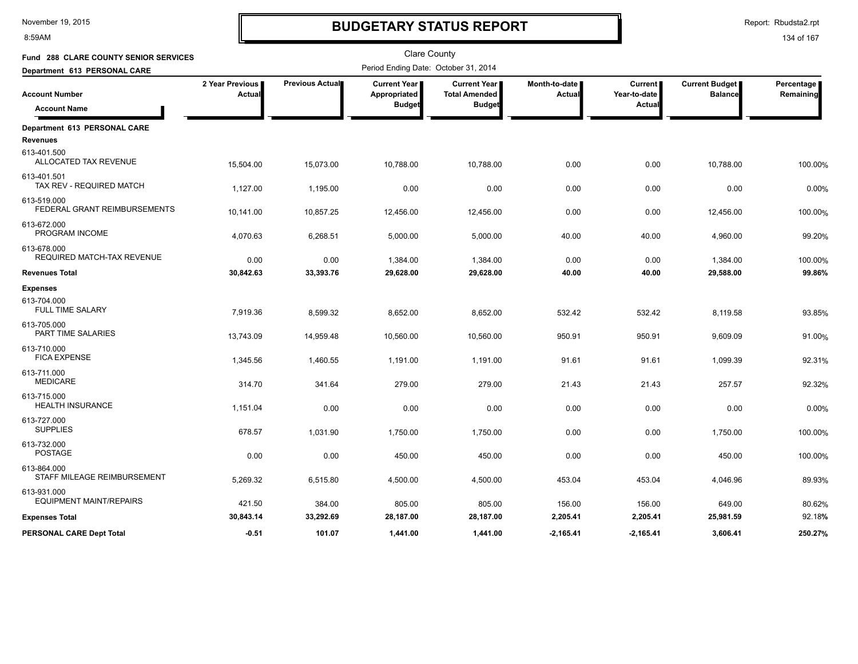8:59AM

### **BUDGETARY STATUS REPORT**

Report: Rbudsta2.rpt

| Fund 288 CLARE COUNTY SENIOR SERVICES         |                           |                 | <b>Clare County</b>                                    |                                                              |                                |                                                 |                                  |                         |
|-----------------------------------------------|---------------------------|-----------------|--------------------------------------------------------|--------------------------------------------------------------|--------------------------------|-------------------------------------------------|----------------------------------|-------------------------|
| Department 613 PERSONAL CARE                  |                           |                 | Period Ending Date: October 31, 2014                   |                                                              |                                |                                                 |                                  |                         |
| <b>Account Number</b><br><b>Account Name</b>  | 2 Year Previous<br>Actual | Previous Actual | <b>Current Year  </b><br>Appropriated<br><b>Budget</b> | <b>Current Year</b><br><b>Total Amended</b><br><b>Budget</b> | Month-to-date<br><b>Actual</b> | <b>Current</b><br>Year-to-date<br><b>Actual</b> | Current Budget<br><b>Balance</b> | Percentage<br>Remaining |
| Department 613 PERSONAL CARE                  |                           |                 |                                                        |                                                              |                                |                                                 |                                  |                         |
| <b>Revenues</b>                               |                           |                 |                                                        |                                                              |                                |                                                 |                                  |                         |
| 613-401.500<br>ALLOCATED TAX REVENUE          | 15,504.00                 | 15,073.00       | 10,788.00                                              | 10,788.00                                                    | 0.00                           | 0.00                                            | 10,788.00                        | 100.00%                 |
| 613-401.501<br>TAX REV - REQUIRED MATCH       | 1,127.00                  | 1,195.00        | 0.00                                                   | 0.00                                                         | 0.00                           | 0.00                                            | 0.00                             | 0.00%                   |
| 613-519.000<br>FEDERAL GRANT REIMBURSEMENTS   | 10,141.00                 | 10,857.25       | 12,456.00                                              | 12,456.00                                                    | 0.00                           | 0.00                                            | 12,456.00                        | 100.00%                 |
| 613-672.000<br>PROGRAM INCOME                 | 4,070.63                  | 6,268.51        | 5,000.00                                               | 5,000.00                                                     | 40.00                          | 40.00                                           | 4,960.00                         | 99.20%                  |
| 613-678.000<br>REQUIRED MATCH-TAX REVENUE     | 0.00                      | 0.00            | 1,384.00                                               | 1,384.00                                                     | 0.00                           | 0.00                                            | 1,384.00                         | 100.00%                 |
| <b>Revenues Total</b>                         | 30,842.63                 | 33,393.76       | 29,628.00                                              | 29,628.00                                                    | 40.00                          | 40.00                                           | 29,588.00                        | 99.86%                  |
| <b>Expenses</b>                               |                           |                 |                                                        |                                                              |                                |                                                 |                                  |                         |
| 613-704.000<br><b>FULL TIME SALARY</b>        | 7,919.36                  | 8,599.32        | 8,652.00                                               | 8,652.00                                                     | 532.42                         | 532.42                                          | 8,119.58                         | 93.85%                  |
| 613-705.000<br>PART TIME SALARIES             | 13,743.09                 | 14,959.48       | 10,560.00                                              | 10,560.00                                                    | 950.91                         | 950.91                                          | 9,609.09                         | 91.00%                  |
| 613-710.000<br><b>FICA EXPENSE</b>            | 1,345.56                  | 1,460.55        | 1,191.00                                               | 1,191.00                                                     | 91.61                          | 91.61                                           | 1,099.39                         | 92.31%                  |
| 613-711.000<br><b>MEDICARE</b>                | 314.70                    | 341.64          | 279.00                                                 | 279.00                                                       | 21.43                          | 21.43                                           | 257.57                           | 92.32%                  |
| 613-715.000<br><b>HEALTH INSURANCE</b>        | 1,151.04                  | 0.00            | 0.00                                                   | 0.00                                                         | 0.00                           | 0.00                                            | 0.00                             | 0.00%                   |
| 613-727.000<br><b>SUPPLIES</b>                | 678.57                    | 1,031.90        | 1,750.00                                               | 1,750.00                                                     | 0.00                           | 0.00                                            | 1,750.00                         | 100.00%                 |
| 613-732.000<br><b>POSTAGE</b>                 | 0.00                      | 0.00            | 450.00                                                 | 450.00                                                       | 0.00                           | 0.00                                            | 450.00                           | 100.00%                 |
| 613-864.000<br>STAFF MILEAGE REIMBURSEMENT    | 5,269.32                  | 6,515.80        | 4,500.00                                               | 4,500.00                                                     | 453.04                         | 453.04                                          | 4,046.96                         | 89.93%                  |
| 613-931.000<br><b>EQUIPMENT MAINT/REPAIRS</b> | 421.50                    | 384.00          | 805.00                                                 | 805.00                                                       | 156.00                         | 156.00                                          | 649.00                           | 80.62%                  |
| <b>Expenses Total</b>                         | 30,843.14                 | 33,292.69       | 28,187.00                                              | 28,187.00                                                    | 2,205.41                       | 2,205.41                                        | 25,981.59                        | 92.18%                  |
| <b>PERSONAL CARE Dept Total</b>               | $-0.51$                   | 101.07          | 1,441.00                                               | 1.441.00                                                     | $-2.165.41$                    | $-2.165.41$                                     | 3.606.41                         | 250.27%                 |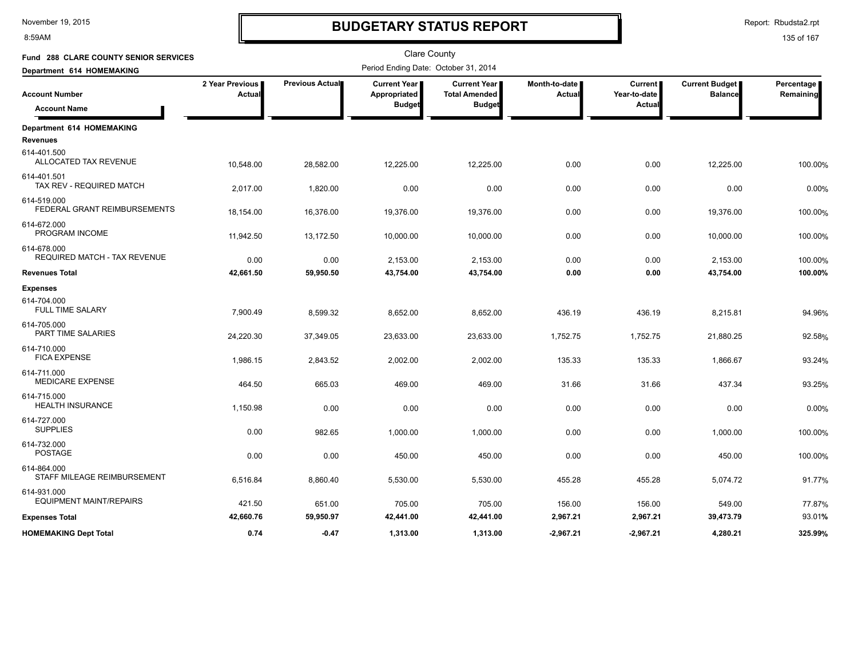8:59AM

### **BUDGETARY STATUS REPORT**

Report: Rbudsta2.rpt

| Fund 288 CLARE COUNTY SENIOR SERVICES         |                           |                 | <b>Clare County</b>                                    |                                                              |                                |                                                 |                                  |                         |
|-----------------------------------------------|---------------------------|-----------------|--------------------------------------------------------|--------------------------------------------------------------|--------------------------------|-------------------------------------------------|----------------------------------|-------------------------|
| Department 614 HOMEMAKING                     |                           |                 | Period Ending Date: October 31, 2014                   |                                                              |                                |                                                 |                                  |                         |
| <b>Account Number</b><br><b>Account Name</b>  | 2 Year Previous<br>Actual | Previous Actual | <b>Current Year  </b><br>Appropriated<br><b>Budget</b> | <b>Current Year</b><br><b>Total Amended</b><br><b>Budget</b> | Month-to-date<br><b>Actual</b> | <b>Current</b><br>Year-to-date<br><b>Actual</b> | Current Budget<br><b>Balance</b> | Percentage<br>Remaining |
| Department 614 HOMEMAKING                     |                           |                 |                                                        |                                                              |                                |                                                 |                                  |                         |
| <b>Revenues</b>                               |                           |                 |                                                        |                                                              |                                |                                                 |                                  |                         |
| 614-401.500<br>ALLOCATED TAX REVENUE          | 10,548.00                 | 28,582.00       | 12,225.00                                              | 12,225.00                                                    | 0.00                           | 0.00                                            | 12,225.00                        | 100.00%                 |
| 614-401.501<br>TAX REV - REQUIRED MATCH       | 2,017.00                  | 1,820.00        | 0.00                                                   | 0.00                                                         | 0.00                           | 0.00                                            | 0.00                             | 0.00%                   |
| 614-519.000<br>FEDERAL GRANT REIMBURSEMENTS   | 18,154.00                 | 16,376.00       | 19,376.00                                              | 19,376.00                                                    | 0.00                           | 0.00                                            | 19,376.00                        | 100.00%                 |
| 614-672.000<br>PROGRAM INCOME                 | 11,942.50                 | 13,172.50       | 10,000.00                                              | 10,000.00                                                    | 0.00                           | 0.00                                            | 10,000.00                        | 100.00%                 |
| 614-678.000<br>REQUIRED MATCH - TAX REVENUE   | 0.00                      | 0.00            | 2,153.00                                               | 2,153.00                                                     | 0.00                           | 0.00                                            | 2,153.00                         | 100.00%                 |
| <b>Revenues Total</b>                         | 42,661.50                 | 59,950.50       | 43,754.00                                              | 43,754.00                                                    | 0.00                           | 0.00                                            | 43,754.00                        | 100.00%                 |
| <b>Expenses</b>                               |                           |                 |                                                        |                                                              |                                |                                                 |                                  |                         |
| 614-704.000<br><b>FULL TIME SALARY</b>        | 7,900.49                  | 8,599.32        | 8,652.00                                               | 8,652.00                                                     | 436.19                         | 436.19                                          | 8,215.81                         | 94.96%                  |
| 614-705.000<br>PART TIME SALARIES             | 24,220.30                 | 37,349.05       | 23,633.00                                              | 23,633.00                                                    | 1,752.75                       | 1,752.75                                        | 21,880.25                        | 92.58%                  |
| 614-710.000<br><b>FICA EXPENSE</b>            | 1,986.15                  | 2,843.52        | 2,002.00                                               | 2,002.00                                                     | 135.33                         | 135.33                                          | 1,866.67                         | 93.24%                  |
| 614-711.000<br><b>MEDICARE EXPENSE</b>        | 464.50                    | 665.03          | 469.00                                                 | 469.00                                                       | 31.66                          | 31.66                                           | 437.34                           | 93.25%                  |
| 614-715.000<br><b>HEALTH INSURANCE</b>        | 1,150.98                  | 0.00            | 0.00                                                   | 0.00                                                         | 0.00                           | 0.00                                            | 0.00                             | 0.00%                   |
| 614-727.000<br><b>SUPPLIES</b>                | 0.00                      | 982.65          | 1,000.00                                               | 1,000.00                                                     | 0.00                           | 0.00                                            | 1,000.00                         | 100.00%                 |
| 614-732.000<br><b>POSTAGE</b>                 | 0.00                      | 0.00            | 450.00                                                 | 450.00                                                       | 0.00                           | 0.00                                            | 450.00                           | 100.00%                 |
| 614-864.000<br>STAFF MILEAGE REIMBURSEMENT    | 6,516.84                  | 8,860.40        | 5,530.00                                               | 5,530.00                                                     | 455.28                         | 455.28                                          | 5,074.72                         | 91.77%                  |
| 614-931.000<br><b>EQUIPMENT MAINT/REPAIRS</b> | 421.50                    | 651.00          | 705.00                                                 | 705.00                                                       | 156.00                         | 156.00                                          | 549.00                           | 77.87%                  |
| <b>Expenses Total</b>                         | 42,660.76                 | 59,950.97       | 42,441.00                                              | 42,441.00                                                    | 2,967.21                       | 2,967.21                                        | 39,473.79                        | 93.01%                  |
| <b>HOMEMAKING Dept Total</b>                  | 0.74                      | $-0.47$         | 1.313.00                                               | 1,313.00                                                     | $-2.967.21$                    | $-2.967.21$                                     | 4,280.21                         | 325.99%                 |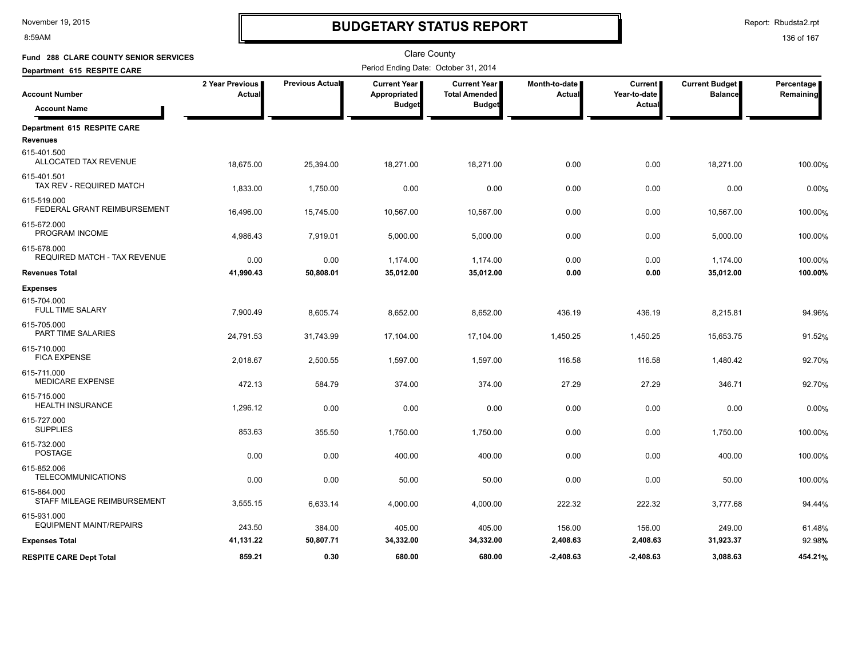8:59AM

### **BUDGETARY STATUS REPORT**

Report: Rbudsta2.rpt

| Fund 288 CLARE COUNTY SENIOR SERVICES              |                           |                 | <b>Clare County</b>                  |                                               |                           |                                |                                         |                         |
|----------------------------------------------------|---------------------------|-----------------|--------------------------------------|-----------------------------------------------|---------------------------|--------------------------------|-----------------------------------------|-------------------------|
| Department 615 RESPITE CARE                        |                           |                 | Period Ending Date: October 31, 2014 |                                               |                           |                                |                                         |                         |
| <b>Account Number</b>                              | 2 Year Previous<br>Actual | Previous Actual | <b>Current Year</b><br>Appropriated  | <b>Current Year I</b><br><b>Total Amended</b> | Month-to-date  <br>Actual | <b>Current</b><br>Year-to-date | <b>Current Budget</b><br><b>Balance</b> | Percentage<br>Remaining |
| <b>Account Name</b>                                |                           |                 | <b>Budget</b>                        | <b>Budget</b>                                 |                           | Actual                         |                                         |                         |
| Department 615 RESPITE CARE                        |                           |                 |                                      |                                               |                           |                                |                                         |                         |
| <b>Revenues</b>                                    |                           |                 |                                      |                                               |                           |                                |                                         |                         |
| 615-401.500<br>ALLOCATED TAX REVENUE               | 18,675.00                 | 25,394.00       | 18,271.00                            | 18,271.00                                     | 0.00                      | 0.00                           | 18,271.00                               | 100.00%                 |
| 615-401.501<br>TAX REV - REQUIRED MATCH            | 1,833.00                  | 1,750.00        | 0.00                                 | 0.00                                          | 0.00                      | 0.00                           | 0.00                                    | 0.00%                   |
| 615-519.000<br>FEDERAL GRANT REIMBURSEMENT         | 16,496.00                 | 15,745.00       | 10,567.00                            | 10,567.00                                     | 0.00                      | 0.00                           | 10,567.00                               | 100.00%                 |
| 615-672.000<br>PROGRAM INCOME                      | 4,986.43                  | 7,919.01        | 5,000.00                             | 5,000.00                                      | 0.00                      | 0.00                           | 5,000.00                                | 100.00%                 |
| 615-678.000<br><b>REQUIRED MATCH - TAX REVENUE</b> | 0.00                      | 0.00            | 1,174.00                             | 1,174.00                                      | 0.00                      | 0.00                           | 1,174.00                                | 100.00%                 |
| <b>Revenues Total</b>                              | 41,990.43                 | 50,808.01       | 35,012.00                            | 35,012.00                                     | 0.00                      | 0.00                           | 35,012.00                               | 100.00%                 |
| <b>Expenses</b>                                    |                           |                 |                                      |                                               |                           |                                |                                         |                         |
| 615-704.000<br><b>FULL TIME SALARY</b>             | 7,900.49                  | 8,605.74        | 8,652.00                             | 8,652.00                                      | 436.19                    | 436.19                         | 8,215.81                                | 94.96%                  |
| 615-705.000<br>PART TIME SALARIES                  | 24,791.53                 | 31,743.99       | 17,104.00                            | 17,104.00                                     | 1,450.25                  | 1,450.25                       | 15,653.75                               | 91.52%                  |
| 615-710.000<br><b>FICA EXPENSE</b>                 | 2,018.67                  | 2,500.55        | 1,597.00                             | 1,597.00                                      | 116.58                    | 116.58                         | 1,480.42                                | 92.70%                  |
| 615-711.000<br><b>MEDICARE EXPENSE</b>             | 472.13                    | 584.79          | 374.00                               | 374.00                                        | 27.29                     | 27.29                          | 346.71                                  | 92.70%                  |
| 615-715.000<br><b>HEALTH INSURANCE</b>             | 1,296.12                  | 0.00            | 0.00                                 | 0.00                                          | 0.00                      | 0.00                           | 0.00                                    | 0.00%                   |
| 615-727.000<br><b>SUPPLIES</b>                     | 853.63                    | 355.50          | 1,750.00                             | 1,750.00                                      | 0.00                      | 0.00                           | 1,750.00                                | 100.00%                 |
| 615-732.000<br><b>POSTAGE</b>                      | 0.00                      | 0.00            | 400.00                               | 400.00                                        | 0.00                      | 0.00                           | 400.00                                  | 100.00%                 |
| 615-852.006<br><b>TELECOMMUNICATIONS</b>           | 0.00                      | 0.00            | 50.00                                | 50.00                                         | 0.00                      | 0.00                           | 50.00                                   | 100.00%                 |
| 615-864.000<br>STAFF MILEAGE REIMBURSEMENT         | 3,555.15                  | 6,633.14        | 4,000.00                             | 4,000.00                                      | 222.32                    | 222.32                         | 3,777.68                                | 94.44%                  |
| 615-931.000<br><b>EQUIPMENT MAINT/REPAIRS</b>      | 243.50                    | 384.00          | 405.00                               | 405.00                                        | 156.00                    | 156.00                         | 249.00                                  | 61.48%                  |
| <b>Expenses Total</b>                              | 41,131.22                 | 50,807.71       | 34,332.00                            | 34,332.00                                     | 2,408.63                  | 2,408.63                       | 31,923.37                               | 92.98%                  |
| <b>RESPITE CARE Dept Total</b>                     | 859.21                    | 0.30            | 680.00                               | 680.00                                        | $-2.408.63$               | $-2.408.63$                    | 3,088.63                                | 454.21%                 |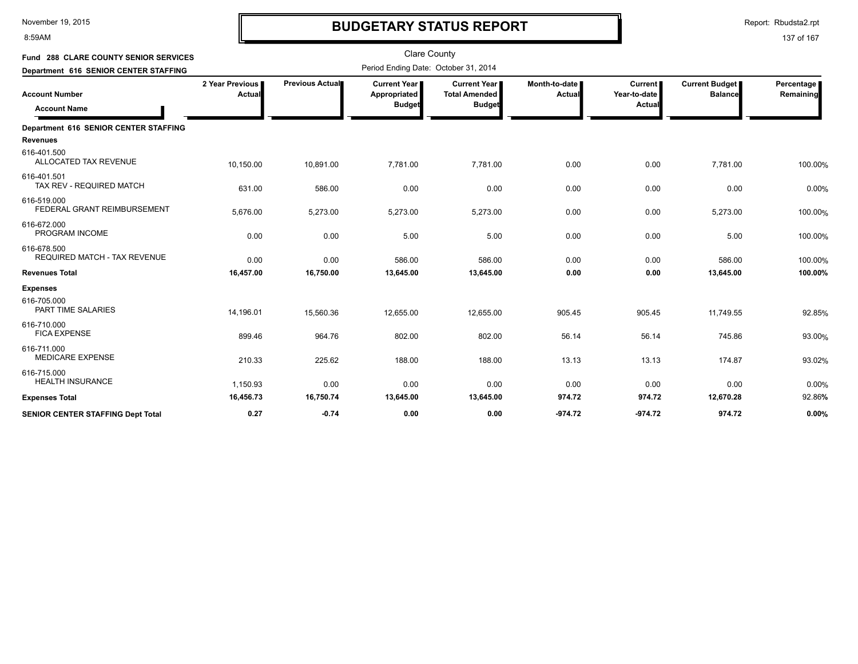8:59AM

# **BUDGETARY STATUS REPORT**

Clare County

Report: Rbudsta2.rpt

| Fund 288 CLARE COUNTY SENIOR SERVICES        |                           |                 | Clare County                                  |                                                              |                         |                                          |                                         |                         |
|----------------------------------------------|---------------------------|-----------------|-----------------------------------------------|--------------------------------------------------------------|-------------------------|------------------------------------------|-----------------------------------------|-------------------------|
| Department 616 SENIOR CENTER STAFFING        |                           |                 | Period Ending Date: October 31, 2014          |                                                              |                         |                                          |                                         |                         |
| <b>Account Number</b><br><b>Account Name</b> | 2 Year Previous<br>Actual | Previous Actual | Current Year<br>Appropriated<br><b>Budget</b> | <b>Current Year</b><br><b>Total Amended</b><br><b>Budget</b> | Month-to-date<br>Actual | <b>Current</b><br>Year-to-date<br>Actual | <b>Current Budget</b><br><b>Balance</b> | Percentage<br>Remaining |
| Department 616 SENIOR CENTER STAFFING        |                           |                 |                                               |                                                              |                         |                                          |                                         |                         |
| <b>Revenues</b>                              |                           |                 |                                               |                                                              |                         |                                          |                                         |                         |
| 616-401.500<br>ALLOCATED TAX REVENUE         | 10,150.00                 | 10,891.00       | 7,781.00                                      | 7,781.00                                                     | 0.00                    | 0.00                                     | 7,781.00                                | 100.00%                 |
| 616-401.501<br>TAX REV - REQUIRED MATCH      | 631.00                    | 586.00          | 0.00                                          | 0.00                                                         | 0.00                    | 0.00                                     | 0.00                                    | 0.00%                   |
| 616-519.000<br>FEDERAL GRANT REIMBURSEMENT   | 5,676.00                  | 5,273.00        | 5,273.00                                      | 5,273.00                                                     | 0.00                    | 0.00                                     | 5,273.00                                | 100.00%                 |
| 616-672.000<br>PROGRAM INCOME                | 0.00                      | 0.00            | 5.00                                          | 5.00                                                         | 0.00                    | 0.00                                     | 5.00                                    | 100.00%                 |
| 616-678.500<br>REQUIRED MATCH - TAX REVENUE  | 0.00                      | 0.00            | 586.00                                        | 586.00                                                       | 0.00                    | 0.00                                     | 586.00                                  | 100.00%                 |
| <b>Revenues Total</b>                        | 16,457.00                 | 16,750.00       | 13,645.00                                     | 13,645.00                                                    | 0.00                    | 0.00                                     | 13,645.00                               | 100.00%                 |
| <b>Expenses</b>                              |                           |                 |                                               |                                                              |                         |                                          |                                         |                         |
| 616-705.000<br>PART TIME SALARIES            | 14,196.01                 | 15,560.36       | 12,655.00                                     | 12,655.00                                                    | 905.45                  | 905.45                                   | 11,749.55                               | 92.85%                  |
| 616-710.000<br><b>FICA EXPENSE</b>           | 899.46                    | 964.76          | 802.00                                        | 802.00                                                       | 56.14                   | 56.14                                    | 745.86                                  | 93.00%                  |
| 616-711.000<br><b>MEDICARE EXPENSE</b>       | 210.33                    | 225.62          | 188.00                                        | 188.00                                                       | 13.13                   | 13.13                                    | 174.87                                  | 93.02%                  |
| 616-715.000<br><b>HEALTH INSURANCE</b>       | 1,150.93                  | 0.00            | 0.00                                          | 0.00                                                         | 0.00                    | 0.00                                     | 0.00                                    | 0.00%                   |
| <b>Expenses Total</b>                        | 16,456.73                 | 16,750.74       | 13,645.00                                     | 13,645.00                                                    | 974.72                  | 974.72                                   | 12,670.28                               | 92.86%                  |
| <b>SENIOR CENTER STAFFING Dept Total</b>     | 0.27                      | $-0.74$         | 0.00                                          | 0.00                                                         | $-974.72$               | $-974.72$                                | 974.72                                  | 0.00%                   |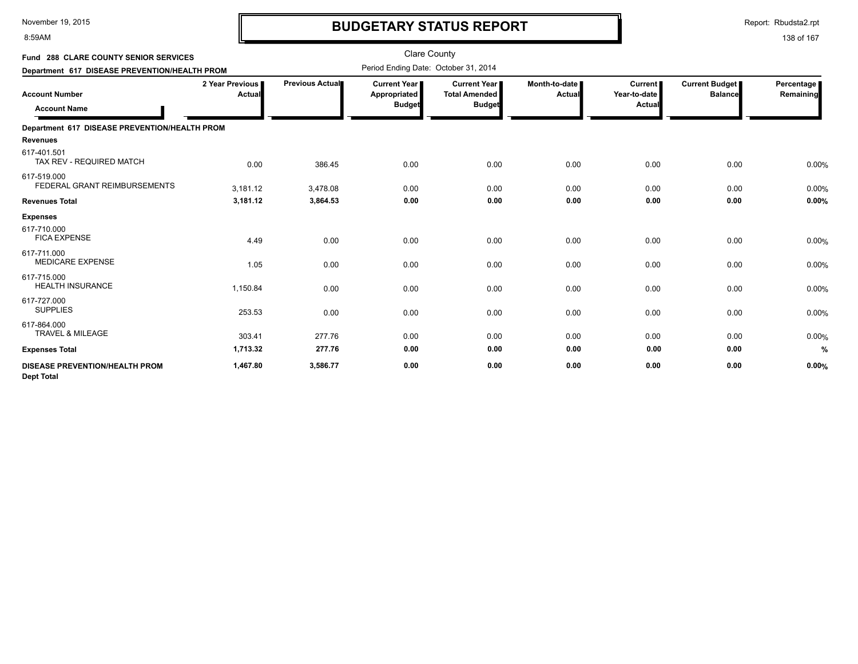8:59AM

# **BUDGETARY STATUS REPORT**

Report: Rbudsta2.rpt

| <b>Fund 288 CLARE COUNTY SENIOR SERVICES</b><br>Department 617 DISEASE PREVENTION/HEALTH PROM |                                  |                 | Clare County<br>Period Ending Date: October 31, 2014   |                                                       |                         |                                          |                                         |                         |
|-----------------------------------------------------------------------------------------------|----------------------------------|-----------------|--------------------------------------------------------|-------------------------------------------------------|-------------------------|------------------------------------------|-----------------------------------------|-------------------------|
| <b>Account Number</b><br><b>Account Name</b>                                                  | 2 Year Previous<br><b>Actual</b> | Previous Actual | <b>Current Year</b> ∎<br>Appropriated<br><b>Budget</b> | Current Year<br><b>Total Amended</b><br><b>Budget</b> | Month-to-date<br>Actual | <b>Current</b><br>Year-to-date<br>Actual | <b>Current Budget</b><br><b>Balance</b> | Percentage<br>Remaining |
| Department 617 DISEASE PREVENTION/HEALTH PROM                                                 |                                  |                 |                                                        |                                                       |                         |                                          |                                         |                         |
| <b>Revenues</b>                                                                               |                                  |                 |                                                        |                                                       |                         |                                          |                                         |                         |
| 617-401.501<br>TAX REV - REQUIRED MATCH                                                       | 0.00                             | 386.45          | 0.00                                                   | 0.00                                                  | 0.00                    | 0.00                                     | 0.00                                    | 0.00%                   |
| 617-519.000<br>FEDERAL GRANT REIMBURSEMENTS                                                   | 3,181.12                         | 3.478.08        | 0.00                                                   | 0.00                                                  | 0.00                    | 0.00                                     | 0.00                                    | 0.00%                   |
| <b>Revenues Total</b>                                                                         | 3,181.12                         | 3,864.53        | 0.00                                                   | 0.00                                                  | 0.00                    | 0.00                                     | 0.00                                    | 0.00%                   |
| <b>Expenses</b>                                                                               |                                  |                 |                                                        |                                                       |                         |                                          |                                         |                         |
| 617-710.000<br><b>FICA EXPENSE</b>                                                            | 4.49                             | 0.00            | 0.00                                                   | 0.00                                                  | 0.00                    | 0.00                                     | 0.00                                    | 0.00%                   |
| 617-711.000<br><b>MEDICARE EXPENSE</b>                                                        | 1.05                             | 0.00            | 0.00                                                   | 0.00                                                  | 0.00                    | 0.00                                     | 0.00                                    | 0.00%                   |
| 617-715.000<br><b>HEALTH INSURANCE</b>                                                        | 1,150.84                         | 0.00            | 0.00                                                   | 0.00                                                  | 0.00                    | 0.00                                     | 0.00                                    | 0.00%                   |
| 617-727.000<br><b>SUPPLIES</b>                                                                | 253.53                           | 0.00            | 0.00                                                   | 0.00                                                  | 0.00                    | 0.00                                     | 0.00                                    | 0.00%                   |
| 617-864.000<br><b>TRAVEL &amp; MILEAGE</b>                                                    | 303.41                           | 277.76          | 0.00                                                   | 0.00                                                  | 0.00                    | 0.00                                     | 0.00                                    | 0.00%                   |
| <b>Expenses Total</b>                                                                         | 1,713.32                         | 277.76          | 0.00                                                   | 0.00                                                  | 0.00                    | 0.00                                     | 0.00                                    | %                       |
| <b>DISEASE PREVENTION/HEALTH PROM</b><br><b>Dept Total</b>                                    | 1,467.80                         | 3,586.77        | 0.00                                                   | 0.00                                                  | 0.00                    | 0.00                                     | 0.00                                    | 0.00%                   |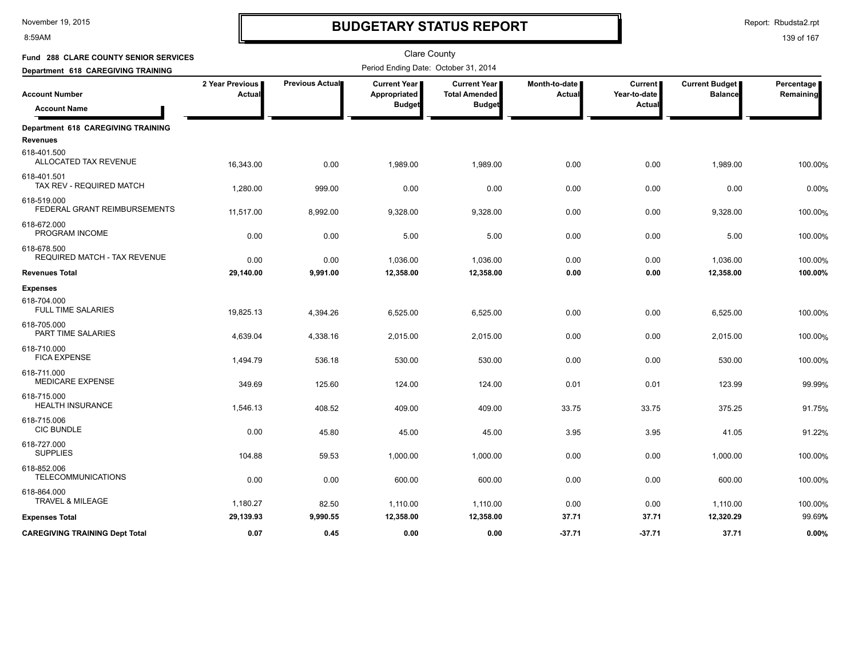8:59AM

# **BUDGETARY STATUS REPORT**

Report: Rbudsta2.rpt

| Fund 288 CLARE COUNTY SENIOR SERVICES       |                           |                 | <b>Clare County</b>                  |                                             |                                |                                |                                         |                         |
|---------------------------------------------|---------------------------|-----------------|--------------------------------------|---------------------------------------------|--------------------------------|--------------------------------|-----------------------------------------|-------------------------|
| Department 618 CAREGIVING TRAINING          |                           |                 | Period Ending Date: October 31, 2014 |                                             |                                |                                |                                         |                         |
| <b>Account Number</b>                       | 2 Year Previous<br>Actual | Previous Actual | <b>Current Year</b><br>Appropriated  | <b>Current Year</b><br><b>Total Amended</b> | Month-to-date<br><b>Actual</b> | <b>Current</b><br>Year-to-date | <b>Current Budget</b><br><b>Balance</b> | Percentage<br>Remaining |
| <b>Account Name</b>                         |                           |                 | <b>Budget</b>                        | <b>Budget</b>                               |                                | Actual                         |                                         |                         |
| Department 618 CAREGIVING TRAINING          |                           |                 |                                      |                                             |                                |                                |                                         |                         |
| <b>Revenues</b>                             |                           |                 |                                      |                                             |                                |                                |                                         |                         |
| 618-401.500<br>ALLOCATED TAX REVENUE        | 16,343.00                 | 0.00            | 1,989.00                             | 1,989.00                                    | 0.00                           | 0.00                           | 1,989.00                                | 100.00%                 |
| 618-401.501<br>TAX REV - REQUIRED MATCH     | 1,280.00                  | 999.00          | 0.00                                 | 0.00                                        | 0.00                           | 0.00                           | 0.00                                    | 0.00%                   |
| 618-519.000<br>FEDERAL GRANT REIMBURSEMENTS | 11,517.00                 | 8,992.00        | 9,328.00                             | 9,328.00                                    | 0.00                           | 0.00                           | 9,328.00                                | 100.00%                 |
| 618-672.000<br>PROGRAM INCOME               | 0.00                      | 0.00            | 5.00                                 | 5.00                                        | 0.00                           | 0.00                           | 5.00                                    | 100.00%                 |
| 618-678.500<br>REQUIRED MATCH - TAX REVENUE | 0.00                      | 0.00            | 1,036.00                             | 1,036.00                                    | 0.00                           | 0.00                           | 1,036.00                                | 100.00%                 |
| <b>Revenues Total</b>                       | 29,140.00                 | 9,991.00        | 12,358.00                            | 12,358.00                                   | 0.00                           | 0.00                           | 12,358.00                               | 100.00%                 |
| <b>Expenses</b>                             |                           |                 |                                      |                                             |                                |                                |                                         |                         |
| 618-704.000<br><b>FULL TIME SALARIES</b>    | 19,825.13                 | 4,394.26        | 6,525.00                             | 6,525.00                                    | 0.00                           | 0.00                           | 6,525.00                                | 100.00%                 |
| 618-705.000<br>PART TIME SALARIES           | 4,639.04                  | 4,338.16        | 2,015.00                             | 2,015.00                                    | 0.00                           | 0.00                           | 2,015.00                                | 100.00%                 |
| 618-710.000<br><b>FICA EXPENSE</b>          | 1,494.79                  | 536.18          | 530.00                               | 530.00                                      | 0.00                           | 0.00                           | 530.00                                  | 100.00%                 |
| 618-711.000<br>MEDICARE EXPENSE             | 349.69                    | 125.60          | 124.00                               | 124.00                                      | 0.01                           | 0.01                           | 123.99                                  | 99.99%                  |
| 618-715.000<br><b>HEALTH INSURANCE</b>      | 1,546.13                  | 408.52          | 409.00                               | 409.00                                      | 33.75                          | 33.75                          | 375.25                                  | 91.75%                  |
| 618-715.006<br><b>CIC BUNDLE</b>            | 0.00                      | 45.80           | 45.00                                | 45.00                                       | 3.95                           | 3.95                           | 41.05                                   | 91.22%                  |
| 618-727.000<br><b>SUPPLIES</b>              | 104.88                    | 59.53           | 1,000.00                             | 1,000.00                                    | 0.00                           | 0.00                           | 1,000.00                                | 100.00%                 |
| 618-852.006<br><b>TELECOMMUNICATIONS</b>    | 0.00                      | 0.00            | 600.00                               | 600.00                                      | 0.00                           | 0.00                           | 600.00                                  | 100.00%                 |
| 618-864.000<br><b>TRAVEL &amp; MILEAGE</b>  | 1,180.27                  | 82.50           | 1,110.00                             | 1,110.00                                    | 0.00                           | 0.00                           | 1,110.00                                | 100.00%                 |
| <b>Expenses Total</b>                       | 29,139.93                 | 9,990.55        | 12,358.00                            | 12,358.00                                   | 37.71                          | 37.71                          | 12,320.29                               | 99.69%                  |
| <b>CAREGIVING TRAINING Dept Total</b>       | 0.07                      | 0.45            | 0.00                                 | 0.00                                        | $-37.71$                       | $-37.71$                       | 37.71                                   | 0.00%                   |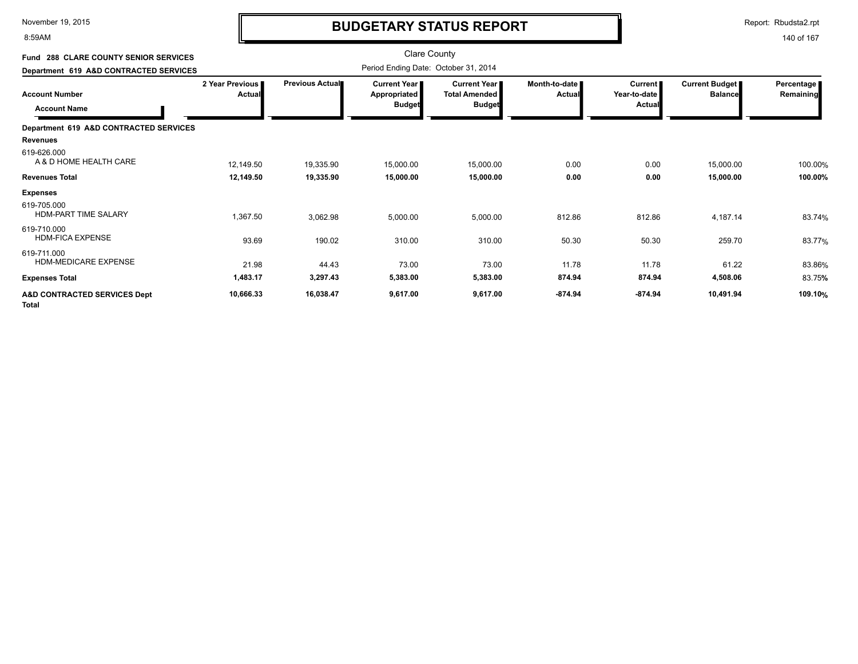8:59AM

# **BUDGETARY STATUS REPORT**

Report: Rbudsta2.rpt

| <b>Fund 288 CLARE COUNTY SENIOR SERVICES</b>            |                           |                 | <b>Clare County</b>                                  |                                                              |                         |                                          |                                  |                         |
|---------------------------------------------------------|---------------------------|-----------------|------------------------------------------------------|--------------------------------------------------------------|-------------------------|------------------------------------------|----------------------------------|-------------------------|
| Department 619 A&D CONTRACTED SERVICES                  |                           |                 | Period Ending Date: October 31, 2014                 |                                                              |                         |                                          |                                  |                         |
| <b>Account Number</b><br><b>Account Name</b>            | 2 Year Previous<br>Actual | Previous Actual | <b>Current Year</b><br>Appropriated<br><b>Budget</b> | <b>Current Year</b><br><b>Total Amended</b><br><b>Budget</b> | Month-to-date<br>Actual | <b>Current</b><br>Year-to-date<br>Actual | Current Budget<br><b>Balance</b> | Percentage<br>Remaining |
| Department 619 A&D CONTRACTED SERVICES                  |                           |                 |                                                      |                                                              |                         |                                          |                                  |                         |
| <b>Revenues</b>                                         |                           |                 |                                                      |                                                              |                         |                                          |                                  |                         |
| 619-626.000<br>A & D HOME HEALTH CARE                   | 12,149.50                 | 19,335.90       | 15,000.00                                            | 15,000.00                                                    | 0.00                    | 0.00                                     | 15,000.00                        | 100.00%                 |
| <b>Revenues Total</b>                                   | 12,149.50                 | 19,335.90       | 15,000.00                                            | 15,000.00                                                    | 0.00                    | 0.00                                     | 15,000.00                        | 100.00%                 |
| <b>Expenses</b>                                         |                           |                 |                                                      |                                                              |                         |                                          |                                  |                         |
| 619-705.000<br><b>HDM-PART TIME SALARY</b>              | 1,367.50                  | 3,062.98        | 5,000.00                                             | 5,000.00                                                     | 812.86                  | 812.86                                   | 4,187.14                         | 83.74%                  |
| 619-710.000<br><b>HDM-FICA EXPENSE</b>                  | 93.69                     | 190.02          | 310.00                                               | 310.00                                                       | 50.30                   | 50.30                                    | 259.70                           | 83.77%                  |
| 619-711.000<br>HDM-MEDICARE EXPENSE                     | 21.98                     | 44.43           | 73.00                                                | 73.00                                                        | 11.78                   | 11.78                                    | 61.22                            | 83.86%                  |
| <b>Expenses Total</b>                                   | 1,483.17                  | 3,297.43        | 5,383.00                                             | 5,383.00                                                     | 874.94                  | 874.94                                   | 4,508.06                         | 83.75%                  |
| <b>A&amp;D CONTRACTED SERVICES Dept</b><br><b>Total</b> | 10,666.33                 | 16,038.47       | 9,617.00                                             | 9,617.00                                                     | $-874.94$               | $-874.94$                                | 10,491.94                        | 109.10%                 |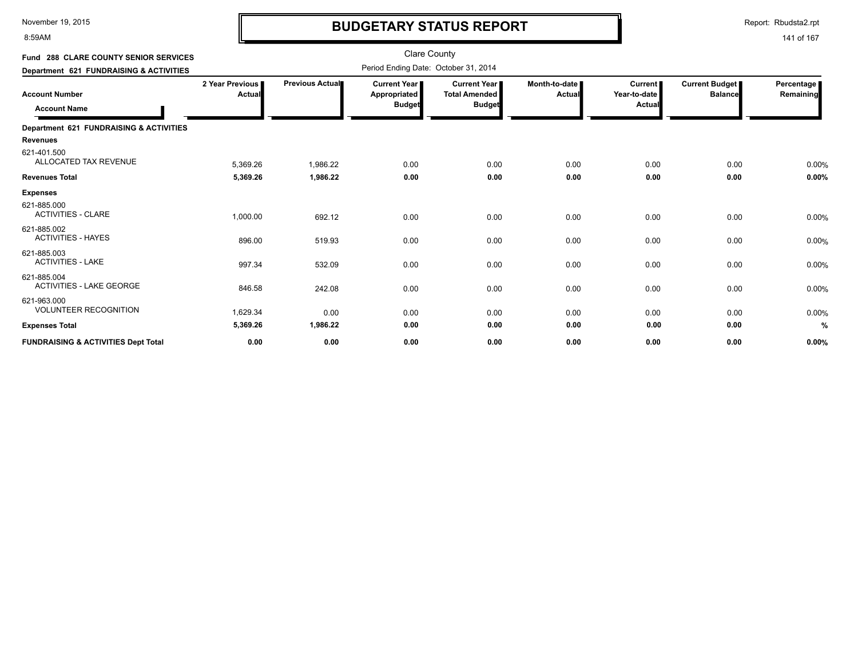8:59AM

### **BUDGETARY STATUS REPORT**

Report: Rbudsta2.rpt

141 of 167

#### Clare County Period Ending Date: October 31, 2014 **Account Number Department 621 FUNDRAISING & ACTIVITIES Fund 288 CLARE COUNTY SENIOR SERVICES 2 Year Previous Actual Previous Actual Current Year Appropriated Budget Current Year Total Amended Budget Month-to-date Actual Current Year-to-date Actual Current Budget Balance Percentage Remaining Account Name Department 621 FUNDRAISING & ACTIVITIES Revenues** 5,369.26 1,986.22 0.00 0.00 ALLOCATED TAX REVENUE % 621-401.500 0.00 0.00 0.00 0.00 **Revenues Total 5,369.26 1,986.22 0.00 0.00 0.00 0.00 0.00 0.00% Expenses** 1,000.00 692.12 0.00 ACTIVITIES - CLARE % 621-885.000 0.00 0.00 0.00 0.00 0.00 896.00 519.93 0.00 ACTIVITIES - HAYES % 621-885.002<br>ACTIVITIES - HAYES 0.00 0.00 0.00 0.00 0.00 997.34 532.09 0.00 ACTIVITIES - LAKE % 621-885.003 0.00 0.00 0.00 0.00 0.00 846.58 242.08 0.00 ACTIVITIES - LAKE GEORGE % 621-885.004<br>ACTIVITIES - LAKE GEORGE 0.00 0.00 0.00 0.00 0.00 1,629.34 0.00 0.00 VOLUNTEER RECOGNITION % 621-963.000<br>VOLUNTEER RECOGNITION 0.00 0.00 0.00 0.00 0.00 **Expenses Total 5,369.26 1,986.22 0.00 0.00 0.00 0.00 0.00 % FUNDRAISING & ACTIVITIES Dept Total 0.00 0.00 0.00 0.00 0.00 0.00 0.00 0.00%**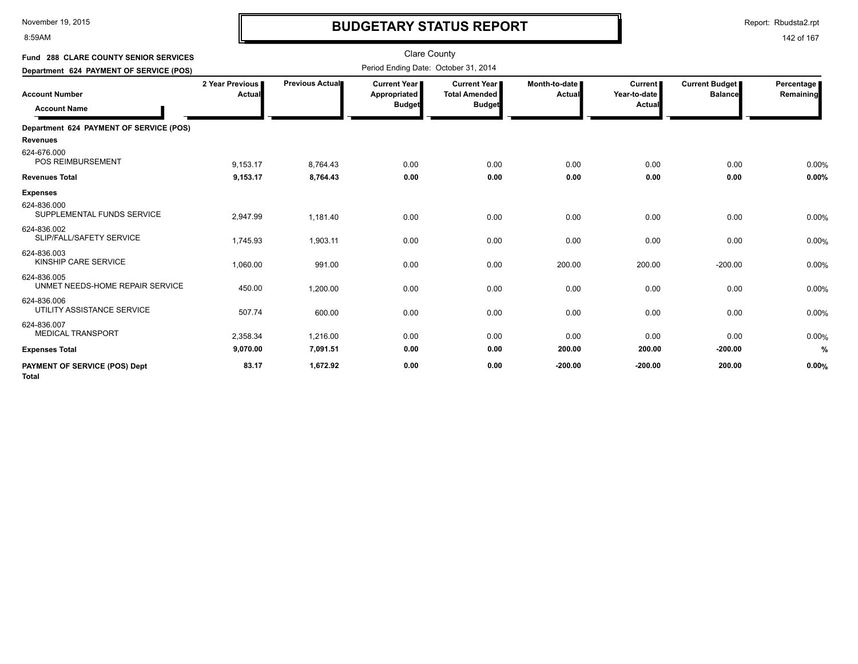8:59AM

# **BUDGETARY STATUS REPORT**

Report: Rbudsta2.rpt

| Fund 288 CLARE COUNTY SENIOR SERVICES<br>Department 624 PAYMENT OF SERVICE (POS) |                           |                 | <b>Clare County</b><br>Period Ending Date: October 31, 2014 |                                                                |                           |                                          |                                         |                         |
|----------------------------------------------------------------------------------|---------------------------|-----------------|-------------------------------------------------------------|----------------------------------------------------------------|---------------------------|------------------------------------------|-----------------------------------------|-------------------------|
| <b>Account Number</b><br><b>Account Name</b>                                     | 2 Year Previous<br>Actual | Previous Actual | <b>Current Year</b><br>Appropriated<br><b>Budget</b>        | <b>Current Year I</b><br><b>Total Amended</b><br><b>Budget</b> | Month-to-date  <br>Actual | <b>Current</b><br>Year-to-date<br>Actual | <b>Current Budget</b><br><b>Balance</b> | Percentage<br>Remaining |
|                                                                                  |                           |                 |                                                             |                                                                |                           |                                          |                                         |                         |
| Department 624 PAYMENT OF SERVICE (POS)                                          |                           |                 |                                                             |                                                                |                           |                                          |                                         |                         |
| <b>Revenues</b>                                                                  |                           |                 |                                                             |                                                                |                           |                                          |                                         |                         |
| 624-676.000<br><b>POS REIMBURSEMENT</b>                                          | 9,153.17                  | 8,764.43        | 0.00                                                        | 0.00                                                           | 0.00                      | 0.00                                     | 0.00                                    | 0.00%                   |
| <b>Revenues Total</b>                                                            | 9,153.17                  | 8,764.43        | 0.00                                                        | 0.00                                                           | 0.00                      | 0.00                                     | 0.00                                    | 0.00%                   |
| <b>Expenses</b>                                                                  |                           |                 |                                                             |                                                                |                           |                                          |                                         |                         |
| 624-836.000<br>SUPPLEMENTAL FUNDS SERVICE                                        | 2,947.99                  | 1,181.40        | 0.00                                                        | 0.00                                                           | 0.00                      | 0.00                                     | 0.00                                    | 0.00%                   |
| 624-836.002<br>SLIP/FALL/SAFETY SERVICE                                          | 1,745.93                  | 1,903.11        | 0.00                                                        | 0.00                                                           | 0.00                      | 0.00                                     | 0.00                                    | 0.00%                   |
| 624-836.003<br>KINSHIP CARE SERVICE                                              | 1,060.00                  | 991.00          | 0.00                                                        | 0.00                                                           | 200.00                    | 200.00                                   | $-200.00$                               | 0.00%                   |
| 624-836.005<br>UNMET NEEDS-HOME REPAIR SERVICE                                   | 450.00                    | 1,200.00        | 0.00                                                        | 0.00                                                           | 0.00                      | 0.00                                     | 0.00                                    | 0.00%                   |
| 624-836.006<br>UTILITY ASSISTANCE SERVICE                                        | 507.74                    | 600.00          | 0.00                                                        | 0.00                                                           | 0.00                      | 0.00                                     | 0.00                                    | 0.00%                   |
| 624-836.007<br><b>MEDICAL TRANSPORT</b>                                          | 2,358.34                  | 1,216.00        | 0.00                                                        | 0.00                                                           | 0.00                      | 0.00                                     | 0.00                                    | 0.00%                   |
| <b>Expenses Total</b>                                                            | 9,070.00                  | 7,091.51        | 0.00                                                        | 0.00                                                           | 200.00                    | 200.00                                   | $-200.00$                               | %                       |
| <b>PAYMENT OF SERVICE (POS) Dept</b><br><b>Total</b>                             | 83.17                     | 1,672.92        | 0.00                                                        | 0.00                                                           | $-200.00$                 | $-200.00$                                | 200.00                                  | 0.00%                   |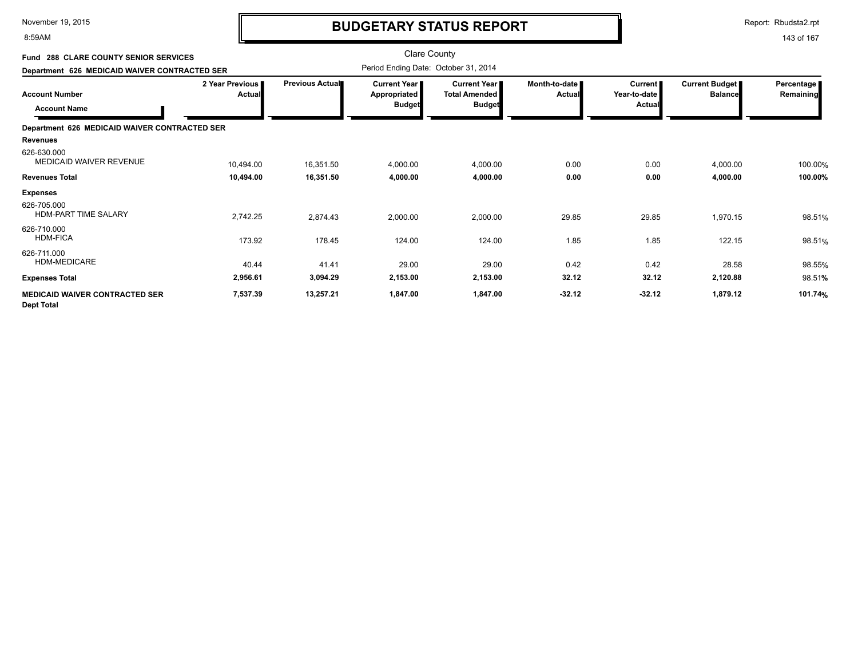8:59AM

# **BUDGETARY STATUS REPORT**

Report: Rbudsta2.rpt

| Fund 288 CLARE COUNTY SENIOR SERVICES                      |                           |                        |                                                 | <b>Clare County</b>                                            |                                  |                                                 |                                         |                         |
|------------------------------------------------------------|---------------------------|------------------------|-------------------------------------------------|----------------------------------------------------------------|----------------------------------|-------------------------------------------------|-----------------------------------------|-------------------------|
| Department 626 MEDICAID WAIVER CONTRACTED SER              |                           |                        | Period Ending Date: October 31, 2014            |                                                                |                                  |                                                 |                                         |                         |
| <b>Account Number</b><br><b>Account Name</b>               | 2 Year Previous<br>Actual | <b>Previous Actual</b> | Current Year I<br>Appropriated<br><b>Budget</b> | <b>Current Year I</b><br><b>Total Amended</b><br><b>Budget</b> | Month-to-date I<br><b>Actual</b> | <b>Current</b><br>Year-to-date<br><b>Actual</b> | <b>Current Budget</b><br><b>Balance</b> | Percentage<br>Remaining |
| Department 626 MEDICAID WAIVER CONTRACTED SER              |                           |                        |                                                 |                                                                |                                  |                                                 |                                         |                         |
| <b>Revenues</b><br>626-630.000<br>MEDICAID WAIVER REVENUE  | 10,494.00                 | 16,351.50              | 4,000.00                                        | 4,000.00                                                       | 0.00                             | 0.00                                            | 4,000.00                                | 100.00%                 |
| <b>Revenues Total</b>                                      | 10,494.00                 | 16,351.50              | 4,000.00                                        | 4,000.00                                                       | 0.00                             | 0.00                                            | 4,000.00                                | 100.00%                 |
| <b>Expenses</b>                                            |                           |                        |                                                 |                                                                |                                  |                                                 |                                         |                         |
| 626-705.000<br>HDM-PART TIME SALARY                        | 2,742.25                  | 2,874.43               | 2,000.00                                        | 2,000.00                                                       | 29.85                            | 29.85                                           | 1,970.15                                | 98.51%                  |
| 626-710.000<br><b>HDM-FICA</b>                             | 173.92                    | 178.45                 | 124.00                                          | 124.00                                                         | 1.85                             | 1.85                                            | 122.15                                  | 98.51%                  |
| 626-711.000<br>HDM-MEDICARE                                | 40.44                     | 41.41                  | 29.00                                           | 29.00                                                          | 0.42                             | 0.42                                            | 28.58                                   | 98.55%                  |
| <b>Expenses Total</b>                                      | 2,956.61                  | 3,094.29               | 2,153.00                                        | 2,153.00                                                       | 32.12                            | 32.12                                           | 2,120.88                                | 98.51%                  |
| <b>MEDICAID WAIVER CONTRACTED SER</b><br><b>Dept Total</b> | 7,537.39                  | 13,257.21              | 1,847.00                                        | 1,847.00                                                       | $-32.12$                         | $-32.12$                                        | 1,879.12                                | 101.74%                 |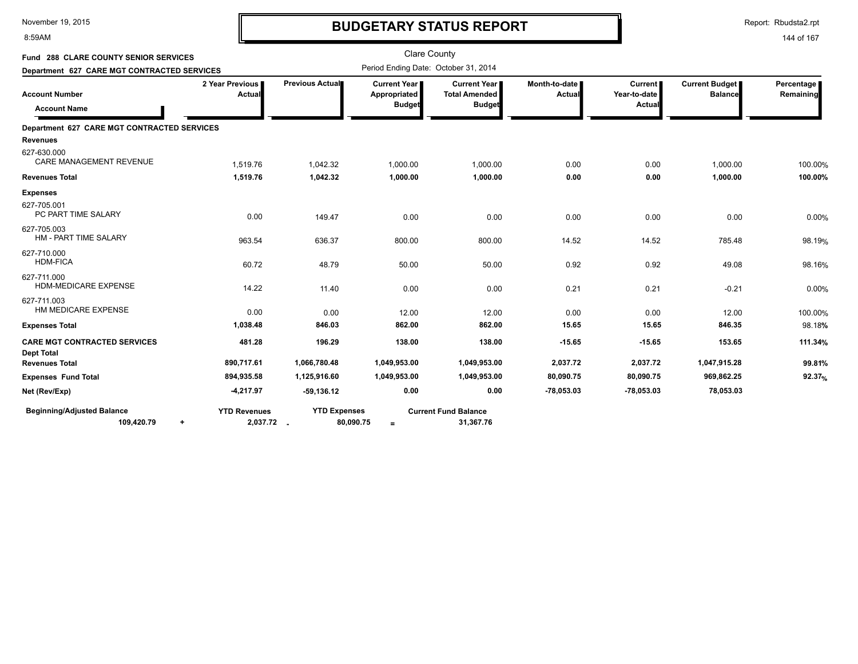8:59AM

# **BUDGETARY STATUS REPORT**

Report: Rbudsta2.rpt

| Fund 288 CLARE COUNTY SENIOR SERVICES             |                                              |                                  | <b>Clare County</b>                                    |                                                              |                                |                                          |                                         |                         |
|---------------------------------------------------|----------------------------------------------|----------------------------------|--------------------------------------------------------|--------------------------------------------------------------|--------------------------------|------------------------------------------|-----------------------------------------|-------------------------|
| Department 627 CARE MGT CONTRACTED SERVICES       |                                              |                                  | Period Ending Date: October 31, 2014                   |                                                              |                                |                                          |                                         |                         |
| <b>Account Number</b><br><b>Account Name</b>      | 2 Year Previous<br>Actual                    | Previous Actual                  | <b>Current Year I</b><br>Appropriated<br><b>Budget</b> | <b>Current Year</b><br><b>Total Amended</b><br><b>Budget</b> | Month-to-date<br><b>Actual</b> | <b>Current</b><br>Year-to-date<br>Actual | <b>Current Budget</b><br><b>Balance</b> | Percentage<br>Remaining |
| Department 627 CARE MGT CONTRACTED SERVICES       |                                              |                                  |                                                        |                                                              |                                |                                          |                                         |                         |
| Revenues                                          |                                              |                                  |                                                        |                                                              |                                |                                          |                                         |                         |
| 627-630.000<br><b>CARE MANAGEMENT REVENUE</b>     | 1,519.76                                     | 1,042.32                         | 1,000.00                                               | 1,000.00                                                     | 0.00                           | 0.00                                     | 1,000.00                                | 100.00%                 |
| <b>Revenues Total</b>                             | 1,519.76                                     | 1,042.32                         | 1,000.00                                               | 1,000.00                                                     | 0.00                           | 0.00                                     | 1,000.00                                | 100.00%                 |
| <b>Expenses</b>                                   |                                              |                                  |                                                        |                                                              |                                |                                          |                                         |                         |
| 627-705.001<br>PC PART TIME SALARY                | 0.00                                         | 149.47                           | 0.00                                                   | 0.00                                                         | 0.00                           | 0.00                                     | 0.00                                    | 0.00%                   |
| 627-705.003<br>HM - PART TIME SALARY              | 963.54                                       | 636.37                           | 800.00                                                 | 800.00                                                       | 14.52                          | 14.52                                    | 785.48                                  | 98.19%                  |
| 627-710.000<br><b>HDM-FICA</b>                    | 60.72                                        | 48.79                            | 50.00                                                  | 50.00                                                        | 0.92                           | 0.92                                     | 49.08                                   | 98.16%                  |
| 627-711.000<br><b>HDM-MEDICARE EXPENSE</b>        | 14.22                                        | 11.40                            | 0.00                                                   | 0.00                                                         | 0.21                           | 0.21                                     | $-0.21$                                 | 0.00%                   |
| 627-711.003<br>HM MEDICARE EXPENSE                | 0.00                                         | 0.00                             | 12.00                                                  | 12.00                                                        | 0.00                           | 0.00                                     | 12.00                                   | 100.00%                 |
| <b>Expenses Total</b>                             | 1,038.48                                     | 846.03                           | 862.00                                                 | 862.00                                                       | 15.65                          | 15.65                                    | 846.35                                  | 98.18%                  |
| <b>CARE MGT CONTRACTED SERVICES</b><br>Dept Total | 481.28                                       | 196.29                           | 138.00                                                 | 138.00                                                       | $-15.65$                       | $-15.65$                                 | 153.65                                  | 111.34%                 |
| <b>Revenues Total</b>                             | 890,717.61                                   | 1,066,780.48                     | 1,049,953.00                                           | 1,049,953.00                                                 | 2,037.72                       | 2,037.72                                 | 1,047,915.28                            | 99.81%                  |
| <b>Expenses Fund Total</b>                        | 894,935.58                                   | 1,125,916.60                     | 1,049,953.00                                           | 1,049,953.00                                                 | 80,090.75                      | 80,090.75                                | 969,862.25                              | $92.37%$                |
| Net (Rev/Exp)                                     | -4,217.97                                    | $-59,136.12$                     | 0.00                                                   | 0.00                                                         | -78,053.03                     | $-78,053.03$                             | 78,053.03                               |                         |
| <b>Beginning/Adjusted Balance</b><br>109,420.79   | <b>YTD Revenues</b><br>2,037.72<br>$\ddot{}$ | <b>YTD Expenses</b><br>80,090.75 | $=$                                                    | <b>Current Fund Balance</b><br>31,367.76                     |                                |                                          |                                         |                         |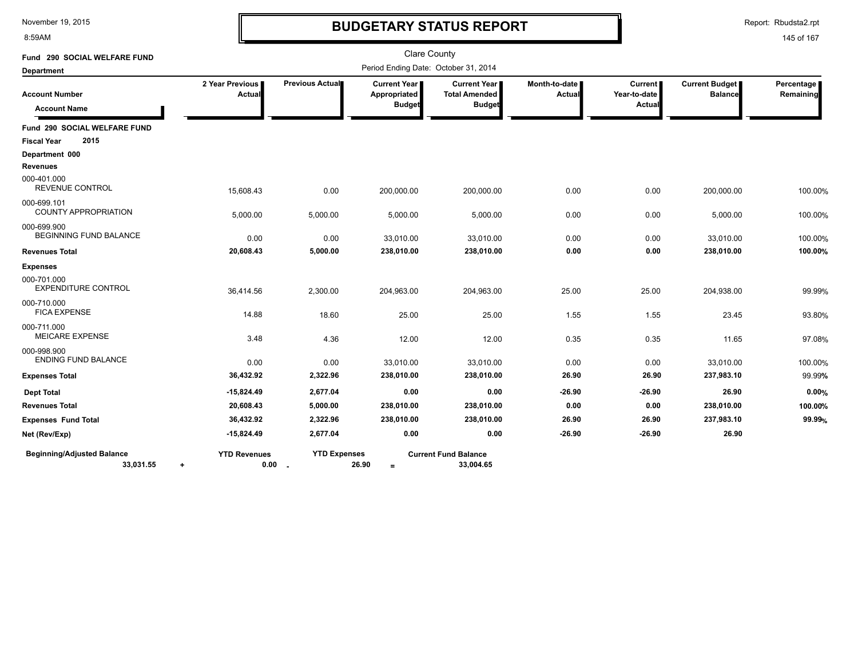8:59AM

# **BUDGETARY STATUS REPORT**

Report: Rbudsta2.rpt

| Fund 290 SOCIAL WELFARE FUND                   |                                  |                               |                                                        | <b>Clare County</b>                                          |                         |                                          |                                  |                         |
|------------------------------------------------|----------------------------------|-------------------------------|--------------------------------------------------------|--------------------------------------------------------------|-------------------------|------------------------------------------|----------------------------------|-------------------------|
| <b>Department</b>                              |                                  |                               |                                                        | Period Ending Date: October 31, 2014                         |                         |                                          |                                  |                         |
| <b>Account Number</b><br><b>Account Name</b>   | 2 Year Previous<br>Actual        | Previous Actual               | <b>Current Year I</b><br>Appropriated<br><b>Budget</b> | <b>Current Year</b><br><b>Total Amended</b><br><b>Budget</b> | Month-to-date<br>Actual | <b>Current</b><br>Year-to-date<br>Actual | Current Budget<br><b>Balance</b> | Percentage<br>Remaining |
| Fund 290 SOCIAL WELFARE FUND                   |                                  |                               |                                                        |                                                              |                         |                                          |                                  |                         |
| 2015<br><b>Fiscal Year</b>                     |                                  |                               |                                                        |                                                              |                         |                                          |                                  |                         |
| Department 000                                 |                                  |                               |                                                        |                                                              |                         |                                          |                                  |                         |
| <b>Revenues</b>                                |                                  |                               |                                                        |                                                              |                         |                                          |                                  |                         |
| 000-401.000<br>REVENUE CONTROL                 | 15,608.43                        | 0.00                          | 200,000.00                                             | 200,000.00                                                   | 0.00                    | 0.00                                     | 200,000.00                       | 100.00%                 |
| 000-699.101<br><b>COUNTY APPROPRIATION</b>     | 5,000.00                         | 5,000.00                      | 5,000.00                                               | 5,000.00                                                     | 0.00                    | 0.00                                     | 5,000.00                         | 100.00%                 |
| 000-699.900<br>BEGINNING FUND BALANCE          | 0.00                             | 0.00                          | 33,010.00                                              | 33,010.00                                                    | 0.00                    | 0.00                                     | 33,010.00                        | 100.00%                 |
| <b>Revenues Total</b>                          | 20,608.43                        | 5,000.00                      | 238,010.00                                             | 238,010.00                                                   | 0.00                    | 0.00                                     | 238,010.00                       | 100.00%                 |
| <b>Expenses</b>                                |                                  |                               |                                                        |                                                              |                         |                                          |                                  |                         |
| 000-701.000<br><b>EXPENDITURE CONTROL</b>      | 36,414.56                        | 2,300.00                      | 204,963.00                                             | 204,963.00                                                   | 25.00                   | 25.00                                    | 204,938.00                       | 99.99%                  |
| 000-710.000<br><b>FICA EXPENSE</b>             | 14.88                            | 18.60                         | 25.00                                                  | 25.00                                                        | 1.55                    | 1.55                                     | 23.45                            | 93.80%                  |
| 000-711.000<br><b>MEICARE EXPENSE</b>          | 3.48                             | 4.36                          | 12.00                                                  | 12.00                                                        | 0.35                    | 0.35                                     | 11.65                            | 97.08%                  |
| 000-998.900<br><b>ENDING FUND BALANCE</b>      | 0.00                             | 0.00                          | 33,010.00                                              | 33,010.00                                                    | 0.00                    | 0.00                                     | 33,010.00                        | 100.00%                 |
| <b>Expenses Total</b>                          | 36,432.92                        | 2,322.96                      | 238,010.00                                             | 238,010.00                                                   | 26.90                   | 26.90                                    | 237,983.10                       | 99.99%                  |
| <b>Dept Total</b>                              | $-15,824.49$                     | 2,677.04                      | 0.00                                                   | 0.00                                                         | $-26.90$                | $-26.90$                                 | 26.90                            | 0.00%                   |
| <b>Revenues Total</b>                          | 20,608.43                        | 5,000.00                      | 238,010.00                                             | 238,010.00                                                   | 0.00                    | 0.00                                     | 238,010.00                       | 100.00%                 |
| <b>Expenses Fund Total</b>                     | 36,432.92                        | 2,322.96                      | 238,010.00                                             | 238,010.00                                                   | 26.90                   | 26.90                                    | 237,983.10                       | 99.99%                  |
| Net (Rev/Exp)                                  | $-15,824.49$                     | 2,677.04                      | 0.00                                                   | 0.00                                                         | $-26.90$                | $-26.90$                                 | 26.90                            |                         |
| <b>Beginning/Adjusted Balance</b><br>33,031.55 | <b>YTD Revenues</b><br>0.00<br>٠ | <b>YTD Expenses</b><br>$\sim$ | 26.90<br>$=$                                           | <b>Current Fund Balance</b><br>33,004.65                     |                         |                                          |                                  |                         |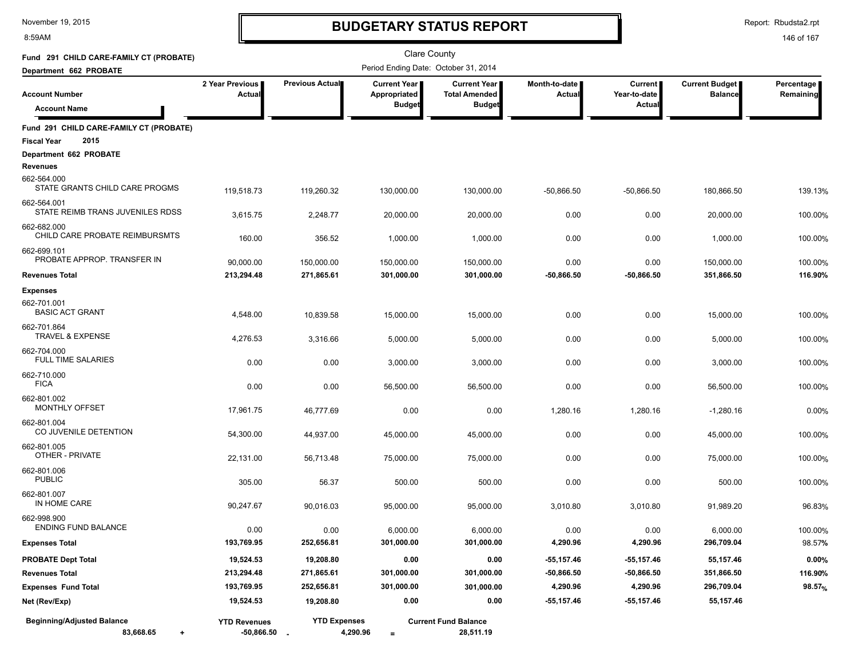8:59AM

# **BUDGETARY STATUS REPORT**

Report: Rbudsta2.rpt

| Fund 291 CHILD CARE-FAMILY CT (PROBATE)                               |                                         |                                 | <b>Clare County</b>                   |                                               |                                |                         |                                  |                         |
|-----------------------------------------------------------------------|-----------------------------------------|---------------------------------|---------------------------------------|-----------------------------------------------|--------------------------------|-------------------------|----------------------------------|-------------------------|
| Department 662 PROBATE                                                |                                         |                                 | Period Ending Date: October 31, 2014  |                                               |                                |                         |                                  |                         |
| <b>Account Number</b>                                                 | 2 Year Previous<br>Actual               | Previous Actual                 | <b>Current Year  </b><br>Appropriated | <b>Current Year</b>  <br><b>Total Amended</b> | Month-to-date<br><b>Actual</b> | Current<br>Year-to-date | Current Budget<br><b>Balance</b> | Percentage<br>Remaining |
| <b>Account Name</b>                                                   |                                         |                                 | <b>Budget</b>                         | <b>Budget</b>                                 |                                | Actual                  |                                  |                         |
| Fund 291 CHILD CARE-FAMILY CT (PROBATE)<br><b>Fiscal Year</b><br>2015 |                                         |                                 |                                       |                                               |                                |                         |                                  |                         |
| Department 662 PROBATE                                                |                                         |                                 |                                       |                                               |                                |                         |                                  |                         |
| Revenues<br>662-564.000<br>STATE GRANTS CHILD CARE PROGMS             |                                         |                                 |                                       |                                               |                                |                         |                                  |                         |
| 662-564.001                                                           | 119.518.73                              | 119,260.32                      | 130,000.00                            | 130,000.00                                    | $-50,866.50$                   | $-50,866.50$            | 180,866.50                       | 139.13%                 |
| STATE REIMB TRANS JUVENILES RDSS                                      | 3,615.75                                | 2,248.77                        | 20,000.00                             | 20,000.00                                     | 0.00                           | 0.00                    | 20,000.00                        | 100.00%                 |
| 662-682.000<br>CHILD CARE PROBATE REIMBURSMTS                         | 160.00                                  | 356.52                          | 1,000.00                              | 1,000.00                                      | 0.00                           | 0.00                    | 1,000.00                         | 100.00%                 |
| 662-699.101<br>PROBATE APPROP. TRANSFER IN                            | 90,000.00                               | 150,000.00                      | 150,000.00                            | 150,000.00                                    | 0.00                           | 0.00                    | 150,000.00                       | 100.00%                 |
| <b>Revenues Total</b>                                                 | 213,294.48                              | 271,865.61                      | 301,000.00                            | 301,000.00                                    | $-50,866.50$                   | -50,866.50              | 351,866.50                       | 116.90%                 |
| <b>Expenses</b>                                                       |                                         |                                 |                                       |                                               |                                |                         |                                  |                         |
| 662-701.001<br><b>BASIC ACT GRANT</b>                                 | 4,548.00                                | 10,839.58                       | 15,000.00                             | 15,000.00                                     | 0.00                           | 0.00                    | 15,000.00                        | 100.00%                 |
| 662-701.864<br><b>TRAVEL &amp; EXPENSE</b>                            | 4,276.53                                | 3,316.66                        | 5,000.00                              | 5,000.00                                      | 0.00                           | 0.00                    | 5,000.00                         | 100.00%                 |
| 662-704.000<br><b>FULL TIME SALARIES</b>                              | 0.00                                    | 0.00                            | 3,000.00                              | 3,000.00                                      | 0.00                           | 0.00                    | 3,000.00                         | 100.00%                 |
| 662-710.000<br><b>FICA</b>                                            | 0.00                                    | 0.00                            | 56,500.00                             | 56,500.00                                     | 0.00                           | 0.00                    | 56,500.00                        | 100.00%                 |
| 662-801.002<br>MONTHLY OFFSET                                         | 17,961.75                               | 46,777.69                       | 0.00                                  | 0.00                                          | 1,280.16                       | 1,280.16                | -1,280.16                        | 0.00%                   |
| 662-801.004<br>CO JUVENILE DETENTION                                  | 54,300.00                               | 44,937.00                       | 45,000.00                             | 45,000.00                                     | 0.00                           | 0.00                    | 45,000.00                        | 100.00%                 |
| 662-801.005<br>OTHER - PRIVATE                                        | 22,131.00                               | 56,713.48                       | 75,000.00                             | 75,000.00                                     | 0.00                           | 0.00                    | 75,000.00                        | 100.00%                 |
| 662-801.006<br><b>PUBLIC</b>                                          | 305.00                                  | 56.37                           | 500.00                                | 500.00                                        | 0.00                           | 0.00                    | 500.00                           | 100.00%                 |
| 662-801.007<br>IN HOME CARE                                           | 90,247.67                               | 90,016.03                       | 95,000.00                             | 95,000.00                                     | 3,010.80                       | 3,010.80                | 91,989.20                        | 96.83%                  |
| 662-998.900<br><b>ENDING FUND BALANCE</b>                             | 0.00                                    | 0.00                            | 6.000.00                              | 6,000.00                                      | 0.00                           | 0.00                    | 6,000.00                         | 100.00%                 |
| <b>Expenses Total</b>                                                 | 193,769.95                              | 252,656.81                      | 301,000.00                            | 301,000.00                                    | 4,290.96                       | 4,290.96                | 296,709.04                       | 98.57%                  |
| <b>PROBATE Dept Total</b>                                             | 19,524.53                               | 19,208.80                       | 0.00                                  | 0.00                                          | $-55, 157.46$                  | $-55, 157.46$           | 55,157.46                        | 0.00%                   |
| <b>Revenues Total</b>                                                 | 213,294.48                              | 271,865.61                      | 301,000.00                            | 301,000.00                                    | $-50,866.50$                   | $-50,866.50$            | 351,866.50                       | 116.90%                 |
| <b>Expenses Fund Total</b>                                            | 193,769.95                              | 252,656.81                      | 301,000.00                            | 301,000.00                                    | 4,290.96                       | 4,290.96                | 296,709.04                       | 98.57 <sub>%</sub>      |
| Net (Rev/Exp)                                                         | 19,524.53                               | 19,208.80                       | 0.00                                  | 0.00                                          | -55,157.46                     | -55,157.46              | 55,157.46                        |                         |
| <b>Beginning/Adjusted Balance</b><br>83,668.65<br>$\ddot{}$           | <b>YTD Revenues</b><br>$-50,866.50$ $-$ | <b>YTD Expenses</b><br>4,290.96 | $\equiv$                              | <b>Current Fund Balance</b><br>28,511.19      |                                |                         |                                  |                         |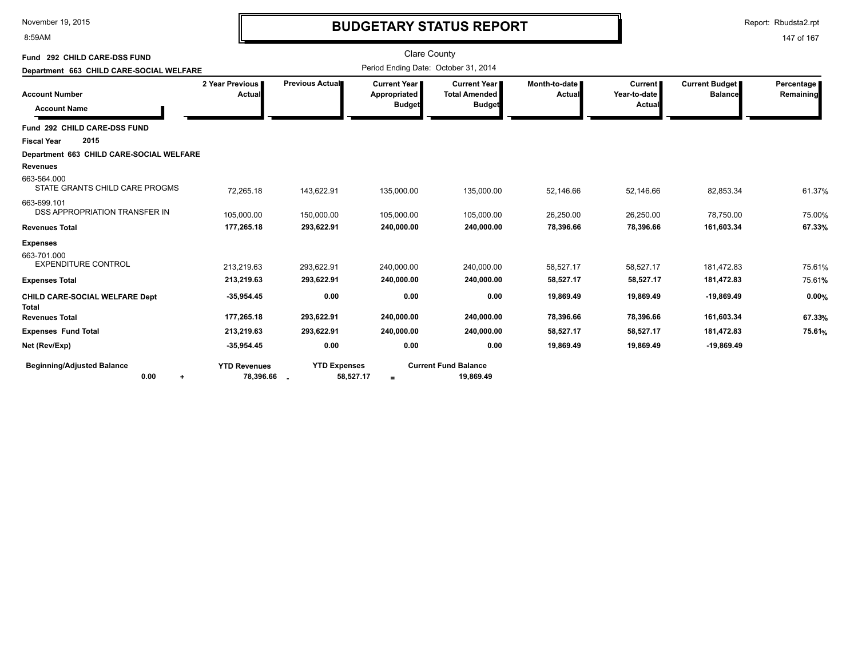8:59AM

# **BUDGETARY STATUS REPORT**

Report: Rbudsta2.rpt

| Fund 292 CHILD CARE-DSS FUND<br>Department 663 CHILD CARE-SOCIAL WELFARE |                                    |                                  | <b>Clare County</b>                                    | Period Ending Date: October 31, 2014                  |                                |                                          |                                  |                         |
|--------------------------------------------------------------------------|------------------------------------|----------------------------------|--------------------------------------------------------|-------------------------------------------------------|--------------------------------|------------------------------------------|----------------------------------|-------------------------|
| <b>Account Number</b><br><b>Account Name</b>                             | 2 Year Previous<br>Actual          | Previous Actual                  | <b>Current Year I</b><br>Appropriated<br><b>Budget</b> | Current Year<br><b>Total Amended</b><br><b>Budget</b> | Month-to-date<br><b>Actual</b> | <b>Current</b><br>Year-to-date<br>Actual | Current Budget<br><b>Balance</b> | Percentage<br>Remaining |
| Fund 292 CHILD CARE-DSS FUND                                             |                                    |                                  |                                                        |                                                       |                                |                                          |                                  |                         |
| 2015<br><b>Fiscal Year</b>                                               |                                    |                                  |                                                        |                                                       |                                |                                          |                                  |                         |
| Department 663 CHILD CARE-SOCIAL WELFARE<br><b>Revenues</b>              |                                    |                                  |                                                        |                                                       |                                |                                          |                                  |                         |
| 663-564.000<br>STATE GRANTS CHILD CARE PROGMS                            | 72,265.18                          | 143,622.91                       | 135,000.00                                             | 135,000.00                                            | 52,146.66                      | 52,146.66                                | 82,853.34                        | 61.37%                  |
| 663-699.101<br>DSS APPROPRIATION TRANSFER IN                             | 105,000.00                         | 150,000.00                       | 105,000.00                                             | 105,000.00                                            | 26,250.00                      | 26,250.00                                | 78,750.00                        | 75.00%                  |
| <b>Revenues Total</b>                                                    | 177,265.18                         | 293,622.91                       | 240,000.00                                             | 240,000.00                                            | 78,396.66                      | 78,396.66                                | 161,603.34                       | 67.33%                  |
| <b>Expenses</b>                                                          |                                    |                                  |                                                        |                                                       |                                |                                          |                                  |                         |
| 663-701.000<br><b>EXPENDITURE CONTROL</b>                                | 213,219.63<br>213,219.63           | 293,622.91<br>293,622.91         | 240,000.00<br>240,000.00                               | 240,000.00<br>240,000.00                              | 58,527.17<br>58,527.17         | 58,527.17<br>58,527.17                   | 181,472.83<br>181,472.83         | 75.61%<br>75.61%        |
| <b>Expenses Total</b>                                                    |                                    |                                  |                                                        |                                                       |                                |                                          |                                  |                         |
| CHILD CARE-SOCIAL WELFARE Dept<br><b>Total</b>                           | $-35,954.45$                       | 0.00                             | 0.00                                                   | 0.00                                                  | 19,869.49                      | 19,869.49                                | $-19,869.49$                     | 0.00%                   |
| <b>Revenues Total</b>                                                    | 177,265.18                         | 293,622.91                       | 240,000.00                                             | 240,000.00                                            | 78,396.66                      | 78,396.66                                | 161,603.34                       | 67.33%                  |
| <b>Expenses Fund Total</b>                                               | 213,219.63                         | 293,622.91                       | 240,000.00                                             | 240,000.00                                            | 58,527.17                      | 58,527.17                                | 181,472.83                       | 75.61 <sub>%</sub>      |
| Net (Rev/Exp)                                                            | $-35,954.45$                       | 0.00                             | 0.00                                                   | 0.00                                                  | 19,869.49                      | 19,869.49                                | $-19,869.49$                     |                         |
| <b>Beginning/Adjusted Balance</b><br>0.00                                | <b>YTD Revenues</b><br>78,396.66 . | <b>YTD Expenses</b><br>58,527.17 | $=$                                                    | <b>Current Fund Balance</b><br>19,869.49              |                                |                                          |                                  |                         |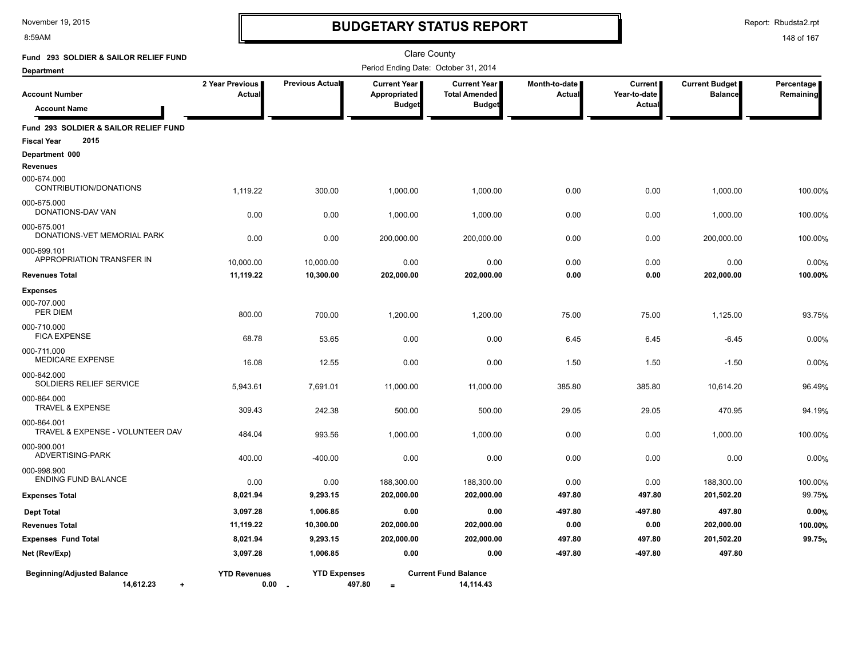8:59AM

# **BUDGETARY STATUS REPORT**

Report: Rbudsta2.rpt

| Fund 293 SOLDIER & SAILOR RELIEF FUND                               |                             |                     | <b>Clare County</b>                                  |                                                              |                         |                                     |                                  |                           |
|---------------------------------------------------------------------|-----------------------------|---------------------|------------------------------------------------------|--------------------------------------------------------------|-------------------------|-------------------------------------|----------------------------------|---------------------------|
| <b>Department</b>                                                   |                             |                     | Period Ending Date: October 31, 2014                 |                                                              |                         |                                     |                                  |                           |
| <b>Account Number</b><br><b>Account Name</b>                        | 2 Year Previous<br>Actual   | Previous Actual     | <b>Current Year</b><br>Appropriated<br><b>Budget</b> | <b>Current Year</b><br><b>Total Amended</b><br><b>Budget</b> | Month-to-date<br>Actual | Current  <br>Year-to-date<br>Actual | Current Budget<br><b>Balance</b> | Percentage  <br>Remaining |
| Fund 293 SOLDIER & SAILOR RELIEF FUND<br>2015<br><b>Fiscal Year</b> |                             |                     |                                                      |                                                              |                         |                                     |                                  |                           |
| Department 000                                                      |                             |                     |                                                      |                                                              |                         |                                     |                                  |                           |
| <b>Revenues</b>                                                     |                             |                     |                                                      |                                                              |                         |                                     |                                  |                           |
| 000-674.000<br>CONTRIBUTION/DONATIONS                               | 1,119.22                    | 300.00              | 1,000.00                                             | 1,000.00                                                     | 0.00                    | 0.00                                | 1,000.00                         | 100.00%                   |
| 000-675.000                                                         |                             |                     |                                                      |                                                              |                         |                                     |                                  |                           |
| DONATIONS-DAV VAN                                                   | 0.00                        | 0.00                | 1,000.00                                             | 1,000.00                                                     | 0.00                    | 0.00                                | 1,000.00                         | 100.00%                   |
| 000-675.001                                                         |                             |                     |                                                      |                                                              |                         |                                     |                                  |                           |
| DONATIONS-VET MEMORIAL PARK                                         | 0.00                        | 0.00                | 200,000.00                                           | 200,000.00                                                   | 0.00                    | 0.00                                | 200,000.00                       | 100.00%                   |
| 000-699.101                                                         |                             |                     |                                                      |                                                              |                         |                                     |                                  |                           |
| APPROPRIATION TRANSFER IN                                           | 10,000.00                   | 10,000.00           | 0.00                                                 | 0.00                                                         | 0.00                    | 0.00                                | 0.00                             | 0.00%                     |
| <b>Revenues Total</b>                                               | 11,119.22                   | 10,300.00           | 202,000.00                                           | 202,000.00                                                   | 0.00                    | 0.00                                | 202,000.00                       | 100.00%                   |
| <b>Expenses</b><br>000-707.000                                      |                             |                     |                                                      |                                                              |                         |                                     |                                  |                           |
| PER DIEM                                                            | 800.00                      | 700.00              | 1,200.00                                             | 1,200.00                                                     | 75.00                   | 75.00                               | 1,125.00                         | 93.75%                    |
| 000-710.000<br><b>FICA EXPENSE</b>                                  | 68.78                       | 53.65               | 0.00                                                 | 0.00                                                         | 6.45                    | 6.45                                | $-6.45$                          | 0.00%                     |
| 000-711.000<br>MEDICARE EXPENSE                                     | 16.08                       | 12.55               | 0.00                                                 | 0.00                                                         | 1.50                    | 1.50                                | $-1.50$                          | 0.00%                     |
| 000-842.000<br>SOLDIERS RELIEF SERVICE                              | 5,943.61                    | 7,691.01            | 11,000.00                                            | 11,000.00                                                    | 385.80                  | 385.80                              | 10,614.20                        | 96.49%                    |
| 000-864.000<br><b>TRAVEL &amp; EXPENSE</b>                          | 309.43                      | 242.38              | 500.00                                               | 500.00                                                       | 29.05                   | 29.05                               | 470.95                           | 94.19%                    |
| 000-864.001<br>TRAVEL & EXPENSE - VOLUNTEER DAV                     | 484.04                      | 993.56              | 1,000.00                                             | 1,000.00                                                     | 0.00                    | 0.00                                | 1,000.00                         | 100.00%                   |
| 000-900.001<br>ADVERTISING-PARK                                     | 400.00                      | $-400.00$           | 0.00                                                 | 0.00                                                         | 0.00                    | 0.00                                | 0.00                             | 0.00%                     |
| 000-998.900                                                         |                             |                     |                                                      |                                                              |                         |                                     |                                  |                           |
| <b>ENDING FUND BALANCE</b>                                          | 0.00                        | 0.00                | 188,300.00                                           | 188,300.00                                                   | 0.00                    | 0.00                                | 188,300.00                       | 100.00%                   |
| <b>Expenses Total</b>                                               | 8,021.94                    | 9,293.15            | 202,000.00                                           | 202,000.00                                                   | 497.80                  | 497.80                              | 201,502.20                       | 99.75%                    |
| <b>Dept Total</b>                                                   | 3,097.28                    | 1,006.85            | 0.00                                                 | 0.00                                                         | -497.80                 | $-497.80$                           | 497.80                           | 0.00%                     |
| <b>Revenues Total</b>                                               | 11,119.22                   | 10,300.00           | 202,000.00                                           | 202,000.00                                                   | 0.00                    | 0.00                                | 202,000.00                       | 100.00%                   |
| <b>Expenses Fund Total</b>                                          | 8,021.94                    | 9,293.15            | 202,000.00                                           | 202,000.00                                                   | 497.80                  | 497.80                              | 201,502.20                       | 99.75%                    |
| Net (Rev/Exp)                                                       | 3,097.28                    | 1,006.85            | 0.00                                                 | 0.00                                                         | -497.80                 | -497.80                             | 497.80                           |                           |
| <b>Beginning/Adjusted Balance</b><br>14,612.23                      | <b>YTD Revenues</b><br>0.00 | <b>YTD Expenses</b> | 497.80<br>$=$                                        | <b>Current Fund Balance</b><br>14,114.43                     |                         |                                     |                                  |                           |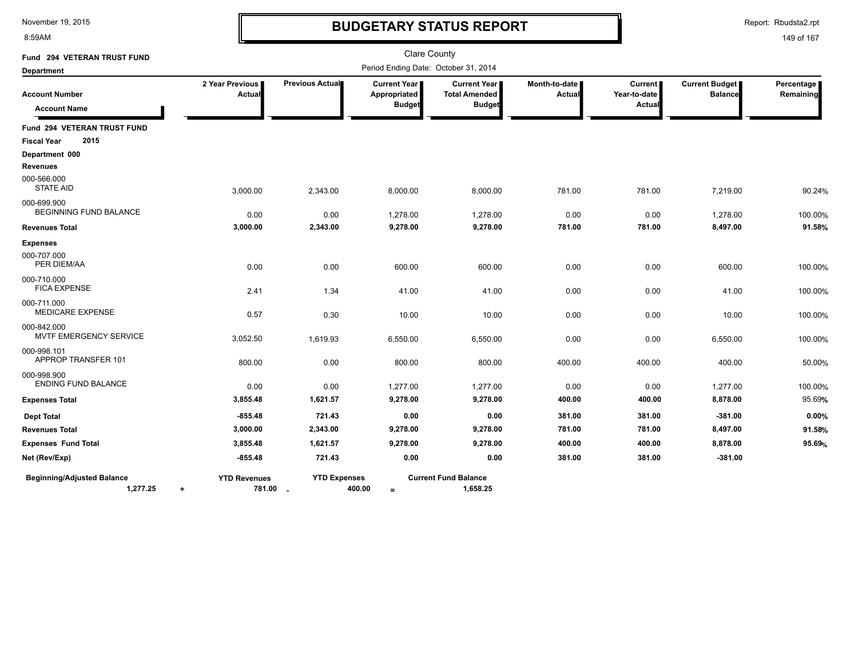8:59AM

# **BUDGETARY STATUS REPORT**

Report: Rbudsta2.rpt

| Fund 294 VETERAN TRUST FUND                   |                                              |                     | <b>Clare County</b>                                    |                                                              |                         |                                          |                                         |                         |
|-----------------------------------------------|----------------------------------------------|---------------------|--------------------------------------------------------|--------------------------------------------------------------|-------------------------|------------------------------------------|-----------------------------------------|-------------------------|
| <b>Department</b>                             |                                              |                     | Period Ending Date: October 31, 2014                   |                                                              |                         |                                          |                                         |                         |
| <b>Account Number</b><br><b>Account Name</b>  | 2 Year Previous<br><b>Actual</b>             | Previous Actual     | <b>Current Year I</b><br>Appropriated<br><b>Budget</b> | <b>Current Year</b><br><b>Total Amended</b><br><b>Budget</b> | Month-to-date<br>Actual | <b>Current</b><br>Year-to-date<br>Actual | <b>Current Budget</b><br><b>Balance</b> | Percentage<br>Remaining |
| Fund 294 VETERAN TRUST FUND                   |                                              |                     |                                                        |                                                              |                         |                                          |                                         |                         |
| 2015<br><b>Fiscal Year</b>                    |                                              |                     |                                                        |                                                              |                         |                                          |                                         |                         |
| Department 000                                |                                              |                     |                                                        |                                                              |                         |                                          |                                         |                         |
| <b>Revenues</b>                               |                                              |                     |                                                        |                                                              |                         |                                          |                                         |                         |
| 000-566.000<br><b>STATE AID</b>               | 3,000.00                                     | 2,343.00            | 8,000.00                                               | 8,000.00                                                     | 781.00                  | 781.00                                   | 7,219.00                                | 90.24%                  |
| 000-699.900<br><b>BEGINNING FUND BALANCE</b>  | 0.00                                         | 0.00                | 1,278.00                                               | 1,278.00                                                     | 0.00                    | 0.00                                     | 1,278.00                                | 100.00%                 |
| <b>Revenues Total</b>                         | 3,000.00                                     | 2,343.00            | 9,278.00                                               | 9,278.00                                                     | 781.00                  | 781.00                                   | 8,497.00                                | 91.58%                  |
| <b>Expenses</b>                               |                                              |                     |                                                        |                                                              |                         |                                          |                                         |                         |
| 000-707.000<br>PER DIEM/AA                    | 0.00                                         | 0.00                | 600.00                                                 | 600.00                                                       | 0.00                    | 0.00                                     | 600.00                                  | 100.00%                 |
| 000-710.000<br><b>FICA EXPENSE</b>            | 2.41                                         | 1.34                | 41.00                                                  | 41.00                                                        | 0.00                    | 0.00                                     | 41.00                                   | 100.00%                 |
| 000-711.000<br><b>MEDICARE EXPENSE</b>        | 0.57                                         | 0.30                | 10.00                                                  | 10.00                                                        | 0.00                    | 0.00                                     | 10.00                                   | 100.00%                 |
| 000-842.000<br>MVTF EMERGENCY SERVICE         | 3,052.50                                     | 1,619.93            | 6,550.00                                               | 6,550.00                                                     | 0.00                    | 0.00                                     | 6,550.00                                | 100.00%                 |
| 000-998.101<br>APPROP TRANSFER 101            | 800.00                                       | 0.00                | 800.00                                                 | 800.00                                                       | 400.00                  | 400.00                                   | 400.00                                  | 50.00%                  |
| 000-998.900<br><b>ENDING FUND BALANCE</b>     | 0.00                                         | 0.00                | 1,277.00                                               | 1,277.00                                                     | 0.00                    | 0.00                                     | 1,277.00                                | 100.00%                 |
| <b>Expenses Total</b>                         | 3,855.48                                     | 1,621.57            | 9,278.00                                               | 9,278.00                                                     | 400.00                  | 400.00                                   | 8,878.00                                | 95.69%                  |
| <b>Dept Total</b>                             | $-855.48$                                    | 721.43              | 0.00                                                   | 0.00                                                         | 381.00                  | 381.00                                   | $-381.00$                               | 0.00%                   |
| <b>Revenues Total</b>                         | 3,000.00                                     | 2,343.00            | 9,278.00                                               | 9,278.00                                                     | 781.00                  | 781.00                                   | 8,497.00                                | 91.58%                  |
| <b>Expenses Fund Total</b>                    | 3,855.48                                     | 1,621.57            | 9,278.00                                               | 9,278.00                                                     | 400.00                  | 400.00                                   | 8,878.00                                | 95.69%                  |
| Net (Rev/Exp)                                 | $-855.48$                                    | 721.43              | 0.00                                                   | 0.00                                                         | 381.00                  | 381.00                                   | $-381.00$                               |                         |
| <b>Beginning/Adjusted Balance</b><br>1,277.25 | <b>YTD Revenues</b><br>781.00 .<br>$\ddot{}$ | <b>YTD Expenses</b> | 400.00<br>$\equiv$                                     | <b>Current Fund Balance</b><br>1,658.25                      |                         |                                          |                                         |                         |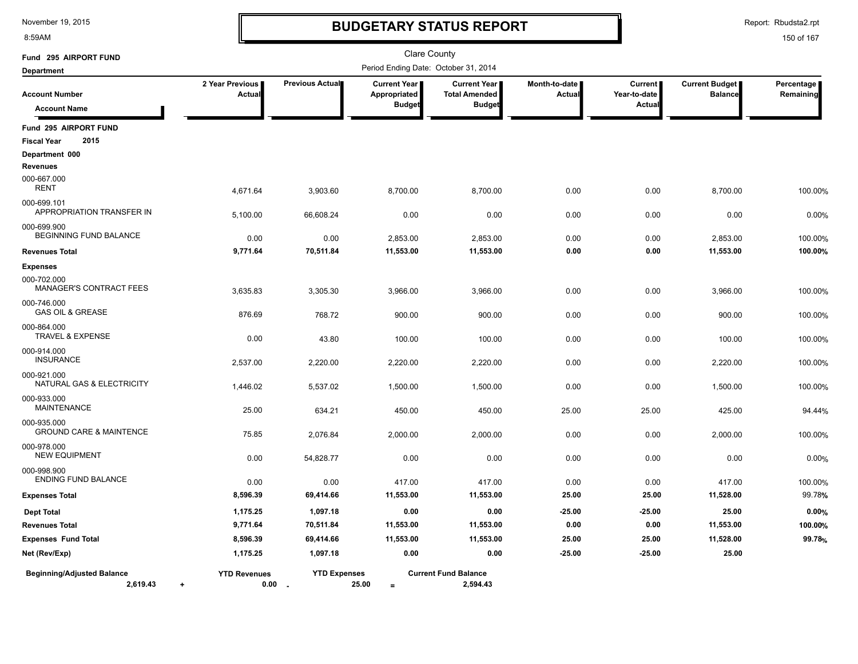8:59AM

# **BUDGETARY STATUS REPORT**

Report: Rbudsta2.rpt

| Fund 295 AIRPORT FUND                             |                                  |                               | Clare County                                           |                                                       |                         |                                          |                                         |                           |
|---------------------------------------------------|----------------------------------|-------------------------------|--------------------------------------------------------|-------------------------------------------------------|-------------------------|------------------------------------------|-----------------------------------------|---------------------------|
| <b>Department</b>                                 |                                  |                               | Period Ending Date: October 31, 2014                   |                                                       |                         |                                          |                                         |                           |
| <b>Account Number</b><br><b>Account Name</b>      | 2 Year Previous<br>Actual        | Previous Actual               | <b>Current Year</b>  <br>Appropriated<br><b>Budget</b> | Current Year<br><b>Total Amended</b><br><b>Budget</b> | Month-to-date<br>Actual | <b>Current</b><br>Year-to-date<br>Actual | <b>Current Budget</b><br><b>Balance</b> | Percentage  <br>Remaining |
|                                                   |                                  |                               |                                                        |                                                       |                         |                                          |                                         |                           |
| Fund 295 AIRPORT FUND<br>2015                     |                                  |                               |                                                        |                                                       |                         |                                          |                                         |                           |
| <b>Fiscal Year</b><br>Department 000              |                                  |                               |                                                        |                                                       |                         |                                          |                                         |                           |
| <b>Revenues</b>                                   |                                  |                               |                                                        |                                                       |                         |                                          |                                         |                           |
| 000-667.000<br><b>RENT</b>                        | 4,671.64                         | 3,903.60                      | 8,700.00                                               | 8,700.00                                              | 0.00                    | 0.00                                     | 8,700.00                                | 100.00%                   |
| 000-699.101<br>APPROPRIATION TRANSFER IN          | 5,100.00                         | 66,608.24                     | 0.00                                                   | 0.00                                                  | 0.00                    | 0.00                                     | 0.00                                    | 0.00%                     |
| 000-699.900<br>BEGINNING FUND BALANCE             | 0.00                             | 0.00                          | 2,853.00                                               | 2,853.00                                              | 0.00                    | 0.00                                     | 2,853.00                                | 100.00%                   |
| <b>Revenues Total</b>                             | 9,771.64                         | 70,511.84                     | 11,553.00                                              | 11,553.00                                             | 0.00                    | 0.00                                     | 11,553.00                               | 100.00%                   |
| <b>Expenses</b>                                   |                                  |                               |                                                        |                                                       |                         |                                          |                                         |                           |
| 000-702.000<br><b>MANAGER'S CONTRACT FEES</b>     | 3,635.83                         | 3,305.30                      | 3,966.00                                               | 3,966.00                                              | 0.00                    | 0.00                                     | 3,966.00                                | 100.00%                   |
| 000-746.000<br><b>GAS OIL &amp; GREASE</b>        | 876.69                           | 768.72                        | 900.00                                                 | 900.00                                                | 0.00                    | 0.00                                     | 900.00                                  | 100.00%                   |
| 000-864.000<br><b>TRAVEL &amp; EXPENSE</b>        | 0.00                             | 43.80                         | 100.00                                                 | 100.00                                                | 0.00                    | 0.00                                     | 100.00                                  | 100.00%                   |
| 000-914.000<br><b>INSURANCE</b>                   | 2,537.00                         | 2,220.00                      | 2,220.00                                               | 2,220.00                                              | 0.00                    | 0.00                                     | 2,220.00                                | 100.00%                   |
| 000-921.000<br>NATURAL GAS & ELECTRICITY          | 1,446.02                         | 5,537.02                      | 1,500.00                                               | 1,500.00                                              | 0.00                    | 0.00                                     | 1,500.00                                | 100.00%                   |
| 000-933.000<br><b>MAINTENANCE</b>                 | 25.00                            | 634.21                        | 450.00                                                 | 450.00                                                | 25.00                   | 25.00                                    | 425.00                                  | 94.44%                    |
| 000-935.000<br><b>GROUND CARE &amp; MAINTENCE</b> | 75.85                            | 2,076.84                      | 2,000.00                                               | 2,000.00                                              | 0.00                    | 0.00                                     | 2,000.00                                | 100.00%                   |
| 000-978.000<br><b>NEW EQUIPMENT</b>               | 0.00                             | 54,828.77                     | 0.00                                                   | 0.00                                                  | 0.00                    | 0.00                                     | 0.00                                    | 0.00%                     |
| 000-998.900<br><b>ENDING FUND BALANCE</b>         | 0.00                             | 0.00                          | 417.00                                                 | 417.00                                                | 0.00                    | 0.00                                     | 417.00                                  | 100.00%                   |
| <b>Expenses Total</b>                             | 8,596.39                         | 69,414.66                     | 11,553.00                                              | 11,553.00                                             | 25.00                   | 25.00                                    | 11,528.00                               | 99.78%                    |
| <b>Dept Total</b>                                 | 1,175.25                         | 1,097.18                      | 0.00                                                   | 0.00                                                  | $-25.00$                | $-25.00$                                 | 25.00                                   | 0.00%                     |
| <b>Revenues Total</b>                             | 9,771.64                         | 70,511.84                     | 11,553.00                                              | 11,553.00                                             | 0.00                    | 0.00                                     | 11,553.00                               | 100.00%                   |
| <b>Expenses Fund Total</b>                        | 8,596.39                         | 69,414.66                     | 11,553.00                                              | 11,553.00                                             | 25.00                   | 25.00                                    | 11,528.00                               | 99.78%                    |
| Net (Rev/Exp)                                     | 1,175.25                         | 1,097.18                      | 0.00                                                   | 0.00                                                  | $-25.00$                | $-25.00$                                 | 25.00                                   |                           |
| <b>Beginning/Adjusted Balance</b><br>2,619.43     | <b>YTD Revenues</b><br>0.00<br>÷ | <b>YTD Expenses</b><br>$\sim$ | 25.00<br>$=$                                           | <b>Current Fund Balance</b><br>2,594.43               |                         |                                          |                                         |                           |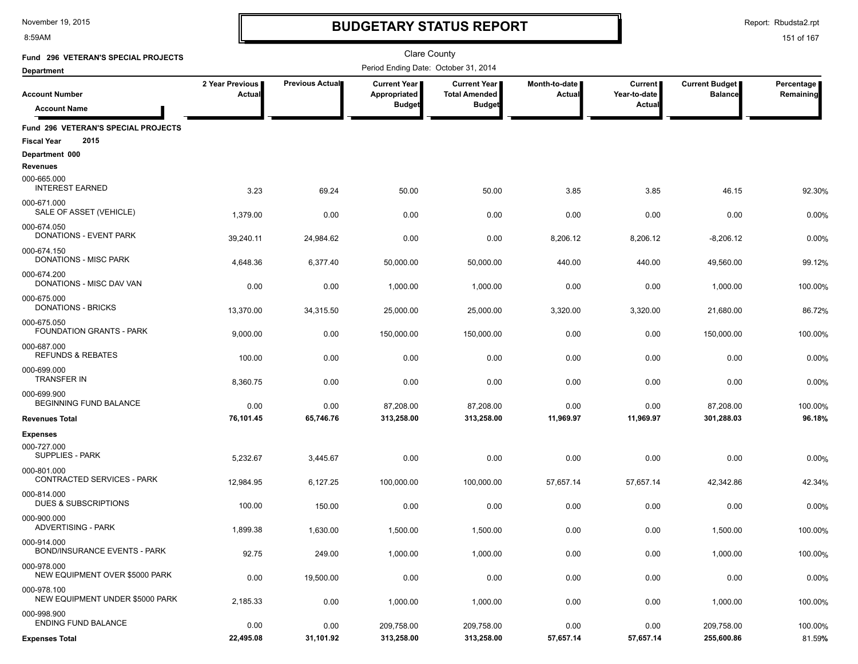8:59AM

# **BUDGETARY STATUS REPORT**

Report: Rbudsta2.rpt

| Fund 296 VETERAN'S SPECIAL PROJECTS                               |                           |                 | Clare County                                  |                                                              |                         |                                          |                                         |                         |
|-------------------------------------------------------------------|---------------------------|-----------------|-----------------------------------------------|--------------------------------------------------------------|-------------------------|------------------------------------------|-----------------------------------------|-------------------------|
| <b>Department</b>                                                 |                           |                 | Period Ending Date: October 31, 2014          |                                                              |                         |                                          |                                         |                         |
| <b>Account Number</b><br><b>Account Name</b>                      | 2 Year Previous<br>Actual | Previous Actual | Current Year<br>Appropriated<br><b>Budget</b> | <b>Current Year</b><br><b>Total Amended</b><br><b>Budget</b> | Month-to-date<br>Actual | <b>Current</b><br>Year-to-date<br>Actual | <b>Current Budget</b><br><b>Balance</b> | Percentage<br>Remaining |
|                                                                   |                           |                 |                                               |                                                              |                         |                                          |                                         |                         |
| Fund 296 VETERAN'S SPECIAL PROJECTS<br>2015<br><b>Fiscal Year</b> |                           |                 |                                               |                                                              |                         |                                          |                                         |                         |
| Department 000<br><b>Revenues</b>                                 |                           |                 |                                               |                                                              |                         |                                          |                                         |                         |
| 000-665.000<br><b>INTEREST EARNED</b>                             | 3.23                      | 69.24           | 50.00                                         | 50.00                                                        | 3.85                    | 3.85                                     | 46.15                                   | 92.30%                  |
| 000-671.000<br>SALE OF ASSET (VEHICLE)                            | 1,379.00                  | 0.00            | 0.00                                          | 0.00                                                         | 0.00                    | 0.00                                     | 0.00                                    | 0.00%                   |
| 000-674.050<br><b>DONATIONS - EVENT PARK</b>                      | 39,240.11                 | 24,984.62       | 0.00                                          | 0.00                                                         | 8,206.12                | 8,206.12                                 | $-8,206.12$                             | 0.00%                   |
| 000-674.150<br>DONATIONS - MISC PARK                              | 4,648.36                  | 6,377.40        | 50,000.00                                     | 50,000.00                                                    | 440.00                  | 440.00                                   | 49,560.00                               | 99.12%                  |
| 000-674.200<br>DONATIONS - MISC DAV VAN                           | 0.00                      | 0.00            | 1,000.00                                      | 1,000.00                                                     | 0.00                    | 0.00                                     | 1,000.00                                | 100.00%                 |
| 000-675.000<br><b>DONATIONS - BRICKS</b>                          | 13,370.00                 | 34,315.50       | 25,000.00                                     | 25,000.00                                                    | 3,320.00                | 3,320.00                                 | 21,680.00                               | 86.72%                  |
| 000-675.050<br>FOUNDATION GRANTS - PARK                           | 9,000.00                  | 0.00            | 150,000.00                                    | 150,000.00                                                   | 0.00                    | 0.00                                     | 150,000.00                              | 100.00%                 |
| 000-687.000<br><b>REFUNDS &amp; REBATES</b>                       | 100.00                    | 0.00            | 0.00                                          | 0.00                                                         | 0.00                    | 0.00                                     | 0.00                                    | 0.00%                   |
| 000-699.000<br><b>TRANSFER IN</b>                                 | 8,360.75                  | 0.00            | 0.00                                          | 0.00                                                         | 0.00                    | 0.00                                     | 0.00                                    | 0.00%                   |
| 000-699.900<br>BEGINNING FUND BALANCE                             | 0.00                      | 0.00            | 87,208.00                                     | 87,208.00                                                    | 0.00                    | 0.00                                     | 87,208.00                               | 100.00%                 |
| <b>Revenues Total</b>                                             | 76,101.45                 | 65,746.76       | 313,258.00                                    | 313,258.00                                                   | 11,969.97               | 11,969.97                                | 301,288.03                              | 96.18%                  |
| <b>Expenses</b>                                                   |                           |                 |                                               |                                                              |                         |                                          |                                         |                         |
| 000-727.000<br><b>SUPPLIES - PARK</b>                             | 5,232.67                  | 3,445.67        | 0.00                                          | 0.00                                                         | 0.00                    | 0.00                                     | 0.00                                    | 0.00%                   |
| 000-801.000<br>CONTRACTED SERVICES - PARK                         | 12,984.95                 | 6,127.25        | 100,000.00                                    | 100,000.00                                                   | 57,657.14               | 57,657.14                                | 42,342.86                               | 42.34%                  |
| 000-814.000<br>DUES & SUBSCRIPTIONS                               | 100.00                    | 150.00          | 0.00                                          | 0.00                                                         | 0.00                    | 0.00                                     | 0.00                                    | 0.00%                   |
| 000-900.000<br><b>ADVERTISING - PARK</b>                          | 1,899.38                  | 1,630.00        | 1,500.00                                      | 1,500.00                                                     | 0.00                    | 0.00                                     | 1,500.00                                | 100.00%                 |
| 000-914.000<br><b>BOND/INSURANCE EVENTS - PARK</b>                | 92.75                     | 249.00          | 1,000.00                                      | 1,000.00                                                     | 0.00                    | 0.00                                     | 1,000.00                                | 100.00%                 |
| 000-978.000<br>NEW EQUIPMENT OVER \$5000 PARK                     | 0.00                      | 19,500.00       | 0.00                                          | 0.00                                                         | 0.00                    | 0.00                                     | 0.00                                    | 0.00%                   |
| 000-978.100<br>NEW EQUIPMENT UNDER \$5000 PARK                    | 2,185.33                  | 0.00            | 1,000.00                                      | 1,000.00                                                     | 0.00                    | 0.00                                     | 1,000.00                                | 100.00%                 |
| 000-998.900<br>ENDING FUND BALANCE                                | 0.00                      | 0.00            | 209,758.00                                    | 209,758.00                                                   | 0.00                    | 0.00                                     | 209,758.00                              | 100.00%                 |
| <b>Expenses Total</b>                                             | 22,495.08                 | 31,101.92       | 313,258.00                                    | 313,258.00                                                   | 57,657.14               | 57,657.14                                | 255,600.86                              | 81.59%                  |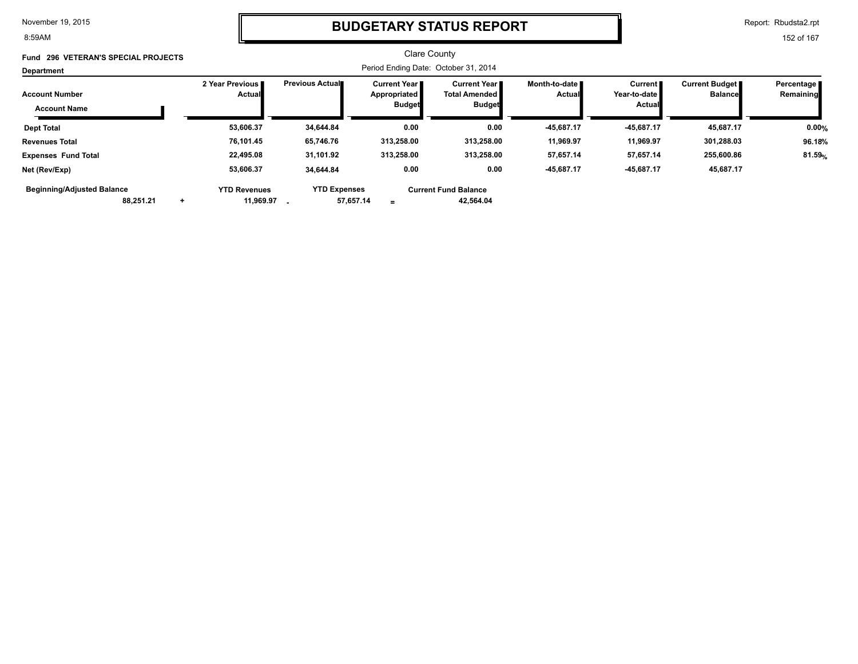8:59AM

### **BUDGETARY STATUS REPORT**

Report: Rbudsta2.rpt

152 of 167

#### Clare County Period Ending Date: October 31, 2014 **Account Number Department Fund 296 VETERAN'S SPECIAL PROJECTS 2 Year Previous Actual Previous Actual Current Year Appropriated Budget Current Year Total Amended Budget Month-to-date Actual Current Year-to-date Actual Current Budget Balance Percentage Remaining Account Name Dept Total 53,606.37 34,644.84 0.00 0.00 -45,687.17 -45,687.17 45,687.17 0.00% Revenues Total 76,101.45 65,746.76 313,258.00 313,258.00 11,969.97 11,969.97 301,288.03 96.18% Expenses Fund Total 22,495.08 31,101.92 313,258.00 313,258.00 57,657.14 57,657.14 255,600.86 81.59**%  **53,606.37 34,644.84 0.00 -45,687.17 -45,687.17 88,251.21 57,657.14 + 11,969.97 - YTD Revenues YTD Expenses = Current Fund Balance 42,564.04 Net (Rev/Exp) 0.00 45,687.17 Beginning/Adjusted Balance**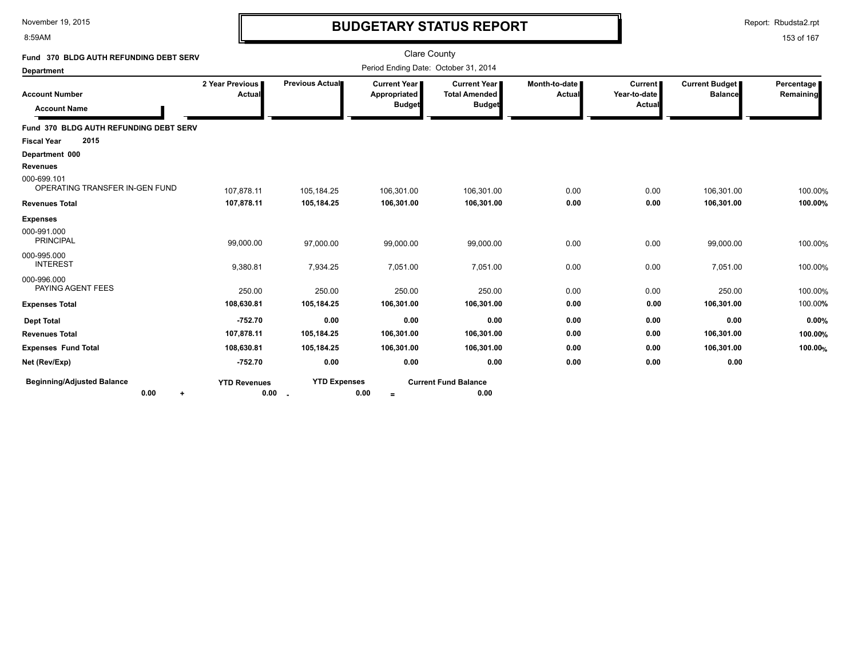#### 8:59AM

### **BUDGETARY STATUS REPORT**

Report: Rbudsta2.rpt

| Fund 370 BLDG AUTH REFUNDING DEBT SERV                 |                             |                           | <b>Clare County</b>                           |                                                              |                         |                                          |                                         |                         |
|--------------------------------------------------------|-----------------------------|---------------------------|-----------------------------------------------|--------------------------------------------------------------|-------------------------|------------------------------------------|-----------------------------------------|-------------------------|
| Department                                             |                             |                           | Period Ending Date: October 31, 2014          |                                                              |                         |                                          |                                         |                         |
| <b>Account Number</b><br><b>Account Name</b>           | 2 Year Previous<br>Actual   | Previous Actual           | Current Year<br>Appropriated<br><b>Budget</b> | <b>Current Year</b><br><b>Total Amended</b><br><b>Budget</b> | Month-to-date<br>Actual | <b>Current</b><br>Year-to-date<br>Actual | <b>Current Budget</b><br><b>Balance</b> | Percentage<br>Remaining |
| Fund 370 BLDG AUTH REFUNDING DEBT SERV                 |                             |                           |                                               |                                                              |                         |                                          |                                         |                         |
| 2015<br><b>Fiscal Year</b>                             |                             |                           |                                               |                                                              |                         |                                          |                                         |                         |
| Department 000                                         |                             |                           |                                               |                                                              |                         |                                          |                                         |                         |
| <b>Revenues</b>                                        |                             |                           |                                               |                                                              |                         |                                          |                                         |                         |
| 000-699.101<br>OPERATING TRANSFER IN-GEN FUND          | 107,878.11                  | 105,184.25                | 106,301.00                                    | 106,301.00                                                   | 0.00                    | 0.00                                     | 106,301.00                              | 100.00%                 |
| <b>Revenues Total</b>                                  | 107,878.11                  | 105,184.25                | 106,301.00                                    | 106,301.00                                                   | 0.00                    | 0.00                                     | 106,301.00                              | 100.00%                 |
| <b>Expenses</b>                                        |                             |                           |                                               |                                                              |                         |                                          |                                         |                         |
| 000-991.000<br><b>PRINCIPAL</b>                        | 99,000.00                   | 97,000.00                 | 99,000.00                                     | 99,000.00                                                    | 0.00                    | 0.00                                     | 99,000.00                               | 100.00%                 |
| 000-995.000<br><b>INTEREST</b>                         | 9,380.81                    | 7,934.25                  | 7,051.00                                      | 7,051.00                                                     | 0.00                    | 0.00                                     | 7,051.00                                | 100.00%                 |
| 000-996.000<br>PAYING AGENT FEES                       | 250.00                      | 250.00                    | 250.00                                        | 250.00                                                       | 0.00                    | 0.00                                     | 250.00                                  | 100.00%                 |
| <b>Expenses Total</b>                                  | 108,630.81                  | 105,184.25                | 106,301.00                                    | 106,301.00                                                   | 0.00                    | 0.00                                     | 106,301.00                              | 100.00%                 |
| <b>Dept Total</b>                                      | $-752.70$                   | 0.00                      | 0.00                                          | 0.00                                                         | 0.00                    | 0.00                                     | 0.00                                    | 0.00%                   |
| <b>Revenues Total</b>                                  | 107,878.11                  | 105,184.25                | 106,301.00                                    | 106,301.00                                                   | 0.00                    | 0.00                                     | 106,301.00                              | 100.00%                 |
| <b>Expenses Fund Total</b>                             | 108,630.81                  | 105,184.25                | 106,301.00                                    | 106,301.00                                                   | 0.00                    | 0.00                                     | 106,301.00                              | 100.00%                 |
| Net (Rev/Exp)                                          | $-752.70$                   | 0.00                      | 0.00                                          | 0.00                                                         | 0.00                    | 0.00                                     | 0.00                                    |                         |
| <b>Beginning/Adjusted Balance</b><br>0.00<br>$\ddot{}$ | <b>YTD Revenues</b><br>0.00 | <b>YTD Expenses</b><br>۰. | 0.00<br>$\equiv$                              | <b>Current Fund Balance</b><br>0.00                          |                         |                                          |                                         |                         |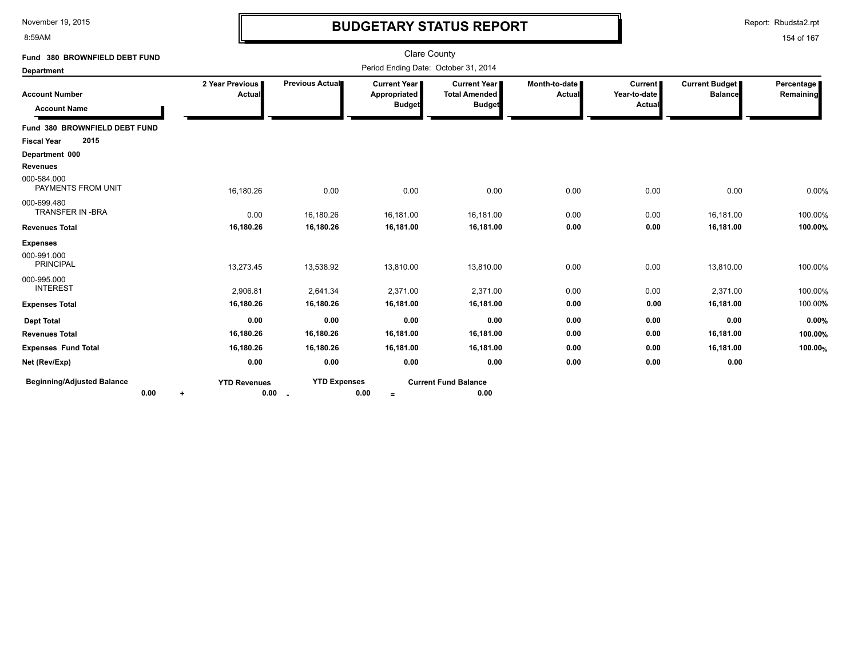8:59AM

# **BUDGETARY STATUS REPORT**

Report: Rbudsta2.rpt

| Fund 380 BROWNFIELD DEBT FUND                |                                  |                     | <b>Clare County</b>                           |                                                                |                                  |                                          |                                         |                         |
|----------------------------------------------|----------------------------------|---------------------|-----------------------------------------------|----------------------------------------------------------------|----------------------------------|------------------------------------------|-----------------------------------------|-------------------------|
| <b>Department</b>                            |                                  |                     | Period Ending Date: October 31, 2014          |                                                                |                                  |                                          |                                         |                         |
| <b>Account Number</b><br><b>Account Name</b> | 2 Year Previous<br>Actual        | Previous Actual     | Current Year<br>Appropriated<br><b>Budget</b> | <b>Current Year I</b><br><b>Total Amended</b><br><b>Budget</b> | Month-to-date  <br><b>Actual</b> | <b>Current</b><br>Year-to-date<br>Actual | <b>Current Budget</b><br><b>Balance</b> | Percentage<br>Remaining |
| Fund 380 BROWNFIELD DEBT FUND                |                                  |                     |                                               |                                                                |                                  |                                          |                                         |                         |
| 2015<br><b>Fiscal Year</b>                   |                                  |                     |                                               |                                                                |                                  |                                          |                                         |                         |
| Department 000                               |                                  |                     |                                               |                                                                |                                  |                                          |                                         |                         |
| <b>Revenues</b>                              |                                  |                     |                                               |                                                                |                                  |                                          |                                         |                         |
| 000-584.000<br>PAYMENTS FROM UNIT            | 16,180.26                        | 0.00                | 0.00                                          | 0.00                                                           | 0.00                             | 0.00                                     | 0.00                                    | 0.00%                   |
| 000-699.480<br><b>TRANSFER IN -BRA</b>       | 0.00                             | 16,180.26           | 16,181.00                                     | 16,181.00                                                      | 0.00                             | 0.00                                     | 16,181.00                               | 100.00%                 |
| <b>Revenues Total</b>                        | 16,180.26                        | 16,180.26           | 16,181.00                                     | 16,181.00                                                      | 0.00                             | 0.00                                     | 16,181.00                               | 100.00%                 |
| <b>Expenses</b>                              |                                  |                     |                                               |                                                                |                                  |                                          |                                         |                         |
| 000-991.000<br><b>PRINCIPAL</b>              | 13,273.45                        | 13,538.92           | 13,810.00                                     | 13,810.00                                                      | 0.00                             | 0.00                                     | 13,810.00                               | 100.00%                 |
| 000-995.000<br><b>INTEREST</b>               | 2,906.81                         | 2,641.34            | 2,371.00                                      | 2,371.00                                                       | 0.00                             | 0.00                                     | 2,371.00                                | 100.00%                 |
| <b>Expenses Total</b>                        | 16,180.26                        | 16,180.26           | 16,181.00                                     | 16,181.00                                                      | 0.00                             | 0.00                                     | 16,181.00                               | 100.00%                 |
| <b>Dept Total</b>                            | 0.00                             | 0.00                | 0.00                                          | 0.00                                                           | 0.00                             | 0.00                                     | 0.00                                    | 0.00%                   |
| <b>Revenues Total</b>                        | 16,180.26                        | 16,180.26           | 16,181.00                                     | 16,181.00                                                      | 0.00                             | 0.00                                     | 16,181.00                               | 100.00%                 |
| <b>Expenses Fund Total</b>                   | 16,180.26                        | 16,180.26           | 16,181.00                                     | 16,181.00                                                      | 0.00                             | 0.00                                     | 16,181.00                               | 100.00%                 |
| Net (Rev/Exp)                                | 0.00                             | 0.00                | 0.00                                          | 0.00                                                           | 0.00                             | 0.00                                     | 0.00                                    |                         |
| <b>Beginning/Adjusted Balance</b><br>0.00    | <b>YTD Revenues</b><br>0.00<br>۰ | <b>YTD Expenses</b> | 0.00<br>$=$                                   | <b>Current Fund Balance</b><br>0.00                            |                                  |                                          |                                         |                         |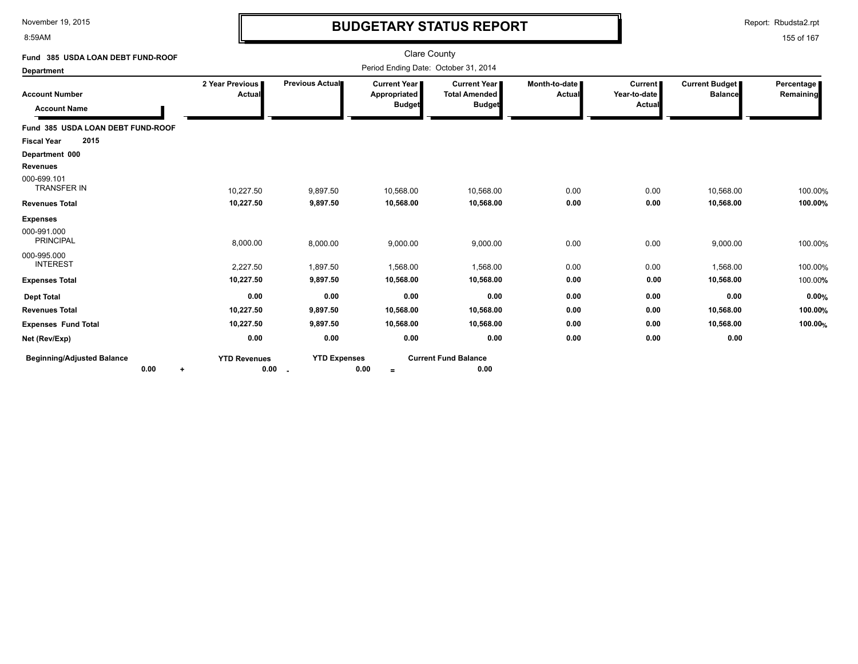8:59AM

# **BUDGETARY STATUS REPORT**

Report: Rbudsta2.rpt

| Fund 385 USDA LOAN DEBT FUND-ROOF                    |                                    |                     | Clare County                                  |                                                                |                                |                                          |                                         |                         |
|------------------------------------------------------|------------------------------------|---------------------|-----------------------------------------------|----------------------------------------------------------------|--------------------------------|------------------------------------------|-----------------------------------------|-------------------------|
| <b>Department</b>                                    |                                    |                     | Period Ending Date: October 31, 2014          |                                                                |                                |                                          |                                         |                         |
| <b>Account Number</b><br><b>Account Name</b>         | 2 Year Previous I<br><b>Actual</b> | Previous Actual     | Current Year<br>Appropriated<br><b>Budget</b> | <b>Current Year I</b><br><b>Total Amended</b><br><b>Budget</b> | Month-to-date<br><b>Actual</b> | <b>Current</b><br>Year-to-date<br>Actual | <b>Current Budget</b><br><b>Balance</b> | Percentage<br>Remaining |
| Fund 385 USDA LOAN DEBT FUND-ROOF                    |                                    |                     |                                               |                                                                |                                |                                          |                                         |                         |
| 2015<br><b>Fiscal Year</b>                           |                                    |                     |                                               |                                                                |                                |                                          |                                         |                         |
| Department 000                                       |                                    |                     |                                               |                                                                |                                |                                          |                                         |                         |
| <b>Revenues</b><br>000-699.101<br><b>TRANSFER IN</b> | 10,227.50                          | 9,897.50            | 10,568.00                                     | 10,568.00                                                      | 0.00                           | 0.00                                     | 10,568.00                               | 100.00%                 |
| <b>Revenues Total</b>                                | 10,227.50                          | 9,897.50            | 10,568.00                                     | 10,568.00                                                      | 0.00                           | 0.00                                     | 10,568.00                               | 100.00%                 |
| <b>Expenses</b>                                      |                                    |                     |                                               |                                                                |                                |                                          |                                         |                         |
| 000-991.000<br><b>PRINCIPAL</b>                      | 8,000.00                           | 8,000.00            | 9,000.00                                      | 9,000.00                                                       | 0.00                           | 0.00                                     | 9,000.00                                | 100.00%                 |
| 000-995.000<br><b>INTEREST</b>                       | 2,227.50                           | 1,897.50            | 1,568.00                                      | 1,568.00                                                       | 0.00                           | 0.00                                     | 1,568.00                                | 100.00%                 |
| <b>Expenses Total</b>                                | 10,227.50                          | 9,897.50            | 10,568.00                                     | 10,568.00                                                      | 0.00                           | 0.00                                     | 10,568.00                               | 100.00%                 |
| <b>Dept Total</b>                                    | 0.00                               | 0.00                | 0.00                                          | 0.00                                                           | 0.00                           | 0.00                                     | 0.00                                    | 0.00%                   |
| <b>Revenues Total</b>                                | 10,227.50                          | 9,897.50            | 10,568.00                                     | 10,568.00                                                      | 0.00                           | 0.00                                     | 10,568.00                               | 100.00%                 |
| <b>Expenses Fund Total</b>                           | 10,227.50                          | 9,897.50            | 10,568.00                                     | 10,568.00                                                      | 0.00                           | 0.00                                     | 10,568.00                               | 100.00%                 |
| Net (Rev/Exp)                                        | 0.00                               | 0.00                | 0.00                                          | 0.00                                                           | 0.00                           | 0.00                                     | 0.00                                    |                         |
| <b>Beginning/Adjusted Balance</b><br>0.00<br>٠       | <b>YTD Revenues</b><br>0.00        | <b>YTD Expenses</b> | 0.00<br>$\equiv$                              | <b>Current Fund Balance</b><br>0.00                            |                                |                                          |                                         |                         |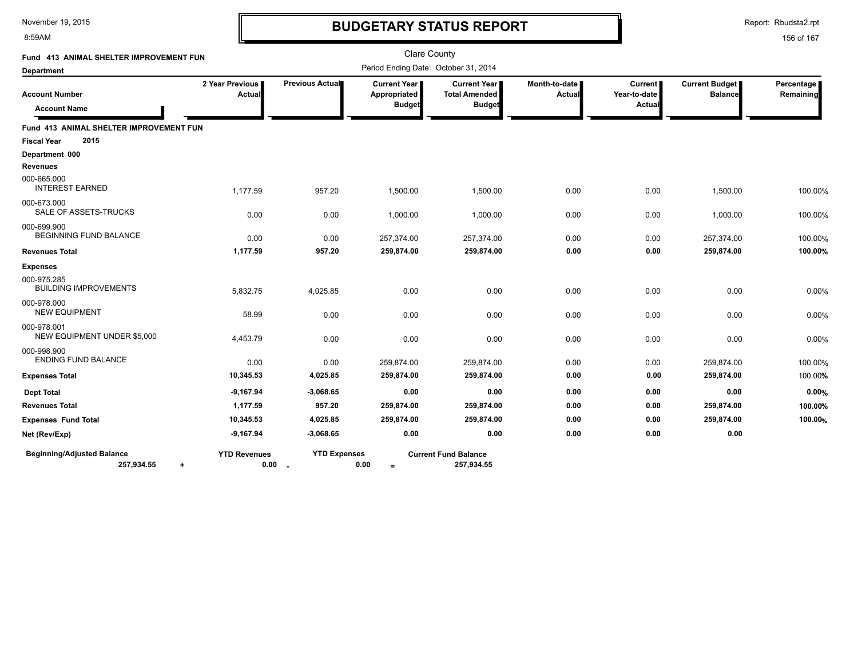#### 8:59AM

### **BUDGETARY STATUS REPORT**

Report: Rbudsta2.rpt

| Fund 413 ANIMAL SHELTER IMPROVEMENT FUN                      |                             |                               | <b>Clare County</b>                                    |                                                              |                         |                                          |                                  |                         |
|--------------------------------------------------------------|-----------------------------|-------------------------------|--------------------------------------------------------|--------------------------------------------------------------|-------------------------|------------------------------------------|----------------------------------|-------------------------|
| <b>Department</b>                                            |                             |                               | Period Ending Date: October 31, 2014                   |                                                              |                         |                                          |                                  |                         |
| <b>Account Number</b><br><b>Account Name</b>                 | 2 Year Previous<br>Actual   | Previous Actual               | <b>Current Year I</b><br>Appropriated<br><b>Budget</b> | <b>Current Year</b><br><b>Total Amended</b><br><b>Budget</b> | Month-to-date<br>Actual | <b>Current</b><br>Year-to-date<br>Actual | Current Budget<br><b>Balance</b> | Percentage<br>Remaining |
| Fund 413 ANIMAL SHELTER IMPROVEMENT FUN                      |                             |                               |                                                        |                                                              |                         |                                          |                                  |                         |
| 2015<br><b>Fiscal Year</b>                                   |                             |                               |                                                        |                                                              |                         |                                          |                                  |                         |
| Department 000                                               |                             |                               |                                                        |                                                              |                         |                                          |                                  |                         |
| <b>Revenues</b>                                              |                             |                               |                                                        |                                                              |                         |                                          |                                  |                         |
| 000-665.000<br><b>INTEREST EARNED</b>                        | 1,177.59                    | 957.20                        | 1,500.00                                               | 1,500.00                                                     | 0.00                    | 0.00                                     | 1,500.00                         | 100.00%                 |
| 000-673.000<br>SALE OF ASSETS-TRUCKS                         | 0.00                        | 0.00                          | 1,000.00                                               | 1,000.00                                                     | 0.00                    | 0.00                                     | 1,000.00                         | 100.00%                 |
| 000-699.900<br><b>BEGINNING FUND BALANCE</b>                 | 0.00                        | 0.00                          | 257,374.00                                             | 257,374.00                                                   | 0.00                    | 0.00                                     | 257,374.00                       | 100.00%                 |
| <b>Revenues Total</b>                                        | 1,177.59                    | 957.20                        | 259,874.00                                             | 259,874.00                                                   | 0.00                    | 0.00                                     | 259,874.00                       | 100.00%                 |
| <b>Expenses</b>                                              |                             |                               |                                                        |                                                              |                         |                                          |                                  |                         |
| 000-975.285<br><b>BUILDING IMPROVEMENTS</b>                  | 5,832.75                    | 4,025.85                      | 0.00                                                   | 0.00                                                         | 0.00                    | 0.00                                     | 0.00                             | 0.00%                   |
| 000-978.000<br><b>NEW EQUIPMENT</b>                          | 58.99                       | 0.00                          | 0.00                                                   | 0.00                                                         | 0.00                    | 0.00                                     | 0.00                             | 0.00%                   |
| 000-978.001<br>NEW EQUIPMENT UNDER \$5,000                   | 4,453.79                    | 0.00                          | 0.00                                                   | 0.00                                                         | 0.00                    | 0.00                                     | 0.00                             | 0.00%                   |
| 000-998.900<br><b>ENDING FUND BALANCE</b>                    | 0.00                        | 0.00                          | 259,874.00                                             | 259,874.00                                                   | 0.00                    | 0.00                                     | 259,874.00                       | 100.00%                 |
| <b>Expenses Total</b>                                        | 10,345.53                   | 4,025.85                      | 259,874.00                                             | 259,874.00                                                   | 0.00                    | 0.00                                     | 259,874.00                       | 100.00%                 |
| <b>Dept Total</b>                                            | $-9,167.94$                 | $-3,068.65$                   | 0.00                                                   | 0.00                                                         | 0.00                    | 0.00                                     | 0.00                             | 0.00%                   |
| <b>Revenues Total</b>                                        | 1,177.59                    | 957.20                        | 259,874.00                                             | 259,874.00                                                   | 0.00                    | 0.00                                     | 259,874.00                       | 100.00%                 |
| <b>Expenses Fund Total</b>                                   | 10,345.53                   | 4,025.85                      | 259,874.00                                             | 259,874.00                                                   | 0.00                    | 0.00                                     | 259,874.00                       | 100.00%                 |
| Net (Rev/Exp)                                                | $-9,167.94$                 | $-3,068.65$                   | 0.00                                                   | 0.00                                                         | 0.00                    | 0.00                                     | 0.00                             |                         |
| <b>Beginning/Adjusted Balance</b><br>257,934.55<br>$\ddot{}$ | <b>YTD Revenues</b><br>0.00 | <b>YTD Expenses</b><br>$\sim$ | 0.00<br>$=$                                            | <b>Current Fund Balance</b><br>257,934.55                    |                         |                                          |                                  |                         |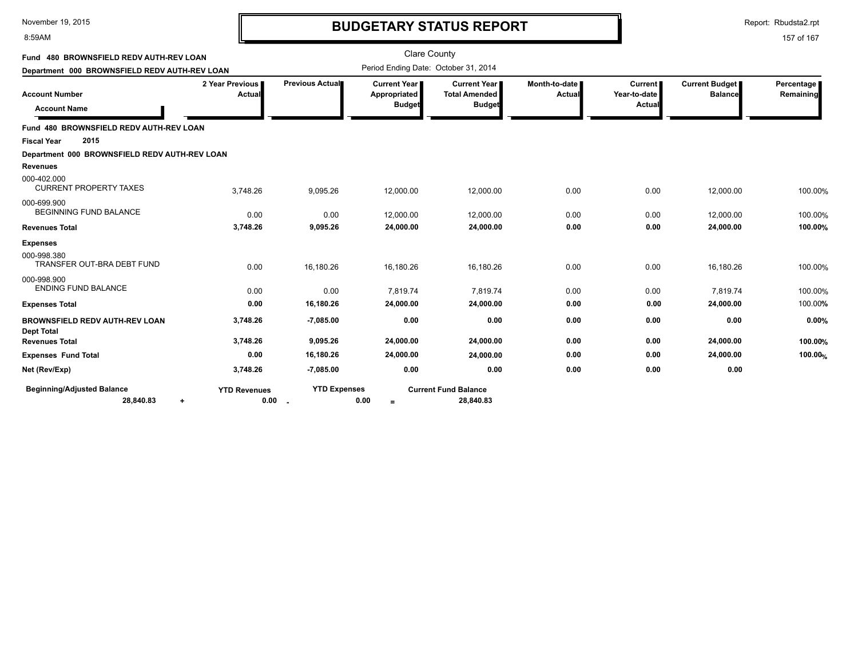#### 8:59AM

### **BUDGETARY STATUS REPORT**

Report: Rbudsta2.rpt

| Fund 480 BROWNSFIELD REDV AUTH-REV LOAN             |                             |                     | <b>Clare County</b>                                    |                                                              |                           |                                          |                                         |                         |
|-----------------------------------------------------|-----------------------------|---------------------|--------------------------------------------------------|--------------------------------------------------------------|---------------------------|------------------------------------------|-----------------------------------------|-------------------------|
| Department 000 BROWNSFIELD REDV AUTH-REV LOAN       |                             |                     | Period Ending Date: October 31, 2014                   |                                                              |                           |                                          |                                         |                         |
| <b>Account Number</b><br><b>Account Name</b>        | 2 Year Previous<br>Actual   | Previous Actual     | <b>Current Year I</b><br>Appropriated<br><b>Budget</b> | <b>Current Year</b><br><b>Total Amended</b><br><b>Budget</b> | Month-to-date I<br>Actual | <b>Current</b><br>Year-to-date<br>Actual | <b>Current Budget</b><br><b>Balance</b> | Percentage<br>Remaining |
| Fund 480 BROWNSFIELD REDV AUTH-REV LOAN             |                             |                     |                                                        |                                                              |                           |                                          |                                         |                         |
| 2015<br><b>Fiscal Year</b>                          |                             |                     |                                                        |                                                              |                           |                                          |                                         |                         |
| Department 000 BROWNSFIELD REDV AUTH-REV LOAN       |                             |                     |                                                        |                                                              |                           |                                          |                                         |                         |
| <b>Revenues</b>                                     |                             |                     |                                                        |                                                              |                           |                                          |                                         |                         |
| 000-402.000<br><b>CURRENT PROPERTY TAXES</b>        | 3,748.26                    | 9,095.26            | 12,000.00                                              | 12,000.00                                                    | 0.00                      | 0.00                                     | 12,000.00                               | 100.00%                 |
| 000-699.900<br><b>BEGINNING FUND BALANCE</b>        | 0.00                        | 0.00                | 12,000.00                                              | 12,000.00                                                    | 0.00                      | 0.00                                     | 12,000.00                               | 100.00%                 |
| <b>Revenues Total</b>                               | 3,748.26                    | 9,095.26            | 24,000.00                                              | 24,000.00                                                    | 0.00                      | 0.00                                     | 24,000.00                               | 100.00%                 |
| <b>Expenses</b>                                     |                             |                     |                                                        |                                                              |                           |                                          |                                         |                         |
| 000-998.380<br>TRANSFER OUT-BRA DEBT FUND           | 0.00                        | 16,180.26           | 16,180.26                                              | 16,180.26                                                    | 0.00                      | 0.00                                     | 16,180.26                               | 100.00%                 |
| 000-998.900<br><b>ENDING FUND BALANCE</b>           | 0.00                        | 0.00                | 7,819.74                                               | 7,819.74                                                     | 0.00                      | 0.00                                     | 7,819.74                                | 100.00%                 |
| <b>Expenses Total</b>                               | 0.00                        | 16,180.26           | 24,000.00                                              | 24,000.00                                                    | 0.00                      | 0.00                                     | 24,000.00                               | 100.00%                 |
| BROWNSFIELD REDV AUTH-REV LOAN<br><b>Dept Total</b> | 3,748.26                    | $-7,085.00$         | 0.00                                                   | 0.00                                                         | 0.00                      | 0.00                                     | 0.00                                    | 0.00%                   |
| <b>Revenues Total</b>                               | 3,748.26                    | 9,095.26            | 24,000.00                                              | 24,000.00                                                    | 0.00                      | 0.00                                     | 24,000.00                               | 100.00%                 |
| <b>Expenses Fund Total</b>                          | 0.00                        | 16,180.26           | 24,000.00                                              | 24,000.00                                                    | 0.00                      | 0.00                                     | 24,000.00                               | 100.00%                 |
| Net (Rev/Exp)                                       | 3,748.26                    | $-7,085.00$         | 0.00                                                   | 0.00                                                         | 0.00                      | 0.00                                     | 0.00                                    |                         |
| <b>Beginning/Adjusted Balance</b><br>28,840.83<br>٠ | <b>YTD Revenues</b><br>0.00 | <b>YTD Expenses</b> | 0.00<br>$=$                                            | <b>Current Fund Balance</b><br>28,840.83                     |                           |                                          |                                         |                         |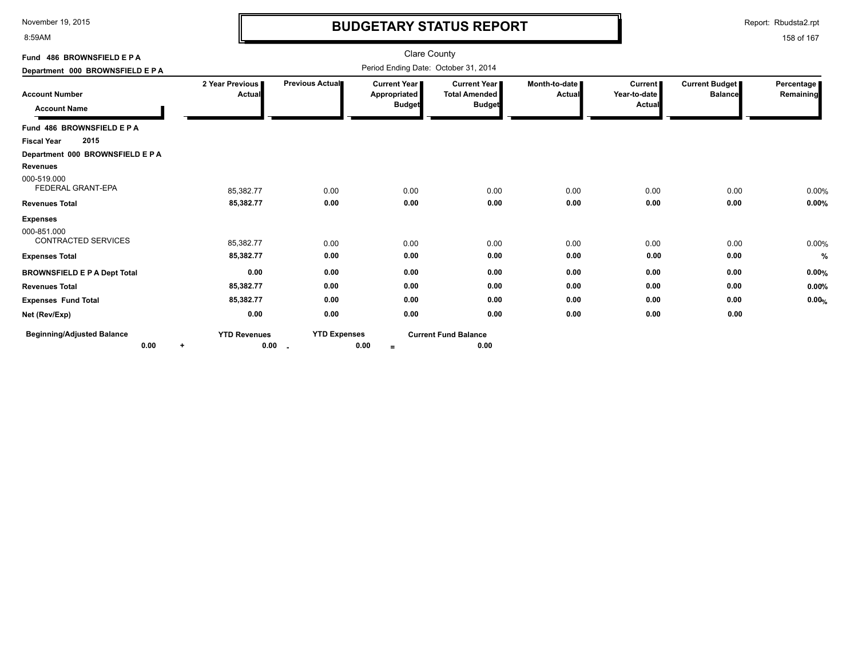8:59AM

# **BUDGETARY STATUS REPORT**

Report: Rbudsta2.rpt

| Fund 486 BROWNSFIELD E P A                   |                                  |                                                 | Clare County                                           |                                                              |                                |                                                 |                                  |                         |
|----------------------------------------------|----------------------------------|-------------------------------------------------|--------------------------------------------------------|--------------------------------------------------------------|--------------------------------|-------------------------------------------------|----------------------------------|-------------------------|
| Department 000 BROWNSFIELD E P A             |                                  | Period Ending Date: October 31, 2014            |                                                        |                                                              |                                |                                                 |                                  |                         |
| <b>Account Number</b><br><b>Account Name</b> | 2 Year Previous<br>Actual        | <b>Previous Actual</b>                          | <b>Current Year I</b><br>Appropriated<br><b>Budget</b> | <b>Current Year</b><br><b>Total Amended</b><br><b>Budget</b> | Month-to-date<br><b>Actual</b> | <b>Current</b><br>Year-to-date<br><b>Actual</b> | Current Budget<br><b>Balance</b> | Percentage<br>Remaining |
| Fund 486 BROWNSFIELD E P A                   |                                  |                                                 |                                                        |                                                              |                                |                                                 |                                  |                         |
| 2015<br><b>Fiscal Year</b>                   |                                  |                                                 |                                                        |                                                              |                                |                                                 |                                  |                         |
| Department 000 BROWNSFIELD E P A             |                                  |                                                 |                                                        |                                                              |                                |                                                 |                                  |                         |
| <b>Revenues</b>                              |                                  |                                                 |                                                        |                                                              |                                |                                                 |                                  |                         |
| 000-519.000<br>FEDERAL GRANT-EPA             | 85,382.77                        | 0.00                                            | 0.00                                                   | 0.00                                                         | 0.00                           | 0.00                                            | 0.00                             | 0.00%                   |
| <b>Revenues Total</b>                        | 85,382.77                        | 0.00                                            | 0.00                                                   | 0.00                                                         | 0.00                           | 0.00                                            | 0.00                             | 0.00%                   |
| <b>Expenses</b>                              |                                  |                                                 |                                                        |                                                              |                                |                                                 |                                  |                         |
| 000-851.000<br><b>CONTRACTED SERVICES</b>    | 85,382.77                        | 0.00                                            | 0.00                                                   | 0.00                                                         | 0.00                           | 0.00                                            | 0.00                             | 0.00%                   |
| <b>Expenses Total</b>                        | 85,382.77                        | 0.00                                            | 0.00                                                   | 0.00                                                         | 0.00                           | 0.00                                            | 0.00                             | %                       |
| <b>BROWNSFIELD E P A Dept Total</b>          | 0.00                             | 0.00                                            | 0.00                                                   | 0.00                                                         | 0.00                           | 0.00                                            | 0.00                             | 0.00%                   |
| <b>Revenues Total</b>                        | 85,382.77                        | 0.00                                            | 0.00                                                   | 0.00                                                         | 0.00                           | 0.00                                            | 0.00                             | 0.00%                   |
| <b>Expenses Fund Total</b>                   | 85,382.77                        | 0.00                                            | 0.00                                                   | 0.00                                                         | 0.00                           | 0.00                                            | 0.00                             | 0.00%                   |
| Net (Rev/Exp)                                | 0.00                             | 0.00                                            | 0.00                                                   | 0.00                                                         | 0.00                           | 0.00                                            | 0.00                             |                         |
| <b>Beginning/Adjusted Balance</b><br>0.00    | <b>YTD Revenues</b><br>0.00<br>÷ | <b>YTD Expenses</b><br>$\overline{\phantom{a}}$ | 0.00<br>$\equiv$                                       | <b>Current Fund Balance</b><br>0.00                          |                                |                                                 |                                  |                         |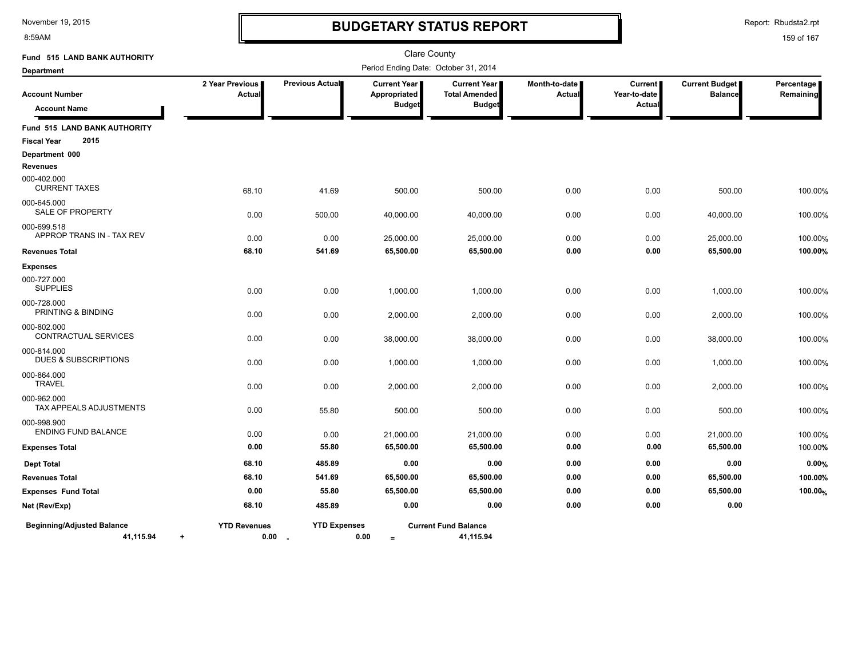8:59AM

# **BUDGETARY STATUS REPORT**

Report: Rbudsta2.rpt

| Fund 515 LAND BANK AUTHORITY                   |                                   |                                    | <b>Clare County</b>                                    |                                                       |                                |                                   |                                         |                         |
|------------------------------------------------|-----------------------------------|------------------------------------|--------------------------------------------------------|-------------------------------------------------------|--------------------------------|-----------------------------------|-----------------------------------------|-------------------------|
| <b>Department</b>                              |                                   |                                    | Period Ending Date: October 31, 2014                   |                                                       |                                |                                   |                                         |                         |
| <b>Account Number</b><br><b>Account Name</b>   | 2 Year Previous<br>Actual         | Previous Actual                    | <b>Current Year I</b><br>Appropriated<br><b>Budget</b> | Current Year<br><b>Total Amended</b><br><b>Budget</b> | Month-to-date<br><b>Actual</b> | Current<br>Year-to-date<br>Actual | <b>Current Budget</b><br><b>Balance</b> | Percentage<br>Remaining |
| Fund 515 LAND BANK AUTHORITY                   |                                   |                                    |                                                        |                                                       |                                |                                   |                                         |                         |
| 2015<br><b>Fiscal Year</b>                     |                                   |                                    |                                                        |                                                       |                                |                                   |                                         |                         |
| Department 000                                 |                                   |                                    |                                                        |                                                       |                                |                                   |                                         |                         |
| <b>Revenues</b>                                |                                   |                                    |                                                        |                                                       |                                |                                   |                                         |                         |
| 000-402.000<br><b>CURRENT TAXES</b>            | 68.10                             | 41.69                              | 500.00                                                 | 500.00                                                | 0.00                           | 0.00                              | 500.00                                  | 100.00%                 |
| 000-645.000<br>SALE OF PROPERTY                | 0.00                              | 500.00                             | 40,000.00                                              | 40,000.00                                             | 0.00                           | 0.00                              | 40,000.00                               | 100.00%                 |
| 000-699.518                                    |                                   |                                    |                                                        |                                                       |                                |                                   |                                         |                         |
| APPROP TRANS IN - TAX REV                      | 0.00                              | 0.00                               | 25,000.00                                              | 25,000.00                                             | 0.00                           | 0.00                              | 25,000.00                               | 100.00%                 |
| <b>Revenues Total</b>                          | 68.10                             | 541.69                             | 65,500.00                                              | 65,500.00                                             | 0.00                           | 0.00                              | 65,500.00                               | 100.00%                 |
| <b>Expenses</b>                                |                                   |                                    |                                                        |                                                       |                                |                                   |                                         |                         |
| 000-727.000<br><b>SUPPLIES</b>                 | 0.00                              | 0.00                               | 1,000.00                                               | 1,000.00                                              | 0.00                           | 0.00                              | 1,000.00                                | 100.00%                 |
| 000-728.000<br>PRINTING & BINDING              | 0.00                              | 0.00                               | 2,000.00                                               | 2,000.00                                              | 0.00                           | 0.00                              | 2,000.00                                | 100.00%                 |
| 000-802.000<br>CONTRACTUAL SERVICES            | 0.00                              | 0.00                               | 38,000.00                                              | 38,000.00                                             | 0.00                           | 0.00                              | 38,000.00                               | 100.00%                 |
| 000-814.000<br><b>DUES &amp; SUBSCRIPTIONS</b> | 0.00                              | 0.00                               | 1,000.00                                               | 1,000.00                                              | 0.00                           | 0.00                              | 1,000.00                                | 100.00%                 |
| 000-864.000<br><b>TRAVEL</b>                   | 0.00                              | 0.00                               | 2,000.00                                               | 2,000.00                                              | 0.00                           | 0.00                              | 2,000.00                                | 100.00%                 |
| 000-962.000<br>TAX APPEALS ADJUSTMENTS         | 0.00                              | 55.80                              | 500.00                                                 | 500.00                                                | 0.00                           | 0.00                              | 500.00                                  | 100.00%                 |
| 000-998.900<br><b>ENDING FUND BALANCE</b>      | 0.00                              | 0.00                               | 21,000.00                                              | 21,000.00                                             | 0.00                           | 0.00                              | 21,000.00                               | 100.00%                 |
| <b>Expenses Total</b>                          | 0.00                              | 55.80                              | 65,500.00                                              | 65,500.00                                             | 0.00                           | 0.00                              | 65,500.00                               | 100.00%                 |
| <b>Dept Total</b>                              | 68.10                             | 485.89                             | 0.00                                                   | 0.00                                                  | 0.00                           | 0.00                              | 0.00                                    | 0.00%                   |
| <b>Revenues Total</b>                          | 68.10                             | 541.69                             | 65,500.00                                              | 65,500.00                                             | 0.00                           | 0.00                              | 65,500.00                               | 100.00%                 |
| <b>Expenses Fund Total</b>                     | 0.00                              | 55.80                              | 65,500.00                                              | 65,500.00                                             | 0.00                           | 0.00                              | 65,500.00                               | 100.00%                 |
| Net (Rev/Exp)                                  | 68.10                             | 485.89                             | 0.00                                                   | 0.00                                                  | 0.00                           | 0.00                              | 0.00                                    |                         |
| <b>Beginning/Adjusted Balance</b><br>41,115.94 | <b>YTD Revenues</b><br>$\ddot{+}$ | <b>YTD Expenses</b><br>$0.00$ $\,$ | 0.00<br>$=$                                            | <b>Current Fund Balance</b><br>41,115.94              |                                |                                   |                                         |                         |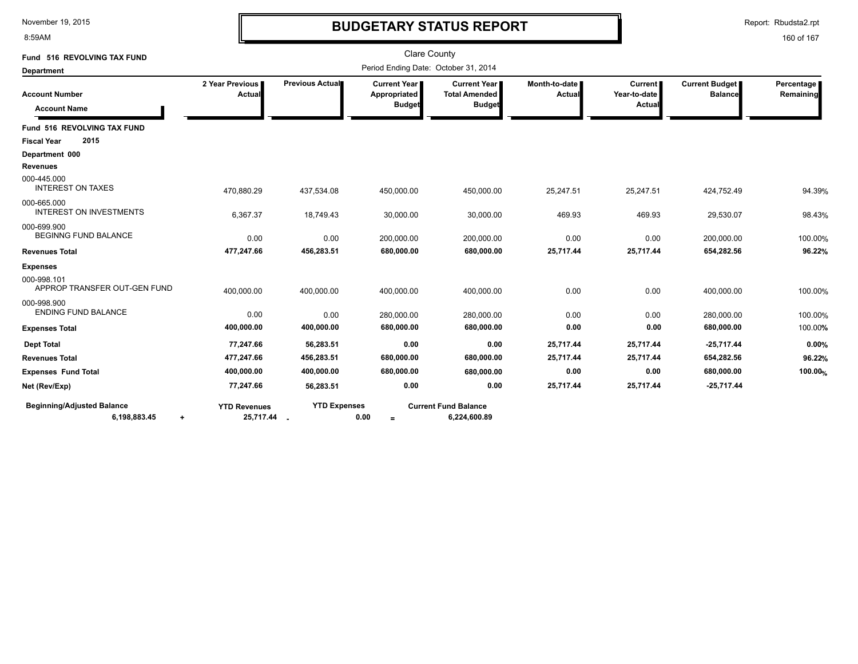8:59AM

# **BUDGETARY STATUS REPORT**

Report: Rbudsta2.rpt

| Fund 516 REVOLVING TAX FUND                            |                                    |                     | <b>Clare County</b>                                    |                                                                |                                  |                                          |                                  |                         |
|--------------------------------------------------------|------------------------------------|---------------------|--------------------------------------------------------|----------------------------------------------------------------|----------------------------------|------------------------------------------|----------------------------------|-------------------------|
| <b>Department</b>                                      |                                    |                     | Period Ending Date: October 31, 2014                   |                                                                |                                  |                                          |                                  |                         |
| <b>Account Number</b><br><b>Account Name</b>           | 2 Year Previous<br>Actual          | Previous Actual     | <b>Current Year I</b><br>Appropriated<br><b>Budget</b> | <b>Current Year I</b><br><b>Total Amended</b><br><b>Budget</b> | Month-to-date I<br><b>Actual</b> | <b>Current</b><br>Year-to-date<br>Actual | Current Budget<br><b>Balance</b> | Percentage<br>Remaining |
| Fund 516 REVOLVING TAX FUND                            |                                    |                     |                                                        |                                                                |                                  |                                          |                                  |                         |
| 2015<br><b>Fiscal Year</b>                             |                                    |                     |                                                        |                                                                |                                  |                                          |                                  |                         |
| Department 000                                         |                                    |                     |                                                        |                                                                |                                  |                                          |                                  |                         |
| <b>Revenues</b>                                        |                                    |                     |                                                        |                                                                |                                  |                                          |                                  |                         |
| 000-445.000<br><b>INTEREST ON TAXES</b>                | 470,880.29                         | 437,534.08          | 450,000.00                                             | 450,000.00                                                     | 25,247.51                        | 25,247.51                                | 424,752.49                       | 94.39%                  |
| 000-665.000<br><b>INTEREST ON INVESTMENTS</b>          | 6,367.37                           | 18,749.43           | 30,000.00                                              | 30,000.00                                                      | 469.93                           | 469.93                                   | 29,530.07                        | 98.43%                  |
| 000-699.900<br><b>BEGINNG FUND BALANCE</b>             | 0.00                               | 0.00                | 200,000.00                                             | 200,000.00                                                     | 0.00                             | 0.00                                     | 200,000.00                       | 100.00%                 |
| <b>Revenues Total</b>                                  | 477,247.66                         | 456,283.51          | 680,000.00                                             | 680,000.00                                                     | 25,717.44                        | 25,717.44                                | 654,282.56                       | 96.22%                  |
| <b>Expenses</b>                                        |                                    |                     |                                                        |                                                                |                                  |                                          |                                  |                         |
| 000-998.101<br>APPROP TRANSFER OUT-GEN FUND            | 400,000.00                         | 400,000.00          | 400,000.00                                             | 400,000.00                                                     | 0.00                             | 0.00                                     | 400,000.00                       | 100.00%                 |
| 000-998.900<br><b>ENDING FUND BALANCE</b>              | 0.00                               | 0.00                | 280,000.00                                             | 280,000.00                                                     | 0.00                             | 0.00                                     | 280,000.00                       | 100.00%                 |
| <b>Expenses Total</b>                                  | 400,000.00                         | 400,000.00          | 680,000.00                                             | 680,000.00                                                     | 0.00                             | 0.00                                     | 680,000.00                       | 100.00%                 |
| <b>Dept Total</b>                                      | 77,247.66                          | 56,283.51           | 0.00                                                   | 0.00                                                           | 25,717.44                        | 25,717.44                                | $-25,717.44$                     | 0.00%                   |
| <b>Revenues Total</b>                                  | 477,247.66                         | 456,283.51          | 680,000.00                                             | 680,000.00                                                     | 25,717.44                        | 25,717.44                                | 654,282.56                       | 96.22%                  |
| <b>Expenses Fund Total</b>                             | 400,000.00                         | 400,000.00          | 680,000.00                                             | 680,000.00                                                     | 0.00                             | 0.00                                     | 680,000.00                       | 100.00%                 |
| Net (Rev/Exp)                                          | 77,247.66                          | 56,283.51           | 0.00                                                   | 0.00                                                           | 25,717.44                        | 25,717.44                                | $-25,717.44$                     |                         |
| <b>Beginning/Adjusted Balance</b><br>6,198,883.45<br>۰ | <b>YTD Revenues</b><br>25,717.44 . | <b>YTD Expenses</b> | 0.00<br>$=$                                            | <b>Current Fund Balance</b><br>6,224,600.89                    |                                  |                                          |                                  |                         |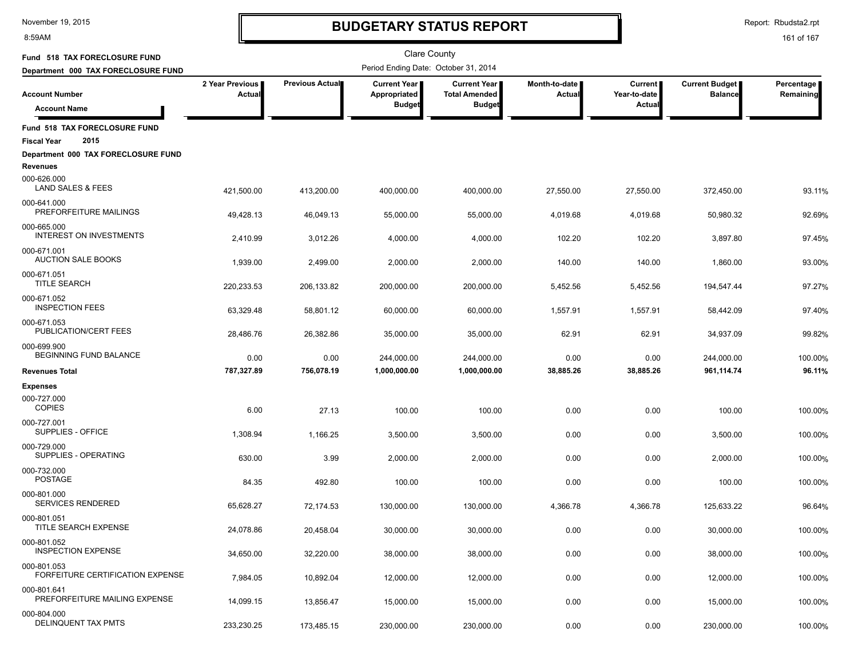8:59AM

# **BUDGETARY STATUS REPORT**

Report: Rbudsta2.rpt

| Fund 518 TAX FORECLOSURE FUND                               |                                  |                        | <b>Clare County</b>                                  |                                                       |                                |                                                 |                                         |                         |
|-------------------------------------------------------------|----------------------------------|------------------------|------------------------------------------------------|-------------------------------------------------------|--------------------------------|-------------------------------------------------|-----------------------------------------|-------------------------|
| Department 000 TAX FORECLOSURE FUND                         |                                  |                        | Period Ending Date: October 31, 2014                 |                                                       |                                |                                                 |                                         |                         |
| <b>Account Number</b>                                       | 2 Year Previous<br><b>Actual</b> | <b>Previous Actual</b> | <b>Current Year</b><br>Appropriated<br><b>Budget</b> | Current Year<br><b>Total Amended</b><br><b>Budget</b> | Month-to-date<br><b>Actual</b> | <b>Current</b><br>Year-to-date<br><b>Actual</b> | <b>Current Budget</b><br><b>Balance</b> | Percentage<br>Remaining |
| <b>Account Name</b>                                         |                                  |                        |                                                      |                                                       |                                |                                                 |                                         |                         |
| Fund 518 TAX FORECLOSURE FUND<br>2015<br><b>Fiscal Year</b> |                                  |                        |                                                      |                                                       |                                |                                                 |                                         |                         |
| Department 000 TAX FORECLOSURE FUND<br><b>Revenues</b>      |                                  |                        |                                                      |                                                       |                                |                                                 |                                         |                         |
| 000-626.000<br>LAND SALES & FEES                            | 421,500.00                       | 413,200.00             | 400,000.00                                           | 400,000.00                                            | 27,550.00                      | 27,550.00                                       | 372,450.00                              | 93.11%                  |
| 000-641.000<br>PREFORFEITURE MAILINGS                       | 49,428.13                        | 46,049.13              | 55,000.00                                            | 55,000.00                                             | 4,019.68                       | 4,019.68                                        | 50,980.32                               | 92.69%                  |
| 000-665.000<br><b>INTEREST ON INVESTMENTS</b>               | 2,410.99                         | 3,012.26               | 4,000.00                                             | 4,000.00                                              | 102.20                         | 102.20                                          | 3,897.80                                | 97.45%                  |
| 000-671.001<br><b>AUCTION SALE BOOKS</b>                    | 1,939.00                         | 2,499.00               | 2,000.00                                             | 2,000.00                                              | 140.00                         | 140.00                                          | 1,860.00                                | 93.00%                  |
| 000-671.051<br><b>TITLE SEARCH</b>                          | 220,233.53                       | 206, 133.82            | 200,000.00                                           | 200,000.00                                            | 5,452.56                       | 5,452.56                                        | 194,547.44                              | 97.27%                  |
| 000-671.052<br><b>INSPECTION FEES</b>                       | 63,329.48                        | 58,801.12              | 60,000.00                                            | 60,000.00                                             | 1,557.91                       | 1,557.91                                        | 58,442.09                               | 97.40%                  |
| 000-671.053<br>PUBLICATION/CERT FEES                        | 28,486.76                        | 26,382.86              | 35,000.00                                            | 35,000.00                                             | 62.91                          | 62.91                                           | 34,937.09                               | 99.82%                  |
| 000-699.900<br>BEGINNING FUND BALANCE                       | 0.00                             | 0.00                   | 244,000.00                                           | 244,000.00                                            | 0.00                           | 0.00                                            | 244,000.00                              | 100.00%                 |
| <b>Revenues Total</b>                                       | 787,327.89                       | 756,078.19             | 1,000,000.00                                         | 1,000,000.00                                          | 38,885.26                      | 38,885.26                                       | 961,114.74                              | 96.11%                  |
| <b>Expenses</b>                                             |                                  |                        |                                                      |                                                       |                                |                                                 |                                         |                         |
| 000-727.000<br><b>COPIES</b>                                | 6.00                             | 27.13                  | 100.00                                               | 100.00                                                | 0.00                           | 0.00                                            | 100.00                                  | 100.00%                 |
| 000-727.001<br>SUPPLIES - OFFICE                            | 1,308.94                         | 1,166.25               | 3,500.00                                             | 3,500.00                                              | 0.00                           | 0.00                                            | 3,500.00                                | 100.00%                 |
| 000-729.000<br>SUPPLIES - OPERATING                         | 630.00                           | 3.99                   | 2,000.00                                             | 2,000.00                                              | 0.00                           | 0.00                                            | 2,000.00                                | 100.00%                 |
| 000-732.000<br><b>POSTAGE</b>                               | 84.35                            | 492.80                 | 100.00                                               | 100.00                                                | 0.00                           | 0.00                                            | 100.00                                  | 100.00%                 |
| 000-801.000<br>SERVICES RENDERED                            | 65,628.27                        | 72,174.53              | 130,000.00                                           | 130,000.00                                            | 4,366.78                       | 4,366.78                                        | 125,633.22                              | 96.64%                  |
| 000-801.051<br>TITLE SEARCH EXPENSE                         | 24,078.86                        | 20,458.04              | 30,000.00                                            | 30,000.00                                             | 0.00                           | 0.00                                            | 30,000.00                               | 100.00%                 |
| 000-801.052<br><b>INSPECTION EXPENSE</b>                    | 34,650.00                        | 32,220.00              | 38,000.00                                            | 38,000.00                                             | 0.00                           | 0.00                                            | 38,000.00                               | 100.00%                 |
| 000-801.053<br>FORFEITURE CERTIFICATION EXPENSE             | 7,984.05                         | 10,892.04              | 12,000.00                                            | 12,000.00                                             | 0.00                           | 0.00                                            | 12,000.00                               | 100.00%                 |
| 000-801.641<br>PREFORFEITURE MAILING EXPENSE                | 14,099.15                        | 13,856.47              | 15,000.00                                            | 15,000.00                                             | 0.00                           | 0.00                                            | 15,000.00                               | 100.00%                 |
| 000-804.000<br>DELINQUENT TAX PMTS                          | 233,230.25                       | 173,485.15             | 230,000.00                                           | 230,000.00                                            | 0.00                           | 0.00                                            | 230,000.00                              | 100.00%                 |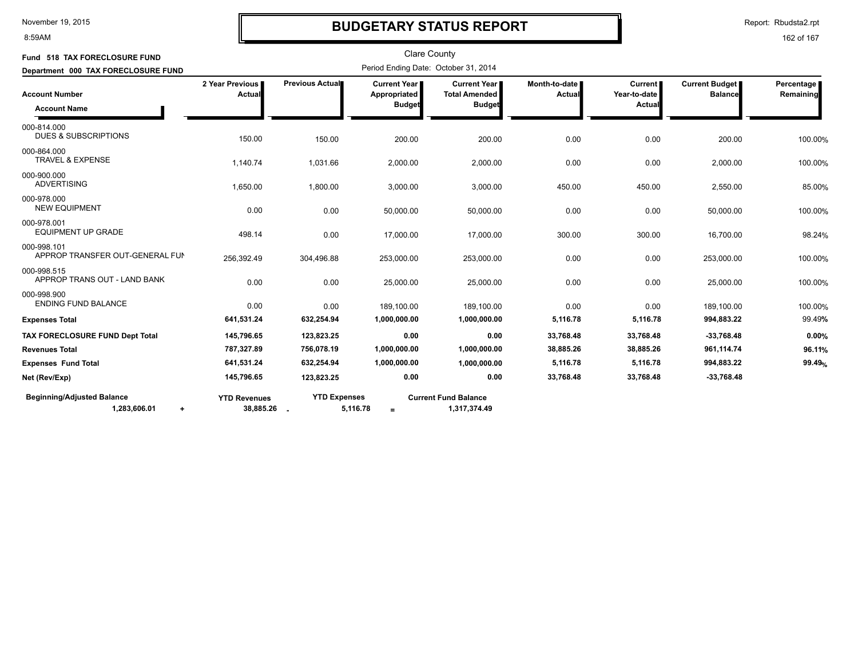#### 8:59AM

### **BUDGETARY STATUS REPORT**

Report: Rbudsta2.rpt

| Fund 518 TAX FORECLOSURE FUND                                  |                                  |                     | <b>Clare County</b>                                    |                                                                |                                  |                                          |                                         |                           |
|----------------------------------------------------------------|----------------------------------|---------------------|--------------------------------------------------------|----------------------------------------------------------------|----------------------------------|------------------------------------------|-----------------------------------------|---------------------------|
| Department 000 TAX FORECLOSURE FUND                            |                                  |                     | Period Ending Date: October 31, 2014                   |                                                                |                                  |                                          |                                         |                           |
| <b>Account Number</b><br><b>Account Name</b>                   | 2 Year Previous<br>Actual        | Previous Actual     | <b>Current Year I</b><br>Appropriated<br><b>Budget</b> | <b>Current Year I</b><br><b>Total Amended</b><br><b>Budget</b> | Month-to-date  <br><b>Actual</b> | <b>Current</b><br>Year-to-date<br>Actual | <b>Current Budget</b><br><b>Balance</b> | Percentage  <br>Remaining |
| 000-814.000<br><b>DUES &amp; SUBSCRIPTIONS</b>                 | 150.00                           | 150.00              | 200.00                                                 | 200.00                                                         | 0.00                             | 0.00                                     | 200.00                                  | 100.00%                   |
| 000-864.000<br>TRAVEL & EXPENSE                                | 1,140.74                         | 1,031.66            | 2,000.00                                               | 2,000.00                                                       | 0.00                             | 0.00                                     | 2,000.00                                | 100.00%                   |
| 000-900.000<br><b>ADVERTISING</b>                              | 1,650.00                         | 1,800.00            | 3,000.00                                               | 3,000.00                                                       | 450.00                           | 450.00                                   | 2,550.00                                | 85.00%                    |
| 000-978.000<br><b>NEW EQUIPMENT</b>                            | 0.00                             | 0.00                | 50,000.00                                              | 50,000.00                                                      | 0.00                             | 0.00                                     | 50,000.00                               | 100.00%                   |
| 000-978.001<br><b>EQUIPMENT UP GRADE</b>                       | 498.14                           | 0.00                | 17,000.00                                              | 17,000.00                                                      | 300.00                           | 300.00                                   | 16,700.00                               | 98.24%                    |
| 000-998.101<br>APPROP TRANSFER OUT-GENERAL FUN                 | 256,392.49                       | 304,496.88          | 253,000.00                                             | 253,000.00                                                     | 0.00                             | 0.00                                     | 253,000.00                              | 100.00%                   |
| 000-998.515<br>APPROP TRANS OUT - LAND BANK                    | 0.00                             | 0.00                | 25,000.00                                              | 25,000.00                                                      | 0.00                             | 0.00                                     | 25,000.00                               | 100.00%                   |
| 000-998.900<br><b>ENDING FUND BALANCE</b>                      | 0.00                             | 0.00                | 189,100.00                                             | 189,100.00                                                     | 0.00                             | 0.00                                     | 189,100.00                              | 100.00%                   |
| <b>Expenses Total</b>                                          | 641,531.24                       | 632,254.94          | 1,000,000.00                                           | 1,000,000.00                                                   | 5,116.78                         | 5,116.78                                 | 994,883.22                              | 99.49%                    |
| TAX FORECLOSURE FUND Dept Total                                | 145,796.65                       | 123,823.25          | 0.00                                                   | 0.00                                                           | 33.768.48                        | 33,768.48                                | $-33,768.48$                            | 0.00%                     |
| <b>Revenues Total</b>                                          | 787,327.89                       | 756,078.19          | 1,000,000.00                                           | 1,000,000.00                                                   | 38,885.26                        | 38,885.26                                | 961,114.74                              | 96.11%                    |
| <b>Expenses Fund Total</b>                                     | 641,531.24                       | 632,254.94          | 1,000,000.00                                           | 1,000,000.00                                                   | 5,116.78                         | 5,116.78                                 | 994,883.22                              | 99.49%                    |
| Net (Rev/Exp)                                                  | 145,796.65                       | 123,823.25          | 0.00                                                   | 0.00                                                           | 33,768.48                        | 33,768.48                                | $-33,768.48$                            |                           |
| <b>Beginning/Adjusted Balance</b><br>1,283,606.01<br>$\ddot{}$ | <b>YTD Revenues</b><br>38,885.26 | <b>YTD Expenses</b> | 5,116.78<br>$=$                                        | <b>Current Fund Balance</b><br>1,317,374.49                    |                                  |                                          |                                         |                           |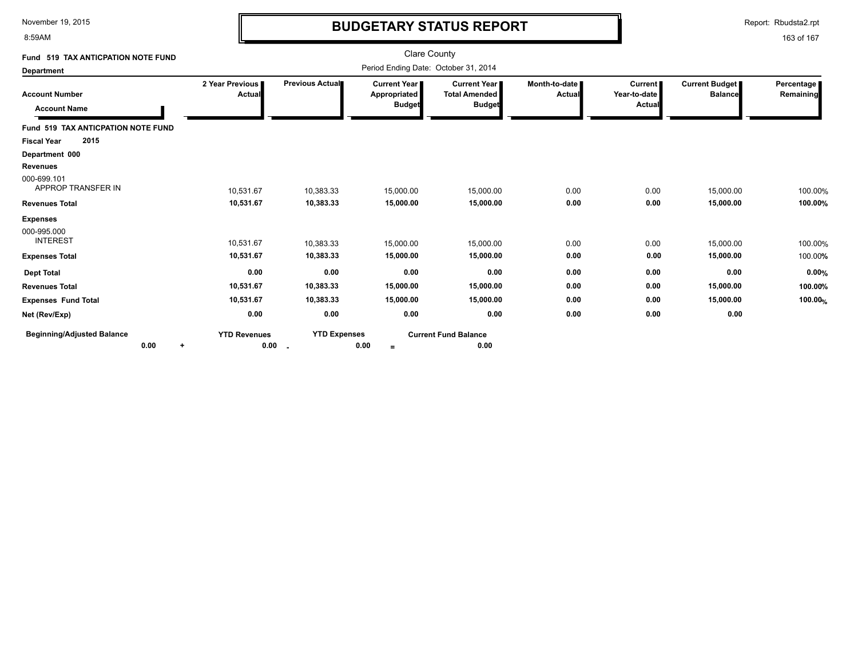8:59AM

# **BUDGETARY STATUS REPORT**

Report: Rbudsta2.rpt

| Fund 519 TAX ANTICPATION NOTE FUND                |                                      |                           |                                               | <b>Clare County</b>                                   |                         |                                          |                                  |                         |
|---------------------------------------------------|--------------------------------------|---------------------------|-----------------------------------------------|-------------------------------------------------------|-------------------------|------------------------------------------|----------------------------------|-------------------------|
| <b>Department</b>                                 | Period Ending Date: October 31, 2014 |                           |                                               |                                                       |                         |                                          |                                  |                         |
| <b>Account Number</b><br><b>Account Name</b>      | 2 Year Previous<br>Actual            | Previous Actual           | Current Year<br>Appropriated<br><b>Budget</b> | Current Year<br><b>Total Amended</b><br><b>Budget</b> | Month-to-date<br>Actual | <b>Current</b><br>Year-to-date<br>Actual | Current Budget<br><b>Balance</b> | Percentage<br>Remaining |
| Fund 519 TAX ANTICPATION NOTE FUND                |                                      |                           |                                               |                                                       |                         |                                          |                                  |                         |
| 2015<br><b>Fiscal Year</b>                        |                                      |                           |                                               |                                                       |                         |                                          |                                  |                         |
| Department 000                                    |                                      |                           |                                               |                                                       |                         |                                          |                                  |                         |
| <b>Revenues</b>                                   |                                      |                           |                                               |                                                       |                         |                                          |                                  |                         |
| 000-699.101<br>APPROP TRANSFER IN                 | 10,531.67                            | 10,383.33                 | 15,000.00                                     | 15,000.00                                             | 0.00                    | 0.00                                     | 15,000.00                        | 100.00%                 |
| <b>Revenues Total</b>                             | 10,531.67                            | 10,383.33                 | 15,000.00                                     | 15,000.00                                             | 0.00                    | 0.00                                     | 15,000.00                        | 100.00%                 |
| <b>Expenses</b><br>000-995.000<br><b>INTEREST</b> | 10.531.67                            | 10,383.33                 | 15,000.00                                     | 15,000.00                                             | 0.00                    | 0.00                                     | 15,000.00                        | 100.00%                 |
| <b>Expenses Total</b>                             | 10,531.67                            | 10,383.33                 | 15,000.00                                     | 15,000.00                                             | 0.00                    | 0.00                                     | 15,000.00                        | 100.00%                 |
| <b>Dept Total</b>                                 | 0.00                                 | 0.00                      | 0.00                                          | 0.00                                                  | 0.00                    | 0.00                                     | 0.00                             | 0.00%                   |
| <b>Revenues Total</b>                             | 10,531.67                            | 10,383.33                 | 15,000.00                                     | 15,000.00                                             | 0.00                    | 0.00                                     | 15,000.00                        | 100.00%                 |
| <b>Expenses Fund Total</b>                        | 10,531.67                            | 10,383.33                 | 15,000.00                                     | 15,000.00                                             | 0.00                    | 0.00                                     | 15,000.00                        | 100.00%                 |
| Net (Rev/Exp)                                     | 0.00                                 | 0.00                      | 0.00                                          | 0.00                                                  | 0.00                    | 0.00                                     | 0.00                             |                         |
| <b>Beginning/Adjusted Balance</b><br>0.00<br>÷    | <b>YTD Revenues</b><br>0.00          | <b>YTD Expenses</b><br>۰. | 0.00<br>$=$                                   | <b>Current Fund Balance</b><br>0.00                   |                         |                                          |                                  |                         |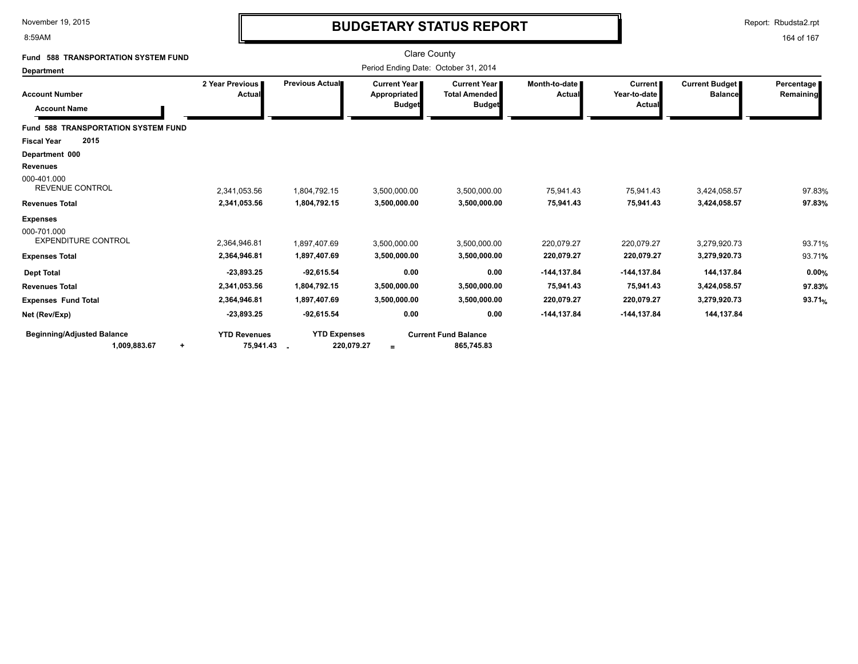8:59AM

# **BUDGETARY STATUS REPORT**

Report: Rbudsta2.rpt

| <b>588 TRANSPORTATION SYSTEM FUND</b><br>Fund                                             |                                                              |                                                              | <b>Clare County</b>                                    |                                                              |                                                          |                                                             |                                                          |                           |
|-------------------------------------------------------------------------------------------|--------------------------------------------------------------|--------------------------------------------------------------|--------------------------------------------------------|--------------------------------------------------------------|----------------------------------------------------------|-------------------------------------------------------------|----------------------------------------------------------|---------------------------|
| <b>Department</b>                                                                         |                                                              |                                                              | Period Ending Date: October 31, 2014                   |                                                              |                                                          |                                                             |                                                          |                           |
| <b>Account Number</b><br><b>Account Name</b>                                              | 2 Year Previous<br>Actual                                    | Previous Actual                                              | <b>Current Year I</b><br>Appropriated<br><b>Budget</b> | <b>Current Year</b><br><b>Total Amended</b><br><b>Budget</b> | Month-to-date I<br>Actual                                | <b>Current</b><br>Year-to-date<br>Actual                    | Current Budget<br><b>Balance</b>                         | Percentage  <br>Remaining |
| <b>Fund 588 TRANSPORTATION SYSTEM FUND</b><br>2015<br><b>Fiscal Year</b>                  |                                                              |                                                              |                                                        |                                                              |                                                          |                                                             |                                                          |                           |
| Department 000<br><b>Revenues</b><br>000-401.000<br><b>REVENUE CONTROL</b>                | 2,341,053.56                                                 | 1,804,792.15                                                 | 3,500,000.00                                           | 3,500,000.00                                                 | 75,941.43                                                | 75,941.43                                                   | 3,424,058.57                                             | 97.83%                    |
| <b>Revenues Total</b>                                                                     | 2,341,053.56                                                 | 1,804,792.15                                                 | 3,500,000.00                                           | 3,500,000.00                                                 | 75,941.43                                                | 75,941.43                                                   | 3,424,058.57                                             | 97.83%                    |
| <b>Expenses</b><br>000-701.000<br><b>EXPENDITURE CONTROL</b>                              | 2.364.946.81                                                 | 1.897.407.69                                                 | 3.500.000.00                                           | 3.500.000.00                                                 | 220.079.27                                               | 220.079.27                                                  | 3,279,920.73                                             | 93.71%                    |
| <b>Expenses Total</b>                                                                     | 2,364,946.81                                                 | 1,897,407.69                                                 | 3,500,000.00                                           | 3,500,000.00                                                 | 220,079.27                                               | 220,079.27                                                  | 3,279,920.73                                             | 93.71%                    |
| <b>Dept Total</b><br><b>Revenues Total</b><br><b>Expenses Fund Total</b><br>Net (Rev/Exp) | $-23,893.25$<br>2,341,053.56<br>2,364,946.81<br>$-23,893.25$ | $-92,615.54$<br>1,804,792.15<br>1,897,407.69<br>$-92,615.54$ | 0.00<br>3,500,000.00<br>3,500,000.00<br>0.00           | 0.00<br>3,500,000.00<br>3,500,000.00<br>0.00                 | $-144, 137.84$<br>75,941.43<br>220,079.27<br>-144,137.84 | $-144, 137.84$<br>75,941.43<br>220,079.27<br>$-144, 137.84$ | 144,137.84<br>3,424,058.57<br>3,279,920.73<br>144,137.84 | 0.00%<br>97.83%<br>93.71% |
| <b>Beginning/Adjusted Balance</b><br>1,009,883.67<br>$\ddot{}$                            | <b>YTD Revenues</b><br>75,941.43                             | <b>YTD Expenses</b><br>220,079.27                            | $=$                                                    | <b>Current Fund Balance</b><br>865,745.83                    |                                                          |                                                             |                                                          |                           |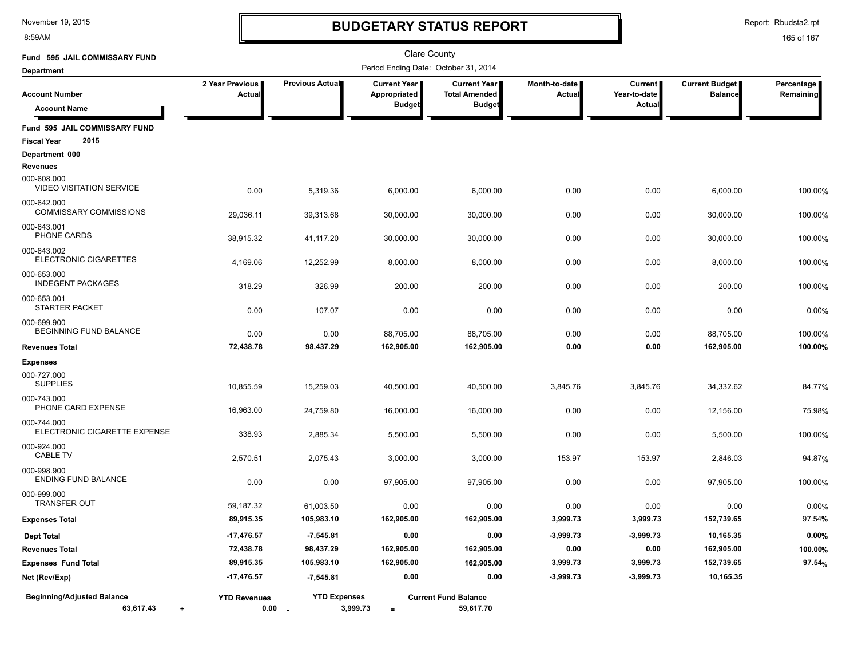8:59AM

# **BUDGETARY STATUS REPORT**

Report: Rbudsta2.rpt

| Fund 595 JAIL COMMISSARY FUND                               |                                  |                                 | <b>Clare County</b>                  |                                               |                         |                                |                                         |                         |
|-------------------------------------------------------------|----------------------------------|---------------------------------|--------------------------------------|-----------------------------------------------|-------------------------|--------------------------------|-----------------------------------------|-------------------------|
| <b>Department</b>                                           |                                  |                                 | Period Ending Date: October 31, 2014 |                                               |                         |                                |                                         |                         |
| <b>Account Number</b>                                       | 2 Year Previous<br><b>Actual</b> | Previous Actual                 | <b>Current Year</b><br>Appropriated  | <b>Current Year</b>  <br><b>Total Amended</b> | Month-to-date<br>Actual | <b>Current</b><br>Year-to-date | <b>Current Budget</b><br><b>Balance</b> | Percentage<br>Remaining |
| <b>Account Name</b>                                         |                                  |                                 | <b>Budget</b>                        | <b>Budget</b>                                 |                         | Actual                         |                                         |                         |
| Fund 595 JAIL COMMISSARY FUND<br>2015<br><b>Fiscal Year</b> |                                  |                                 |                                      |                                               |                         |                                |                                         |                         |
| Department 000                                              |                                  |                                 |                                      |                                               |                         |                                |                                         |                         |
| <b>Revenues</b>                                             |                                  |                                 |                                      |                                               |                         |                                |                                         |                         |
| 000-608.000<br><b>VIDEO VISITATION SERVICE</b>              | 0.00                             | 5,319.36                        | 6,000.00                             | 6,000.00                                      | 0.00                    | 0.00                           | 6,000.00                                | 100.00%                 |
| 000-642.000<br><b>COMMISSARY COMMISSIONS</b>                | 29,036.11                        | 39,313.68                       | 30,000.00                            | 30,000.00                                     | 0.00                    | 0.00                           | 30,000.00                               | 100.00%                 |
| 000-643.001<br>PHONE CARDS                                  | 38,915.32                        | 41,117.20                       | 30,000.00                            | 30,000.00                                     | 0.00                    | 0.00                           | 30,000.00                               | 100.00%                 |
| 000-643.002<br>ELECTRONIC CIGARETTES                        | 4,169.06                         | 12,252.99                       | 8,000.00                             | 8,000.00                                      | 0.00                    | 0.00                           | 8,000.00                                | 100.00%                 |
| 000-653.000<br><b>INDEGENT PACKAGES</b>                     | 318.29                           | 326.99                          | 200.00                               | 200.00                                        | 0.00                    | 0.00                           | 200.00                                  | 100.00%                 |
| 000-653.001<br>STARTER PACKET                               | 0.00                             | 107.07                          | 0.00                                 | 0.00                                          | 0.00                    | 0.00                           | 0.00                                    | 0.00%                   |
| 000-699.900<br>BEGINNING FUND BALANCE                       | 0.00                             | 0.00                            | 88,705.00                            | 88,705.00                                     | 0.00                    | 0.00                           | 88,705.00                               | 100.00%                 |
| <b>Revenues Total</b>                                       | 72,438.78                        | 98,437.29                       | 162,905.00                           | 162,905.00                                    | 0.00                    | 0.00                           | 162,905.00                              | 100.00%                 |
| <b>Expenses</b>                                             |                                  |                                 |                                      |                                               |                         |                                |                                         |                         |
| 000-727.000<br><b>SUPPLIES</b>                              | 10,855.59                        | 15,259.03                       | 40,500.00                            | 40,500.00                                     | 3,845.76                | 3,845.76                       | 34,332.62                               | 84.77%                  |
| 000-743.000<br>PHONE CARD EXPENSE                           | 16,963.00                        | 24,759.80                       | 16,000.00                            | 16,000.00                                     | 0.00                    | 0.00                           | 12,156.00                               | 75.98%                  |
| 000-744.000<br>ELECTRONIC CIGARETTE EXPENSE                 | 338.93                           | 2,885.34                        | 5,500.00                             | 5,500.00                                      | 0.00                    | 0.00                           | 5,500.00                                | 100.00%                 |
| 000-924.000<br><b>CABLE TV</b>                              | 2,570.51                         | 2,075.43                        | 3,000.00                             | 3,000.00                                      | 153.97                  | 153.97                         | 2,846.03                                | 94.87%                  |
| 000-998.900<br><b>ENDING FUND BALANCE</b>                   | 0.00                             | 0.00                            | 97,905.00                            | 97,905.00                                     | 0.00                    | 0.00                           | 97,905.00                               | 100.00%                 |
| 000-999.000<br><b>TRANSFER OUT</b>                          | 59,187.32                        | 61,003.50                       | 0.00                                 | 0.00                                          | 0.00                    | 0.00                           | 0.00                                    | 0.00%                   |
| <b>Expenses Total</b>                                       | 89,915.35                        | 105,983.10                      | 162,905.00                           | 162,905.00                                    | 3,999.73                | 3,999.73                       | 152,739.65                              | 97.54%                  |
| <b>Dept Total</b>                                           | $-17,476.57$                     | $-7,545.81$                     | 0.00                                 | 0.00                                          | $-3,999.73$             | $-3,999.73$                    | 10,165.35                               | 0.00%                   |
| <b>Revenues Total</b>                                       | 72,438.78                        | 98,437.29                       | 162,905.00                           | 162,905.00                                    | 0.00                    | 0.00                           | 162,905.00                              | 100.00%                 |
| <b>Expenses Fund Total</b>                                  | 89,915.35                        | 105,983.10                      | 162,905.00                           | 162,905.00                                    | 3,999.73                | 3,999.73                       | 152,739.65                              | 97.54%                  |
| Net (Rev/Exp)                                               | $-17,476.57$                     | $-7,545.81$                     | 0.00                                 | 0.00                                          | $-3,999.73$             | $-3,999.73$                    | 10,165.35                               |                         |
| <b>Beginning/Adjusted Balance</b><br>63,617.43<br>$\ddot{}$ | <b>YTD Revenues</b>              | <b>YTD Expenses</b><br>$0.00 -$ | 3,999.73<br>$\equiv$                 | <b>Current Fund Balance</b><br>59,617.70      |                         |                                |                                         |                         |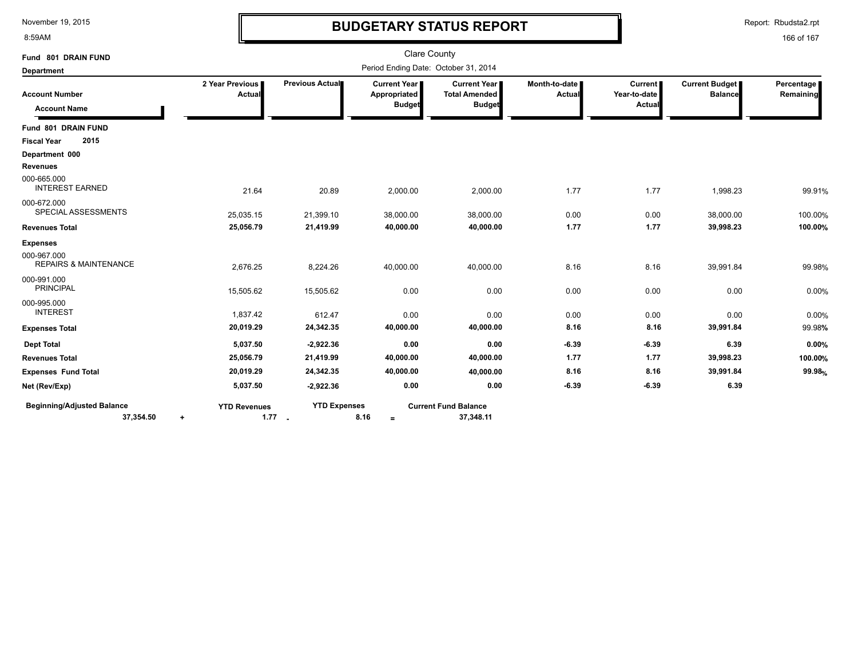8:59AM

# **BUDGETARY STATUS REPORT**

Report: Rbudsta2.rpt

| Fund 801 DRAIN FUND                                         |                                      |                                 | <b>Clare County</b>                           |                                                              |                                  |                                          |                                         |                         |
|-------------------------------------------------------------|--------------------------------------|---------------------------------|-----------------------------------------------|--------------------------------------------------------------|----------------------------------|------------------------------------------|-----------------------------------------|-------------------------|
| <b>Department</b>                                           | Period Ending Date: October 31, 2014 |                                 |                                               |                                                              |                                  |                                          |                                         |                         |
| <b>Account Number</b><br><b>Account Name</b>                | 2 Year Previous<br><b>Actual</b>     | Previous Actual                 | Current Year<br>Appropriated<br><b>Budget</b> | <b>Current Year</b><br><b>Total Amended</b><br><b>Budget</b> | Month-to-date  <br><b>Actual</b> | <b>Current</b><br>Year-to-date<br>Actual | <b>Current Budget</b><br><b>Balance</b> | Percentage<br>Remaining |
| Fund 801 DRAIN FUND                                         |                                      |                                 |                                               |                                                              |                                  |                                          |                                         |                         |
| 2015<br><b>Fiscal Year</b>                                  |                                      |                                 |                                               |                                                              |                                  |                                          |                                         |                         |
| Department 000                                              |                                      |                                 |                                               |                                                              |                                  |                                          |                                         |                         |
| <b>Revenues</b>                                             |                                      |                                 |                                               |                                                              |                                  |                                          |                                         |                         |
| 000-665.000<br><b>INTEREST EARNED</b>                       | 21.64                                | 20.89                           | 2,000.00                                      | 2,000.00                                                     | 1.77                             | 1.77                                     | 1,998.23                                | 99.91%                  |
| 000-672.000<br>SPECIAL ASSESSMENTS                          | 25,035.15                            | 21,399.10                       | 38,000.00                                     | 38,000.00                                                    | 0.00                             | 0.00                                     | 38,000.00                               | 100.00%                 |
| <b>Revenues Total</b>                                       | 25,056.79                            | 21,419.99                       | 40,000.00                                     | 40,000.00                                                    | 1.77                             | 1.77                                     | 39,998.23                               | 100.00%                 |
| <b>Expenses</b>                                             |                                      |                                 |                                               |                                                              |                                  |                                          |                                         |                         |
| 000-967.000<br><b>REPAIRS &amp; MAINTENANCE</b>             | 2,676.25                             | 8,224.26                        | 40,000.00                                     | 40,000.00                                                    | 8.16                             | 8.16                                     | 39,991.84                               | 99.98%                  |
| 000-991.000<br><b>PRINCIPAL</b>                             | 15,505.62                            | 15,505.62                       | 0.00                                          | 0.00                                                         | 0.00                             | 0.00                                     | 0.00                                    | 0.00%                   |
| 000-995.000<br><b>INTEREST</b>                              | 1,837.42                             | 612.47                          | 0.00                                          | 0.00                                                         | 0.00                             | 0.00                                     | 0.00                                    | 0.00%                   |
| <b>Expenses Total</b>                                       | 20,019.29                            | 24,342.35                       | 40,000.00                                     | 40,000.00                                                    | 8.16                             | 8.16                                     | 39,991.84                               | 99.98%                  |
| <b>Dept Total</b>                                           | 5,037.50                             | $-2,922.36$                     | 0.00                                          | 0.00                                                         | $-6.39$                          | $-6.39$                                  | 6.39                                    | 0.00%                   |
| <b>Revenues Total</b>                                       | 25,056.79                            | 21,419.99                       | 40,000.00                                     | 40,000.00                                                    | 1.77                             | 1.77                                     | 39,998.23                               | 100.00%                 |
| <b>Expenses Fund Total</b>                                  | 20,019.29                            | 24,342.35                       | 40,000.00                                     | 40,000.00                                                    | 8.16                             | 8.16                                     | 39,991.84                               | 99.98%                  |
| Net (Rev/Exp)                                               | 5,037.50                             | $-2,922.36$                     | 0.00                                          | 0.00                                                         | $-6.39$                          | $-6.39$                                  | 6.39                                    |                         |
| <b>Beginning/Adjusted Balance</b><br>37,354.50<br>$\ddot{}$ | <b>YTD Revenues</b>                  | <b>YTD Expenses</b><br>$1.77 -$ | 8.16<br>$=$                                   | <b>Current Fund Balance</b><br>37,348.11                     |                                  |                                          |                                         |                         |